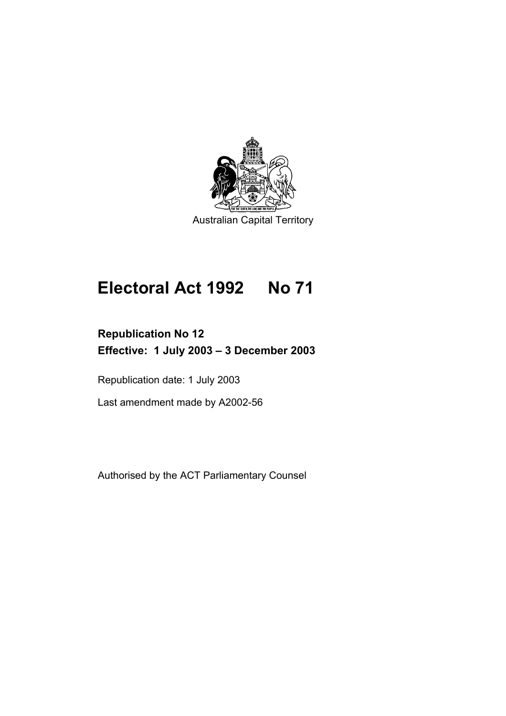

# **Electoral Act 1992 No 71**

# **Republication No 12 Effective: 1 July 2003 – 3 December 2003**

Republication date: 1 July 2003

Last amendment made by A2002-56

Authorised by the ACT Parliamentary Counsel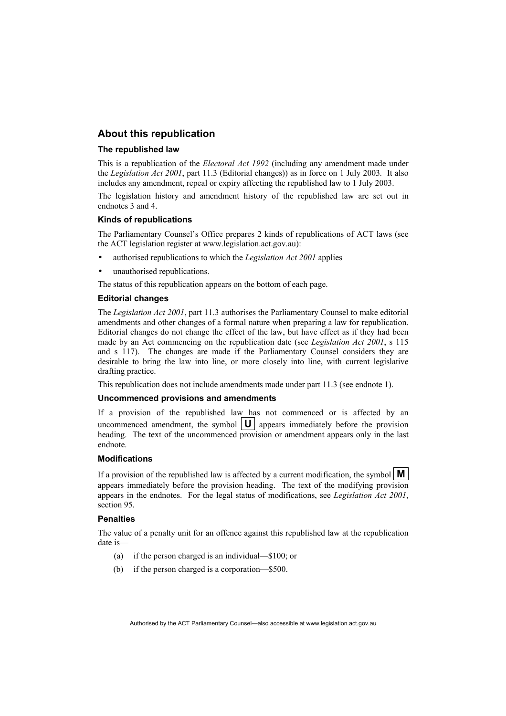#### **About this republication**

#### **The republished law**

This is a republication of the *Electoral Act 1992* (including any amendment made under the *Legislation Act 2001*, part 11.3 (Editorial changes)) as in force on 1 July 2003*.* It also includes any amendment, repeal or expiry affecting the republished law to 1 July 2003.

The legislation history and amendment history of the republished law are set out in endnotes 3 and 4

#### **Kinds of republications**

The Parliamentary Counsel's Office prepares 2 kinds of republications of ACT laws (see the ACT legislation register at www.legislation.act.gov.au):

- authorised republications to which the *Legislation Act 2001* applies
- unauthorised republications.

The status of this republication appears on the bottom of each page.

#### **Editorial changes**

The *Legislation Act 2001*, part 11.3 authorises the Parliamentary Counsel to make editorial amendments and other changes of a formal nature when preparing a law for republication. Editorial changes do not change the effect of the law, but have effect as if they had been made by an Act commencing on the republication date (see *Legislation Act 2001*, s 115 and s 117). The changes are made if the Parliamentary Counsel considers they are desirable to bring the law into line, or more closely into line, with current legislative drafting practice.

This republication does not include amendments made under part 11.3 (see endnote 1).

#### **Uncommenced provisions and amendments**

If a provision of the republished law has not commenced or is affected by an uncommenced amendment, the symbol  $|\mathbf{U}|$  appears immediately before the provision heading. The text of the uncommenced provision or amendment appears only in the last endnote.

#### **Modifications**

If a provision of the republished law is affected by a current modification, the symbol  $\vert \mathbf{M} \vert$ appears immediately before the provision heading. The text of the modifying provision appears in the endnotes. For the legal status of modifications, see *Legislation Act 2001*, section 95.

#### **Penalties**

The value of a penalty unit for an offence against this republished law at the republication date is—

- (a) if the person charged is an individual—\$100; or
- (b) if the person charged is a corporation—\$500.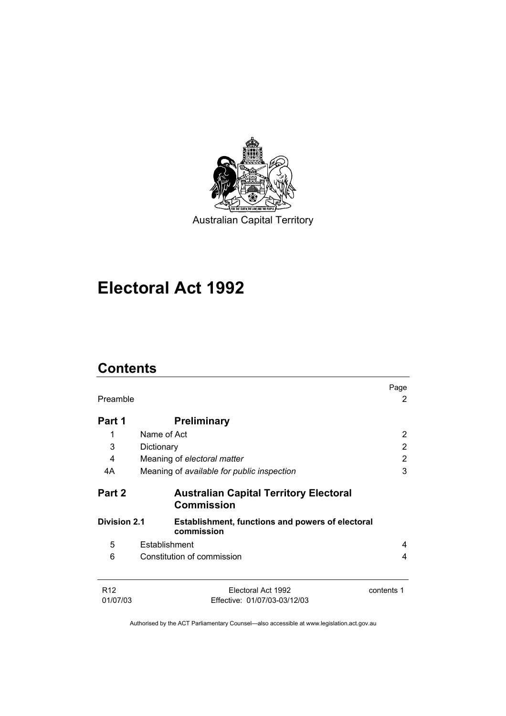

# **Electoral Act 1992**

## **Contents**

|                             |                                                                       | Page       |
|-----------------------------|-----------------------------------------------------------------------|------------|
| Preamble                    |                                                                       | 2          |
| Part 1                      | <b>Preliminary</b>                                                    |            |
| 1                           | Name of Act                                                           | 2          |
| 3                           | Dictionary                                                            | 2          |
| 4                           | Meaning of electoral matter                                           | 2          |
| 4A                          | Meaning of available for public inspection                            | 3          |
| Part 2                      | <b>Australian Capital Territory Electoral</b><br><b>Commission</b>    |            |
| <b>Division 2.1</b>         | <b>Establishment, functions and powers of electoral</b><br>commission |            |
| 5                           | Establishment                                                         | 4          |
| 6                           | Constitution of commission                                            | 4          |
| R <sub>12</sub><br>01/07/03 | Electoral Act 1992<br>Effective: 01/07/03-03/12/03                    | contents 1 |
|                             |                                                                       |            |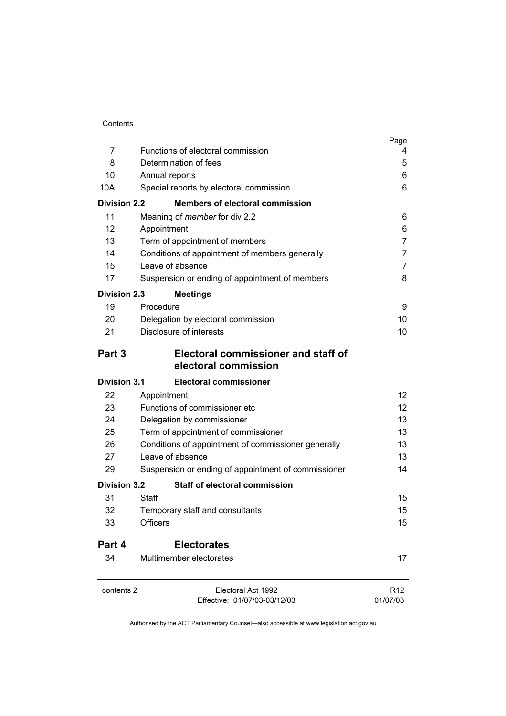|                     |                                                             | Page            |
|---------------------|-------------------------------------------------------------|-----------------|
| 7                   | Functions of electoral commission                           | 4               |
| 8                   | Determination of fees                                       | 5               |
| 10                  | Annual reports                                              | 6               |
| 10A                 | Special reports by electoral commission                     | 6               |
| <b>Division 2.2</b> | <b>Members of electoral commission</b>                      |                 |
| 11                  | Meaning of <i>member</i> for div 2.2                        | 6               |
| 12                  | Appointment                                                 | 6               |
| 13                  | Term of appointment of members                              | 7               |
| 14                  | Conditions of appointment of members generally              | 7               |
| 15                  | Leave of absence                                            | 7               |
| 17                  | Suspension or ending of appointment of members              | 8               |
| <b>Division 2.3</b> | <b>Meetings</b>                                             |                 |
| 19                  | Procedure                                                   | 9               |
| 20                  | Delegation by electoral commission                          | 10              |
| 21                  | Disclosure of interests                                     | 10              |
| Part 3              | Electoral commissioner and staff of<br>electoral commission |                 |
| <b>Division 3.1</b> | <b>Electoral commissioner</b>                               |                 |
| 22                  | Appointment                                                 | 12 <sup>2</sup> |
| 23                  | Functions of commissioner etc                               | 12 <sup>°</sup> |
| 24                  | Delegation by commissioner                                  | 13              |
| 25                  | Term of appointment of commissioner                         | 13              |
| 26                  | Conditions of appointment of commissioner generally         | 13              |
| 27                  | Leave of absence                                            | 13              |
| 29                  | Suspension or ending of appointment of commissioner         | 14              |
| <b>Division 3.2</b> | <b>Staff of electoral commission</b>                        |                 |
| 31                  | Staff                                                       | 15              |
| 32                  | Temporary staff and consultants                             | 15              |
| 33                  | <b>Officers</b>                                             | 15              |
| Part 4              | <b>Electorates</b>                                          |                 |
| 34                  | Multimember electorates                                     | 17              |
| contents 2          | Electoral Act 1992                                          | R <sub>12</sub> |
|                     | Effective: 01/07/03-03/12/03                                | 01/07/03        |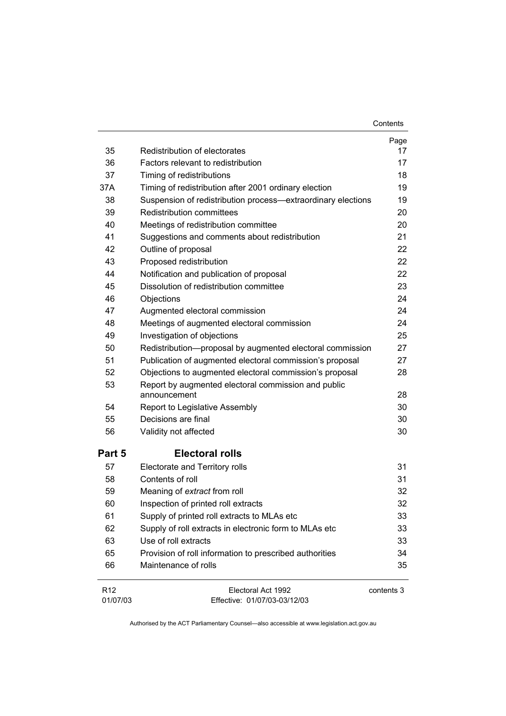|                             |                                                                     | Page       |
|-----------------------------|---------------------------------------------------------------------|------------|
| 35                          | Redistribution of electorates                                       | 17         |
| 36                          | Factors relevant to redistribution                                  | 17         |
| 37                          | Timing of redistributions                                           | 18         |
| 37A                         | Timing of redistribution after 2001 ordinary election               | 19         |
| 38                          | Suspension of redistribution process-extraordinary elections        | 19         |
| 39                          | <b>Redistribution committees</b>                                    | 20         |
| 40                          | Meetings of redistribution committee                                | 20         |
| 41                          | Suggestions and comments about redistribution                       | 21         |
| 42                          | Outline of proposal                                                 | 22         |
| 43                          | Proposed redistribution                                             | 22         |
| 44                          | Notification and publication of proposal                            | 22         |
| 45                          | Dissolution of redistribution committee                             | 23         |
| 46                          | Objections                                                          | 24         |
| 47                          | Augmented electoral commission                                      | 24         |
| 48                          | Meetings of augmented electoral commission                          | 24         |
| 49                          | Investigation of objections                                         | 25         |
| 50                          | Redistribution-proposal by augmented electoral commission           | 27         |
| 51                          | Publication of augmented electoral commission's proposal            | 27         |
| 52                          | Objections to augmented electoral commission's proposal             | 28         |
| 53                          | Report by augmented electoral commission and public<br>announcement | 28         |
| 54                          | Report to Legislative Assembly                                      | 30         |
| 55                          | Decisions are final                                                 | 30         |
| 56                          | Validity not affected                                               | 30         |
| Part 5                      | <b>Electoral rolls</b>                                              |            |
| 57                          | Electorate and Territory rolls                                      | 31         |
| 58                          | Contents of roll                                                    | 31         |
| 59                          | Meaning of extract from roll                                        | 32         |
| 60                          | Inspection of printed roll extracts                                 | 32         |
| 61                          | Supply of printed roll extracts to MLAs etc                         | 33         |
| 62                          | Supply of roll extracts in electronic form to MLAs etc              | 33         |
| 63                          | Use of roll extracts                                                | 33         |
| 65                          | Provision of roll information to prescribed authorities             | 34         |
| 66                          | Maintenance of rolls                                                | 35         |
| R <sub>12</sub><br>01/07/03 | Electoral Act 1992<br>Effective: 01/07/03-03/12/03                  | contents 3 |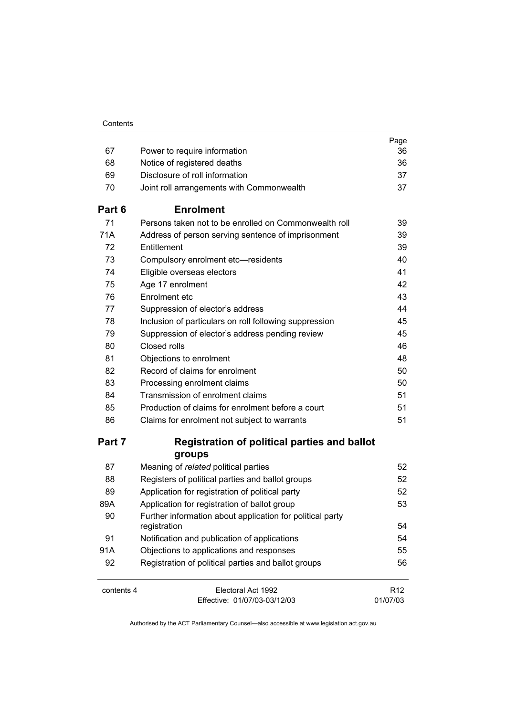| Contents |
|----------|
|----------|

|            |                                                                           | Page                        |
|------------|---------------------------------------------------------------------------|-----------------------------|
| 67         | Power to require information                                              | 36                          |
| 68         | Notice of registered deaths                                               | 36                          |
| 69         | Disclosure of roll information                                            | 37                          |
| 70         | Joint roll arrangements with Commonwealth                                 | 37                          |
| Part 6     | <b>Enrolment</b>                                                          |                             |
| 71         | Persons taken not to be enrolled on Commonwealth roll                     | 39                          |
| 71A        | Address of person serving sentence of imprisonment                        | 39                          |
| 72         | Entitlement                                                               | 39                          |
| 73         | Compulsory enrolment etc-residents                                        | 40                          |
| 74         | Eligible overseas electors                                                | 41                          |
| 75         | Age 17 enrolment                                                          | 42                          |
| 76         | Enrolment etc                                                             | 43                          |
| 77         | Suppression of elector's address                                          | 44                          |
| 78         | Inclusion of particulars on roll following suppression                    | 45                          |
| 79         | Suppression of elector's address pending review                           | 45                          |
| 80         | Closed rolls                                                              | 46                          |
| 81         | Objections to enrolment                                                   | 48                          |
| 82         | Record of claims for enrolment                                            | 50                          |
| 83         | Processing enrolment claims                                               | 50                          |
| 84         | Transmission of enrolment claims                                          | 51                          |
| 85         | Production of claims for enrolment before a court                         | 51                          |
| 86         | Claims for enrolment not subject to warrants                              | 51                          |
| Part 7     | <b>Registration of political parties and ballot</b><br>groups             |                             |
| 87         | Meaning of related political parties                                      | 52                          |
| 88         | Registers of political parties and ballot groups                          | 52                          |
| 89         | Application for registration of political party                           | 52                          |
| 89A        | Application for registration of ballot group                              | 53                          |
| 90         | Further information about application for political party<br>registration | 54                          |
| 91         | Notification and publication of applications                              | 54                          |
| 91A        | Objections to applications and responses                                  | 55                          |
| 92         | Registration of political parties and ballot groups                       | 56                          |
| contents 4 | Electoral Act 1992<br>Effective: 01/07/03-03/12/03                        | R <sub>12</sub><br>01/07/03 |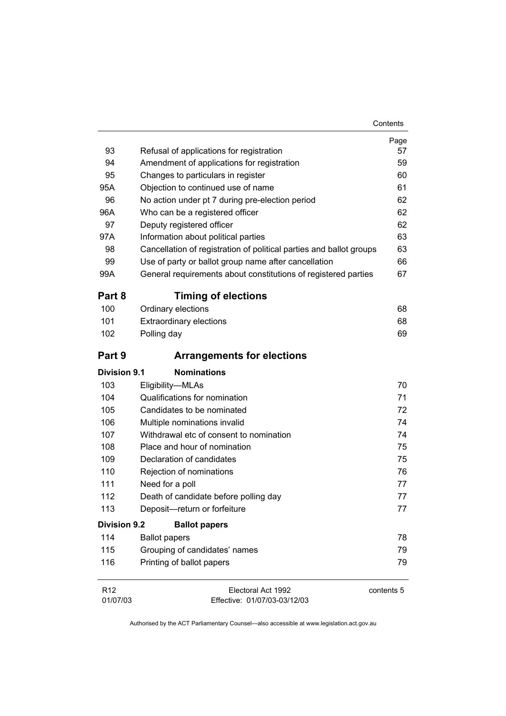|                     |                                                                     | Page       |
|---------------------|---------------------------------------------------------------------|------------|
| 93                  | Refusal of applications for registration                            | 57         |
| 94                  | Amendment of applications for registration                          | 59         |
| 95                  | Changes to particulars in register                                  | 60         |
| 95A                 | Objection to continued use of name                                  | 61         |
| 96                  | No action under pt 7 during pre-election period                     | 62         |
| 96A                 | Who can be a registered officer                                     | 62         |
| 97                  | Deputy registered officer                                           | 62         |
| 97A                 | Information about political parties                                 | 63         |
| 98                  | Cancellation of registration of political parties and ballot groups | 63         |
| 99                  | Use of party or ballot group name after cancellation                | 66         |
| 99A                 | General requirements about constitutions of registered parties      | 67         |
| Part 8              | <b>Timing of elections</b>                                          |            |
| 100                 | Ordinary elections                                                  | 68         |
| 101                 | <b>Extraordinary elections</b>                                      | 68         |
| 102                 | Polling day                                                         | 69         |
| Part 9              | <b>Arrangements for elections</b>                                   |            |
| Division 9.1        | <b>Nominations</b>                                                  |            |
| 103                 | Eligibility-MLAs                                                    | 70         |
| 104                 | Qualifications for nomination                                       | 71         |
| 105                 | Candidates to be nominated                                          | 72         |
| 106                 | Multiple nominations invalid                                        | 74         |
| 107                 | Withdrawal etc of consent to nomination                             | 74         |
| 108                 | Place and hour of nomination                                        | 75         |
| 109                 | Declaration of candidates                                           | 75         |
| 110                 | Rejection of nominations                                            | 76         |
| 111                 | Need for a poll                                                     | 77         |
| 112                 | Death of candidate before polling day                               | 77         |
| 113                 | Deposit-return or forfeiture                                        | 77         |
| <b>Division 9.2</b> | <b>Ballot papers</b>                                                |            |
| 114                 | <b>Ballot papers</b>                                                | 78         |
| 115                 | Grouping of candidates' names                                       | 79         |
| 116                 | Printing of ballot papers                                           | 79         |
| R <sub>12</sub>     | Electoral Act 1992                                                  | contents 5 |

01/07/03 Effective: 01/07/03-03/12/03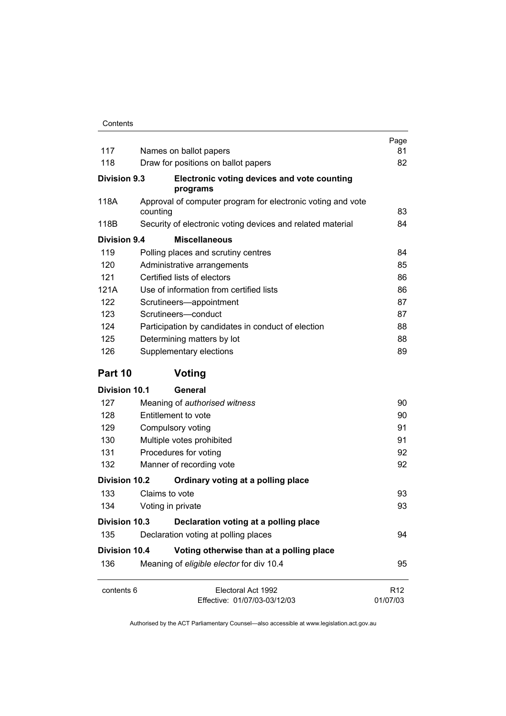| 117                  | Names on ballot papers                                                  | Page<br>81                  |
|----------------------|-------------------------------------------------------------------------|-----------------------------|
| 118                  | Draw for positions on ballot papers                                     | 82                          |
| <b>Division 9.3</b>  | Electronic voting devices and vote counting<br>programs                 |                             |
| 118A                 | Approval of computer program for electronic voting and vote<br>counting | 83                          |
| 118B                 | Security of electronic voting devices and related material              | 84                          |
| Division 9.4         | <b>Miscellaneous</b>                                                    |                             |
| 119                  | Polling places and scrutiny centres                                     | 84                          |
| 120                  | Administrative arrangements                                             | 85                          |
| 121                  | Certified lists of electors                                             | 86                          |
| 121A                 | Use of information from certified lists                                 | 86                          |
| 122                  | Scrutineers-appointment                                                 | 87                          |
| 123                  | Scrutineers-conduct                                                     | 87                          |
| 124                  | Participation by candidates in conduct of election                      | 88                          |
| 125                  | Determining matters by lot                                              | 88                          |
| 126                  | Supplementary elections                                                 | 89                          |
| Part 10              | Voting                                                                  |                             |
| <b>Division 10.1</b> | General                                                                 |                             |
| 127                  | Meaning of authorised witness                                           | 90                          |
| 128                  | Entitlement to vote                                                     | 90                          |
| 129                  | Compulsory voting                                                       | 91                          |
| 130                  | Multiple votes prohibited                                               | 91                          |
| 131                  | Procedures for voting                                                   | 92                          |
| 132                  | Manner of recording vote                                                | 92                          |
| <b>Division 10.2</b> | Ordinary voting at a polling place                                      |                             |
| 133                  | Claims to vote                                                          | 93                          |
| 134                  | Voting in private                                                       | 93                          |
| Division 10.3        | Declaration voting at a polling place                                   |                             |
| 135                  | Declaration voting at polling places                                    | 94                          |
| <b>Division 10.4</b> | Voting otherwise than at a polling place                                |                             |
| 136                  | Meaning of eligible elector for div 10.4                                | 95                          |
| contents 6           | Electoral Act 1992<br>Effective: 01/07/03-03/12/03                      | R <sub>12</sub><br>01/07/03 |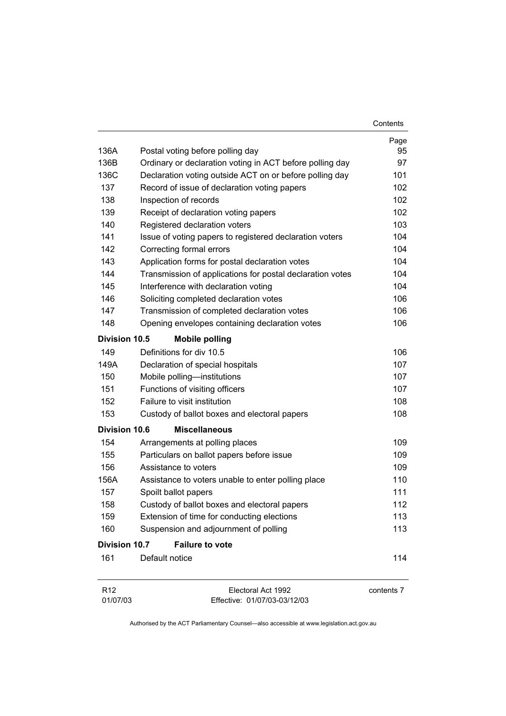|                             |                                                           | Contents   |
|-----------------------------|-----------------------------------------------------------|------------|
|                             |                                                           | Page       |
| 136A                        | Postal voting before polling day                          | 95         |
| 136B                        | Ordinary or declaration voting in ACT before polling day  | 97         |
| 136C                        | Declaration voting outside ACT on or before polling day   | 101        |
| 137                         | Record of issue of declaration voting papers              | 102        |
| 138                         | Inspection of records                                     | 102        |
| 139                         | Receipt of declaration voting papers                      | 102        |
| 140                         | Registered declaration voters                             | 103        |
| 141                         | Issue of voting papers to registered declaration voters   | 104        |
| 142                         | Correcting formal errors                                  | 104        |
| 143                         | Application forms for postal declaration votes            | 104        |
| 144                         | Transmission of applications for postal declaration votes | 104        |
| 145                         | Interference with declaration voting                      | 104        |
| 146                         | Soliciting completed declaration votes                    | 106        |
| 147                         | Transmission of completed declaration votes               | 106        |
| 148                         | Opening envelopes containing declaration votes            | 106        |
| Division 10.5               | <b>Mobile polling</b>                                     |            |
| 149                         | Definitions for div 10.5                                  | 106        |
| 149A                        | Declaration of special hospitals                          | 107        |
| 150                         | Mobile polling-institutions                               | 107        |
| 151                         | Functions of visiting officers                            | 107        |
| 152                         | Failure to visit institution                              | 108        |
| 153                         | Custody of ballot boxes and electoral papers              | 108        |
| <b>Division 10.6</b>        | <b>Miscellaneous</b>                                      |            |
| 154                         | Arrangements at polling places                            | 109        |
| 155                         | Particulars on ballot papers before issue                 | 109        |
| 156                         | Assistance to voters                                      | 109        |
| 156A                        | Assistance to voters unable to enter polling place        | 110        |
| 157                         | Spoilt ballot papers                                      | 111        |
| 158                         | Custody of ballot boxes and electoral papers              | 112        |
| 159                         | Extension of time for conducting elections                | 113        |
| 160                         | Suspension and adjournment of polling                     | 113        |
| Division 10.7               | <b>Failure to vote</b>                                    |            |
| 161                         | Default notice                                            | 114        |
| R <sub>12</sub><br>01/07/03 | Electoral Act 1992<br>Effective: 01/07/03-03/12/03        | contents 7 |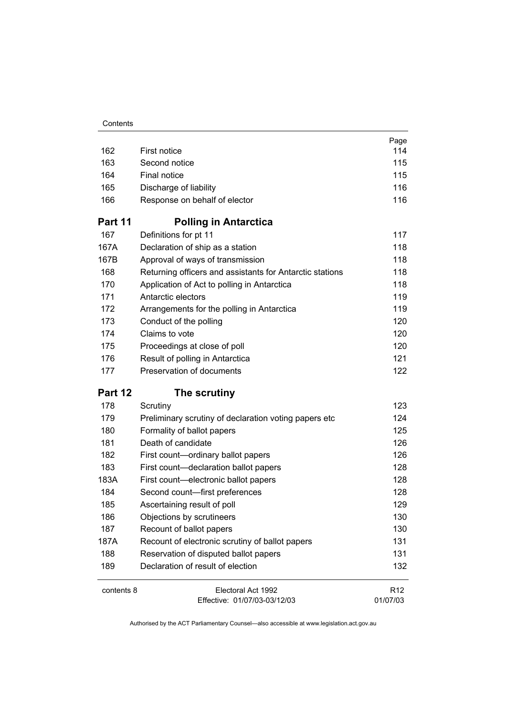| Contents |
|----------|
|----------|

|            |                                                          | Page            |
|------------|----------------------------------------------------------|-----------------|
| 162        | First notice                                             | 114             |
| 163        | Second notice                                            | 115             |
| 164        | Final notice                                             | 115             |
| 165        | Discharge of liability                                   | 116             |
| 166        | Response on behalf of elector                            | 116             |
| Part 11    | <b>Polling in Antarctica</b>                             |                 |
| 167        | Definitions for pt 11                                    | 117             |
| 167A       | Declaration of ship as a station                         | 118             |
| 167B       | Approval of ways of transmission                         | 118             |
| 168        | Returning officers and assistants for Antarctic stations | 118             |
| 170        | Application of Act to polling in Antarctica              | 118             |
| 171        | Antarctic electors                                       | 119             |
| 172        | Arrangements for the polling in Antarctica               | 119             |
| 173        | Conduct of the polling                                   | 120             |
| 174        | Claims to vote                                           | 120             |
| 175        | Proceedings at close of poll                             | 120             |
| 176        | Result of polling in Antarctica                          | 121             |
| 177        | Preservation of documents                                | 122             |
| Part 12    | The scrutiny                                             |                 |
| 178        | Scrutiny                                                 | 123             |
| 179        | Preliminary scrutiny of declaration voting papers etc    | 124             |
| 180        | Formality of ballot papers                               | 125             |
| 181        | Death of candidate                                       | 126             |
| 182        | First count-ordinary ballot papers                       | 126             |
| 183        | First count-declaration ballot papers                    | 128             |
| 183A       | First count-electronic ballot papers                     | 128             |
| 184        | Second count-first preferences                           | 128             |
| 185        | Ascertaining result of poll                              | 129             |
| 186        | Objections by scrutineers                                | 130             |
| 187        | Recount of ballot papers                                 | 130             |
| 187A       | Recount of electronic scrutiny of ballot papers          | 131             |
| 188        | Reservation of disputed ballot papers                    | 131             |
| 189        | Declaration of result of election                        | 132             |
| contents 8 | Electoral Act 1992                                       | R <sub>12</sub> |
|            | Effective: 01/07/03-03/12/03                             | 01/07/03        |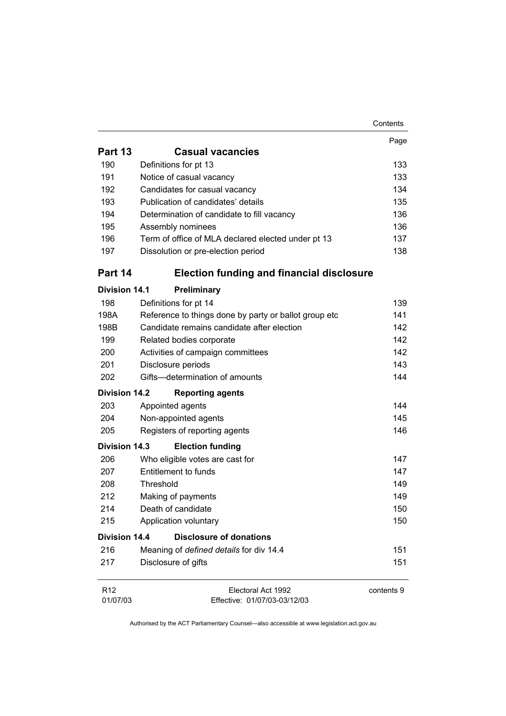|                             |                                                       | Contents   |
|-----------------------------|-------------------------------------------------------|------------|
|                             |                                                       | Page       |
| Part 13                     | <b>Casual vacancies</b>                               |            |
| 190                         | Definitions for pt 13                                 | 133        |
| 191                         | Notice of casual vacancy                              | 133        |
| 192                         | Candidates for casual vacancy                         | 134        |
| 193                         | Publication of candidates' details                    | 135        |
| 194                         | Determination of candidate to fill vacancy            | 136        |
| 195                         | Assembly nominees                                     | 136        |
| 196                         | Term of office of MLA declared elected under pt 13    | 137        |
| 197                         | Dissolution or pre-election period                    | 138        |
| Part 14                     | <b>Election funding and financial disclosure</b>      |            |
| <b>Division 14.1</b>        | Preliminary                                           |            |
| 198                         | Definitions for pt 14                                 | 139        |
| 198A                        | Reference to things done by party or ballot group etc | 141        |
| 198B                        | Candidate remains candidate after election            | 142        |
| 199                         | Related bodies corporate                              | 142        |
| 200                         | Activities of campaign committees                     | 142        |
| 201                         | Disclosure periods                                    | 143        |
| 202                         | Gifts-determination of amounts                        | 144        |
| <b>Division 14.2</b>        | <b>Reporting agents</b>                               |            |
| 203                         | Appointed agents                                      | 144        |
| 204                         | Non-appointed agents                                  | 145        |
| 205                         | Registers of reporting agents                         | 146        |
| <b>Division 14.3</b>        | <b>Election funding</b>                               |            |
| 206                         | Who eligible votes are cast for                       | 147        |
| 207                         | Entitlement to funds                                  | 147        |
| 208                         | Threshold                                             | 149        |
| 212                         | Making of payments                                    | 149        |
| 214                         | Death of candidate                                    | 150        |
| 215                         | Application voluntary                                 | 150        |
| <b>Division 14.4</b>        | <b>Disclosure of donations</b>                        |            |
| 216                         | Meaning of defined details for div 14.4               | 151        |
| 217                         | Disclosure of gifts                                   | 151        |
| R <sub>12</sub><br>01/07/03 | Electoral Act 1992<br>Effective: 01/07/03-03/12/03    | contents 9 |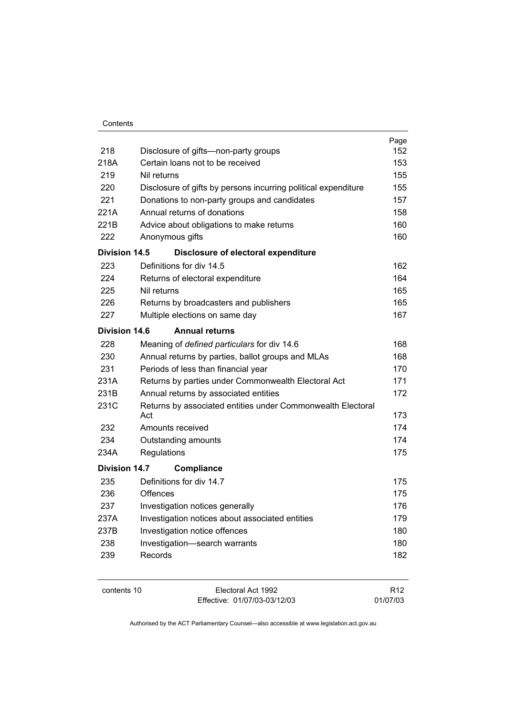| Contents |  |
|----------|--|
|          |  |

| 218                  | Disclosure of gifts-non-party groups                                        | Page<br>152 |  |
|----------------------|-----------------------------------------------------------------------------|-------------|--|
| 218A                 | Certain loans not to be received                                            | 153         |  |
| 219                  | Nil returns                                                                 |             |  |
| 220                  | Disclosure of gifts by persons incurring political expenditure              |             |  |
| 221                  |                                                                             | 155<br>157  |  |
| 221A                 | Donations to non-party groups and candidates<br>Annual returns of donations | 158         |  |
| 221B                 |                                                                             | 160         |  |
| 222                  | Advice about obligations to make returns                                    | 160         |  |
|                      | Anonymous gifts                                                             |             |  |
| Division 14.5        | Disclosure of electoral expenditure                                         |             |  |
| 223                  | Definitions for div 14.5                                                    | 162         |  |
| 224                  | Returns of electoral expenditure                                            | 164         |  |
| 225                  | Nil returns                                                                 | 165         |  |
| 226                  | Returns by broadcasters and publishers                                      | 165         |  |
| 227                  | Multiple elections on same day                                              | 167         |  |
| <b>Division 14.6</b> | <b>Annual returns</b>                                                       |             |  |
| 228                  | Meaning of defined particulars for div 14.6                                 | 168         |  |
| 230                  | Annual returns by parties, ballot groups and MLAs                           | 168         |  |
| 231                  | Periods of less than financial year                                         | 170         |  |
| 231A                 | Returns by parties under Commonwealth Electoral Act                         | 171         |  |
| 231B                 | Annual returns by associated entities                                       | 172         |  |
| 231C                 | Returns by associated entities under Commonwealth Electoral<br>Act          | 173         |  |
| 232                  | Amounts received                                                            | 174         |  |
| 234                  | Outstanding amounts                                                         | 174         |  |
| 234A                 | Regulations                                                                 | 175         |  |
| <b>Division 14.7</b> | Compliance                                                                  |             |  |
| 235                  | Definitions for div 14.7                                                    | 175         |  |
| 236                  | Offences                                                                    | 175         |  |
| 237                  | Investigation notices generally                                             | 176         |  |
| 237A                 | Investigation notices about associated entities                             | 179         |  |
| 237B                 | Investigation notice offences                                               | 180         |  |
| 238                  | Investigation-search warrants                                               | 180         |  |
| 239                  | Records                                                                     | 182         |  |
|                      |                                                                             |             |  |

| contents 10 |  |
|-------------|--|
|-------------|--|

Electoral Act 1992 Effective: 01/07/03-03/12/03

R12 01/07/03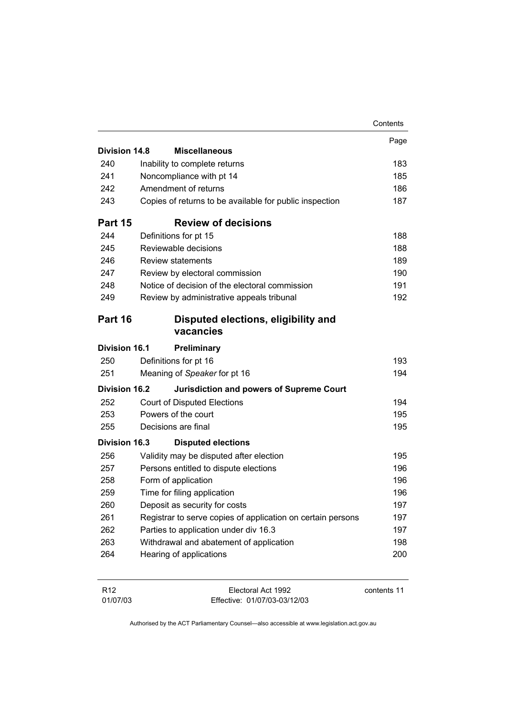|                                                     |                                                             | Contents |
|-----------------------------------------------------|-------------------------------------------------------------|----------|
|                                                     |                                                             | Page     |
| Division 14.8                                       | <b>Miscellaneous</b>                                        |          |
| 240                                                 | Inability to complete returns                               | 183      |
| 241                                                 | Noncompliance with pt 14                                    | 185      |
| 242                                                 | Amendment of returns                                        | 186      |
| 243                                                 | Copies of returns to be available for public inspection     | 187      |
| Part 15                                             | <b>Review of decisions</b>                                  |          |
| 244                                                 | Definitions for pt 15                                       | 188      |
| 245                                                 | Reviewable decisions                                        | 188      |
| 246                                                 | <b>Review statements</b>                                    | 189      |
| 247                                                 | Review by electoral commission                              | 190      |
| 248                                                 | Notice of decision of the electoral commission              | 191      |
| 249                                                 | Review by administrative appeals tribunal                   | 192      |
| Part 16                                             | Disputed elections, eligibility and<br>vacancies            |          |
| <b>Division 16.1</b>                                | <b>Preliminary</b>                                          |          |
| 250                                                 | Definitions for pt 16                                       | 193      |
| 251                                                 | Meaning of Speaker for pt 16                                | 194      |
|                                                     | <b>Jurisdiction and powers of Supreme Court</b>             |          |
|                                                     |                                                             |          |
| 252                                                 | <b>Court of Disputed Elections</b>                          | 194      |
| 253                                                 | Powers of the court                                         | 195      |
| 255                                                 | Decisions are final                                         | 195      |
|                                                     | <b>Disputed elections</b>                                   |          |
| 256                                                 | Validity may be disputed after election                     | 195      |
| 257                                                 | Persons entitled to dispute elections                       | 196      |
| 258                                                 | Form of application                                         | 196      |
| 259                                                 | Time for filing application                                 | 196      |
| 260                                                 | Deposit as security for costs                               | 197      |
| 261                                                 | Registrar to serve copies of application on certain persons | 197      |
| 262                                                 | Parties to application under div 16.3                       | 197      |
| <b>Division 16.2</b><br><b>Division 16.3</b><br>263 | Withdrawal and abatement of application                     | 198      |

| R <sub>12</sub> | Electoral Act 1992           | contents 11 |
|-----------------|------------------------------|-------------|
| 01/07/03        | Effective: 01/07/03-03/12/03 |             |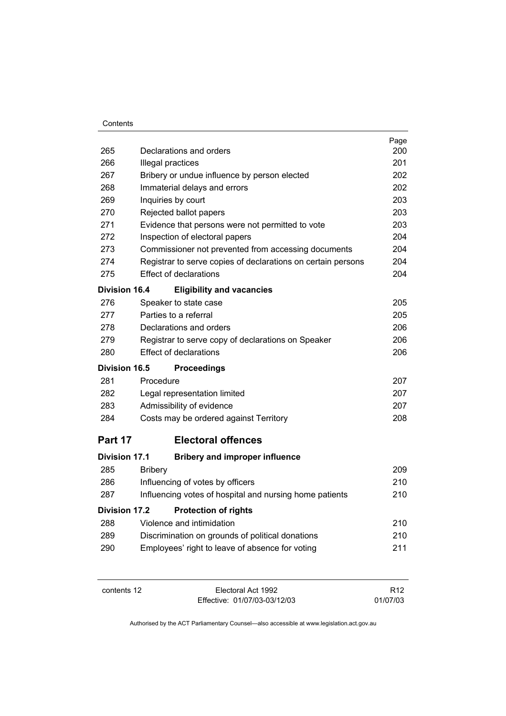| 265                  | Declarations and orders                                      | Page<br>200 |
|----------------------|--------------------------------------------------------------|-------------|
| 266                  | Illegal practices                                            | 201         |
| 267                  | Bribery or undue influence by person elected                 | 202         |
| 268                  | Immaterial delays and errors                                 | 202         |
| 269                  | Inquiries by court                                           | 203         |
| 270                  | Rejected ballot papers                                       | 203         |
| 271                  | Evidence that persons were not permitted to vote             | 203         |
| 272                  | Inspection of electoral papers                               | 204         |
| 273                  | Commissioner not prevented from accessing documents          | 204         |
| 274                  | Registrar to serve copies of declarations on certain persons | 204         |
| 275                  | <b>Effect of declarations</b>                                | 204         |
| <b>Division 16.4</b> | <b>Eligibility and vacancies</b>                             |             |
| 276                  | Speaker to state case                                        | 205         |
| 277                  | Parties to a referral                                        | 205         |
| 278                  | Declarations and orders                                      | 206         |
| 279                  | Registrar to serve copy of declarations on Speaker           | 206         |
| 280                  | <b>Effect of declarations</b>                                | 206         |
| Division 16.5        | <b>Proceedings</b>                                           |             |
| 281                  | Procedure                                                    | 207         |
| 282                  | Legal representation limited                                 | 207         |
| 283                  | Admissibility of evidence                                    | 207         |
| 284                  | Costs may be ordered against Territory                       | 208         |
| Part 17              | <b>Electoral offences</b>                                    |             |
| <b>Division 17.1</b> | <b>Bribery and improper influence</b>                        |             |
| 285                  | <b>Bribery</b>                                               | 209         |
| 286                  | Influencing of votes by officers                             | 210         |
| 287                  | Influencing votes of hospital and nursing home patients      | 210         |
| Division 17.2        | <b>Protection of rights</b>                                  |             |
| 288                  | Violence and intimidation                                    | 210         |
| 289                  | Discrimination on grounds of political donations             | 210         |
| 290                  | Employees' right to leave of absence for voting              | 211         |
|                      |                                                              |             |

contents 12 Electoral Act 1992 Effective: 01/07/03-03/12/03

R12 01/07/03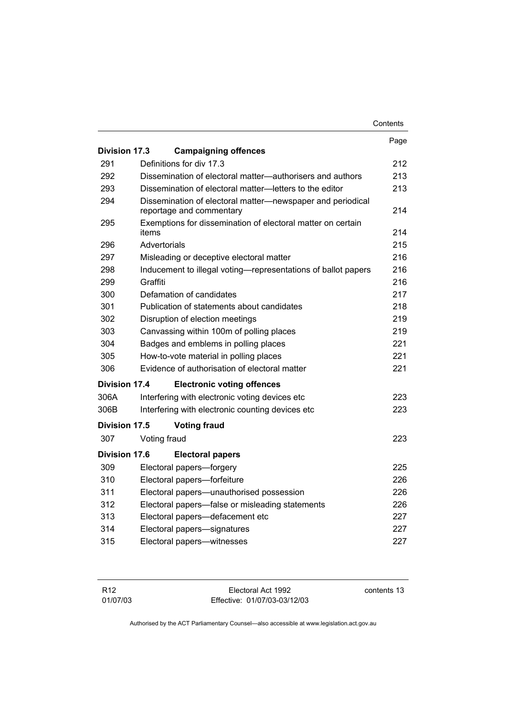|               |                                                                                        | Contents |
|---------------|----------------------------------------------------------------------------------------|----------|
|               |                                                                                        | Page     |
| Division 17.3 | <b>Campaigning offences</b>                                                            |          |
| 291           | Definitions for div 17.3                                                               | 212      |
| 292           | Dissemination of electoral matter—authorisers and authors                              | 213      |
| 293           | Dissemination of electoral matter-letters to the editor                                | 213      |
| 294           | Dissemination of electoral matter-newspaper and periodical<br>reportage and commentary | 214      |
| 295           | Exemptions for dissemination of electoral matter on certain<br>items                   | 214      |
| 296           | Advertorials                                                                           | 215      |
| 297           | Misleading or deceptive electoral matter                                               | 216      |
| 298           | Inducement to illegal voting—representations of ballot papers                          | 216      |
| 299           | Graffiti                                                                               |          |
| 300           | Defamation of candidates                                                               |          |
| 301           | Publication of statements about candidates                                             |          |
| 302           | Disruption of election meetings                                                        |          |
| 303           | Canvassing within 100m of polling places                                               |          |
| 304           | Badges and emblems in polling places                                                   |          |
| 305           | How-to-vote material in polling places                                                 | 221      |
| 306           | Evidence of authorisation of electoral matter                                          | 221      |
| Division 17.4 | <b>Electronic voting offences</b>                                                      |          |
| 306A          | Interfering with electronic voting devices etc                                         | 223      |
| 306B          | Interfering with electronic counting devices etc.                                      | 223      |
| Division 17.5 | <b>Voting fraud</b>                                                                    |          |
| 307           | Voting fraud                                                                           | 223      |
| Division 17.6 | <b>Electoral papers</b>                                                                |          |
| 309           | Electoral papers-forgery                                                               | 225      |
| 310           | Electoral papers-forfeiture                                                            | 226      |
| 311           | Electoral papers-unauthorised possession                                               | 226      |
| 312           | Electoral papers-false or misleading statements                                        | 226      |
| 313           | Electoral papers-defacement etc                                                        | 227      |
| 314           | Electoral papers-signatures                                                            | 227      |
| 315           | Electoral papers-witnesses                                                             | 227      |

| R <sub>12</sub> | Electoral Act 1992           | contents 13 |
|-----------------|------------------------------|-------------|
| 01/07/03        | Effective: 01/07/03-03/12/03 |             |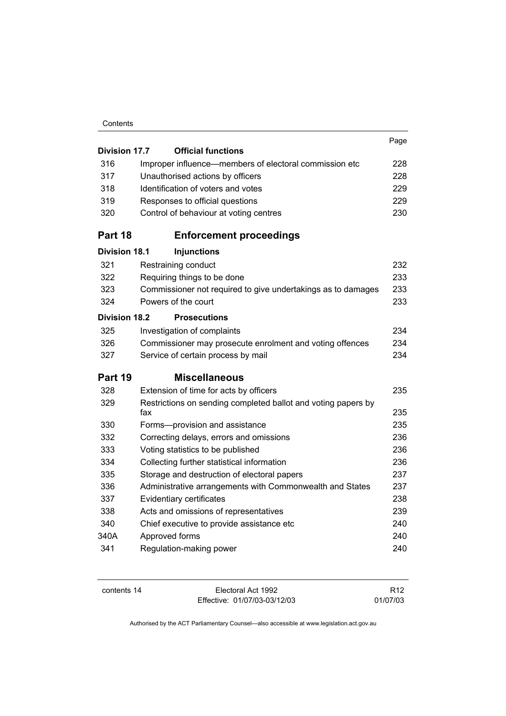| Contents |
|----------|
|----------|

| <b>Division 17.7</b> | <b>Official functions</b>                                            | Page |
|----------------------|----------------------------------------------------------------------|------|
| 316                  | Improper influence-members of electoral commission etc               | 228  |
| 317                  | Unauthorised actions by officers                                     | 228  |
| 318                  | Identification of voters and votes                                   | 229  |
| 319                  | Responses to official questions                                      | 229  |
| 320                  | Control of behaviour at voting centres                               | 230  |
| Part 18              | <b>Enforcement proceedings</b>                                       |      |
| <b>Division 18.1</b> | <b>Injunctions</b>                                                   |      |
| 321                  | Restraining conduct                                                  | 232  |
| 322                  | Requiring things to be done                                          | 233  |
| 323                  | Commissioner not required to give undertakings as to damages         | 233  |
| 324                  | Powers of the court                                                  | 233  |
| <b>Division 18.2</b> | <b>Prosecutions</b>                                                  |      |
| 325                  | Investigation of complaints                                          | 234  |
| 326                  | Commissioner may prosecute enrolment and voting offences             | 234  |
| 327                  | Service of certain process by mail                                   | 234  |
| Part 19              | <b>Miscellaneous</b>                                                 |      |
| 328                  | Extension of time for acts by officers                               | 235  |
| 329                  | Restrictions on sending completed ballot and voting papers by<br>fax | 235  |
| 330                  | Forms-provision and assistance                                       | 235  |
| 332                  | Correcting delays, errors and omissions                              | 236  |
| 333                  | Voting statistics to be published                                    | 236  |
| 334                  | Collecting further statistical information                           | 236  |
| 335                  | Storage and destruction of electoral papers                          | 237  |
| 336                  | Administrative arrangements with Commonwealth and States             | 237  |
| 337                  | Evidentiary certificates                                             | 238  |
| 338                  | Acts and omissions of representatives                                | 239  |
| 340                  | Chief executive to provide assistance etc                            | 240  |
| 340A                 | Approved forms                                                       | 240  |
| 341                  | Regulation-making power                                              | 240  |

| contents 14 |  |
|-------------|--|
|-------------|--|

Electoral Act 1992 Effective: 01/07/03-03/12/03

R12 01/07/03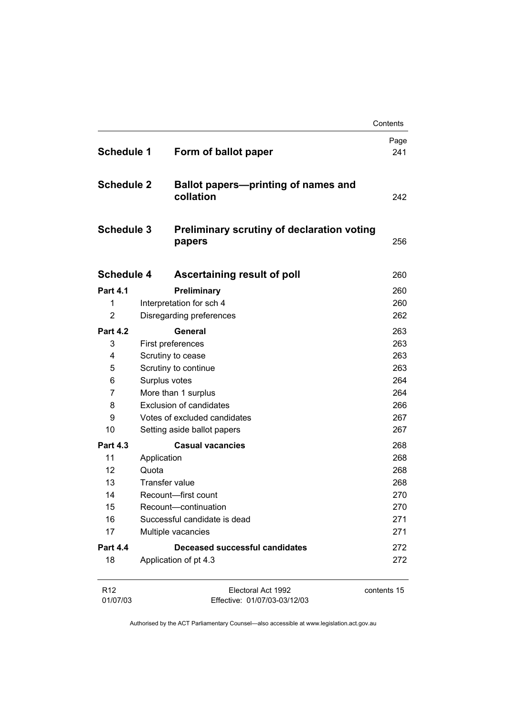|                             |                                |                                                             | Contents    |
|-----------------------------|--------------------------------|-------------------------------------------------------------|-------------|
| <b>Schedule 1</b>           |                                | Form of ballot paper                                        | Page<br>241 |
| <b>Schedule 2</b>           |                                | <b>Ballot papers-printing of names and</b><br>collation     | 242         |
| <b>Schedule 3</b>           |                                | <b>Preliminary scrutiny of declaration voting</b><br>papers | 256         |
| <b>Schedule 4</b>           |                                | Ascertaining result of poll                                 | 260         |
| <b>Part 4.1</b>             |                                | Preliminary                                                 | 260         |
| 1                           |                                | Interpretation for sch 4                                    | 260         |
| 2                           |                                | Disregarding preferences                                    | 262         |
| <b>Part 4.2</b>             |                                | General                                                     | 263         |
| 3                           |                                | First preferences                                           | 263         |
| 4                           |                                | Scrutiny to cease                                           | 263         |
| 5                           |                                | Scrutiny to continue                                        | 263         |
| 6                           |                                | Surplus votes                                               | 264         |
| 7                           |                                | More than 1 surplus                                         | 264         |
| 8                           | <b>Exclusion of candidates</b> |                                                             | 266         |
| 9                           |                                | Votes of excluded candidates                                | 267         |
| 10                          |                                | Setting aside ballot papers                                 | 267         |
| <b>Part 4.3</b>             |                                | <b>Casual vacancies</b>                                     | 268         |
| 11                          | Application                    |                                                             | 268         |
| 12                          | Quota                          |                                                             | 268         |
| 13                          |                                | <b>Transfer value</b>                                       | 268         |
| 14                          |                                | Recount-first count                                         | 270         |
| 15                          |                                | Recount-continuation                                        | 270         |
| 16                          |                                | Successful candidate is dead                                | 271         |
| 17                          |                                | Multiple vacancies                                          | 271         |
| <b>Part 4.4</b>             |                                | Deceased successful candidates                              | 272         |
| 18                          |                                | Application of pt 4.3                                       | 272         |
| R <sub>12</sub><br>01/07/03 |                                | Electoral Act 1992<br>Effective: 01/07/03-03/12/03          | contents 15 |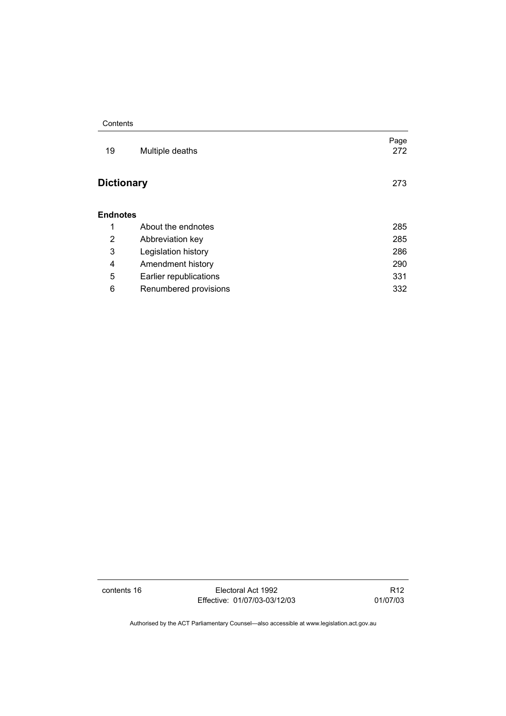| 19                | Multiple deaths        | Page<br>272 |
|-------------------|------------------------|-------------|
| <b>Dictionary</b> |                        | 273         |
| Endnotes          |                        |             |
| 1                 | About the endnotes     | 285         |
| 2                 | Abbreviation key       | 285         |
| 3                 | Legislation history    | 286         |
| 4                 | Amendment history      | 290         |
| 5                 | Earlier republications | 331         |
| 6                 | Renumbered provisions  | 332         |

contents 16 Electoral Act 1992 Effective: 01/07/03-03/12/03

R12 01/07/03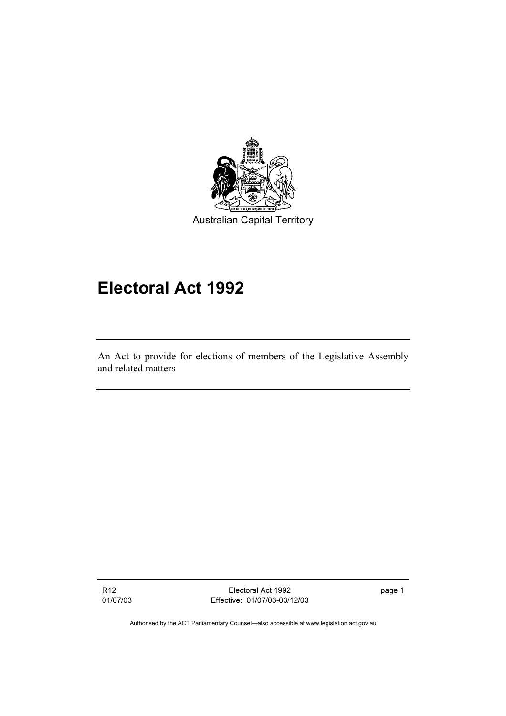

# **Electoral Act 1992**

An Act to provide for elections of members of the Legislative Assembly and related matters

R12 01/07/03

Electoral Act 1992 Effective: 01/07/03-03/12/03 page 1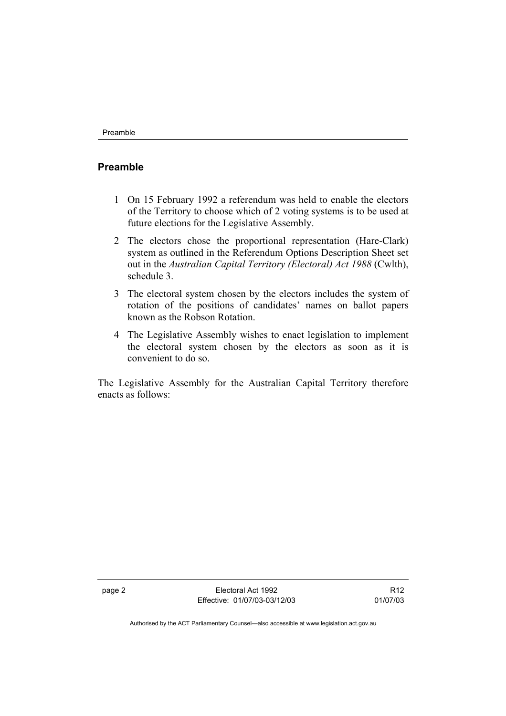#### **Preamble**

- 1 On 15 February 1992 a referendum was held to enable the electors of the Territory to choose which of 2 voting systems is to be used at future elections for the Legislative Assembly.
- 2 The electors chose the proportional representation (Hare-Clark) system as outlined in the Referendum Options Description Sheet set out in the *Australian Capital Territory (Electoral) Act 1988* (Cwlth), schedule 3.
- 3 The electoral system chosen by the electors includes the system of rotation of the positions of candidates' names on ballot papers known as the Robson Rotation.
- 4 The Legislative Assembly wishes to enact legislation to implement the electoral system chosen by the electors as soon as it is convenient to do so.

The Legislative Assembly for the Australian Capital Territory therefore enacts as follows:

page 2 Electoral Act 1992 Effective: 01/07/03-03/12/03

R12 01/07/03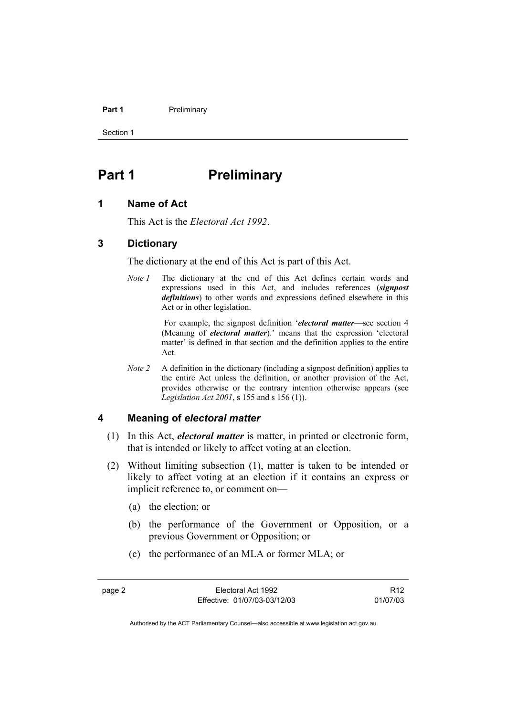#### Part 1 **Preliminary**

Section 1

# **Part 1** Preliminary

#### **1 Name of Act**

This Act is the *Electoral Act 1992*.

#### **3 Dictionary**

The dictionary at the end of this Act is part of this Act.

*Note 1* The dictionary at the end of this Act defines certain words and expressions used in this Act, and includes references (*signpost definitions*) to other words and expressions defined elsewhere in this Act or in other legislation.

> For example, the signpost definition '*electoral matter*—see section 4 (Meaning of *electoral matter*).' means that the expression 'electoral matter' is defined in that section and the definition applies to the entire Act.

*Note 2* A definition in the dictionary (including a signpost definition) applies to the entire Act unless the definition, or another provision of the Act, provides otherwise or the contrary intention otherwise appears (see *Legislation Act 2001*, s 155 and s 156 (1)).

#### **4 Meaning of** *electoral matter*

- (1) In this Act, *electoral matter* is matter, in printed or electronic form, that is intended or likely to affect voting at an election.
- (2) Without limiting subsection (1), matter is taken to be intended or likely to affect voting at an election if it contains an express or implicit reference to, or comment on—
	- (a) the election; or
	- (b) the performance of the Government or Opposition, or a previous Government or Opposition; or
	- (c) the performance of an MLA or former MLA; or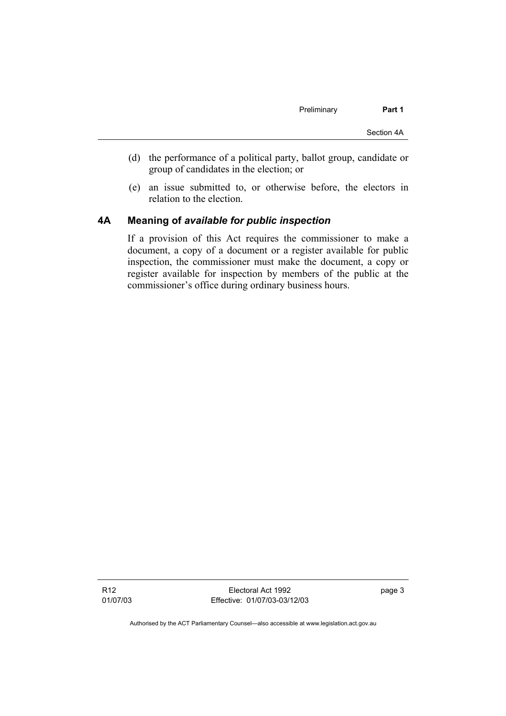- (d) the performance of a political party, ballot group, candidate or group of candidates in the election; or
- (e) an issue submitted to, or otherwise before, the electors in relation to the election.

#### **4A Meaning of** *available for public inspection*

If a provision of this Act requires the commissioner to make a document, a copy of a document or a register available for public inspection, the commissioner must make the document, a copy or register available for inspection by members of the public at the commissioner's office during ordinary business hours.

R12 01/07/03

Electoral Act 1992 Effective: 01/07/03-03/12/03 page 3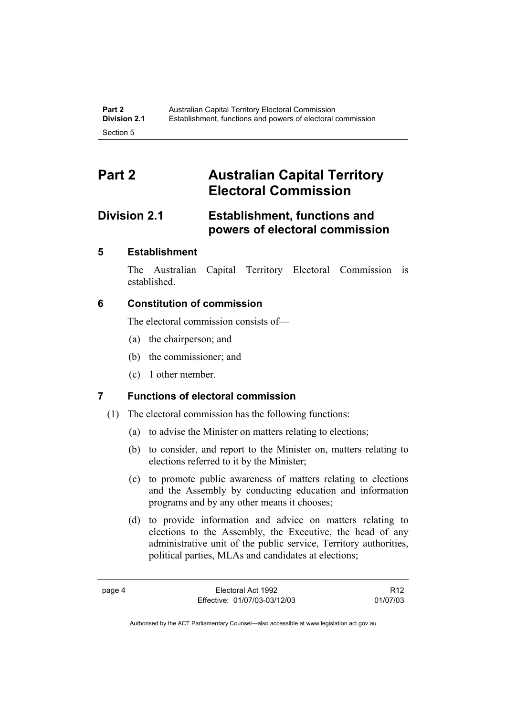# **Part 2 Australian Capital Territory Electoral Commission**

## **Division 2.1 Establishment, functions and powers of electoral commission**

### **5 Establishment**

The Australian Capital Territory Electoral Commission is established.

### **6 Constitution of commission**

The electoral commission consists of—

- (a) the chairperson; and
- (b) the commissioner; and
- (c) 1 other member.

### **7 Functions of electoral commission**

- (1) The electoral commission has the following functions:
	- (a) to advise the Minister on matters relating to elections;
	- (b) to consider, and report to the Minister on, matters relating to elections referred to it by the Minister;
	- (c) to promote public awareness of matters relating to elections and the Assembly by conducting education and information programs and by any other means it chooses;
	- (d) to provide information and advice on matters relating to elections to the Assembly, the Executive, the head of any administrative unit of the public service, Territory authorities, political parties, MLAs and candidates at elections;

R12 01/07/03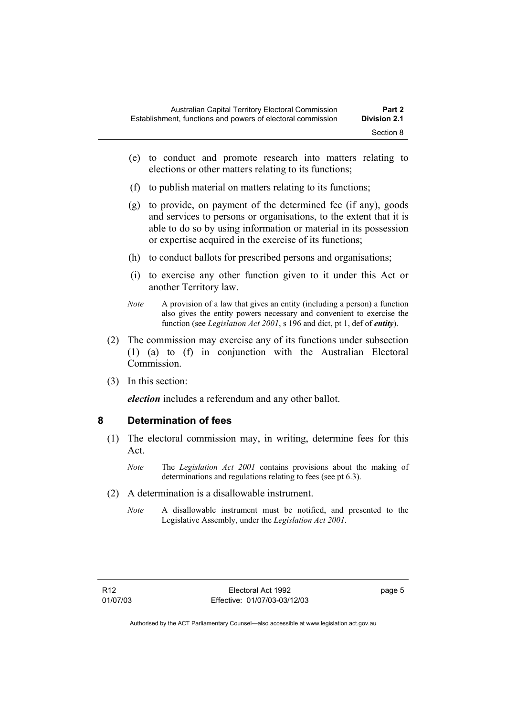- (e) to conduct and promote research into matters relating to elections or other matters relating to its functions;
- (f) to publish material on matters relating to its functions;
- (g) to provide, on payment of the determined fee (if any), goods and services to persons or organisations, to the extent that it is able to do so by using information or material in its possession or expertise acquired in the exercise of its functions;
- (h) to conduct ballots for prescribed persons and organisations;
- (i) to exercise any other function given to it under this Act or another Territory law.
- *Note* A provision of a law that gives an entity (including a person) a function also gives the entity powers necessary and convenient to exercise the function (see *Legislation Act 2001*, s 196 and dict, pt 1, def of *entity*).
- (2) The commission may exercise any of its functions under subsection (1) (a) to (f) in conjunction with the Australian Electoral **Commission**
- (3) In this section:

*election* includes a referendum and any other ballot.

#### **8 Determination of fees**

- (1) The electoral commission may, in writing, determine fees for this Act.
	- *Note* The *Legislation Act 2001* contains provisions about the making of determinations and regulations relating to fees (see pt 6.3).
- (2) A determination is a disallowable instrument.
	- *Note* A disallowable instrument must be notified, and presented to the Legislative Assembly, under the *Legislation Act 2001*.

page 5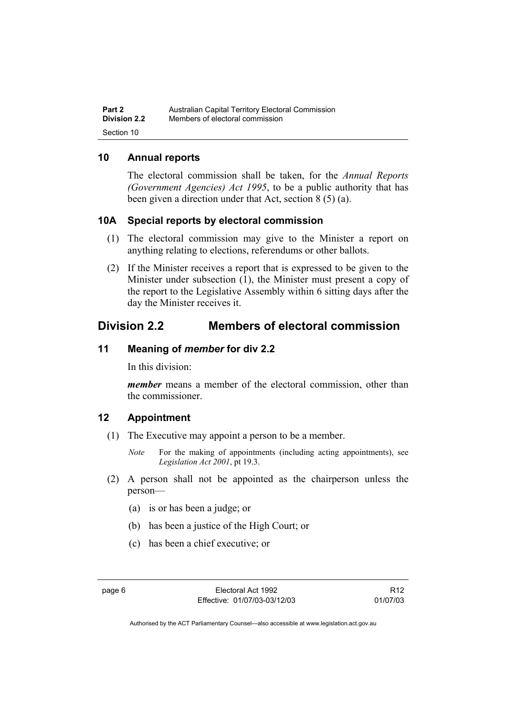| Part 2              | Australian Capital Territory Electoral Commission |
|---------------------|---------------------------------------------------|
| <b>Division 2.2</b> | Members of electoral commission                   |
| Section 10          |                                                   |

### **10 Annual reports**

The electoral commission shall be taken, for the *Annual Reports (Government Agencies) Act 1995*, to be a public authority that has been given a direction under that Act, section 8 (5) (a).

#### **10A Special reports by electoral commission**

- (1) The electoral commission may give to the Minister a report on anything relating to elections, referendums or other ballots.
- (2) If the Minister receives a report that is expressed to be given to the Minister under subsection (1), the Minister must present a copy of the report to the Legislative Assembly within 6 sitting days after the day the Minister receives it.

## **Division 2.2 Members of electoral commission**

#### **11 Meaning of** *member* **for div 2.2**

In this division:

*member* means a member of the electoral commission, other than the commissioner.

#### **12 Appointment**

- (1) The Executive may appoint a person to be a member.
	- *Note* For the making of appointments (including acting appointments), see *Legislation Act 2001*, pt 19.3.
- (2) A person shall not be appointed as the chairperson unless the person—
	- (a) is or has been a judge; or
	- (b) has been a justice of the High Court; or
	- (c) has been a chief executive; or

R12 01/07/03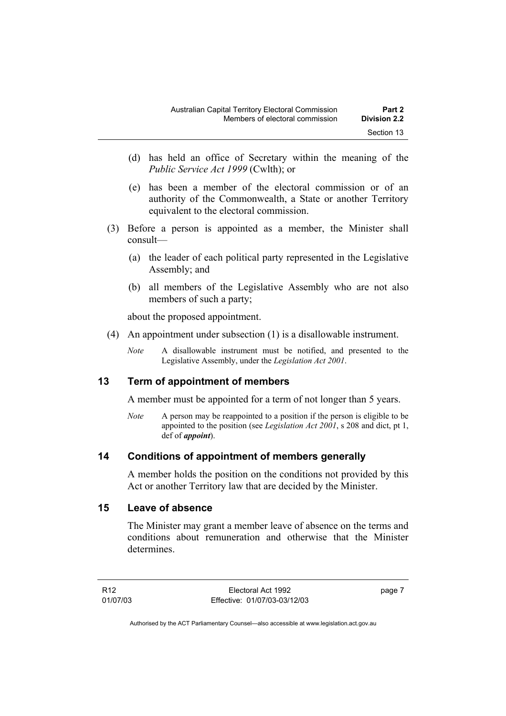- (d) has held an office of Secretary within the meaning of the *Public Service Act 1999* (Cwlth); or
- (e) has been a member of the electoral commission or of an authority of the Commonwealth, a State or another Territory equivalent to the electoral commission.
- (3) Before a person is appointed as a member, the Minister shall consult—
	- (a) the leader of each political party represented in the Legislative Assembly; and
	- (b) all members of the Legislative Assembly who are not also members of such a party;

about the proposed appointment.

- (4) An appointment under subsection (1) is a disallowable instrument.
	- *Note* A disallowable instrument must be notified, and presented to the Legislative Assembly, under the *Legislation Act 2001*.

### **13 Term of appointment of members**

A member must be appointed for a term of not longer than 5 years.

*Note* A person may be reappointed to a position if the person is eligible to be appointed to the position (see *Legislation Act 2001*, s 208 and dict, pt 1, def of *appoint*).

#### **14 Conditions of appointment of members generally**

A member holds the position on the conditions not provided by this Act or another Territory law that are decided by the Minister.

#### **15 Leave of absence**

The Minister may grant a member leave of absence on the terms and conditions about remuneration and otherwise that the Minister determines.

page 7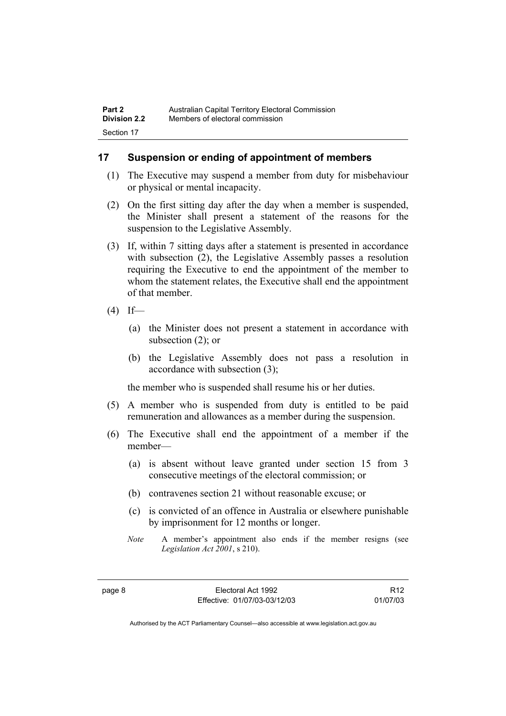### **17 Suspension or ending of appointment of members**

- (1) The Executive may suspend a member from duty for misbehaviour or physical or mental incapacity.
- (2) On the first sitting day after the day when a member is suspended, the Minister shall present a statement of the reasons for the suspension to the Legislative Assembly.
- (3) If, within 7 sitting days after a statement is presented in accordance with subsection (2), the Legislative Assembly passes a resolution requiring the Executive to end the appointment of the member to whom the statement relates, the Executive shall end the appointment of that member.
- $(4)$  If—
	- (a) the Minister does not present a statement in accordance with subsection (2); or
	- (b) the Legislative Assembly does not pass a resolution in accordance with subsection (3);

the member who is suspended shall resume his or her duties.

- (5) A member who is suspended from duty is entitled to be paid remuneration and allowances as a member during the suspension.
- (6) The Executive shall end the appointment of a member if the member—
	- (a) is absent without leave granted under section 15 from 3 consecutive meetings of the electoral commission; or
	- (b) contravenes section 21 without reasonable excuse; or
	- (c) is convicted of an offence in Australia or elsewhere punishable by imprisonment for 12 months or longer.
	- *Note* A member's appointment also ends if the member resigns (see *Legislation Act 2001*, s 210).

R12 01/07/03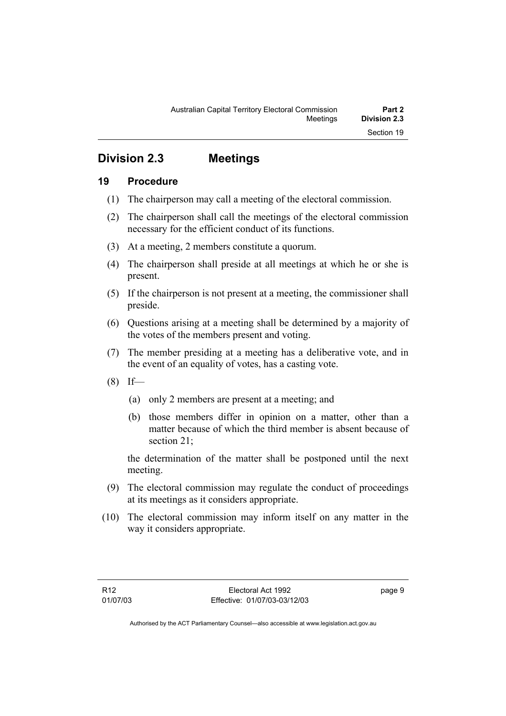## **Division 2.3 Meetings**

### **19 Procedure**

- (1) The chairperson may call a meeting of the electoral commission.
- (2) The chairperson shall call the meetings of the electoral commission necessary for the efficient conduct of its functions.
- (3) At a meeting, 2 members constitute a quorum.
- (4) The chairperson shall preside at all meetings at which he or she is present.
- (5) If the chairperson is not present at a meeting, the commissioner shall preside.
- (6) Questions arising at a meeting shall be determined by a majority of the votes of the members present and voting.
- (7) The member presiding at a meeting has a deliberative vote, and in the event of an equality of votes, has a casting vote.
- $(8)$  If—
	- (a) only 2 members are present at a meeting; and
	- (b) those members differ in opinion on a matter, other than a matter because of which the third member is absent because of section 21;

the determination of the matter shall be postponed until the next meeting.

- (9) The electoral commission may regulate the conduct of proceedings at its meetings as it considers appropriate.
- (10) The electoral commission may inform itself on any matter in the way it considers appropriate.

page 9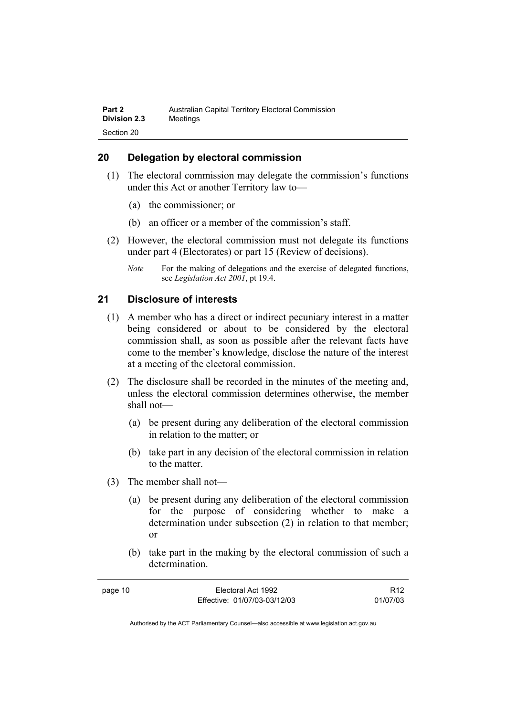#### **20 Delegation by electoral commission**

- (1) The electoral commission may delegate the commission's functions under this Act or another Territory law to—
	- (a) the commissioner; or
	- (b) an officer or a member of the commission's staff.
- (2) However, the electoral commission must not delegate its functions under part 4 (Electorates) or part 15 (Review of decisions).
	- *Note* For the making of delegations and the exercise of delegated functions, see *Legislation Act 2001*, pt 19.4.

#### **21 Disclosure of interests**

- (1) A member who has a direct or indirect pecuniary interest in a matter being considered or about to be considered by the electoral commission shall, as soon as possible after the relevant facts have come to the member's knowledge, disclose the nature of the interest at a meeting of the electoral commission.
- (2) The disclosure shall be recorded in the minutes of the meeting and, unless the electoral commission determines otherwise, the member shall not—
	- (a) be present during any deliberation of the electoral commission in relation to the matter; or
	- (b) take part in any decision of the electoral commission in relation to the matter.
- (3) The member shall not—
	- (a) be present during any deliberation of the electoral commission for the purpose of considering whether to make a determination under subsection (2) in relation to that member; or
	- (b) take part in the making by the electoral commission of such a determination.

| page 10 | Electoral Act 1992           | R <sub>12</sub> |
|---------|------------------------------|-----------------|
|         | Effective: 01/07/03-03/12/03 | 01/07/03        |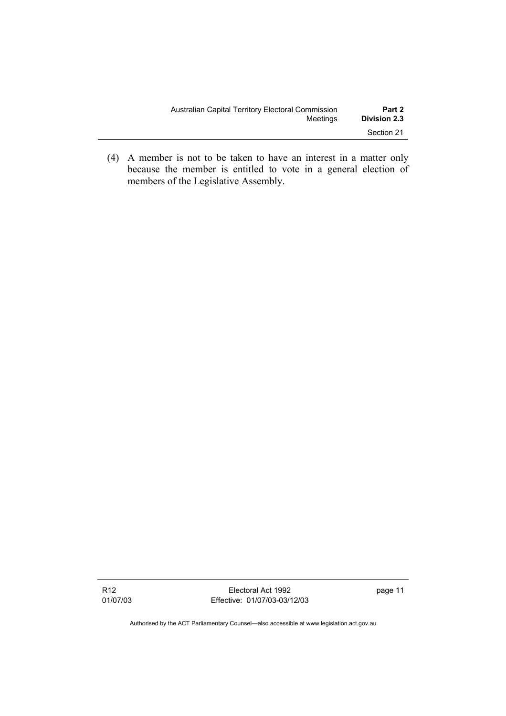| Australian Capital Territory Electoral Commission | Part 2              |
|---------------------------------------------------|---------------------|
| Meetinas                                          | <b>Division 2.3</b> |
|                                                   | Section 21          |

 (4) A member is not to be taken to have an interest in a matter only because the member is entitled to vote in a general election of members of the Legislative Assembly.

Electoral Act 1992 Effective: 01/07/03-03/12/03 page 11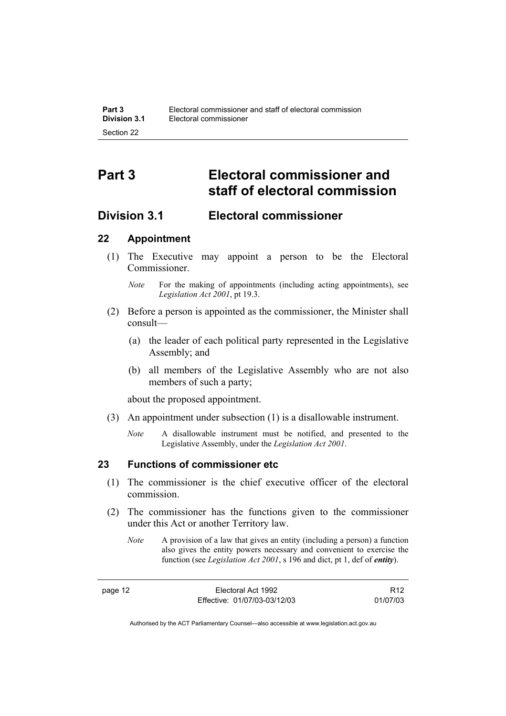# **Part 3 Electoral commissioner and staff of electoral commission**

## **Division 3.1 Electoral commissioner**

#### **22 Appointment**

 (1) The Executive may appoint a person to be the Electoral **Commissioner** 

- (2) Before a person is appointed as the commissioner, the Minister shall consult—
	- (a) the leader of each political party represented in the Legislative Assembly; and
	- (b) all members of the Legislative Assembly who are not also members of such a party;

about the proposed appointment.

- (3) An appointment under subsection (1) is a disallowable instrument.
	- *Note* A disallowable instrument must be notified, and presented to the Legislative Assembly, under the *Legislation Act 2001*.

### **23 Functions of commissioner etc**

- (1) The commissioner is the chief executive officer of the electoral commission.
- (2) The commissioner has the functions given to the commissioner under this Act or another Territory law.
	- *Note* A provision of a law that gives an entity (including a person) a function also gives the entity powers necessary and convenient to exercise the function (see *Legislation Act 2001*, s 196 and dict, pt 1, def of *entity*).

R12 01/07/03

*Note* For the making of appointments (including acting appointments), see *Legislation Act 2001*, pt 19.3.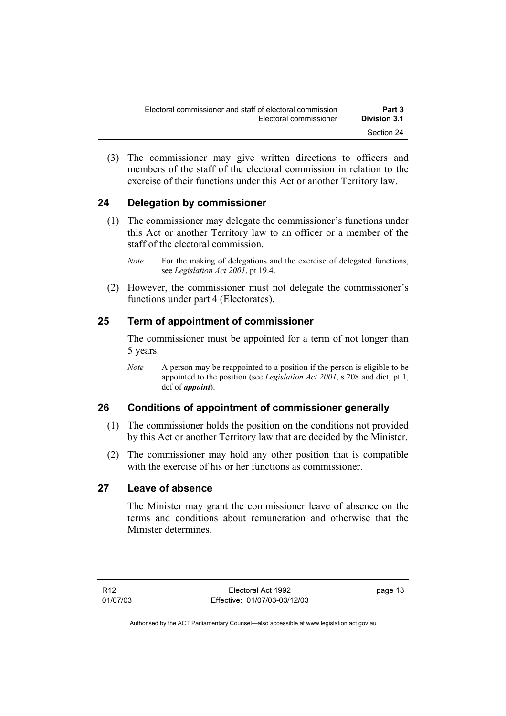(3) The commissioner may give written directions to officers and members of the staff of the electoral commission in relation to the exercise of their functions under this Act or another Territory law.

## **24 Delegation by commissioner**

- (1) The commissioner may delegate the commissioner's functions under this Act or another Territory law to an officer or a member of the staff of the electoral commission.
	- *Note* For the making of delegations and the exercise of delegated functions, see *Legislation Act 2001*, pt 19.4.
- (2) However, the commissioner must not delegate the commissioner's functions under part 4 (Electorates).

### **25 Term of appointment of commissioner**

The commissioner must be appointed for a term of not longer than 5 years.

*Note* A person may be reappointed to a position if the person is eligible to be appointed to the position (see *Legislation Act 2001*, s 208 and dict, pt 1, def of *appoint*).

### **26 Conditions of appointment of commissioner generally**

- (1) The commissioner holds the position on the conditions not provided by this Act or another Territory law that are decided by the Minister.
- (2) The commissioner may hold any other position that is compatible with the exercise of his or her functions as commissioner.

## **27 Leave of absence**

The Minister may grant the commissioner leave of absence on the terms and conditions about remuneration and otherwise that the Minister determines.

page 13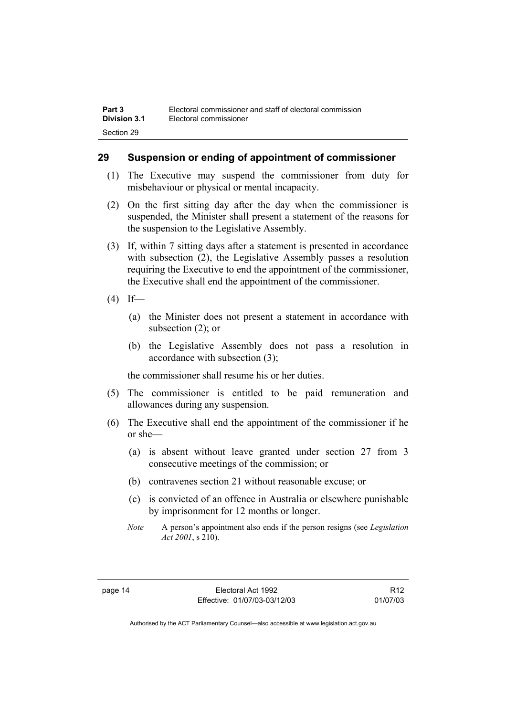#### **29 Suspension or ending of appointment of commissioner**

- (1) The Executive may suspend the commissioner from duty for misbehaviour or physical or mental incapacity.
- (2) On the first sitting day after the day when the commissioner is suspended, the Minister shall present a statement of the reasons for the suspension to the Legislative Assembly.
- (3) If, within 7 sitting days after a statement is presented in accordance with subsection (2), the Legislative Assembly passes a resolution requiring the Executive to end the appointment of the commissioner, the Executive shall end the appointment of the commissioner.
- $(4)$  If—
	- (a) the Minister does not present a statement in accordance with subsection (2); or
	- (b) the Legislative Assembly does not pass a resolution in accordance with subsection (3);

the commissioner shall resume his or her duties.

- (5) The commissioner is entitled to be paid remuneration and allowances during any suspension.
- (6) The Executive shall end the appointment of the commissioner if he or she—
	- (a) is absent without leave granted under section 27 from 3 consecutive meetings of the commission; or
	- (b) contravenes section 21 without reasonable excuse; or
	- (c) is convicted of an offence in Australia or elsewhere punishable by imprisonment for 12 months or longer.
	- *Note* A person's appointment also ends if the person resigns (see *Legislation Act 2001*, s 210).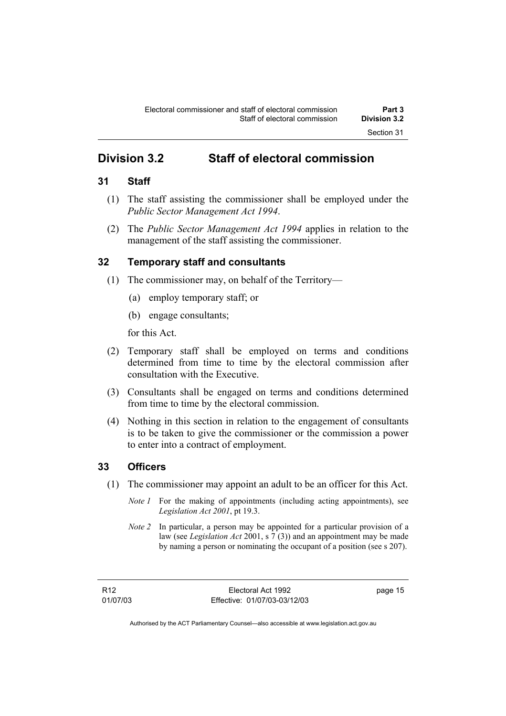## **Division 3.2 Staff of electoral commission**

### **31 Staff**

- (1) The staff assisting the commissioner shall be employed under the *Public Sector Management Act 1994*.
- (2) The *Public Sector Management Act 1994* applies in relation to the management of the staff assisting the commissioner.

### **32 Temporary staff and consultants**

- (1) The commissioner may, on behalf of the Territory—
	- (a) employ temporary staff; or
	- (b) engage consultants;

for this Act.

- (2) Temporary staff shall be employed on terms and conditions determined from time to time by the electoral commission after consultation with the Executive.
- (3) Consultants shall be engaged on terms and conditions determined from time to time by the electoral commission.
- (4) Nothing in this section in relation to the engagement of consultants is to be taken to give the commissioner or the commission a power to enter into a contract of employment.

### **33 Officers**

- (1) The commissioner may appoint an adult to be an officer for this Act.
	- *Note 1* For the making of appointments (including acting appointments), see *Legislation Act 2001*, pt 19.3.
	- *Note 2* In particular, a person may be appointed for a particular provision of a law (see *Legislation Act* 2001, s 7 (3)) and an appointment may be made by naming a person or nominating the occupant of a position (see s 207).

page 15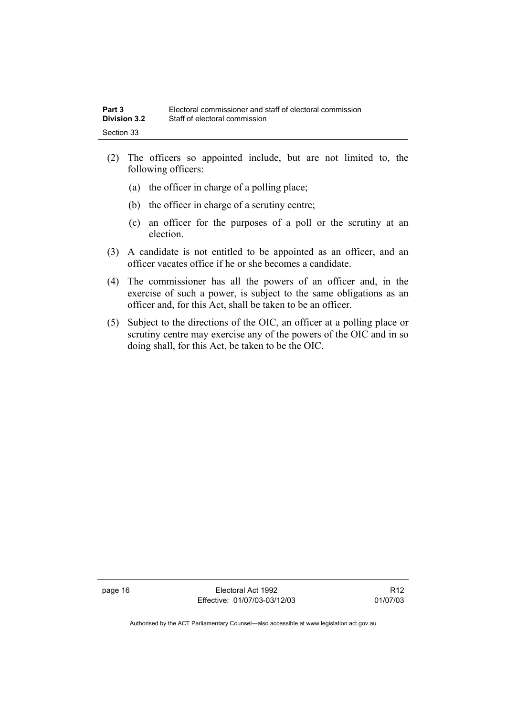- (2) The officers so appointed include, but are not limited to, the following officers:
	- (a) the officer in charge of a polling place;
	- (b) the officer in charge of a scrutiny centre;
	- (c) an officer for the purposes of a poll or the scrutiny at an election.
- (3) A candidate is not entitled to be appointed as an officer, and an officer vacates office if he or she becomes a candidate.
- (4) The commissioner has all the powers of an officer and, in the exercise of such a power, is subject to the same obligations as an officer and, for this Act, shall be taken to be an officer.
- (5) Subject to the directions of the OIC, an officer at a polling place or scrutiny centre may exercise any of the powers of the OIC and in so doing shall, for this Act, be taken to be the OIC.

page 16 **Electoral Act 1992** Effective: 01/07/03-03/12/03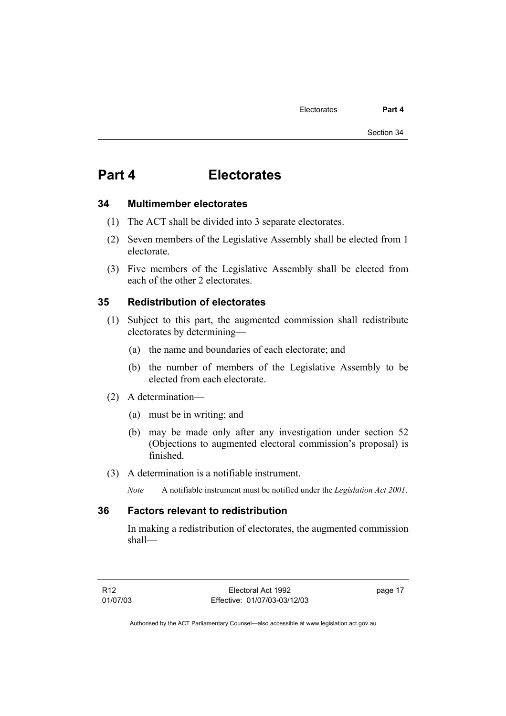## **Part 4 Electorates**

#### **34 Multimember electorates**

- (1) The ACT shall be divided into 3 separate electorates.
- (2) Seven members of the Legislative Assembly shall be elected from 1 electorate.
- (3) Five members of the Legislative Assembly shall be elected from each of the other 2 electorates.

#### **35 Redistribution of electorates**

- (1) Subject to this part, the augmented commission shall redistribute electorates by determining—
	- (a) the name and boundaries of each electorate; and
	- (b) the number of members of the Legislative Assembly to be elected from each electorate.
- (2) A determination—
	- (a) must be in writing; and
	- (b) may be made only after any investigation under section 52 (Objections to augmented electoral commission's proposal) is finished.
- (3) A determination is a notifiable instrument.
	- *Note* A notifiable instrument must be notified under the *Legislation Act 2001*.

#### **36 Factors relevant to redistribution**

In making a redistribution of electorates, the augmented commission shall—

page 17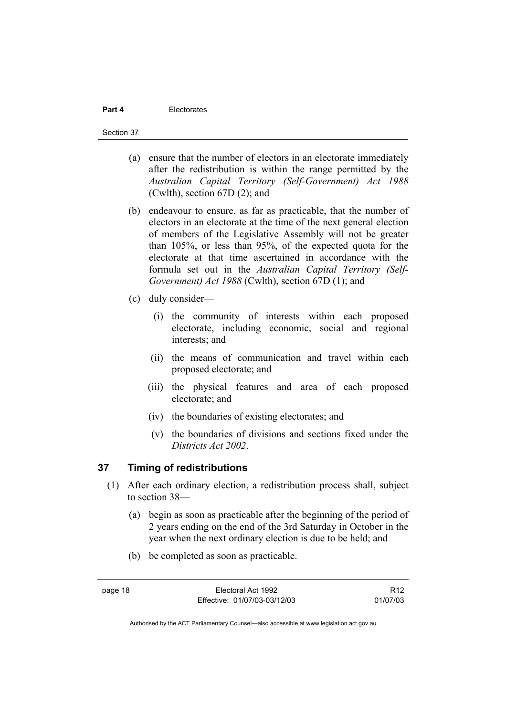#### **Part 4 Electorates**

#### Section 37

- (a) ensure that the number of electors in an electorate immediately after the redistribution is within the range permitted by the *Australian Capital Territory (Self-Government) Act 1988*  (Cwlth), section 67D (2); and
- (b) endeavour to ensure, as far as practicable, that the number of electors in an electorate at the time of the next general election of members of the Legislative Assembly will not be greater than 105%, or less than 95%, of the expected quota for the electorate at that time ascertained in accordance with the formula set out in the *Australian Capital Territory (Self-Government) Act 1988* (Cwlth), section 67D (1); and
- (c) duly consider—
	- (i) the community of interests within each proposed electorate, including economic, social and regional interests; and
	- (ii) the means of communication and travel within each proposed electorate; and
	- (iii) the physical features and area of each proposed electorate; and
	- (iv) the boundaries of existing electorates; and
	- (v) the boundaries of divisions and sections fixed under the *Districts Act 2002*.

# **37 Timing of redistributions**

- (1) After each ordinary election, a redistribution process shall, subject to section 38—
	- (a) begin as soon as practicable after the beginning of the period of 2 years ending on the end of the 3rd Saturday in October in the year when the next ordinary election is due to be held; and
	- (b) be completed as soon as practicable.

R12 01/07/03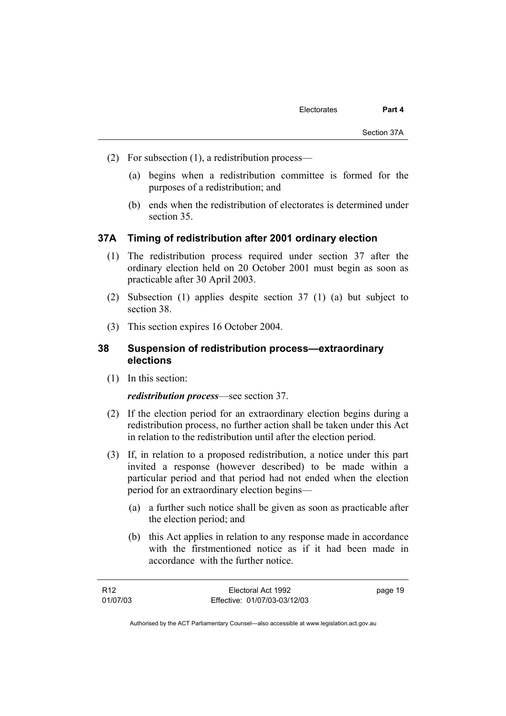- (2) For subsection (1), a redistribution process—
	- (a) begins when a redistribution committee is formed for the purposes of a redistribution; and
	- (b) ends when the redistribution of electorates is determined under section 35.

#### **37A Timing of redistribution after 2001 ordinary election**

- (1) The redistribution process required under section 37 after the ordinary election held on 20 October 2001 must begin as soon as practicable after 30 April 2003.
- (2) Subsection (1) applies despite section 37 (1) (a) but subject to section 38.
- (3) This section expires 16 October 2004.

# **38 Suspension of redistribution process—extraordinary elections**

(1) In this section:

#### *redistribution process*—see section 37.

- (2) If the election period for an extraordinary election begins during a redistribution process, no further action shall be taken under this Act in relation to the redistribution until after the election period.
- (3) If, in relation to a proposed redistribution, a notice under this part invited a response (however described) to be made within a particular period and that period had not ended when the election period for an extraordinary election begins—
	- (a) a further such notice shall be given as soon as practicable after the election period; and
	- (b) this Act applies in relation to any response made in accordance with the firstmentioned notice as if it had been made in accordance with the further notice.

| R12      | Electoral Act 1992           | page 19 |
|----------|------------------------------|---------|
| 01/07/03 | Effective: 01/07/03-03/12/03 |         |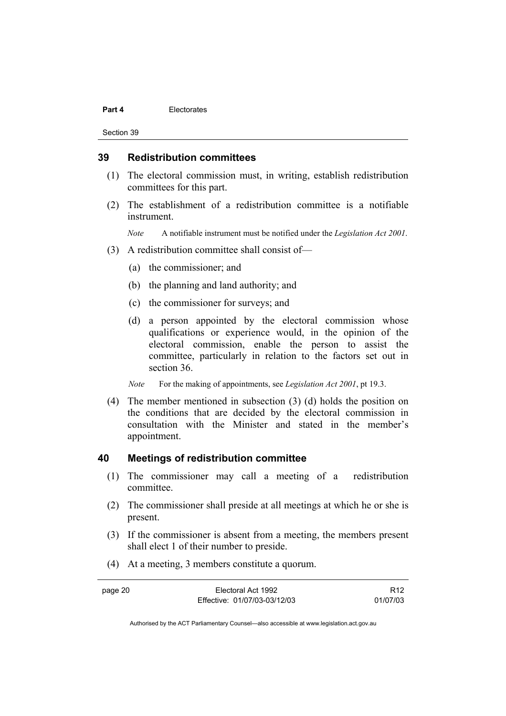#### **Part 4 Electorates**

Section 39

#### **39 Redistribution committees**

- (1) The electoral commission must, in writing, establish redistribution committees for this part.
- (2) The establishment of a redistribution committee is a notifiable instrument.

*Note* A notifiable instrument must be notified under the *Legislation Act 2001*.

- (3) A redistribution committee shall consist of—
	- (a) the commissioner; and
	- (b) the planning and land authority; and
	- (c) the commissioner for surveys; and
	- (d) a person appointed by the electoral commission whose qualifications or experience would, in the opinion of the electoral commission, enable the person to assist the committee, particularly in relation to the factors set out in section 36.
	- *Note* For the making of appointments, see *Legislation Act 2001*, pt 19.3.
- (4) The member mentioned in subsection (3) (d) holds the position on the conditions that are decided by the electoral commission in consultation with the Minister and stated in the member's appointment.

#### **40 Meetings of redistribution committee**

- (1) The commissioner may call a meeting of a redistribution committee.
- (2) The commissioner shall preside at all meetings at which he or she is present.
- (3) If the commissioner is absent from a meeting, the members present shall elect 1 of their number to preside.
- (4) At a meeting, 3 members constitute a quorum.

| page 20 | Electoral Act 1992           | R <sub>12</sub> |
|---------|------------------------------|-----------------|
|         | Effective: 01/07/03-03/12/03 | 01/07/03        |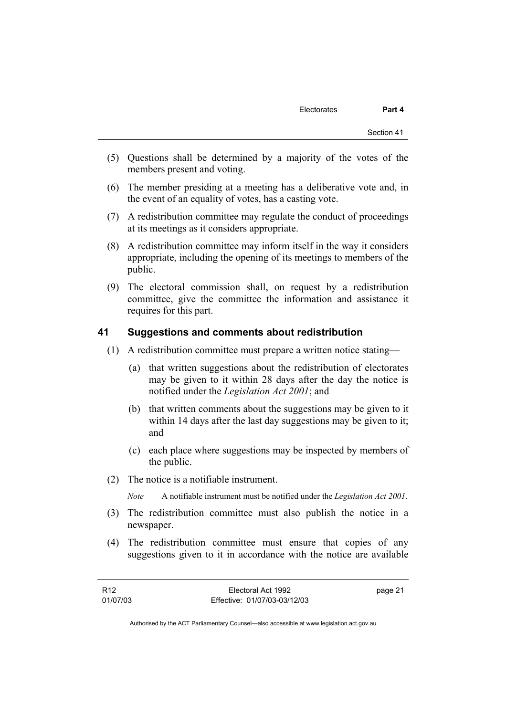- (5) Questions shall be determined by a majority of the votes of the members present and voting.
- (6) The member presiding at a meeting has a deliberative vote and, in the event of an equality of votes, has a casting vote.
- (7) A redistribution committee may regulate the conduct of proceedings at its meetings as it considers appropriate.
- (8) A redistribution committee may inform itself in the way it considers appropriate, including the opening of its meetings to members of the public.
- (9) The electoral commission shall, on request by a redistribution committee, give the committee the information and assistance it requires for this part.

#### **41 Suggestions and comments about redistribution**

- (1) A redistribution committee must prepare a written notice stating—
	- (a) that written suggestions about the redistribution of electorates may be given to it within 28 days after the day the notice is notified under the *Legislation Act 2001*; and
	- (b) that written comments about the suggestions may be given to it within 14 days after the last day suggestions may be given to it; and
	- (c) each place where suggestions may be inspected by members of the public.
- (2) The notice is a notifiable instrument.

*Note* A notifiable instrument must be notified under the *Legislation Act 2001*.

- (3) The redistribution committee must also publish the notice in a newspaper.
- (4) The redistribution committee must ensure that copies of any suggestions given to it in accordance with the notice are available

| R <sub>12</sub> | Electoral Act 1992           | page 21 |
|-----------------|------------------------------|---------|
| 01/07/03        | Effective: 01/07/03-03/12/03 |         |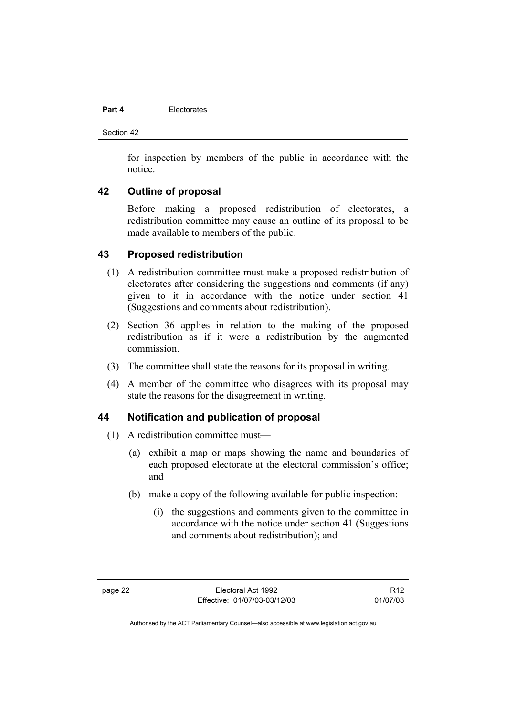#### **Part 4 Electorates**

Section 42

for inspection by members of the public in accordance with the notice.

# **42 Outline of proposal**

Before making a proposed redistribution of electorates, a redistribution committee may cause an outline of its proposal to be made available to members of the public.

# **43 Proposed redistribution**

- (1) A redistribution committee must make a proposed redistribution of electorates after considering the suggestions and comments (if any) given to it in accordance with the notice under section 41 (Suggestions and comments about redistribution).
- (2) Section 36 applies in relation to the making of the proposed redistribution as if it were a redistribution by the augmented commission.
- (3) The committee shall state the reasons for its proposal in writing.
- (4) A member of the committee who disagrees with its proposal may state the reasons for the disagreement in writing.

# **44 Notification and publication of proposal**

- (1) A redistribution committee must—
	- (a) exhibit a map or maps showing the name and boundaries of each proposed electorate at the electoral commission's office; and
	- (b) make a copy of the following available for public inspection:
		- (i) the suggestions and comments given to the committee in accordance with the notice under section 41 (Suggestions and comments about redistribution); and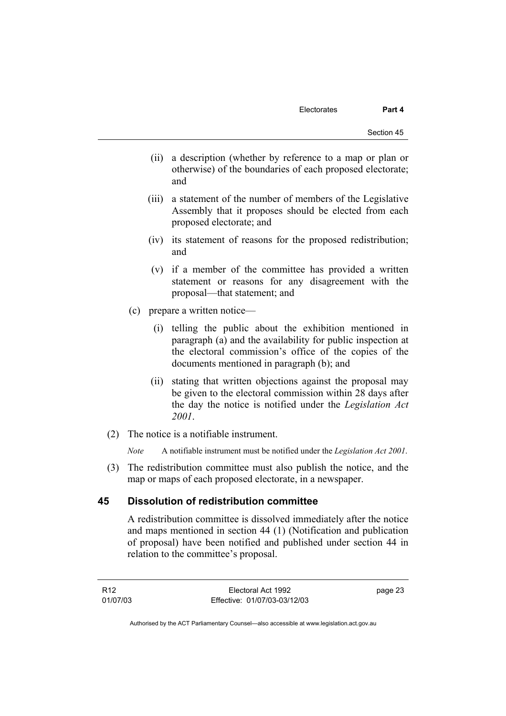(ii) a description (whether by reference to a map or plan or otherwise) of the boundaries of each proposed electorate; and

- (iii) a statement of the number of members of the Legislative Assembly that it proposes should be elected from each proposed electorate; and
- (iv) its statement of reasons for the proposed redistribution; and
- (v) if a member of the committee has provided a written statement or reasons for any disagreement with the proposal—that statement; and
- (c) prepare a written notice—
	- (i) telling the public about the exhibition mentioned in paragraph (a) and the availability for public inspection at the electoral commission's office of the copies of the documents mentioned in paragraph (b); and
	- (ii) stating that written objections against the proposal may be given to the electoral commission within 28 days after the day the notice is notified under the *Legislation Act 2001*.
- (2) The notice is a notifiable instrument.

*Note* A notifiable instrument must be notified under the *Legislation Act 2001*.

 (3) The redistribution committee must also publish the notice, and the map or maps of each proposed electorate, in a newspaper.

#### **45 Dissolution of redistribution committee**

A redistribution committee is dissolved immediately after the notice and maps mentioned in section 44 (1) (Notification and publication of proposal) have been notified and published under section 44 in relation to the committee's proposal.

R12 01/07/03 Electoral Act 1992 Effective: 01/07/03-03/12/03 page 23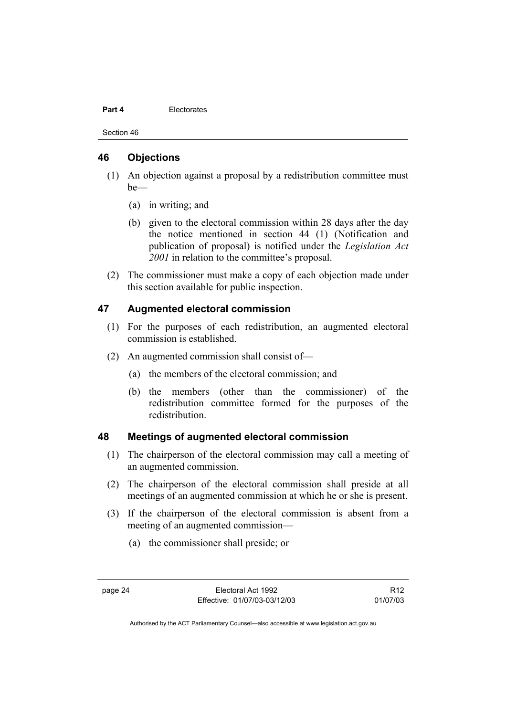#### **Part 4 Electorates**

Section 46

#### **46 Objections**

- (1) An objection against a proposal by a redistribution committee must be—
	- (a) in writing; and
	- (b) given to the electoral commission within 28 days after the day the notice mentioned in section 44 (1) (Notification and publication of proposal) is notified under the *Legislation Act 2001* in relation to the committee's proposal.
- (2) The commissioner must make a copy of each objection made under this section available for public inspection.

# **47 Augmented electoral commission**

- (1) For the purposes of each redistribution, an augmented electoral commission is established.
- (2) An augmented commission shall consist of—
	- (a) the members of the electoral commission; and
	- (b) the members (other than the commissioner) of the redistribution committee formed for the purposes of the redistribution.

# **48 Meetings of augmented electoral commission**

- (1) The chairperson of the electoral commission may call a meeting of an augmented commission.
- (2) The chairperson of the electoral commission shall preside at all meetings of an augmented commission at which he or she is present.
- (3) If the chairperson of the electoral commission is absent from a meeting of an augmented commission—
	- (a) the commissioner shall preside; or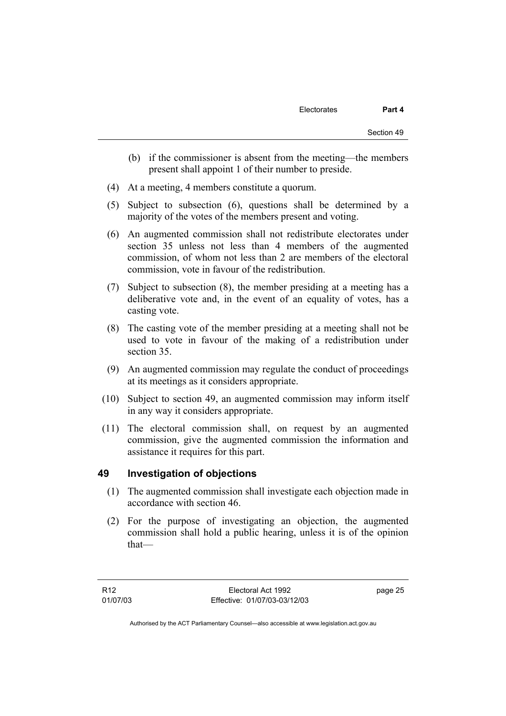- (b) if the commissioner is absent from the meeting—the members present shall appoint 1 of their number to preside.
- (4) At a meeting, 4 members constitute a quorum.
- (5) Subject to subsection (6), questions shall be determined by a majority of the votes of the members present and voting.
- (6) An augmented commission shall not redistribute electorates under section 35 unless not less than 4 members of the augmented commission, of whom not less than 2 are members of the electoral commission, vote in favour of the redistribution.
- (7) Subject to subsection (8), the member presiding at a meeting has a deliberative vote and, in the event of an equality of votes, has a casting vote.
- (8) The casting vote of the member presiding at a meeting shall not be used to vote in favour of the making of a redistribution under section 35.
- (9) An augmented commission may regulate the conduct of proceedings at its meetings as it considers appropriate.
- (10) Subject to section 49, an augmented commission may inform itself in any way it considers appropriate.
- (11) The electoral commission shall, on request by an augmented commission, give the augmented commission the information and assistance it requires for this part.

#### **49 Investigation of objections**

- (1) The augmented commission shall investigate each objection made in accordance with section 46.
- (2) For the purpose of investigating an objection, the augmented commission shall hold a public hearing, unless it is of the opinion that—

page 25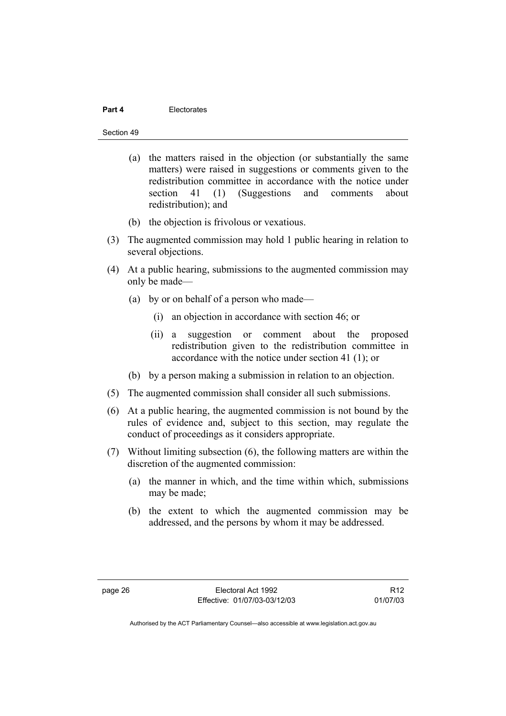#### **Part 4** Electorates

Section 49

- (a) the matters raised in the objection (or substantially the same matters) were raised in suggestions or comments given to the redistribution committee in accordance with the notice under section 41 (1) (Suggestions and comments about redistribution); and
- (b) the objection is frivolous or vexatious.
- (3) The augmented commission may hold 1 public hearing in relation to several objections.
- (4) At a public hearing, submissions to the augmented commission may only be made—
	- (a) by or on behalf of a person who made—
		- (i) an objection in accordance with section 46; or
		- (ii) a suggestion or comment about the proposed redistribution given to the redistribution committee in accordance with the notice under section 41 (1); or
	- (b) by a person making a submission in relation to an objection.
- (5) The augmented commission shall consider all such submissions.
- (6) At a public hearing, the augmented commission is not bound by the rules of evidence and, subject to this section, may regulate the conduct of proceedings as it considers appropriate.
- (7) Without limiting subsection (6), the following matters are within the discretion of the augmented commission:
	- (a) the manner in which, and the time within which, submissions may be made;
	- (b) the extent to which the augmented commission may be addressed, and the persons by whom it may be addressed.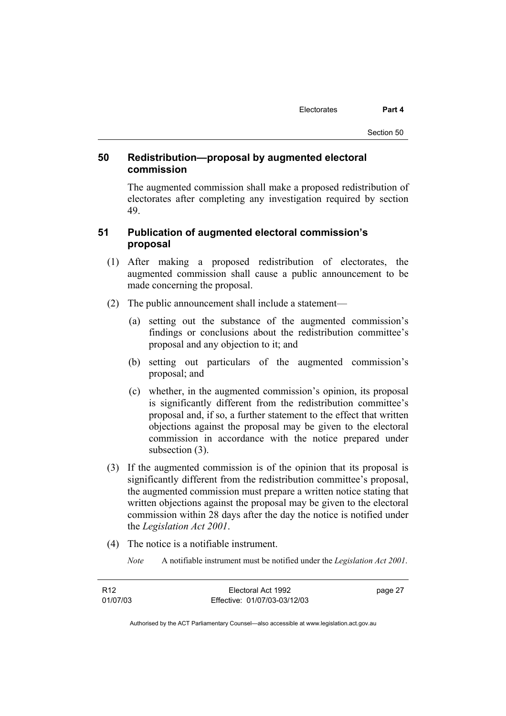# **50 Redistribution—proposal by augmented electoral commission**

The augmented commission shall make a proposed redistribution of electorates after completing any investigation required by section 49.

# **51 Publication of augmented electoral commission's proposal**

- (1) After making a proposed redistribution of electorates, the augmented commission shall cause a public announcement to be made concerning the proposal.
- (2) The public announcement shall include a statement—
	- (a) setting out the substance of the augmented commission's findings or conclusions about the redistribution committee's proposal and any objection to it; and
	- (b) setting out particulars of the augmented commission's proposal; and
	- (c) whether, in the augmented commission's opinion, its proposal is significantly different from the redistribution committee's proposal and, if so, a further statement to the effect that written objections against the proposal may be given to the electoral commission in accordance with the notice prepared under subsection (3).
- (3) If the augmented commission is of the opinion that its proposal is significantly different from the redistribution committee's proposal, the augmented commission must prepare a written notice stating that written objections against the proposal may be given to the electoral commission within 28 days after the day the notice is notified under the *Legislation Act 2001*.
- (4) The notice is a notifiable instrument.
	- *Note* A notifiable instrument must be notified under the *Legislation Act 2001*.

| R <sub>12</sub> | Electoral Act 1992           | page 27 |
|-----------------|------------------------------|---------|
| 01/07/03        | Effective: 01/07/03-03/12/03 |         |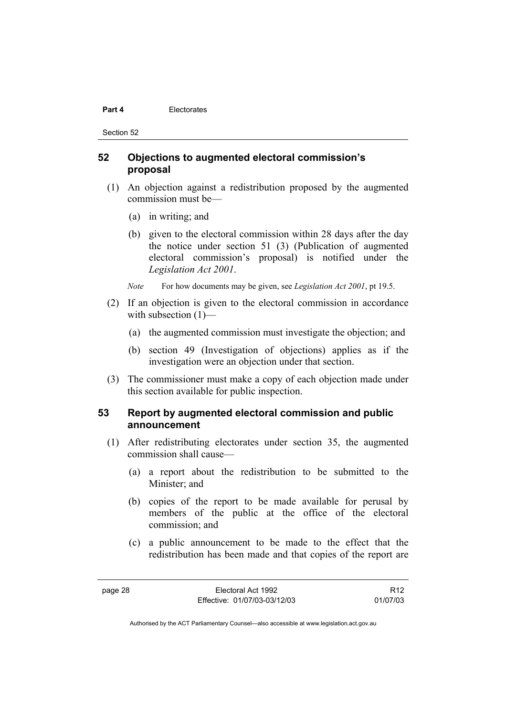#### **Part 4 Electorates**

Section 52

## **52 Objections to augmented electoral commission's proposal**

- (1) An objection against a redistribution proposed by the augmented commission must be—
	- (a) in writing; and
	- (b) given to the electoral commission within 28 days after the day the notice under section 51 (3) (Publication of augmented electoral commission's proposal) is notified under the *Legislation Act 2001*.
	- *Note* For how documents may be given, see *Legislation Act 2001*, pt 19.5.
- (2) If an objection is given to the electoral commission in accordance with subsection  $(1)$ —
	- (a) the augmented commission must investigate the objection; and
	- (b) section 49 (Investigation of objections) applies as if the investigation were an objection under that section.
- (3) The commissioner must make a copy of each objection made under this section available for public inspection.

#### **53 Report by augmented electoral commission and public announcement**

- (1) After redistributing electorates under section 35, the augmented commission shall cause—
	- (a) a report about the redistribution to be submitted to the Minister; and
	- (b) copies of the report to be made available for perusal by members of the public at the office of the electoral commission; and
	- (c) a public announcement to be made to the effect that the redistribution has been made and that copies of the report are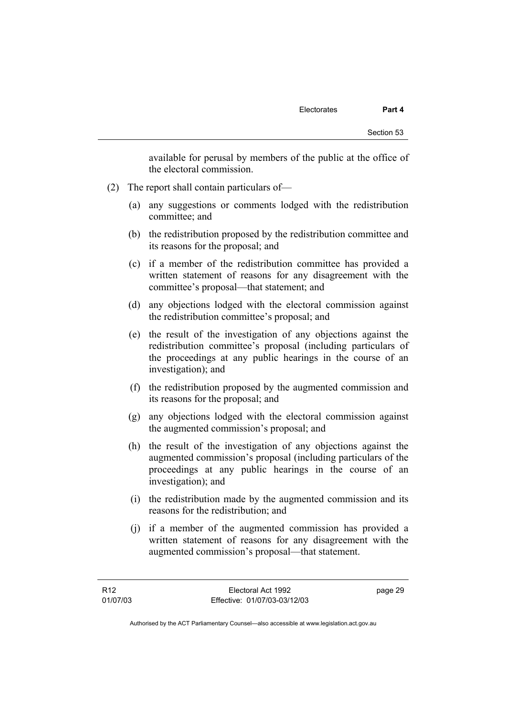available for perusal by members of the public at the office of the electoral commission.

- (2) The report shall contain particulars of—
	- (a) any suggestions or comments lodged with the redistribution committee; and
	- (b) the redistribution proposed by the redistribution committee and its reasons for the proposal; and
	- (c) if a member of the redistribution committee has provided a written statement of reasons for any disagreement with the committee's proposal—that statement; and
	- (d) any objections lodged with the electoral commission against the redistribution committee's proposal; and
	- (e) the result of the investigation of any objections against the redistribution committee's proposal (including particulars of the proceedings at any public hearings in the course of an investigation); and
	- (f) the redistribution proposed by the augmented commission and its reasons for the proposal; and
	- (g) any objections lodged with the electoral commission against the augmented commission's proposal; and
	- (h) the result of the investigation of any objections against the augmented commission's proposal (including particulars of the proceedings at any public hearings in the course of an investigation); and
	- (i) the redistribution made by the augmented commission and its reasons for the redistribution; and
	- (j) if a member of the augmented commission has provided a written statement of reasons for any disagreement with the augmented commission's proposal—that statement.

page 29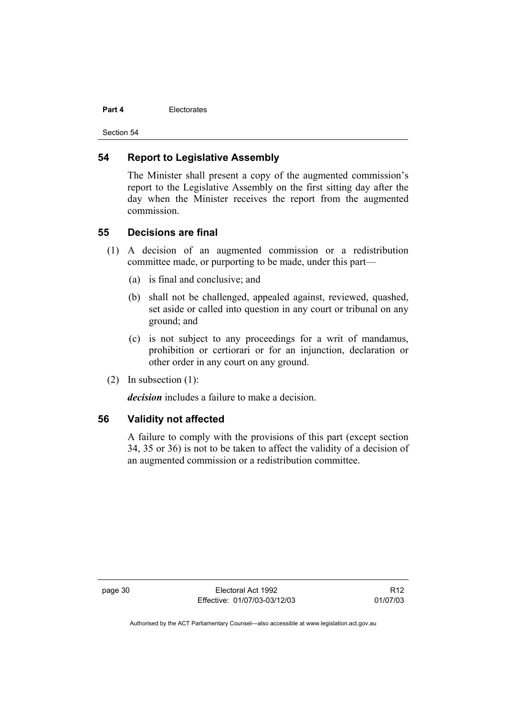#### **Part 4 Electorates**

Section 54

#### **54 Report to Legislative Assembly**

The Minister shall present a copy of the augmented commission's report to the Legislative Assembly on the first sitting day after the day when the Minister receives the report from the augmented commission.

#### **55 Decisions are final**

- (1) A decision of an augmented commission or a redistribution committee made, or purporting to be made, under this part—
	- (a) is final and conclusive; and
	- (b) shall not be challenged, appealed against, reviewed, quashed, set aside or called into question in any court or tribunal on any ground; and
	- (c) is not subject to any proceedings for a writ of mandamus, prohibition or certiorari or for an injunction, declaration or other order in any court on any ground.
- (2) In subsection (1):

*decision* includes a failure to make a decision.

# **56 Validity not affected**

A failure to comply with the provisions of this part (except section 34, 35 or 36) is not to be taken to affect the validity of a decision of an augmented commission or a redistribution committee.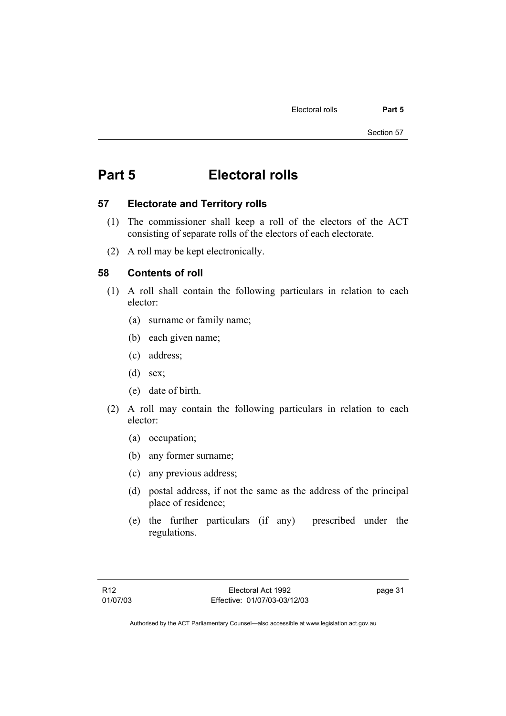# **Part 5 Electoral rolls**

#### **57 Electorate and Territory rolls**

- (1) The commissioner shall keep a roll of the electors of the ACT consisting of separate rolls of the electors of each electorate.
- (2) A roll may be kept electronically.

# **58 Contents of roll**

- (1) A roll shall contain the following particulars in relation to each elector:
	- (a) surname or family name;
	- (b) each given name;
	- (c) address;
	- (d) sex;
	- (e) date of birth.
- (2) A roll may contain the following particulars in relation to each elector:
	- (a) occupation;
	- (b) any former surname;
	- (c) any previous address;
	- (d) postal address, if not the same as the address of the principal place of residence;
	- (e) the further particulars (if any) prescribed under the regulations.

page 31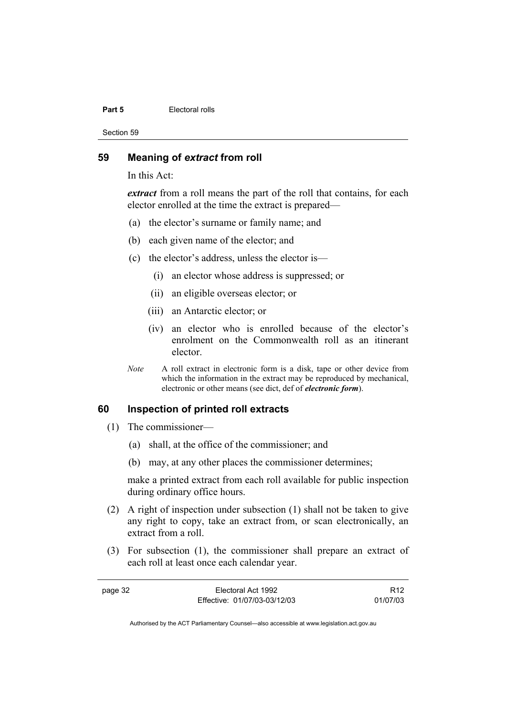#### **Part 5 Electoral rolls**

Section 59

#### **59 Meaning of** *extract* **from roll**

In this Act:

*extract* from a roll means the part of the roll that contains, for each elector enrolled at the time the extract is prepared—

- (a) the elector's surname or family name; and
- (b) each given name of the elector; and
- (c) the elector's address, unless the elector is—
	- (i) an elector whose address is suppressed; or
	- (ii) an eligible overseas elector; or
	- (iii) an Antarctic elector; or
	- (iv) an elector who is enrolled because of the elector's enrolment on the Commonwealth roll as an itinerant elector.
- *Note* A roll extract in electronic form is a disk, tape or other device from which the information in the extract may be reproduced by mechanical, electronic or other means (see dict, def of *electronic form*).

# **60 Inspection of printed roll extracts**

- (1) The commissioner—
	- (a) shall, at the office of the commissioner; and
	- (b) may, at any other places the commissioner determines;

make a printed extract from each roll available for public inspection during ordinary office hours.

- (2) A right of inspection under subsection (1) shall not be taken to give any right to copy, take an extract from, or scan electronically, an extract from a roll.
- (3) For subsection (1), the commissioner shall prepare an extract of each roll at least once each calendar year.

| page 32 | Electoral Act 1992           | R <sub>12</sub> |
|---------|------------------------------|-----------------|
|         | Effective: 01/07/03-03/12/03 | 01/07/03        |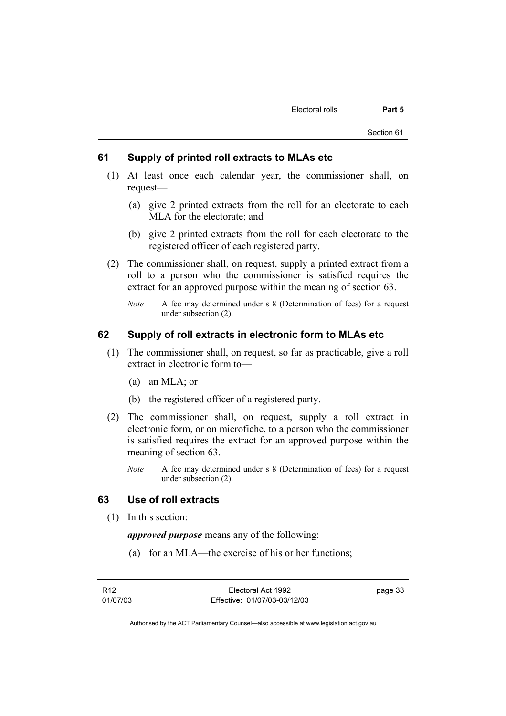#### **61 Supply of printed roll extracts to MLAs etc**

- (1) At least once each calendar year, the commissioner shall, on request—
	- (a) give 2 printed extracts from the roll for an electorate to each MLA for the electorate; and
	- (b) give 2 printed extracts from the roll for each electorate to the registered officer of each registered party.
- (2) The commissioner shall, on request, supply a printed extract from a roll to a person who the commissioner is satisfied requires the extract for an approved purpose within the meaning of section 63.
	- *Note* A fee may determined under s 8 (Determination of fees) for a request under subsection (2).

# **62 Supply of roll extracts in electronic form to MLAs etc**

- (1) The commissioner shall, on request, so far as practicable, give a roll extract in electronic form to—
	- (a) an MLA; or
	- (b) the registered officer of a registered party.
- (2) The commissioner shall, on request, supply a roll extract in electronic form, or on microfiche, to a person who the commissioner is satisfied requires the extract for an approved purpose within the meaning of section 63.
	- *Note* A fee may determined under s 8 (Determination of fees) for a request under subsection (2).

# **63 Use of roll extracts**

(1) In this section:

*approved purpose* means any of the following:

(a) for an MLA—the exercise of his or her functions;

page 33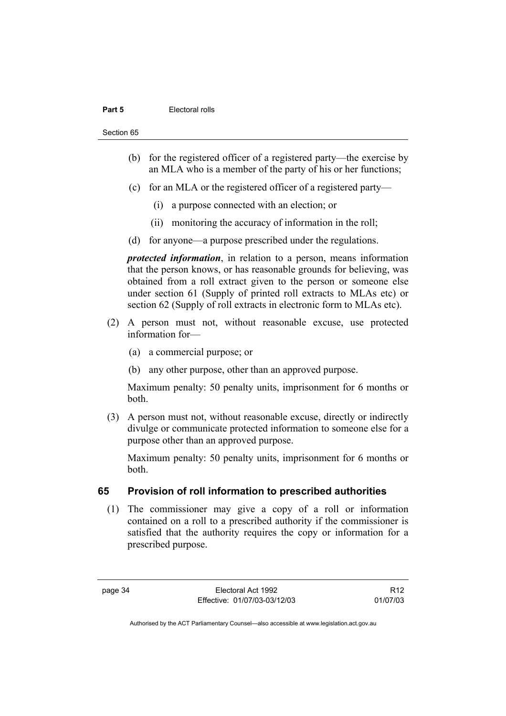#### **Part 5 Electoral rolls**

Section 65

- (b) for the registered officer of a registered party—the exercise by an MLA who is a member of the party of his or her functions;
- (c) for an MLA or the registered officer of a registered party—
	- (i) a purpose connected with an election; or
	- (ii) monitoring the accuracy of information in the roll;
- (d) for anyone—a purpose prescribed under the regulations.

*protected information*, in relation to a person, means information that the person knows, or has reasonable grounds for believing, was obtained from a roll extract given to the person or someone else under section 61 (Supply of printed roll extracts to MLAs etc) or section 62 (Supply of roll extracts in electronic form to MLAs etc).

- (2) A person must not, without reasonable excuse, use protected information for—
	- (a) a commercial purpose; or
	- (b) any other purpose, other than an approved purpose.

Maximum penalty: 50 penalty units, imprisonment for 6 months or both.

 (3) A person must not, without reasonable excuse, directly or indirectly divulge or communicate protected information to someone else for a purpose other than an approved purpose.

Maximum penalty: 50 penalty units, imprisonment for 6 months or both.

# **65 Provision of roll information to prescribed authorities**

 (1) The commissioner may give a copy of a roll or information contained on a roll to a prescribed authority if the commissioner is satisfied that the authority requires the copy or information for a prescribed purpose.

R12 01/07/03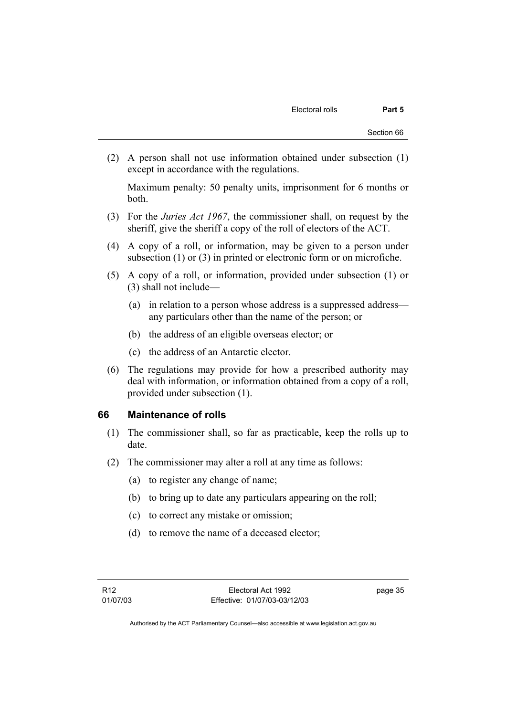(2) A person shall not use information obtained under subsection (1) except in accordance with the regulations.

Maximum penalty: 50 penalty units, imprisonment for 6 months or both.

- (3) For the *Juries Act 1967*, the commissioner shall, on request by the sheriff, give the sheriff a copy of the roll of electors of the ACT.
- (4) A copy of a roll, or information, may be given to a person under subsection (1) or (3) in printed or electronic form or on microfiche.
- (5) A copy of a roll, or information, provided under subsection (1) or (3) shall not include—
	- (a) in relation to a person whose address is a suppressed address any particulars other than the name of the person; or
	- (b) the address of an eligible overseas elector; or
	- (c) the address of an Antarctic elector.
- (6) The regulations may provide for how a prescribed authority may deal with information, or information obtained from a copy of a roll, provided under subsection (1).

#### **66 Maintenance of rolls**

- (1) The commissioner shall, so far as practicable, keep the rolls up to date.
- (2) The commissioner may alter a roll at any time as follows:
	- (a) to register any change of name;
	- (b) to bring up to date any particulars appearing on the roll;
	- (c) to correct any mistake or omission;
	- (d) to remove the name of a deceased elector;

page 35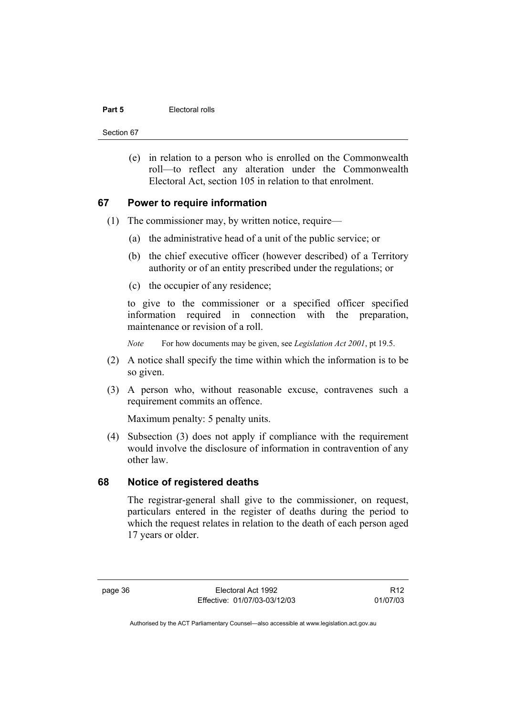#### **Part 5 Electoral rolls**

Section 67

 (e) in relation to a person who is enrolled on the Commonwealth roll—to reflect any alteration under the Commonwealth Electoral Act, section 105 in relation to that enrolment.

#### **67 Power to require information**

- (1) The commissioner may, by written notice, require—
	- (a) the administrative head of a unit of the public service; or
	- (b) the chief executive officer (however described) of a Territory authority or of an entity prescribed under the regulations; or
	- (c) the occupier of any residence;

to give to the commissioner or a specified officer specified information required in connection with the preparation, maintenance or revision of a roll.

*Note* For how documents may be given, see *Legislation Act 2001*, pt 19.5.

- (2) A notice shall specify the time within which the information is to be so given.
- (3) A person who, without reasonable excuse, contravenes such a requirement commits an offence.

Maximum penalty: 5 penalty units.

 (4) Subsection (3) does not apply if compliance with the requirement would involve the disclosure of information in contravention of any other law.

#### **68 Notice of registered deaths**

The registrar-general shall give to the commissioner, on request, particulars entered in the register of deaths during the period to which the request relates in relation to the death of each person aged 17 years or older.

page 36 Electoral Act 1992 Effective: 01/07/03-03/12/03

R12 01/07/03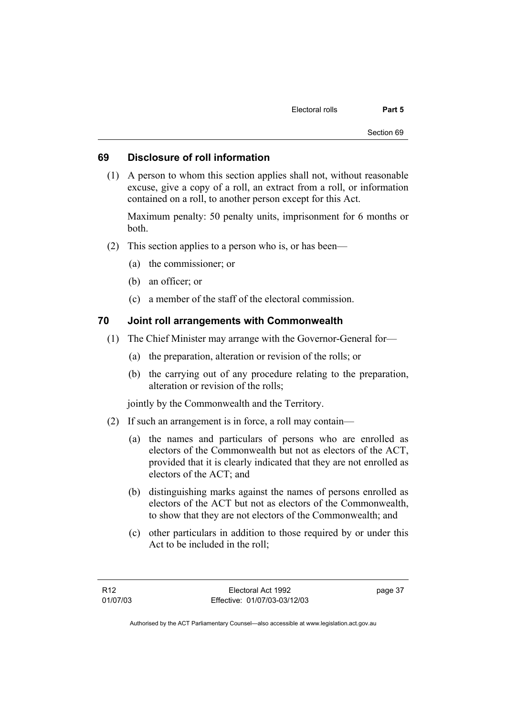#### **69 Disclosure of roll information**

 (1) A person to whom this section applies shall not, without reasonable excuse, give a copy of a roll, an extract from a roll, or information contained on a roll, to another person except for this Act.

Maximum penalty: 50 penalty units, imprisonment for 6 months or both.

- (2) This section applies to a person who is, or has been—
	- (a) the commissioner; or
	- (b) an officer; or
	- (c) a member of the staff of the electoral commission.

#### **70 Joint roll arrangements with Commonwealth**

- (1) The Chief Minister may arrange with the Governor-General for—
	- (a) the preparation, alteration or revision of the rolls; or
	- (b) the carrying out of any procedure relating to the preparation, alteration or revision of the rolls;

jointly by the Commonwealth and the Territory.

- (2) If such an arrangement is in force, a roll may contain—
	- (a) the names and particulars of persons who are enrolled as electors of the Commonwealth but not as electors of the ACT, provided that it is clearly indicated that they are not enrolled as electors of the ACT; and
	- (b) distinguishing marks against the names of persons enrolled as electors of the ACT but not as electors of the Commonwealth, to show that they are not electors of the Commonwealth; and
	- (c) other particulars in addition to those required by or under this Act to be included in the roll;

page 37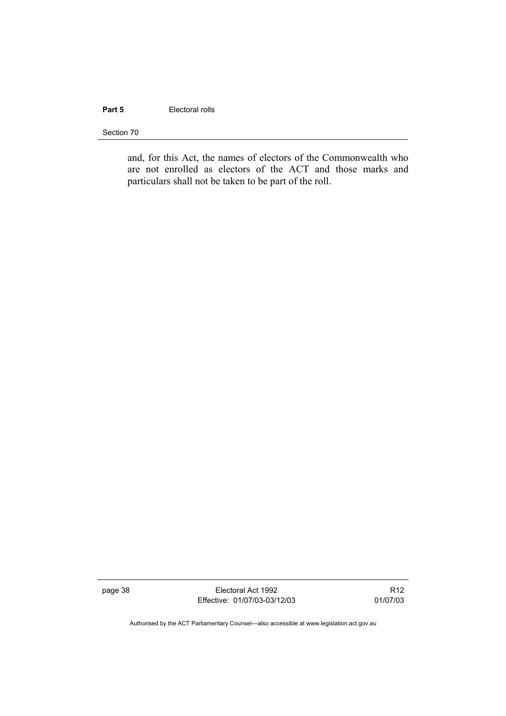# **Part 5 Electoral rolls**

Section 70

and, for this Act, the names of electors of the Commonwealth who are not enrolled as electors of the ACT and those marks and particulars shall not be taken to be part of the roll.

page 38 Electoral Act 1992 Effective: 01/07/03-03/12/03

R12 01/07/03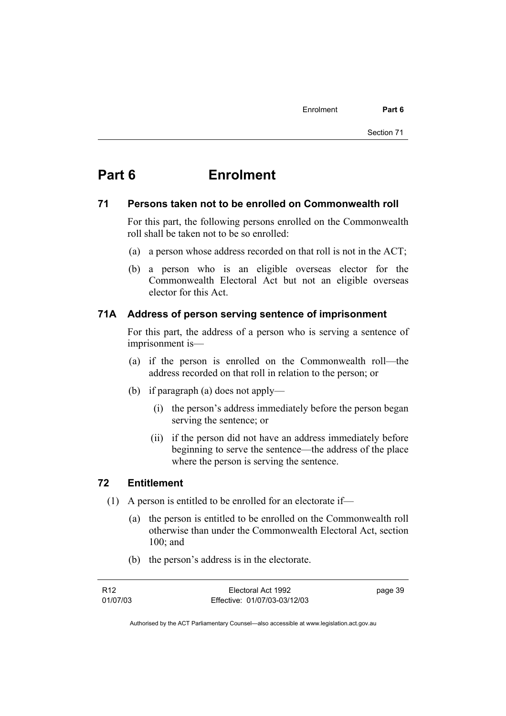# **Part 6 Enrolment**

#### **71 Persons taken not to be enrolled on Commonwealth roll**

For this part, the following persons enrolled on the Commonwealth roll shall be taken not to be so enrolled:

- (a) a person whose address recorded on that roll is not in the ACT;
- (b) a person who is an eligible overseas elector for the Commonwealth Electoral Act but not an eligible overseas elector for this Act.

## **71A Address of person serving sentence of imprisonment**

For this part, the address of a person who is serving a sentence of imprisonment is—

- (a) if the person is enrolled on the Commonwealth roll—the address recorded on that roll in relation to the person; or
- (b) if paragraph (a) does not apply—
	- (i) the person's address immediately before the person began serving the sentence; or
	- (ii) if the person did not have an address immediately before beginning to serve the sentence—the address of the place where the person is serving the sentence.

#### **72 Entitlement**

- (1) A person is entitled to be enrolled for an electorate if—
	- (a) the person is entitled to be enrolled on the Commonwealth roll otherwise than under the Commonwealth Electoral Act, section 100; and
	- (b) the person's address is in the electorate.

| R12      | Electoral Act 1992           | page 39 |
|----------|------------------------------|---------|
| 01/07/03 | Effective: 01/07/03-03/12/03 |         |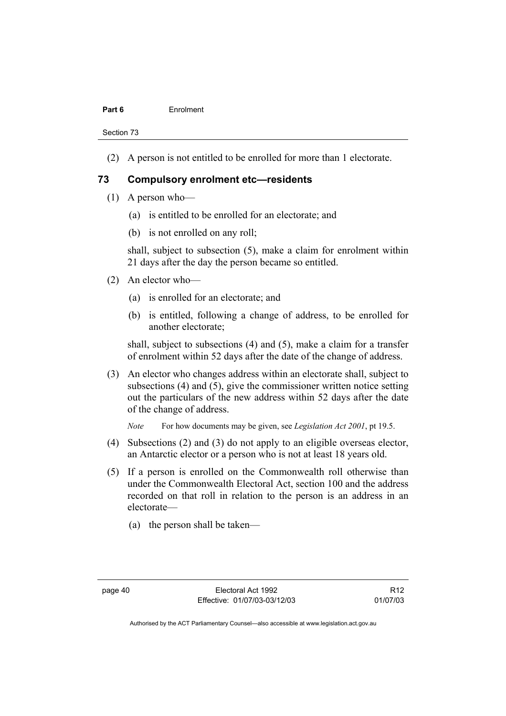#### **Part 6** Enrolment

Section 73

(2) A person is not entitled to be enrolled for more than 1 electorate.

#### **73 Compulsory enrolment etc—residents**

- (1) A person who—
	- (a) is entitled to be enrolled for an electorate; and
	- (b) is not enrolled on any roll;

shall, subject to subsection (5), make a claim for enrolment within 21 days after the day the person became so entitled.

- (2) An elector who—
	- (a) is enrolled for an electorate; and
	- (b) is entitled, following a change of address, to be enrolled for another electorate;

shall, subject to subsections (4) and (5), make a claim for a transfer of enrolment within 52 days after the date of the change of address.

 (3) An elector who changes address within an electorate shall, subject to subsections (4) and (5), give the commissioner written notice setting out the particulars of the new address within 52 days after the date of the change of address.

*Note* For how documents may be given, see *Legislation Act 2001*, pt 19.5.

- (4) Subsections (2) and (3) do not apply to an eligible overseas elector, an Antarctic elector or a person who is not at least 18 years old.
- (5) If a person is enrolled on the Commonwealth roll otherwise than under the Commonwealth Electoral Act, section 100 and the address recorded on that roll in relation to the person is an address in an electorate—
	- (a) the person shall be taken—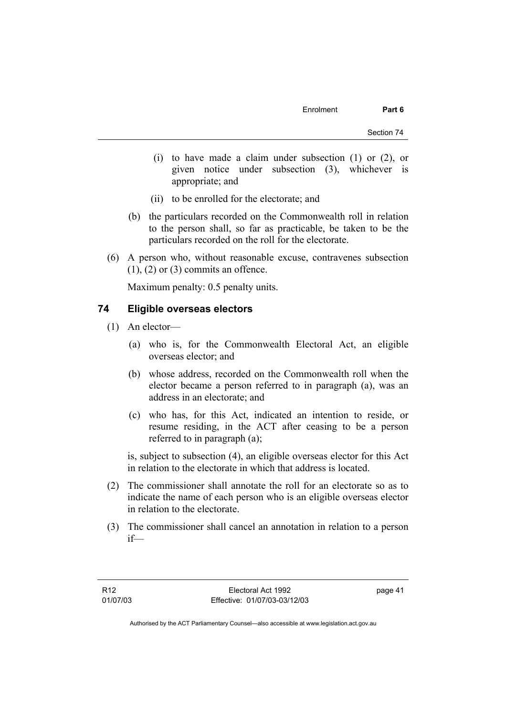- (i) to have made a claim under subsection (1) or (2), or given notice under subsection (3), whichever is appropriate; and
- (ii) to be enrolled for the electorate; and
- (b) the particulars recorded on the Commonwealth roll in relation to the person shall, so far as practicable, be taken to be the particulars recorded on the roll for the electorate.
- (6) A person who, without reasonable excuse, contravenes subsection  $(1)$ ,  $(2)$  or  $(3)$  commits an offence.

Maximum penalty: 0.5 penalty units.

# **74 Eligible overseas electors**

- (1) An elector—
	- (a) who is, for the Commonwealth Electoral Act, an eligible overseas elector; and
	- (b) whose address, recorded on the Commonwealth roll when the elector became a person referred to in paragraph (a), was an address in an electorate; and
	- (c) who has, for this Act, indicated an intention to reside, or resume residing, in the ACT after ceasing to be a person referred to in paragraph (a);

is, subject to subsection (4), an eligible overseas elector for this Act in relation to the electorate in which that address is located.

- (2) The commissioner shall annotate the roll for an electorate so as to indicate the name of each person who is an eligible overseas elector in relation to the electorate.
- (3) The commissioner shall cancel an annotation in relation to a person if—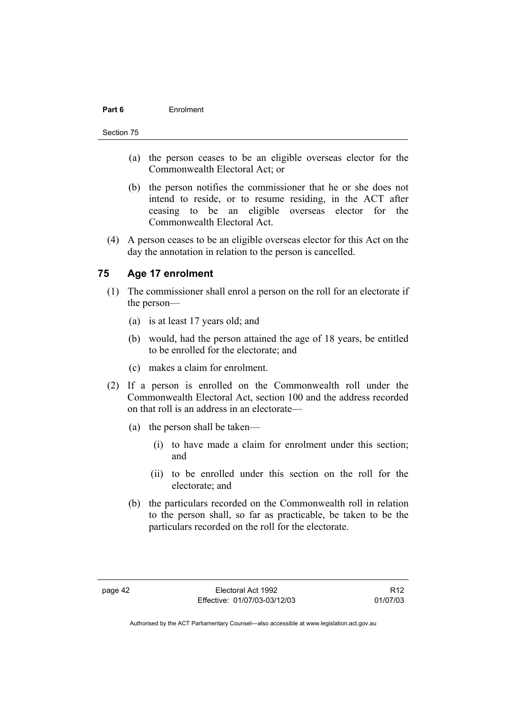#### **Part 6** Enrolment

#### Section 75

- (a) the person ceases to be an eligible overseas elector for the Commonwealth Electoral Act; or
- (b) the person notifies the commissioner that he or she does not intend to reside, or to resume residing, in the ACT after ceasing to be an eligible overseas elector for the Commonwealth Electoral Act.
- (4) A person ceases to be an eligible overseas elector for this Act on the day the annotation in relation to the person is cancelled.

# **75 Age 17 enrolment**

- (1) The commissioner shall enrol a person on the roll for an electorate if the person—
	- (a) is at least 17 years old; and
	- (b) would, had the person attained the age of 18 years, be entitled to be enrolled for the electorate; and
	- (c) makes a claim for enrolment.
- (2) If a person is enrolled on the Commonwealth roll under the Commonwealth Electoral Act, section 100 and the address recorded on that roll is an address in an electorate—
	- (a) the person shall be taken—
		- (i) to have made a claim for enrolment under this section; and
		- (ii) to be enrolled under this section on the roll for the electorate; and
	- (b) the particulars recorded on the Commonwealth roll in relation to the person shall, so far as practicable, be taken to be the particulars recorded on the roll for the electorate.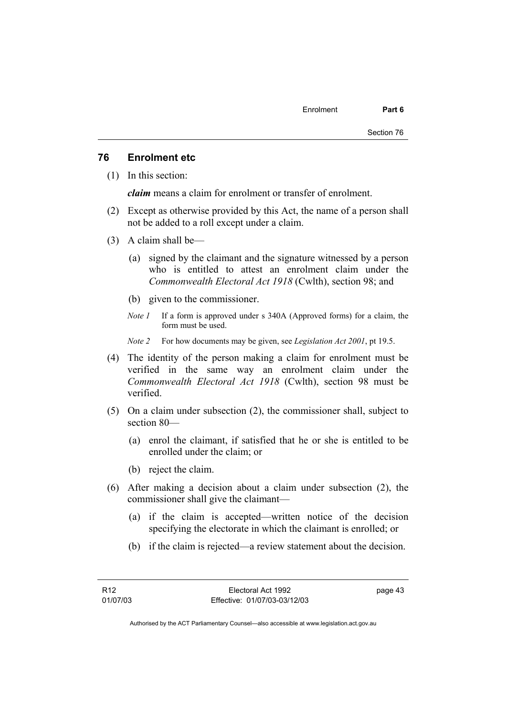#### **76 Enrolment etc**

(1) In this section:

*claim* means a claim for enrolment or transfer of enrolment.

- (2) Except as otherwise provided by this Act, the name of a person shall not be added to a roll except under a claim.
- (3) A claim shall be—
	- (a) signed by the claimant and the signature witnessed by a person who is entitled to attest an enrolment claim under the *Commonwealth Electoral Act 1918* (Cwlth), section 98; and
	- (b) given to the commissioner.
	- *Note 1* If a form is approved under s 340A (Approved forms) for a claim, the form must be used.
	- *Note 2* For how documents may be given, see *Legislation Act 2001*, pt 19.5.
- (4) The identity of the person making a claim for enrolment must be verified in the same way an enrolment claim under the *Commonwealth Electoral Act 1918* (Cwlth), section 98 must be verified.
- (5) On a claim under subsection (2), the commissioner shall, subject to section 80—
	- (a) enrol the claimant, if satisfied that he or she is entitled to be enrolled under the claim; or
	- (b) reject the claim.
- (6) After making a decision about a claim under subsection (2), the commissioner shall give the claimant—
	- (a) if the claim is accepted—written notice of the decision specifying the electorate in which the claimant is enrolled; or
	- (b) if the claim is rejected—a review statement about the decision.

page 43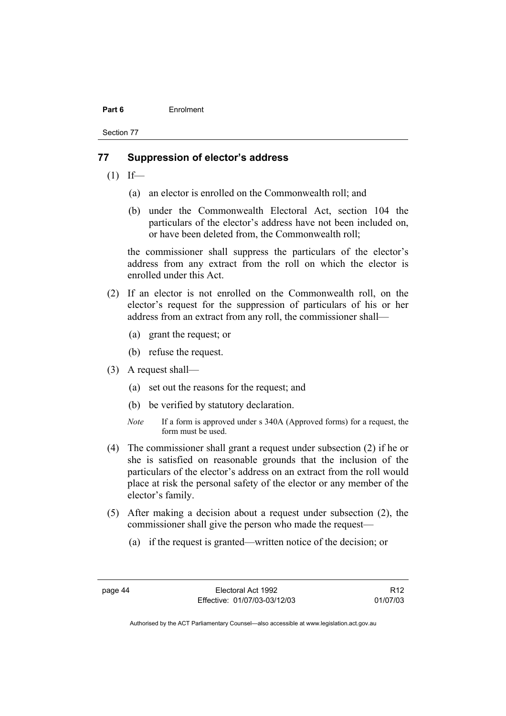#### **Part 6** Enrolment

Section 77

#### **77 Suppression of elector's address**

- $(1)$  If—
	- (a) an elector is enrolled on the Commonwealth roll; and
	- (b) under the Commonwealth Electoral Act, section 104 the particulars of the elector's address have not been included on, or have been deleted from, the Commonwealth roll;

the commissioner shall suppress the particulars of the elector's address from any extract from the roll on which the elector is enrolled under this Act.

- (2) If an elector is not enrolled on the Commonwealth roll, on the elector's request for the suppression of particulars of his or her address from an extract from any roll, the commissioner shall—
	- (a) grant the request; or
	- (b) refuse the request.
- (3) A request shall—
	- (a) set out the reasons for the request; and
	- (b) be verified by statutory declaration.
	- *Note* If a form is approved under s 340A (Approved forms) for a request, the form must be used.
- (4) The commissioner shall grant a request under subsection (2) if he or she is satisfied on reasonable grounds that the inclusion of the particulars of the elector's address on an extract from the roll would place at risk the personal safety of the elector or any member of the elector's family.
- (5) After making a decision about a request under subsection (2), the commissioner shall give the person who made the request—
	- (a) if the request is granted—written notice of the decision; or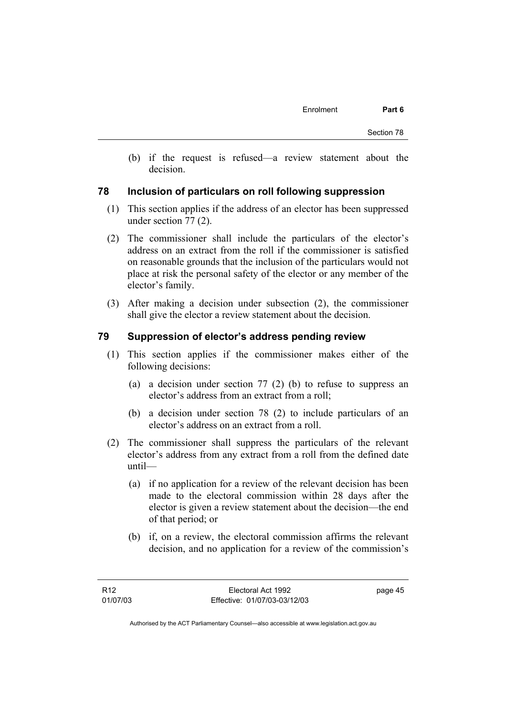(b) if the request is refused—a review statement about the decision.

#### **78 Inclusion of particulars on roll following suppression**

- (1) This section applies if the address of an elector has been suppressed under section 77 (2).
- (2) The commissioner shall include the particulars of the elector's address on an extract from the roll if the commissioner is satisfied on reasonable grounds that the inclusion of the particulars would not place at risk the personal safety of the elector or any member of the elector's family.
- (3) After making a decision under subsection (2), the commissioner shall give the elector a review statement about the decision.

#### **79 Suppression of elector's address pending review**

- (1) This section applies if the commissioner makes either of the following decisions:
	- (a) a decision under section 77 (2) (b) to refuse to suppress an elector's address from an extract from a roll;
	- (b) a decision under section 78 (2) to include particulars of an elector's address on an extract from a roll.
- (2) The commissioner shall suppress the particulars of the relevant elector's address from any extract from a roll from the defined date until—
	- (a) if no application for a review of the relevant decision has been made to the electoral commission within 28 days after the elector is given a review statement about the decision—the end of that period; or
	- (b) if, on a review, the electoral commission affirms the relevant decision, and no application for a review of the commission's

page 45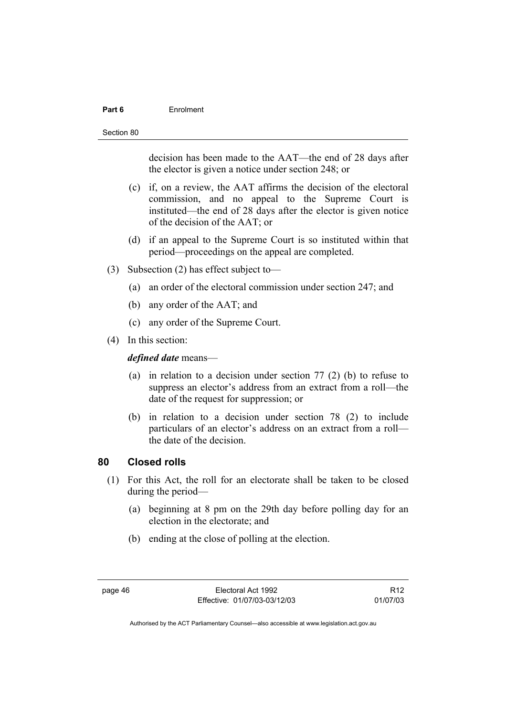#### **Part 6** Enrolment

Section 80

decision has been made to the AAT—the end of 28 days after the elector is given a notice under section 248; or

- (c) if, on a review, the AAT affirms the decision of the electoral commission, and no appeal to the Supreme Court is instituted—the end of 28 days after the elector is given notice of the decision of the AAT; or
- (d) if an appeal to the Supreme Court is so instituted within that period—proceedings on the appeal are completed.
- (3) Subsection (2) has effect subject to—
	- (a) an order of the electoral commission under section 247; and
	- (b) any order of the AAT; and
	- (c) any order of the Supreme Court.
- (4) In this section:

*defined date* means—

- (a) in relation to a decision under section 77 (2) (b) to refuse to suppress an elector's address from an extract from a roll—the date of the request for suppression; or
- (b) in relation to a decision under section 78 (2) to include particulars of an elector's address on an extract from a roll the date of the decision.

#### **80 Closed rolls**

- (1) For this Act, the roll for an electorate shall be taken to be closed during the period—
	- (a) beginning at 8 pm on the 29th day before polling day for an election in the electorate; and
	- (b) ending at the close of polling at the election.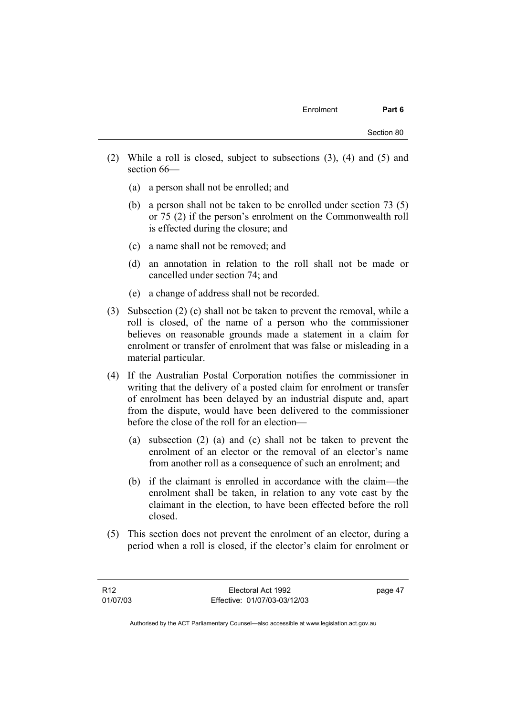- (2) While a roll is closed, subject to subsections (3), (4) and (5) and section 66—
	- (a) a person shall not be enrolled; and
	- (b) a person shall not be taken to be enrolled under section 73 (5) or 75 (2) if the person's enrolment on the Commonwealth roll is effected during the closure; and
	- (c) a name shall not be removed; and
	- (d) an annotation in relation to the roll shall not be made or cancelled under section 74; and
	- (e) a change of address shall not be recorded.
- (3) Subsection (2) (c) shall not be taken to prevent the removal, while a roll is closed, of the name of a person who the commissioner believes on reasonable grounds made a statement in a claim for enrolment or transfer of enrolment that was false or misleading in a material particular.
- (4) If the Australian Postal Corporation notifies the commissioner in writing that the delivery of a posted claim for enrolment or transfer of enrolment has been delayed by an industrial dispute and, apart from the dispute, would have been delivered to the commissioner before the close of the roll for an election—
	- (a) subsection (2) (a) and (c) shall not be taken to prevent the enrolment of an elector or the removal of an elector's name from another roll as a consequence of such an enrolment; and
	- (b) if the claimant is enrolled in accordance with the claim—the enrolment shall be taken, in relation to any vote cast by the claimant in the election, to have been effected before the roll closed.
- (5) This section does not prevent the enrolment of an elector, during a period when a roll is closed, if the elector's claim for enrolment or

page 47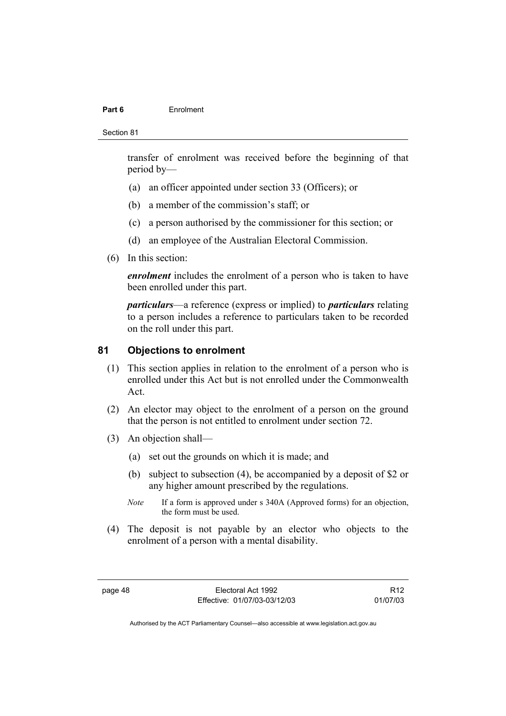#### **Part 6** Enrolment

Section 81

transfer of enrolment was received before the beginning of that period by—

- (a) an officer appointed under section 33 (Officers); or
- (b) a member of the commission's staff; or
- (c) a person authorised by the commissioner for this section; or
- (d) an employee of the Australian Electoral Commission.
- (6) In this section:

*enrolment* includes the enrolment of a person who is taken to have been enrolled under this part.

*particulars*—a reference (express or implied) to *particulars* relating to a person includes a reference to particulars taken to be recorded on the roll under this part.

# **81 Objections to enrolment**

- (1) This section applies in relation to the enrolment of a person who is enrolled under this Act but is not enrolled under the Commonwealth Act.
- (2) An elector may object to the enrolment of a person on the ground that the person is not entitled to enrolment under section 72.
- (3) An objection shall—
	- (a) set out the grounds on which it is made; and
	- (b) subject to subsection (4), be accompanied by a deposit of \$2 or any higher amount prescribed by the regulations.
	- *Note* If a form is approved under s 340A (Approved forms) for an objection, the form must be used.
- (4) The deposit is not payable by an elector who objects to the enrolment of a person with a mental disability.

R12 01/07/03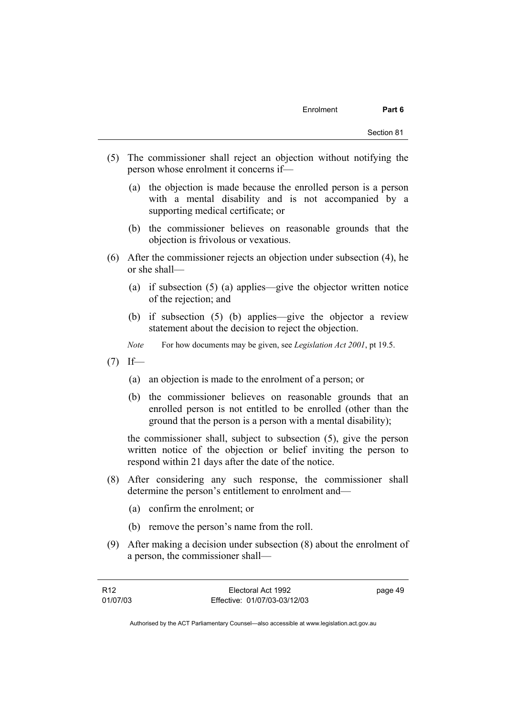- (5) The commissioner shall reject an objection without notifying the person whose enrolment it concerns if—
	- (a) the objection is made because the enrolled person is a person with a mental disability and is not accompanied by a supporting medical certificate; or
	- (b) the commissioner believes on reasonable grounds that the objection is frivolous or vexatious.
- (6) After the commissioner rejects an objection under subsection (4), he or she shall—
	- (a) if subsection (5) (a) applies—give the objector written notice of the rejection; and
	- (b) if subsection (5) (b) applies—give the objector a review statement about the decision to reject the objection.
	- *Note* For how documents may be given, see *Legislation Act 2001*, pt 19.5.
- $(7)$  If—
	- (a) an objection is made to the enrolment of a person; or
	- (b) the commissioner believes on reasonable grounds that an enrolled person is not entitled to be enrolled (other than the ground that the person is a person with a mental disability);

the commissioner shall, subject to subsection (5), give the person written notice of the objection or belief inviting the person to respond within 21 days after the date of the notice.

- (8) After considering any such response, the commissioner shall determine the person's entitlement to enrolment and—
	- (a) confirm the enrolment; or
	- (b) remove the person's name from the roll.
- (9) After making a decision under subsection (8) about the enrolment of a person, the commissioner shall—

| R12      | Electoral Act 1992           | page 49 |
|----------|------------------------------|---------|
| 01/07/03 | Effective: 01/07/03-03/12/03 |         |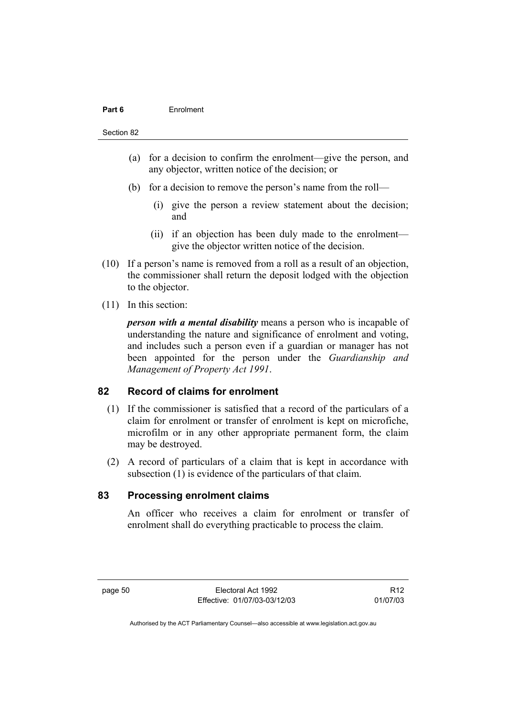#### **Part 6** Enrolment

Section 82

- (a) for a decision to confirm the enrolment—give the person, and any objector, written notice of the decision; or
- (b) for a decision to remove the person's name from the roll—
	- (i) give the person a review statement about the decision; and
	- (ii) if an objection has been duly made to the enrolment give the objector written notice of the decision.
- (10) If a person's name is removed from a roll as a result of an objection, the commissioner shall return the deposit lodged with the objection to the objector.
- (11) In this section:

*person with a mental disability* means a person who is incapable of understanding the nature and significance of enrolment and voting, and includes such a person even if a guardian or manager has not been appointed for the person under the *Guardianship and Management of Property Act 1991*.

# **82 Record of claims for enrolment**

- (1) If the commissioner is satisfied that a record of the particulars of a claim for enrolment or transfer of enrolment is kept on microfiche, microfilm or in any other appropriate permanent form, the claim may be destroyed.
- (2) A record of particulars of a claim that is kept in accordance with subsection (1) is evidence of the particulars of that claim.

# **83 Processing enrolment claims**

An officer who receives a claim for enrolment or transfer of enrolment shall do everything practicable to process the claim.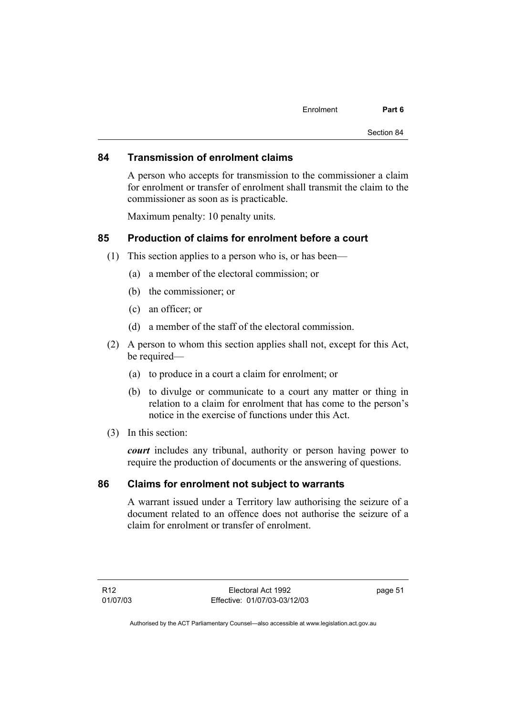#### **84 Transmission of enrolment claims**

A person who accepts for transmission to the commissioner a claim for enrolment or transfer of enrolment shall transmit the claim to the commissioner as soon as is practicable.

Maximum penalty: 10 penalty units.

# **85 Production of claims for enrolment before a court**

- (1) This section applies to a person who is, or has been—
	- (a) a member of the electoral commission; or
	- (b) the commissioner; or
	- (c) an officer; or
	- (d) a member of the staff of the electoral commission.
- (2) A person to whom this section applies shall not, except for this Act, be required—
	- (a) to produce in a court a claim for enrolment; or
	- (b) to divulge or communicate to a court any matter or thing in relation to a claim for enrolment that has come to the person's notice in the exercise of functions under this Act.
- (3) In this section:

*court* includes any tribunal, authority or person having power to require the production of documents or the answering of questions.

#### **86 Claims for enrolment not subject to warrants**

A warrant issued under a Territory law authorising the seizure of a document related to an offence does not authorise the seizure of a claim for enrolment or transfer of enrolment.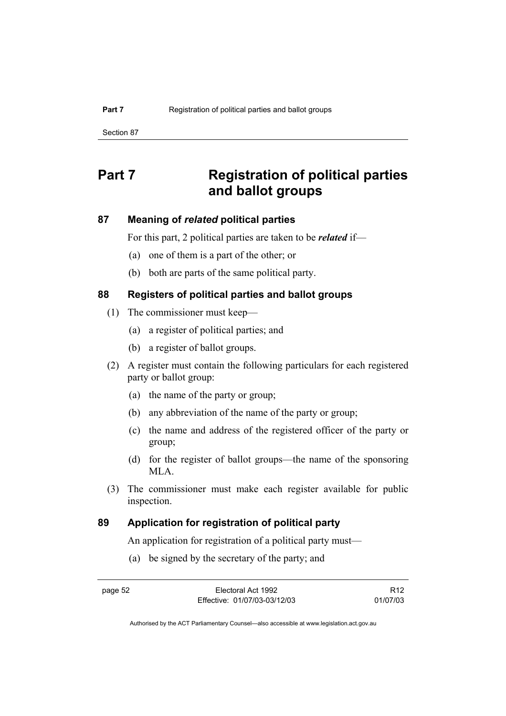Section 87

# **Part 7 Registration of political parties and ballot groups**

# **87 Meaning of** *related* **political parties**

For this part, 2 political parties are taken to be *related* if—

- (a) one of them is a part of the other; or
- (b) both are parts of the same political party.

# **88 Registers of political parties and ballot groups**

- (1) The commissioner must keep—
	- (a) a register of political parties; and
	- (b) a register of ballot groups.
- (2) A register must contain the following particulars for each registered party or ballot group:
	- (a) the name of the party or group;
	- (b) any abbreviation of the name of the party or group;
	- (c) the name and address of the registered officer of the party or group;
	- (d) for the register of ballot groups—the name of the sponsoring MLA.
- (3) The commissioner must make each register available for public inspection.

# **89 Application for registration of political party**

An application for registration of a political party must—

(a) be signed by the secretary of the party; and

R12 01/07/03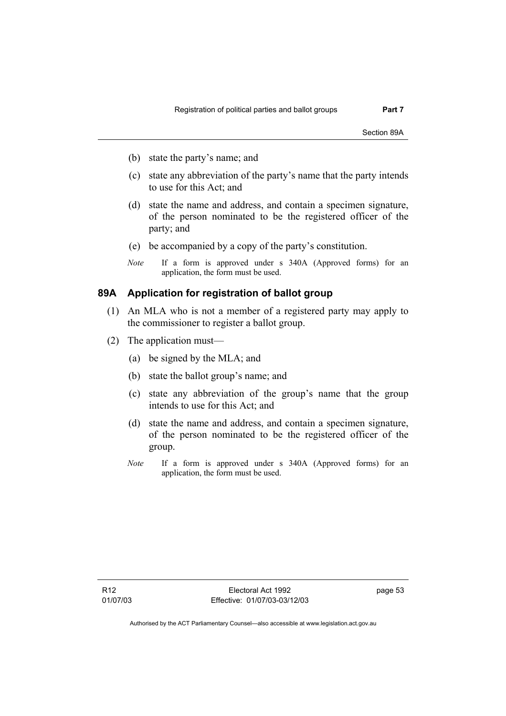Section 89A

- (b) state the party's name; and
- (c) state any abbreviation of the party's name that the party intends to use for this Act; and
- (d) state the name and address, and contain a specimen signature, of the person nominated to be the registered officer of the party; and
- (e) be accompanied by a copy of the party's constitution.
- *Note* If a form is approved under s 340A (Approved forms) for an application, the form must be used.

## **89A Application for registration of ballot group**

- (1) An MLA who is not a member of a registered party may apply to the commissioner to register a ballot group.
- (2) The application must—
	- (a) be signed by the MLA; and
	- (b) state the ballot group's name; and
	- (c) state any abbreviation of the group's name that the group intends to use for this Act; and
	- (d) state the name and address, and contain a specimen signature, of the person nominated to be the registered officer of the group.
	- *Note* If a form is approved under s 340A (Approved forms) for an application, the form must be used.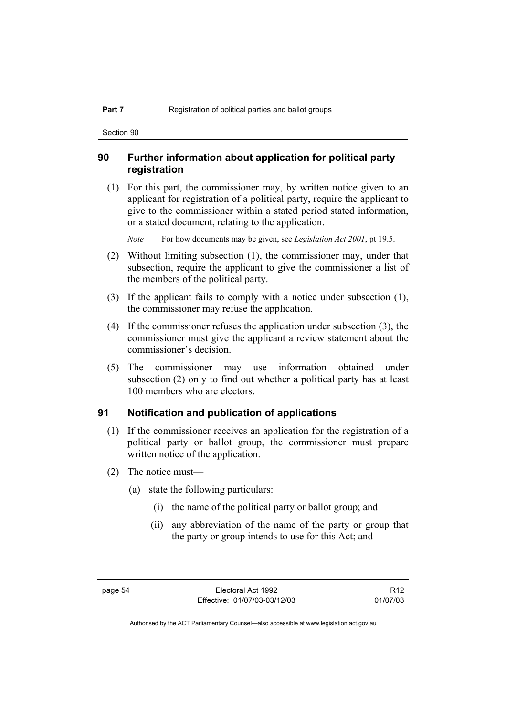Section 90

# **90 Further information about application for political party registration**

 (1) For this part, the commissioner may, by written notice given to an applicant for registration of a political party, require the applicant to give to the commissioner within a stated period stated information, or a stated document, relating to the application.

*Note* For how documents may be given, see *Legislation Act 2001*, pt 19.5.

- (2) Without limiting subsection (1), the commissioner may, under that subsection, require the applicant to give the commissioner a list of the members of the political party.
- (3) If the applicant fails to comply with a notice under subsection (1), the commissioner may refuse the application.
- (4) If the commissioner refuses the application under subsection (3), the commissioner must give the applicant a review statement about the commissioner's decision.
- (5) The commissioner may use information obtained under subsection (2) only to find out whether a political party has at least 100 members who are electors.

#### **91 Notification and publication of applications**

- (1) If the commissioner receives an application for the registration of a political party or ballot group, the commissioner must prepare written notice of the application.
- (2) The notice must—
	- (a) state the following particulars:
		- (i) the name of the political party or ballot group; and
		- (ii) any abbreviation of the name of the party or group that the party or group intends to use for this Act; and

R12 01/07/03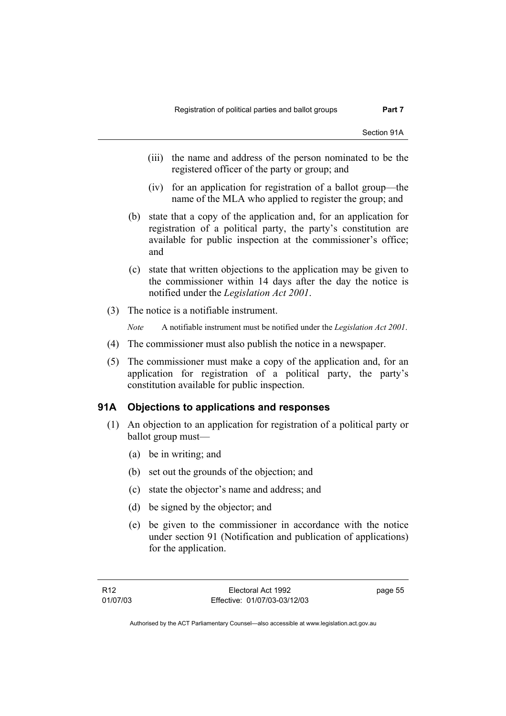Section 91A

- (iii) the name and address of the person nominated to be the registered officer of the party or group; and
- (iv) for an application for registration of a ballot group—the name of the MLA who applied to register the group; and
- (b) state that a copy of the application and, for an application for registration of a political party, the party's constitution are available for public inspection at the commissioner's office; and
- (c) state that written objections to the application may be given to the commissioner within 14 days after the day the notice is notified under the *Legislation Act 2001*.
- (3) The notice is a notifiable instrument.

*Note* A notifiable instrument must be notified under the *Legislation Act 2001*.

- (4) The commissioner must also publish the notice in a newspaper.
- (5) The commissioner must make a copy of the application and, for an application for registration of a political party, the party's constitution available for public inspection.

### **91A Objections to applications and responses**

- (1) An objection to an application for registration of a political party or ballot group must—
	- (a) be in writing; and
	- (b) set out the grounds of the objection; and
	- (c) state the objector's name and address; and
	- (d) be signed by the objector; and
	- (e) be given to the commissioner in accordance with the notice under section 91 (Notification and publication of applications) for the application.

page 55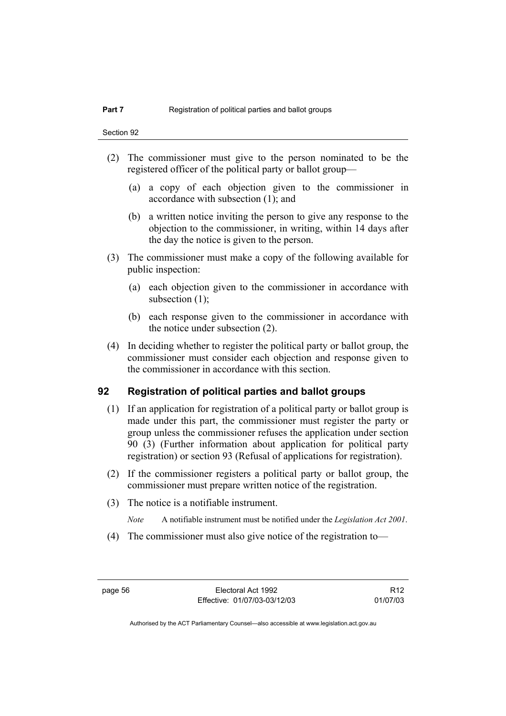- (2) The commissioner must give to the person nominated to be the registered officer of the political party or ballot group—
	- (a) a copy of each objection given to the commissioner in accordance with subsection (1); and
	- (b) a written notice inviting the person to give any response to the objection to the commissioner, in writing, within 14 days after the day the notice is given to the person.
- (3) The commissioner must make a copy of the following available for public inspection:
	- (a) each objection given to the commissioner in accordance with subsection (1);
	- (b) each response given to the commissioner in accordance with the notice under subsection (2).
- (4) In deciding whether to register the political party or ballot group, the commissioner must consider each objection and response given to the commissioner in accordance with this section.

# **92 Registration of political parties and ballot groups**

- (1) If an application for registration of a political party or ballot group is made under this part, the commissioner must register the party or group unless the commissioner refuses the application under section 90 (3) (Further information about application for political party registration) or section 93 (Refusal of applications for registration).
- (2) If the commissioner registers a political party or ballot group, the commissioner must prepare written notice of the registration.
- (3) The notice is a notifiable instrument.
	- *Note* A notifiable instrument must be notified under the *Legislation Act 2001*.
- (4) The commissioner must also give notice of the registration to—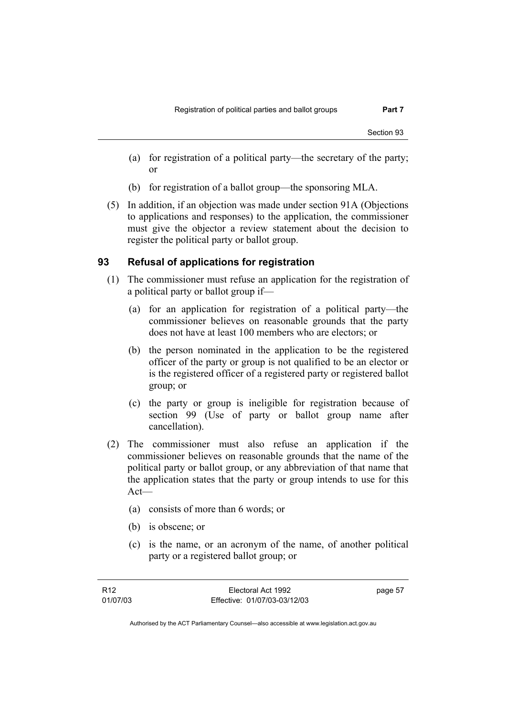- (a) for registration of a political party—the secretary of the party; or
- (b) for registration of a ballot group—the sponsoring MLA.
- (5) In addition, if an objection was made under section 91A (Objections to applications and responses) to the application, the commissioner must give the objector a review statement about the decision to register the political party or ballot group.

## **93 Refusal of applications for registration**

- (1) The commissioner must refuse an application for the registration of a political party or ballot group if—
	- (a) for an application for registration of a political party—the commissioner believes on reasonable grounds that the party does not have at least 100 members who are electors; or
	- (b) the person nominated in the application to be the registered officer of the party or group is not qualified to be an elector or is the registered officer of a registered party or registered ballot group; or
	- (c) the party or group is ineligible for registration because of section 99 (Use of party or ballot group name after cancellation).
- (2) The commissioner must also refuse an application if the commissioner believes on reasonable grounds that the name of the political party or ballot group, or any abbreviation of that name that the application states that the party or group intends to use for this Act—
	- (a) consists of more than 6 words; or
	- (b) is obscene; or
	- (c) is the name, or an acronym of the name, of another political party or a registered ballot group; or

page 57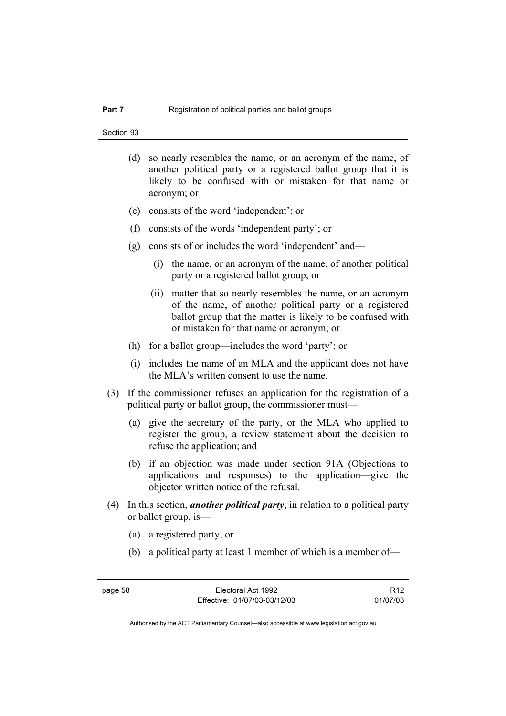- (d) so nearly resembles the name, or an acronym of the name, of another political party or a registered ballot group that it is likely to be confused with or mistaken for that name or acronym; or
- (e) consists of the word 'independent'; or
- (f) consists of the words 'independent party'; or
- (g) consists of or includes the word 'independent' and—
	- (i) the name, or an acronym of the name, of another political party or a registered ballot group; or
	- (ii) matter that so nearly resembles the name, or an acronym of the name, of another political party or a registered ballot group that the matter is likely to be confused with or mistaken for that name or acronym; or
- (h) for a ballot group—includes the word 'party'; or
- (i) includes the name of an MLA and the applicant does not have the MLA's written consent to use the name.
- (3) If the commissioner refuses an application for the registration of a political party or ballot group, the commissioner must—
	- (a) give the secretary of the party, or the MLA who applied to register the group, a review statement about the decision to refuse the application; and
	- (b) if an objection was made under section 91A (Objections to applications and responses) to the application—give the objector written notice of the refusal.
- (4) In this section, *another political party*, in relation to a political party or ballot group, is—
	- (a) a registered party; or
	- (b) a political party at least 1 member of which is a member of—

R12 01/07/03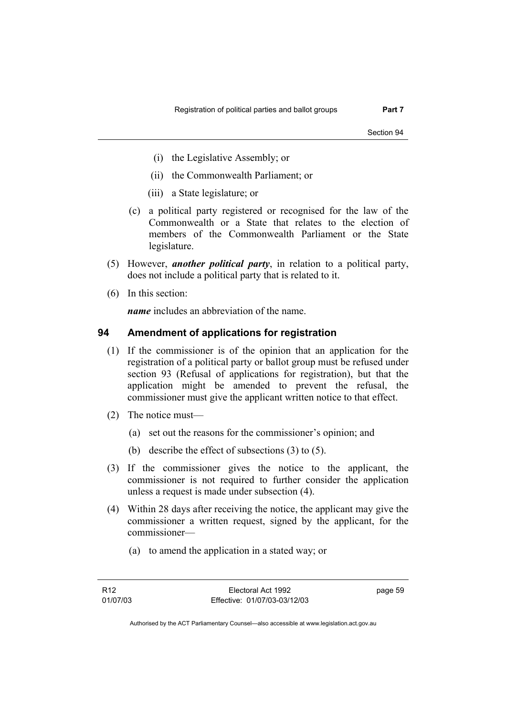Section 94

- (i) the Legislative Assembly; or
- (ii) the Commonwealth Parliament; or
- (iii) a State legislature; or
- (c) a political party registered or recognised for the law of the Commonwealth or a State that relates to the election of members of the Commonwealth Parliament or the State legislature.
- (5) However, *another political party*, in relation to a political party, does not include a political party that is related to it.
- (6) In this section:

*name* includes an abbreviation of the name.

## **94 Amendment of applications for registration**

- (1) If the commissioner is of the opinion that an application for the registration of a political party or ballot group must be refused under section 93 (Refusal of applications for registration), but that the application might be amended to prevent the refusal, the commissioner must give the applicant written notice to that effect.
- (2) The notice must—
	- (a) set out the reasons for the commissioner's opinion; and
	- (b) describe the effect of subsections (3) to (5).
- (3) If the commissioner gives the notice to the applicant, the commissioner is not required to further consider the application unless a request is made under subsection (4).
- (4) Within 28 days after receiving the notice, the applicant may give the commissioner a written request, signed by the applicant, for the commissioner—
	- (a) to amend the application in a stated way; or

page 59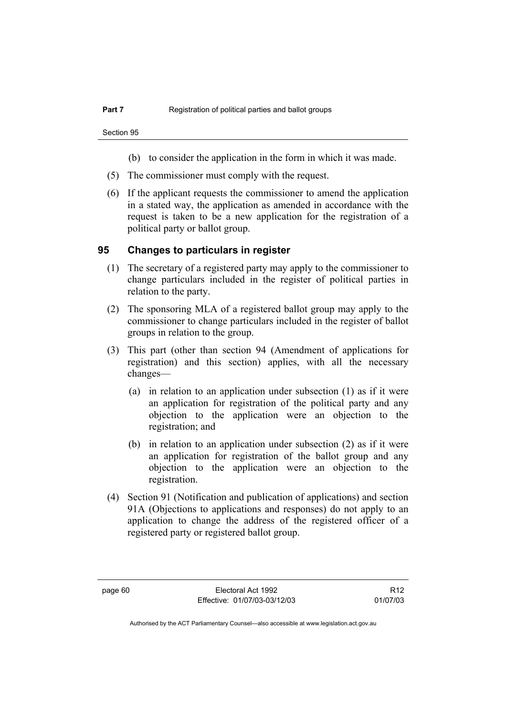- (b) to consider the application in the form in which it was made.
- (5) The commissioner must comply with the request.
- (6) If the applicant requests the commissioner to amend the application in a stated way, the application as amended in accordance with the request is taken to be a new application for the registration of a political party or ballot group.

### **95 Changes to particulars in register**

- (1) The secretary of a registered party may apply to the commissioner to change particulars included in the register of political parties in relation to the party.
- (2) The sponsoring MLA of a registered ballot group may apply to the commissioner to change particulars included in the register of ballot groups in relation to the group.
- (3) This part (other than section 94 (Amendment of applications for registration) and this section) applies, with all the necessary changes—
	- (a) in relation to an application under subsection (1) as if it were an application for registration of the political party and any objection to the application were an objection to the registration; and
	- (b) in relation to an application under subsection (2) as if it were an application for registration of the ballot group and any objection to the application were an objection to the registration.
- (4) Section 91 (Notification and publication of applications) and section 91A (Objections to applications and responses) do not apply to an application to change the address of the registered officer of a registered party or registered ballot group.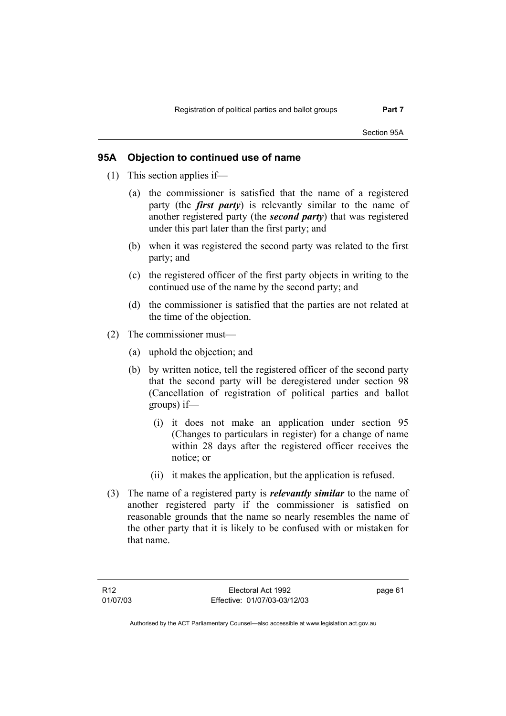Section 95A

# **95A Objection to continued use of name**

- (1) This section applies if—
	- (a) the commissioner is satisfied that the name of a registered party (the *first party*) is relevantly similar to the name of another registered party (the *second party*) that was registered under this part later than the first party; and
	- (b) when it was registered the second party was related to the first party; and
	- (c) the registered officer of the first party objects in writing to the continued use of the name by the second party; and
	- (d) the commissioner is satisfied that the parties are not related at the time of the objection.
- (2) The commissioner must—
	- (a) uphold the objection; and
	- (b) by written notice, tell the registered officer of the second party that the second party will be deregistered under section 98 (Cancellation of registration of political parties and ballot groups) if—
		- (i) it does not make an application under section 95 (Changes to particulars in register) for a change of name within 28 days after the registered officer receives the notice; or
		- (ii) it makes the application, but the application is refused.
- (3) The name of a registered party is *relevantly similar* to the name of another registered party if the commissioner is satisfied on reasonable grounds that the name so nearly resembles the name of the other party that it is likely to be confused with or mistaken for that name.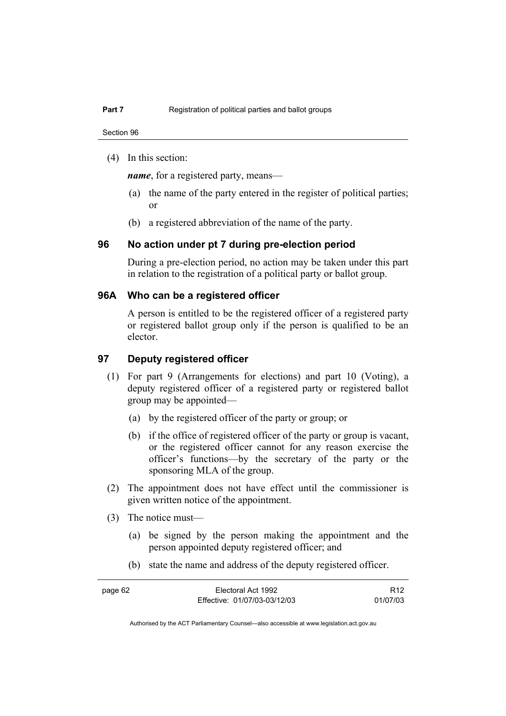(4) In this section:

*name*, for a registered party, means—

- (a) the name of the party entered in the register of political parties; or
- (b) a registered abbreviation of the name of the party.

### **96 No action under pt 7 during pre-election period**

During a pre-election period, no action may be taken under this part in relation to the registration of a political party or ballot group.

### **96A Who can be a registered officer**

A person is entitled to be the registered officer of a registered party or registered ballot group only if the person is qualified to be an elector.

# **97 Deputy registered officer**

- (1) For part 9 (Arrangements for elections) and part 10 (Voting), a deputy registered officer of a registered party or registered ballot group may be appointed—
	- (a) by the registered officer of the party or group; or
	- (b) if the office of registered officer of the party or group is vacant, or the registered officer cannot for any reason exercise the officer's functions—by the secretary of the party or the sponsoring MLA of the group.
- (2) The appointment does not have effect until the commissioner is given written notice of the appointment.
- (3) The notice must—
	- (a) be signed by the person making the appointment and the person appointed deputy registered officer; and
	- (b) state the name and address of the deputy registered officer.

| page 62 | Electoral Act 1992           | R <sub>12</sub> |
|---------|------------------------------|-----------------|
|         | Effective: 01/07/03-03/12/03 | 01/07/03        |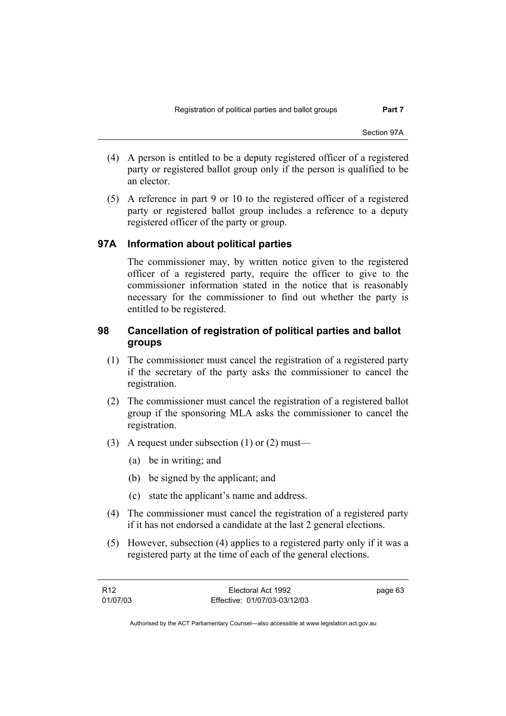- (4) A person is entitled to be a deputy registered officer of a registered party or registered ballot group only if the person is qualified to be an elector.
- (5) A reference in part 9 or 10 to the registered officer of a registered party or registered ballot group includes a reference to a deputy registered officer of the party or group.

# **97A Information about political parties**

The commissioner may, by written notice given to the registered officer of a registered party, require the officer to give to the commissioner information stated in the notice that is reasonably necessary for the commissioner to find out whether the party is entitled to be registered.

# **98 Cancellation of registration of political parties and ballot groups**

- (1) The commissioner must cancel the registration of a registered party if the secretary of the party asks the commissioner to cancel the registration.
- (2) The commissioner must cancel the registration of a registered ballot group if the sponsoring MLA asks the commissioner to cancel the registration.
- (3) A request under subsection (1) or (2) must—
	- (a) be in writing; and
	- (b) be signed by the applicant; and
	- (c) state the applicant's name and address.
- (4) The commissioner must cancel the registration of a registered party if it has not endorsed a candidate at the last 2 general elections.
- (5) However, subsection (4) applies to a registered party only if it was a registered party at the time of each of the general elections.

| R12      | Electoral Act 1992           | page 63 |
|----------|------------------------------|---------|
| 01/07/03 | Effective: 01/07/03-03/12/03 |         |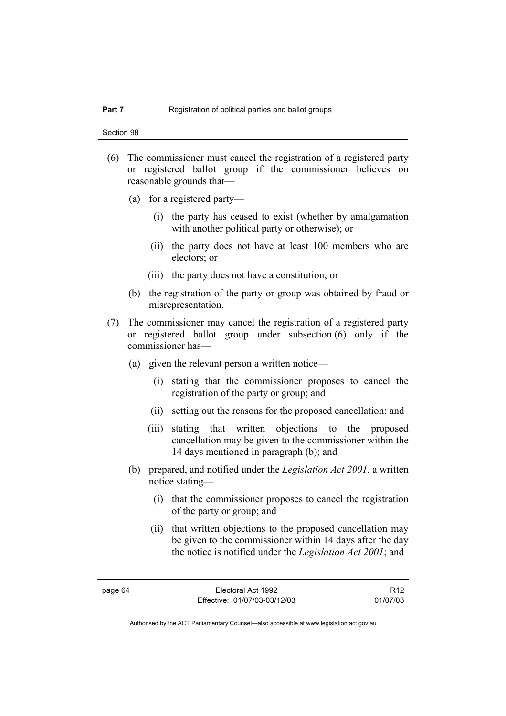Section 98

- (6) The commissioner must cancel the registration of a registered party or registered ballot group if the commissioner believes on reasonable grounds that—
	- (a) for a registered party—
		- (i) the party has ceased to exist (whether by amalgamation with another political party or otherwise); or
		- (ii) the party does not have at least 100 members who are electors; or
		- (iii) the party does not have a constitution; or
	- (b) the registration of the party or group was obtained by fraud or misrepresentation.
- (7) The commissioner may cancel the registration of a registered party or registered ballot group under subsection (6) only if the commissioner has—
	- (a) given the relevant person a written notice—
		- (i) stating that the commissioner proposes to cancel the registration of the party or group; and
		- (ii) setting out the reasons for the proposed cancellation; and
		- (iii) stating that written objections to the proposed cancellation may be given to the commissioner within the 14 days mentioned in paragraph (b); and
	- (b) prepared, and notified under the *Legislation Act 2001*, a written notice stating—
		- (i) that the commissioner proposes to cancel the registration of the party or group; and
		- (ii) that written objections to the proposed cancellation may be given to the commissioner within 14 days after the day the notice is notified under the *Legislation Act 2001*; and

R12 01/07/03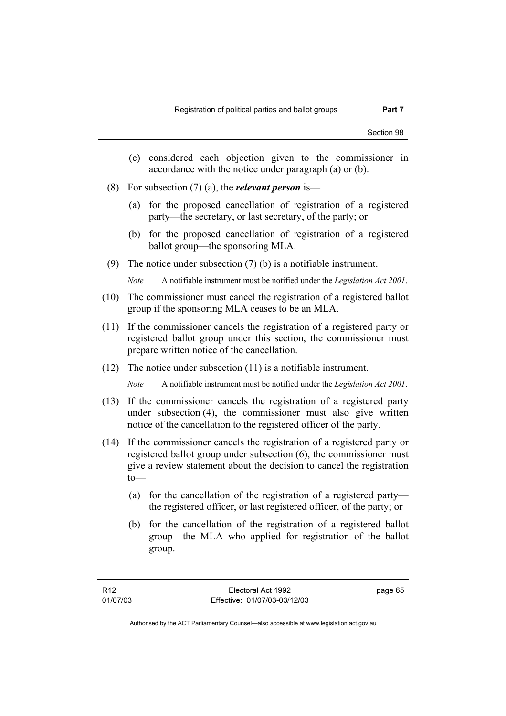- (c) considered each objection given to the commissioner in accordance with the notice under paragraph (a) or (b).
- (8) For subsection (7) (a), the *relevant person* is—
	- (a) for the proposed cancellation of registration of a registered party—the secretary, or last secretary, of the party; or
	- (b) for the proposed cancellation of registration of a registered ballot group—the sponsoring MLA.
- (9) The notice under subsection (7) (b) is a notifiable instrument.

*Note* A notifiable instrument must be notified under the *Legislation Act 2001*.

- (10) The commissioner must cancel the registration of a registered ballot group if the sponsoring MLA ceases to be an MLA.
- (11) If the commissioner cancels the registration of a registered party or registered ballot group under this section, the commissioner must prepare written notice of the cancellation.
- (12) The notice under subsection (11) is a notifiable instrument.

*Note* A notifiable instrument must be notified under the *Legislation Act 2001*.

- (13) If the commissioner cancels the registration of a registered party under subsection (4), the commissioner must also give written notice of the cancellation to the registered officer of the party.
- (14) If the commissioner cancels the registration of a registered party or registered ballot group under subsection (6), the commissioner must give a review statement about the decision to cancel the registration  $to$ —
	- (a) for the cancellation of the registration of a registered party the registered officer, or last registered officer, of the party; or
	- (b) for the cancellation of the registration of a registered ballot group—the MLA who applied for registration of the ballot group.

page 65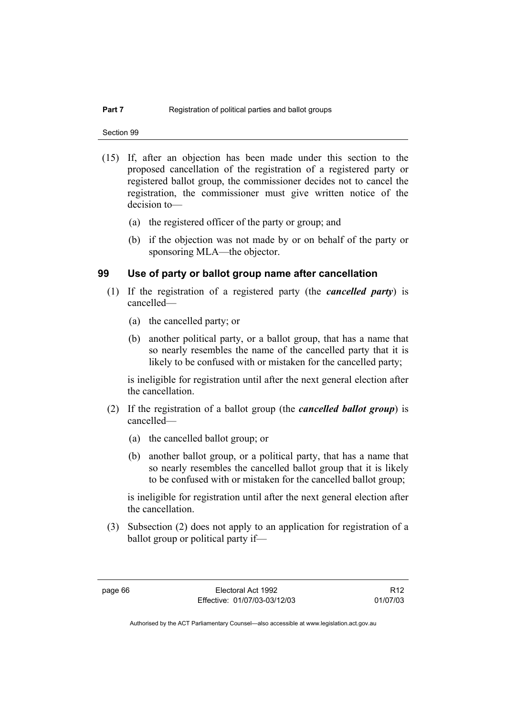Section 99

- (15) If, after an objection has been made under this section to the proposed cancellation of the registration of a registered party or registered ballot group, the commissioner decides not to cancel the registration, the commissioner must give written notice of the decision to—
	- (a) the registered officer of the party or group; and
	- (b) if the objection was not made by or on behalf of the party or sponsoring MLA—the objector.

# **99 Use of party or ballot group name after cancellation**

- (1) If the registration of a registered party (the *cancelled party*) is cancelled—
	- (a) the cancelled party; or
	- (b) another political party, or a ballot group, that has a name that so nearly resembles the name of the cancelled party that it is likely to be confused with or mistaken for the cancelled party;

is ineligible for registration until after the next general election after the cancellation.

- (2) If the registration of a ballot group (the *cancelled ballot group*) is cancelled—
	- (a) the cancelled ballot group; or
	- (b) another ballot group, or a political party, that has a name that so nearly resembles the cancelled ballot group that it is likely to be confused with or mistaken for the cancelled ballot group;

is ineligible for registration until after the next general election after the cancellation.

 (3) Subsection (2) does not apply to an application for registration of a ballot group or political party if—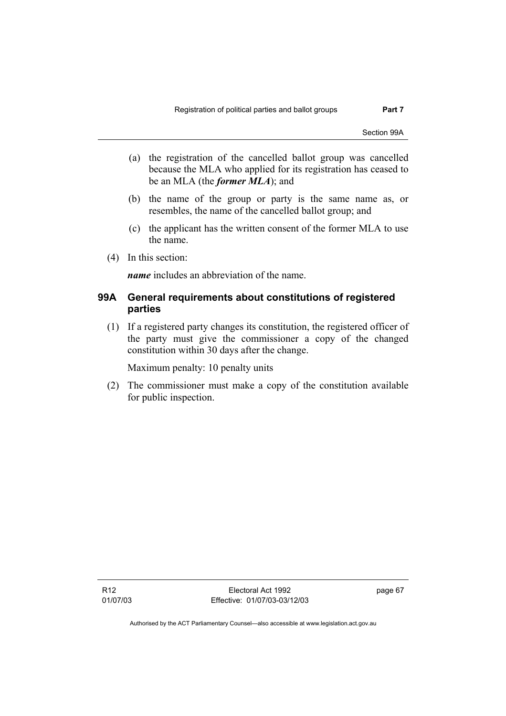Section 99A

- (a) the registration of the cancelled ballot group was cancelled because the MLA who applied for its registration has ceased to be an MLA (the *former MLA*); and
- (b) the name of the group or party is the same name as, or resembles, the name of the cancelled ballot group; and
- (c) the applicant has the written consent of the former MLA to use the name.
- (4) In this section:

*name* includes an abbreviation of the name.

# **99A General requirements about constitutions of registered parties**

 (1) If a registered party changes its constitution, the registered officer of the party must give the commissioner a copy of the changed constitution within 30 days after the change.

Maximum penalty: 10 penalty units

 (2) The commissioner must make a copy of the constitution available for public inspection.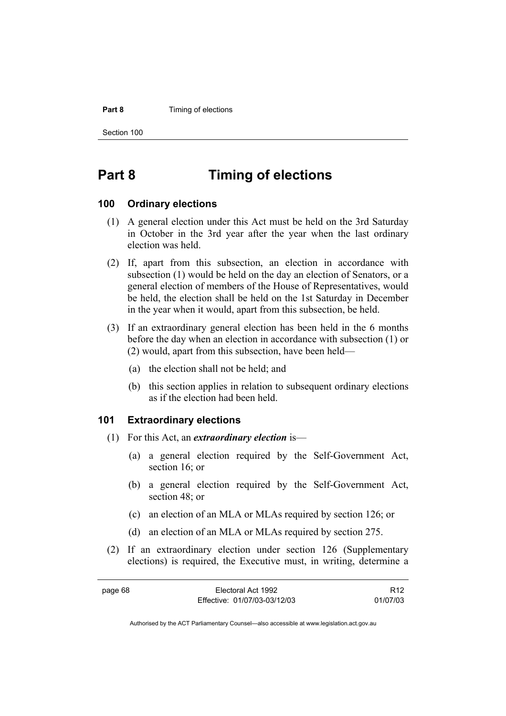#### **Part 8 Timing of elections**

Section 100

# **Part 8 Timing of elections**

## **100 Ordinary elections**

- (1) A general election under this Act must be held on the 3rd Saturday in October in the 3rd year after the year when the last ordinary election was held.
- (2) If, apart from this subsection, an election in accordance with subsection (1) would be held on the day an election of Senators, or a general election of members of the House of Representatives, would be held, the election shall be held on the 1st Saturday in December in the year when it would, apart from this subsection, be held.
- (3) If an extraordinary general election has been held in the 6 months before the day when an election in accordance with subsection (1) or (2) would, apart from this subsection, have been held—
	- (a) the election shall not be held; and
	- (b) this section applies in relation to subsequent ordinary elections as if the election had been held.

# **101 Extraordinary elections**

- (1) For this Act, an *extraordinary election* is—
	- (a) a general election required by the Self-Government Act, section 16; or
	- (b) a general election required by the Self-Government Act, section 48; or
	- (c) an election of an MLA or MLAs required by section 126; or
	- (d) an election of an MLA or MLAs required by section 275.
- (2) If an extraordinary election under section 126 (Supplementary elections) is required, the Executive must, in writing, determine a

| page 68 | Electoral Act 1992           | R <sub>12</sub> |
|---------|------------------------------|-----------------|
|         | Effective: 01/07/03-03/12/03 | 01/07/03        |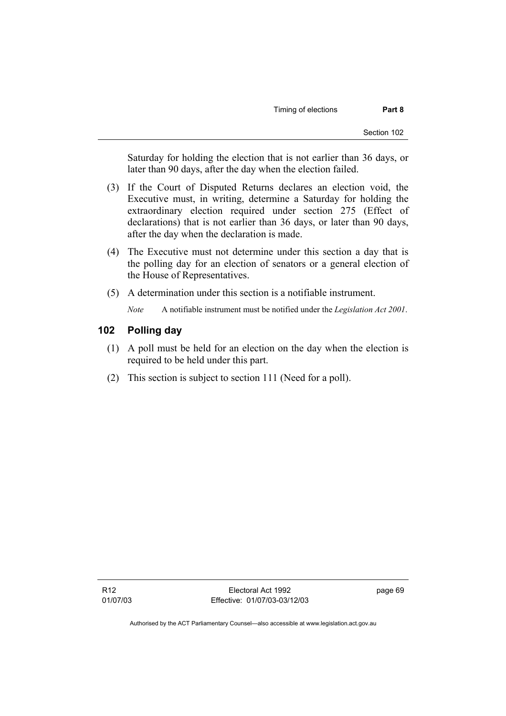Saturday for holding the election that is not earlier than 36 days, or later than 90 days, after the day when the election failed.

- (3) If the Court of Disputed Returns declares an election void, the Executive must, in writing, determine a Saturday for holding the extraordinary election required under section 275 (Effect of declarations) that is not earlier than 36 days, or later than 90 days, after the day when the declaration is made.
- (4) The Executive must not determine under this section a day that is the polling day for an election of senators or a general election of the House of Representatives.
- (5) A determination under this section is a notifiable instrument.

*Note* A notifiable instrument must be notified under the *Legislation Act 2001*.

# **102 Polling day**

- (1) A poll must be held for an election on the day when the election is required to be held under this part.
- (2) This section is subject to section 111 (Need for a poll).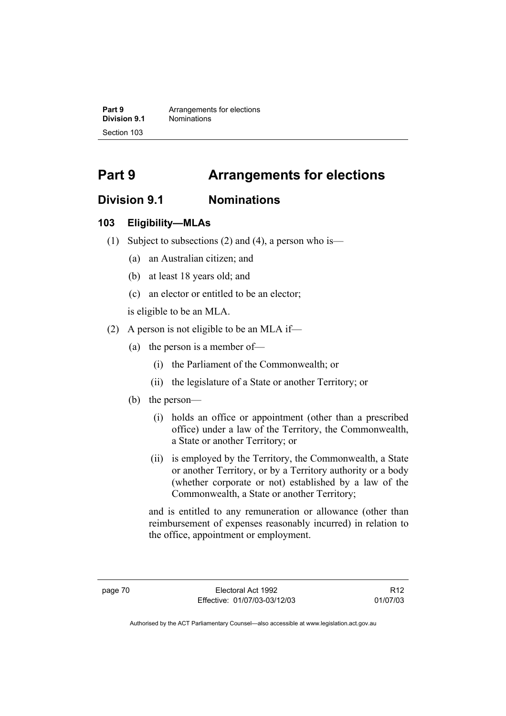**Part 9 Arrangements for elections**<br>**Division 9.1 Nominations Division 9.1** Nominations Section 103

# **Part 9 Arrangements for elections**

# **Division 9.1 Nominations**

# **103 Eligibility—MLAs**

- (1) Subject to subsections (2) and (4), a person who is—
	- (a) an Australian citizen; and
	- (b) at least 18 years old; and
	- (c) an elector or entitled to be an elector;

is eligible to be an MLA.

- (2) A person is not eligible to be an MLA if—
	- (a) the person is a member of—
		- (i) the Parliament of the Commonwealth; or
		- (ii) the legislature of a State or another Territory; or
	- (b) the person—
		- (i) holds an office or appointment (other than a prescribed office) under a law of the Territory, the Commonwealth, a State or another Territory; or
		- (ii) is employed by the Territory, the Commonwealth, a State or another Territory, or by a Territory authority or a body (whether corporate or not) established by a law of the Commonwealth, a State or another Territory;

and is entitled to any remuneration or allowance (other than reimbursement of expenses reasonably incurred) in relation to the office, appointment or employment.

R12 01/07/03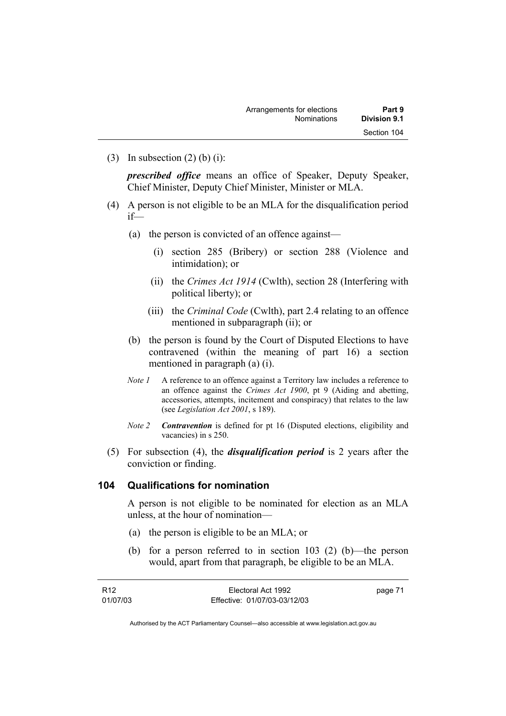(3) In subsection  $(2)$  (b) (i):

*prescribed office* means an office of Speaker, Deputy Speaker, Chief Minister, Deputy Chief Minister, Minister or MLA.

- (4) A person is not eligible to be an MLA for the disqualification period if—
	- (a) the person is convicted of an offence against—
		- (i) section 285 (Bribery) or section 288 (Violence and intimidation); or
		- (ii) the *Crimes Act 1914* (Cwlth), section 28 (Interfering with political liberty); or
		- (iii) the *Criminal Code* (Cwlth), part 2.4 relating to an offence mentioned in subparagraph (ii); or
	- (b) the person is found by the Court of Disputed Elections to have contravened (within the meaning of part 16) a section mentioned in paragraph (a) (i).
	- *Note 1* A reference to an offence against a Territory law includes a reference to an offence against the *Crimes Act 1900*, pt 9 (Aiding and abetting, accessories, attempts, incitement and conspiracy) that relates to the law (see *Legislation Act 2001*, s 189).
	- *Note 2 Contravention* is defined for pt 16 (Disputed elections, eligibility and vacancies) in s 250.
- (5) For subsection (4), the *disqualification period* is 2 years after the conviction or finding.

# **104 Qualifications for nomination**

A person is not eligible to be nominated for election as an MLA unless, at the hour of nomination—

- (a) the person is eligible to be an MLA; or
- (b) for a person referred to in section 103 (2) (b)—the person would, apart from that paragraph, be eligible to be an MLA.

| R12      | Electoral Act 1992           | page 71 |
|----------|------------------------------|---------|
| 01/07/03 | Effective: 01/07/03-03/12/03 |         |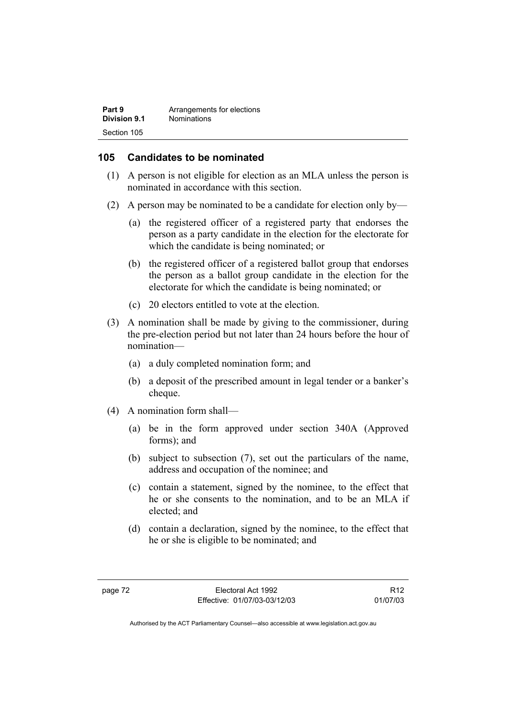| Part 9       | Arrangements for elections |
|--------------|----------------------------|
| Division 9.1 | <b>Nominations</b>         |
| Section 105  |                            |

# **105 Candidates to be nominated**

- (1) A person is not eligible for election as an MLA unless the person is nominated in accordance with this section.
- (2) A person may be nominated to be a candidate for election only by—
	- (a) the registered officer of a registered party that endorses the person as a party candidate in the election for the electorate for which the candidate is being nominated; or
	- (b) the registered officer of a registered ballot group that endorses the person as a ballot group candidate in the election for the electorate for which the candidate is being nominated; or
	- (c) 20 electors entitled to vote at the election.
- (3) A nomination shall be made by giving to the commissioner, during the pre-election period but not later than 24 hours before the hour of nomination—
	- (a) a duly completed nomination form; and
	- (b) a deposit of the prescribed amount in legal tender or a banker's cheque.
- (4) A nomination form shall—
	- (a) be in the form approved under section 340A (Approved forms); and
	- (b) subject to subsection (7), set out the particulars of the name, address and occupation of the nominee; and
	- (c) contain a statement, signed by the nominee, to the effect that he or she consents to the nomination, and to be an MLA if elected; and
	- (d) contain a declaration, signed by the nominee, to the effect that he or she is eligible to be nominated; and

R12 01/07/03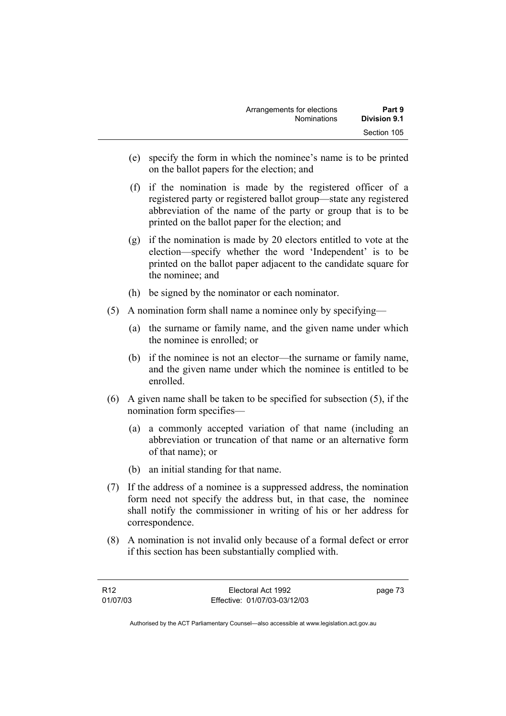| Arrangements for elections | Part 9       |
|----------------------------|--------------|
| <b>Nominations</b>         | Division 9.1 |
|                            | Section 105  |

- (e) specify the form in which the nominee's name is to be printed on the ballot papers for the election; and
- (f) if the nomination is made by the registered officer of a registered party or registered ballot group—state any registered abbreviation of the name of the party or group that is to be printed on the ballot paper for the election; and
- (g) if the nomination is made by 20 electors entitled to vote at the election—specify whether the word 'Independent' is to be printed on the ballot paper adjacent to the candidate square for the nominee; and
- (h) be signed by the nominator or each nominator.
- (5) A nomination form shall name a nominee only by specifying—
	- (a) the surname or family name, and the given name under which the nominee is enrolled; or
	- (b) if the nominee is not an elector—the surname or family name, and the given name under which the nominee is entitled to be enrolled.
- (6) A given name shall be taken to be specified for subsection (5), if the nomination form specifies—
	- (a) a commonly accepted variation of that name (including an abbreviation or truncation of that name or an alternative form of that name); or
	- (b) an initial standing for that name.
- (7) If the address of a nominee is a suppressed address, the nomination form need not specify the address but, in that case, the nominee shall notify the commissioner in writing of his or her address for correspondence.
- (8) A nomination is not invalid only because of a formal defect or error if this section has been substantially complied with.

| R12      | Electoral Act 1992           | page 73 |
|----------|------------------------------|---------|
| 01/07/03 | Effective: 01/07/03-03/12/03 |         |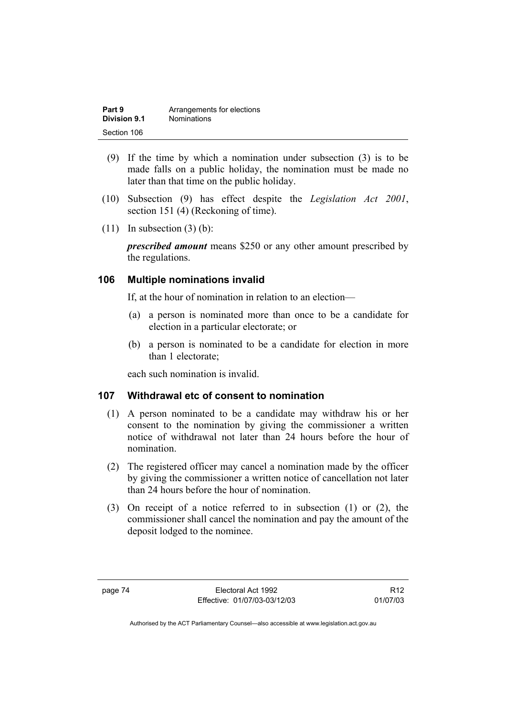| Part 9       | Arrangements for elections |
|--------------|----------------------------|
| Division 9.1 | <b>Nominations</b>         |
| Section 106  |                            |

- (9) If the time by which a nomination under subsection (3) is to be made falls on a public holiday, the nomination must be made no later than that time on the public holiday.
- (10) Subsection (9) has effect despite the *Legislation Act 2001*, section 151 (4) (Reckoning of time).
- $(11)$  In subsection  $(3)$  (b):

*prescribed amount* means \$250 or any other amount prescribed by the regulations.

# **106 Multiple nominations invalid**

If, at the hour of nomination in relation to an election—

- (a) a person is nominated more than once to be a candidate for election in a particular electorate; or
- (b) a person is nominated to be a candidate for election in more than 1 electorate;

each such nomination is invalid.

# **107 Withdrawal etc of consent to nomination**

- (1) A person nominated to be a candidate may withdraw his or her consent to the nomination by giving the commissioner a written notice of withdrawal not later than 24 hours before the hour of nomination.
- (2) The registered officer may cancel a nomination made by the officer by giving the commissioner a written notice of cancellation not later than 24 hours before the hour of nomination.
- (3) On receipt of a notice referred to in subsection (1) or (2), the commissioner shall cancel the nomination and pay the amount of the deposit lodged to the nominee.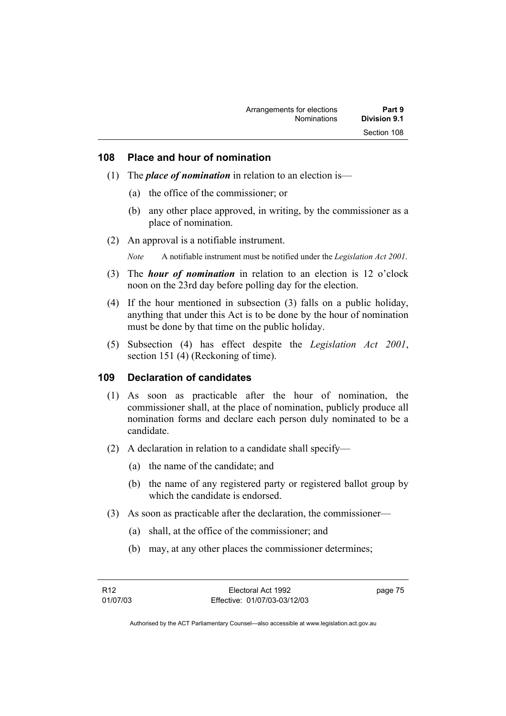# **108 Place and hour of nomination**

- (1) The *place of nomination* in relation to an election is—
	- (a) the office of the commissioner; or
	- (b) any other place approved, in writing, by the commissioner as a place of nomination.
- (2) An approval is a notifiable instrument.

*Note* A notifiable instrument must be notified under the *Legislation Act 2001*.

- (3) The *hour of nomination* in relation to an election is 12 o'clock noon on the 23rd day before polling day for the election.
- (4) If the hour mentioned in subsection (3) falls on a public holiday, anything that under this Act is to be done by the hour of nomination must be done by that time on the public holiday.
- (5) Subsection (4) has effect despite the *Legislation Act 2001*, section 151 (4) (Reckoning of time).

### **109 Declaration of candidates**

- (1) As soon as practicable after the hour of nomination, the commissioner shall, at the place of nomination, publicly produce all nomination forms and declare each person duly nominated to be a candidate.
- (2) A declaration in relation to a candidate shall specify—
	- (a) the name of the candidate; and
	- (b) the name of any registered party or registered ballot group by which the candidate is endorsed.
- (3) As soon as practicable after the declaration, the commissioner—
	- (a) shall, at the office of the commissioner; and
	- (b) may, at any other places the commissioner determines;

page 75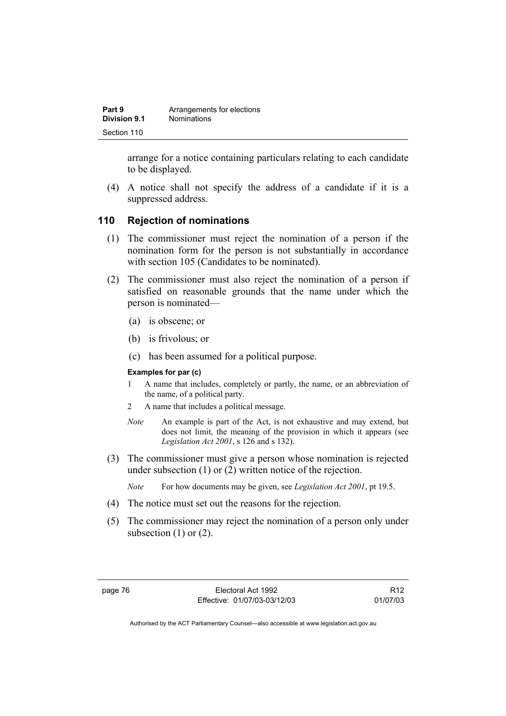| Part 9       | Arrangements for elections |
|--------------|----------------------------|
| Division 9.1 | <b>Nominations</b>         |
| Section 110  |                            |

arrange for a notice containing particulars relating to each candidate to be displayed.

 (4) A notice shall not specify the address of a candidate if it is a suppressed address.

### **110 Rejection of nominations**

- (1) The commissioner must reject the nomination of a person if the nomination form for the person is not substantially in accordance with section 105 (Candidates to be nominated).
- (2) The commissioner must also reject the nomination of a person if satisfied on reasonable grounds that the name under which the person is nominated—
	- (a) is obscene; or
	- (b) is frivolous; or
	- (c) has been assumed for a political purpose.

#### **Examples for par (c)**

- 1 A name that includes, completely or partly, the name, or an abbreviation of the name, of a political party.
- 2 A name that includes a political message.
- *Note* An example is part of the Act, is not exhaustive and may extend, but does not limit, the meaning of the provision in which it appears (see *Legislation Act 2001*, s 126 and s 132).
- (3) The commissioner must give a person whose nomination is rejected under subsection (1) or (2) written notice of the rejection.
	- *Note* For how documents may be given, see *Legislation Act 2001*, pt 19.5.
- (4) The notice must set out the reasons for the rejection.
- (5) The commissioner may reject the nomination of a person only under subsection  $(1)$  or  $(2)$ .

R12 01/07/03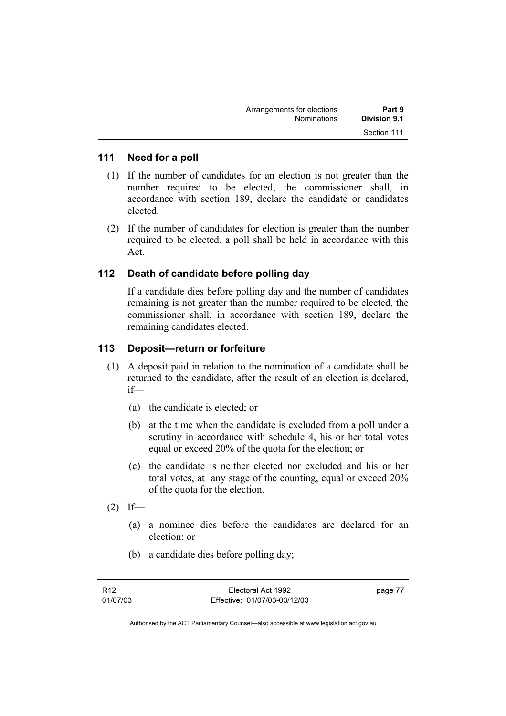| Arrangements for elections | Part 9       |
|----------------------------|--------------|
| <b>Nominations</b>         | Division 9.1 |
|                            | Section 111  |

# **111 Need for a poll**

- (1) If the number of candidates for an election is not greater than the number required to be elected, the commissioner shall, in accordance with section 189, declare the candidate or candidates elected.
- (2) If the number of candidates for election is greater than the number required to be elected, a poll shall be held in accordance with this Act.

# **112 Death of candidate before polling day**

If a candidate dies before polling day and the number of candidates remaining is not greater than the number required to be elected, the commissioner shall, in accordance with section 189, declare the remaining candidates elected.

# **113 Deposit—return or forfeiture**

- (1) A deposit paid in relation to the nomination of a candidate shall be returned to the candidate, after the result of an election is declared, if—
	- (a) the candidate is elected; or
	- (b) at the time when the candidate is excluded from a poll under a scrutiny in accordance with schedule 4, his or her total votes equal or exceed 20% of the quota for the election; or
	- (c) the candidate is neither elected nor excluded and his or her total votes, at any stage of the counting, equal or exceed 20% of the quota for the election.
- $(2)$  If—
	- (a) a nominee dies before the candidates are declared for an election; or
	- (b) a candidate dies before polling day;

page 77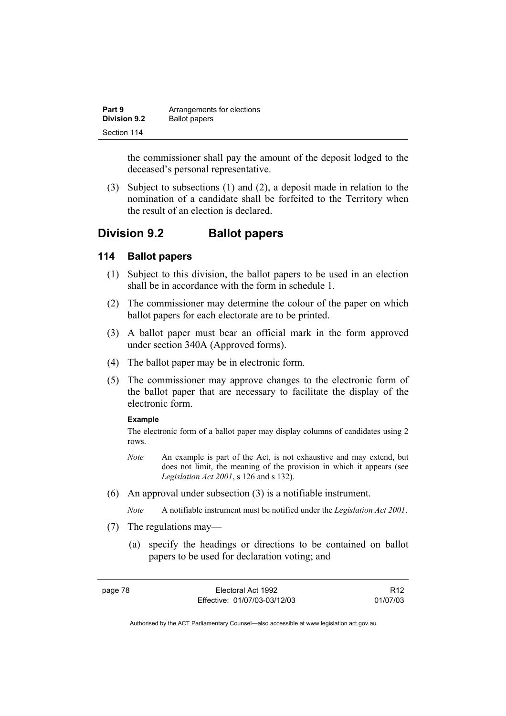| Part 9              | Arrangements for elections |
|---------------------|----------------------------|
| <b>Division 9.2</b> | <b>Ballot papers</b>       |
| Section 114         |                            |

the commissioner shall pay the amount of the deposit lodged to the deceased's personal representative.

 (3) Subject to subsections (1) and (2), a deposit made in relation to the nomination of a candidate shall be forfeited to the Territory when the result of an election is declared.

# **Division 9.2 Ballot papers**

# **114 Ballot papers**

- (1) Subject to this division, the ballot papers to be used in an election shall be in accordance with the form in schedule 1.
- (2) The commissioner may determine the colour of the paper on which ballot papers for each electorate are to be printed.
- (3) A ballot paper must bear an official mark in the form approved under section 340A (Approved forms).
- (4) The ballot paper may be in electronic form.
- (5) The commissioner may approve changes to the electronic form of the ballot paper that are necessary to facilitate the display of the electronic form.

#### **Example**

The electronic form of a ballot paper may display columns of candidates using 2 rows.

- *Note* An example is part of the Act, is not exhaustive and may extend, but does not limit, the meaning of the provision in which it appears (see *Legislation Act 2001*, s 126 and s 132).
- (6) An approval under subsection (3) is a notifiable instrument.

*Note* A notifiable instrument must be notified under the *Legislation Act 2001*.

- (7) The regulations may—
	- (a) specify the headings or directions to be contained on ballot papers to be used for declaration voting; and

| r |  |
|---|--|
|---|--|

R12 01/07/03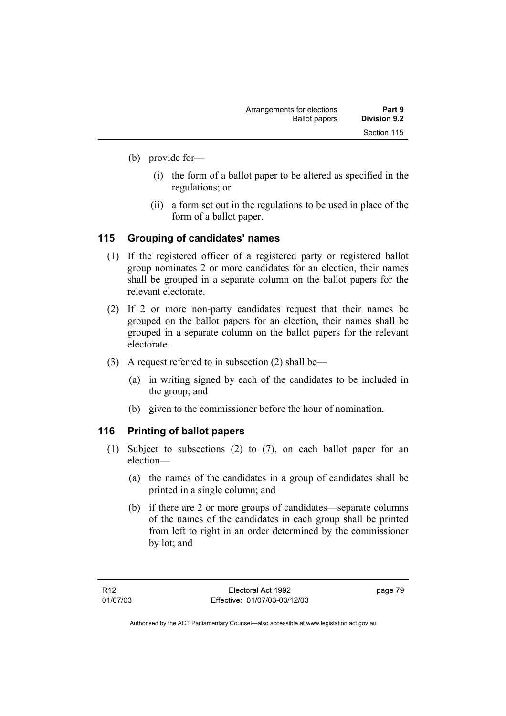- (b) provide for—
	- (i) the form of a ballot paper to be altered as specified in the regulations; or
	- (ii) a form set out in the regulations to be used in place of the form of a ballot paper.

# **115 Grouping of candidates' names**

- (1) If the registered officer of a registered party or registered ballot group nominates 2 or more candidates for an election, their names shall be grouped in a separate column on the ballot papers for the relevant electorate.
- (2) If 2 or more non-party candidates request that their names be grouped on the ballot papers for an election, their names shall be grouped in a separate column on the ballot papers for the relevant electorate.
- (3) A request referred to in subsection (2) shall be—
	- (a) in writing signed by each of the candidates to be included in the group; and
	- (b) given to the commissioner before the hour of nomination.

# **116 Printing of ballot papers**

- (1) Subject to subsections (2) to (7), on each ballot paper for an election—
	- (a) the names of the candidates in a group of candidates shall be printed in a single column; and
	- (b) if there are 2 or more groups of candidates—separate columns of the names of the candidates in each group shall be printed from left to right in an order determined by the commissioner by lot; and

page 79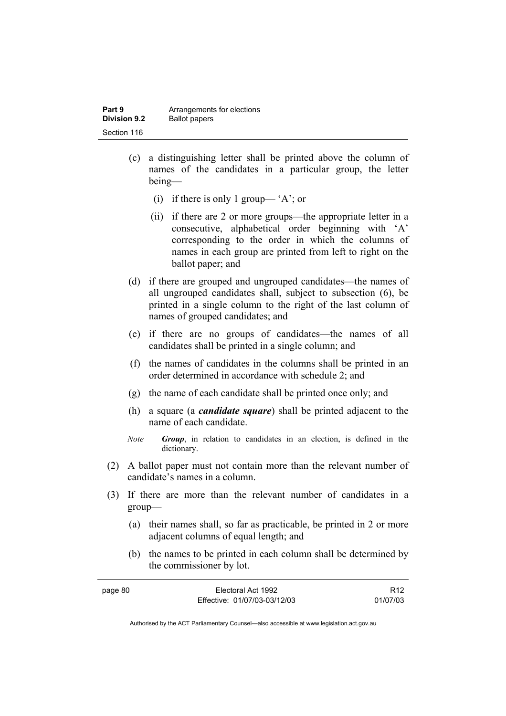| Part 9              | Arrangements for elections |
|---------------------|----------------------------|
| <b>Division 9.2</b> | <b>Ballot papers</b>       |
| Section 116         |                            |

- (c) a distinguishing letter shall be printed above the column of names of the candidates in a particular group, the letter being—
	- (i) if there is only 1 group— 'A'; or
	- (ii) if there are 2 or more groups—the appropriate letter in a consecutive, alphabetical order beginning with 'A' corresponding to the order in which the columns of names in each group are printed from left to right on the ballot paper; and
- (d) if there are grouped and ungrouped candidates—the names of all ungrouped candidates shall, subject to subsection (6), be printed in a single column to the right of the last column of names of grouped candidates; and
- (e) if there are no groups of candidates—the names of all candidates shall be printed in a single column; and
- (f) the names of candidates in the columns shall be printed in an order determined in accordance with schedule 2; and
- (g) the name of each candidate shall be printed once only; and
- (h) a square (a *candidate square*) shall be printed adjacent to the name of each candidate.
- *Note Group*, in relation to candidates in an election, is defined in the dictionary.
- (2) A ballot paper must not contain more than the relevant number of candidate's names in a column.
- (3) If there are more than the relevant number of candidates in a group—
	- (a) their names shall, so far as practicable, be printed in 2 or more adjacent columns of equal length; and
	- (b) the names to be printed in each column shall be determined by the commissioner by lot.

| page 80 | Electoral Act 1992           | R <sub>12</sub> |
|---------|------------------------------|-----------------|
|         | Effective: 01/07/03-03/12/03 | 01/07/03        |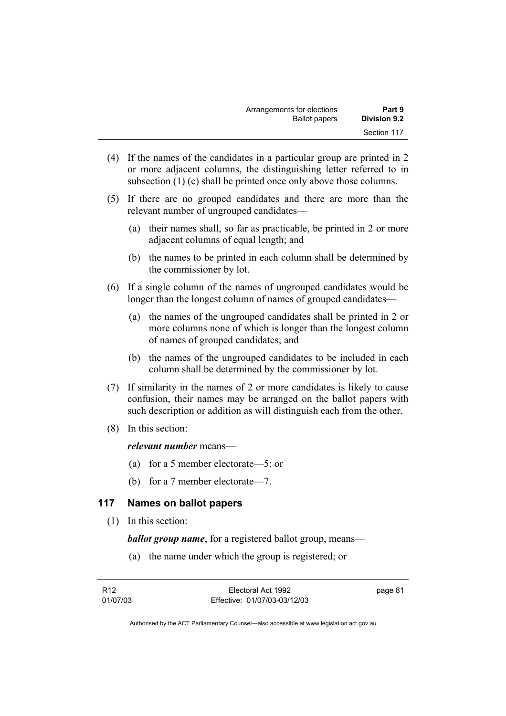| Part 9              | Arrangements for elections |
|---------------------|----------------------------|
| <b>Division 9.2</b> | <b>Ballot papers</b>       |
| Section 117         |                            |

- (4) If the names of the candidates in a particular group are printed in 2 or more adjacent columns, the distinguishing letter referred to in subsection (1) (c) shall be printed once only above those columns.
- (5) If there are no grouped candidates and there are more than the relevant number of ungrouped candidates—
	- (a) their names shall, so far as practicable, be printed in 2 or more adjacent columns of equal length; and
	- (b) the names to be printed in each column shall be determined by the commissioner by lot.
- (6) If a single column of the names of ungrouped candidates would be longer than the longest column of names of grouped candidates—
	- (a) the names of the ungrouped candidates shall be printed in 2 or more columns none of which is longer than the longest column of names of grouped candidates; and
	- (b) the names of the ungrouped candidates to be included in each column shall be determined by the commissioner by lot.
- (7) If similarity in the names of 2 or more candidates is likely to cause confusion, their names may be arranged on the ballot papers with such description or addition as will distinguish each from the other.
- (8) In this section:

#### *relevant number* means—

- (a) for a 5 member electorate—5; or
- (b) for a 7 member electorate—7.

# **117 Names on ballot papers**

(1) In this section:

*ballot group name*, for a registered ballot group, means—

(a) the name under which the group is registered; or

| R12      | Electoral Act 1992           | page 81 |
|----------|------------------------------|---------|
| 01/07/03 | Effective: 01/07/03-03/12/03 |         |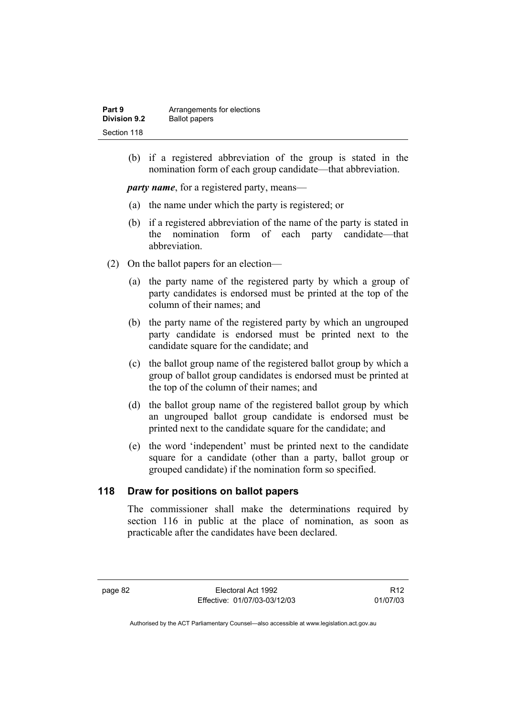| Part 9              | Arrangements for elections |
|---------------------|----------------------------|
| <b>Division 9.2</b> | <b>Ballot papers</b>       |
| Section 118         |                            |

 (b) if a registered abbreviation of the group is stated in the nomination form of each group candidate—that abbreviation.

*party name*, for a registered party, means—

- (a) the name under which the party is registered; or
- (b) if a registered abbreviation of the name of the party is stated in the nomination form of each party candidate—that abbreviation.
- (2) On the ballot papers for an election—
	- (a) the party name of the registered party by which a group of party candidates is endorsed must be printed at the top of the column of their names; and
	- (b) the party name of the registered party by which an ungrouped party candidate is endorsed must be printed next to the candidate square for the candidate; and
	- (c) the ballot group name of the registered ballot group by which a group of ballot group candidates is endorsed must be printed at the top of the column of their names; and
	- (d) the ballot group name of the registered ballot group by which an ungrouped ballot group candidate is endorsed must be printed next to the candidate square for the candidate; and
	- (e) the word 'independent' must be printed next to the candidate square for a candidate (other than a party, ballot group or grouped candidate) if the nomination form so specified.

# **118 Draw for positions on ballot papers**

The commissioner shall make the determinations required by section 116 in public at the place of nomination, as soon as practicable after the candidates have been declared.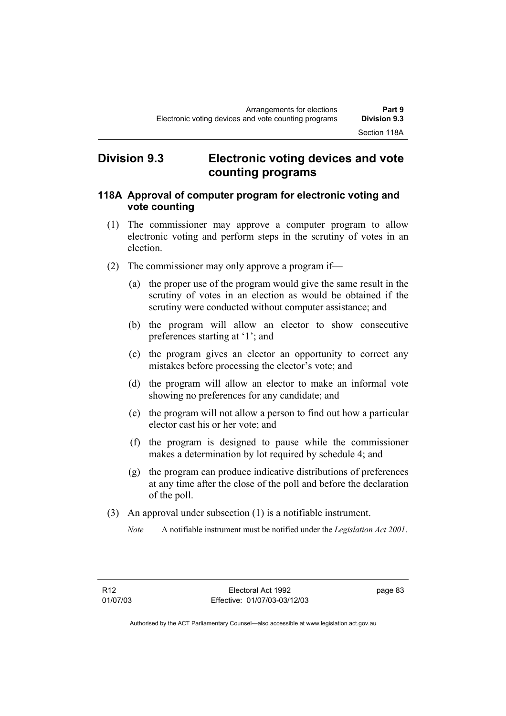# **Division 9.3 Electronic voting devices and vote counting programs**

# **118A Approval of computer program for electronic voting and vote counting**

- (1) The commissioner may approve a computer program to allow electronic voting and perform steps in the scrutiny of votes in an election.
- (2) The commissioner may only approve a program if—
	- (a) the proper use of the program would give the same result in the scrutiny of votes in an election as would be obtained if the scrutiny were conducted without computer assistance; and
	- (b) the program will allow an elector to show consecutive preferences starting at '1'; and
	- (c) the program gives an elector an opportunity to correct any mistakes before processing the elector's vote; and
	- (d) the program will allow an elector to make an informal vote showing no preferences for any candidate; and
	- (e) the program will not allow a person to find out how a particular elector cast his or her vote; and
	- (f) the program is designed to pause while the commissioner makes a determination by lot required by schedule 4; and
	- (g) the program can produce indicative distributions of preferences at any time after the close of the poll and before the declaration of the poll.
- (3) An approval under subsection (1) is a notifiable instrument.
	- *Note* A notifiable instrument must be notified under the *Legislation Act 2001*.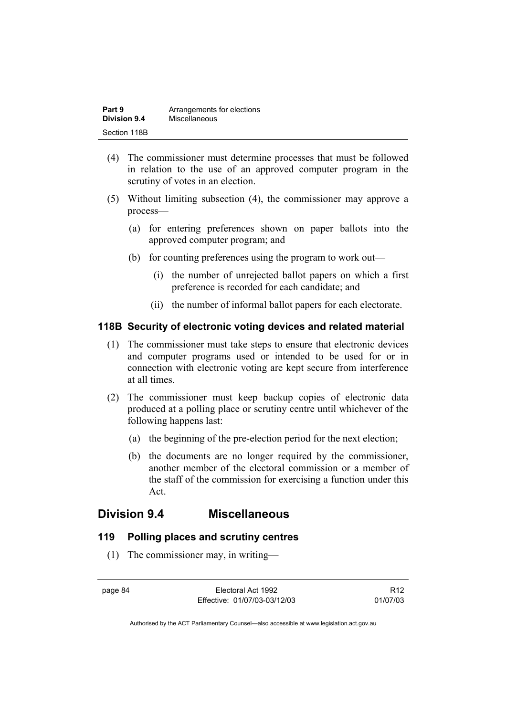| Part 9       | Arrangements for elections |
|--------------|----------------------------|
| Division 9.4 | Miscellaneous              |
| Section 118B |                            |

- (4) The commissioner must determine processes that must be followed in relation to the use of an approved computer program in the scrutiny of votes in an election.
- (5) Without limiting subsection (4), the commissioner may approve a process—
	- (a) for entering preferences shown on paper ballots into the approved computer program; and
	- (b) for counting preferences using the program to work out—
		- (i) the number of unrejected ballot papers on which a first preference is recorded for each candidate; and
		- (ii) the number of informal ballot papers for each electorate.

### **118B Security of electronic voting devices and related material**

- (1) The commissioner must take steps to ensure that electronic devices and computer programs used or intended to be used for or in connection with electronic voting are kept secure from interference at all times.
- (2) The commissioner must keep backup copies of electronic data produced at a polling place or scrutiny centre until whichever of the following happens last:
	- (a) the beginning of the pre-election period for the next election;
	- (b) the documents are no longer required by the commissioner, another member of the electoral commission or a member of the staff of the commission for exercising a function under this Act.

# **Division 9.4 Miscellaneous**

# **119 Polling places and scrutiny centres**

(1) The commissioner may, in writing—

page 84 Electoral Act 1992 Effective: 01/07/03-03/12/03

R12 01/07/03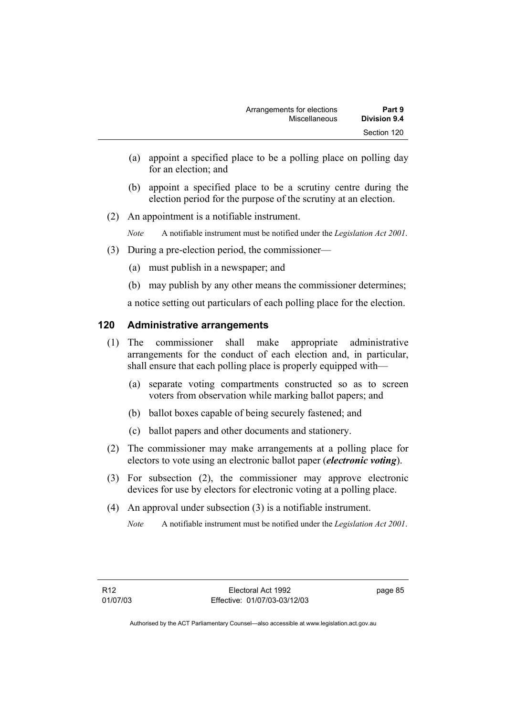- (a) appoint a specified place to be a polling place on polling day for an election; and
- (b) appoint a specified place to be a scrutiny centre during the election period for the purpose of the scrutiny at an election.
- (2) An appointment is a notifiable instrument.

*Note* A notifiable instrument must be notified under the *Legislation Act 2001*.

- (3) During a pre-election period, the commissioner—
	- (a) must publish in a newspaper; and
	- (b) may publish by any other means the commissioner determines;

a notice setting out particulars of each polling place for the election.

# **120 Administrative arrangements**

- (1) The commissioner shall make appropriate administrative arrangements for the conduct of each election and, in particular, shall ensure that each polling place is properly equipped with—
	- (a) separate voting compartments constructed so as to screen voters from observation while marking ballot papers; and
	- (b) ballot boxes capable of being securely fastened; and
	- (c) ballot papers and other documents and stationery.
- (2) The commissioner may make arrangements at a polling place for electors to vote using an electronic ballot paper (*electronic voting*).
- (3) For subsection (2), the commissioner may approve electronic devices for use by electors for electronic voting at a polling place.
- (4) An approval under subsection (3) is a notifiable instrument.

*Note* A notifiable instrument must be notified under the *Legislation Act 2001*.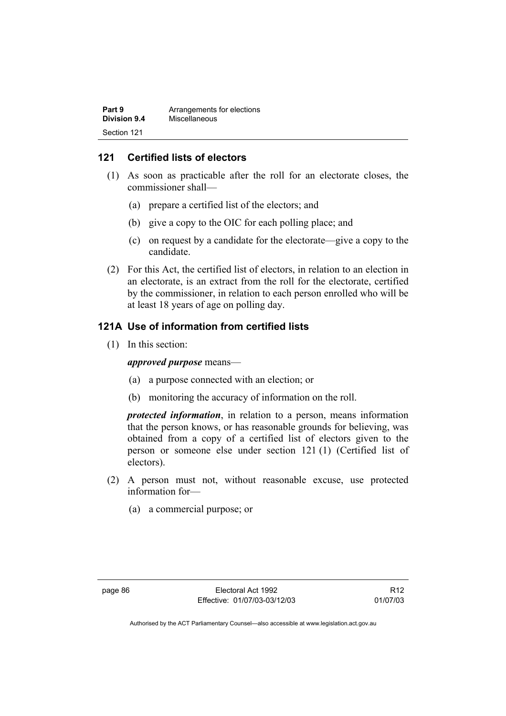| Part 9       | Arrangements for elections |
|--------------|----------------------------|
| Division 9.4 | Miscellaneous              |
| Section 121  |                            |

# **121 Certified lists of electors**

- (1) As soon as practicable after the roll for an electorate closes, the commissioner shall—
	- (a) prepare a certified list of the electors; and
	- (b) give a copy to the OIC for each polling place; and
	- (c) on request by a candidate for the electorate—give a copy to the candidate.
- (2) For this Act, the certified list of electors, in relation to an election in an electorate, is an extract from the roll for the electorate, certified by the commissioner, in relation to each person enrolled who will be at least 18 years of age on polling day.

# **121A Use of information from certified lists**

(1) In this section:

*approved purpose* means—

- (a) a purpose connected with an election; or
- (b) monitoring the accuracy of information on the roll.

*protected information*, in relation to a person, means information that the person knows, or has reasonable grounds for believing, was obtained from a copy of a certified list of electors given to the person or someone else under section 121 (1) (Certified list of electors).

- (2) A person must not, without reasonable excuse, use protected information for—
	- (a) a commercial purpose; or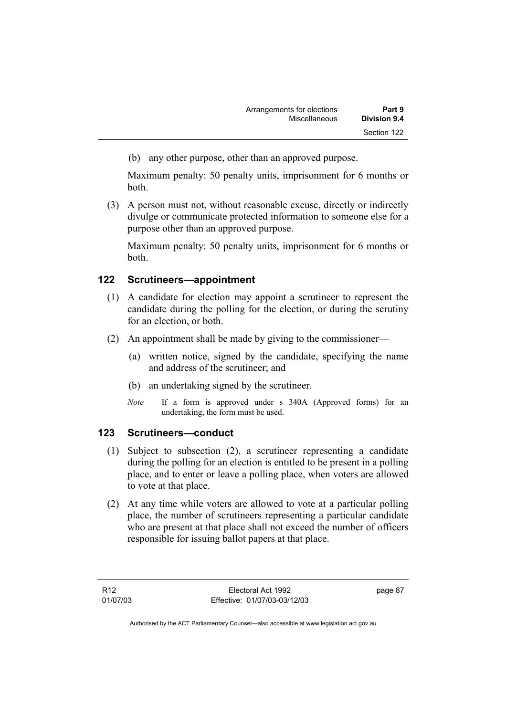(b) any other purpose, other than an approved purpose.

Maximum penalty: 50 penalty units, imprisonment for 6 months or both.

 (3) A person must not, without reasonable excuse, directly or indirectly divulge or communicate protected information to someone else for a purpose other than an approved purpose.

Maximum penalty: 50 penalty units, imprisonment for 6 months or both.

# **122 Scrutineers—appointment**

- (1) A candidate for election may appoint a scrutineer to represent the candidate during the polling for the election, or during the scrutiny for an election, or both.
- (2) An appointment shall be made by giving to the commissioner—
	- (a) written notice, signed by the candidate, specifying the name and address of the scrutineer; and
	- (b) an undertaking signed by the scrutineer.
	- *Note* If a form is approved under s 340A (Approved forms) for an undertaking, the form must be used.

# **123 Scrutineers—conduct**

- (1) Subject to subsection (2), a scrutineer representing a candidate during the polling for an election is entitled to be present in a polling place, and to enter or leave a polling place, when voters are allowed to vote at that place.
- (2) At any time while voters are allowed to vote at a particular polling place, the number of scrutineers representing a particular candidate who are present at that place shall not exceed the number of officers responsible for issuing ballot papers at that place.

page 87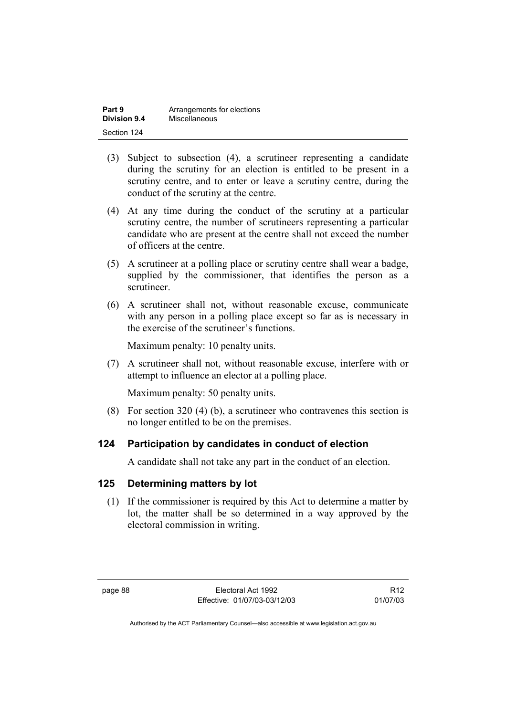| Part 9              | Arrangements for elections |
|---------------------|----------------------------|
| <b>Division 9.4</b> | Miscellaneous              |
| Section 124         |                            |

- (3) Subject to subsection (4), a scrutineer representing a candidate during the scrutiny for an election is entitled to be present in a scrutiny centre, and to enter or leave a scrutiny centre, during the conduct of the scrutiny at the centre.
- (4) At any time during the conduct of the scrutiny at a particular scrutiny centre, the number of scrutineers representing a particular candidate who are present at the centre shall not exceed the number of officers at the centre.
- (5) A scrutineer at a polling place or scrutiny centre shall wear a badge, supplied by the commissioner, that identifies the person as a scrutineer.
- (6) A scrutineer shall not, without reasonable excuse, communicate with any person in a polling place except so far as is necessary in the exercise of the scrutineer's functions.

Maximum penalty: 10 penalty units.

 (7) A scrutineer shall not, without reasonable excuse, interfere with or attempt to influence an elector at a polling place.

Maximum penalty: 50 penalty units.

 (8) For section 320 (4) (b), a scrutineer who contravenes this section is no longer entitled to be on the premises.

# **124 Participation by candidates in conduct of election**

A candidate shall not take any part in the conduct of an election.

# **125 Determining matters by lot**

 (1) If the commissioner is required by this Act to determine a matter by lot, the matter shall be so determined in a way approved by the electoral commission in writing.

R12 01/07/03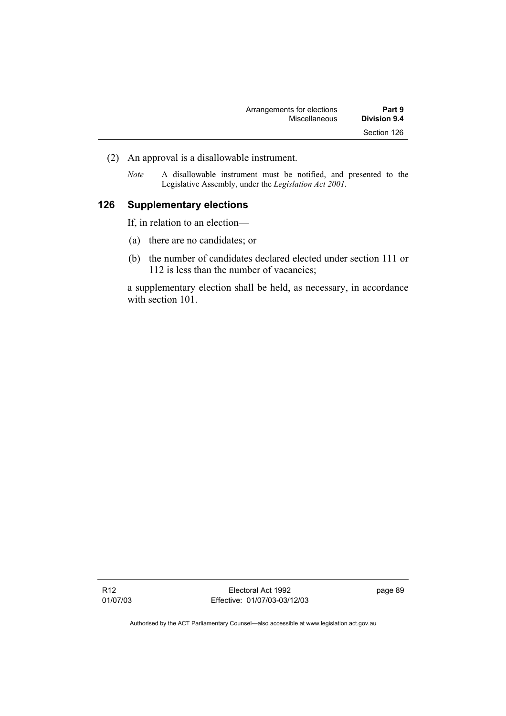| Arrangements for elections | Part 9       |
|----------------------------|--------------|
| Miscellaneous              | Division 9.4 |
|                            | Section 126  |

- (2) An approval is a disallowable instrument.
	- *Note* A disallowable instrument must be notified, and presented to the Legislative Assembly, under the *Legislation Act 2001*.

# **126 Supplementary elections**

If, in relation to an election—

- (a) there are no candidates; or
- (b) the number of candidates declared elected under section 111 or 112 is less than the number of vacancies;

a supplementary election shall be held, as necessary, in accordance with section 101.

page 89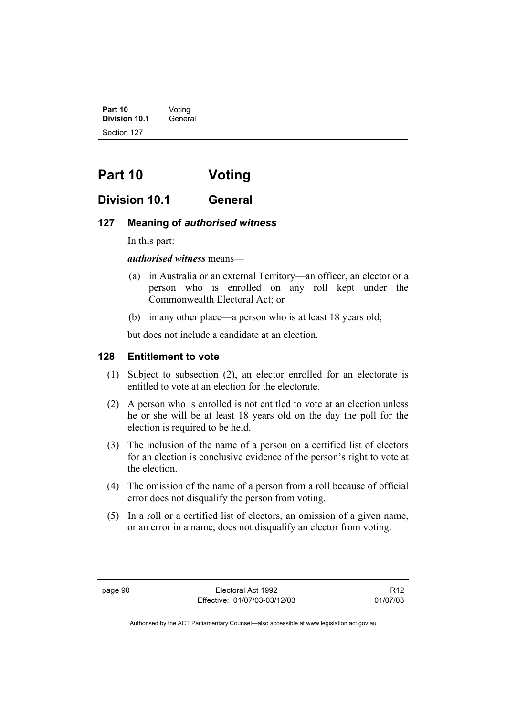**Part 10** Voting<br>**Division 10.1** General **Division 10.1** Section 127

# **Part 10 Voting**

# **Division 10.1 General**

## **127 Meaning of** *authorised witness*

In this part:

*authorised witness* means—

- (a) in Australia or an external Territory—an officer, an elector or a person who is enrolled on any roll kept under the Commonwealth Electoral Act; or
- (b) in any other place—a person who is at least 18 years old;

but does not include a candidate at an election.

# **128 Entitlement to vote**

- (1) Subject to subsection (2), an elector enrolled for an electorate is entitled to vote at an election for the electorate.
- (2) A person who is enrolled is not entitled to vote at an election unless he or she will be at least 18 years old on the day the poll for the election is required to be held.
- (3) The inclusion of the name of a person on a certified list of electors for an election is conclusive evidence of the person's right to vote at the election.
- (4) The omission of the name of a person from a roll because of official error does not disqualify the person from voting.
- (5) In a roll or a certified list of electors, an omission of a given name, or an error in a name, does not disqualify an elector from voting.

R12 01/07/03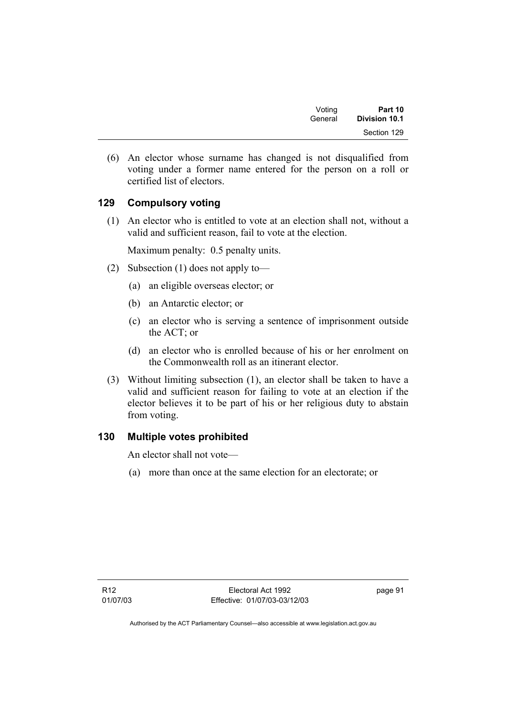| Voting  | Part 10       |  |
|---------|---------------|--|
| General | Division 10.1 |  |
|         | Section 129   |  |

 (6) An elector whose surname has changed is not disqualified from voting under a former name entered for the person on a roll or certified list of electors.

# **129 Compulsory voting**

 (1) An elector who is entitled to vote at an election shall not, without a valid and sufficient reason, fail to vote at the election.

Maximum penalty: 0.5 penalty units.

- (2) Subsection (1) does not apply to—
	- (a) an eligible overseas elector; or
	- (b) an Antarctic elector; or
	- (c) an elector who is serving a sentence of imprisonment outside the ACT; or
	- (d) an elector who is enrolled because of his or her enrolment on the Commonwealth roll as an itinerant elector.
- (3) Without limiting subsection (1), an elector shall be taken to have a valid and sufficient reason for failing to vote at an election if the elector believes it to be part of his or her religious duty to abstain from voting.

# **130 Multiple votes prohibited**

An elector shall not vote—

(a) more than once at the same election for an electorate; or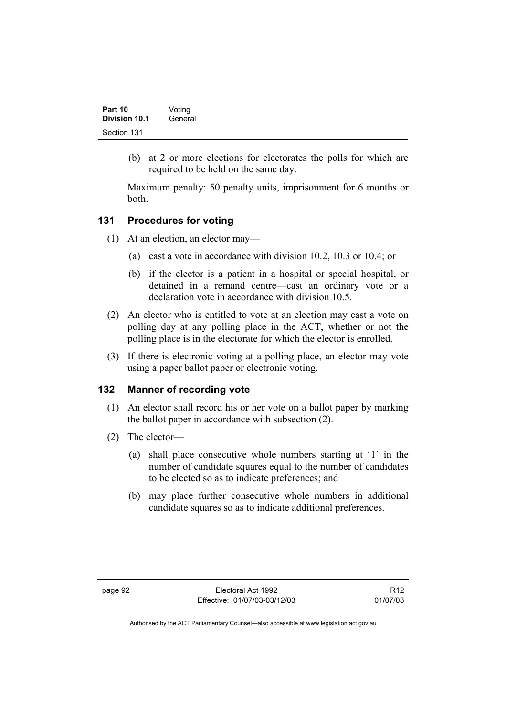| Part 10       | Voting  |  |
|---------------|---------|--|
| Division 10.1 | General |  |
| Section 131   |         |  |

 (b) at 2 or more elections for electorates the polls for which are required to be held on the same day.

Maximum penalty: 50 penalty units, imprisonment for 6 months or both.

# **131 Procedures for voting**

- (1) At an election, an elector may—
	- (a) cast a vote in accordance with division 10.2, 10.3 or 10.4; or
	- (b) if the elector is a patient in a hospital or special hospital, or detained in a remand centre—cast an ordinary vote or a declaration vote in accordance with division 10.5.
- (2) An elector who is entitled to vote at an election may cast a vote on polling day at any polling place in the ACT, whether or not the polling place is in the electorate for which the elector is enrolled.
- (3) If there is electronic voting at a polling place, an elector may vote using a paper ballot paper or electronic voting.

## **132 Manner of recording vote**

- (1) An elector shall record his or her vote on a ballot paper by marking the ballot paper in accordance with subsection (2).
- (2) The elector—
	- (a) shall place consecutive whole numbers starting at '1' in the number of candidate squares equal to the number of candidates to be elected so as to indicate preferences; and
	- (b) may place further consecutive whole numbers in additional candidate squares so as to indicate additional preferences.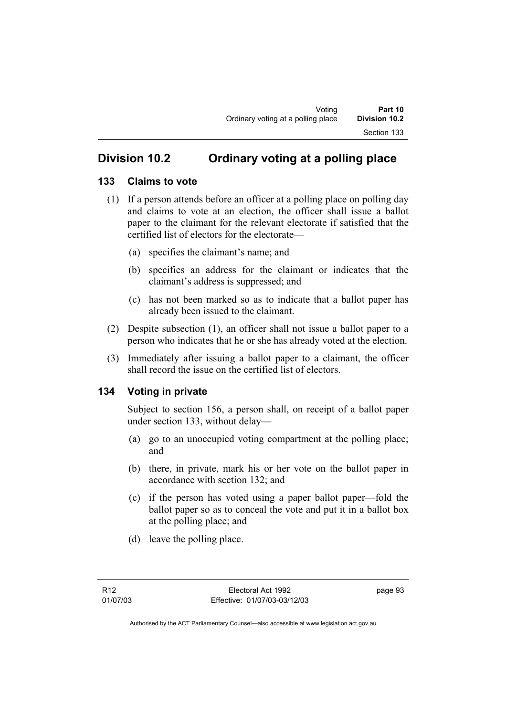# **Division 10.2 Ordinary voting at a polling place**

# **133 Claims to vote**

- (1) If a person attends before an officer at a polling place on polling day and claims to vote at an election, the officer shall issue a ballot paper to the claimant for the relevant electorate if satisfied that the certified list of electors for the electorate—
	- (a) specifies the claimant's name; and
	- (b) specifies an address for the claimant or indicates that the claimant's address is suppressed; and
	- (c) has not been marked so as to indicate that a ballot paper has already been issued to the claimant.
- (2) Despite subsection (1), an officer shall not issue a ballot paper to a person who indicates that he or she has already voted at the election.
- (3) Immediately after issuing a ballot paper to a claimant, the officer shall record the issue on the certified list of electors.

# **134 Voting in private**

Subject to section 156, a person shall, on receipt of a ballot paper under section 133, without delay—

- (a) go to an unoccupied voting compartment at the polling place; and
- (b) there, in private, mark his or her vote on the ballot paper in accordance with section 132; and
- (c) if the person has voted using a paper ballot paper—fold the ballot paper so as to conceal the vote and put it in a ballot box at the polling place; and
- (d) leave the polling place.

page 93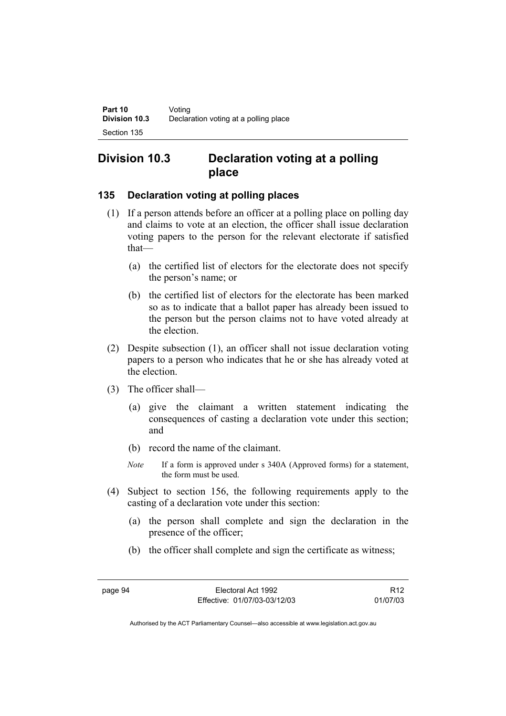# **Division 10.3 Declaration voting at a polling place**

# **135 Declaration voting at polling places**

- (1) If a person attends before an officer at a polling place on polling day and claims to vote at an election, the officer shall issue declaration voting papers to the person for the relevant electorate if satisfied that—
	- (a) the certified list of electors for the electorate does not specify the person's name; or
	- (b) the certified list of electors for the electorate has been marked so as to indicate that a ballot paper has already been issued to the person but the person claims not to have voted already at the election.
- (2) Despite subsection (1), an officer shall not issue declaration voting papers to a person who indicates that he or she has already voted at the election.
- (3) The officer shall—
	- (a) give the claimant a written statement indicating the consequences of casting a declaration vote under this section; and
	- (b) record the name of the claimant.
	- *Note* If a form is approved under s 340A (Approved forms) for a statement, the form must be used.
- (4) Subject to section 156, the following requirements apply to the casting of a declaration vote under this section:
	- (a) the person shall complete and sign the declaration in the presence of the officer;
	- (b) the officer shall complete and sign the certificate as witness;

R12 01/07/03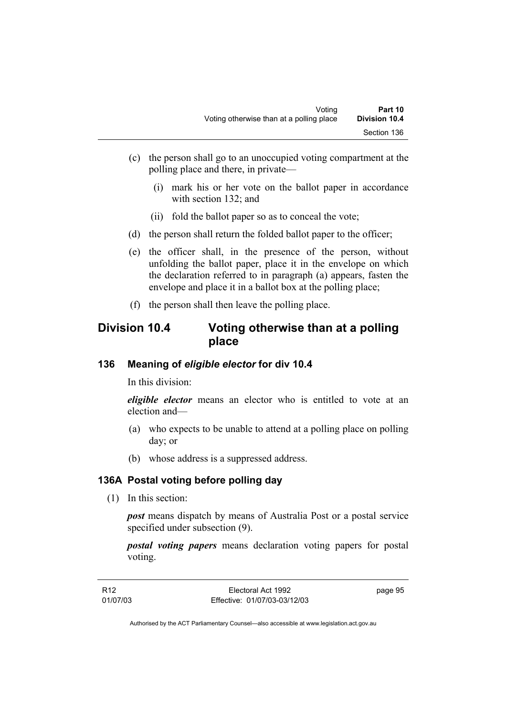- (c) the person shall go to an unoccupied voting compartment at the polling place and there, in private—
	- (i) mark his or her vote on the ballot paper in accordance with section 132; and
	- (ii) fold the ballot paper so as to conceal the vote;
- (d) the person shall return the folded ballot paper to the officer;
- (e) the officer shall, in the presence of the person, without unfolding the ballot paper, place it in the envelope on which the declaration referred to in paragraph (a) appears, fasten the envelope and place it in a ballot box at the polling place;
- (f) the person shall then leave the polling place.

# **Division 10.4 Voting otherwise than at a polling place**

#### **136 Meaning of** *eligible elector* **for div 10.4**

In this division:

*eligible elector* means an elector who is entitled to vote at an election and—

- (a) who expects to be unable to attend at a polling place on polling day; or
- (b) whose address is a suppressed address.

# **136A Postal voting before polling day**

(1) In this section:

*post* means dispatch by means of Australia Post or a postal service specified under subsection (9).

*postal voting papers* means declaration voting papers for postal voting.

| R12      | Electoral Act 1992           | page 95 |
|----------|------------------------------|---------|
| 01/07/03 | Effective: 01/07/03-03/12/03 |         |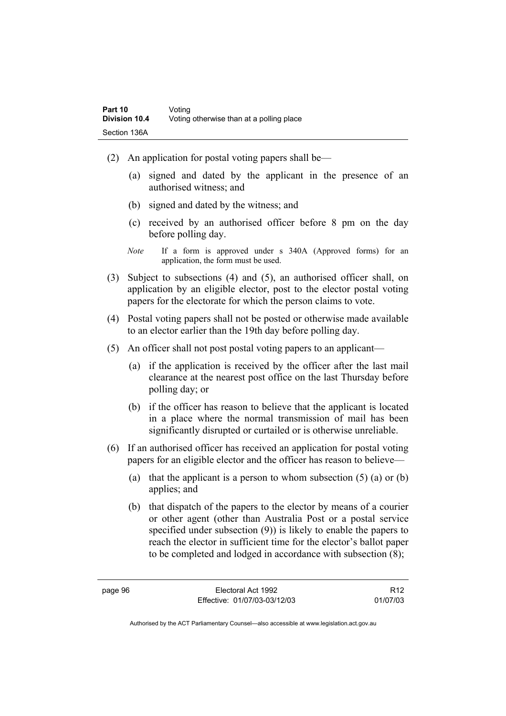- (2) An application for postal voting papers shall be—
	- (a) signed and dated by the applicant in the presence of an authorised witness; and
	- (b) signed and dated by the witness; and
	- (c) received by an authorised officer before 8 pm on the day before polling day.
	- *Note* If a form is approved under s 340A (Approved forms) for an application, the form must be used.
- (3) Subject to subsections (4) and (5), an authorised officer shall, on application by an eligible elector, post to the elector postal voting papers for the electorate for which the person claims to vote.
- (4) Postal voting papers shall not be posted or otherwise made available to an elector earlier than the 19th day before polling day.
- (5) An officer shall not post postal voting papers to an applicant—
	- (a) if the application is received by the officer after the last mail clearance at the nearest post office on the last Thursday before polling day; or
	- (b) if the officer has reason to believe that the applicant is located in a place where the normal transmission of mail has been significantly disrupted or curtailed or is otherwise unreliable.
- (6) If an authorised officer has received an application for postal voting papers for an eligible elector and the officer has reason to believe—
	- (a) that the applicant is a person to whom subsection  $(5)$  (a) or  $(b)$ applies; and
	- (b) that dispatch of the papers to the elector by means of a courier or other agent (other than Australia Post or a postal service specified under subsection (9)) is likely to enable the papers to reach the elector in sufficient time for the elector's ballot paper to be completed and lodged in accordance with subsection (8);

R12 01/07/03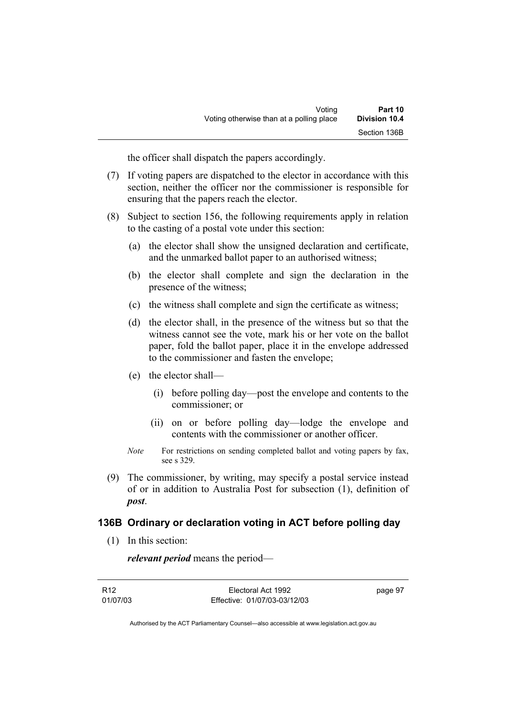the officer shall dispatch the papers accordingly.

- (7) If voting papers are dispatched to the elector in accordance with this section, neither the officer nor the commissioner is responsible for ensuring that the papers reach the elector.
- (8) Subject to section 156, the following requirements apply in relation to the casting of a postal vote under this section:
	- (a) the elector shall show the unsigned declaration and certificate, and the unmarked ballot paper to an authorised witness;
	- (b) the elector shall complete and sign the declaration in the presence of the witness;
	- (c) the witness shall complete and sign the certificate as witness;
	- (d) the elector shall, in the presence of the witness but so that the witness cannot see the vote, mark his or her vote on the ballot paper, fold the ballot paper, place it in the envelope addressed to the commissioner and fasten the envelope;
	- (e) the elector shall—
		- (i) before polling day—post the envelope and contents to the commissioner; or
		- (ii) on or before polling day—lodge the envelope and contents with the commissioner or another officer.
	- *Note* For restrictions on sending completed ballot and voting papers by fax, see s 329.
- (9) The commissioner, by writing, may specify a postal service instead of or in addition to Australia Post for subsection (1), definition of *post*.

#### **136B Ordinary or declaration voting in ACT before polling day**

(1) In this section:

*relevant period* means the period—

| R12      | Electoral Act 1992           | page 97 |
|----------|------------------------------|---------|
| 01/07/03 | Effective: 01/07/03-03/12/03 |         |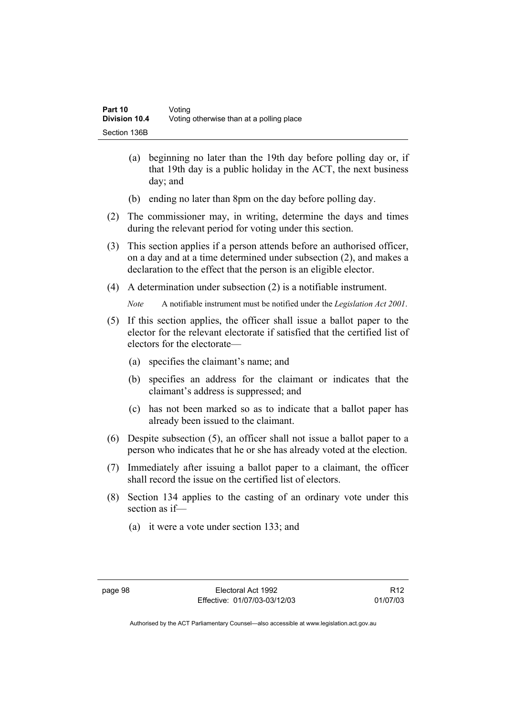- (a) beginning no later than the 19th day before polling day or, if that 19th day is a public holiday in the ACT, the next business day; and
- (b) ending no later than 8pm on the day before polling day.
- (2) The commissioner may, in writing, determine the days and times during the relevant period for voting under this section.
- (3) This section applies if a person attends before an authorised officer, on a day and at a time determined under subsection (2), and makes a declaration to the effect that the person is an eligible elector.
- (4) A determination under subsection (2) is a notifiable instrument.

*Note* A notifiable instrument must be notified under the *Legislation Act 2001*.

- (5) If this section applies, the officer shall issue a ballot paper to the elector for the relevant electorate if satisfied that the certified list of electors for the electorate—
	- (a) specifies the claimant's name; and
	- (b) specifies an address for the claimant or indicates that the claimant's address is suppressed; and
	- (c) has not been marked so as to indicate that a ballot paper has already been issued to the claimant.
- (6) Despite subsection (5), an officer shall not issue a ballot paper to a person who indicates that he or she has already voted at the election.
- (7) Immediately after issuing a ballot paper to a claimant, the officer shall record the issue on the certified list of electors.
- (8) Section 134 applies to the casting of an ordinary vote under this section as if—
	- (a) it were a vote under section 133; and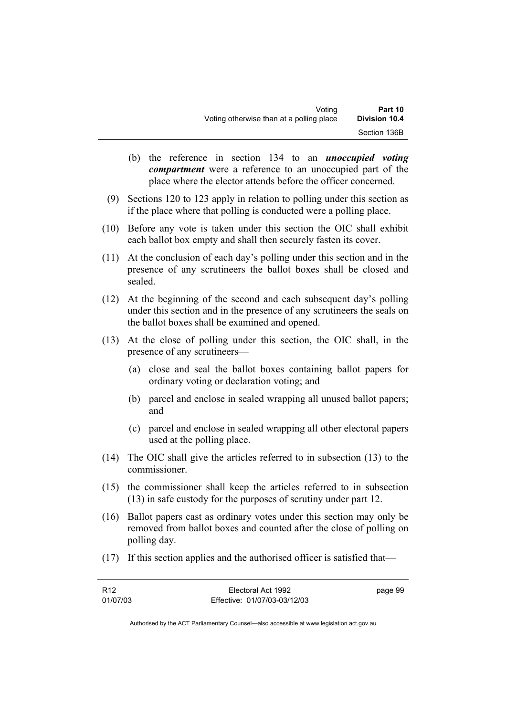- (b) the reference in section 134 to an *unoccupied voting compartment* were a reference to an unoccupied part of the place where the elector attends before the officer concerned.
- (9) Sections 120 to 123 apply in relation to polling under this section as if the place where that polling is conducted were a polling place.
- (10) Before any vote is taken under this section the OIC shall exhibit each ballot box empty and shall then securely fasten its cover.
- (11) At the conclusion of each day's polling under this section and in the presence of any scrutineers the ballot boxes shall be closed and sealed.
- (12) At the beginning of the second and each subsequent day's polling under this section and in the presence of any scrutineers the seals on the ballot boxes shall be examined and opened.
- (13) At the close of polling under this section, the OIC shall, in the presence of any scrutineers—
	- (a) close and seal the ballot boxes containing ballot papers for ordinary voting or declaration voting; and
	- (b) parcel and enclose in sealed wrapping all unused ballot papers; and
	- (c) parcel and enclose in sealed wrapping all other electoral papers used at the polling place.
- (14) The OIC shall give the articles referred to in subsection (13) to the commissioner.
- (15) the commissioner shall keep the articles referred to in subsection (13) in safe custody for the purposes of scrutiny under part 12.
- (16) Ballot papers cast as ordinary votes under this section may only be removed from ballot boxes and counted after the close of polling on polling day.
- (17) If this section applies and the authorised officer is satisfied that—

| R <sub>12</sub> | Electoral Act 1992           | page 99 |
|-----------------|------------------------------|---------|
| 01/07/03        | Effective: 01/07/03-03/12/03 |         |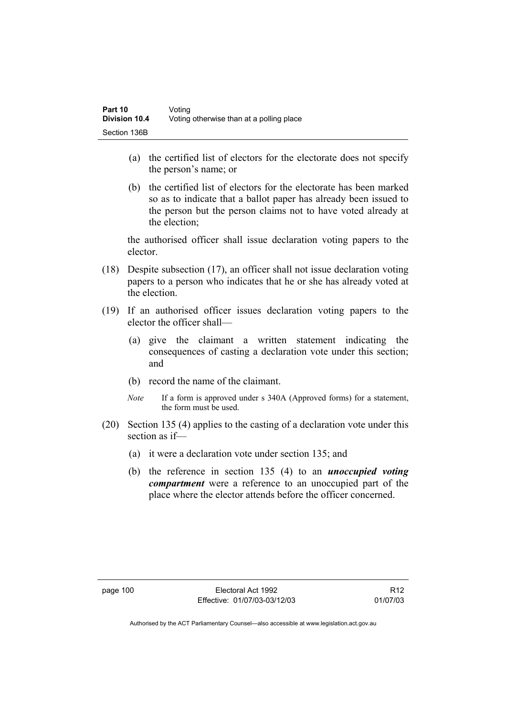- (a) the certified list of electors for the electorate does not specify the person's name; or
- (b) the certified list of electors for the electorate has been marked so as to indicate that a ballot paper has already been issued to the person but the person claims not to have voted already at the election;

the authorised officer shall issue declaration voting papers to the elector.

- (18) Despite subsection (17), an officer shall not issue declaration voting papers to a person who indicates that he or she has already voted at the election.
- (19) If an authorised officer issues declaration voting papers to the elector the officer shall—
	- (a) give the claimant a written statement indicating the consequences of casting a declaration vote under this section; and
	- (b) record the name of the claimant.
	- *Note* If a form is approved under s 340A (Approved forms) for a statement, the form must be used.
- (20) Section 135 (4) applies to the casting of a declaration vote under this section as if—
	- (a) it were a declaration vote under section 135; and
	- (b) the reference in section 135 (4) to an *unoccupied voting compartment* were a reference to an unoccupied part of the place where the elector attends before the officer concerned.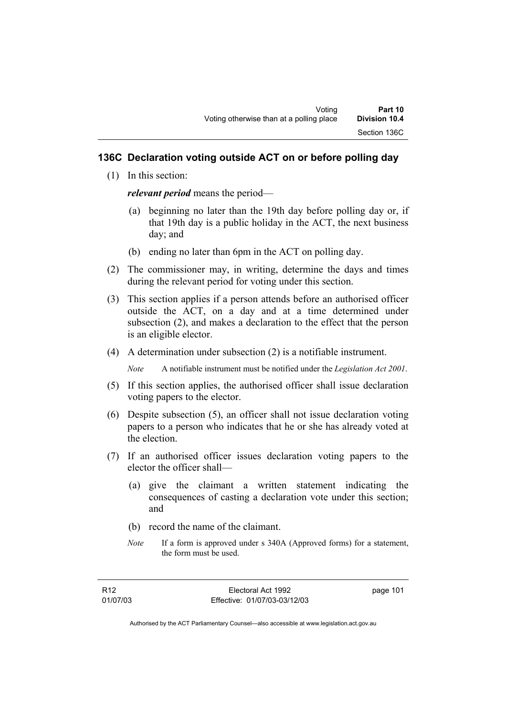# **136C Declaration voting outside ACT on or before polling day**

(1) In this section:

*relevant period* means the period—

- (a) beginning no later than the 19th day before polling day or, if that 19th day is a public holiday in the ACT, the next business day; and
- (b) ending no later than 6pm in the ACT on polling day.
- (2) The commissioner may, in writing, determine the days and times during the relevant period for voting under this section.
- (3) This section applies if a person attends before an authorised officer outside the ACT, on a day and at a time determined under subsection (2), and makes a declaration to the effect that the person is an eligible elector.
- (4) A determination under subsection (2) is a notifiable instrument.

*Note* A notifiable instrument must be notified under the *Legislation Act 2001*.

- (5) If this section applies, the authorised officer shall issue declaration voting papers to the elector.
- (6) Despite subsection (5), an officer shall not issue declaration voting papers to a person who indicates that he or she has already voted at the election.
- (7) If an authorised officer issues declaration voting papers to the elector the officer shall—
	- (a) give the claimant a written statement indicating the consequences of casting a declaration vote under this section; and
	- (b) record the name of the claimant.
	- *Note* If a form is approved under s 340A (Approved forms) for a statement, the form must be used.

page 101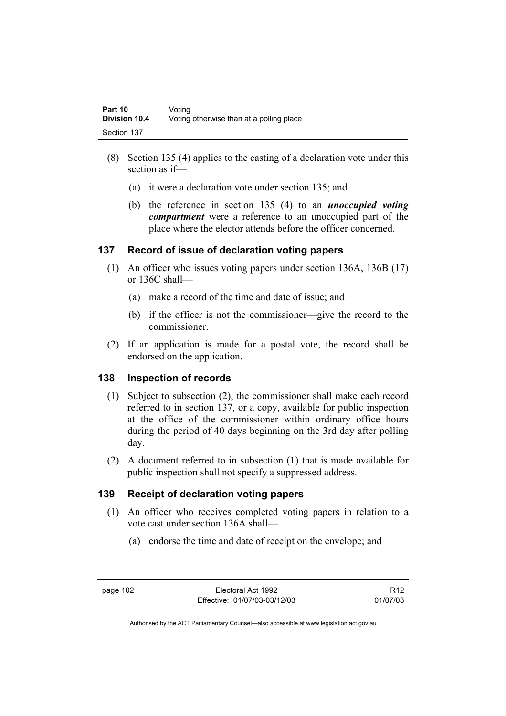- (8) Section 135 (4) applies to the casting of a declaration vote under this section as if—
	- (a) it were a declaration vote under section 135; and
	- (b) the reference in section 135 (4) to an *unoccupied voting compartment* were a reference to an unoccupied part of the place where the elector attends before the officer concerned.

# **137 Record of issue of declaration voting papers**

- (1) An officer who issues voting papers under section 136A, 136B (17) or 136C shall—
	- (a) make a record of the time and date of issue; and
	- (b) if the officer is not the commissioner—give the record to the commissioner.
- (2) If an application is made for a postal vote, the record shall be endorsed on the application.

# **138 Inspection of records**

- (1) Subject to subsection (2), the commissioner shall make each record referred to in section 137, or a copy, available for public inspection at the office of the commissioner within ordinary office hours during the period of 40 days beginning on the 3rd day after polling day.
- (2) A document referred to in subsection (1) that is made available for public inspection shall not specify a suppressed address.

# **139 Receipt of declaration voting papers**

- (1) An officer who receives completed voting papers in relation to a vote cast under section 136A shall—
	- (a) endorse the time and date of receipt on the envelope; and

R12 01/07/03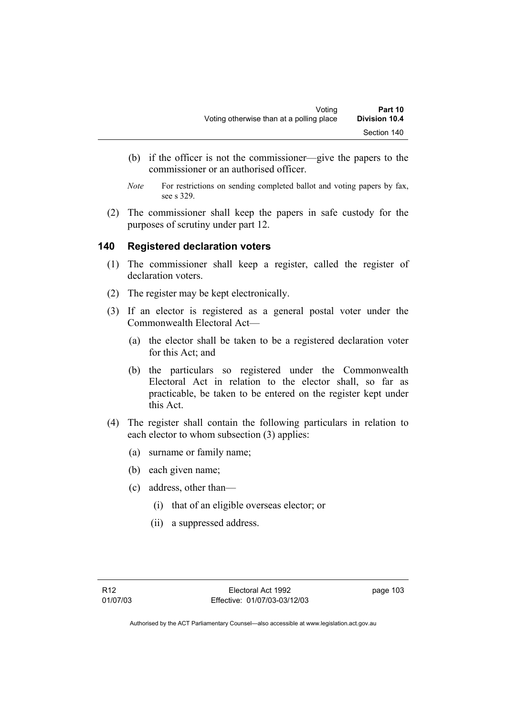- (b) if the officer is not the commissioner—give the papers to the commissioner or an authorised officer.
- *Note* For restrictions on sending completed ballot and voting papers by fax, see s 329.
- (2) The commissioner shall keep the papers in safe custody for the purposes of scrutiny under part 12.

# **140 Registered declaration voters**

- (1) The commissioner shall keep a register, called the register of declaration voters.
- (2) The register may be kept electronically.
- (3) If an elector is registered as a general postal voter under the Commonwealth Electoral Act—
	- (a) the elector shall be taken to be a registered declaration voter for this Act; and
	- (b) the particulars so registered under the Commonwealth Electoral Act in relation to the elector shall, so far as practicable, be taken to be entered on the register kept under this Act.
- (4) The register shall contain the following particulars in relation to each elector to whom subsection (3) applies:
	- (a) surname or family name;
	- (b) each given name;
	- (c) address, other than—
		- (i) that of an eligible overseas elector; or
		- (ii) a suppressed address.

page 103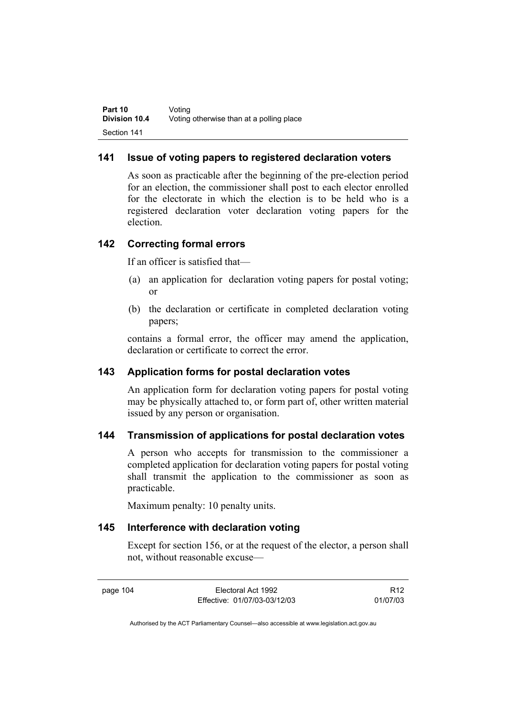# **141 Issue of voting papers to registered declaration voters**

As soon as practicable after the beginning of the pre-election period for an election, the commissioner shall post to each elector enrolled for the electorate in which the election is to be held who is a registered declaration voter declaration voting papers for the election.

# **142 Correcting formal errors**

If an officer is satisfied that—

- (a) an application for declaration voting papers for postal voting; or
- (b) the declaration or certificate in completed declaration voting papers;

contains a formal error, the officer may amend the application, declaration or certificate to correct the error.

## **143 Application forms for postal declaration votes**

An application form for declaration voting papers for postal voting may be physically attached to, or form part of, other written material issued by any person or organisation.

## **144 Transmission of applications for postal declaration votes**

A person who accepts for transmission to the commissioner a completed application for declaration voting papers for postal voting shall transmit the application to the commissioner as soon as practicable.

Maximum penalty: 10 penalty units.

## **145 Interference with declaration voting**

Except for section 156, or at the request of the elector, a person shall not, without reasonable excuse—

page 104 Electoral Act 1992 Effective: 01/07/03-03/12/03

R12 01/07/03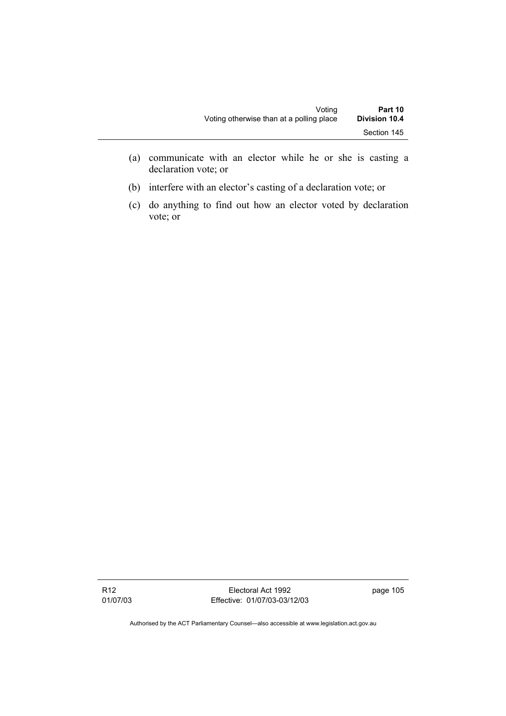- (a) communicate with an elector while he or she is casting a declaration vote; or
- (b) interfere with an elector's casting of a declaration vote; or
- (c) do anything to find out how an elector voted by declaration vote; or

R12 01/07/03

Electoral Act 1992 Effective: 01/07/03-03/12/03 page 105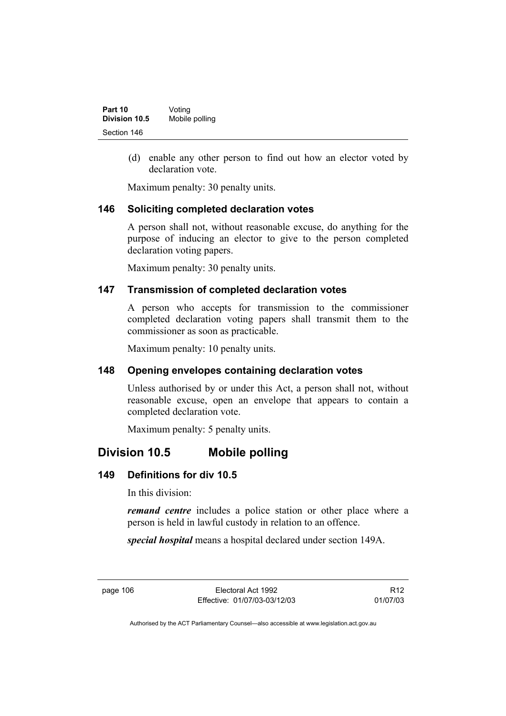| Part 10       | Voting         |
|---------------|----------------|
| Division 10.5 | Mobile polling |
| Section 146   |                |

 (d) enable any other person to find out how an elector voted by declaration vote.

Maximum penalty: 30 penalty units.

## **146 Soliciting completed declaration votes**

A person shall not, without reasonable excuse, do anything for the purpose of inducing an elector to give to the person completed declaration voting papers.

Maximum penalty: 30 penalty units.

## **147 Transmission of completed declaration votes**

A person who accepts for transmission to the commissioner completed declaration voting papers shall transmit them to the commissioner as soon as practicable.

Maximum penalty: 10 penalty units.

## **148 Opening envelopes containing declaration votes**

Unless authorised by or under this Act, a person shall not, without reasonable excuse, open an envelope that appears to contain a completed declaration vote.

Maximum penalty: 5 penalty units.

# **Division 10.5 Mobile polling**

## **149 Definitions for div 10.5**

In this division:

*remand centre* includes a police station or other place where a person is held in lawful custody in relation to an offence.

*special hospital* means a hospital declared under section 149A.

page 106 Electoral Act 1992 Effective: 01/07/03-03/12/03

R12 01/07/03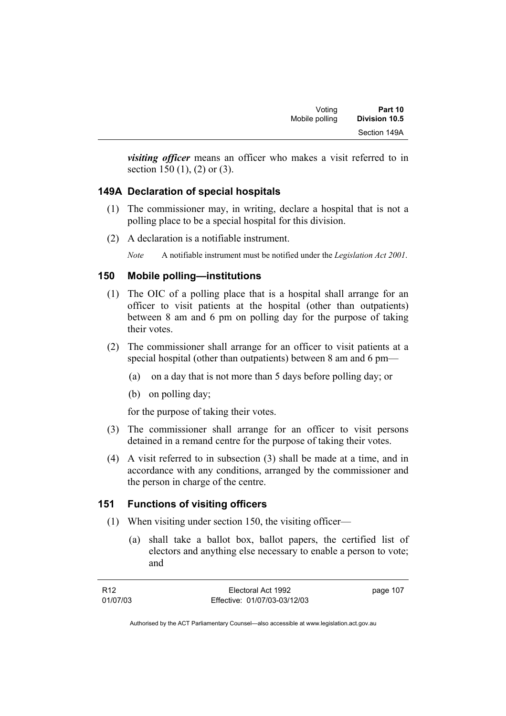| Voting         | Part 10              |
|----------------|----------------------|
| Mobile polling | <b>Division 10.5</b> |
|                | Section 149A         |

*visiting officer* means an officer who makes a visit referred to in section 150 (1), (2) or (3).

# **149A Declaration of special hospitals**

- (1) The commissioner may, in writing, declare a hospital that is not a polling place to be a special hospital for this division.
- (2) A declaration is a notifiable instrument.

*Note* A notifiable instrument must be notified under the *Legislation Act 2001*.

## **150 Mobile polling—institutions**

- (1) The OIC of a polling place that is a hospital shall arrange for an officer to visit patients at the hospital (other than outpatients) between 8 am and 6 pm on polling day for the purpose of taking their votes.
- (2) The commissioner shall arrange for an officer to visit patients at a special hospital (other than outpatients) between 8 am and 6 pm—
	- (a) on a day that is not more than 5 days before polling day; or
	- (b) on polling day;

for the purpose of taking their votes.

- (3) The commissioner shall arrange for an officer to visit persons detained in a remand centre for the purpose of taking their votes.
- (4) A visit referred to in subsection (3) shall be made at a time, and in accordance with any conditions, arranged by the commissioner and the person in charge of the centre.

# **151 Functions of visiting officers**

- (1) When visiting under section 150, the visiting officer—
	- (a) shall take a ballot box, ballot papers, the certified list of electors and anything else necessary to enable a person to vote; and

| R12      | Electoral Act 1992           | page 107 |
|----------|------------------------------|----------|
| 01/07/03 | Effective: 01/07/03-03/12/03 |          |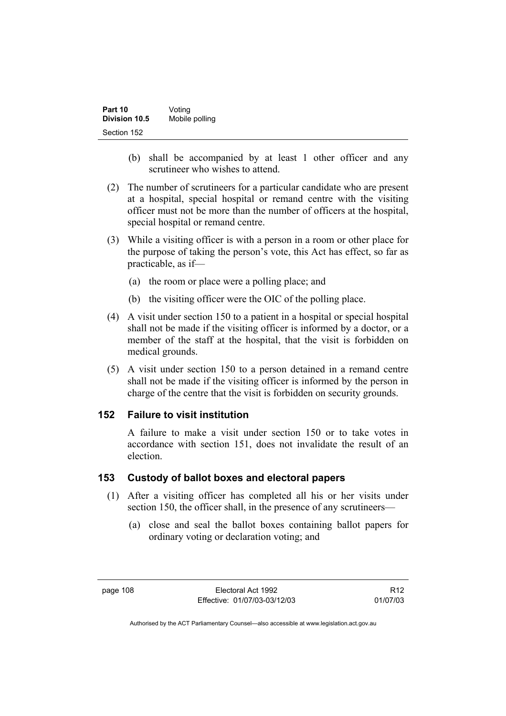| Part 10              | Voting         |
|----------------------|----------------|
| <b>Division 10.5</b> | Mobile polling |
| Section 152          |                |

- (b) shall be accompanied by at least 1 other officer and any scrutineer who wishes to attend.
- (2) The number of scrutineers for a particular candidate who are present at a hospital, special hospital or remand centre with the visiting officer must not be more than the number of officers at the hospital, special hospital or remand centre.
- (3) While a visiting officer is with a person in a room or other place for the purpose of taking the person's vote, this Act has effect, so far as practicable, as if—
	- (a) the room or place were a polling place; and
	- (b) the visiting officer were the OIC of the polling place.
- (4) A visit under section 150 to a patient in a hospital or special hospital shall not be made if the visiting officer is informed by a doctor, or a member of the staff at the hospital, that the visit is forbidden on medical grounds.
- (5) A visit under section 150 to a person detained in a remand centre shall not be made if the visiting officer is informed by the person in charge of the centre that the visit is forbidden on security grounds.

## **152 Failure to visit institution**

A failure to make a visit under section 150 or to take votes in accordance with section 151, does not invalidate the result of an election.

#### **153 Custody of ballot boxes and electoral papers**

- (1) After a visiting officer has completed all his or her visits under section 150, the officer shall, in the presence of any scrutineers—
	- (a) close and seal the ballot boxes containing ballot papers for ordinary voting or declaration voting; and

R12 01/07/03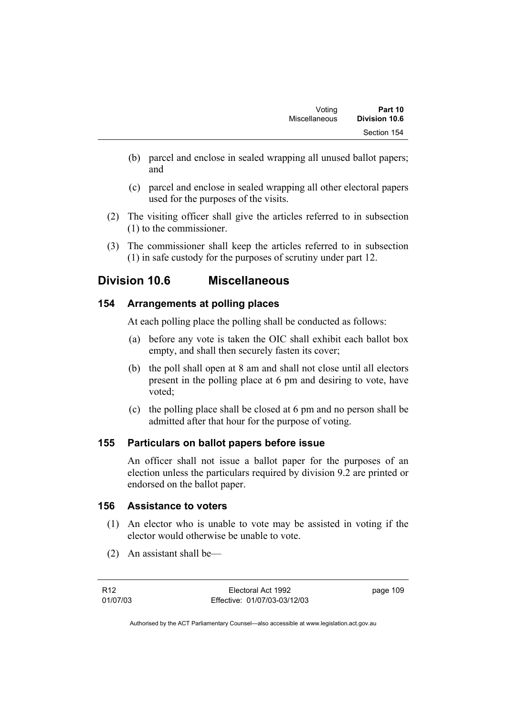- (b) parcel and enclose in sealed wrapping all unused ballot papers; and
- (c) parcel and enclose in sealed wrapping all other electoral papers used for the purposes of the visits.
- (2) The visiting officer shall give the articles referred to in subsection (1) to the commissioner.
- (3) The commissioner shall keep the articles referred to in subsection (1) in safe custody for the purposes of scrutiny under part 12.

# **Division 10.6 Miscellaneous**

# **154 Arrangements at polling places**

At each polling place the polling shall be conducted as follows:

- (a) before any vote is taken the OIC shall exhibit each ballot box empty, and shall then securely fasten its cover;
- (b) the poll shall open at 8 am and shall not close until all electors present in the polling place at 6 pm and desiring to vote, have voted;
- (c) the polling place shall be closed at 6 pm and no person shall be admitted after that hour for the purpose of voting.

# **155 Particulars on ballot papers before issue**

An officer shall not issue a ballot paper for the purposes of an election unless the particulars required by division 9.2 are printed or endorsed on the ballot paper.

# **156 Assistance to voters**

- (1) An elector who is unable to vote may be assisted in voting if the elector would otherwise be unable to vote.
- (2) An assistant shall be—

page 109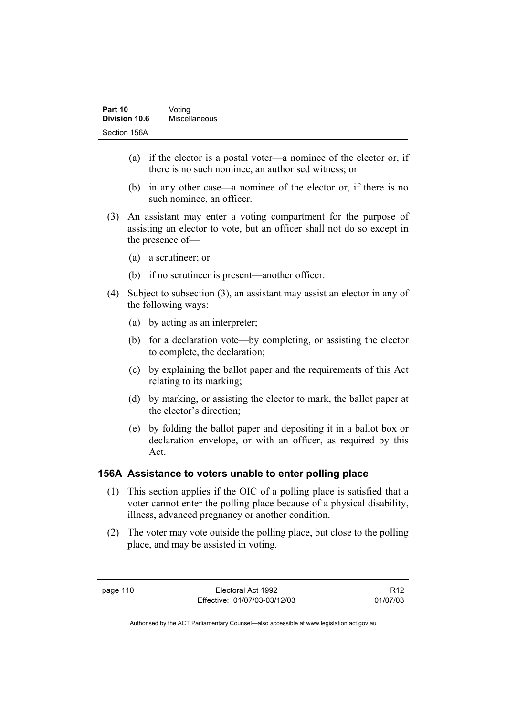| Part 10       | Voting        |
|---------------|---------------|
| Division 10.6 | Miscellaneous |
| Section 156A  |               |

- (a) if the elector is a postal voter—a nominee of the elector or, if there is no such nominee, an authorised witness; or
- (b) in any other case—a nominee of the elector or, if there is no such nominee, an officer.
- (3) An assistant may enter a voting compartment for the purpose of assisting an elector to vote, but an officer shall not do so except in the presence of—
	- (a) a scrutineer; or
	- (b) if no scrutineer is present—another officer.
- (4) Subject to subsection (3), an assistant may assist an elector in any of the following ways:
	- (a) by acting as an interpreter;
	- (b) for a declaration vote—by completing, or assisting the elector to complete, the declaration;
	- (c) by explaining the ballot paper and the requirements of this Act relating to its marking;
	- (d) by marking, or assisting the elector to mark, the ballot paper at the elector's direction;
	- (e) by folding the ballot paper and depositing it in a ballot box or declaration envelope, or with an officer, as required by this Act.

# **156A Assistance to voters unable to enter polling place**

- (1) This section applies if the OIC of a polling place is satisfied that a voter cannot enter the polling place because of a physical disability, illness, advanced pregnancy or another condition.
- (2) The voter may vote outside the polling place, but close to the polling place, and may be assisted in voting.

R12 01/07/03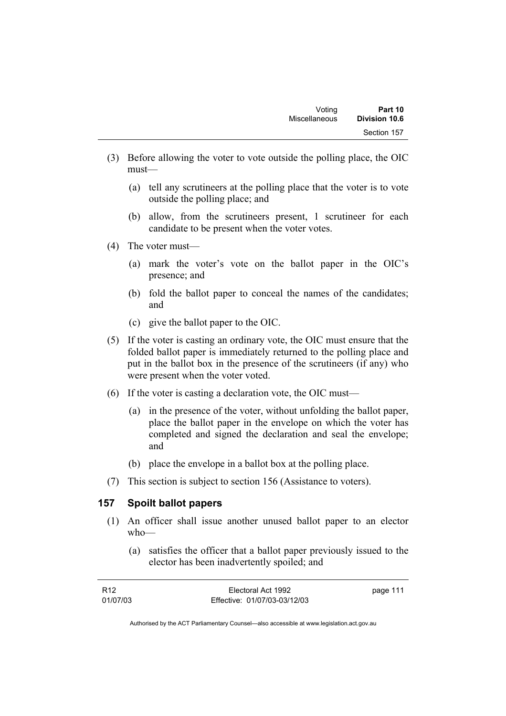- (3) Before allowing the voter to vote outside the polling place, the OIC must—
	- (a) tell any scrutineers at the polling place that the voter is to vote outside the polling place; and
	- (b) allow, from the scrutineers present, 1 scrutineer for each candidate to be present when the voter votes.
- (4) The voter must—
	- (a) mark the voter's vote on the ballot paper in the OIC's presence; and
	- (b) fold the ballot paper to conceal the names of the candidates; and
	- (c) give the ballot paper to the OIC.
- (5) If the voter is casting an ordinary vote, the OIC must ensure that the folded ballot paper is immediately returned to the polling place and put in the ballot box in the presence of the scrutineers (if any) who were present when the voter voted.
- (6) If the voter is casting a declaration vote, the OIC must—
	- (a) in the presence of the voter, without unfolding the ballot paper, place the ballot paper in the envelope on which the voter has completed and signed the declaration and seal the envelope; and
	- (b) place the envelope in a ballot box at the polling place.
- (7) This section is subject to section 156 (Assistance to voters).

## **157 Spoilt ballot papers**

- (1) An officer shall issue another unused ballot paper to an elector who—
	- (a) satisfies the officer that a ballot paper previously issued to the elector has been inadvertently spoiled; and

| R <sub>12</sub> | Electoral Act 1992           | page 111 |
|-----------------|------------------------------|----------|
| 01/07/03        | Effective: 01/07/03-03/12/03 |          |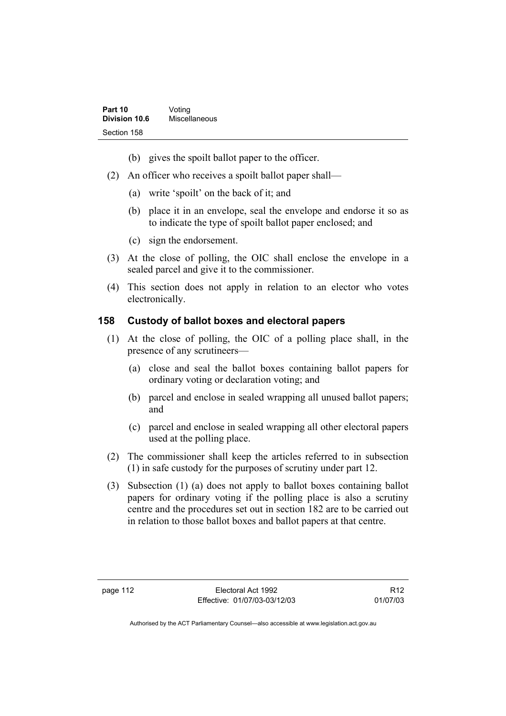- (b) gives the spoilt ballot paper to the officer.
- (2) An officer who receives a spoilt ballot paper shall—
	- (a) write 'spoilt' on the back of it; and
	- (b) place it in an envelope, seal the envelope and endorse it so as to indicate the type of spoilt ballot paper enclosed; and
	- (c) sign the endorsement.
- (3) At the close of polling, the OIC shall enclose the envelope in a sealed parcel and give it to the commissioner.
- (4) This section does not apply in relation to an elector who votes electronically.

## **158 Custody of ballot boxes and electoral papers**

- (1) At the close of polling, the OIC of a polling place shall, in the presence of any scrutineers—
	- (a) close and seal the ballot boxes containing ballot papers for ordinary voting or declaration voting; and
	- (b) parcel and enclose in sealed wrapping all unused ballot papers; and
	- (c) parcel and enclose in sealed wrapping all other electoral papers used at the polling place.
- (2) The commissioner shall keep the articles referred to in subsection (1) in safe custody for the purposes of scrutiny under part 12.
- (3) Subsection (1) (a) does not apply to ballot boxes containing ballot papers for ordinary voting if the polling place is also a scrutiny centre and the procedures set out in section 182 are to be carried out in relation to those ballot boxes and ballot papers at that centre.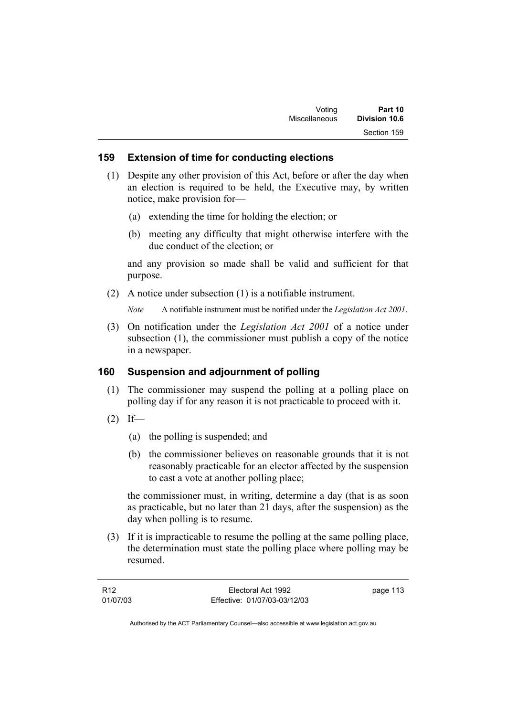# **159 Extension of time for conducting elections**

- (1) Despite any other provision of this Act, before or after the day when an election is required to be held, the Executive may, by written notice, make provision for—
	- (a) extending the time for holding the election; or
	- (b) meeting any difficulty that might otherwise interfere with the due conduct of the election; or

and any provision so made shall be valid and sufficient for that purpose.

(2) A notice under subsection (1) is a notifiable instrument.

*Note* A notifiable instrument must be notified under the *Legislation Act 2001*.

 (3) On notification under the *Legislation Act 2001* of a notice under subsection (1), the commissioner must publish a copy of the notice in a newspaper.

# **160 Suspension and adjournment of polling**

- (1) The commissioner may suspend the polling at a polling place on polling day if for any reason it is not practicable to proceed with it.
- $(2)$  If—
	- (a) the polling is suspended; and
	- (b) the commissioner believes on reasonable grounds that it is not reasonably practicable for an elector affected by the suspension to cast a vote at another polling place;

the commissioner must, in writing, determine a day (that is as soon as practicable, but no later than 21 days, after the suspension) as the day when polling is to resume.

 (3) If it is impracticable to resume the polling at the same polling place, the determination must state the polling place where polling may be resumed.

| R <sub>12</sub> | Electoral Act 1992           | page 113 |
|-----------------|------------------------------|----------|
| 01/07/03        | Effective: 01/07/03-03/12/03 |          |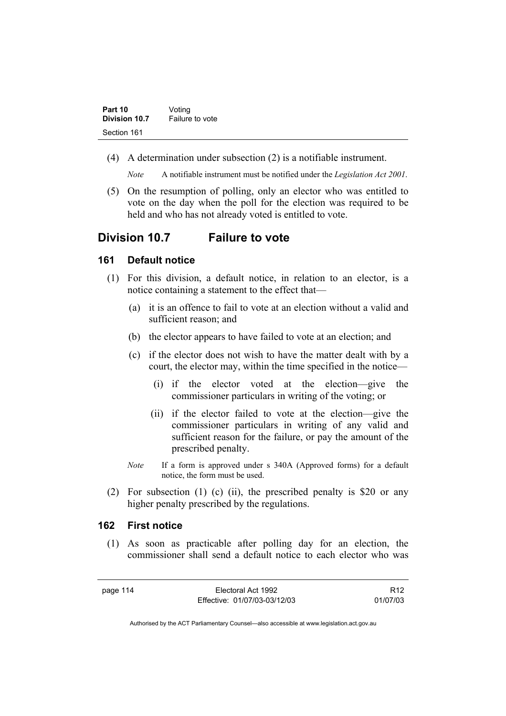| Part 10       | Voting          |
|---------------|-----------------|
| Division 10.7 | Failure to vote |
| Section 161   |                 |

(4) A determination under subsection (2) is a notifiable instrument.

*Note* A notifiable instrument must be notified under the *Legislation Act 2001*.

 (5) On the resumption of polling, only an elector who was entitled to vote on the day when the poll for the election was required to be held and who has not already voted is entitled to vote.

# **Division 10.7 Failure to vote**

#### **161 Default notice**

- (1) For this division, a default notice, in relation to an elector, is a notice containing a statement to the effect that—
	- (a) it is an offence to fail to vote at an election without a valid and sufficient reason; and
	- (b) the elector appears to have failed to vote at an election; and
	- (c) if the elector does not wish to have the matter dealt with by a court, the elector may, within the time specified in the notice—
		- (i) if the elector voted at the election—give the commissioner particulars in writing of the voting; or
		- (ii) if the elector failed to vote at the election—give the commissioner particulars in writing of any valid and sufficient reason for the failure, or pay the amount of the prescribed penalty.
	- *Note* If a form is approved under s 340A (Approved forms) for a default notice, the form must be used.
- (2) For subsection (1) (c) (ii), the prescribed penalty is \$20 or any higher penalty prescribed by the regulations.

#### **162 First notice**

 (1) As soon as practicable after polling day for an election, the commissioner shall send a default notice to each elector who was

page 114 Electoral Act 1992 Effective: 01/07/03-03/12/03

R12 01/07/03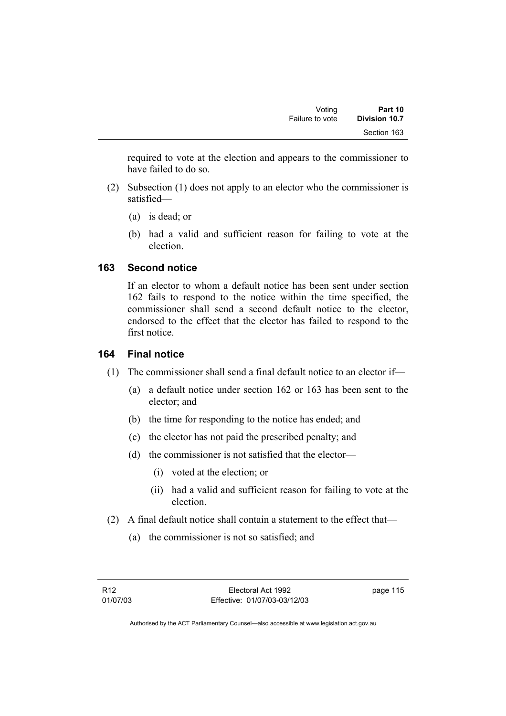required to vote at the election and appears to the commissioner to have failed to do so.

- (2) Subsection (1) does not apply to an elector who the commissioner is satisfied—
	- (a) is dead; or
	- (b) had a valid and sufficient reason for failing to vote at the election.

# **163 Second notice**

If an elector to whom a default notice has been sent under section 162 fails to respond to the notice within the time specified, the commissioner shall send a second default notice to the elector, endorsed to the effect that the elector has failed to respond to the first notice.

# **164 Final notice**

- (1) The commissioner shall send a final default notice to an elector if—
	- (a) a default notice under section 162 or 163 has been sent to the elector; and
	- (b) the time for responding to the notice has ended; and
	- (c) the elector has not paid the prescribed penalty; and
	- (d) the commissioner is not satisfied that the elector—
		- (i) voted at the election; or
		- (ii) had a valid and sufficient reason for failing to vote at the election.
- (2) A final default notice shall contain a statement to the effect that—
	- (a) the commissioner is not so satisfied; and

page 115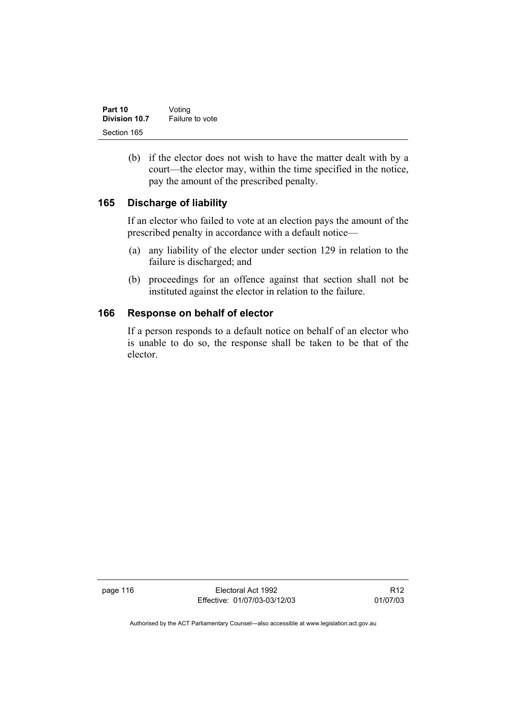| Part 10       | Voting          |
|---------------|-----------------|
| Division 10.7 | Failure to vote |
| Section 165   |                 |

 (b) if the elector does not wish to have the matter dealt with by a court—the elector may, within the time specified in the notice, pay the amount of the prescribed penalty.

# **165 Discharge of liability**

If an elector who failed to vote at an election pays the amount of the prescribed penalty in accordance with a default notice—

- (a) any liability of the elector under section 129 in relation to the failure is discharged; and
- (b) proceedings for an offence against that section shall not be instituted against the elector in relation to the failure.

# **166 Response on behalf of elector**

If a person responds to a default notice on behalf of an elector who is unable to do so, the response shall be taken to be that of the elector.

page 116 **Electoral Act 1992** Effective: 01/07/03-03/12/03

R12 01/07/03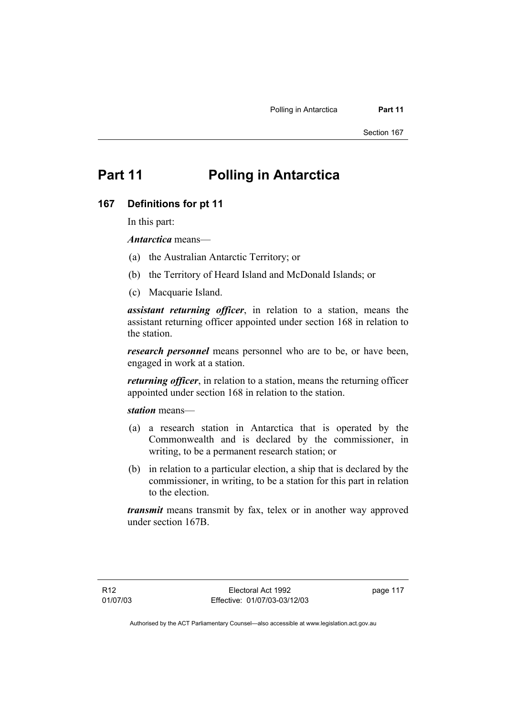# **Part 11 Polling in Antarctica**

#### **167 Definitions for pt 11**

In this part:

*Antarctica* means—

- (a) the Australian Antarctic Territory; or
- (b) the Territory of Heard Island and McDonald Islands; or
- (c) Macquarie Island.

*assistant returning officer*, in relation to a station, means the assistant returning officer appointed under section 168 in relation to the station.

*research personnel* means personnel who are to be, or have been, engaged in work at a station.

*returning officer*, in relation to a station, means the returning officer appointed under section 168 in relation to the station.

*station* means—

- (a) a research station in Antarctica that is operated by the Commonwealth and is declared by the commissioner, in writing, to be a permanent research station; or
- (b) in relation to a particular election, a ship that is declared by the commissioner, in writing, to be a station for this part in relation to the election.

*transmit* means transmit by fax, telex or in another way approved under section 167B.

page 117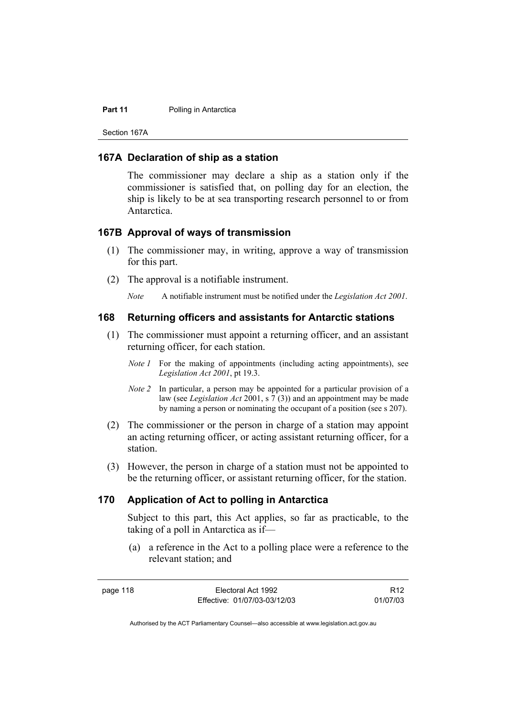#### **Part 11** Polling in Antarctica

Section 167A

#### **167A Declaration of ship as a station**

The commissioner may declare a ship as a station only if the commissioner is satisfied that, on polling day for an election, the ship is likely to be at sea transporting research personnel to or from Antarctica.

#### **167B Approval of ways of transmission**

- (1) The commissioner may, in writing, approve a way of transmission for this part.
- (2) The approval is a notifiable instrument.

*Note* A notifiable instrument must be notified under the *Legislation Act 2001*.

#### **168 Returning officers and assistants for Antarctic stations**

- (1) The commissioner must appoint a returning officer, and an assistant returning officer, for each station.
	- *Note 1* For the making of appointments (including acting appointments), see *Legislation Act 2001*, pt 19.3.
	- *Note 2* In particular, a person may be appointed for a particular provision of a law (see *Legislation Act* 2001, s 7 (3)) and an appointment may be made by naming a person or nominating the occupant of a position (see s 207).
- (2) The commissioner or the person in charge of a station may appoint an acting returning officer, or acting assistant returning officer, for a station.
- (3) However, the person in charge of a station must not be appointed to be the returning officer, or assistant returning officer, for the station.

## **170 Application of Act to polling in Antarctica**

Subject to this part, this Act applies, so far as practicable, to the taking of a poll in Antarctica as if—

 (a) a reference in the Act to a polling place were a reference to the relevant station; and

R12 01/07/03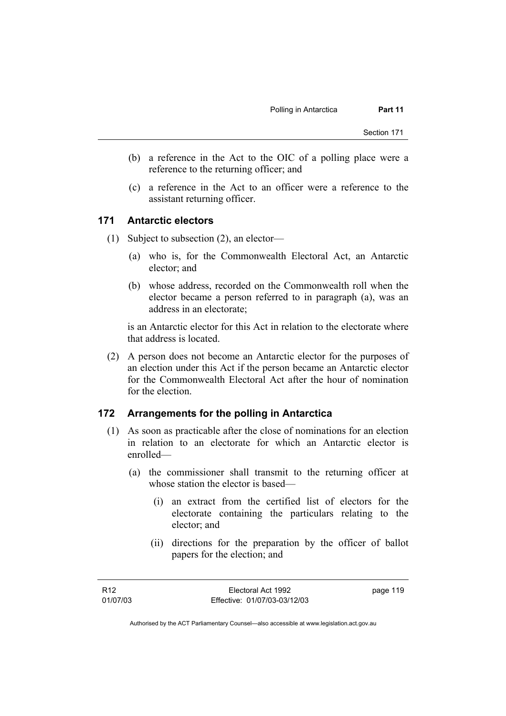- (b) a reference in the Act to the OIC of a polling place were a reference to the returning officer; and
- (c) a reference in the Act to an officer were a reference to the assistant returning officer.

### **171 Antarctic electors**

- (1) Subject to subsection (2), an elector—
	- (a) who is, for the Commonwealth Electoral Act, an Antarctic elector; and
	- (b) whose address, recorded on the Commonwealth roll when the elector became a person referred to in paragraph (a), was an address in an electorate;

is an Antarctic elector for this Act in relation to the electorate where that address is located.

 (2) A person does not become an Antarctic elector for the purposes of an election under this Act if the person became an Antarctic elector for the Commonwealth Electoral Act after the hour of nomination for the election.

## **172 Arrangements for the polling in Antarctica**

- (1) As soon as practicable after the close of nominations for an election in relation to an electorate for which an Antarctic elector is enrolled—
	- (a) the commissioner shall transmit to the returning officer at whose station the elector is based—
		- (i) an extract from the certified list of electors for the electorate containing the particulars relating to the elector; and
		- (ii) directions for the preparation by the officer of ballot papers for the election; and

page 119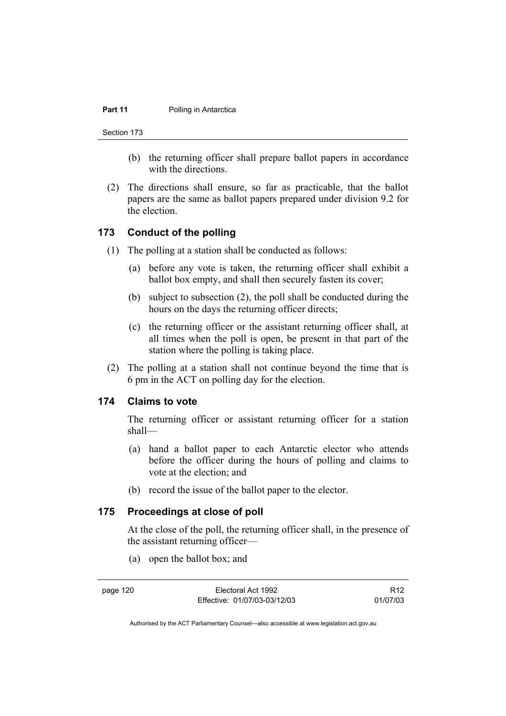#### **Part 11** Polling in Antarctica

Section 173

- (b) the returning officer shall prepare ballot papers in accordance with the directions.
- (2) The directions shall ensure, so far as practicable, that the ballot papers are the same as ballot papers prepared under division 9.2 for the election.

## **173 Conduct of the polling**

- (1) The polling at a station shall be conducted as follows:
	- (a) before any vote is taken, the returning officer shall exhibit a ballot box empty, and shall then securely fasten its cover;
	- (b) subject to subsection (2), the poll shall be conducted during the hours on the days the returning officer directs;
	- (c) the returning officer or the assistant returning officer shall, at all times when the poll is open, be present in that part of the station where the polling is taking place.
- (2) The polling at a station shall not continue beyond the time that is 6 pm in the ACT on polling day for the election.

### **174 Claims to vote**

The returning officer or assistant returning officer for a station shall—

- (a) hand a ballot paper to each Antarctic elector who attends before the officer during the hours of polling and claims to vote at the election; and
- (b) record the issue of the ballot paper to the elector.

## **175 Proceedings at close of poll**

At the close of the poll, the returning officer shall, in the presence of the assistant returning officer—

(a) open the ballot box; and

page 120 Electoral Act 1992 Effective: 01/07/03-03/12/03

R12 01/07/03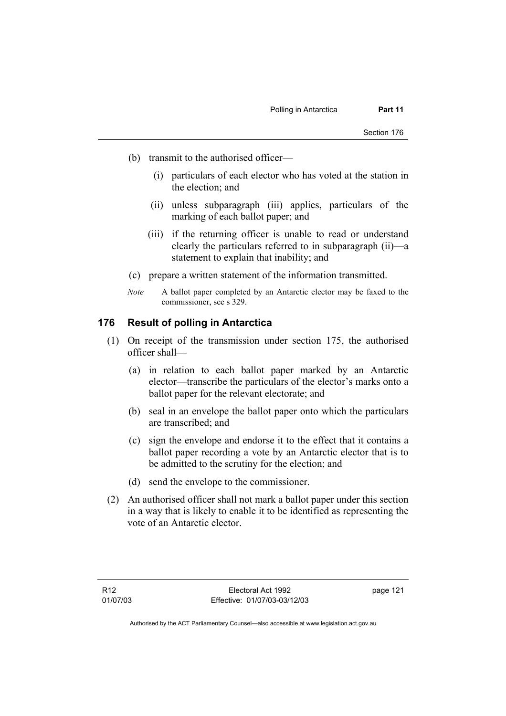- (b) transmit to the authorised officer—
	- (i) particulars of each elector who has voted at the station in the election; and
	- (ii) unless subparagraph (iii) applies, particulars of the marking of each ballot paper; and
	- (iii) if the returning officer is unable to read or understand clearly the particulars referred to in subparagraph (ii)—a statement to explain that inability; and
- (c) prepare a written statement of the information transmitted.
- *Note* A ballot paper completed by an Antarctic elector may be faxed to the commissioner, see s 329.

## **176 Result of polling in Antarctica**

- (1) On receipt of the transmission under section 175, the authorised officer shall—
	- (a) in relation to each ballot paper marked by an Antarctic elector—transcribe the particulars of the elector's marks onto a ballot paper for the relevant electorate; and
	- (b) seal in an envelope the ballot paper onto which the particulars are transcribed; and
	- (c) sign the envelope and endorse it to the effect that it contains a ballot paper recording a vote by an Antarctic elector that is to be admitted to the scrutiny for the election; and
	- (d) send the envelope to the commissioner.
- (2) An authorised officer shall not mark a ballot paper under this section in a way that is likely to enable it to be identified as representing the vote of an Antarctic elector.

page 121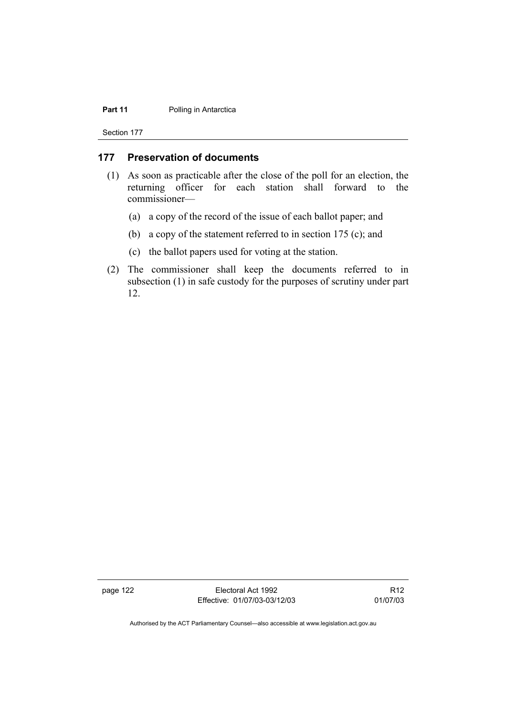#### **Part 11** Polling in Antarctica

Section 177

# **177 Preservation of documents**

- (1) As soon as practicable after the close of the poll for an election, the returning officer for each station shall forward to the commissioner—
	- (a) a copy of the record of the issue of each ballot paper; and
	- (b) a copy of the statement referred to in section 175 (c); and
	- (c) the ballot papers used for voting at the station.
- (2) The commissioner shall keep the documents referred to in subsection (1) in safe custody for the purposes of scrutiny under part 12.

page 122 **Electoral Act 1992** Effective: 01/07/03-03/12/03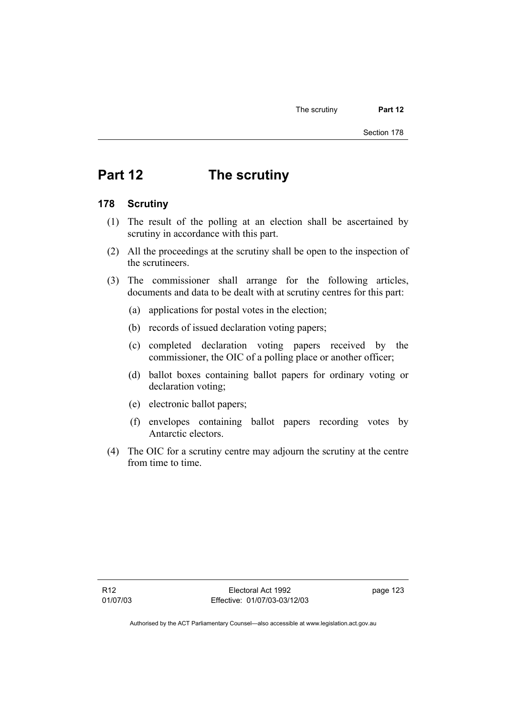# **Part 12 The scrutiny**

#### **178 Scrutiny**

- (1) The result of the polling at an election shall be ascertained by scrutiny in accordance with this part.
- (2) All the proceedings at the scrutiny shall be open to the inspection of the scrutineers.
- (3) The commissioner shall arrange for the following articles, documents and data to be dealt with at scrutiny centres for this part:
	- (a) applications for postal votes in the election;
	- (b) records of issued declaration voting papers;
	- (c) completed declaration voting papers received by the commissioner, the OIC of a polling place or another officer;
	- (d) ballot boxes containing ballot papers for ordinary voting or declaration voting;
	- (e) electronic ballot papers;
	- (f) envelopes containing ballot papers recording votes by Antarctic electors.
- (4) The OIC for a scrutiny centre may adjourn the scrutiny at the centre from time to time.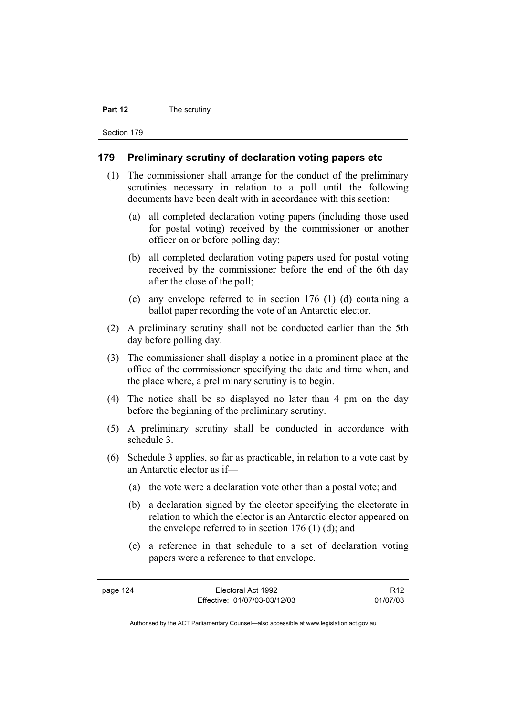#### **Part 12** The scrutiny

Section 179

#### **179 Preliminary scrutiny of declaration voting papers etc**

- (1) The commissioner shall arrange for the conduct of the preliminary scrutinies necessary in relation to a poll until the following documents have been dealt with in accordance with this section:
	- (a) all completed declaration voting papers (including those used for postal voting) received by the commissioner or another officer on or before polling day;
	- (b) all completed declaration voting papers used for postal voting received by the commissioner before the end of the 6th day after the close of the poll;
	- (c) any envelope referred to in section 176 (1) (d) containing a ballot paper recording the vote of an Antarctic elector.
- (2) A preliminary scrutiny shall not be conducted earlier than the 5th day before polling day.
- (3) The commissioner shall display a notice in a prominent place at the office of the commissioner specifying the date and time when, and the place where, a preliminary scrutiny is to begin.
- (4) The notice shall be so displayed no later than 4 pm on the day before the beginning of the preliminary scrutiny.
- (5) A preliminary scrutiny shall be conducted in accordance with schedule 3.
- (6) Schedule 3 applies, so far as practicable, in relation to a vote cast by an Antarctic elector as if—
	- (a) the vote were a declaration vote other than a postal vote; and
	- (b) a declaration signed by the elector specifying the electorate in relation to which the elector is an Antarctic elector appeared on the envelope referred to in section  $176$  (1) (d); and
	- (c) a reference in that schedule to a set of declaration voting papers were a reference to that envelope.

R12 01/07/03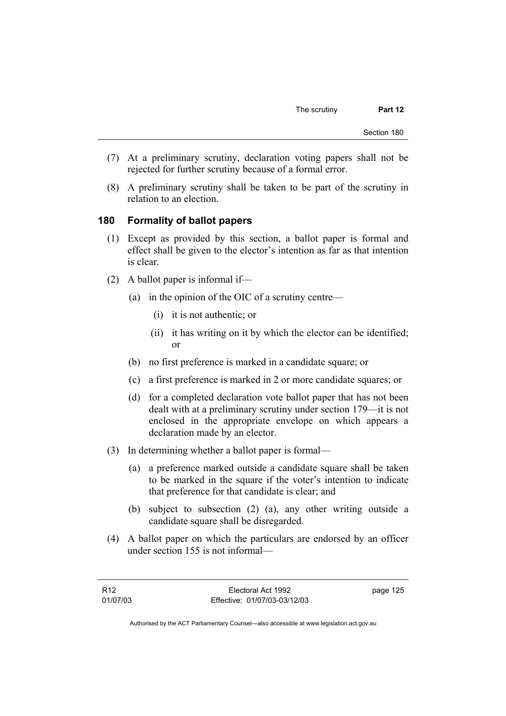- (7) At a preliminary scrutiny, declaration voting papers shall not be rejected for further scrutiny because of a formal error.
- (8) A preliminary scrutiny shall be taken to be part of the scrutiny in relation to an election.

#### **180 Formality of ballot papers**

- (1) Except as provided by this section, a ballot paper is formal and effect shall be given to the elector's intention as far as that intention is clear.
- (2) A ballot paper is informal if—
	- (a) in the opinion of the OIC of a scrutiny centre—
		- (i) it is not authentic; or
		- (ii) it has writing on it by which the elector can be identified; or
	- (b) no first preference is marked in a candidate square; or
	- (c) a first preference is marked in 2 or more candidate squares; or
	- (d) for a completed declaration vote ballot paper that has not been dealt with at a preliminary scrutiny under section 179—it is not enclosed in the appropriate envelope on which appears a declaration made by an elector.
- (3) In determining whether a ballot paper is formal—
	- (a) a preference marked outside a candidate square shall be taken to be marked in the square if the voter's intention to indicate that preference for that candidate is clear; and
	- (b) subject to subsection (2) (a), any other writing outside a candidate square shall be disregarded.
- (4) A ballot paper on which the particulars are endorsed by an officer under section 155 is not informal—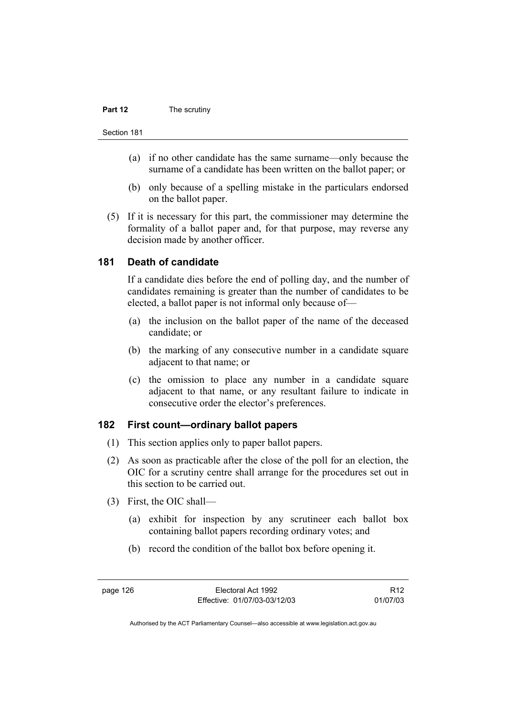#### **Part 12** The scrutiny

- (a) if no other candidate has the same surname—only because the surname of a candidate has been written on the ballot paper; or
- (b) only because of a spelling mistake in the particulars endorsed on the ballot paper.
- (5) If it is necessary for this part, the commissioner may determine the formality of a ballot paper and, for that purpose, may reverse any decision made by another officer.

#### **181 Death of candidate**

If a candidate dies before the end of polling day, and the number of candidates remaining is greater than the number of candidates to be elected, a ballot paper is not informal only because of—

- (a) the inclusion on the ballot paper of the name of the deceased candidate; or
- (b) the marking of any consecutive number in a candidate square adjacent to that name; or
- (c) the omission to place any number in a candidate square adjacent to that name, or any resultant failure to indicate in consecutive order the elector's preferences.

# **182 First count—ordinary ballot papers**

- (1) This section applies only to paper ballot papers.
- (2) As soon as practicable after the close of the poll for an election, the OIC for a scrutiny centre shall arrange for the procedures set out in this section to be carried out.
- (3) First, the OIC shall—
	- (a) exhibit for inspection by any scrutineer each ballot box containing ballot papers recording ordinary votes; and
	- (b) record the condition of the ballot box before opening it.

page 126 Electoral Act 1992 Effective: 01/07/03-03/12/03

R12 01/07/03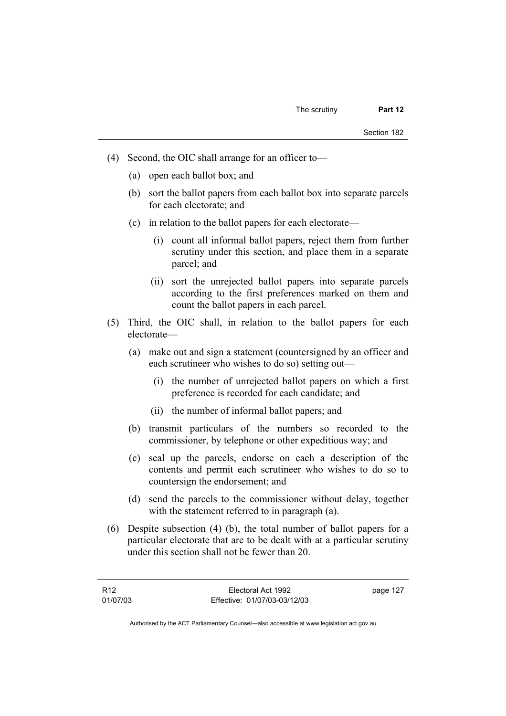- (4) Second, the OIC shall arrange for an officer to—
	- (a) open each ballot box; and
	- (b) sort the ballot papers from each ballot box into separate parcels for each electorate; and
	- (c) in relation to the ballot papers for each electorate—
		- (i) count all informal ballot papers, reject them from further scrutiny under this section, and place them in a separate parcel; and
		- (ii) sort the unrejected ballot papers into separate parcels according to the first preferences marked on them and count the ballot papers in each parcel.
- (5) Third, the OIC shall, in relation to the ballot papers for each electorate—
	- (a) make out and sign a statement (countersigned by an officer and each scrutineer who wishes to do so) setting out—
		- (i) the number of unrejected ballot papers on which a first preference is recorded for each candidate; and
		- (ii) the number of informal ballot papers; and
	- (b) transmit particulars of the numbers so recorded to the commissioner, by telephone or other expeditious way; and
	- (c) seal up the parcels, endorse on each a description of the contents and permit each scrutineer who wishes to do so to countersign the endorsement; and
	- (d) send the parcels to the commissioner without delay, together with the statement referred to in paragraph (a).
- (6) Despite subsection (4) (b), the total number of ballot papers for a particular electorate that are to be dealt with at a particular scrutiny under this section shall not be fewer than 20.

| R12      | Electoral Act 1992           | page 127 |
|----------|------------------------------|----------|
| 01/07/03 | Effective: 01/07/03-03/12/03 |          |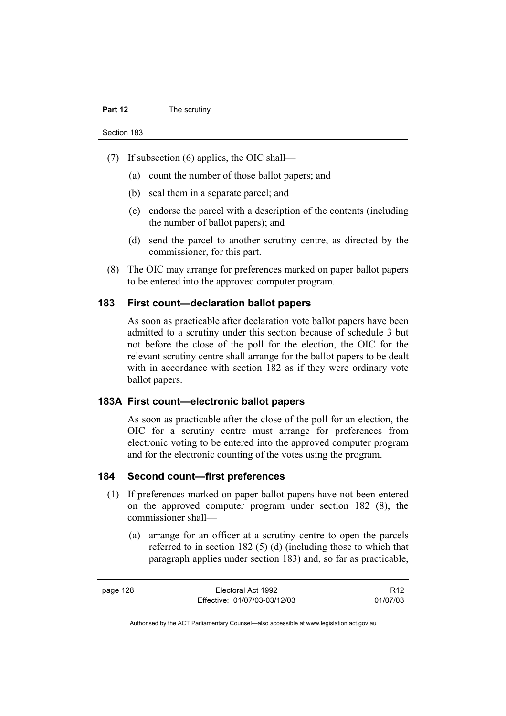- (7) If subsection (6) applies, the OIC shall—
	- (a) count the number of those ballot papers; and
	- (b) seal them in a separate parcel; and
	- (c) endorse the parcel with a description of the contents (including the number of ballot papers); and
	- (d) send the parcel to another scrutiny centre, as directed by the commissioner, for this part.
- (8) The OIC may arrange for preferences marked on paper ballot papers to be entered into the approved computer program.

#### **183 First count—declaration ballot papers**

As soon as practicable after declaration vote ballot papers have been admitted to a scrutiny under this section because of schedule 3 but not before the close of the poll for the election, the OIC for the relevant scrutiny centre shall arrange for the ballot papers to be dealt with in accordance with section 182 as if they were ordinary vote ballot papers.

#### **183A First count—electronic ballot papers**

As soon as practicable after the close of the poll for an election, the OIC for a scrutiny centre must arrange for preferences from electronic voting to be entered into the approved computer program and for the electronic counting of the votes using the program.

#### **184 Second count—first preferences**

- (1) If preferences marked on paper ballot papers have not been entered on the approved computer program under section 182 (8), the commissioner shall—
	- (a) arrange for an officer at a scrutiny centre to open the parcels referred to in section 182 (5) (d) (including those to which that paragraph applies under section 183) and, so far as practicable,

R12 01/07/03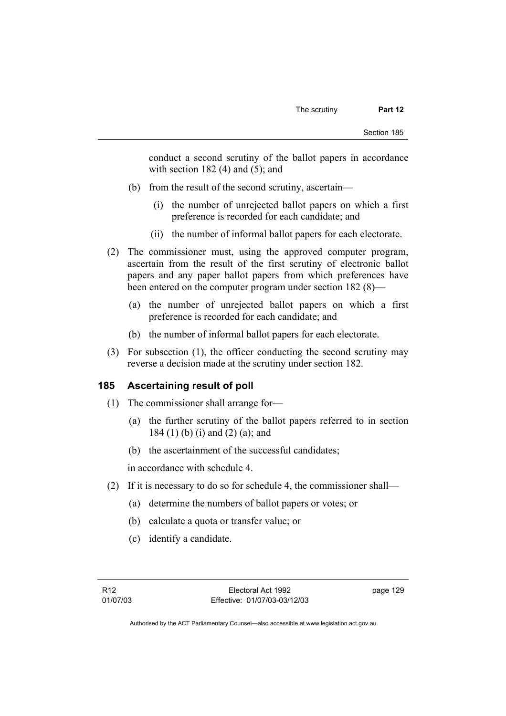conduct a second scrutiny of the ballot papers in accordance with section  $182(4)$  and  $(5)$ ; and

- (b) from the result of the second scrutiny, ascertain—
	- (i) the number of unrejected ballot papers on which a first preference is recorded for each candidate; and
	- (ii) the number of informal ballot papers for each electorate.
- (2) The commissioner must, using the approved computer program, ascertain from the result of the first scrutiny of electronic ballot papers and any paper ballot papers from which preferences have been entered on the computer program under section 182 (8)—
	- (a) the number of unrejected ballot papers on which a first preference is recorded for each candidate; and
	- (b) the number of informal ballot papers for each electorate.
- (3) For subsection (1), the officer conducting the second scrutiny may reverse a decision made at the scrutiny under section 182.

#### **185 Ascertaining result of poll**

- (1) The commissioner shall arrange for—
	- (a) the further scrutiny of the ballot papers referred to in section 184 (1) (b) (i) and (2) (a); and
	- (b) the ascertainment of the successful candidates;

in accordance with schedule 4.

- (2) If it is necessary to do so for schedule 4, the commissioner shall—
	- (a) determine the numbers of ballot papers or votes; or
	- (b) calculate a quota or transfer value; or
	- (c) identify a candidate.

page 129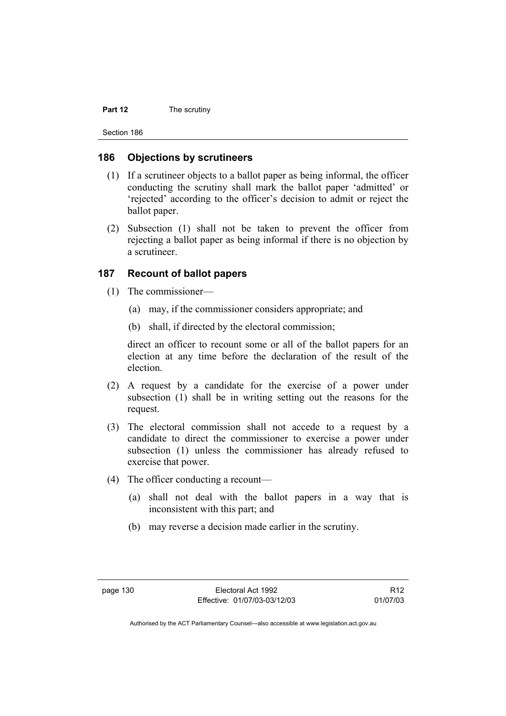#### **Part 12** The scrutiny

Section 186

#### **186 Objections by scrutineers**

- (1) If a scrutineer objects to a ballot paper as being informal, the officer conducting the scrutiny shall mark the ballot paper 'admitted' or 'rejected' according to the officer's decision to admit or reject the ballot paper.
- (2) Subsection (1) shall not be taken to prevent the officer from rejecting a ballot paper as being informal if there is no objection by a scrutineer.

#### **187 Recount of ballot papers**

- (1) The commissioner—
	- (a) may, if the commissioner considers appropriate; and
	- (b) shall, if directed by the electoral commission;

direct an officer to recount some or all of the ballot papers for an election at any time before the declaration of the result of the election.

- (2) A request by a candidate for the exercise of a power under subsection (1) shall be in writing setting out the reasons for the request.
- (3) The electoral commission shall not accede to a request by a candidate to direct the commissioner to exercise a power under subsection (1) unless the commissioner has already refused to exercise that power.
- (4) The officer conducting a recount—
	- (a) shall not deal with the ballot papers in a way that is inconsistent with this part; and
	- (b) may reverse a decision made earlier in the scrutiny.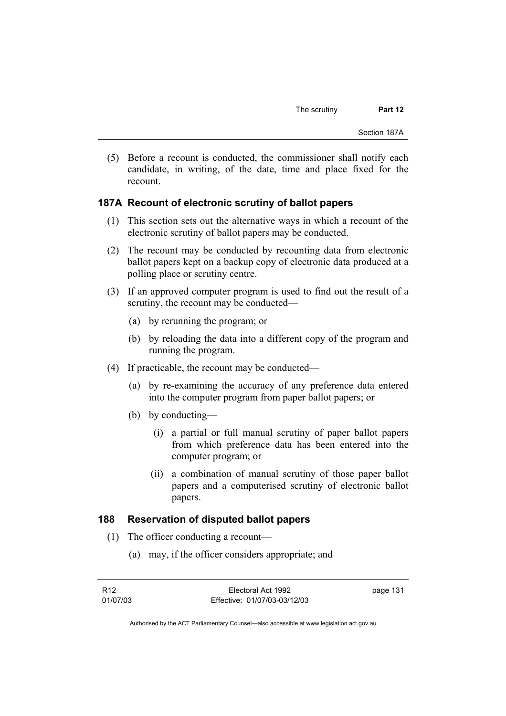(5) Before a recount is conducted, the commissioner shall notify each candidate, in writing, of the date, time and place fixed for the recount.

#### **187A Recount of electronic scrutiny of ballot papers**

- (1) This section sets out the alternative ways in which a recount of the electronic scrutiny of ballot papers may be conducted.
- (2) The recount may be conducted by recounting data from electronic ballot papers kept on a backup copy of electronic data produced at a polling place or scrutiny centre.
- (3) If an approved computer program is used to find out the result of a scrutiny, the recount may be conducted—
	- (a) by rerunning the program; or
	- (b) by reloading the data into a different copy of the program and running the program.
- (4) If practicable, the recount may be conducted—
	- (a) by re-examining the accuracy of any preference data entered into the computer program from paper ballot papers; or
	- (b) by conducting—
		- (i) a partial or full manual scrutiny of paper ballot papers from which preference data has been entered into the computer program; or
		- (ii) a combination of manual scrutiny of those paper ballot papers and a computerised scrutiny of electronic ballot papers.

#### **188 Reservation of disputed ballot papers**

- (1) The officer conducting a recount—
	- (a) may, if the officer considers appropriate; and

| R12      | Electoral Act 1992           | page 131 |
|----------|------------------------------|----------|
| 01/07/03 | Effective: 01/07/03-03/12/03 |          |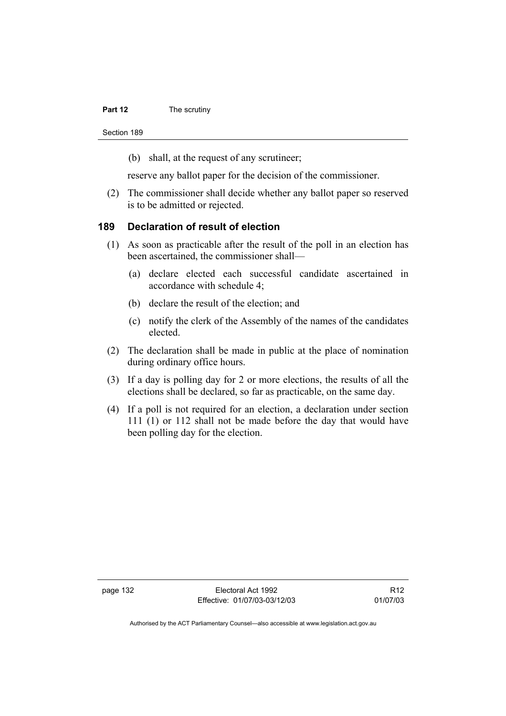#### **Part 12** The scrutiny

Section 189

(b) shall, at the request of any scrutineer;

reserve any ballot paper for the decision of the commissioner.

 (2) The commissioner shall decide whether any ballot paper so reserved is to be admitted or rejected.

#### **189 Declaration of result of election**

- (1) As soon as practicable after the result of the poll in an election has been ascertained, the commissioner shall—
	- (a) declare elected each successful candidate ascertained in accordance with schedule 4;
	- (b) declare the result of the election; and
	- (c) notify the clerk of the Assembly of the names of the candidates elected.
- (2) The declaration shall be made in public at the place of nomination during ordinary office hours.
- (3) If a day is polling day for 2 or more elections, the results of all the elections shall be declared, so far as practicable, on the same day.
- (4) If a poll is not required for an election, a declaration under section 111 (1) or 112 shall not be made before the day that would have been polling day for the election.

page 132 Electoral Act 1992 Effective: 01/07/03-03/12/03

R12 01/07/03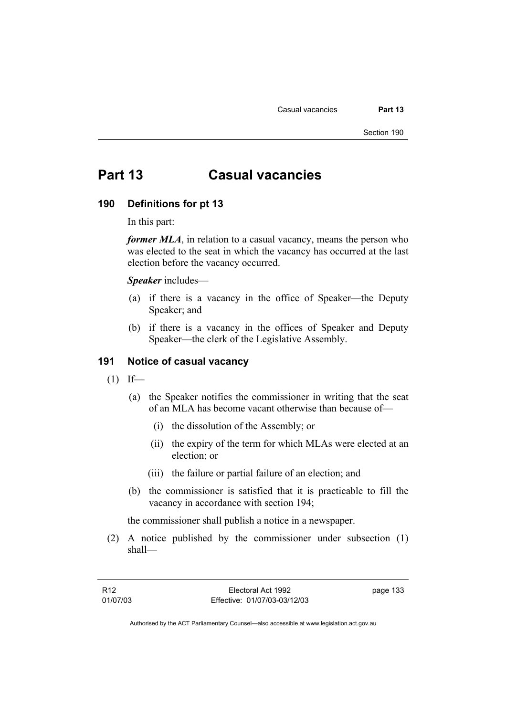Casual vacancies **Part 13** 

Section 190

# **Part 13 Casual vacancies**

#### **190 Definitions for pt 13**

In this part:

*former MLA*, in relation to a casual vacancy, means the person who was elected to the seat in which the vacancy has occurred at the last election before the vacancy occurred.

*Speaker* includes—

- (a) if there is a vacancy in the office of Speaker—the Deputy Speaker; and
- (b) if there is a vacancy in the offices of Speaker and Deputy Speaker—the clerk of the Legislative Assembly.

#### **191 Notice of casual vacancy**

- $(1)$  If—
	- (a) the Speaker notifies the commissioner in writing that the seat of an MLA has become vacant otherwise than because of—
		- (i) the dissolution of the Assembly; or
		- (ii) the expiry of the term for which MLAs were elected at an election; or
		- (iii) the failure or partial failure of an election; and
	- (b) the commissioner is satisfied that it is practicable to fill the vacancy in accordance with section 194;

the commissioner shall publish a notice in a newspaper.

 (2) A notice published by the commissioner under subsection (1) shall—

page 133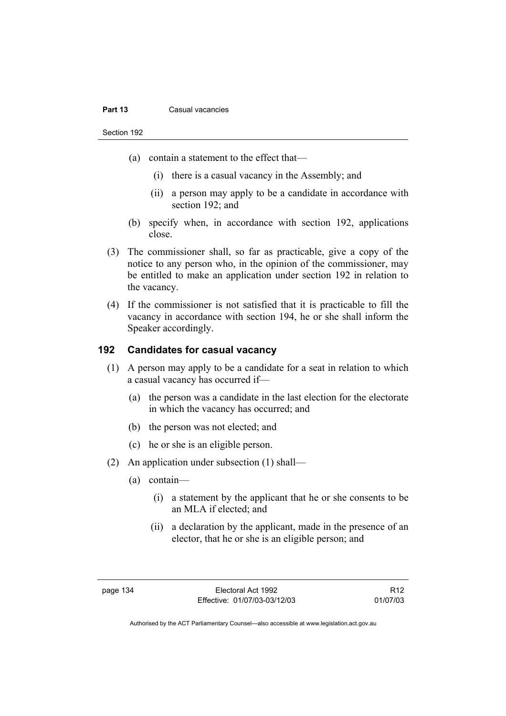#### **Part 13 Casual vacancies**

Section 192

- (a) contain a statement to the effect that—
	- (i) there is a casual vacancy in the Assembly; and
	- (ii) a person may apply to be a candidate in accordance with section 192; and
- (b) specify when, in accordance with section 192, applications close.
- (3) The commissioner shall, so far as practicable, give a copy of the notice to any person who, in the opinion of the commissioner, may be entitled to make an application under section 192 in relation to the vacancy.
- (4) If the commissioner is not satisfied that it is practicable to fill the vacancy in accordance with section 194, he or she shall inform the Speaker accordingly.

# **192 Candidates for casual vacancy**

- (1) A person may apply to be a candidate for a seat in relation to which a casual vacancy has occurred if—
	- (a) the person was a candidate in the last election for the electorate in which the vacancy has occurred; and
	- (b) the person was not elected; and
	- (c) he or she is an eligible person.
- (2) An application under subsection (1) shall—
	- (a) contain—
		- (i) a statement by the applicant that he or she consents to be an MLA if elected; and
		- (ii) a declaration by the applicant, made in the presence of an elector, that he or she is an eligible person; and

R12 01/07/03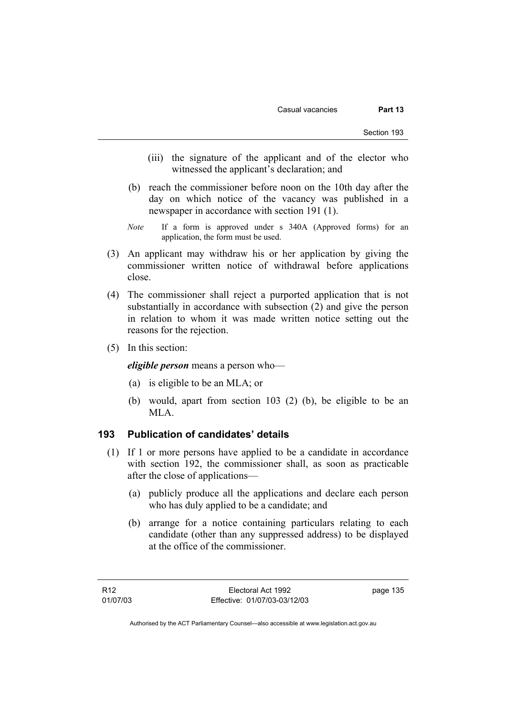- (iii) the signature of the applicant and of the elector who witnessed the applicant's declaration; and
- (b) reach the commissioner before noon on the 10th day after the day on which notice of the vacancy was published in a newspaper in accordance with section 191 (1).
- *Note* If a form is approved under s 340A (Approved forms) for an application, the form must be used.
- (3) An applicant may withdraw his or her application by giving the commissioner written notice of withdrawal before applications close.
- (4) The commissioner shall reject a purported application that is not substantially in accordance with subsection (2) and give the person in relation to whom it was made written notice setting out the reasons for the rejection.
- (5) In this section:

*eligible person* means a person who—

- (a) is eligible to be an MLA; or
- (b) would, apart from section 103 (2) (b), be eligible to be an MLA.

#### **193 Publication of candidates' details**

- (1) If 1 or more persons have applied to be a candidate in accordance with section 192, the commissioner shall, as soon as practicable after the close of applications—
	- (a) publicly produce all the applications and declare each person who has duly applied to be a candidate; and
	- (b) arrange for a notice containing particulars relating to each candidate (other than any suppressed address) to be displayed at the office of the commissioner.

page 135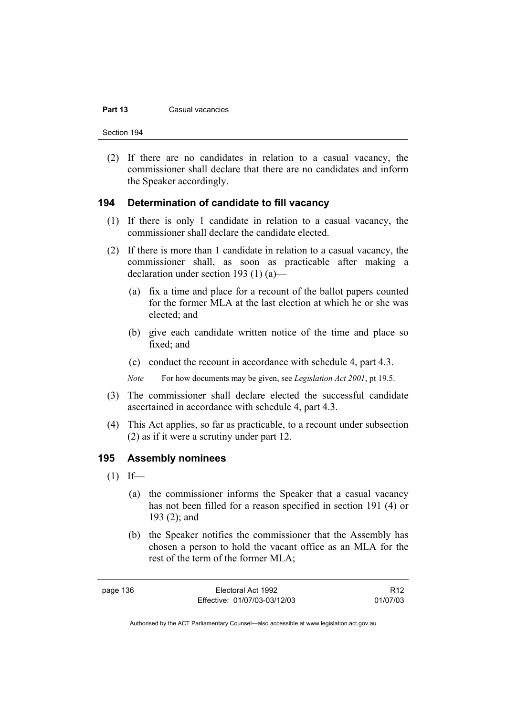#### **Part 13** Casual vacancies

Section 194

 (2) If there are no candidates in relation to a casual vacancy, the commissioner shall declare that there are no candidates and inform the Speaker accordingly.

#### **194 Determination of candidate to fill vacancy**

- (1) If there is only 1 candidate in relation to a casual vacancy, the commissioner shall declare the candidate elected.
- (2) If there is more than 1 candidate in relation to a casual vacancy, the commissioner shall, as soon as practicable after making a declaration under section 193 (1) (a)—
	- (a) fix a time and place for a recount of the ballot papers counted for the former MLA at the last election at which he or she was elected; and
	- (b) give each candidate written notice of the time and place so fixed; and
	- (c) conduct the recount in accordance with schedule 4, part 4.3.

*Note* For how documents may be given, see *Legislation Act 2001*, pt 19.5.

- (3) The commissioner shall declare elected the successful candidate ascertained in accordance with schedule 4, part 4.3.
- (4) This Act applies, so far as practicable, to a recount under subsection (2) as if it were a scrutiny under part 12.

#### **195 Assembly nominees**

- $(1)$  If—
	- (a) the commissioner informs the Speaker that a casual vacancy has not been filled for a reason specified in section 191 (4) or 193 (2); and
	- (b) the Speaker notifies the commissioner that the Assembly has chosen a person to hold the vacant office as an MLA for the rest of the term of the former MLA;

page 136 Electoral Act 1992 Effective: 01/07/03-03/12/03

R12 01/07/03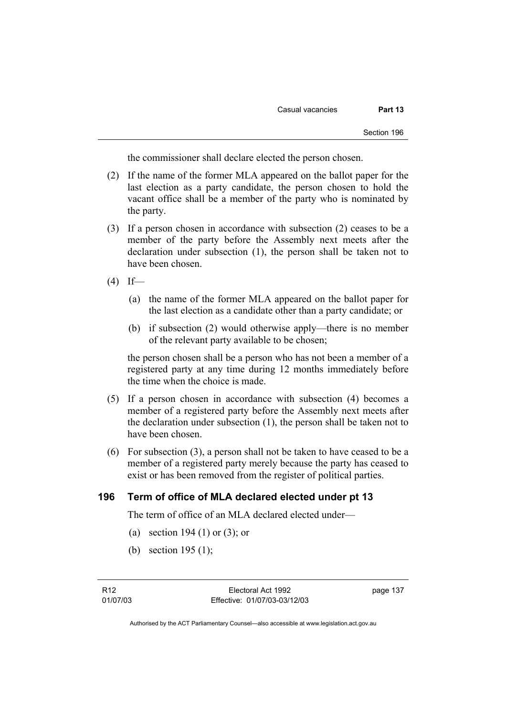the commissioner shall declare elected the person chosen.

- (2) If the name of the former MLA appeared on the ballot paper for the last election as a party candidate, the person chosen to hold the vacant office shall be a member of the party who is nominated by the party.
- (3) If a person chosen in accordance with subsection (2) ceases to be a member of the party before the Assembly next meets after the declaration under subsection (1), the person shall be taken not to have been chosen.
- $(4)$  If—
	- (a) the name of the former MLA appeared on the ballot paper for the last election as a candidate other than a party candidate; or
	- (b) if subsection (2) would otherwise apply—there is no member of the relevant party available to be chosen;

the person chosen shall be a person who has not been a member of a registered party at any time during 12 months immediately before the time when the choice is made.

- (5) If a person chosen in accordance with subsection (4) becomes a member of a registered party before the Assembly next meets after the declaration under subsection (1), the person shall be taken not to have been chosen.
- (6) For subsection (3), a person shall not be taken to have ceased to be a member of a registered party merely because the party has ceased to exist or has been removed from the register of political parties.

#### **196 Term of office of MLA declared elected under pt 13**

The term of office of an MLA declared elected under—

- (a) section 194 (1) or (3); or
- (b) section 195 (1);

page 137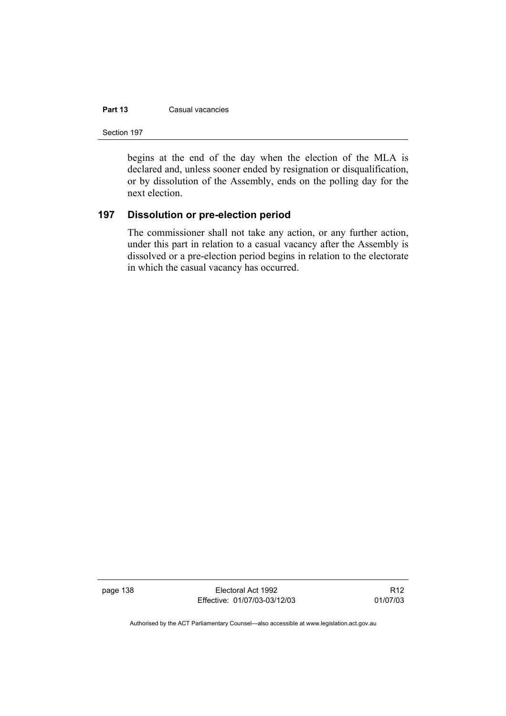#### **Part 13 Casual vacancies**

Section 197

begins at the end of the day when the election of the MLA is declared and, unless sooner ended by resignation or disqualification, or by dissolution of the Assembly, ends on the polling day for the next election.

### **197 Dissolution or pre-election period**

The commissioner shall not take any action, or any further action, under this part in relation to a casual vacancy after the Assembly is dissolved or a pre-election period begins in relation to the electorate in which the casual vacancy has occurred.

page 138 Electoral Act 1992 Effective: 01/07/03-03/12/03

R12 01/07/03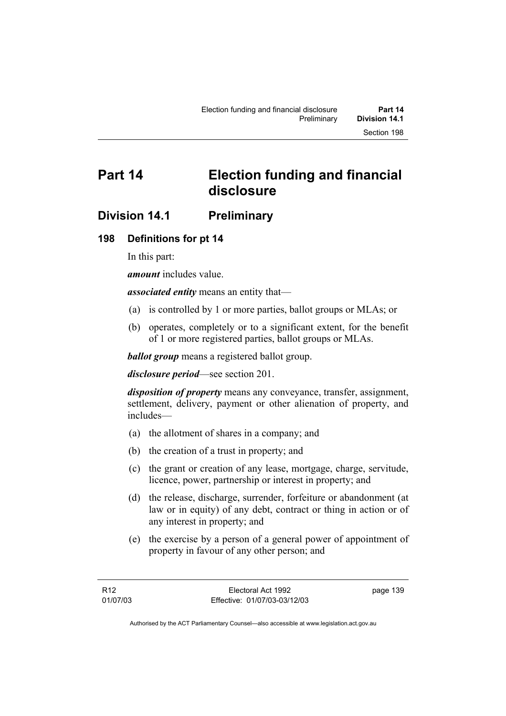# **Part 14 Election funding and financial disclosure**

# **Division 14.1 Preliminary**

# **198 Definitions for pt 14**

In this part:

*amount* includes value.

*associated entity* means an entity that—

- (a) is controlled by 1 or more parties, ballot groups or MLAs; or
- (b) operates, completely or to a significant extent, for the benefit of 1 or more registered parties, ballot groups or MLAs.

*ballot group* means a registered ballot group.

*disclosure period*—see section 201.

*disposition of property* means any conveyance, transfer, assignment, settlement, delivery, payment or other alienation of property, and includes—

- (a) the allotment of shares in a company; and
- (b) the creation of a trust in property; and
- (c) the grant or creation of any lease, mortgage, charge, servitude, licence, power, partnership or interest in property; and
- (d) the release, discharge, surrender, forfeiture or abandonment (at law or in equity) of any debt, contract or thing in action or of any interest in property; and
- (e) the exercise by a person of a general power of appointment of property in favour of any other person; and

page 139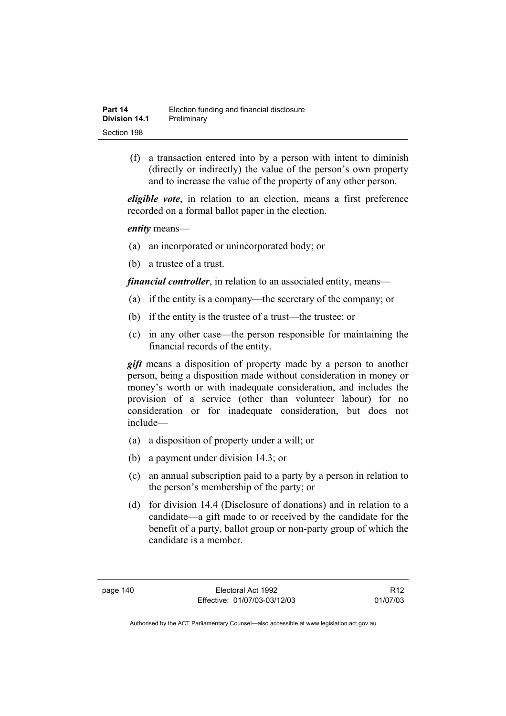| Part 14              | Election funding and financial disclosure |
|----------------------|-------------------------------------------|
| <b>Division 14.1</b> | Preliminary                               |
| Section 198          |                                           |

 (f) a transaction entered into by a person with intent to diminish (directly or indirectly) the value of the person's own property and to increase the value of the property of any other person.

*eligible vote*, in relation to an election, means a first preference recorded on a formal ballot paper in the election.

*entity* means—

- (a) an incorporated or unincorporated body; or
- (b) a trustee of a trust.

*financial controller*, in relation to an associated entity, means—

- (a) if the entity is a company—the secretary of the company; or
- (b) if the entity is the trustee of a trust—the trustee; or
- (c) in any other case—the person responsible for maintaining the financial records of the entity.

*gift* means a disposition of property made by a person to another person, being a disposition made without consideration in money or money's worth or with inadequate consideration, and includes the provision of a service (other than volunteer labour) for no consideration or for inadequate consideration, but does not include—

- (a) a disposition of property under a will; or
- (b) a payment under division 14.3; or
- (c) an annual subscription paid to a party by a person in relation to the person's membership of the party; or
- (d) for division 14.4 (Disclosure of donations) and in relation to a candidate—a gift made to or received by the candidate for the benefit of a party, ballot group or non-party group of which the candidate is a member.

R12 01/07/03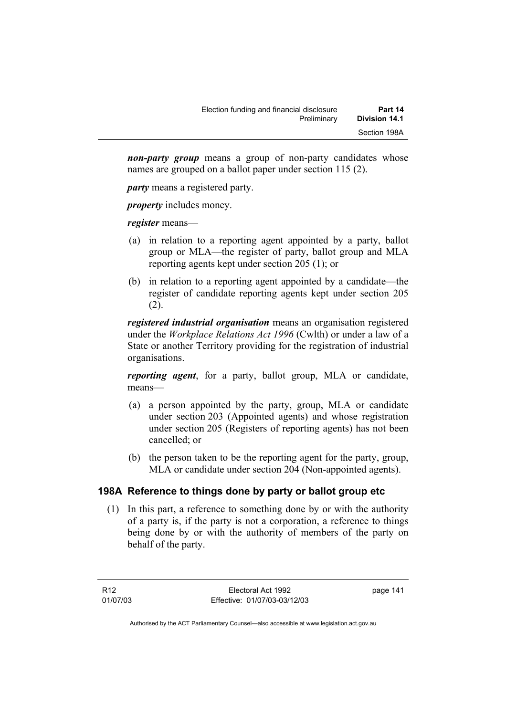| Election funding and financial disclosure | Part 14              |
|-------------------------------------------|----------------------|
| Preliminary                               | <b>Division 14.1</b> |
|                                           | Section 198A         |

*non-party group* means a group of non-party candidates whose names are grouped on a ballot paper under section 115 (2).

*party* means a registered party.

*property* includes money.

*register* means—

- (a) in relation to a reporting agent appointed by a party, ballot group or MLA—the register of party, ballot group and MLA reporting agents kept under section 205 (1); or
- (b) in relation to a reporting agent appointed by a candidate—the register of candidate reporting agents kept under section 205 (2).

*registered industrial organisation* means an organisation registered under the *Workplace Relations Act 1996* (Cwlth) or under a law of a State or another Territory providing for the registration of industrial organisations.

*reporting agent*, for a party, ballot group, MLA or candidate, means—

- (a) a person appointed by the party, group, MLA or candidate under section 203 (Appointed agents) and whose registration under section 205 (Registers of reporting agents) has not been cancelled; or
- (b) the person taken to be the reporting agent for the party, group, MLA or candidate under section 204 (Non-appointed agents).

# **198A Reference to things done by party or ballot group etc**

 (1) In this part, a reference to something done by or with the authority of a party is, if the party is not a corporation, a reference to things being done by or with the authority of members of the party on behalf of the party.

R12 01/07/03 page 141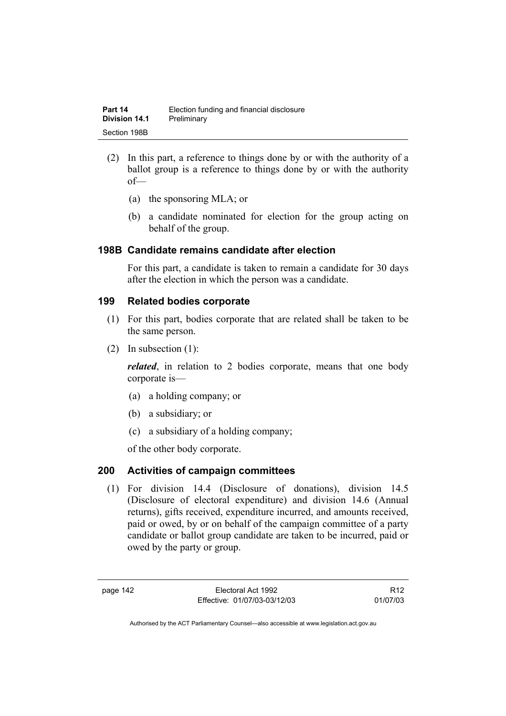- (2) In this part, a reference to things done by or with the authority of a ballot group is a reference to things done by or with the authority of—
	- (a) the sponsoring MLA; or
	- (b) a candidate nominated for election for the group acting on behalf of the group.

#### **198B Candidate remains candidate after election**

For this part, a candidate is taken to remain a candidate for 30 days after the election in which the person was a candidate.

### **199 Related bodies corporate**

- (1) For this part, bodies corporate that are related shall be taken to be the same person.
- (2) In subsection (1):

*related*, in relation to 2 bodies corporate, means that one body corporate is—

- (a) a holding company; or
- (b) a subsidiary; or
- (c) a subsidiary of a holding company;

of the other body corporate.

### **200 Activities of campaign committees**

 (1) For division 14.4 (Disclosure of donations), division 14.5 (Disclosure of electoral expenditure) and division 14.6 (Annual returns), gifts received, expenditure incurred, and amounts received, paid or owed, by or on behalf of the campaign committee of a party candidate or ballot group candidate are taken to be incurred, paid or owed by the party or group.

page 142 Electoral Act 1992 Effective: 01/07/03-03/12/03

R12 01/07/03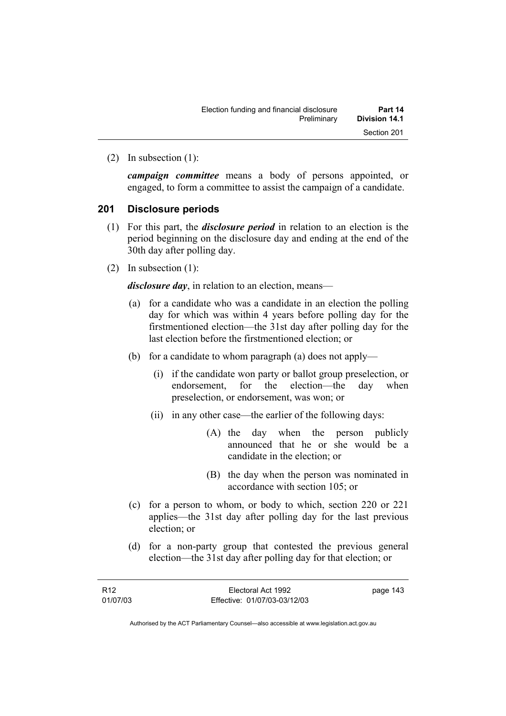(2) In subsection (1):

*campaign committee* means a body of persons appointed, or engaged, to form a committee to assist the campaign of a candidate.

#### **201 Disclosure periods**

- (1) For this part, the *disclosure period* in relation to an election is the period beginning on the disclosure day and ending at the end of the 30th day after polling day.
- (2) In subsection (1):

*disclosure day*, in relation to an election, means—

- (a) for a candidate who was a candidate in an election the polling day for which was within 4 years before polling day for the firstmentioned election—the 31st day after polling day for the last election before the firstmentioned election; or
- (b) for a candidate to whom paragraph (a) does not apply—
	- (i) if the candidate won party or ballot group preselection, or endorsement, for the election—the day when preselection, or endorsement, was won; or
	- (ii) in any other case—the earlier of the following days:
		- (A) the day when the person publicly announced that he or she would be a candidate in the election; or
		- (B) the day when the person was nominated in accordance with section 105; or
- (c) for a person to whom, or body to which, section 220 or 221 applies—the 31st day after polling day for the last previous election; or
- (d) for a non-party group that contested the previous general election—the 31st day after polling day for that election; or

| R12      | Electoral Act 1992           | page 143 |
|----------|------------------------------|----------|
| 01/07/03 | Effective: 01/07/03-03/12/03 |          |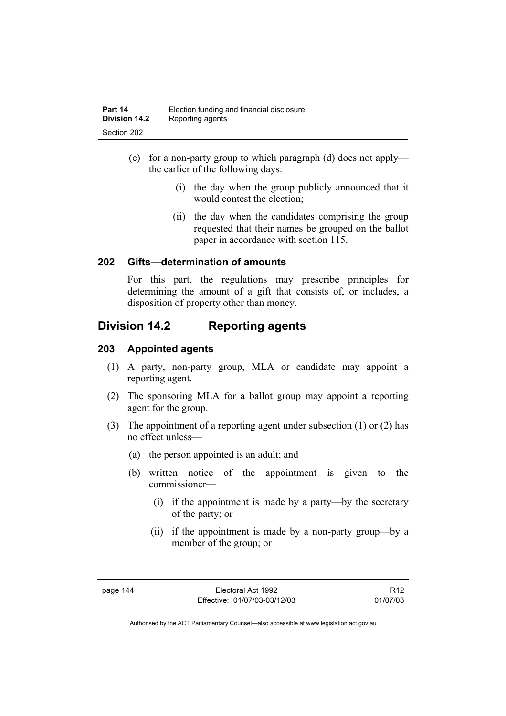- (e) for a non-party group to which paragraph (d) does not apply the earlier of the following days:
	- (i) the day when the group publicly announced that it would contest the election;
	- (ii) the day when the candidates comprising the group requested that their names be grouped on the ballot paper in accordance with section 115.

### **202 Gifts—determination of amounts**

For this part, the regulations may prescribe principles for determining the amount of a gift that consists of, or includes, a disposition of property other than money.

# **Division 14.2 Reporting agents**

### **203 Appointed agents**

- (1) A party, non-party group, MLA or candidate may appoint a reporting agent.
- (2) The sponsoring MLA for a ballot group may appoint a reporting agent for the group.
- (3) The appointment of a reporting agent under subsection (1) or (2) has no effect unless—
	- (a) the person appointed is an adult; and
	- (b) written notice of the appointment is given to the commissioner—
		- (i) if the appointment is made by a party—by the secretary of the party; or
		- (ii) if the appointment is made by a non-party group—by a member of the group; or

R12 01/07/03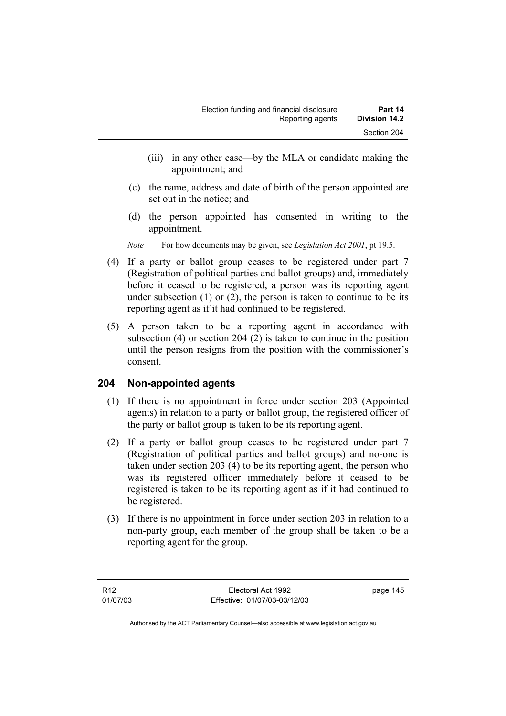- (iii) in any other case—by the MLA or candidate making the appointment; and
- (c) the name, address and date of birth of the person appointed are set out in the notice; and
- (d) the person appointed has consented in writing to the appointment.
- *Note* For how documents may be given, see *Legislation Act 2001*, pt 19.5.
- (4) If a party or ballot group ceases to be registered under part 7 (Registration of political parties and ballot groups) and, immediately before it ceased to be registered, a person was its reporting agent under subsection  $(1)$  or  $(2)$ , the person is taken to continue to be its reporting agent as if it had continued to be registered.
- (5) A person taken to be a reporting agent in accordance with subsection (4) or section 204 (2) is taken to continue in the position until the person resigns from the position with the commissioner's consent.

# **204 Non-appointed agents**

- (1) If there is no appointment in force under section 203 (Appointed agents) in relation to a party or ballot group, the registered officer of the party or ballot group is taken to be its reporting agent.
- (2) If a party or ballot group ceases to be registered under part 7 (Registration of political parties and ballot groups) and no-one is taken under section 203 (4) to be its reporting agent, the person who was its registered officer immediately before it ceased to be registered is taken to be its reporting agent as if it had continued to be registered.
- (3) If there is no appointment in force under section 203 in relation to a non-party group, each member of the group shall be taken to be a reporting agent for the group.

page 145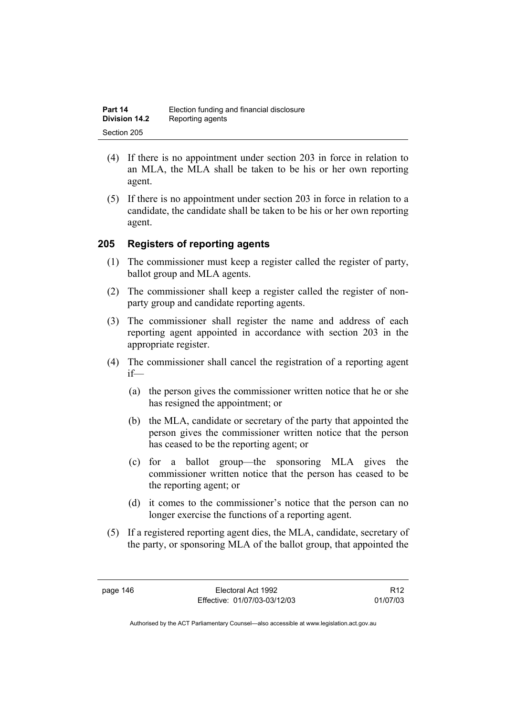| Part 14              | Election funding and financial disclosure |
|----------------------|-------------------------------------------|
| <b>Division 14.2</b> | Reporting agents                          |
| Section 205          |                                           |

- (4) If there is no appointment under section 203 in force in relation to an MLA, the MLA shall be taken to be his or her own reporting agent.
- (5) If there is no appointment under section 203 in force in relation to a candidate, the candidate shall be taken to be his or her own reporting agent.

#### **205 Registers of reporting agents**

- (1) The commissioner must keep a register called the register of party, ballot group and MLA agents.
- (2) The commissioner shall keep a register called the register of nonparty group and candidate reporting agents.
- (3) The commissioner shall register the name and address of each reporting agent appointed in accordance with section 203 in the appropriate register.
- (4) The commissioner shall cancel the registration of a reporting agent if—
	- (a) the person gives the commissioner written notice that he or she has resigned the appointment; or
	- (b) the MLA, candidate or secretary of the party that appointed the person gives the commissioner written notice that the person has ceased to be the reporting agent; or
	- (c) for a ballot group—the sponsoring MLA gives the commissioner written notice that the person has ceased to be the reporting agent; or
	- (d) it comes to the commissioner's notice that the person can no longer exercise the functions of a reporting agent.
- (5) If a registered reporting agent dies, the MLA, candidate, secretary of the party, or sponsoring MLA of the ballot group, that appointed the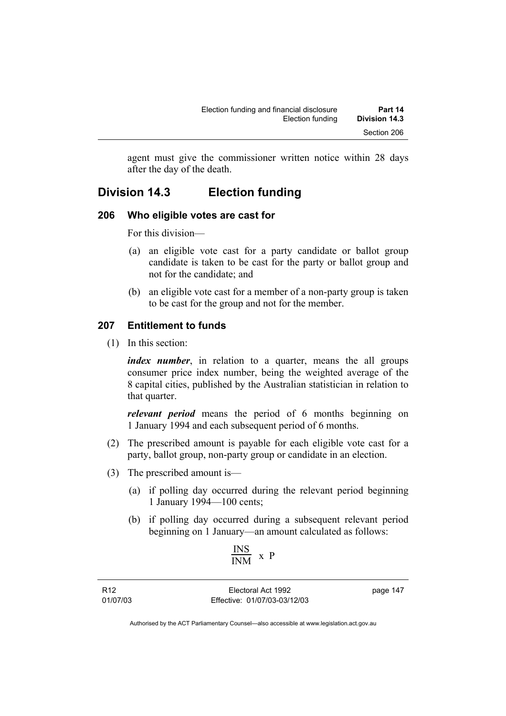agent must give the commissioner written notice within 28 days after the day of the death.

# **Division 14.3 Election funding**

# **206 Who eligible votes are cast for**

For this division—

- (a) an eligible vote cast for a party candidate or ballot group candidate is taken to be cast for the party or ballot group and not for the candidate; and
- (b) an eligible vote cast for a member of a non-party group is taken to be cast for the group and not for the member.

# **207 Entitlement to funds**

(1) In this section:

*index number*, in relation to a quarter, means the all groups consumer price index number, being the weighted average of the 8 capital cities, published by the Australian statistician in relation to that quarter.

*relevant period* means the period of 6 months beginning on 1 January 1994 and each subsequent period of 6 months.

- (2) The prescribed amount is payable for each eligible vote cast for a party, ballot group, non-party group or candidate in an election.
- (3) The prescribed amount is—
	- (a) if polling day occurred during the relevant period beginning 1 January 1994—100 cents;
	- (b) if polling day occurred during a subsequent relevant period beginning on 1 January—an amount calculated as follows:

$$
\frac{\text{INS}}{\text{INM}} \ \text{x} \ \text{P}
$$

R12 01/07/03

Electoral Act 1992 Effective: 01/07/03-03/12/03 page 147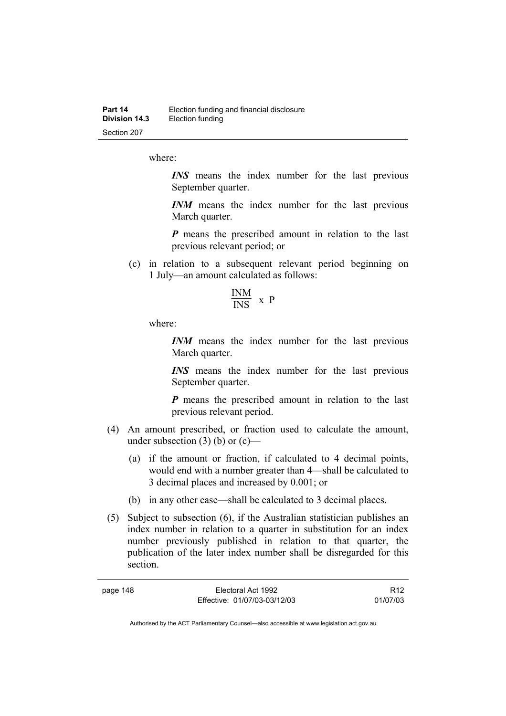where:

*INS* means the index number for the last previous September quarter.

*INM* means the index number for the last previous March quarter.

*P* means the prescribed amount in relation to the last previous relevant period; or

 (c) in relation to a subsequent relevant period beginning on 1 July—an amount calculated as follows:

$$
\frac{\text{INM}}{\text{INS}} \times P
$$

where:

page 148

*INM* means the index number for the last previous March quarter.

*INS* means the index number for the last previous September quarter.

*P* means the prescribed amount in relation to the last previous relevant period.

- (4) An amount prescribed, or fraction used to calculate the amount, under subsection  $(3)$  (b) or  $(c)$ —
	- (a) if the amount or fraction, if calculated to 4 decimal points, would end with a number greater than 4—shall be calculated to 3 decimal places and increased by 0.001; or
	- (b) in any other case—shall be calculated to 3 decimal places.
- (5) Subject to subsection (6), if the Australian statistician publishes an index number in relation to a quarter in substitution for an index number previously published in relation to that quarter, the publication of the later index number shall be disregarded for this section.

| Electoral Act 1992           | R <sub>12</sub> |
|------------------------------|-----------------|
| Effective: 01/07/03-03/12/03 | 01/07/03        |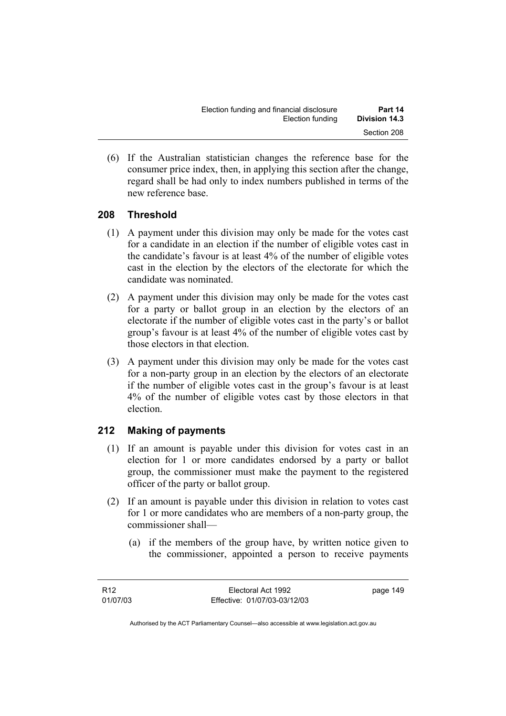(6) If the Australian statistician changes the reference base for the consumer price index, then, in applying this section after the change, regard shall be had only to index numbers published in terms of the new reference base.

# **208 Threshold**

- (1) A payment under this division may only be made for the votes cast for a candidate in an election if the number of eligible votes cast in the candidate's favour is at least 4% of the number of eligible votes cast in the election by the electors of the electorate for which the candidate was nominated.
- (2) A payment under this division may only be made for the votes cast for a party or ballot group in an election by the electors of an electorate if the number of eligible votes cast in the party's or ballot group's favour is at least 4% of the number of eligible votes cast by those electors in that election.
- (3) A payment under this division may only be made for the votes cast for a non-party group in an election by the electors of an electorate if the number of eligible votes cast in the group's favour is at least 4% of the number of eligible votes cast by those electors in that election.

# **212 Making of payments**

- (1) If an amount is payable under this division for votes cast in an election for 1 or more candidates endorsed by a party or ballot group, the commissioner must make the payment to the registered officer of the party or ballot group.
- (2) If an amount is payable under this division in relation to votes cast for 1 or more candidates who are members of a non-party group, the commissioner shall—
	- (a) if the members of the group have, by written notice given to the commissioner, appointed a person to receive payments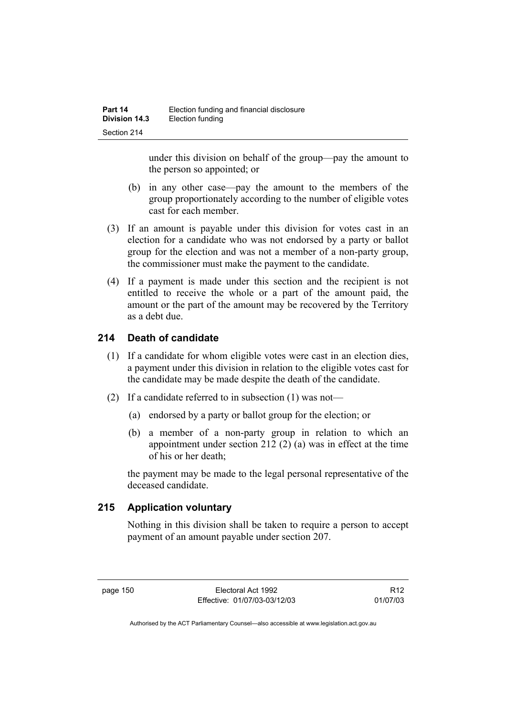under this division on behalf of the group—pay the amount to the person so appointed; or

- (b) in any other case—pay the amount to the members of the group proportionately according to the number of eligible votes cast for each member.
- (3) If an amount is payable under this division for votes cast in an election for a candidate who was not endorsed by a party or ballot group for the election and was not a member of a non-party group, the commissioner must make the payment to the candidate.
- (4) If a payment is made under this section and the recipient is not entitled to receive the whole or a part of the amount paid, the amount or the part of the amount may be recovered by the Territory as a debt due.

# **214 Death of candidate**

- (1) If a candidate for whom eligible votes were cast in an election dies, a payment under this division in relation to the eligible votes cast for the candidate may be made despite the death of the candidate.
- (2) If a candidate referred to in subsection (1) was not—
	- (a) endorsed by a party or ballot group for the election; or
	- (b) a member of a non-party group in relation to which an appointment under section 212 (2) (a) was in effect at the time of his or her death;

the payment may be made to the legal personal representative of the deceased candidate.

# **215 Application voluntary**

Nothing in this division shall be taken to require a person to accept payment of an amount payable under section 207.

R12 01/07/03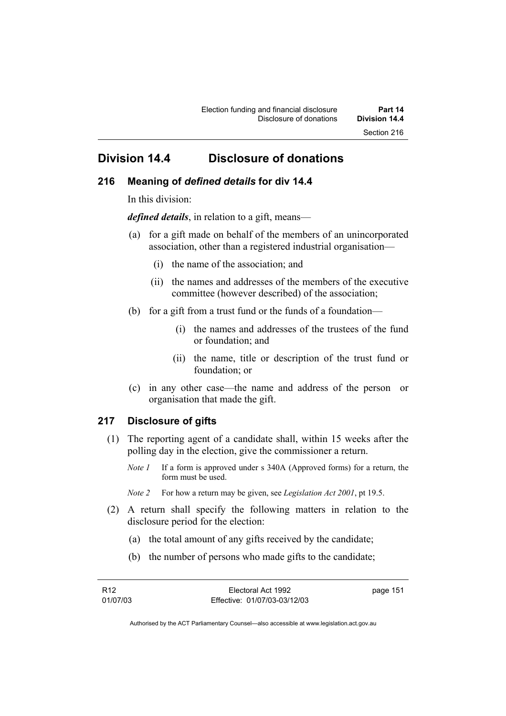# **Division 14.4 Disclosure of donations**

#### **216 Meaning of** *defined details* **for div 14.4**

In this division:

*defined details*, in relation to a gift, means—

- (a) for a gift made on behalf of the members of an unincorporated association, other than a registered industrial organisation—
	- (i) the name of the association; and
	- (ii) the names and addresses of the members of the executive committee (however described) of the association;
- (b) for a gift from a trust fund or the funds of a foundation—
	- (i) the names and addresses of the trustees of the fund or foundation; and
	- (ii) the name, title or description of the trust fund or foundation; or
- (c) in any other case—the name and address of the person or organisation that made the gift.

#### **217 Disclosure of gifts**

- (1) The reporting agent of a candidate shall, within 15 weeks after the polling day in the election, give the commissioner a return.
	- *Note 1* If a form is approved under s 340A (Approved forms) for a return, the form must be used.
	- *Note 2* For how a return may be given, see *Legislation Act 2001*, pt 19.5.
- (2) A return shall specify the following matters in relation to the disclosure period for the election:
	- (a) the total amount of any gifts received by the candidate;
	- (b) the number of persons who made gifts to the candidate;

| R <sub>12</sub> | Electoral Act 1992           | page 151 |
|-----------------|------------------------------|----------|
| 01/07/03        | Effective: 01/07/03-03/12/03 |          |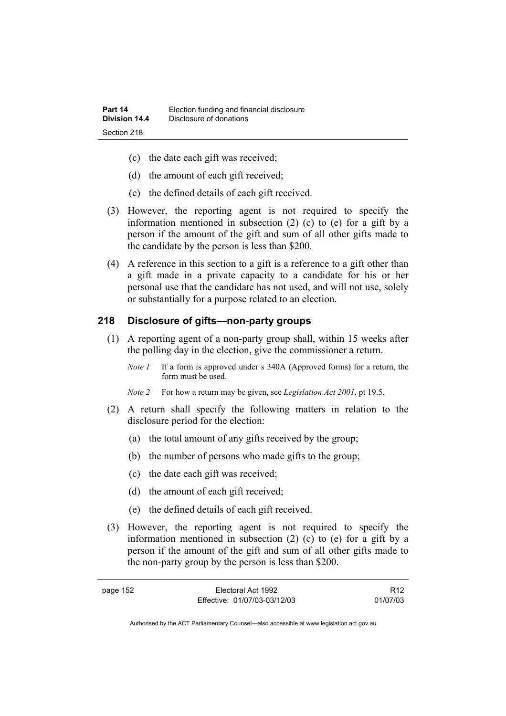- (c) the date each gift was received;
- (d) the amount of each gift received;
- (e) the defined details of each gift received.
- (3) However, the reporting agent is not required to specify the information mentioned in subsection (2) (c) to (e) for a gift by a person if the amount of the gift and sum of all other gifts made to the candidate by the person is less than \$200.
- (4) A reference in this section to a gift is a reference to a gift other than a gift made in a private capacity to a candidate for his or her personal use that the candidate has not used, and will not use, solely or substantially for a purpose related to an election.

### **218 Disclosure of gifts—non-party groups**

- (1) A reporting agent of a non-party group shall, within 15 weeks after the polling day in the election, give the commissioner a return.
	- *Note 1* If a form is approved under s 340A (Approved forms) for a return, the form must be used.

*Note 2* For how a return may be given, see *Legislation Act 2001*, pt 19.5.

- (2) A return shall specify the following matters in relation to the disclosure period for the election:
	- (a) the total amount of any gifts received by the group;
	- (b) the number of persons who made gifts to the group;
	- (c) the date each gift was received;
	- (d) the amount of each gift received;
	- (e) the defined details of each gift received.
- (3) However, the reporting agent is not required to specify the information mentioned in subsection (2) (c) to (e) for a gift by a person if the amount of the gift and sum of all other gifts made to the non-party group by the person is less than \$200.

| page 152 | Electoral Act 1992           | R <sub>12</sub> |
|----------|------------------------------|-----------------|
|          | Effective: 01/07/03-03/12/03 | 01/07/03        |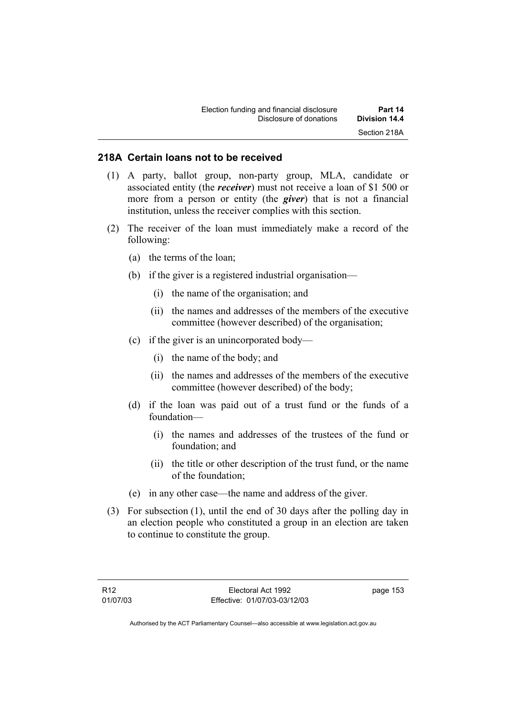#### **218A Certain loans not to be received**

- (1) A party, ballot group, non-party group, MLA, candidate or associated entity (the *receiver*) must not receive a loan of \$1 500 or more from a person or entity (the *giver*) that is not a financial institution, unless the receiver complies with this section.
- (2) The receiver of the loan must immediately make a record of the following:
	- (a) the terms of the loan;
	- (b) if the giver is a registered industrial organisation—
		- (i) the name of the organisation; and
		- (ii) the names and addresses of the members of the executive committee (however described) of the organisation;
	- (c) if the giver is an unincorporated body—
		- (i) the name of the body; and
		- (ii) the names and addresses of the members of the executive committee (however described) of the body;
	- (d) if the loan was paid out of a trust fund or the funds of a foundation—
		- (i) the names and addresses of the trustees of the fund or foundation; and
		- (ii) the title or other description of the trust fund, or the name of the foundation;
	- (e) in any other case—the name and address of the giver.
- (3) For subsection (1), until the end of 30 days after the polling day in an election people who constituted a group in an election are taken to continue to constitute the group.

page 153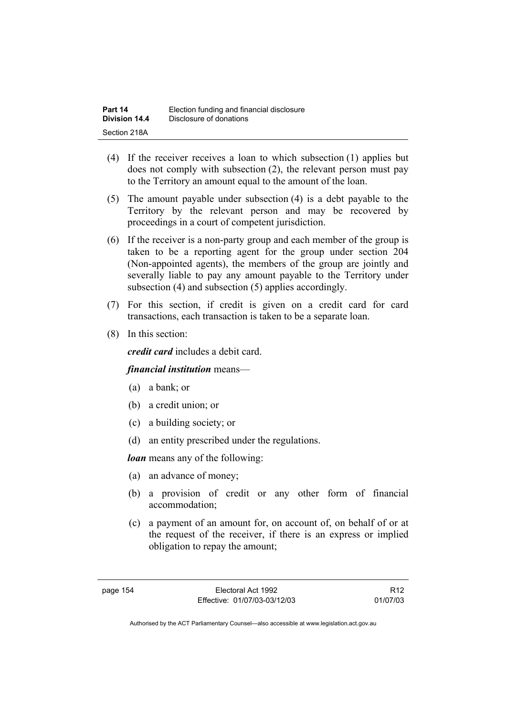| Part 14       | Election funding and financial disclosure |
|---------------|-------------------------------------------|
| Division 14.4 | Disclosure of donations                   |
| Section 218A  |                                           |

- (4) If the receiver receives a loan to which subsection (1) applies but does not comply with subsection (2), the relevant person must pay to the Territory an amount equal to the amount of the loan.
- (5) The amount payable under subsection (4) is a debt payable to the Territory by the relevant person and may be recovered by proceedings in a court of competent jurisdiction.
- (6) If the receiver is a non-party group and each member of the group is taken to be a reporting agent for the group under section 204 (Non-appointed agents), the members of the group are jointly and severally liable to pay any amount payable to the Territory under subsection (4) and subsection (5) applies accordingly.
- (7) For this section, if credit is given on a credit card for card transactions, each transaction is taken to be a separate loan.
- (8) In this section:

*credit card* includes a debit card.

#### *financial institution* means—

- (a) a bank; or
- (b) a credit union; or
- (c) a building society; or
- (d) an entity prescribed under the regulations.

*loan* means any of the following:

- (a) an advance of money;
- (b) a provision of credit or any other form of financial accommodation;
- (c) a payment of an amount for, on account of, on behalf of or at the request of the receiver, if there is an express or implied obligation to repay the amount;

R12 01/07/03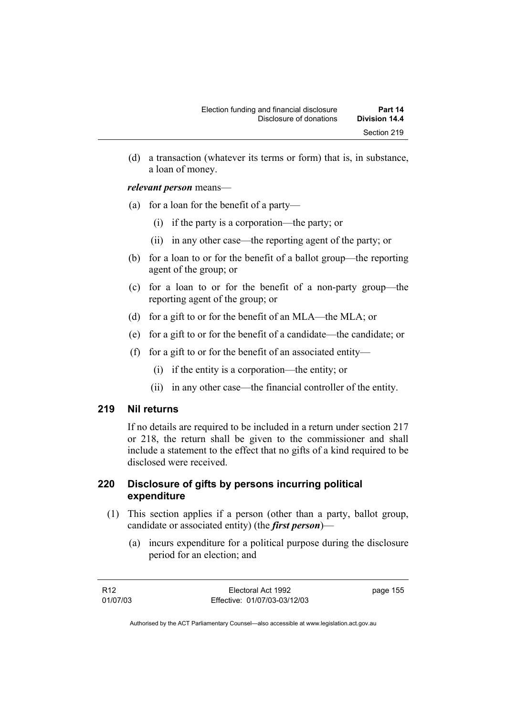(d) a transaction (whatever its terms or form) that is, in substance, a loan of money.

#### *relevant person* means—

- (a) for a loan for the benefit of a party—
	- (i) if the party is a corporation—the party; or
	- (ii) in any other case—the reporting agent of the party; or
- (b) for a loan to or for the benefit of a ballot group—the reporting agent of the group; or
- (c) for a loan to or for the benefit of a non-party group—the reporting agent of the group; or
- (d) for a gift to or for the benefit of an MLA—the MLA; or
- (e) for a gift to or for the benefit of a candidate—the candidate; or
- (f) for a gift to or for the benefit of an associated entity—
	- (i) if the entity is a corporation—the entity; or
	- (ii) in any other case—the financial controller of the entity.

#### **219 Nil returns**

If no details are required to be included in a return under section 217 or 218, the return shall be given to the commissioner and shall include a statement to the effect that no gifts of a kind required to be disclosed were received.

#### **220 Disclosure of gifts by persons incurring political expenditure**

- (1) This section applies if a person (other than a party, ballot group, candidate or associated entity) (the *first person*)—
	- (a) incurs expenditure for a political purpose during the disclosure period for an election; and

| R12      | Electoral Act 1992           | page 155 |
|----------|------------------------------|----------|
| 01/07/03 | Effective: 01/07/03-03/12/03 |          |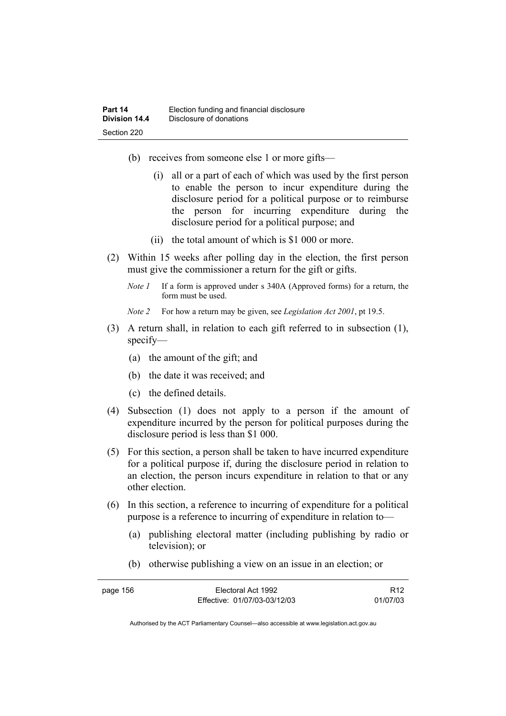- (b) receives from someone else 1 or more gifts—
	- (i) all or a part of each of which was used by the first person to enable the person to incur expenditure during the disclosure period for a political purpose or to reimburse the person for incurring expenditure during the disclosure period for a political purpose; and
	- (ii) the total amount of which is \$1 000 or more.
- (2) Within 15 weeks after polling day in the election, the first person must give the commissioner a return for the gift or gifts.
	- *Note 1* If a form is approved under s 340A (Approved forms) for a return, the form must be used.
	- *Note 2* For how a return may be given, see *Legislation Act 2001*, pt 19.5.
- (3) A return shall, in relation to each gift referred to in subsection (1), specify—
	- (a) the amount of the gift; and
	- (b) the date it was received; and
	- (c) the defined details.
- (4) Subsection (1) does not apply to a person if the amount of expenditure incurred by the person for political purposes during the disclosure period is less than \$1 000.
- (5) For this section, a person shall be taken to have incurred expenditure for a political purpose if, during the disclosure period in relation to an election, the person incurs expenditure in relation to that or any other election.
- (6) In this section, a reference to incurring of expenditure for a political purpose is a reference to incurring of expenditure in relation to—
	- (a) publishing electoral matter (including publishing by radio or television); or
	- (b) otherwise publishing a view on an issue in an election; or

| page 156 | Electoral Act 1992           | R <sub>12</sub> |
|----------|------------------------------|-----------------|
|          | Effective: 01/07/03-03/12/03 | 01/07/03        |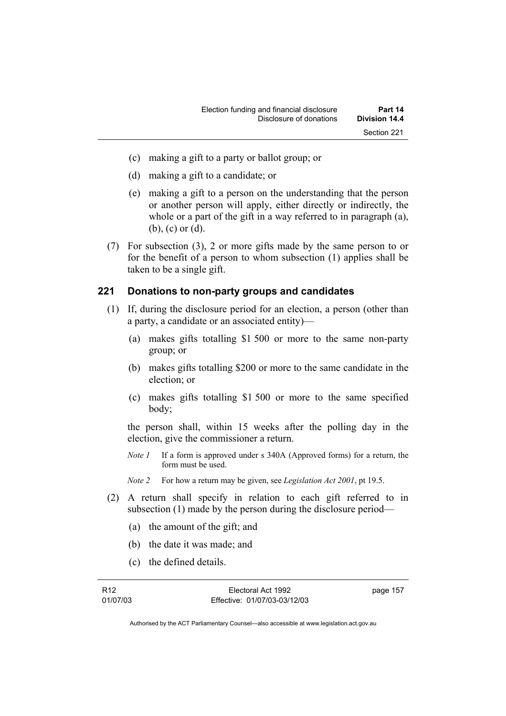- (c) making a gift to a party or ballot group; or
- (d) making a gift to a candidate; or
- (e) making a gift to a person on the understanding that the person or another person will apply, either directly or indirectly, the whole or a part of the gift in a way referred to in paragraph (a), (b), (c) or (d).
- (7) For subsection (3), 2 or more gifts made by the same person to or for the benefit of a person to whom subsection (1) applies shall be taken to be a single gift.

#### **221 Donations to non-party groups and candidates**

- (1) If, during the disclosure period for an election, a person (other than a party, a candidate or an associated entity)—
	- (a) makes gifts totalling \$1 500 or more to the same non-party group; or
	- (b) makes gifts totalling \$200 or more to the same candidate in the election; or
	- (c) makes gifts totalling \$1 500 or more to the same specified body;

the person shall, within 15 weeks after the polling day in the election, give the commissioner a return.

*Note 1* If a form is approved under s 340A (Approved forms) for a return, the form must be used.

*Note 2* For how a return may be given, see *Legislation Act 2001*, pt 19.5.

- (2) A return shall specify in relation to each gift referred to in subsection (1) made by the person during the disclosure period—
	- (a) the amount of the gift; and
	- (b) the date it was made; and
	- (c) the defined details.

R12 01/07/03

Electoral Act 1992 Effective: 01/07/03-03/12/03 page 157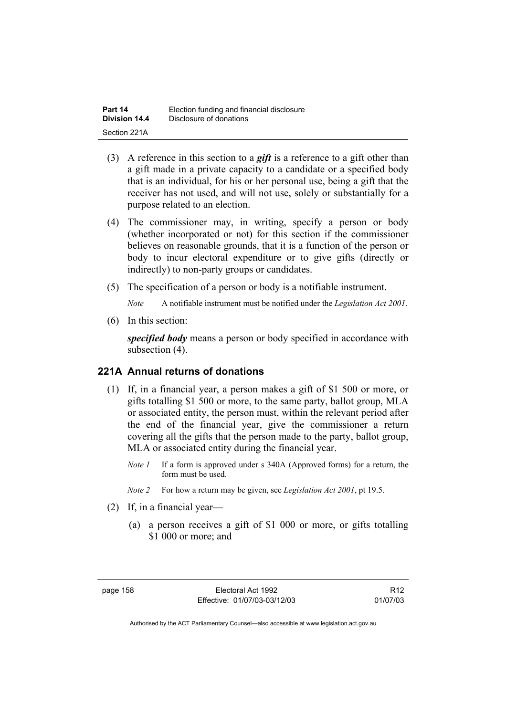| Part 14       | Election funding and financial disclosure |
|---------------|-------------------------------------------|
| Division 14.4 | Disclosure of donations                   |
| Section 221A  |                                           |

- (3) A reference in this section to a *gift* is a reference to a gift other than a gift made in a private capacity to a candidate or a specified body that is an individual, for his or her personal use, being a gift that the receiver has not used, and will not use, solely or substantially for a purpose related to an election.
- (4) The commissioner may, in writing, specify a person or body (whether incorporated or not) for this section if the commissioner believes on reasonable grounds, that it is a function of the person or body to incur electoral expenditure or to give gifts (directly or indirectly) to non-party groups or candidates.
- (5) The specification of a person or body is a notifiable instrument.

*Note* A notifiable instrument must be notified under the *Legislation Act 2001*.

(6) In this section:

*specified body* means a person or body specified in accordance with subsection (4).

#### **221A Annual returns of donations**

- (1) If, in a financial year, a person makes a gift of \$1 500 or more, or gifts totalling \$1 500 or more, to the same party, ballot group, MLA or associated entity, the person must, within the relevant period after the end of the financial year, give the commissioner a return covering all the gifts that the person made to the party, ballot group, MLA or associated entity during the financial year.
	- *Note 1* If a form is approved under s 340A (Approved forms) for a return, the form must be used.
	- *Note 2* For how a return may be given, see *Legislation Act 2001*, pt 19.5.
- (2) If, in a financial year—
	- (a) a person receives a gift of \$1 000 or more, or gifts totalling \$1 000 or more; and

R12 01/07/03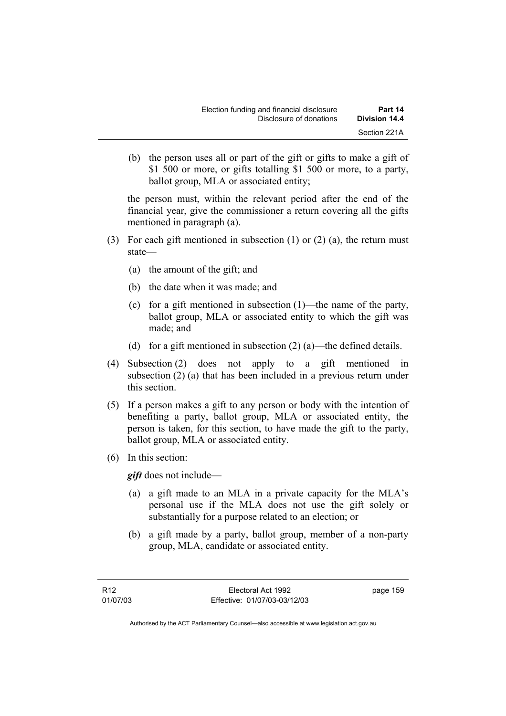(b) the person uses all or part of the gift or gifts to make a gift of \$1 500 or more, or gifts totalling \$1 500 or more, to a party, ballot group, MLA or associated entity;

the person must, within the relevant period after the end of the financial year, give the commissioner a return covering all the gifts mentioned in paragraph (a).

- (3) For each gift mentioned in subsection (1) or (2) (a), the return must state—
	- (a) the amount of the gift; and
	- (b) the date when it was made; and
	- (c) for a gift mentioned in subsection (1)—the name of the party, ballot group, MLA or associated entity to which the gift was made; and
	- (d) for a gift mentioned in subsection  $(2)$  (a)—the defined details.
- (4) Subsection (2) does not apply to a gift mentioned in subsection (2) (a) that has been included in a previous return under this section.
- (5) If a person makes a gift to any person or body with the intention of benefiting a party, ballot group, MLA or associated entity, the person is taken, for this section, to have made the gift to the party, ballot group, MLA or associated entity.
- (6) In this section:

*gift* does not include—

- (a) a gift made to an MLA in a private capacity for the MLA's personal use if the MLA does not use the gift solely or substantially for a purpose related to an election; or
- (b) a gift made by a party, ballot group, member of a non-party group, MLA, candidate or associated entity.

page 159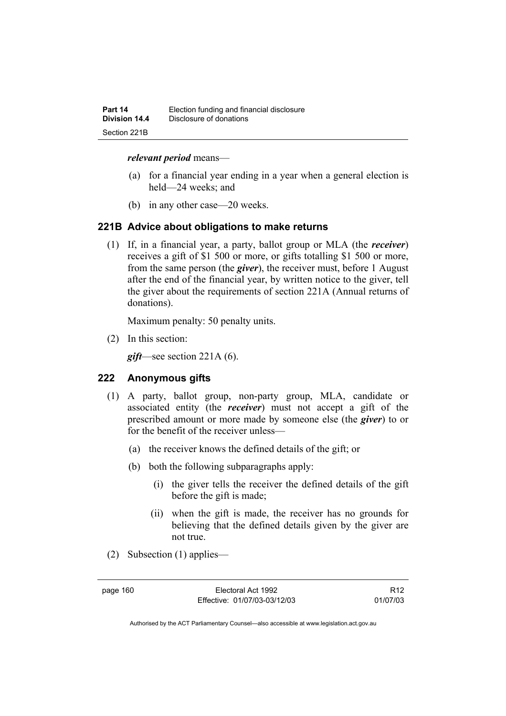#### *relevant period* means—

- (a) for a financial year ending in a year when a general election is held—24 weeks; and
- (b) in any other case—20 weeks.

#### **221B Advice about obligations to make returns**

 (1) If, in a financial year, a party, ballot group or MLA (the *receiver*) receives a gift of \$1 500 or more, or gifts totalling \$1 500 or more, from the same person (the *giver*), the receiver must, before 1 August after the end of the financial year, by written notice to the giver, tell the giver about the requirements of section 221A (Annual returns of donations).

Maximum penalty: 50 penalty units.

(2) In this section:

*gift*—see section 221A (6).

#### **222 Anonymous gifts**

- (1) A party, ballot group, non-party group, MLA, candidate or associated entity (the *receiver*) must not accept a gift of the prescribed amount or more made by someone else (the *giver*) to or for the benefit of the receiver unless—
	- (a) the receiver knows the defined details of the gift; or
	- (b) both the following subparagraphs apply:
		- (i) the giver tells the receiver the defined details of the gift before the gift is made;
		- (ii) when the gift is made, the receiver has no grounds for believing that the defined details given by the giver are not true.
- (2) Subsection (1) applies—

page 160 Electoral Act 1992 Effective: 01/07/03-03/12/03

R12 01/07/03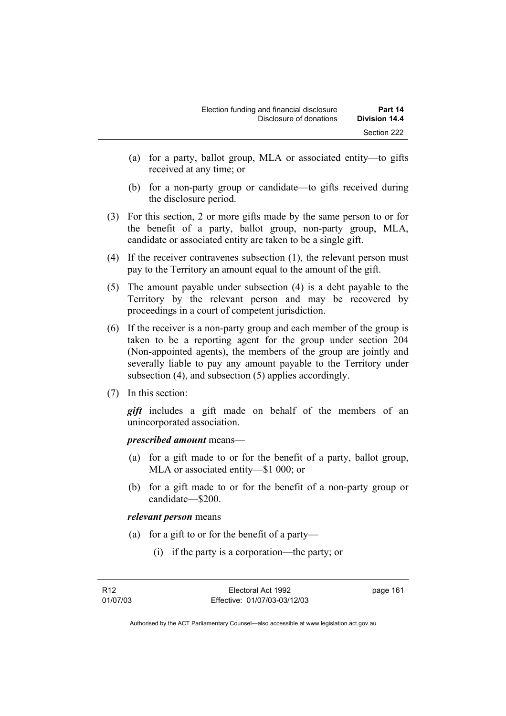- (a) for a party, ballot group, MLA or associated entity—to gifts received at any time; or
- (b) for a non-party group or candidate—to gifts received during the disclosure period.
- (3) For this section, 2 or more gifts made by the same person to or for the benefit of a party, ballot group, non-party group, MLA, candidate or associated entity are taken to be a single gift.
- (4) If the receiver contravenes subsection (1), the relevant person must pay to the Territory an amount equal to the amount of the gift.
- (5) The amount payable under subsection (4) is a debt payable to the Territory by the relevant person and may be recovered by proceedings in a court of competent jurisdiction.
- (6) If the receiver is a non-party group and each member of the group is taken to be a reporting agent for the group under section 204 (Non-appointed agents), the members of the group are jointly and severally liable to pay any amount payable to the Territory under subsection (4), and subsection (5) applies accordingly.
- (7) In this section:

*gift* includes a gift made on behalf of the members of an unincorporated association.

*prescribed amount* means—

- (a) for a gift made to or for the benefit of a party, ballot group, MLA or associated entity—\$1 000; or
- (b) for a gift made to or for the benefit of a non-party group or candidate—\$200.

#### *relevant person* means

- (a) for a gift to or for the benefit of a party—
	- (i) if the party is a corporation—the party; or

page 161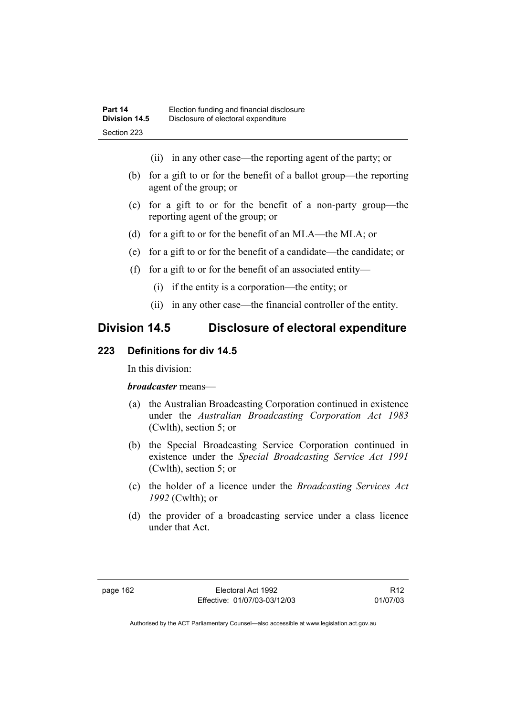- (ii) in any other case—the reporting agent of the party; or
- (b) for a gift to or for the benefit of a ballot group—the reporting agent of the group; or
- (c) for a gift to or for the benefit of a non-party group—the reporting agent of the group; or
- (d) for a gift to or for the benefit of an MLA—the MLA; or
- (e) for a gift to or for the benefit of a candidate—the candidate; or
- (f) for a gift to or for the benefit of an associated entity—
	- (i) if the entity is a corporation—the entity; or
	- (ii) in any other case—the financial controller of the entity.

# **Division 14.5 Disclosure of electoral expenditure**

## **223 Definitions for div 14.5**

In this division:

#### *broadcaster* means—

- (a) the Australian Broadcasting Corporation continued in existence under the *Australian Broadcasting Corporation Act 1983* (Cwlth), section 5; or
- (b) the Special Broadcasting Service Corporation continued in existence under the *Special Broadcasting Service Act 1991*  (Cwlth), section 5; or
- (c) the holder of a licence under the *Broadcasting Services Act 1992* (Cwlth); or
- (d) the provider of a broadcasting service under a class licence under that Act.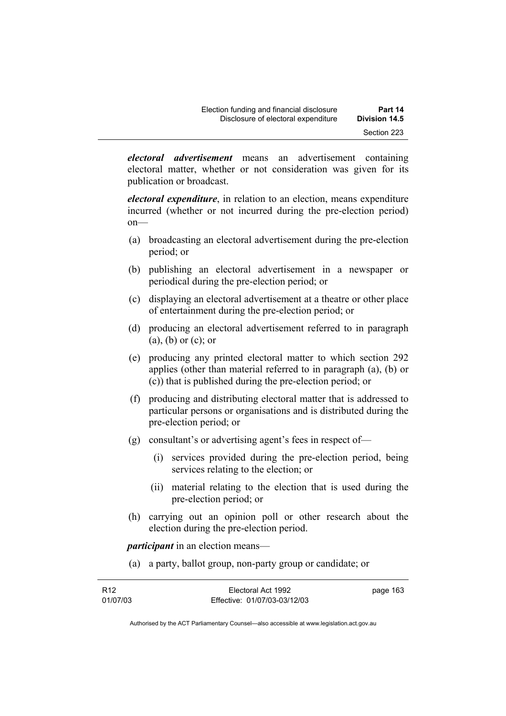*electoral advertisement* means an advertisement containing electoral matter, whether or not consideration was given for its publication or broadcast.

*electoral expenditure*, in relation to an election, means expenditure incurred (whether or not incurred during the pre-election period) on—

- (a) broadcasting an electoral advertisement during the pre-election period; or
- (b) publishing an electoral advertisement in a newspaper or periodical during the pre-election period; or
- (c) displaying an electoral advertisement at a theatre or other place of entertainment during the pre-election period; or
- (d) producing an electoral advertisement referred to in paragraph (a), (b) or (c); or
- (e) producing any printed electoral matter to which section 292 applies (other than material referred to in paragraph (a), (b) or (c)) that is published during the pre-election period; or
- (f) producing and distributing electoral matter that is addressed to particular persons or organisations and is distributed during the pre-election period; or
- (g) consultant's or advertising agent's fees in respect of—
	- (i) services provided during the pre-election period, being services relating to the election; or
	- (ii) material relating to the election that is used during the pre-election period; or
- (h) carrying out an opinion poll or other research about the election during the pre-election period.

*participant* in an election means—

(a) a party, ballot group, non-party group or candidate; or

| R <sub>12</sub> | Electoral Act 1992           | page 163 |
|-----------------|------------------------------|----------|
| 01/07/03        | Effective: 01/07/03-03/12/03 |          |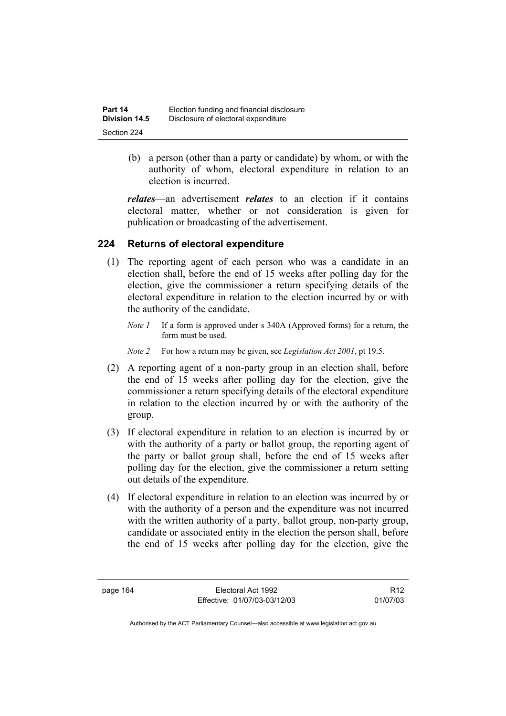| Part 14       | Election funding and financial disclosure |
|---------------|-------------------------------------------|
| Division 14.5 | Disclosure of electoral expenditure       |
| Section 224   |                                           |

 (b) a person (other than a party or candidate) by whom, or with the authority of whom, electoral expenditure in relation to an election is incurred.

*relates*—an advertisement *relates* to an election if it contains electoral matter, whether or not consideration is given for publication or broadcasting of the advertisement.

## **224 Returns of electoral expenditure**

- (1) The reporting agent of each person who was a candidate in an election shall, before the end of 15 weeks after polling day for the election, give the commissioner a return specifying details of the electoral expenditure in relation to the election incurred by or with the authority of the candidate.
	- *Note 1* If a form is approved under s 340A (Approved forms) for a return, the form must be used.
	- *Note 2* For how a return may be given, see *Legislation Act 2001*, pt 19.5.
- (2) A reporting agent of a non-party group in an election shall, before the end of 15 weeks after polling day for the election, give the commissioner a return specifying details of the electoral expenditure in relation to the election incurred by or with the authority of the group.
- (3) If electoral expenditure in relation to an election is incurred by or with the authority of a party or ballot group, the reporting agent of the party or ballot group shall, before the end of 15 weeks after polling day for the election, give the commissioner a return setting out details of the expenditure.
- (4) If electoral expenditure in relation to an election was incurred by or with the authority of a person and the expenditure was not incurred with the written authority of a party, ballot group, non-party group, candidate or associated entity in the election the person shall, before the end of 15 weeks after polling day for the election, give the

page 164 Electoral Act 1992 Effective: 01/07/03-03/12/03

R12 01/07/03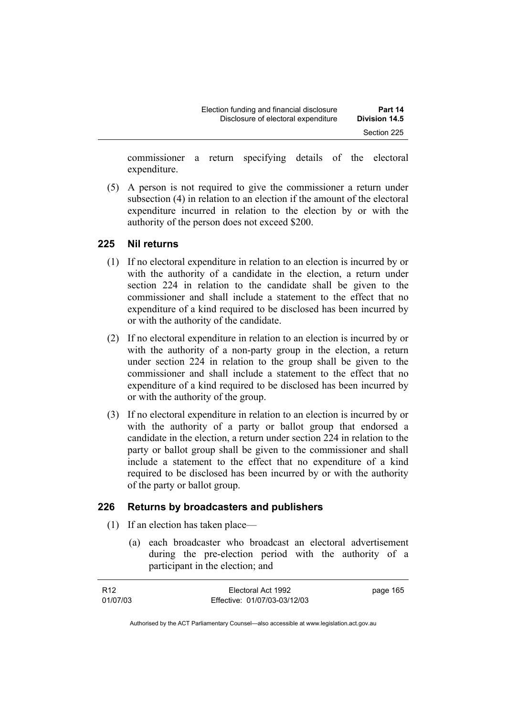| Election funding and financial disclosure | Part 14              |
|-------------------------------------------|----------------------|
| Disclosure of electoral expenditure       | <b>Division 14.5</b> |
|                                           | Section 225          |

commissioner a return specifying details of the electoral expenditure.

 (5) A person is not required to give the commissioner a return under subsection (4) in relation to an election if the amount of the electoral expenditure incurred in relation to the election by or with the authority of the person does not exceed \$200.

### **225 Nil returns**

- (1) If no electoral expenditure in relation to an election is incurred by or with the authority of a candidate in the election, a return under section 224 in relation to the candidate shall be given to the commissioner and shall include a statement to the effect that no expenditure of a kind required to be disclosed has been incurred by or with the authority of the candidate.
- (2) If no electoral expenditure in relation to an election is incurred by or with the authority of a non-party group in the election, a return under section 224 in relation to the group shall be given to the commissioner and shall include a statement to the effect that no expenditure of a kind required to be disclosed has been incurred by or with the authority of the group.
- (3) If no electoral expenditure in relation to an election is incurred by or with the authority of a party or ballot group that endorsed a candidate in the election, a return under section 224 in relation to the party or ballot group shall be given to the commissioner and shall include a statement to the effect that no expenditure of a kind required to be disclosed has been incurred by or with the authority of the party or ballot group.

## **226 Returns by broadcasters and publishers**

- (1) If an election has taken place—
	- (a) each broadcaster who broadcast an electoral advertisement during the pre-election period with the authority of a participant in the election; and

| R12      | Electoral Act 1992           | page 165 |
|----------|------------------------------|----------|
| 01/07/03 | Effective: 01/07/03-03/12/03 |          |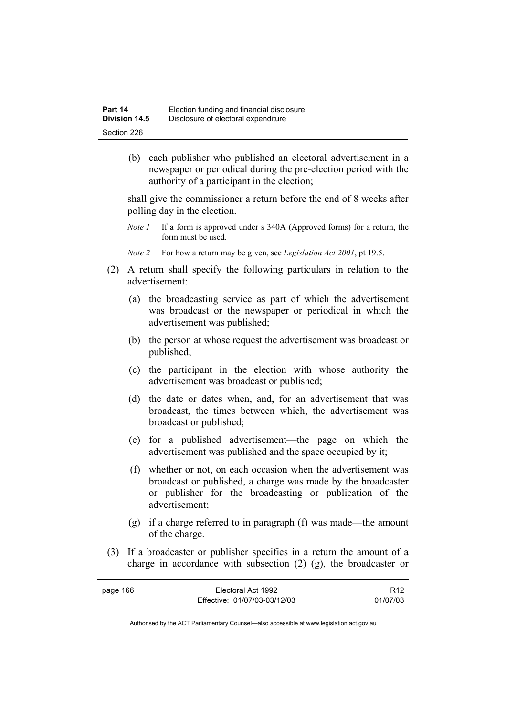(b) each publisher who published an electoral advertisement in a newspaper or periodical during the pre-election period with the authority of a participant in the election;

shall give the commissioner a return before the end of 8 weeks after polling day in the election.

- *Note 1* If a form is approved under s 340A (Approved forms) for a return, the form must be used.
- *Note 2* For how a return may be given, see *Legislation Act 2001*, pt 19.5.
- (2) A return shall specify the following particulars in relation to the advertisement:
	- (a) the broadcasting service as part of which the advertisement was broadcast or the newspaper or periodical in which the advertisement was published;
	- (b) the person at whose request the advertisement was broadcast or published;
	- (c) the participant in the election with whose authority the advertisement was broadcast or published;
	- (d) the date or dates when, and, for an advertisement that was broadcast, the times between which, the advertisement was broadcast or published;
	- (e) for a published advertisement—the page on which the advertisement was published and the space occupied by it;
	- (f) whether or not, on each occasion when the advertisement was broadcast or published, a charge was made by the broadcaster or publisher for the broadcasting or publication of the advertisement;
	- (g) if a charge referred to in paragraph (f) was made—the amount of the charge.
- (3) If a broadcaster or publisher specifies in a return the amount of a charge in accordance with subsection (2) (g), the broadcaster or

| page 166 | Electoral Act 1992           | R <sub>12</sub> |
|----------|------------------------------|-----------------|
|          | Effective: 01/07/03-03/12/03 | 01/07/03        |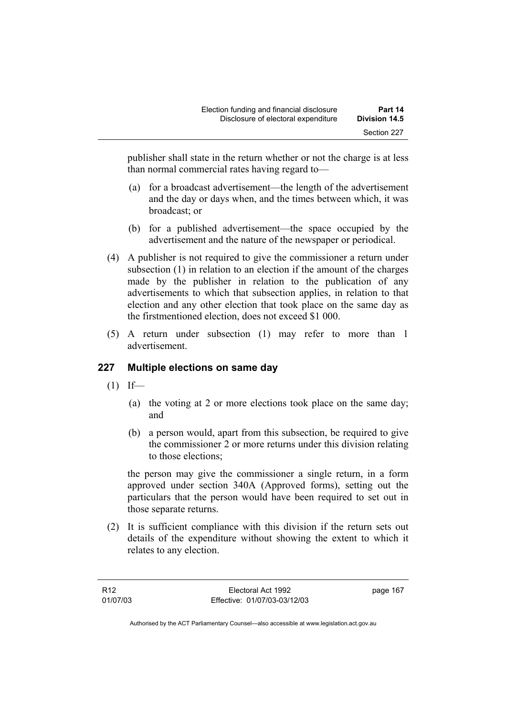publisher shall state in the return whether or not the charge is at less than normal commercial rates having regard to—

- (a) for a broadcast advertisement—the length of the advertisement and the day or days when, and the times between which, it was broadcast; or
- (b) for a published advertisement—the space occupied by the advertisement and the nature of the newspaper or periodical.
- (4) A publisher is not required to give the commissioner a return under subsection (1) in relation to an election if the amount of the charges made by the publisher in relation to the publication of any advertisements to which that subsection applies, in relation to that election and any other election that took place on the same day as the firstmentioned election, does not exceed \$1 000.
- (5) A return under subsection (1) may refer to more than 1 advertisement.

# **227 Multiple elections on same day**

- $(1)$  If—
	- (a) the voting at 2 or more elections took place on the same day; and
	- (b) a person would, apart from this subsection, be required to give the commissioner 2 or more returns under this division relating to those elections;

the person may give the commissioner a single return, in a form approved under section 340A (Approved forms), setting out the particulars that the person would have been required to set out in those separate returns.

 (2) It is sufficient compliance with this division if the return sets out details of the expenditure without showing the extent to which it relates to any election.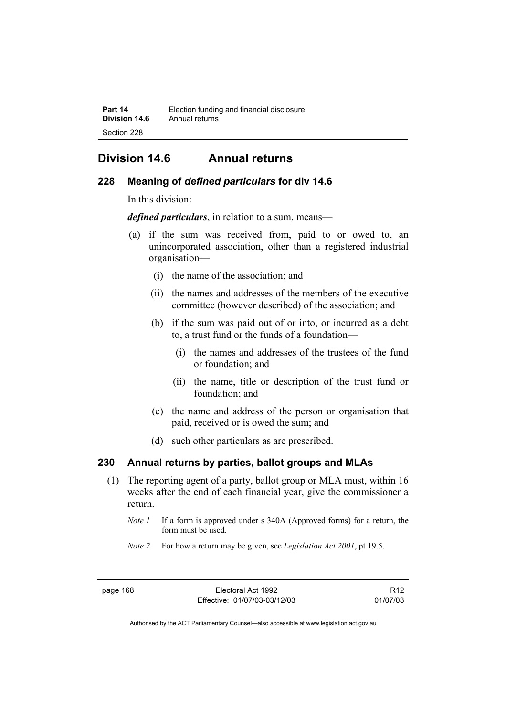# **Division 14.6 Annual returns**

## **228 Meaning of** *defined particulars* **for div 14.6**

In this division:

*defined particulars*, in relation to a sum, means—

- (a) if the sum was received from, paid to or owed to, an unincorporated association, other than a registered industrial organisation—
	- (i) the name of the association; and
	- (ii) the names and addresses of the members of the executive committee (however described) of the association; and
	- (b) if the sum was paid out of or into, or incurred as a debt to, a trust fund or the funds of a foundation—
		- (i) the names and addresses of the trustees of the fund or foundation; and
		- (ii) the name, title or description of the trust fund or foundation; and
	- (c) the name and address of the person or organisation that paid, received or is owed the sum; and
	- (d) such other particulars as are prescribed.

# **230 Annual returns by parties, ballot groups and MLAs**

- (1) The reporting agent of a party, ballot group or MLA must, within 16 weeks after the end of each financial year, give the commissioner a return.
	- *Note 1* If a form is approved under s 340A (Approved forms) for a return, the form must be used.
	- *Note 2* For how a return may be given, see *Legislation Act 2001*, pt 19.5.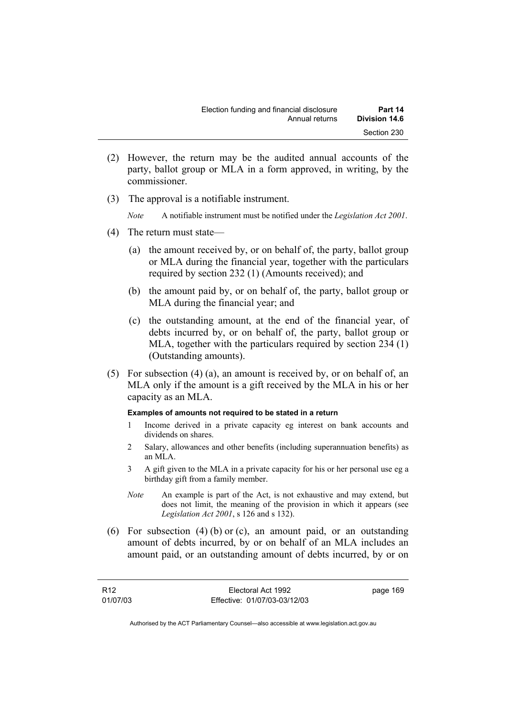- (2) However, the return may be the audited annual accounts of the party, ballot group or MLA in a form approved, in writing, by the commissioner.
- (3) The approval is a notifiable instrument.

*Note* A notifiable instrument must be notified under the *Legislation Act 2001*.

- (4) The return must state—
	- (a) the amount received by, or on behalf of, the party, ballot group or MLA during the financial year, together with the particulars required by section 232 (1) (Amounts received); and
	- (b) the amount paid by, or on behalf of, the party, ballot group or MLA during the financial year; and
	- (c) the outstanding amount, at the end of the financial year, of debts incurred by, or on behalf of, the party, ballot group or MLA, together with the particulars required by section 234 (1) (Outstanding amounts).
- (5) For subsection (4) (a), an amount is received by, or on behalf of, an MLA only if the amount is a gift received by the MLA in his or her capacity as an MLA.

#### **Examples of amounts not required to be stated in a return**

- 1 Income derived in a private capacity eg interest on bank accounts and dividends on shares.
- 2 Salary, allowances and other benefits (including superannuation benefits) as an MLA.
- 3 A gift given to the MLA in a private capacity for his or her personal use eg a birthday gift from a family member.
- *Note* An example is part of the Act, is not exhaustive and may extend, but does not limit, the meaning of the provision in which it appears (see *Legislation Act 2001*, s 126 and s 132).
- (6) For subsection (4) (b) or (c), an amount paid, or an outstanding amount of debts incurred, by or on behalf of an MLA includes an amount paid, or an outstanding amount of debts incurred, by or on

| R <sub>12</sub> | Electoral Act 1992           | page 169 |
|-----------------|------------------------------|----------|
| 01/07/03        | Effective: 01/07/03-03/12/03 |          |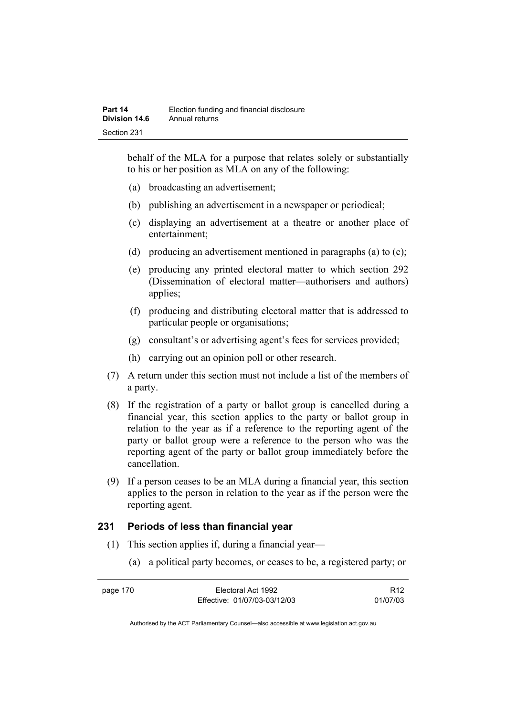behalf of the MLA for a purpose that relates solely or substantially to his or her position as MLA on any of the following:

- (a) broadcasting an advertisement;
- (b) publishing an advertisement in a newspaper or periodical;
- (c) displaying an advertisement at a theatre or another place of entertainment;
- (d) producing an advertisement mentioned in paragraphs (a) to (c);
- (e) producing any printed electoral matter to which section 292 (Dissemination of electoral matter—authorisers and authors) applies;
- (f) producing and distributing electoral matter that is addressed to particular people or organisations;
- (g) consultant's or advertising agent's fees for services provided;
- (h) carrying out an opinion poll or other research.
- (7) A return under this section must not include a list of the members of a party.
- (8) If the registration of a party or ballot group is cancelled during a financial year, this section applies to the party or ballot group in relation to the year as if a reference to the reporting agent of the party or ballot group were a reference to the person who was the reporting agent of the party or ballot group immediately before the cancellation.
- (9) If a person ceases to be an MLA during a financial year, this section applies to the person in relation to the year as if the person were the reporting agent.

## **231 Periods of less than financial year**

- (1) This section applies if, during a financial year—
	- (a) a political party becomes, or ceases to be, a registered party; or

| page 170 | Electoral Act 1992           | R12      |
|----------|------------------------------|----------|
|          | Effective: 01/07/03-03/12/03 | 01/07/03 |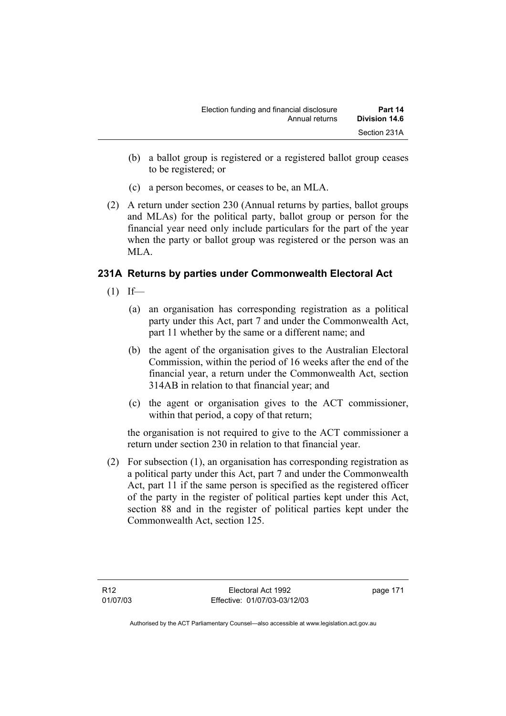- (b) a ballot group is registered or a registered ballot group ceases to be registered; or
- (c) a person becomes, or ceases to be, an MLA.
- (2) A return under section 230 (Annual returns by parties, ballot groups and MLAs) for the political party, ballot group or person for the financial year need only include particulars for the part of the year when the party or ballot group was registered or the person was an MLA.

# **231A Returns by parties under Commonwealth Electoral Act**

- $(1)$  If—
	- (a) an organisation has corresponding registration as a political party under this Act, part 7 and under the Commonwealth Act, part 11 whether by the same or a different name; and
	- (b) the agent of the organisation gives to the Australian Electoral Commission, within the period of 16 weeks after the end of the financial year, a return under the Commonwealth Act, section 314AB in relation to that financial year; and
	- (c) the agent or organisation gives to the ACT commissioner, within that period, a copy of that return;

the organisation is not required to give to the ACT commissioner a return under section 230 in relation to that financial year.

 (2) For subsection (1), an organisation has corresponding registration as a political party under this Act, part 7 and under the Commonwealth Act, part 11 if the same person is specified as the registered officer of the party in the register of political parties kept under this Act, section 88 and in the register of political parties kept under the Commonwealth Act, section 125.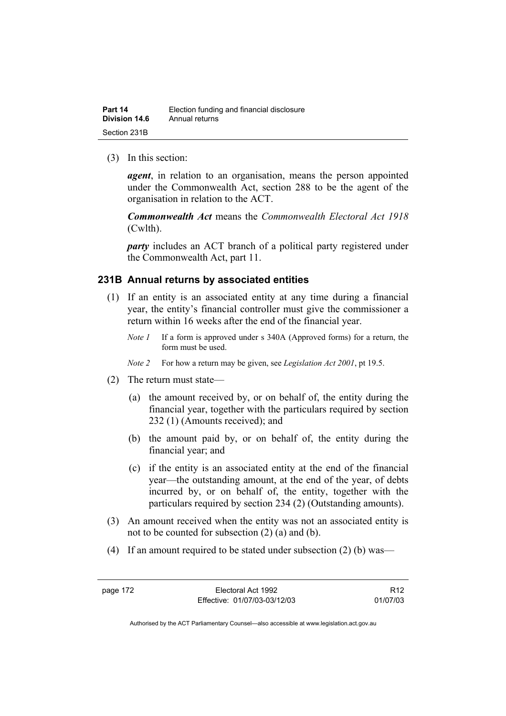| Part 14       | Election funding and financial disclosure |
|---------------|-------------------------------------------|
| Division 14.6 | Annual returns                            |
| Section 231B  |                                           |

(3) In this section:

*agent*, in relation to an organisation, means the person appointed under the Commonwealth Act, section 288 to be the agent of the organisation in relation to the ACT.

*Commonwealth Act* means the *Commonwealth Electoral Act 1918* (Cwlth).

*party* includes an ACT branch of a political party registered under the Commonwealth Act, part 11.

### **231B Annual returns by associated entities**

- (1) If an entity is an associated entity at any time during a financial year, the entity's financial controller must give the commissioner a return within 16 weeks after the end of the financial year.
	- *Note 1* If a form is approved under s 340A (Approved forms) for a return, the form must be used.
	- *Note 2* For how a return may be given, see *Legislation Act 2001*, pt 19.5.
- (2) The return must state—
	- (a) the amount received by, or on behalf of, the entity during the financial year, together with the particulars required by section 232 (1) (Amounts received); and
	- (b) the amount paid by, or on behalf of, the entity during the financial year; and
	- (c) if the entity is an associated entity at the end of the financial year—the outstanding amount, at the end of the year, of debts incurred by, or on behalf of, the entity, together with the particulars required by section 234 (2) (Outstanding amounts).
- (3) An amount received when the entity was not an associated entity is not to be counted for subsection (2) (a) and (b).
- (4) If an amount required to be stated under subsection (2) (b) was—

page 172 Electoral Act 1992 Effective: 01/07/03-03/12/03

R12 01/07/03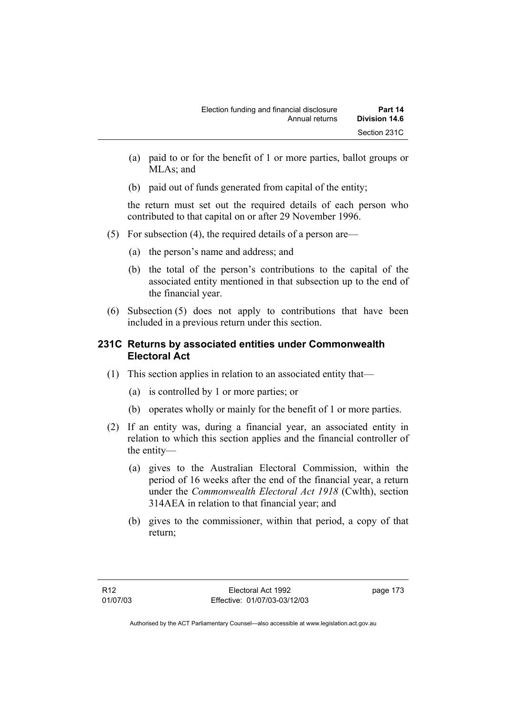- (a) paid to or for the benefit of 1 or more parties, ballot groups or MLA<sub>s</sub>; and
- (b) paid out of funds generated from capital of the entity;

the return must set out the required details of each person who contributed to that capital on or after 29 November 1996.

- (5) For subsection (4), the required details of a person are—
	- (a) the person's name and address; and
	- (b) the total of the person's contributions to the capital of the associated entity mentioned in that subsection up to the end of the financial year.
- (6) Subsection (5) does not apply to contributions that have been included in a previous return under this section.

# **231C Returns by associated entities under Commonwealth Electoral Act**

- (1) This section applies in relation to an associated entity that—
	- (a) is controlled by 1 or more parties; or
	- (b) operates wholly or mainly for the benefit of 1 or more parties.
- (2) If an entity was, during a financial year, an associated entity in relation to which this section applies and the financial controller of the entity—
	- (a) gives to the Australian Electoral Commission, within the period of 16 weeks after the end of the financial year, a return under the *Commonwealth Electoral Act 1918* (Cwlth), section 314AEA in relation to that financial year; and
	- (b) gives to the commissioner, within that period, a copy of that return;

page 173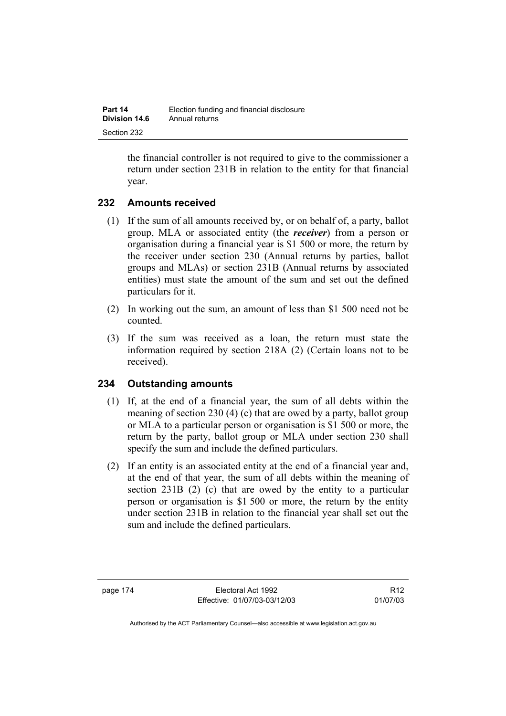the financial controller is not required to give to the commissioner a return under section 231B in relation to the entity for that financial year.

# **232 Amounts received**

- (1) If the sum of all amounts received by, or on behalf of, a party, ballot group, MLA or associated entity (the *receiver*) from a person or organisation during a financial year is \$1 500 or more, the return by the receiver under section 230 (Annual returns by parties, ballot groups and MLAs) or section 231B (Annual returns by associated entities) must state the amount of the sum and set out the defined particulars for it.
- (2) In working out the sum, an amount of less than \$1 500 need not be counted.
- (3) If the sum was received as a loan, the return must state the information required by section 218A (2) (Certain loans not to be received).

# **234 Outstanding amounts**

- (1) If, at the end of a financial year, the sum of all debts within the meaning of section 230 (4) (c) that are owed by a party, ballot group or MLA to a particular person or organisation is \$1 500 or more, the return by the party, ballot group or MLA under section 230 shall specify the sum and include the defined particulars.
- (2) If an entity is an associated entity at the end of a financial year and, at the end of that year, the sum of all debts within the meaning of section 231B (2) (c) that are owed by the entity to a particular person or organisation is \$1 500 or more, the return by the entity under section 231B in relation to the financial year shall set out the sum and include the defined particulars.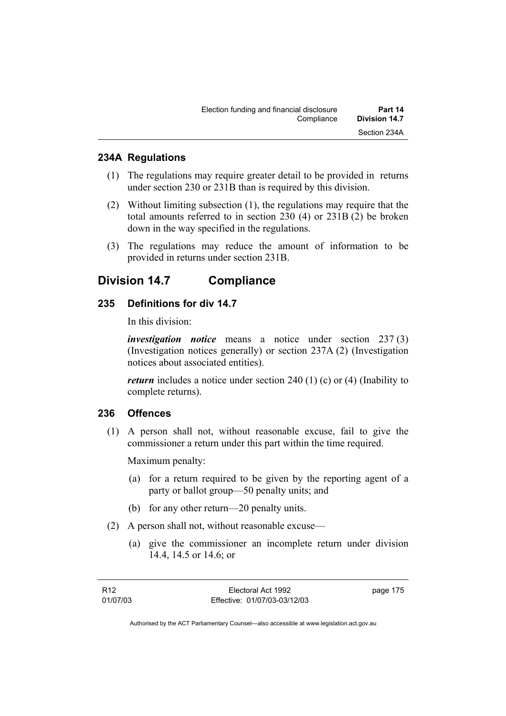## **234A Regulations**

- (1) The regulations may require greater detail to be provided in returns under section 230 or 231B than is required by this division.
- (2) Without limiting subsection (1), the regulations may require that the total amounts referred to in section 230 (4) or 231B (2) be broken down in the way specified in the regulations.
- (3) The regulations may reduce the amount of information to be provided in returns under section 231B.

# **Division 14.7 Compliance**

# **235 Definitions for div 14.7**

In this division:

*investigation notice* means a notice under section 237 (3) (Investigation notices generally) or section 237A (2) (Investigation notices about associated entities).

*return* includes a notice under section 240 (1) (c) or (4) (Inability to complete returns).

## **236 Offences**

 (1) A person shall not, without reasonable excuse, fail to give the commissioner a return under this part within the time required.

Maximum penalty:

- (a) for a return required to be given by the reporting agent of a party or ballot group—50 penalty units; and
- (b) for any other return—20 penalty units.
- (2) A person shall not, without reasonable excuse—
	- (a) give the commissioner an incomplete return under division 14.4, 14.5 or 14.6; or

| R12      | Electoral Act 1992           | page 175 |
|----------|------------------------------|----------|
| 01/07/03 | Effective: 01/07/03-03/12/03 |          |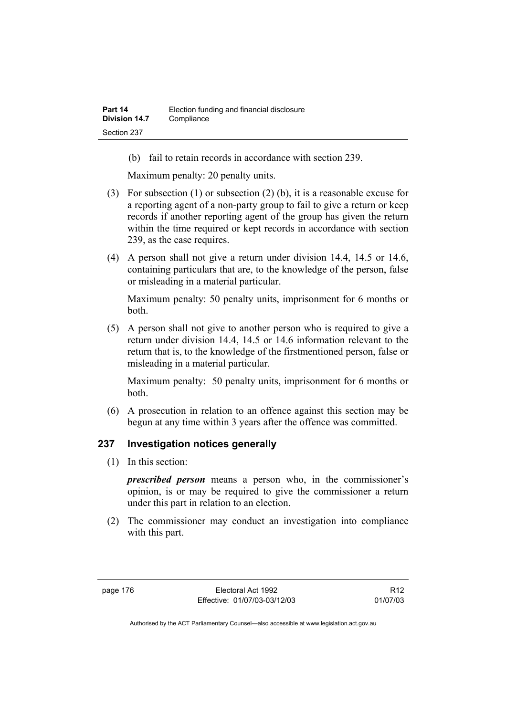(b) fail to retain records in accordance with section 239.

Maximum penalty: 20 penalty units.

- (3) For subsection (1) or subsection (2) (b), it is a reasonable excuse for a reporting agent of a non-party group to fail to give a return or keep records if another reporting agent of the group has given the return within the time required or kept records in accordance with section 239, as the case requires.
- (4) A person shall not give a return under division 14.4, 14.5 or 14.6, containing particulars that are, to the knowledge of the person, false or misleading in a material particular.

Maximum penalty: 50 penalty units, imprisonment for 6 months or both.

 (5) A person shall not give to another person who is required to give a return under division 14.4, 14.5 or 14.6 information relevant to the return that is, to the knowledge of the firstmentioned person, false or misleading in a material particular.

Maximum penalty: 50 penalty units, imprisonment for 6 months or both.

 (6) A prosecution in relation to an offence against this section may be begun at any time within 3 years after the offence was committed.

## **237 Investigation notices generally**

(1) In this section:

*prescribed person* means a person who, in the commissioner's opinion, is or may be required to give the commissioner a return under this part in relation to an election.

 (2) The commissioner may conduct an investigation into compliance with this part.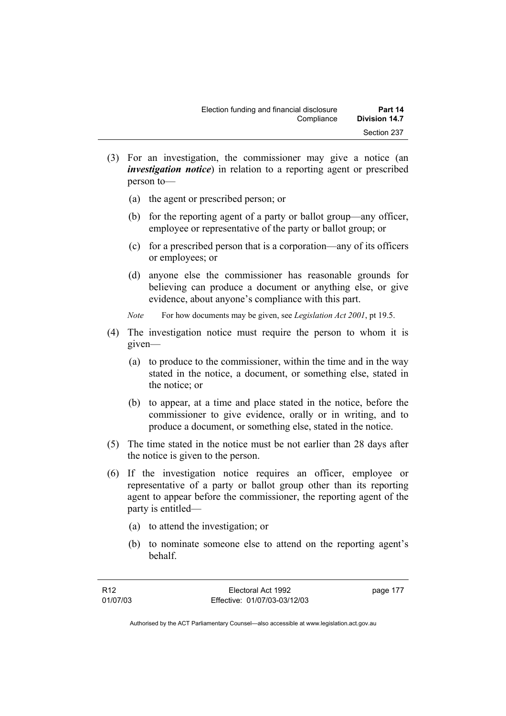- (3) For an investigation, the commissioner may give a notice (an *investigation notice*) in relation to a reporting agent or prescribed person to—
	- (a) the agent or prescribed person; or
	- (b) for the reporting agent of a party or ballot group—any officer, employee or representative of the party or ballot group; or
	- (c) for a prescribed person that is a corporation—any of its officers or employees; or
	- (d) anyone else the commissioner has reasonable grounds for believing can produce a document or anything else, or give evidence, about anyone's compliance with this part.
	- *Note* For how documents may be given, see *Legislation Act 2001*, pt 19.5.
- (4) The investigation notice must require the person to whom it is given—
	- (a) to produce to the commissioner, within the time and in the way stated in the notice, a document, or something else, stated in the notice; or
	- (b) to appear, at a time and place stated in the notice, before the commissioner to give evidence, orally or in writing, and to produce a document, or something else, stated in the notice.
- (5) The time stated in the notice must be not earlier than 28 days after the notice is given to the person.
- (6) If the investigation notice requires an officer, employee or representative of a party or ballot group other than its reporting agent to appear before the commissioner, the reporting agent of the party is entitled—
	- (a) to attend the investigation; or
	- (b) to nominate someone else to attend on the reporting agent's behalf.

page 177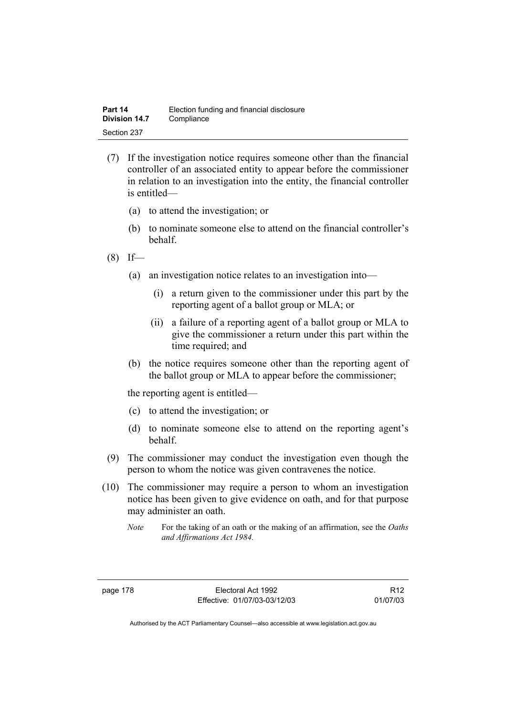- (7) If the investigation notice requires someone other than the financial controller of an associated entity to appear before the commissioner in relation to an investigation into the entity, the financial controller is entitled—
	- (a) to attend the investigation; or
	- (b) to nominate someone else to attend on the financial controller's behalf.
- $(8)$  If—
	- (a) an investigation notice relates to an investigation into—
		- (i) a return given to the commissioner under this part by the reporting agent of a ballot group or MLA; or
		- (ii) a failure of a reporting agent of a ballot group or MLA to give the commissioner a return under this part within the time required; and
	- (b) the notice requires someone other than the reporting agent of the ballot group or MLA to appear before the commissioner;

the reporting agent is entitled—

- (c) to attend the investigation; or
- (d) to nominate someone else to attend on the reporting agent's behalf.
- (9) The commissioner may conduct the investigation even though the person to whom the notice was given contravenes the notice.
- (10) The commissioner may require a person to whom an investigation notice has been given to give evidence on oath, and for that purpose may administer an oath.
	- *Note* For the taking of an oath or the making of an affirmation, see the *Oaths and Affirmations Act 1984.*

R12 01/07/03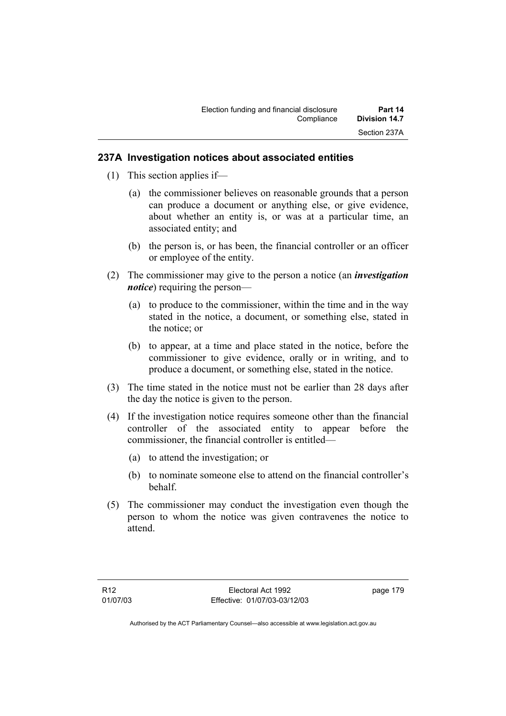## **237A Investigation notices about associated entities**

- (1) This section applies if—
	- (a) the commissioner believes on reasonable grounds that a person can produce a document or anything else, or give evidence, about whether an entity is, or was at a particular time, an associated entity; and
	- (b) the person is, or has been, the financial controller or an officer or employee of the entity.
- (2) The commissioner may give to the person a notice (an *investigation notice*) requiring the person—
	- (a) to produce to the commissioner, within the time and in the way stated in the notice, a document, or something else, stated in the notice; or
	- (b) to appear, at a time and place stated in the notice, before the commissioner to give evidence, orally or in writing, and to produce a document, or something else, stated in the notice.
- (3) The time stated in the notice must not be earlier than 28 days after the day the notice is given to the person.
- (4) If the investigation notice requires someone other than the financial controller of the associated entity to appear before the commissioner, the financial controller is entitled—
	- (a) to attend the investigation; or
	- (b) to nominate someone else to attend on the financial controller's behalf.
- (5) The commissioner may conduct the investigation even though the person to whom the notice was given contravenes the notice to attend.

page 179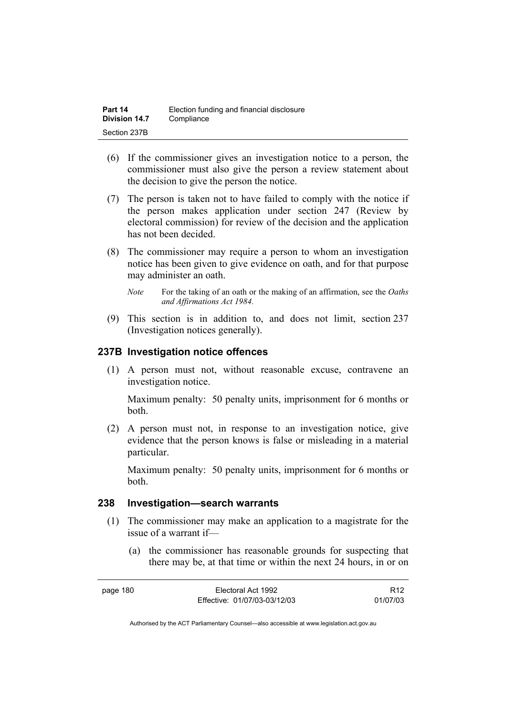| Part 14       | Election funding and financial disclosure |
|---------------|-------------------------------------------|
| Division 14.7 | Compliance                                |
| Section 237B  |                                           |

- (6) If the commissioner gives an investigation notice to a person, the commissioner must also give the person a review statement about the decision to give the person the notice.
- (7) The person is taken not to have failed to comply with the notice if the person makes application under section 247 (Review by electoral commission) for review of the decision and the application has not been decided.
- (8) The commissioner may require a person to whom an investigation notice has been given to give evidence on oath, and for that purpose may administer an oath.
	- *Note* For the taking of an oath or the making of an affirmation, see the *Oaths and Affirmations Act 1984.*
- (9) This section is in addition to, and does not limit, section 237 (Investigation notices generally).

## **237B Investigation notice offences**

 (1) A person must not, without reasonable excuse, contravene an investigation notice.

Maximum penalty: 50 penalty units, imprisonment for 6 months or both.

 (2) A person must not, in response to an investigation notice, give evidence that the person knows is false or misleading in a material particular.

Maximum penalty: 50 penalty units, imprisonment for 6 months or both.

## **238 Investigation—search warrants**

- (1) The commissioner may make an application to a magistrate for the issue of a warrant if—
	- (a) the commissioner has reasonable grounds for suspecting that there may be, at that time or within the next 24 hours, in or on

| page 180 | Electoral Act 1992           | R <sub>12</sub> |
|----------|------------------------------|-----------------|
|          | Effective: 01/07/03-03/12/03 | 01/07/03        |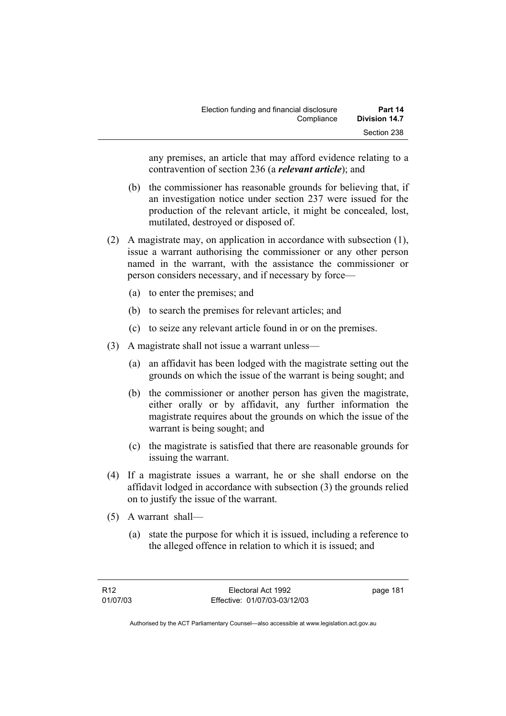any premises, an article that may afford evidence relating to a contravention of section 236 (a *relevant article*); and

- (b) the commissioner has reasonable grounds for believing that, if an investigation notice under section 237 were issued for the production of the relevant article, it might be concealed, lost, mutilated, destroyed or disposed of.
- (2) A magistrate may, on application in accordance with subsection (1), issue a warrant authorising the commissioner or any other person named in the warrant, with the assistance the commissioner or person considers necessary, and if necessary by force—
	- (a) to enter the premises; and
	- (b) to search the premises for relevant articles; and
	- (c) to seize any relevant article found in or on the premises.
- (3) A magistrate shall not issue a warrant unless—
	- (a) an affidavit has been lodged with the magistrate setting out the grounds on which the issue of the warrant is being sought; and
	- (b) the commissioner or another person has given the magistrate, either orally or by affidavit, any further information the magistrate requires about the grounds on which the issue of the warrant is being sought; and
	- (c) the magistrate is satisfied that there are reasonable grounds for issuing the warrant.
- (4) If a magistrate issues a warrant, he or she shall endorse on the affidavit lodged in accordance with subsection (3) the grounds relied on to justify the issue of the warrant.
- (5) A warrant shall—
	- (a) state the purpose for which it is issued, including a reference to the alleged offence in relation to which it is issued; and

page 181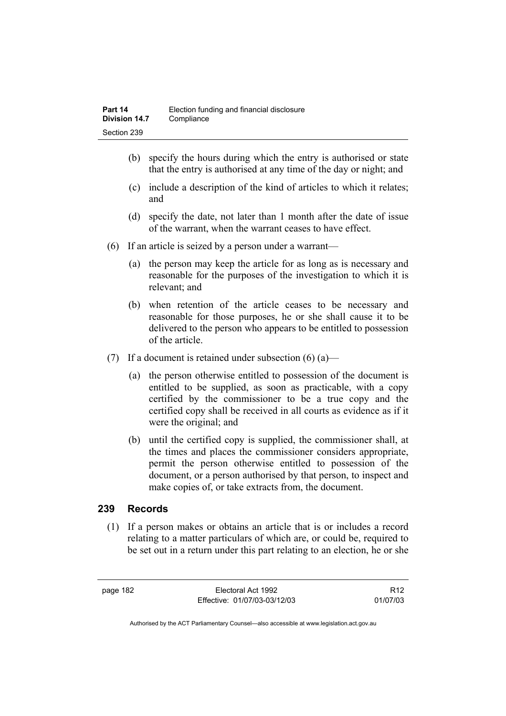- (b) specify the hours during which the entry is authorised or state that the entry is authorised at any time of the day or night; and
- (c) include a description of the kind of articles to which it relates; and
- (d) specify the date, not later than 1 month after the date of issue of the warrant, when the warrant ceases to have effect.
- (6) If an article is seized by a person under a warrant—
	- (a) the person may keep the article for as long as is necessary and reasonable for the purposes of the investigation to which it is relevant; and
	- (b) when retention of the article ceases to be necessary and reasonable for those purposes, he or she shall cause it to be delivered to the person who appears to be entitled to possession of the article.
- (7) If a document is retained under subsection  $(6)$  (a)—
	- (a) the person otherwise entitled to possession of the document is entitled to be supplied, as soon as practicable, with a copy certified by the commissioner to be a true copy and the certified copy shall be received in all courts as evidence as if it were the original; and
	- (b) until the certified copy is supplied, the commissioner shall, at the times and places the commissioner considers appropriate, permit the person otherwise entitled to possession of the document, or a person authorised by that person, to inspect and make copies of, or take extracts from, the document.

# **239 Records**

 (1) If a person makes or obtains an article that is or includes a record relating to a matter particulars of which are, or could be, required to be set out in a return under this part relating to an election, he or she

page 182 Electoral Act 1992 Effective: 01/07/03-03/12/03

R12 01/07/03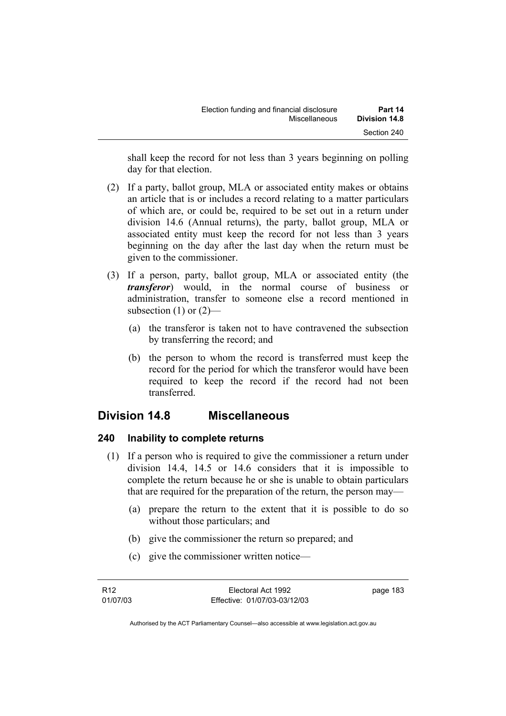shall keep the record for not less than 3 years beginning on polling day for that election.

- (2) If a party, ballot group, MLA or associated entity makes or obtains an article that is or includes a record relating to a matter particulars of which are, or could be, required to be set out in a return under division 14.6 (Annual returns), the party, ballot group, MLA or associated entity must keep the record for not less than 3 years beginning on the day after the last day when the return must be given to the commissioner.
- (3) If a person, party, ballot group, MLA or associated entity (the *transferor*) would, in the normal course of business or administration, transfer to someone else a record mentioned in subsection  $(1)$  or  $(2)$ —
	- (a) the transferor is taken not to have contravened the subsection by transferring the record; and
	- (b) the person to whom the record is transferred must keep the record for the period for which the transferor would have been required to keep the record if the record had not been transferred.

# **Division 14.8 Miscellaneous**

# **240 Inability to complete returns**

- (1) If a person who is required to give the commissioner a return under division 14.4, 14.5 or 14.6 considers that it is impossible to complete the return because he or she is unable to obtain particulars that are required for the preparation of the return, the person may—
	- (a) prepare the return to the extent that it is possible to do so without those particulars; and
	- (b) give the commissioner the return so prepared; and
	- (c) give the commissioner written notice—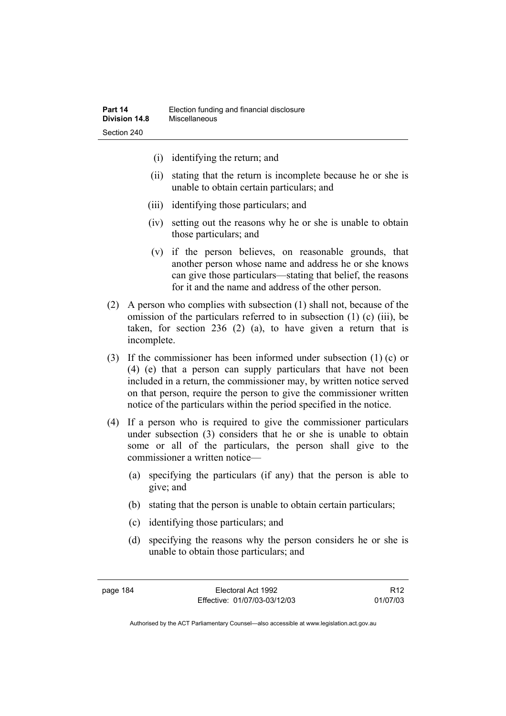- (i) identifying the return; and
- (ii) stating that the return is incomplete because he or she is unable to obtain certain particulars; and
- (iii) identifying those particulars; and
- (iv) setting out the reasons why he or she is unable to obtain those particulars; and
- (v) if the person believes, on reasonable grounds, that another person whose name and address he or she knows can give those particulars—stating that belief, the reasons for it and the name and address of the other person.
- (2) A person who complies with subsection (1) shall not, because of the omission of the particulars referred to in subsection (1) (c) (iii), be taken, for section 236 (2) (a), to have given a return that is incomplete.
- (3) If the commissioner has been informed under subsection (1) (c) or (4) (e) that a person can supply particulars that have not been included in a return, the commissioner may, by written notice served on that person, require the person to give the commissioner written notice of the particulars within the period specified in the notice.
- (4) If a person who is required to give the commissioner particulars under subsection (3) considers that he or she is unable to obtain some or all of the particulars, the person shall give to the commissioner a written notice—
	- (a) specifying the particulars (if any) that the person is able to give; and
	- (b) stating that the person is unable to obtain certain particulars;
	- (c) identifying those particulars; and
	- (d) specifying the reasons why the person considers he or she is unable to obtain those particulars; and

R12 01/07/03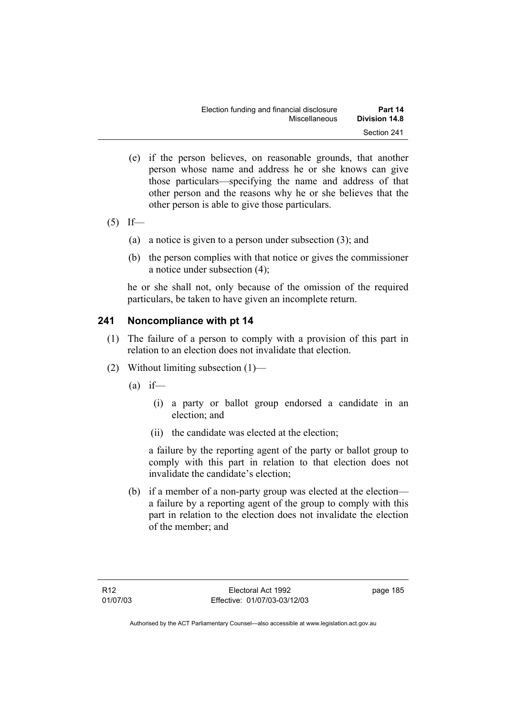| Election funding and financial disclosure | Part 14              |
|-------------------------------------------|----------------------|
| Miscellaneous                             | <b>Division 14.8</b> |
|                                           | Section 241          |

- (e) if the person believes, on reasonable grounds, that another person whose name and address he or she knows can give those particulars—specifying the name and address of that other person and the reasons why he or she believes that the other person is able to give those particulars.
- $(5)$  If—
	- (a) a notice is given to a person under subsection (3); and
	- (b) the person complies with that notice or gives the commissioner a notice under subsection (4);

he or she shall not, only because of the omission of the required particulars, be taken to have given an incomplete return.

## **241 Noncompliance with pt 14**

- (1) The failure of a person to comply with a provision of this part in relation to an election does not invalidate that election.
- (2) Without limiting subsection (1)—
	- $(a)$  if—
		- (i) a party or ballot group endorsed a candidate in an election; and
		- (ii) the candidate was elected at the election;

a failure by the reporting agent of the party or ballot group to comply with this part in relation to that election does not invalidate the candidate's election;

 (b) if a member of a non-party group was elected at the election a failure by a reporting agent of the group to comply with this part in relation to the election does not invalidate the election of the member; and

page 185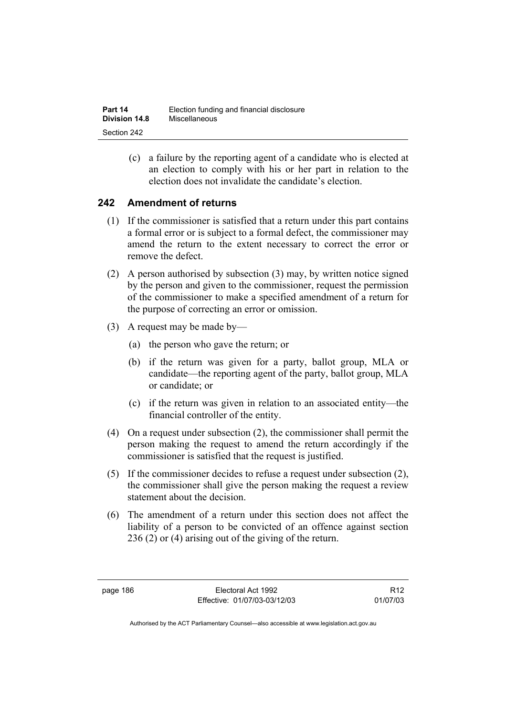(c) a failure by the reporting agent of a candidate who is elected at an election to comply with his or her part in relation to the election does not invalidate the candidate's election.

# **242 Amendment of returns**

- (1) If the commissioner is satisfied that a return under this part contains a formal error or is subject to a formal defect, the commissioner may amend the return to the extent necessary to correct the error or remove the defect.
- (2) A person authorised by subsection (3) may, by written notice signed by the person and given to the commissioner, request the permission of the commissioner to make a specified amendment of a return for the purpose of correcting an error or omission.
- (3) A request may be made by—
	- (a) the person who gave the return; or
	- (b) if the return was given for a party, ballot group, MLA or candidate—the reporting agent of the party, ballot group, MLA or candidate; or
	- (c) if the return was given in relation to an associated entity—the financial controller of the entity.
- (4) On a request under subsection (2), the commissioner shall permit the person making the request to amend the return accordingly if the commissioner is satisfied that the request is justified.
- (5) If the commissioner decides to refuse a request under subsection (2), the commissioner shall give the person making the request a review statement about the decision.
- (6) The amendment of a return under this section does not affect the liability of a person to be convicted of an offence against section 236 (2) or (4) arising out of the giving of the return.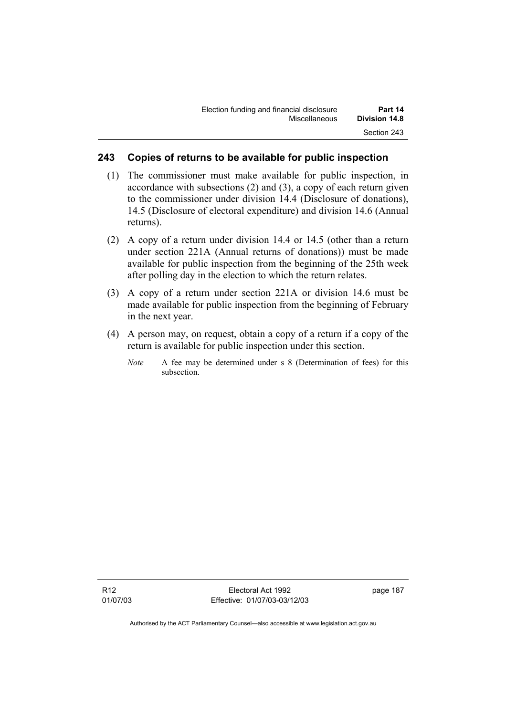## **243 Copies of returns to be available for public inspection**

- (1) The commissioner must make available for public inspection, in accordance with subsections (2) and (3), a copy of each return given to the commissioner under division 14.4 (Disclosure of donations), 14.5 (Disclosure of electoral expenditure) and division 14.6 (Annual returns).
- (2) A copy of a return under division 14.4 or 14.5 (other than a return under section 221A (Annual returns of donations)) must be made available for public inspection from the beginning of the 25th week after polling day in the election to which the return relates.
- (3) A copy of a return under section 221A or division 14.6 must be made available for public inspection from the beginning of February in the next year.
- (4) A person may, on request, obtain a copy of a return if a copy of the return is available for public inspection under this section.
	- *Note* A fee may be determined under s 8 (Determination of fees) for this subsection.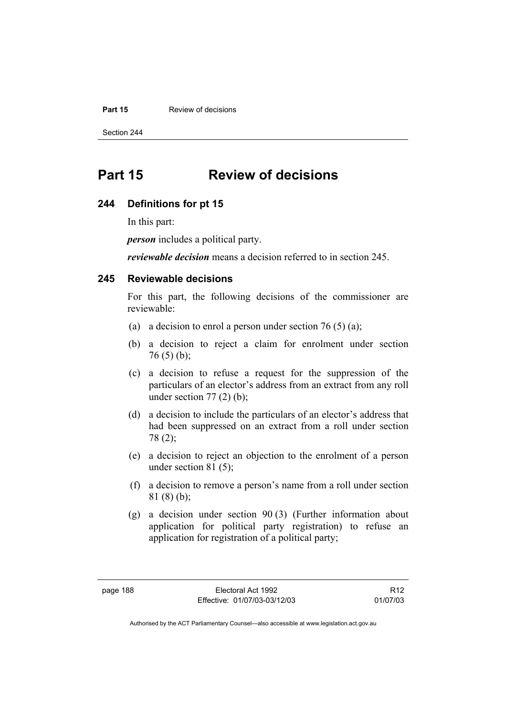#### **Part 15 Review of decisions**

Section 244

# **Part 15 Review of decisions**

### **244 Definitions for pt 15**

In this part:

*person* includes a political party.

*reviewable decision* means a decision referred to in section 245.

### **245 Reviewable decisions**

For this part, the following decisions of the commissioner are reviewable:

- (a) a decision to enrol a person under section 76 (5) (a);
- (b) a decision to reject a claim for enrolment under section  $76(5)(b)$ ;
- (c) a decision to refuse a request for the suppression of the particulars of an elector's address from an extract from any roll under section  $77(2)$  (b);
- (d) a decision to include the particulars of an elector's address that had been suppressed on an extract from a roll under section 78 (2);
- (e) a decision to reject an objection to the enrolment of a person under section 81 (5);
- (f) a decision to remove a person's name from a roll under section 81 (8) (b);
- (g) a decision under section 90 (3) (Further information about application for political party registration) to refuse an application for registration of a political party;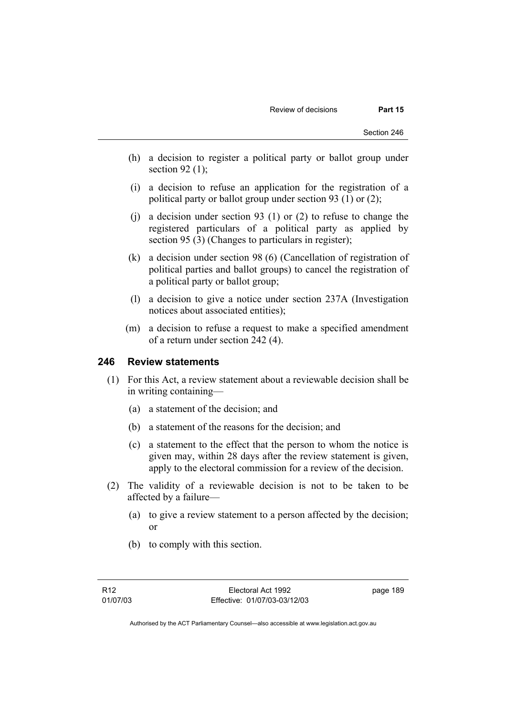- (h) a decision to register a political party or ballot group under section 92 $(1)$ ;
- (i) a decision to refuse an application for the registration of a political party or ballot group under section 93 (1) or (2);
- (j) a decision under section 93 (1) or (2) to refuse to change the registered particulars of a political party as applied by section 95 (3) (Changes to particulars in register);
- (k) a decision under section 98 (6) (Cancellation of registration of political parties and ballot groups) to cancel the registration of a political party or ballot group;
- (l) a decision to give a notice under section 237A (Investigation notices about associated entities);
- (m) a decision to refuse a request to make a specified amendment of a return under section 242 (4).

### **246 Review statements**

- (1) For this Act, a review statement about a reviewable decision shall be in writing containing—
	- (a) a statement of the decision; and
	- (b) a statement of the reasons for the decision; and
	- (c) a statement to the effect that the person to whom the notice is given may, within 28 days after the review statement is given, apply to the electoral commission for a review of the decision.
- (2) The validity of a reviewable decision is not to be taken to be affected by a failure—
	- (a) to give a review statement to a person affected by the decision; or
	- (b) to comply with this section.

page 189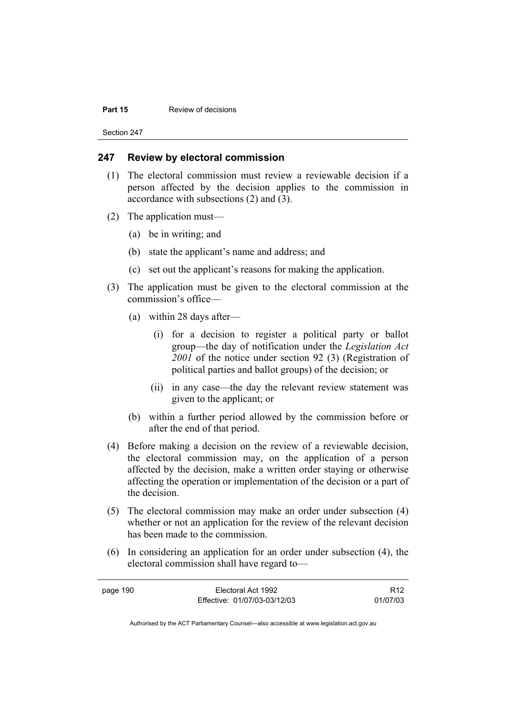#### **Part 15 Review of decisions**

Section 247

## **247 Review by electoral commission**

- (1) The electoral commission must review a reviewable decision if a person affected by the decision applies to the commission in accordance with subsections (2) and (3).
- (2) The application must—
	- (a) be in writing; and
	- (b) state the applicant's name and address; and
	- (c) set out the applicant's reasons for making the application.
- (3) The application must be given to the electoral commission at the commission's office—
	- (a) within 28 days after—
		- (i) for a decision to register a political party or ballot group—the day of notification under the *Legislation Act 2001* of the notice under section 92 (3) (Registration of political parties and ballot groups) of the decision; or
		- (ii) in any case—the day the relevant review statement was given to the applicant; or
	- (b) within a further period allowed by the commission before or after the end of that period.
- (4) Before making a decision on the review of a reviewable decision, the electoral commission may, on the application of a person affected by the decision, make a written order staying or otherwise affecting the operation or implementation of the decision or a part of the decision.
- (5) The electoral commission may make an order under subsection (4) whether or not an application for the review of the relevant decision has been made to the commission.
- (6) In considering an application for an order under subsection (4), the electoral commission shall have regard to—

| page 190 | Electoral Act 1992           | R <sub>12</sub> |
|----------|------------------------------|-----------------|
|          | Effective: 01/07/03-03/12/03 | 01/07/03        |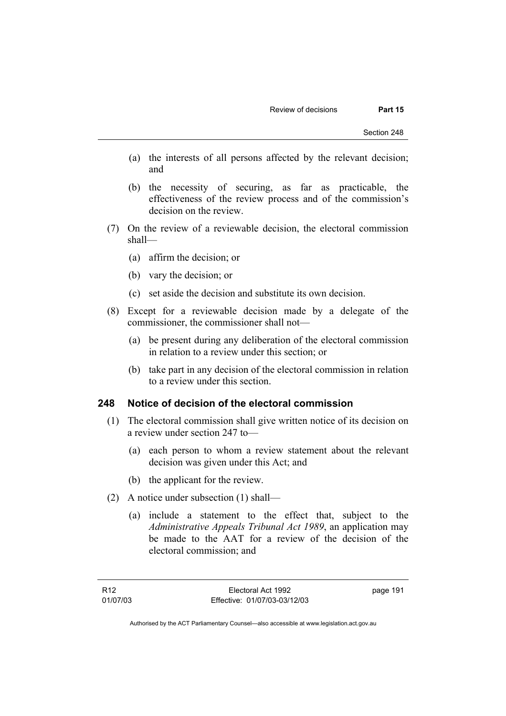- (a) the interests of all persons affected by the relevant decision; and
- (b) the necessity of securing, as far as practicable, the effectiveness of the review process and of the commission's decision on the review.
- (7) On the review of a reviewable decision, the electoral commission shall—
	- (a) affirm the decision; or
	- (b) vary the decision; or
	- (c) set aside the decision and substitute its own decision.
- (8) Except for a reviewable decision made by a delegate of the commissioner, the commissioner shall not—
	- (a) be present during any deliberation of the electoral commission in relation to a review under this section; or
	- (b) take part in any decision of the electoral commission in relation to a review under this section.

### **248 Notice of decision of the electoral commission**

- (1) The electoral commission shall give written notice of its decision on a review under section 247 to—
	- (a) each person to whom a review statement about the relevant decision was given under this Act; and
	- (b) the applicant for the review.
- (2) A notice under subsection (1) shall—
	- (a) include a statement to the effect that, subject to the *Administrative Appeals Tribunal Act 1989*, an application may be made to the AAT for a review of the decision of the electoral commission; and

page 191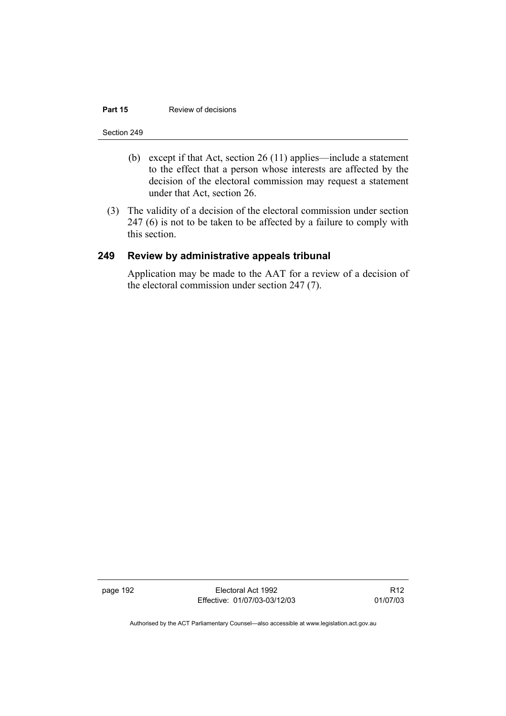#### **Part 15 Review of decisions**

#### Section 249

- (b) except if that Act, section 26 (11) applies—include a statement to the effect that a person whose interests are affected by the decision of the electoral commission may request a statement under that Act, section 26.
- (3) The validity of a decision of the electoral commission under section 247 (6) is not to be taken to be affected by a failure to comply with this section.

### **249 Review by administrative appeals tribunal**

Application may be made to the AAT for a review of a decision of the electoral commission under section 247 (7).

page 192 Electoral Act 1992 Effective: 01/07/03-03/12/03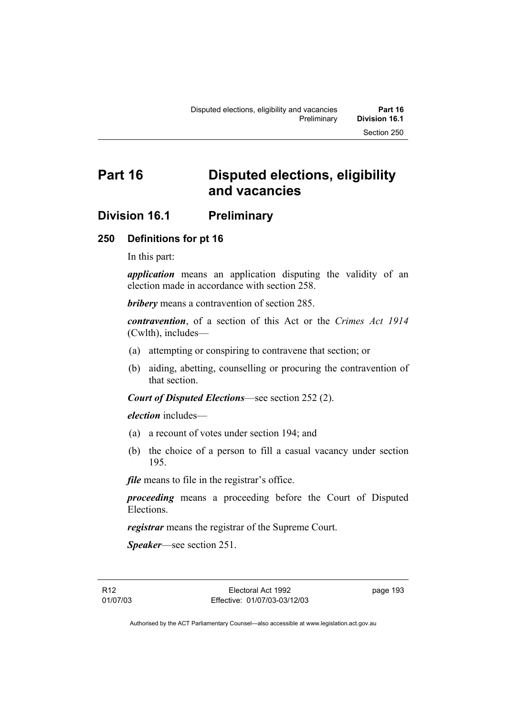# **Part 16 Disputed elections, eligibility and vacancies**

# **Division 16.1 Preliminary**

# **250 Definitions for pt 16**

In this part:

*application* means an application disputing the validity of an election made in accordance with section 258.

*bribery* means a contravention of section 285.

*contravention*, of a section of this Act or the *Crimes Act 1914* (Cwlth), includes—

- (a) attempting or conspiring to contravene that section; or
- (b) aiding, abetting, counselling or procuring the contravention of that section.

*Court of Disputed Elections*—see section 252 (2).

*election* includes—

- (a) a recount of votes under section 194; and
- (b) the choice of a person to fill a casual vacancy under section 195.

*file* means to file in the registrar's office.

*proceeding* means a proceeding before the Court of Disputed Elections.

*registrar* means the registrar of the Supreme Court.

*Speaker*—see section 251.

R12 01/07/03 page 193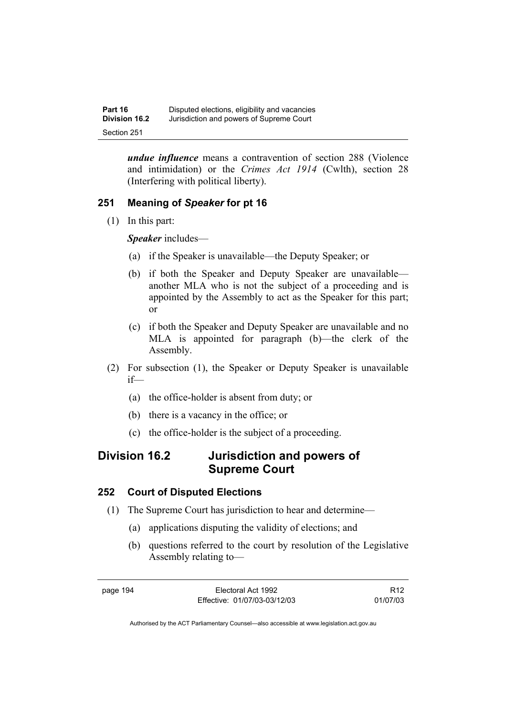*undue influence* means a contravention of section 288 (Violence and intimidation) or the *Crimes Act 1914* (Cwlth), section 28 (Interfering with political liberty).

# **251 Meaning of** *Speaker* **for pt 16**

(1) In this part:

*Speaker* includes—

- (a) if the Speaker is unavailable—the Deputy Speaker; or
- (b) if both the Speaker and Deputy Speaker are unavailable another MLA who is not the subject of a proceeding and is appointed by the Assembly to act as the Speaker for this part; or
- (c) if both the Speaker and Deputy Speaker are unavailable and no MLA is appointed for paragraph (b)—the clerk of the Assembly.
- (2) For subsection (1), the Speaker or Deputy Speaker is unavailable if—
	- (a) the office-holder is absent from duty; or
	- (b) there is a vacancy in the office; or
	- (c) the office-holder is the subject of a proceeding.

# **Division 16.2 Jurisdiction and powers of Supreme Court**

# **252 Court of Disputed Elections**

- (1) The Supreme Court has jurisdiction to hear and determine—
	- (a) applications disputing the validity of elections; and
	- (b) questions referred to the court by resolution of the Legislative Assembly relating to—

R12 01/07/03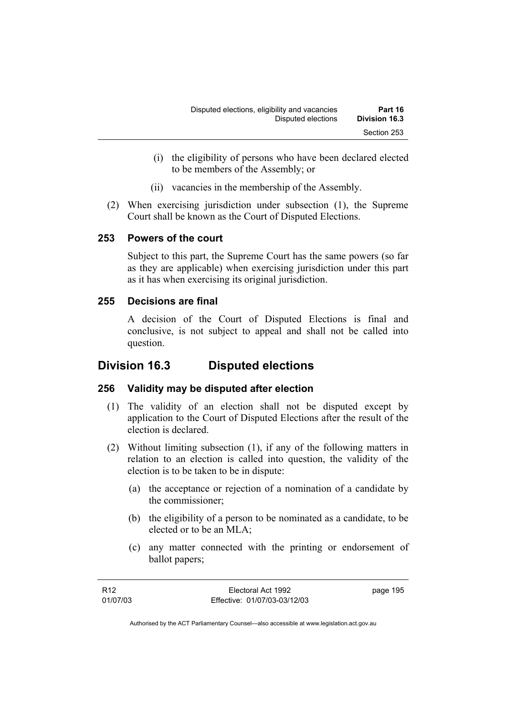- (i) the eligibility of persons who have been declared elected to be members of the Assembly; or
- (ii) vacancies in the membership of the Assembly.
- (2) When exercising jurisdiction under subsection (1), the Supreme Court shall be known as the Court of Disputed Elections.

## **253 Powers of the court**

Subject to this part, the Supreme Court has the same powers (so far as they are applicable) when exercising jurisdiction under this part as it has when exercising its original jurisdiction.

# **255 Decisions are final**

A decision of the Court of Disputed Elections is final and conclusive, is not subject to appeal and shall not be called into question.

# **Division 16.3 Disputed elections**

# **256 Validity may be disputed after election**

- (1) The validity of an election shall not be disputed except by application to the Court of Disputed Elections after the result of the election is declared.
- (2) Without limiting subsection (1), if any of the following matters in relation to an election is called into question, the validity of the election is to be taken to be in dispute:
	- (a) the acceptance or rejection of a nomination of a candidate by the commissioner;
	- (b) the eligibility of a person to be nominated as a candidate, to be elected or to be an MLA;
	- (c) any matter connected with the printing or endorsement of ballot papers;

| R12      | Electoral Act 1992           | page 195 |
|----------|------------------------------|----------|
| 01/07/03 | Effective: 01/07/03-03/12/03 |          |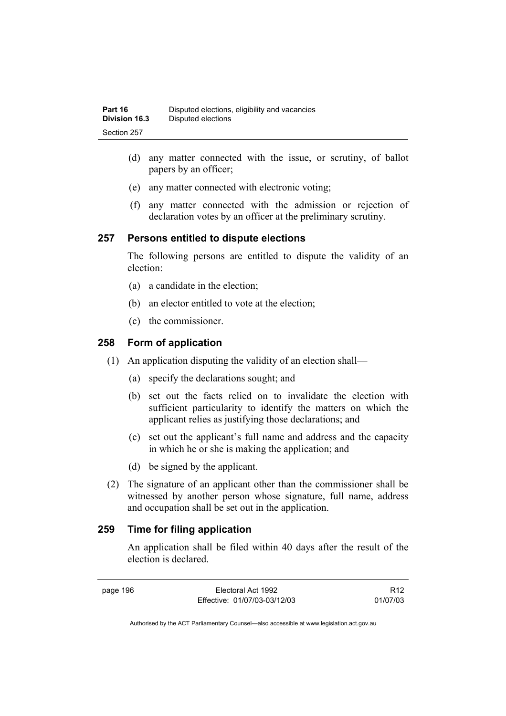- (d) any matter connected with the issue, or scrutiny, of ballot papers by an officer;
- (e) any matter connected with electronic voting;
- (f) any matter connected with the admission or rejection of declaration votes by an officer at the preliminary scrutiny.

## **257 Persons entitled to dispute elections**

The following persons are entitled to dispute the validity of an election:

- (a) a candidate in the election;
- (b) an elector entitled to vote at the election;
- (c) the commissioner.

# **258 Form of application**

- (1) An application disputing the validity of an election shall—
	- (a) specify the declarations sought; and
	- (b) set out the facts relied on to invalidate the election with sufficient particularity to identify the matters on which the applicant relies as justifying those declarations; and
	- (c) set out the applicant's full name and address and the capacity in which he or she is making the application; and
	- (d) be signed by the applicant.
- (2) The signature of an applicant other than the commissioner shall be witnessed by another person whose signature, full name, address and occupation shall be set out in the application.

# **259 Time for filing application**

An application shall be filed within 40 days after the result of the election is declared.

page 196 Electoral Act 1992 Effective: 01/07/03-03/12/03

R12 01/07/03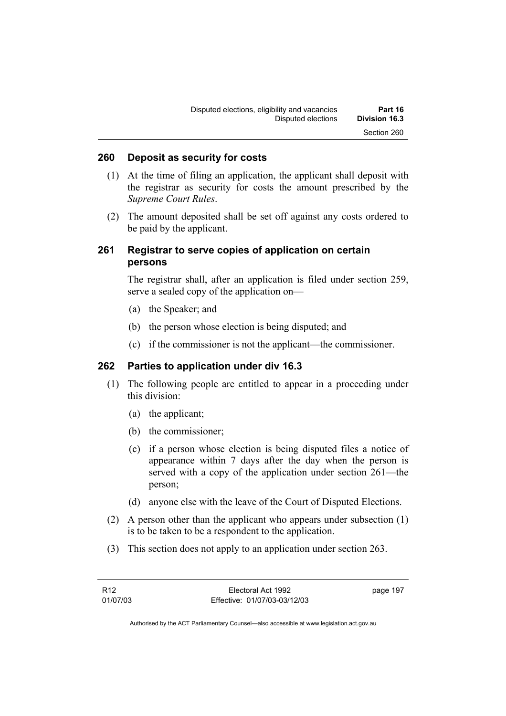### **260 Deposit as security for costs**

- (1) At the time of filing an application, the applicant shall deposit with the registrar as security for costs the amount prescribed by the *Supreme Court Rules*.
- (2) The amount deposited shall be set off against any costs ordered to be paid by the applicant.

## **261 Registrar to serve copies of application on certain persons**

The registrar shall, after an application is filed under section 259, serve a sealed copy of the application on—

- (a) the Speaker; and
- (b) the person whose election is being disputed; and
- (c) if the commissioner is not the applicant—the commissioner.

## **262 Parties to application under div 16.3**

- (1) The following people are entitled to appear in a proceeding under this division:
	- (a) the applicant;
	- (b) the commissioner;
	- (c) if a person whose election is being disputed files a notice of appearance within 7 days after the day when the person is served with a copy of the application under section 261—the person;
	- (d) anyone else with the leave of the Court of Disputed Elections.
- (2) A person other than the applicant who appears under subsection (1) is to be taken to be a respondent to the application.
- (3) This section does not apply to an application under section 263.

| R12      | Electoral Act 1992           | page 197 |
|----------|------------------------------|----------|
| 01/07/03 | Effective: 01/07/03-03/12/03 |          |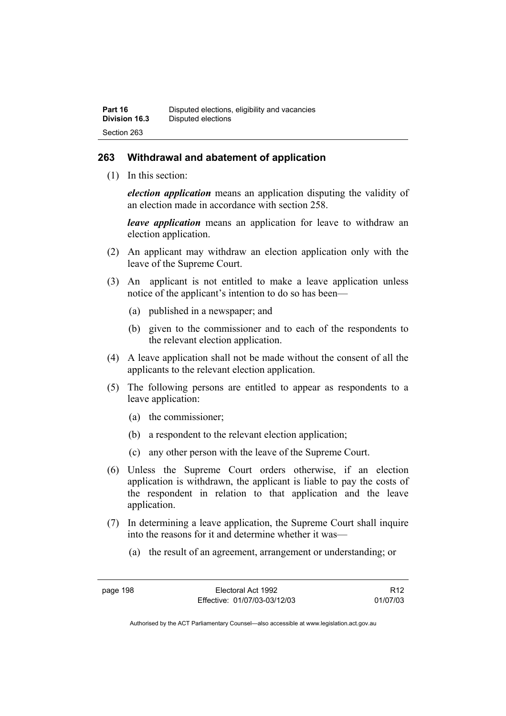#### **263 Withdrawal and abatement of application**

(1) In this section:

*election application* means an application disputing the validity of an election made in accordance with section 258.

*leave application* means an application for leave to withdraw an election application.

- (2) An applicant may withdraw an election application only with the leave of the Supreme Court.
- (3) An applicant is not entitled to make a leave application unless notice of the applicant's intention to do so has been—
	- (a) published in a newspaper; and
	- (b) given to the commissioner and to each of the respondents to the relevant election application.
- (4) A leave application shall not be made without the consent of all the applicants to the relevant election application.
- (5) The following persons are entitled to appear as respondents to a leave application:
	- (a) the commissioner;
	- (b) a respondent to the relevant election application;
	- (c) any other person with the leave of the Supreme Court.
- (6) Unless the Supreme Court orders otherwise, if an election application is withdrawn, the applicant is liable to pay the costs of the respondent in relation to that application and the leave application.
- (7) In determining a leave application, the Supreme Court shall inquire into the reasons for it and determine whether it was—
	- (a) the result of an agreement, arrangement or understanding; or

R12 01/07/03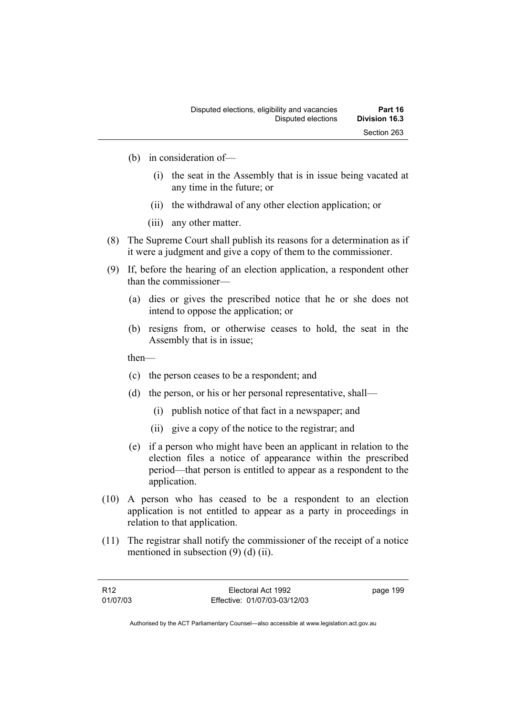- (b) in consideration of—
	- (i) the seat in the Assembly that is in issue being vacated at any time in the future; or
	- (ii) the withdrawal of any other election application; or
	- (iii) any other matter.
- (8) The Supreme Court shall publish its reasons for a determination as if it were a judgment and give a copy of them to the commissioner.
- (9) If, before the hearing of an election application, a respondent other than the commissioner—
	- (a) dies or gives the prescribed notice that he or she does not intend to oppose the application; or
	- (b) resigns from, or otherwise ceases to hold, the seat in the Assembly that is in issue;

then—

- (c) the person ceases to be a respondent; and
- (d) the person, or his or her personal representative, shall—
	- (i) publish notice of that fact in a newspaper; and
	- (ii) give a copy of the notice to the registrar; and
- (e) if a person who might have been an applicant in relation to the election files a notice of appearance within the prescribed period—that person is entitled to appear as a respondent to the application.
- (10) A person who has ceased to be a respondent to an election application is not entitled to appear as a party in proceedings in relation to that application.
- (11) The registrar shall notify the commissioner of the receipt of a notice mentioned in subsection (9) (d) (ii).

| R12      | Electoral Act 1992           | page 199 |
|----------|------------------------------|----------|
| 01/07/03 | Effective: 01/07/03-03/12/03 |          |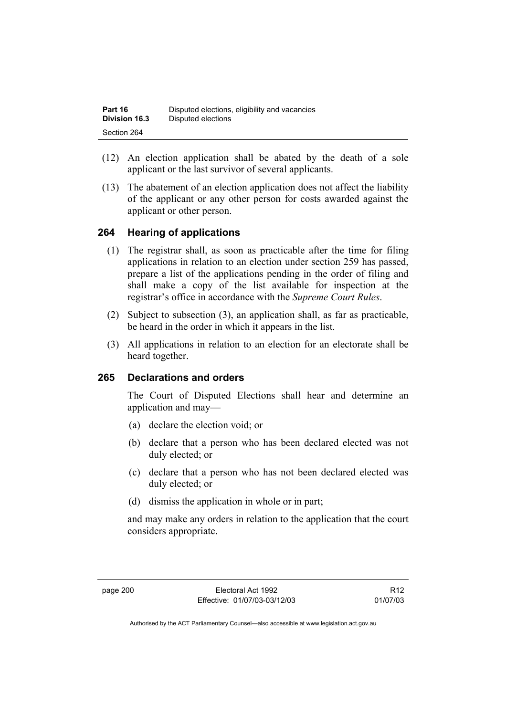| Part 16              | Disputed elections, eligibility and vacancies |
|----------------------|-----------------------------------------------|
| <b>Division 16.3</b> | Disputed elections                            |
| Section 264          |                                               |

- (12) An election application shall be abated by the death of a sole applicant or the last survivor of several applicants.
- (13) The abatement of an election application does not affect the liability of the applicant or any other person for costs awarded against the applicant or other person.

#### **264 Hearing of applications**

- (1) The registrar shall, as soon as practicable after the time for filing applications in relation to an election under section 259 has passed, prepare a list of the applications pending in the order of filing and shall make a copy of the list available for inspection at the registrar's office in accordance with the *Supreme Court Rules*.
- (2) Subject to subsection (3), an application shall, as far as practicable, be heard in the order in which it appears in the list.
- (3) All applications in relation to an election for an electorate shall be heard together.

#### **265 Declarations and orders**

The Court of Disputed Elections shall hear and determine an application and may—

- (a) declare the election void; or
- (b) declare that a person who has been declared elected was not duly elected; or
- (c) declare that a person who has not been declared elected was duly elected; or
- (d) dismiss the application in whole or in part;

and may make any orders in relation to the application that the court considers appropriate.

R12 01/07/03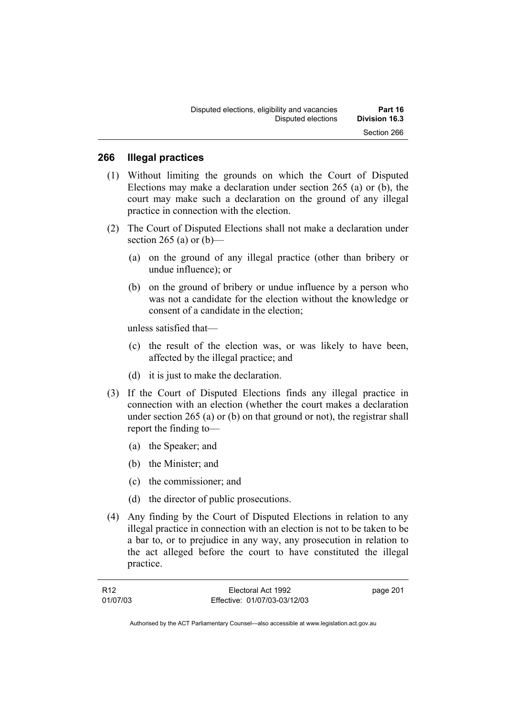#### **266 Illegal practices**

- (1) Without limiting the grounds on which the Court of Disputed Elections may make a declaration under section 265 (a) or (b), the court may make such a declaration on the ground of any illegal practice in connection with the election.
- (2) The Court of Disputed Elections shall not make a declaration under section 265 (a) or  $(b)$ —
	- (a) on the ground of any illegal practice (other than bribery or undue influence); or
	- (b) on the ground of bribery or undue influence by a person who was not a candidate for the election without the knowledge or consent of a candidate in the election;

unless satisfied that—

- (c) the result of the election was, or was likely to have been, affected by the illegal practice; and
- (d) it is just to make the declaration.
- (3) If the Court of Disputed Elections finds any illegal practice in connection with an election (whether the court makes a declaration under section 265 (a) or (b) on that ground or not), the registrar shall report the finding to—
	- (a) the Speaker; and
	- (b) the Minister; and
	- (c) the commissioner; and
	- (d) the director of public prosecutions.
- (4) Any finding by the Court of Disputed Elections in relation to any illegal practice in connection with an election is not to be taken to be a bar to, or to prejudice in any way, any prosecution in relation to the act alleged before the court to have constituted the illegal practice.

| R12      | Electoral Act 1992           | page 201 |
|----------|------------------------------|----------|
| 01/07/03 | Effective: 01/07/03-03/12/03 |          |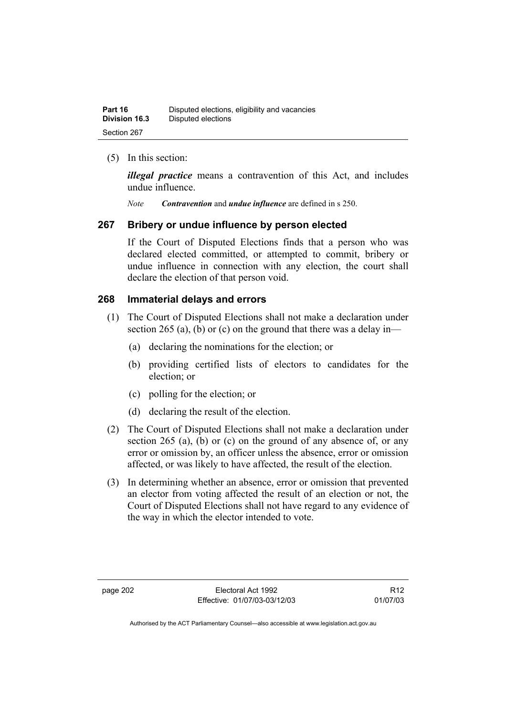| Part 16              | Disputed elections, eligibility and vacancies |
|----------------------|-----------------------------------------------|
| <b>Division 16.3</b> | Disputed elections                            |
| Section 267          |                                               |

#### (5) In this section:

*illegal practice* means a contravention of this Act, and includes undue influence.

*Note Contravention* and *undue influence* are defined in s 250.

#### **267 Bribery or undue influence by person elected**

If the Court of Disputed Elections finds that a person who was declared elected committed, or attempted to commit, bribery or undue influence in connection with any election, the court shall declare the election of that person void.

#### **268 Immaterial delays and errors**

- (1) The Court of Disputed Elections shall not make a declaration under section 265 (a), (b) or (c) on the ground that there was a delay in—
	- (a) declaring the nominations for the election; or
	- (b) providing certified lists of electors to candidates for the election; or
	- (c) polling for the election; or
	- (d) declaring the result of the election.
- (2) The Court of Disputed Elections shall not make a declaration under section 265 (a), (b) or (c) on the ground of any absence of, or any error or omission by, an officer unless the absence, error or omission affected, or was likely to have affected, the result of the election.
- (3) In determining whether an absence, error or omission that prevented an elector from voting affected the result of an election or not, the Court of Disputed Elections shall not have regard to any evidence of the way in which the elector intended to vote.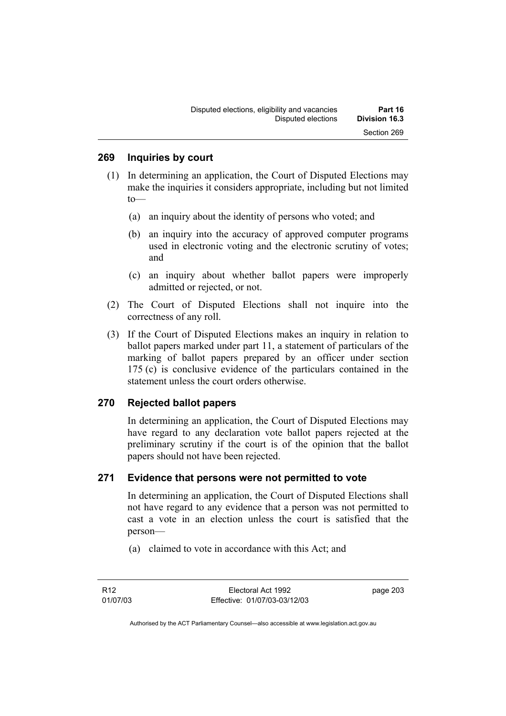#### **269 Inquiries by court**

- (1) In determining an application, the Court of Disputed Elections may make the inquiries it considers appropriate, including but not limited to—
	- (a) an inquiry about the identity of persons who voted; and
	- (b) an inquiry into the accuracy of approved computer programs used in electronic voting and the electronic scrutiny of votes; and
	- (c) an inquiry about whether ballot papers were improperly admitted or rejected, or not.
- (2) The Court of Disputed Elections shall not inquire into the correctness of any roll.
- (3) If the Court of Disputed Elections makes an inquiry in relation to ballot papers marked under part 11, a statement of particulars of the marking of ballot papers prepared by an officer under section 175 (c) is conclusive evidence of the particulars contained in the statement unless the court orders otherwise.

#### **270 Rejected ballot papers**

In determining an application, the Court of Disputed Elections may have regard to any declaration vote ballot papers rejected at the preliminary scrutiny if the court is of the opinion that the ballot papers should not have been rejected.

#### **271 Evidence that persons were not permitted to vote**

In determining an application, the Court of Disputed Elections shall not have regard to any evidence that a person was not permitted to cast a vote in an election unless the court is satisfied that the person—

(a) claimed to vote in accordance with this Act; and

page 203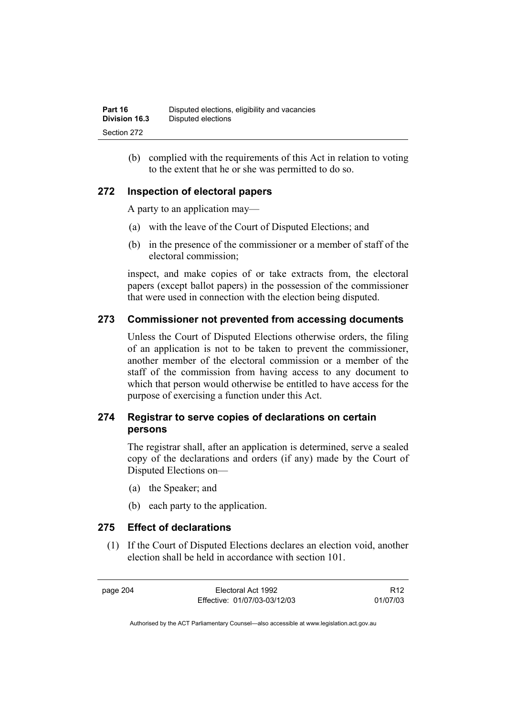(b) complied with the requirements of this Act in relation to voting to the extent that he or she was permitted to do so.

#### **272 Inspection of electoral papers**

A party to an application may—

- (a) with the leave of the Court of Disputed Elections; and
- (b) in the presence of the commissioner or a member of staff of the electoral commission;

inspect, and make copies of or take extracts from, the electoral papers (except ballot papers) in the possession of the commissioner that were used in connection with the election being disputed.

#### **273 Commissioner not prevented from accessing documents**

Unless the Court of Disputed Elections otherwise orders, the filing of an application is not to be taken to prevent the commissioner, another member of the electoral commission or a member of the staff of the commission from having access to any document to which that person would otherwise be entitled to have access for the purpose of exercising a function under this Act.

#### **274 Registrar to serve copies of declarations on certain persons**

The registrar shall, after an application is determined, serve a sealed copy of the declarations and orders (if any) made by the Court of Disputed Elections on—

- (a) the Speaker; and
- (b) each party to the application.

#### **275 Effect of declarations**

 (1) If the Court of Disputed Elections declares an election void, another election shall be held in accordance with section 101.

page 204 Electoral Act 1992 Effective: 01/07/03-03/12/03

R12 01/07/03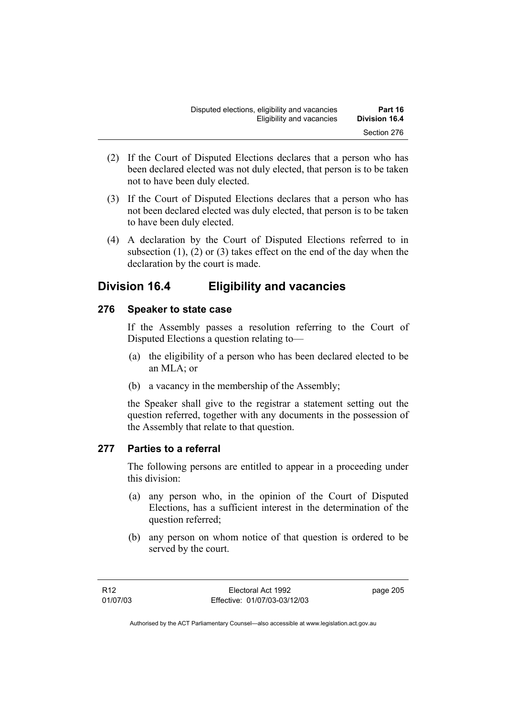- (2) If the Court of Disputed Elections declares that a person who has been declared elected was not duly elected, that person is to be taken not to have been duly elected.
- (3) If the Court of Disputed Elections declares that a person who has not been declared elected was duly elected, that person is to be taken to have been duly elected.
- (4) A declaration by the Court of Disputed Elections referred to in subsection  $(1)$ ,  $(2)$  or  $(3)$  takes effect on the end of the day when the declaration by the court is made.

# **Division 16.4 Eligibility and vacancies**

### **276 Speaker to state case**

If the Assembly passes a resolution referring to the Court of Disputed Elections a question relating to—

- (a) the eligibility of a person who has been declared elected to be an MLA; or
- (b) a vacancy in the membership of the Assembly;

the Speaker shall give to the registrar a statement setting out the question referred, together with any documents in the possession of the Assembly that relate to that question.

#### **277 Parties to a referral**

The following persons are entitled to appear in a proceeding under this division:

- (a) any person who, in the opinion of the Court of Disputed Elections, has a sufficient interest in the determination of the question referred;
- (b) any person on whom notice of that question is ordered to be served by the court.

page 205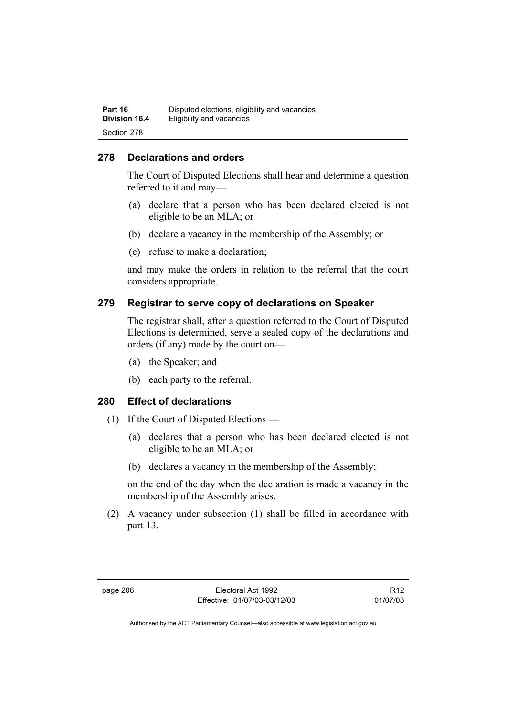#### **278 Declarations and orders**

The Court of Disputed Elections shall hear and determine a question referred to it and may—

- (a) declare that a person who has been declared elected is not eligible to be an MLA; or
- (b) declare a vacancy in the membership of the Assembly; or
- (c) refuse to make a declaration;

and may make the orders in relation to the referral that the court considers appropriate.

#### **279 Registrar to serve copy of declarations on Speaker**

The registrar shall, after a question referred to the Court of Disputed Elections is determined, serve a sealed copy of the declarations and orders (if any) made by the court on—

- (a) the Speaker; and
- (b) each party to the referral.

#### **280 Effect of declarations**

- (1) If the Court of Disputed Elections
	- (a) declares that a person who has been declared elected is not eligible to be an MLA; or
	- (b) declares a vacancy in the membership of the Assembly;

on the end of the day when the declaration is made a vacancy in the membership of the Assembly arises.

 (2) A vacancy under subsection (1) shall be filled in accordance with part 13.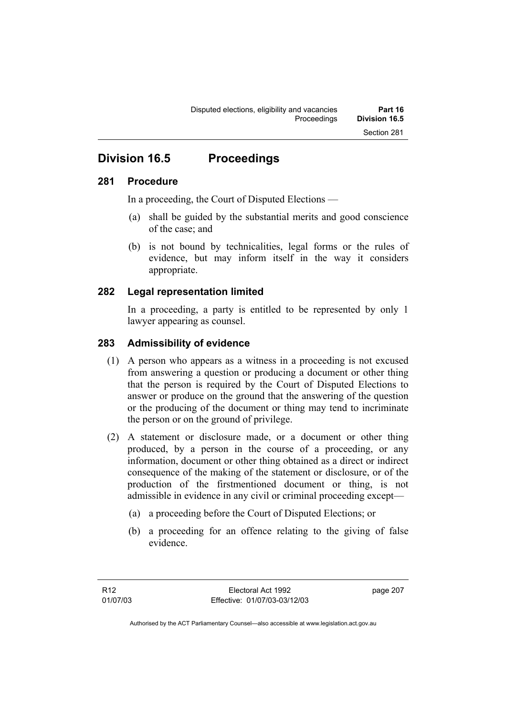# **Division 16.5 Proceedings**

#### **281 Procedure**

In a proceeding, the Court of Disputed Elections —

- (a) shall be guided by the substantial merits and good conscience of the case; and
- (b) is not bound by technicalities, legal forms or the rules of evidence, but may inform itself in the way it considers appropriate.

#### **282 Legal representation limited**

In a proceeding, a party is entitled to be represented by only 1 lawyer appearing as counsel.

#### **283 Admissibility of evidence**

- (1) A person who appears as a witness in a proceeding is not excused from answering a question or producing a document or other thing that the person is required by the Court of Disputed Elections to answer or produce on the ground that the answering of the question or the producing of the document or thing may tend to incriminate the person or on the ground of privilege.
- (2) A statement or disclosure made, or a document or other thing produced, by a person in the course of a proceeding, or any information, document or other thing obtained as a direct or indirect consequence of the making of the statement or disclosure, or of the production of the firstmentioned document or thing, is not admissible in evidence in any civil or criminal proceeding except—
	- (a) a proceeding before the Court of Disputed Elections; or
	- (b) a proceeding for an offence relating to the giving of false evidence.

page 207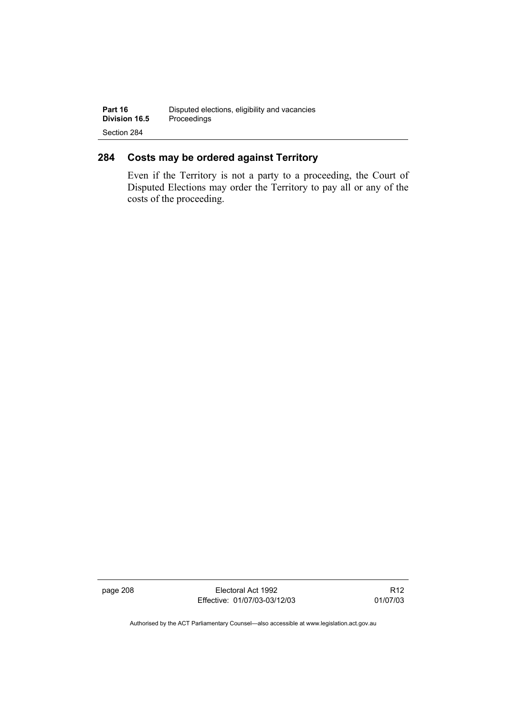### **284 Costs may be ordered against Territory**

Even if the Territory is not a party to a proceeding, the Court of Disputed Elections may order the Territory to pay all or any of the costs of the proceeding.

page 208 Electoral Act 1992 Effective: 01/07/03-03/12/03

R12 01/07/03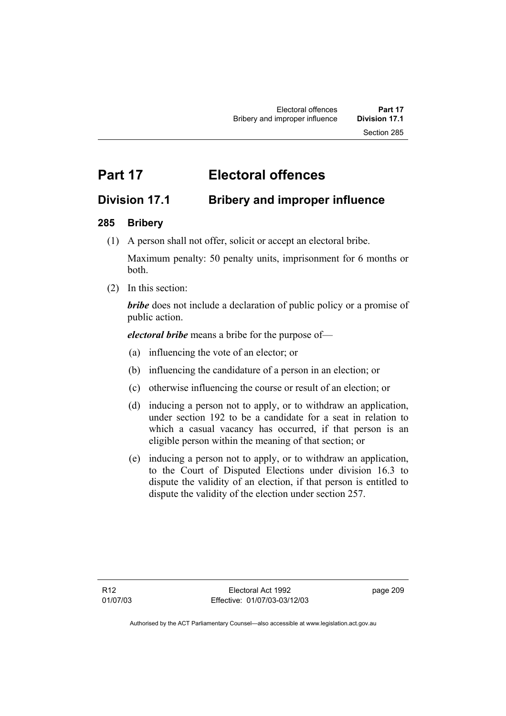# **Part 17 Electoral offences**

# **Division 17.1 Bribery and improper influence**

### **285 Bribery**

(1) A person shall not offer, solicit or accept an electoral bribe.

Maximum penalty: 50 penalty units, imprisonment for 6 months or both.

(2) In this section:

*bribe* does not include a declaration of public policy or a promise of public action.

*electoral bribe* means a bribe for the purpose of—

- (a) influencing the vote of an elector; or
- (b) influencing the candidature of a person in an election; or
- (c) otherwise influencing the course or result of an election; or
- (d) inducing a person not to apply, or to withdraw an application, under section 192 to be a candidate for a seat in relation to which a casual vacancy has occurred, if that person is an eligible person within the meaning of that section; or
- (e) inducing a person not to apply, or to withdraw an application, to the Court of Disputed Elections under division 16.3 to dispute the validity of an election, if that person is entitled to dispute the validity of the election under section 257.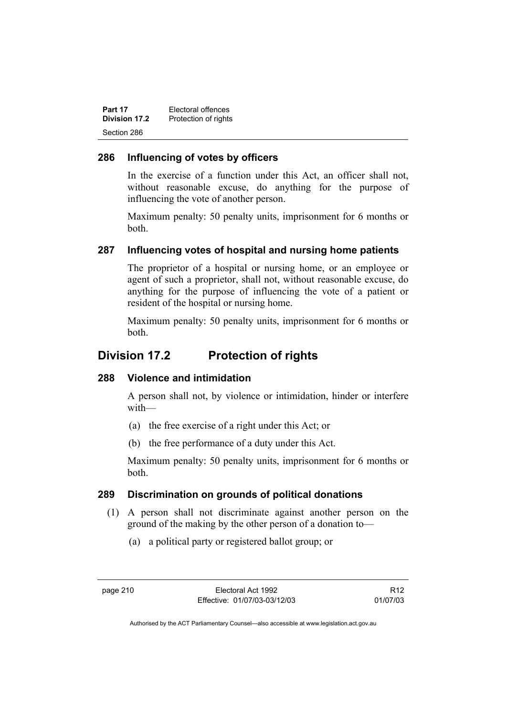| Part 17       | Electoral offences   |
|---------------|----------------------|
| Division 17.2 | Protection of rights |
| Section 286   |                      |

#### **286 Influencing of votes by officers**

In the exercise of a function under this Act, an officer shall not, without reasonable excuse, do anything for the purpose of influencing the vote of another person.

Maximum penalty: 50 penalty units, imprisonment for 6 months or both.

#### **287 Influencing votes of hospital and nursing home patients**

The proprietor of a hospital or nursing home, or an employee or agent of such a proprietor, shall not, without reasonable excuse, do anything for the purpose of influencing the vote of a patient or resident of the hospital or nursing home.

Maximum penalty: 50 penalty units, imprisonment for 6 months or both.

## **Division 17.2 Protection of rights**

#### **288 Violence and intimidation**

A person shall not, by violence or intimidation, hinder or interfere with—

- (a) the free exercise of a right under this Act; or
- (b) the free performance of a duty under this Act.

Maximum penalty: 50 penalty units, imprisonment for 6 months or both.

#### **289 Discrimination on grounds of political donations**

- (1) A person shall not discriminate against another person on the ground of the making by the other person of a donation to—
	- (a) a political party or registered ballot group; or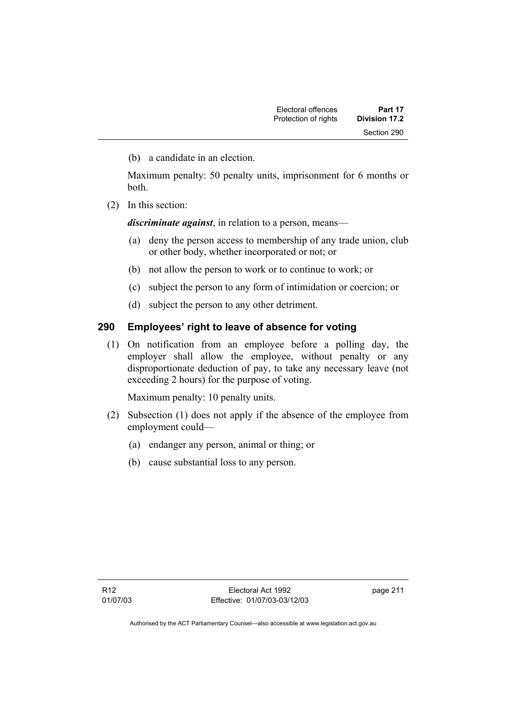(b) a candidate in an election.

Maximum penalty: 50 penalty units, imprisonment for 6 months or both.

(2) In this section:

*discriminate against*, in relation to a person, means—

- (a) deny the person access to membership of any trade union, club or other body, whether incorporated or not; or
- (b) not allow the person to work or to continue to work; or
- (c) subject the person to any form of intimidation or coercion; or
- (d) subject the person to any other detriment.

#### **290 Employees' right to leave of absence for voting**

 (1) On notification from an employee before a polling day, the employer shall allow the employee, without penalty or any disproportionate deduction of pay, to take any necessary leave (not exceeding 2 hours) for the purpose of voting.

Maximum penalty: 10 penalty units.

- (2) Subsection (1) does not apply if the absence of the employee from employment could—
	- (a) endanger any person, animal or thing; or
	- (b) cause substantial loss to any person.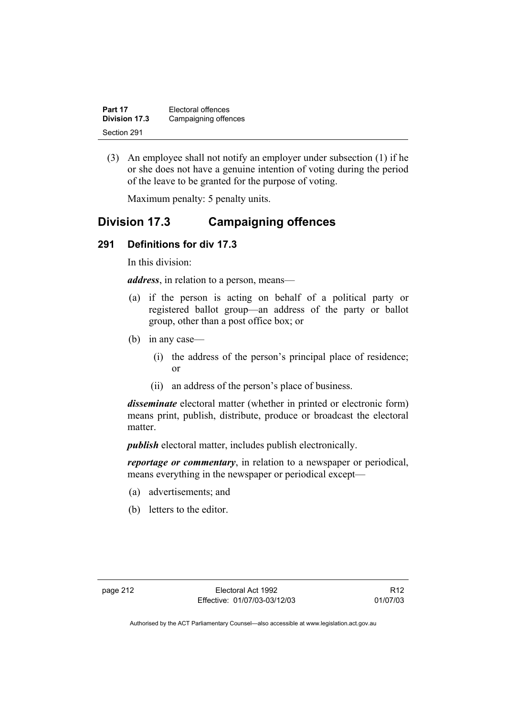| Part 17       | Electoral offences   |
|---------------|----------------------|
| Division 17.3 | Campaigning offences |
| Section 291   |                      |

 (3) An employee shall not notify an employer under subsection (1) if he or she does not have a genuine intention of voting during the period of the leave to be granted for the purpose of voting.

Maximum penalty: 5 penalty units.

# **Division 17.3 Campaigning offences**

#### **291 Definitions for div 17.3**

In this division:

*address*, in relation to a person, means—

- (a) if the person is acting on behalf of a political party or registered ballot group—an address of the party or ballot group, other than a post office box; or
- (b) in any case—
	- (i) the address of the person's principal place of residence; or
	- (ii) an address of the person's place of business.

*disseminate* electoral matter (whether in printed or electronic form) means print, publish, distribute, produce or broadcast the electoral matter.

*publish* electoral matter, includes publish electronically.

*reportage or commentary*, in relation to a newspaper or periodical, means everything in the newspaper or periodical except—

- (a) advertisements; and
- (b) letters to the editor.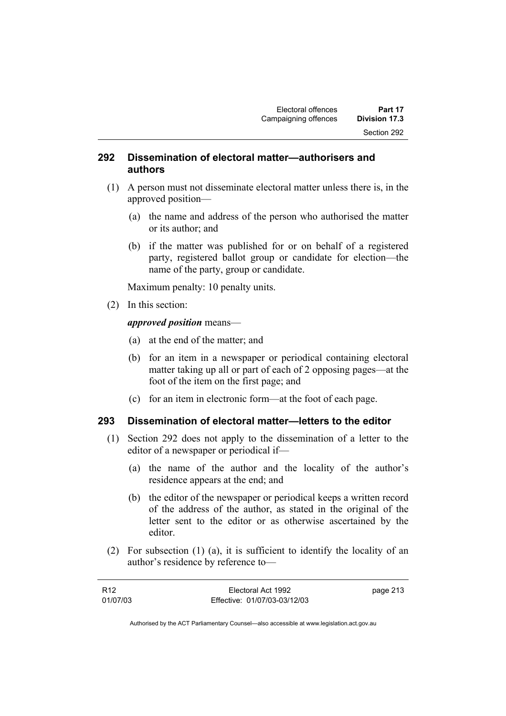#### **292 Dissemination of electoral matter—authorisers and authors**

- (1) A person must not disseminate electoral matter unless there is, in the approved position—
	- (a) the name and address of the person who authorised the matter or its author; and
	- (b) if the matter was published for or on behalf of a registered party, registered ballot group or candidate for election—the name of the party, group or candidate.

Maximum penalty: 10 penalty units.

(2) In this section:

*approved position* means—

- (a) at the end of the matter; and
- (b) for an item in a newspaper or periodical containing electoral matter taking up all or part of each of 2 opposing pages—at the foot of the item on the first page; and
- (c) for an item in electronic form—at the foot of each page.

#### **293 Dissemination of electoral matter—letters to the editor**

- (1) Section 292 does not apply to the dissemination of a letter to the editor of a newspaper or periodical if—
	- (a) the name of the author and the locality of the author's residence appears at the end; and
	- (b) the editor of the newspaper or periodical keeps a written record of the address of the author, as stated in the original of the letter sent to the editor or as otherwise ascertained by the editor.
- (2) For subsection (1) (a), it is sufficient to identify the locality of an author's residence by reference to—

| R <sub>12</sub> | Electoral Act 1992           | page 213 |
|-----------------|------------------------------|----------|
| 01/07/03        | Effective: 01/07/03-03/12/03 |          |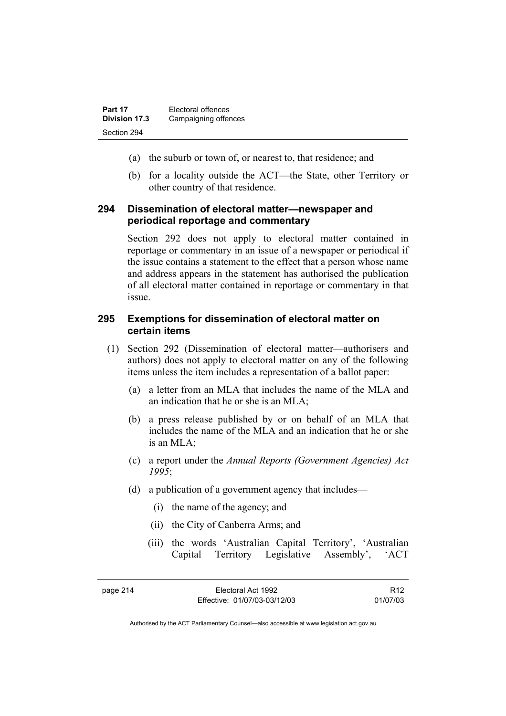| Part 17       | Electoral offences   |
|---------------|----------------------|
| Division 17.3 | Campaigning offences |
| Section 294   |                      |

- (a) the suburb or town of, or nearest to, that residence; and
- (b) for a locality outside the ACT—the State, other Territory or other country of that residence.

#### **294 Dissemination of electoral matter—newspaper and periodical reportage and commentary**

Section 292 does not apply to electoral matter contained in reportage or commentary in an issue of a newspaper or periodical if the issue contains a statement to the effect that a person whose name and address appears in the statement has authorised the publication of all electoral matter contained in reportage or commentary in that issue.

#### **295 Exemptions for dissemination of electoral matter on certain items**

- (1) Section 292 (Dissemination of electoral matter—authorisers and authors) does not apply to electoral matter on any of the following items unless the item includes a representation of a ballot paper:
	- (a) a letter from an MLA that includes the name of the MLA and an indication that he or she is an MLA;
	- (b) a press release published by or on behalf of an MLA that includes the name of the MLA and an indication that he or she is an  $MLA$ ;
	- (c) a report under the *Annual Reports (Government Agencies) Act 1995*;
	- (d) a publication of a government agency that includes—
		- (i) the name of the agency; and
		- (ii) the City of Canberra Arms; and
		- (iii) the words 'Australian Capital Territory', 'Australian Capital Territory Legislative Assembly', 'ACT

R12 01/07/03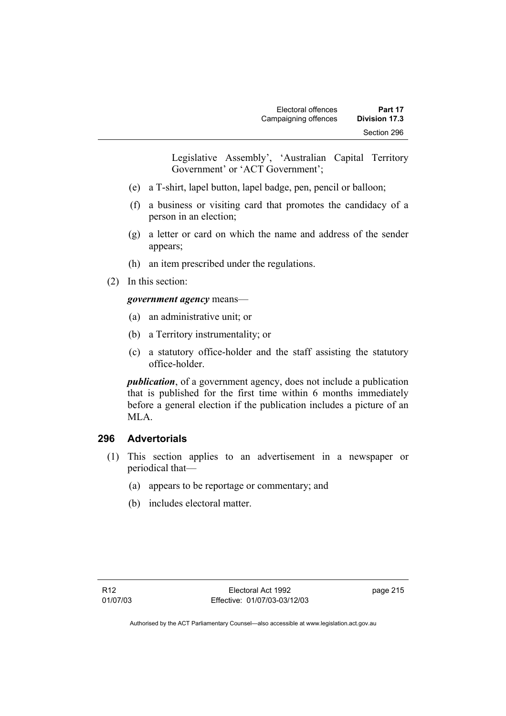Legislative Assembly', 'Australian Capital Territory Government' or 'ACT Government';

- (e) a T-shirt, lapel button, lapel badge, pen, pencil or balloon;
- (f) a business or visiting card that promotes the candidacy of a person in an election;
- (g) a letter or card on which the name and address of the sender appears;
- (h) an item prescribed under the regulations.
- (2) In this section:

#### *government agency* means—

- (a) an administrative unit; or
- (b) a Territory instrumentality; or
- (c) a statutory office-holder and the staff assisting the statutory office-holder.

*publication*, of a government agency, does not include a publication that is published for the first time within 6 months immediately before a general election if the publication includes a picture of an MLA.

#### **296 Advertorials**

- (1) This section applies to an advertisement in a newspaper or periodical that—
	- (a) appears to be reportage or commentary; and
	- (b) includes electoral matter.

page 215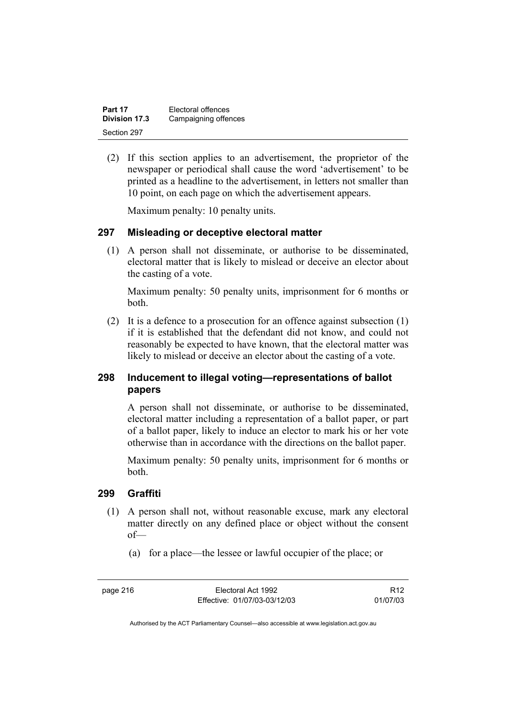| Part 17       | Electoral offences   |
|---------------|----------------------|
| Division 17.3 | Campaigning offences |
| Section 297   |                      |

 (2) If this section applies to an advertisement, the proprietor of the newspaper or periodical shall cause the word 'advertisement' to be printed as a headline to the advertisement, in letters not smaller than 10 point, on each page on which the advertisement appears.

Maximum penalty: 10 penalty units.

#### **297 Misleading or deceptive electoral matter**

 (1) A person shall not disseminate, or authorise to be disseminated, electoral matter that is likely to mislead or deceive an elector about the casting of a vote.

Maximum penalty: 50 penalty units, imprisonment for 6 months or both.

 (2) It is a defence to a prosecution for an offence against subsection (1) if it is established that the defendant did not know, and could not reasonably be expected to have known, that the electoral matter was likely to mislead or deceive an elector about the casting of a vote.

#### **298 Inducement to illegal voting—representations of ballot papers**

A person shall not disseminate, or authorise to be disseminated, electoral matter including a representation of a ballot paper, or part of a ballot paper, likely to induce an elector to mark his or her vote otherwise than in accordance with the directions on the ballot paper.

Maximum penalty: 50 penalty units, imprisonment for 6 months or both.

#### **299 Graffiti**

- (1) A person shall not, without reasonable excuse, mark any electoral matter directly on any defined place or object without the consent of—
	- (a) for a place—the lessee or lawful occupier of the place; or

page 216 Electoral Act 1992 Effective: 01/07/03-03/12/03

R12 01/07/03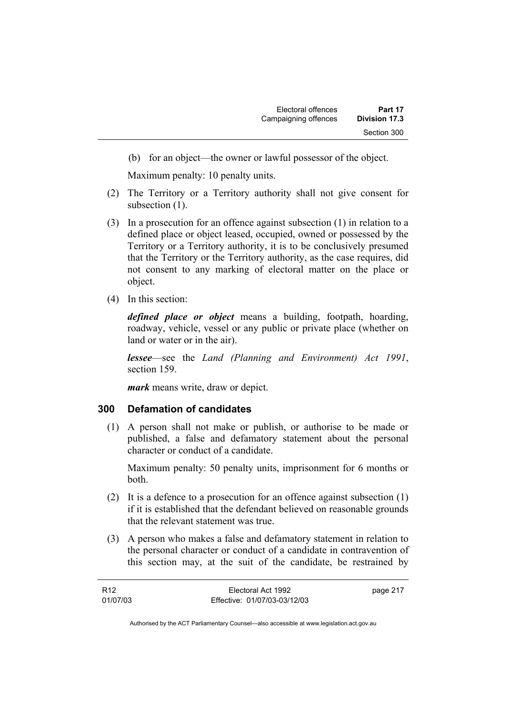(b) for an object—the owner or lawful possessor of the object.

Maximum penalty: 10 penalty units.

- (2) The Territory or a Territory authority shall not give consent for subsection  $(1)$ .
- (3) In a prosecution for an offence against subsection (1) in relation to a defined place or object leased, occupied, owned or possessed by the Territory or a Territory authority, it is to be conclusively presumed that the Territory or the Territory authority, as the case requires, did not consent to any marking of electoral matter on the place or object.
- (4) In this section:

*defined place or object* means a building, footpath, hoarding, roadway, vehicle, vessel or any public or private place (whether on land or water or in the air).

*lessee*—see the *Land (Planning and Environment) Act 1991*, section 159.

*mark* means write, draw or depict.

#### **300 Defamation of candidates**

 (1) A person shall not make or publish, or authorise to be made or published, a false and defamatory statement about the personal character or conduct of a candidate.

Maximum penalty: 50 penalty units, imprisonment for 6 months or both.

- (2) It is a defence to a prosecution for an offence against subsection (1) if it is established that the defendant believed on reasonable grounds that the relevant statement was true.
- (3) A person who makes a false and defamatory statement in relation to the personal character or conduct of a candidate in contravention of this section may, at the suit of the candidate, be restrained by

| R <sub>12</sub> | Electoral Act 1992           | page 217 |
|-----------------|------------------------------|----------|
| 01/07/03        | Effective: 01/07/03-03/12/03 |          |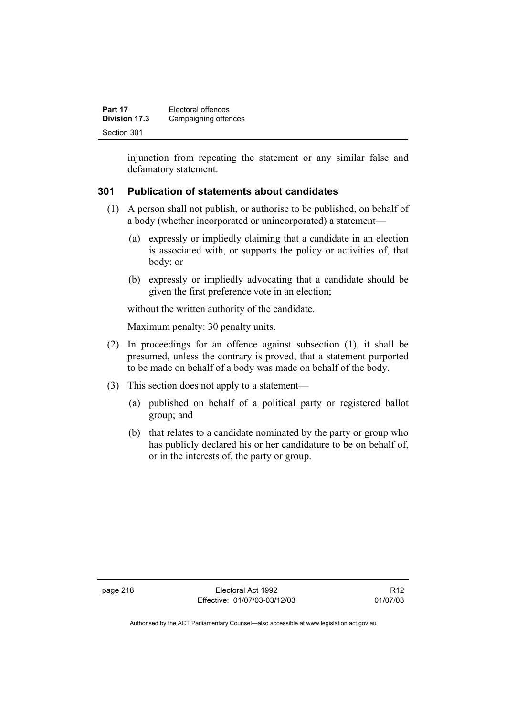| Part 17       | Electoral offences   |
|---------------|----------------------|
| Division 17.3 | Campaigning offences |
| Section 301   |                      |

injunction from repeating the statement or any similar false and defamatory statement.

#### **301 Publication of statements about candidates**

- (1) A person shall not publish, or authorise to be published, on behalf of a body (whether incorporated or unincorporated) a statement—
	- (a) expressly or impliedly claiming that a candidate in an election is associated with, or supports the policy or activities of, that body; or
	- (b) expressly or impliedly advocating that a candidate should be given the first preference vote in an election;

without the written authority of the candidate.

Maximum penalty: 30 penalty units.

- (2) In proceedings for an offence against subsection (1), it shall be presumed, unless the contrary is proved, that a statement purported to be made on behalf of a body was made on behalf of the body.
- (3) This section does not apply to a statement—
	- (a) published on behalf of a political party or registered ballot group; and
	- (b) that relates to a candidate nominated by the party or group who has publicly declared his or her candidature to be on behalf of, or in the interests of, the party or group.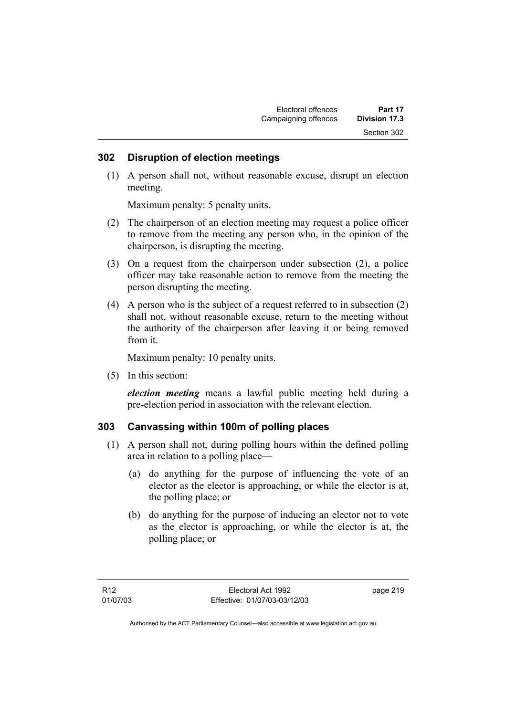#### **302 Disruption of election meetings**

 (1) A person shall not, without reasonable excuse, disrupt an election meeting.

Maximum penalty: 5 penalty units.

- (2) The chairperson of an election meeting may request a police officer to remove from the meeting any person who, in the opinion of the chairperson, is disrupting the meeting.
- (3) On a request from the chairperson under subsection (2), a police officer may take reasonable action to remove from the meeting the person disrupting the meeting.
- (4) A person who is the subject of a request referred to in subsection (2) shall not, without reasonable excuse, return to the meeting without the authority of the chairperson after leaving it or being removed from it.

Maximum penalty: 10 penalty units.

(5) In this section:

*election meeting* means a lawful public meeting held during a pre-election period in association with the relevant election.

#### **303 Canvassing within 100m of polling places**

- (1) A person shall not, during polling hours within the defined polling area in relation to a polling place—
	- (a) do anything for the purpose of influencing the vote of an elector as the elector is approaching, or while the elector is at, the polling place; or
	- (b) do anything for the purpose of inducing an elector not to vote as the elector is approaching, or while the elector is at, the polling place; or

page 219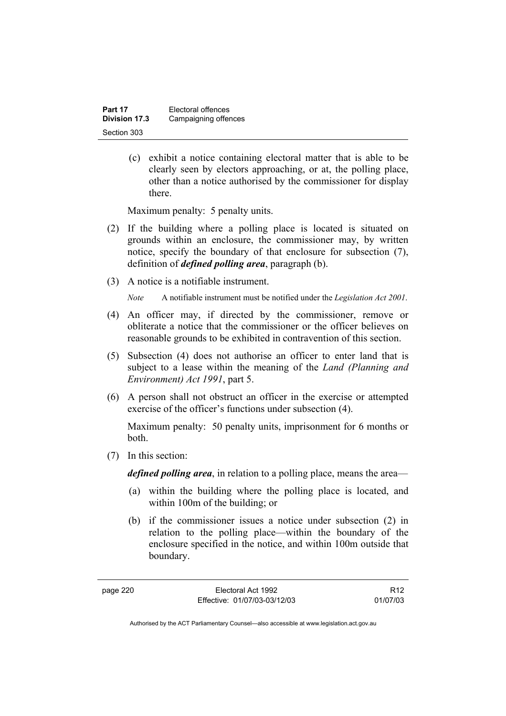| Part 17       | Electoral offences   |
|---------------|----------------------|
| Division 17.3 | Campaigning offences |
| Section 303   |                      |

 (c) exhibit a notice containing electoral matter that is able to be clearly seen by electors approaching, or at, the polling place, other than a notice authorised by the commissioner for display there.

Maximum penalty: 5 penalty units.

- (2) If the building where a polling place is located is situated on grounds within an enclosure, the commissioner may, by written notice, specify the boundary of that enclosure for subsection (7), definition of *defined polling area*, paragraph (b).
- (3) A notice is a notifiable instrument.

*Note* A notifiable instrument must be notified under the *Legislation Act 2001*.

- (4) An officer may, if directed by the commissioner, remove or obliterate a notice that the commissioner or the officer believes on reasonable grounds to be exhibited in contravention of this section.
- (5) Subsection (4) does not authorise an officer to enter land that is subject to a lease within the meaning of the *Land (Planning and Environment) Act 1991*, part 5.
- (6) A person shall not obstruct an officer in the exercise or attempted exercise of the officer's functions under subsection (4).

Maximum penalty: 50 penalty units, imprisonment for 6 months or both.

(7) In this section:

*defined polling area*, in relation to a polling place, means the area—

- (a) within the building where the polling place is located, and within 100m of the building; or
- (b) if the commissioner issues a notice under subsection (2) in relation to the polling place—within the boundary of the enclosure specified in the notice, and within 100m outside that boundary.

R12 01/07/03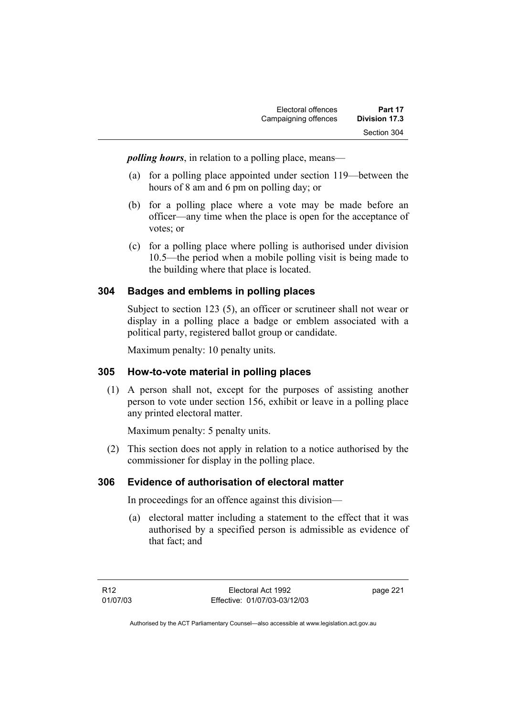*polling hours*, in relation to a polling place, means—

- (a) for a polling place appointed under section 119—between the hours of 8 am and 6 pm on polling day; or
- (b) for a polling place where a vote may be made before an officer—any time when the place is open for the acceptance of votes; or
- (c) for a polling place where polling is authorised under division 10.5—the period when a mobile polling visit is being made to the building where that place is located.

#### **304 Badges and emblems in polling places**

Subject to section 123 (5), an officer or scrutineer shall not wear or display in a polling place a badge or emblem associated with a political party, registered ballot group or candidate.

Maximum penalty: 10 penalty units.

#### **305 How-to-vote material in polling places**

 (1) A person shall not, except for the purposes of assisting another person to vote under section 156, exhibit or leave in a polling place any printed electoral matter.

Maximum penalty: 5 penalty units.

 (2) This section does not apply in relation to a notice authorised by the commissioner for display in the polling place.

#### **306 Evidence of authorisation of electoral matter**

In proceedings for an offence against this division—

 (a) electoral matter including a statement to the effect that it was authorised by a specified person is admissible as evidence of that fact; and

page 221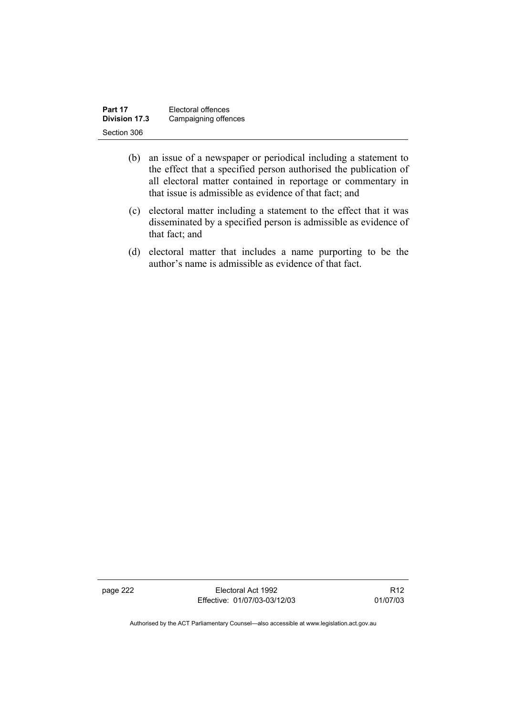| Part 17       | Electoral offences   |
|---------------|----------------------|
| Division 17.3 | Campaigning offences |
| Section 306   |                      |

- (b) an issue of a newspaper or periodical including a statement to the effect that a specified person authorised the publication of all electoral matter contained in reportage or commentary in that issue is admissible as evidence of that fact; and
- (c) electoral matter including a statement to the effect that it was disseminated by a specified person is admissible as evidence of that fact; and
- (d) electoral matter that includes a name purporting to be the author's name is admissible as evidence of that fact.

page 222 Electoral Act 1992 Effective: 01/07/03-03/12/03

R12 01/07/03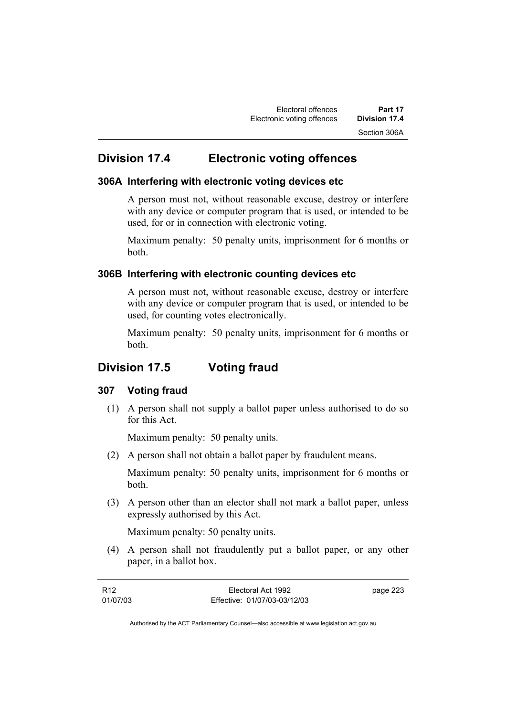# **Division 17.4 Electronic voting offences**

#### **306A Interfering with electronic voting devices etc**

A person must not, without reasonable excuse, destroy or interfere with any device or computer program that is used, or intended to be used, for or in connection with electronic voting.

Maximum penalty: 50 penalty units, imprisonment for 6 months or both.

#### **306B Interfering with electronic counting devices etc**

A person must not, without reasonable excuse, destroy or interfere with any device or computer program that is used, or intended to be used, for counting votes electronically.

Maximum penalty: 50 penalty units, imprisonment for 6 months or both.

# **Division 17.5 Voting fraud**

#### **307 Voting fraud**

 (1) A person shall not supply a ballot paper unless authorised to do so for this Act.

Maximum penalty: 50 penalty units.

(2) A person shall not obtain a ballot paper by fraudulent means.

Maximum penalty: 50 penalty units, imprisonment for 6 months or both.

 (3) A person other than an elector shall not mark a ballot paper, unless expressly authorised by this Act.

Maximum penalty: 50 penalty units.

 (4) A person shall not fraudulently put a ballot paper, or any other paper, in a ballot box.

| R <sub>12</sub> | Electoral Act 1992           | page 223 |
|-----------------|------------------------------|----------|
| 01/07/03        | Effective: 01/07/03-03/12/03 |          |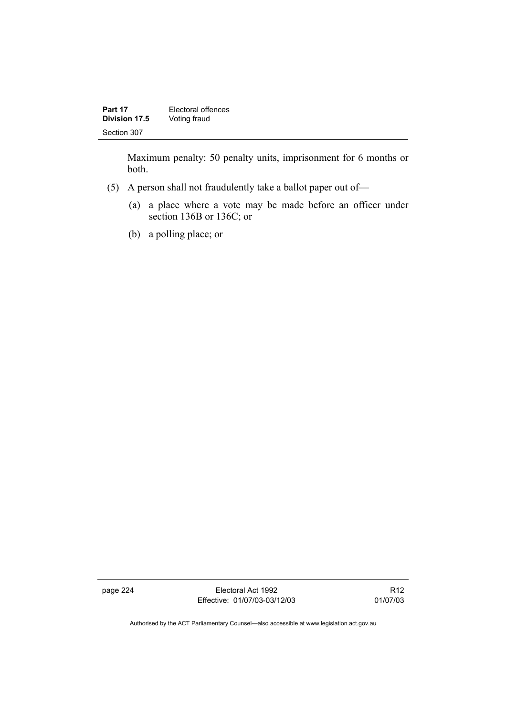| Part 17       | Electoral offences |
|---------------|--------------------|
| Division 17.5 | Voting fraud       |
| Section 307   |                    |

Maximum penalty: 50 penalty units, imprisonment for 6 months or both.

- (5) A person shall not fraudulently take a ballot paper out of—
	- (a) a place where a vote may be made before an officer under section 136B or 136C; or
	- (b) a polling place; or

page 224 Electoral Act 1992 Effective: 01/07/03-03/12/03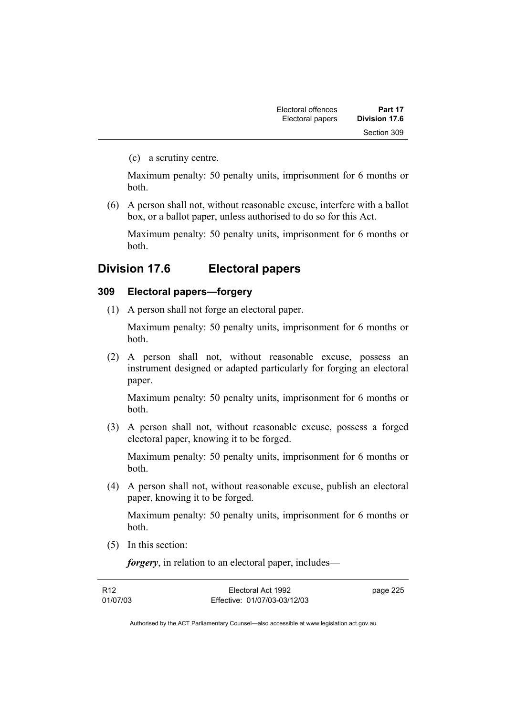(c) a scrutiny centre.

Maximum penalty: 50 penalty units, imprisonment for 6 months or both.

 (6) A person shall not, without reasonable excuse, interfere with a ballot box, or a ballot paper, unless authorised to do so for this Act.

Maximum penalty: 50 penalty units, imprisonment for 6 months or both.

## **Division 17.6 Electoral papers**

#### **309 Electoral papers—forgery**

(1) A person shall not forge an electoral paper.

Maximum penalty: 50 penalty units, imprisonment for 6 months or both.

 (2) A person shall not, without reasonable excuse, possess an instrument designed or adapted particularly for forging an electoral paper.

Maximum penalty: 50 penalty units, imprisonment for 6 months or both.

 (3) A person shall not, without reasonable excuse, possess a forged electoral paper, knowing it to be forged.

Maximum penalty: 50 penalty units, imprisonment for 6 months or both.

 (4) A person shall not, without reasonable excuse, publish an electoral paper, knowing it to be forged.

Maximum penalty: 50 penalty units, imprisonment for 6 months or both.

(5) In this section:

*forgery*, in relation to an electoral paper, includes—

| R12      | Electoral Act 1992           | page 225 |
|----------|------------------------------|----------|
| 01/07/03 | Effective: 01/07/03-03/12/03 |          |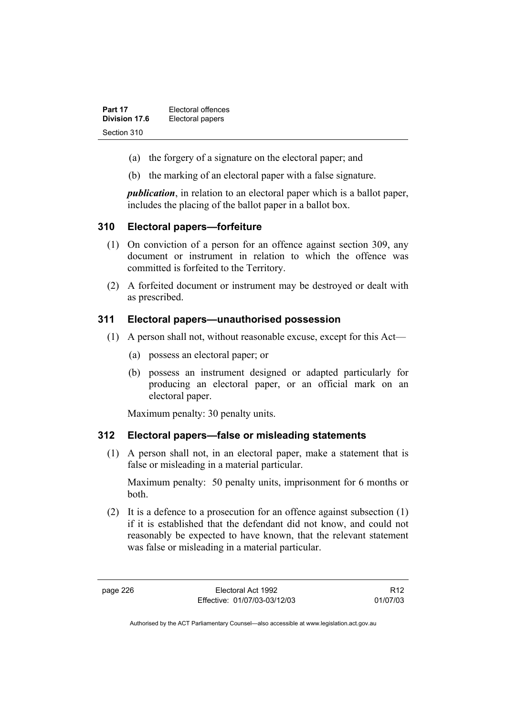| Part 17       | Electoral offences |
|---------------|--------------------|
| Division 17.6 | Electoral papers   |
| Section 310   |                    |

- (a) the forgery of a signature on the electoral paper; and
- (b) the marking of an electoral paper with a false signature.

*publication*, in relation to an electoral paper which is a ballot paper, includes the placing of the ballot paper in a ballot box.

#### **310 Electoral papers—forfeiture**

- (1) On conviction of a person for an offence against section 309, any document or instrument in relation to which the offence was committed is forfeited to the Territory.
- (2) A forfeited document or instrument may be destroyed or dealt with as prescribed.

#### **311 Electoral papers—unauthorised possession**

- (1) A person shall not, without reasonable excuse, except for this Act—
	- (a) possess an electoral paper; or
	- (b) possess an instrument designed or adapted particularly for producing an electoral paper, or an official mark on an electoral paper.

Maximum penalty: 30 penalty units.

#### **312 Electoral papers—false or misleading statements**

 (1) A person shall not, in an electoral paper, make a statement that is false or misleading in a material particular.

Maximum penalty: 50 penalty units, imprisonment for 6 months or both.

 (2) It is a defence to a prosecution for an offence against subsection (1) if it is established that the defendant did not know, and could not reasonably be expected to have known, that the relevant statement was false or misleading in a material particular.

page 226 Electoral Act 1992 Effective: 01/07/03-03/12/03

R12 01/07/03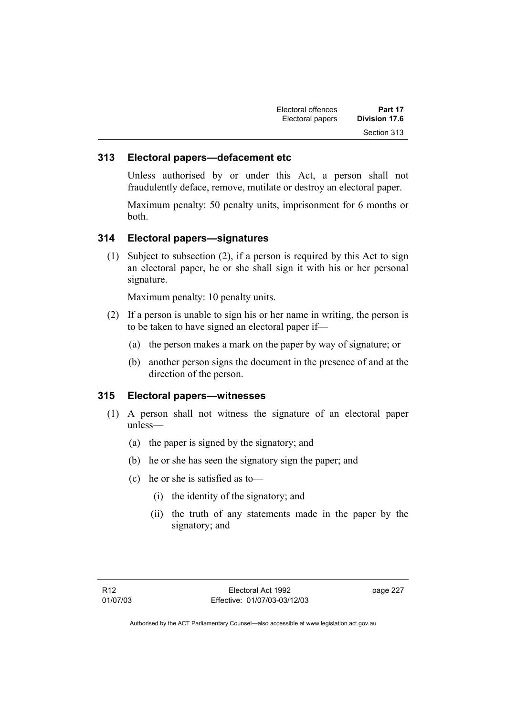| Electoral offences | Part 17       |
|--------------------|---------------|
| Electoral papers   | Division 17.6 |
|                    | Section 313   |

#### **313 Electoral papers—defacement etc**

Unless authorised by or under this Act, a person shall not fraudulently deface, remove, mutilate or destroy an electoral paper.

Maximum penalty: 50 penalty units, imprisonment for 6 months or both.

#### **314 Electoral papers—signatures**

 (1) Subject to subsection (2), if a person is required by this Act to sign an electoral paper, he or she shall sign it with his or her personal signature.

Maximum penalty: 10 penalty units.

- (2) If a person is unable to sign his or her name in writing, the person is to be taken to have signed an electoral paper if—
	- (a) the person makes a mark on the paper by way of signature; or
	- (b) another person signs the document in the presence of and at the direction of the person.

#### **315 Electoral papers—witnesses**

- (1) A person shall not witness the signature of an electoral paper unless—
	- (a) the paper is signed by the signatory; and
	- (b) he or she has seen the signatory sign the paper; and
	- (c) he or she is satisfied as to—
		- (i) the identity of the signatory; and
		- (ii) the truth of any statements made in the paper by the signatory; and

page 227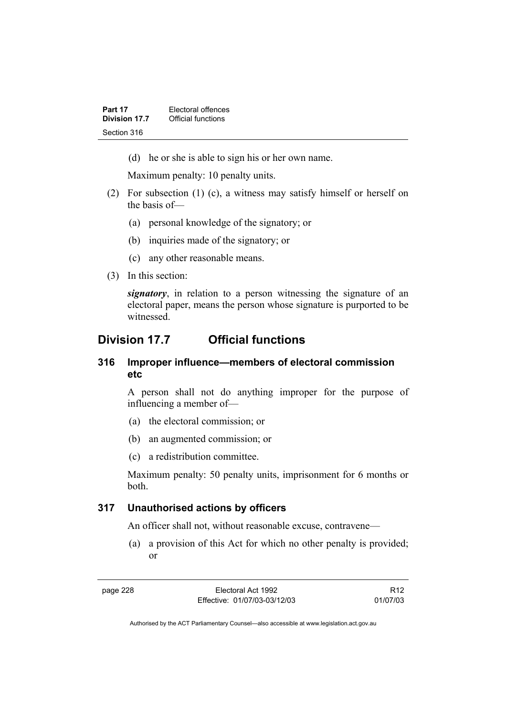(d) he or she is able to sign his or her own name.

Maximum penalty: 10 penalty units.

- (2) For subsection (1) (c), a witness may satisfy himself or herself on the basis of—
	- (a) personal knowledge of the signatory; or
	- (b) inquiries made of the signatory; or
	- (c) any other reasonable means.
- (3) In this section:

*signatory*, in relation to a person witnessing the signature of an electoral paper, means the person whose signature is purported to be witnessed.

## **Division 17.7 Official functions**

#### **316 Improper influence—members of electoral commission etc**

A person shall not do anything improper for the purpose of influencing a member of—

- (a) the electoral commission; or
- (b) an augmented commission; or
- (c) a redistribution committee.

Maximum penalty: 50 penalty units, imprisonment for 6 months or both.

#### **317 Unauthorised actions by officers**

An officer shall not, without reasonable excuse, contravene—

 (a) a provision of this Act for which no other penalty is provided; or

R12 01/07/03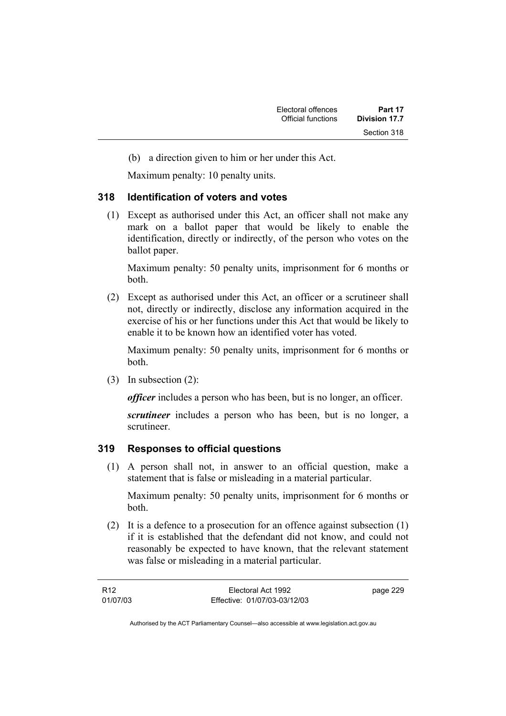(b) a direction given to him or her under this Act.

Maximum penalty: 10 penalty units.

#### **318 Identification of voters and votes**

 (1) Except as authorised under this Act, an officer shall not make any mark on a ballot paper that would be likely to enable the identification, directly or indirectly, of the person who votes on the ballot paper.

Maximum penalty: 50 penalty units, imprisonment for 6 months or both.

 (2) Except as authorised under this Act, an officer or a scrutineer shall not, directly or indirectly, disclose any information acquired in the exercise of his or her functions under this Act that would be likely to enable it to be known how an identified voter has voted.

Maximum penalty: 50 penalty units, imprisonment for 6 months or both.

(3) In subsection (2):

*officer* includes a person who has been, but is no longer, an officer.

*scrutineer* includes a person who has been, but is no longer, a scrutineer.

#### **319 Responses to official questions**

 (1) A person shall not, in answer to an official question, make a statement that is false or misleading in a material particular.

Maximum penalty: 50 penalty units, imprisonment for 6 months or both.

 (2) It is a defence to a prosecution for an offence against subsection (1) if it is established that the defendant did not know, and could not reasonably be expected to have known, that the relevant statement was false or misleading in a material particular.

| R12      | Electoral Act 1992           | page 229 |
|----------|------------------------------|----------|
| 01/07/03 | Effective: 01/07/03-03/12/03 |          |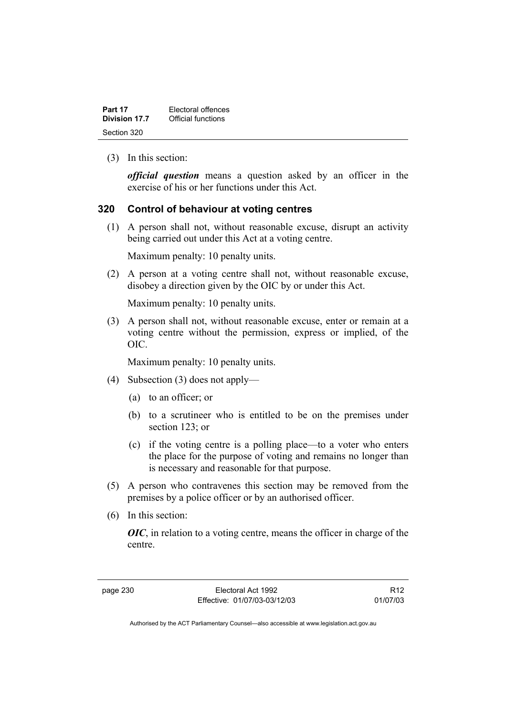| Part 17       | Electoral offences |
|---------------|--------------------|
| Division 17.7 | Official functions |
| Section 320   |                    |

(3) In this section:

*official question* means a question asked by an officer in the exercise of his or her functions under this Act.

#### **320 Control of behaviour at voting centres**

 (1) A person shall not, without reasonable excuse, disrupt an activity being carried out under this Act at a voting centre.

Maximum penalty: 10 penalty units.

 (2) A person at a voting centre shall not, without reasonable excuse, disobey a direction given by the OIC by or under this Act.

Maximum penalty: 10 penalty units.

 (3) A person shall not, without reasonable excuse, enter or remain at a voting centre without the permission, express or implied, of the OIC.

Maximum penalty: 10 penalty units.

- (4) Subsection (3) does not apply—
	- (a) to an officer; or
	- (b) to a scrutineer who is entitled to be on the premises under section 123; or
	- (c) if the voting centre is a polling place—to a voter who enters the place for the purpose of voting and remains no longer than is necessary and reasonable for that purpose.
- (5) A person who contravenes this section may be removed from the premises by a police officer or by an authorised officer.
- (6) In this section:

*OIC*, in relation to a voting centre, means the officer in charge of the centre.

page 230 Electoral Act 1992 Effective: 01/07/03-03/12/03

R12 01/07/03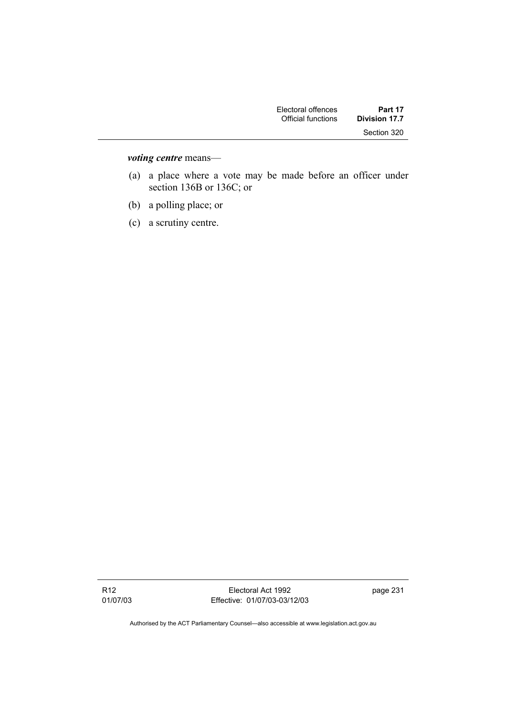| Part 17       | Electoral offences |
|---------------|--------------------|
| Division 17.7 | Official functions |
| Section 320   |                    |

### *voting centre* means—

- (a) a place where a vote may be made before an officer under section 136B or 136C; or
- (b) a polling place; or
- (c) a scrutiny centre.

Electoral Act 1992 Effective: 01/07/03-03/12/03 page 231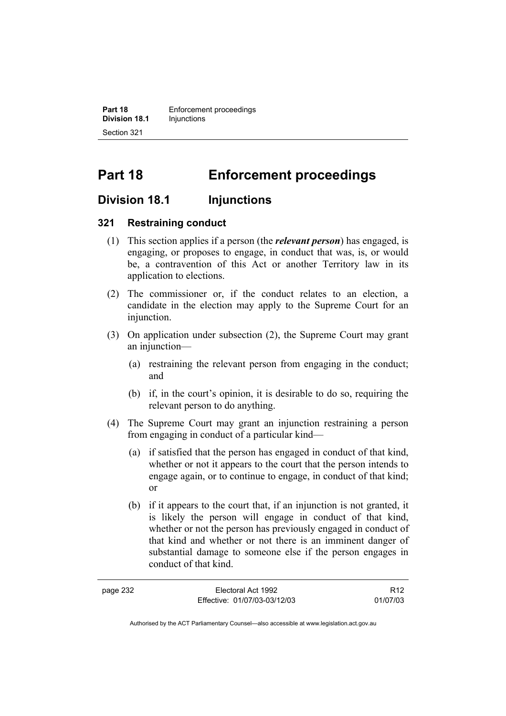**Part 18 Enforcement proceedings Division 18.1** Injunctions Section 321

# **Part 18 Enforcement proceedings**

### **Division 18.1 Injunctions**

#### **321 Restraining conduct**

- (1) This section applies if a person (the *relevant person*) has engaged, is engaging, or proposes to engage, in conduct that was, is, or would be, a contravention of this Act or another Territory law in its application to elections.
- (2) The commissioner or, if the conduct relates to an election, a candidate in the election may apply to the Supreme Court for an injunction.
- (3) On application under subsection (2), the Supreme Court may grant an injunction—
	- (a) restraining the relevant person from engaging in the conduct; and
	- (b) if, in the court's opinion, it is desirable to do so, requiring the relevant person to do anything.
- (4) The Supreme Court may grant an injunction restraining a person from engaging in conduct of a particular kind—
	- (a) if satisfied that the person has engaged in conduct of that kind, whether or not it appears to the court that the person intends to engage again, or to continue to engage, in conduct of that kind; or
	- (b) if it appears to the court that, if an injunction is not granted, it is likely the person will engage in conduct of that kind, whether or not the person has previously engaged in conduct of that kind and whether or not there is an imminent danger of substantial damage to someone else if the person engages in conduct of that kind.

| page 232 | Electoral Act 1992           | R <sub>12</sub> |
|----------|------------------------------|-----------------|
|          | Effective: 01/07/03-03/12/03 | 01/07/03        |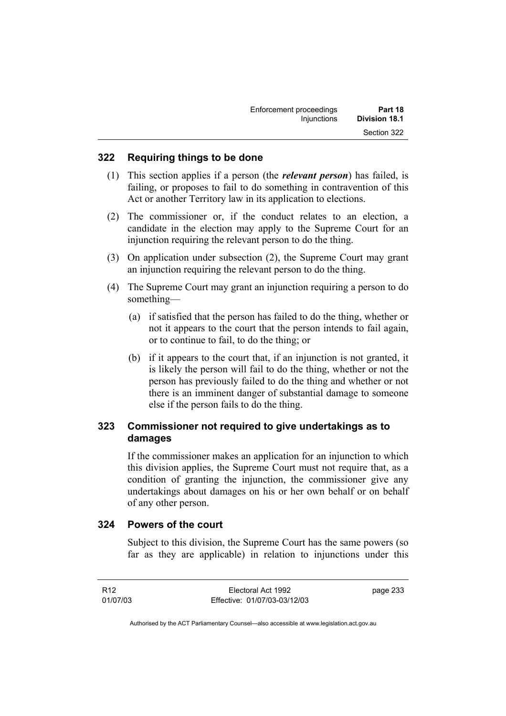| Enforcement proceedings | Part 18       |
|-------------------------|---------------|
| Injunctions             | Division 18.1 |
|                         | Section 322   |

#### **322 Requiring things to be done**

- (1) This section applies if a person (the *relevant person*) has failed, is failing, or proposes to fail to do something in contravention of this Act or another Territory law in its application to elections.
- (2) The commissioner or, if the conduct relates to an election, a candidate in the election may apply to the Supreme Court for an injunction requiring the relevant person to do the thing.
- (3) On application under subsection (2), the Supreme Court may grant an injunction requiring the relevant person to do the thing.
- (4) The Supreme Court may grant an injunction requiring a person to do something—
	- (a) if satisfied that the person has failed to do the thing, whether or not it appears to the court that the person intends to fail again, or to continue to fail, to do the thing; or
	- (b) if it appears to the court that, if an injunction is not granted, it is likely the person will fail to do the thing, whether or not the person has previously failed to do the thing and whether or not there is an imminent danger of substantial damage to someone else if the person fails to do the thing.

#### **323 Commissioner not required to give undertakings as to damages**

If the commissioner makes an application for an injunction to which this division applies, the Supreme Court must not require that, as a condition of granting the injunction, the commissioner give any undertakings about damages on his or her own behalf or on behalf of any other person.

#### **324 Powers of the court**

Subject to this division, the Supreme Court has the same powers (so far as they are applicable) in relation to injunctions under this

R12 01/07/03

Electoral Act 1992 Effective: 01/07/03-03/12/03 page 233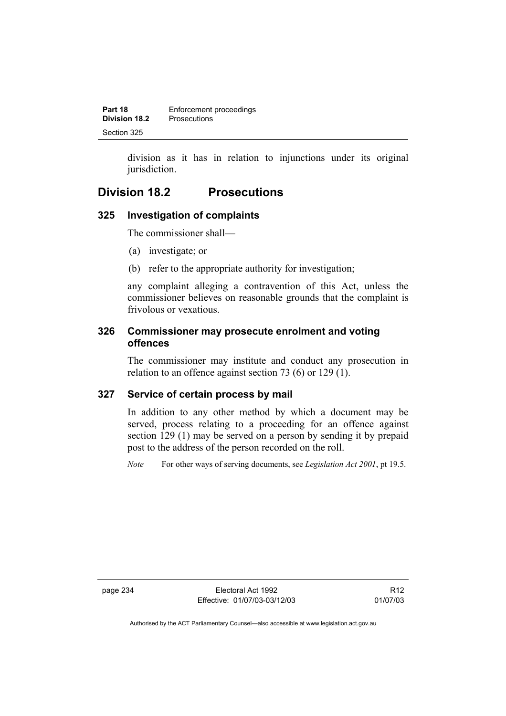| Part 18              | Enforcement proceedings |
|----------------------|-------------------------|
| <b>Division 18.2</b> | <b>Prosecutions</b>     |
| Section 325          |                         |

division as it has in relation to injunctions under its original jurisdiction.

# **Division 18.2 Prosecutions**

# **325 Investigation of complaints**

The commissioner shall—

- (a) investigate; or
- (b) refer to the appropriate authority for investigation;

any complaint alleging a contravention of this Act, unless the commissioner believes on reasonable grounds that the complaint is frivolous or vexatious.

# **326 Commissioner may prosecute enrolment and voting offences**

The commissioner may institute and conduct any prosecution in relation to an offence against section 73 (6) or 129 (1).

# **327 Service of certain process by mail**

In addition to any other method by which a document may be served, process relating to a proceeding for an offence against section 129 (1) may be served on a person by sending it by prepaid post to the address of the person recorded on the roll.

*Note* For other ways of serving documents, see *Legislation Act 2001*, pt 19.5.

page 234 Electoral Act 1992 Effective: 01/07/03-03/12/03

R12 01/07/03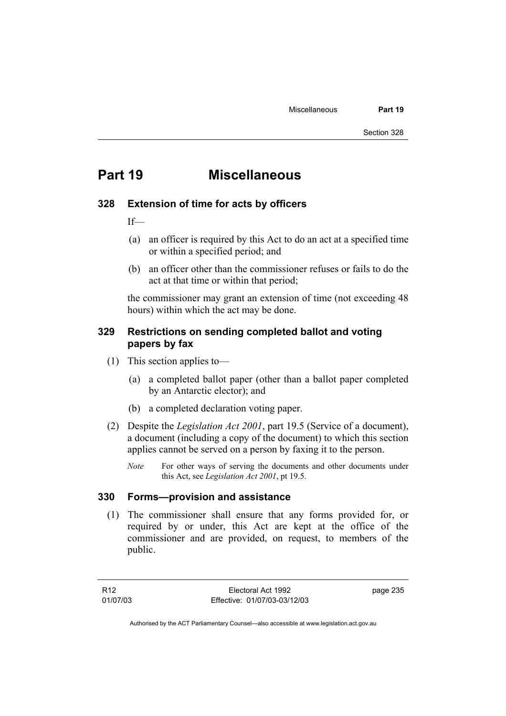# **Part 19 Miscellaneous**

## **328 Extension of time for acts by officers**

 $If$ 

- (a) an officer is required by this Act to do an act at a specified time or within a specified period; and
- (b) an officer other than the commissioner refuses or fails to do the act at that time or within that period;

the commissioner may grant an extension of time (not exceeding 48 hours) within which the act may be done.

# **329 Restrictions on sending completed ballot and voting papers by fax**

- (1) This section applies to—
	- (a) a completed ballot paper (other than a ballot paper completed by an Antarctic elector); and
	- (b) a completed declaration voting paper.
- (2) Despite the *Legislation Act 2001*, part 19.5 (Service of a document), a document (including a copy of the document) to which this section applies cannot be served on a person by faxing it to the person.
	- *Note* For other ways of serving the documents and other documents under this Act, see *Legislation Act 2001*, pt 19.5.

# **330 Forms—provision and assistance**

 (1) The commissioner shall ensure that any forms provided for, or required by or under, this Act are kept at the office of the commissioner and are provided, on request, to members of the public.

page 235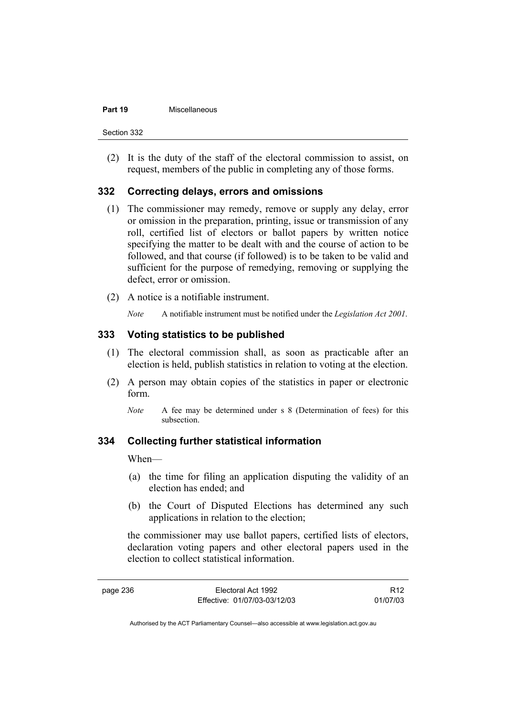#### **Part 19** Miscellaneous

Section 332

 (2) It is the duty of the staff of the electoral commission to assist, on request, members of the public in completing any of those forms.

# **332 Correcting delays, errors and omissions**

- (1) The commissioner may remedy, remove or supply any delay, error or omission in the preparation, printing, issue or transmission of any roll, certified list of electors or ballot papers by written notice specifying the matter to be dealt with and the course of action to be followed, and that course (if followed) is to be taken to be valid and sufficient for the purpose of remedying, removing or supplying the defect, error or omission.
- (2) A notice is a notifiable instrument.
	- *Note* A notifiable instrument must be notified under the *Legislation Act 2001*.

# **333 Voting statistics to be published**

- (1) The electoral commission shall, as soon as practicable after an election is held, publish statistics in relation to voting at the election.
- (2) A person may obtain copies of the statistics in paper or electronic form.
	- *Note* A fee may be determined under s 8 (Determination of fees) for this subsection.

# **334 Collecting further statistical information**

When—

- (a) the time for filing an application disputing the validity of an election has ended; and
- (b) the Court of Disputed Elections has determined any such applications in relation to the election;

the commissioner may use ballot papers, certified lists of electors, declaration voting papers and other electoral papers used in the election to collect statistical information.

R12 01/07/03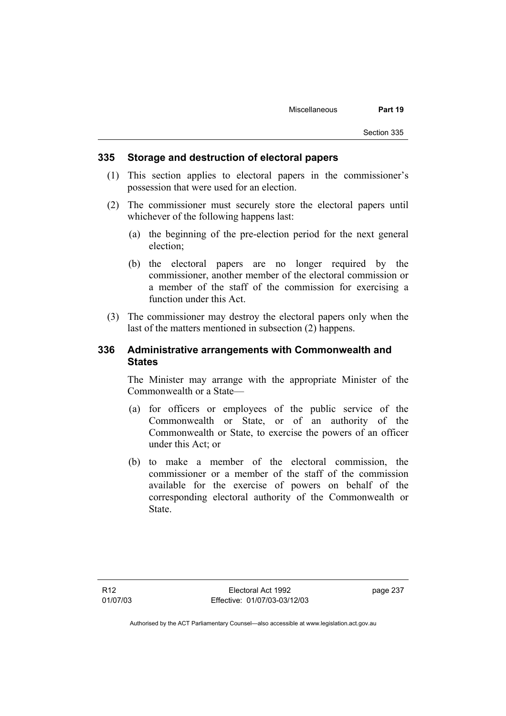## **335 Storage and destruction of electoral papers**

- (1) This section applies to electoral papers in the commissioner's possession that were used for an election.
- (2) The commissioner must securely store the electoral papers until whichever of the following happens last:
	- (a) the beginning of the pre-election period for the next general election;
	- (b) the electoral papers are no longer required by the commissioner, another member of the electoral commission or a member of the staff of the commission for exercising a function under this Act.
- (3) The commissioner may destroy the electoral papers only when the last of the matters mentioned in subsection (2) happens.

# **336 Administrative arrangements with Commonwealth and States**

The Minister may arrange with the appropriate Minister of the Commonwealth or a State—

- (a) for officers or employees of the public service of the Commonwealth or State, or of an authority of the Commonwealth or State, to exercise the powers of an officer under this Act; or
- (b) to make a member of the electoral commission, the commissioner or a member of the staff of the commission available for the exercise of powers on behalf of the corresponding electoral authority of the Commonwealth or State.

page 237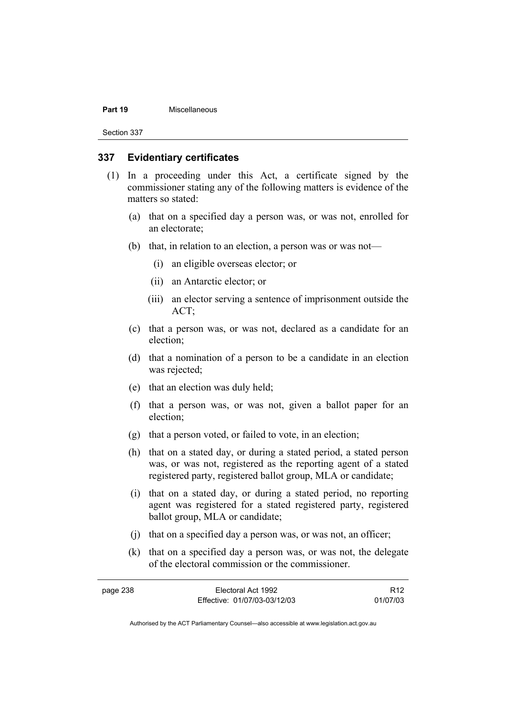#### **Part 19** Miscellaneous

Section 337

## **337 Evidentiary certificates**

- (1) In a proceeding under this Act, a certificate signed by the commissioner stating any of the following matters is evidence of the matters so stated:
	- (a) that on a specified day a person was, or was not, enrolled for an electorate;
	- (b) that, in relation to an election, a person was or was not—
		- (i) an eligible overseas elector; or
		- (ii) an Antarctic elector; or
		- (iii) an elector serving a sentence of imprisonment outside the ACT;
	- (c) that a person was, or was not, declared as a candidate for an election;
	- (d) that a nomination of a person to be a candidate in an election was rejected;
	- (e) that an election was duly held;
	- (f) that a person was, or was not, given a ballot paper for an election;
	- (g) that a person voted, or failed to vote, in an election;
	- (h) that on a stated day, or during a stated period, a stated person was, or was not, registered as the reporting agent of a stated registered party, registered ballot group, MLA or candidate;
	- (i) that on a stated day, or during a stated period, no reporting agent was registered for a stated registered party, registered ballot group, MLA or candidate;
	- (j) that on a specified day a person was, or was not, an officer;
	- (k) that on a specified day a person was, or was not, the delegate of the electoral commission or the commissioner.

| page 238 | Electoral Act 1992           | R <sub>12</sub> |
|----------|------------------------------|-----------------|
|          | Effective: 01/07/03-03/12/03 | 01/07/03        |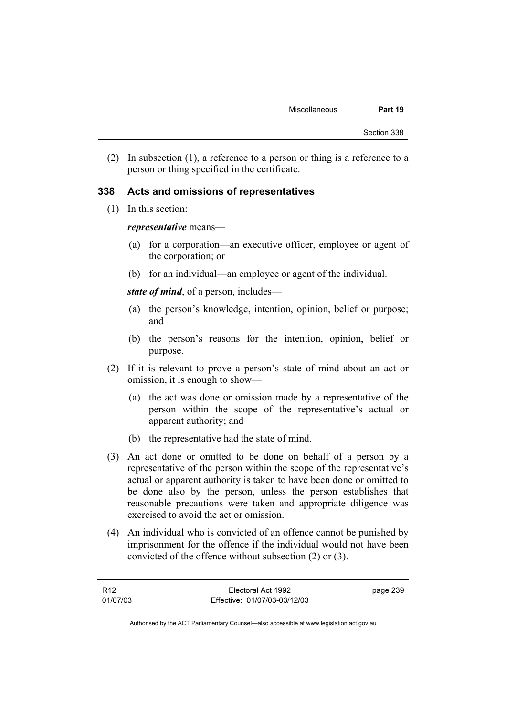(2) In subsection (1), a reference to a person or thing is a reference to a person or thing specified in the certificate.

## **338 Acts and omissions of representatives**

(1) In this section:

#### *representative* means—

- (a) for a corporation—an executive officer, employee or agent of the corporation; or
- (b) for an individual—an employee or agent of the individual.

*state of mind*, of a person, includes—

- (a) the person's knowledge, intention, opinion, belief or purpose; and
- (b) the person's reasons for the intention, opinion, belief or purpose.
- (2) If it is relevant to prove a person's state of mind about an act or omission, it is enough to show—
	- (a) the act was done or omission made by a representative of the person within the scope of the representative's actual or apparent authority; and
	- (b) the representative had the state of mind.
- (3) An act done or omitted to be done on behalf of a person by a representative of the person within the scope of the representative's actual or apparent authority is taken to have been done or omitted to be done also by the person, unless the person establishes that reasonable precautions were taken and appropriate diligence was exercised to avoid the act or omission.
- (4) An individual who is convicted of an offence cannot be punished by imprisonment for the offence if the individual would not have been convicted of the offence without subsection (2) or (3).

| R12      | Electoral Act 1992           | page 239 |
|----------|------------------------------|----------|
| 01/07/03 | Effective: 01/07/03-03/12/03 |          |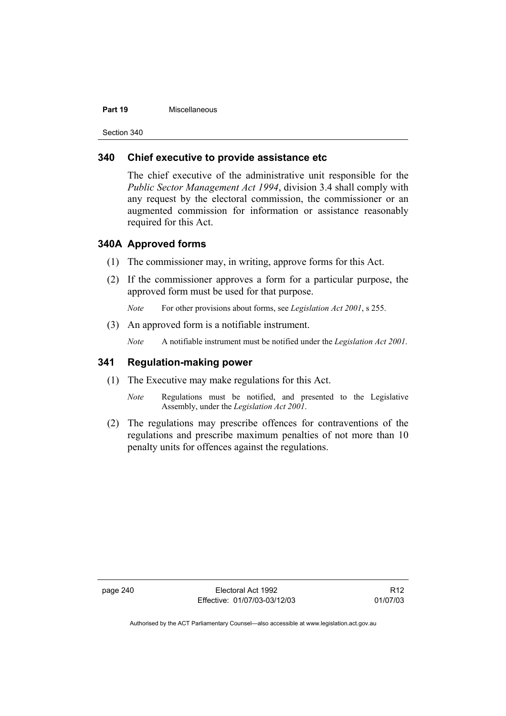#### **Part 19** Miscellaneous

Section 340

# **340 Chief executive to provide assistance etc**

The chief executive of the administrative unit responsible for the *Public Sector Management Act 1994*, division 3.4 shall comply with any request by the electoral commission, the commissioner or an augmented commission for information or assistance reasonably required for this Act.

#### **340A Approved forms**

- (1) The commissioner may, in writing, approve forms for this Act.
- (2) If the commissioner approves a form for a particular purpose, the approved form must be used for that purpose.

*Note* For other provisions about forms, see *Legislation Act 2001*, s 255.

(3) An approved form is a notifiable instrument.

*Note* A notifiable instrument must be notified under the *Legislation Act 2001*.

## **341 Regulation-making power**

- (1) The Executive may make regulations for this Act.
	- *Note* Regulations must be notified, and presented to the Legislative Assembly, under the *Legislation Act 2001*.
- (2) The regulations may prescribe offences for contraventions of the regulations and prescribe maximum penalties of not more than 10 penalty units for offences against the regulations.

page 240 Electoral Act 1992 Effective: 01/07/03-03/12/03

R12 01/07/03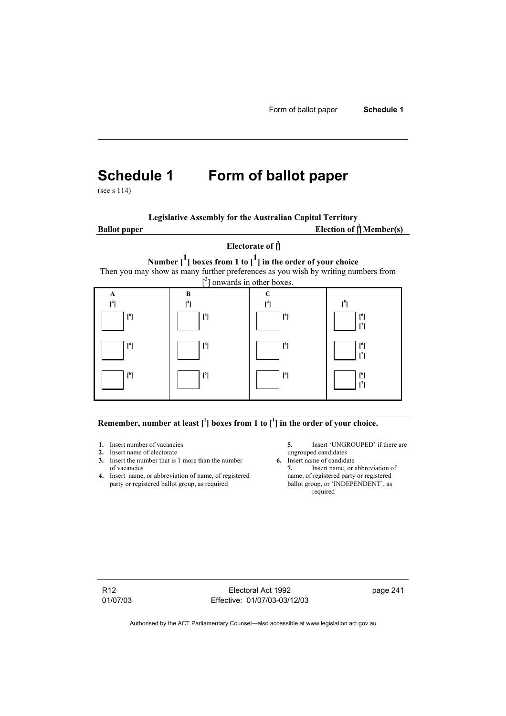# **Schedule 1 Form of ballot paper**

(see s 114)

**Legislative Assembly for the Australian Capital Territory**

**Ballot** paper

Election of  $\mathbf{f}$ <sup>1</sup> Member(s)

# **Electorate of [ 2 ]**

**Number [1] boxes from 1 to [1] in the order of your choice** 

Then you may show as many further preferences as you wish by writing numbers from



# Remember, number at least  $\begin{bmatrix} 1 \end{bmatrix}$  boxes from 1 to  $\begin{bmatrix} 1 \end{bmatrix}$  in the order of your choice.

- 
- **2.** Insert name of electorate ungrouped candidates<br> **3.** Insert the number that is 1 more than the number **6.** Insert name of candidate **3.** Insert the number that is 1 more than the number of vacancies **7.** Insert name, or abbreviation of
- **4.** Insert name, or abbreviation of name, of registered name, of registered party or registered ballot group, as required ballot group, or 'INDEPENDENT', as party or registered ballot group, as required

**1.** Insert number of vacancies **5.** Insert 'UNGROUPED' if there are **2.** Insert name of electorate **1.** Insert name of electorate

required

R12 01/07/03

Electoral Act 1992 Effective: 01/07/03-03/12/03 page 241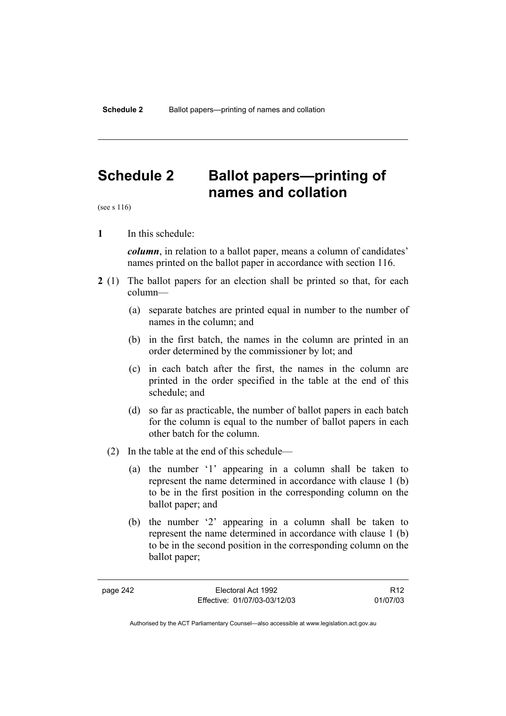# **Schedule 2 Ballot papers—printing of names and collation**

(see s 116)

**1** In this schedule:

*column*, in relation to a ballot paper, means a column of candidates' names printed on the ballot paper in accordance with section 116.

- **2** (1) The ballot papers for an election shall be printed so that, for each column—
	- (a) separate batches are printed equal in number to the number of names in the column; and
	- (b) in the first batch, the names in the column are printed in an order determined by the commissioner by lot; and
	- (c) in each batch after the first, the names in the column are printed in the order specified in the table at the end of this schedule; and
	- (d) so far as practicable, the number of ballot papers in each batch for the column is equal to the number of ballot papers in each other batch for the column.
	- (2) In the table at the end of this schedule—
		- (a) the number '1' appearing in a column shall be taken to represent the name determined in accordance with clause 1 (b) to be in the first position in the corresponding column on the ballot paper; and
		- (b) the number '2' appearing in a column shall be taken to represent the name determined in accordance with clause 1 (b) to be in the second position in the corresponding column on the ballot paper;

page 242 Electoral Act 1992 Effective: 01/07/03-03/12/03

R12 01/07/03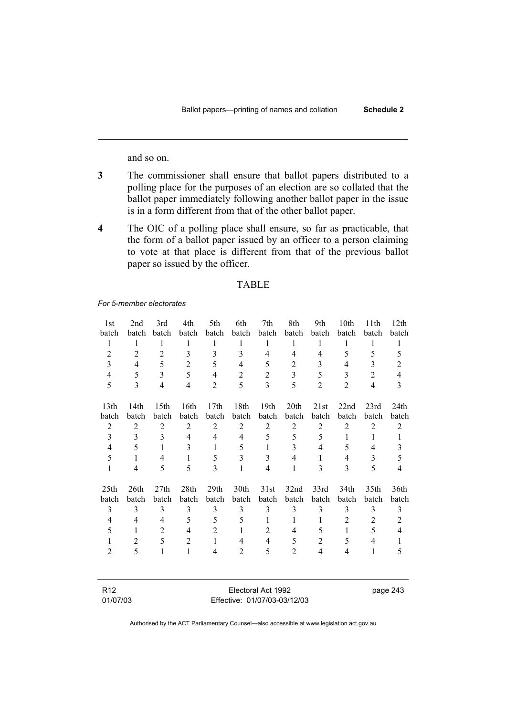and so on.

- **3** The commissioner shall ensure that ballot papers distributed to a polling place for the purposes of an election are so collated that the ballot paper immediately following another ballot paper in the issue is in a form different from that of the other ballot paper.
- **4** The OIC of a polling place shall ensure, so far as practicable, that the form of a ballot paper issued by an officer to a person claiming to vote at that place is different from that of the previous ballot paper so issued by the officer.

#### TABLE

#### *For 5-member electorates*

| 1st              | 2nd            | 3rd              | 4th            | 5th              | 6th            | 7th              | 8th              | 9th            | 10th           | 11th           | 12 <sup>th</sup> |
|------------------|----------------|------------------|----------------|------------------|----------------|------------------|------------------|----------------|----------------|----------------|------------------|
| batch            | batch          | batch            | batch          | batch            | batch          | batch            | batch            | batch          | batch          | batch          | batch            |
| $\mathbf{1}$     | 1              | 1                | 1              | $\mathbf{1}$     | 1              | 1                | $\mathbf{1}$     | 1              | 1              | 1              | $\mathbf{1}$     |
| $\overline{2}$   | $\overline{2}$ | $\overline{2}$   | 3              | 3                | 3              | 4                | 4                | $\overline{4}$ | 5              | 5              | 5                |
| 3                | 4              | 5                | $\overline{2}$ | 5                | 4              | 5                | $\overline{c}$   | 3              | 4              | 3              | $\overline{2}$   |
| 4                | 5              | 3                | 5              | $\overline{4}$   | $\overline{2}$ | $\overline{2}$   | 3                | 5              | 3              | $\overline{2}$ | 4                |
| 5                | 3              | 4                | 4              | $\overline{2}$   | 5              | $\overline{3}$   | 5                | $\overline{2}$ | $\overline{2}$ | $\overline{4}$ | 3                |
|                  |                |                  |                |                  |                |                  |                  |                |                |                |                  |
| 13th             | 14th           | 15 <sup>th</sup> | 16th           | 17 <sub>th</sub> | 18th           | 19 <sub>th</sub> | 20 <sup>th</sup> | 21st           | 22nd           | 23rd           | 24th             |
| batch            | batch          | batch            | batch          | batch            | batch          | batch            | batch            | batch          | batch          | batch          | batch            |
| $\overline{2}$   | $\overline{2}$ | $\overline{2}$   | $\overline{2}$ | $\overline{2}$   | $\mathfrak{2}$ | $\overline{2}$   | $\overline{2}$   | $\overline{2}$ | $\overline{2}$ | $\overline{2}$ | $\overline{2}$   |
| 3                | 3              | 3                | $\overline{4}$ | $\overline{4}$   | 4              | 5                | 5                | 5              | 1              | 1              | 1                |
| $\overline{4}$   | 5              | 1                | 3              | 1                | 5              | 1                | 3                | 4              | 5              | 4              | 3                |
| 5                | 1              | 4                | $\mathbf{1}$   | 5                | 3              | 3                | 4                | 1              | 4              | 3              | 5                |
| 1                | 4              | 5                | 5              | 3                | 1              | $\overline{4}$   | 1                | 3              | $\mathcal{E}$  | 5              | 4                |
| 25 <sub>th</sub> | 26th           | 27th             | 28th           | 29th             | 30th           | 31st             | 32nd             | 33rd           | 34th           | 35th           | 36th             |
| batch            | batch          | batch            | batch          | batch            | batch          | batch            | batch            | batch          | batch          | batch          | batch            |
| 3                | 3              | 3                | 3              | 3                | 3              | 3                | 3                | 3              | 3              | 3              | 3                |
| 4                | 4              | 4                | 5              | 5                | 5              | 1                | 1                | 1              | $\overline{2}$ | 2              | $\overline{2}$   |
| 5                | 1              | $\overline{2}$   | $\overline{4}$ | $\overline{2}$   | 1              | 2                | 4                | 5              | 1              | 5              | $\overline{4}$   |
|                  | 2              | 5                | $\overline{2}$ | $\mathbf{1}$     | 4              | $\overline{4}$   | 5                | $\overline{2}$ | 5              | 4              | 1                |
| $\overline{2}$   | 5              | 1                | $\mathbf{1}$   | 4                | 2              | 5                | $\overline{2}$   | $\overline{4}$ | $\overline{4}$ | 1              | 5                |
|                  |                |                  |                |                  |                |                  |                  |                |                |                |                  |
|                  |                |                  |                |                  |                |                  |                  |                |                |                |                  |

| R <sub>12</sub> | Electoral Act 1992           |
|-----------------|------------------------------|
| 01/07/03        | Effective: 01/07/03-03/12/03 |

page 243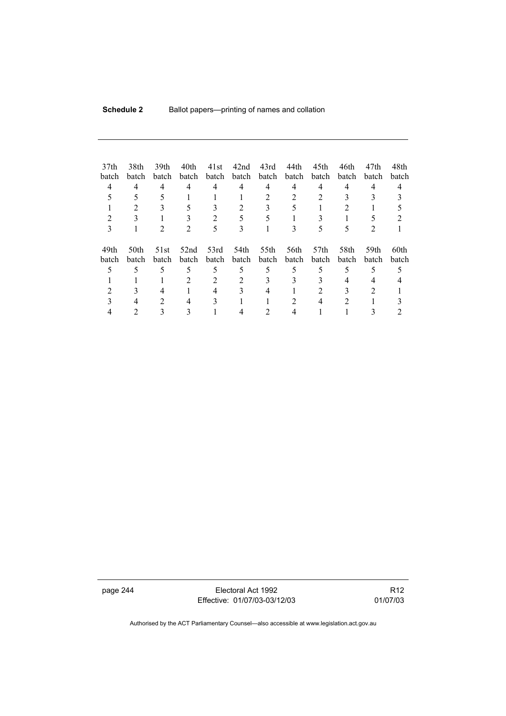| 37 <sub>th</sub><br>batch<br>4 | 38th<br>batch<br>4<br>2 | 39th<br>batch<br>4<br>3 | 40th<br>batch<br>4<br>5 | 41st<br>batch<br>4 | 42nd<br>batch<br>4 | 43rd<br>batch<br>4<br>3 | 44th<br>batch<br>4<br>5 | 45th<br>batch<br>4               | 46th<br>batch<br>4<br>2 | 47th<br>batch<br>4 | 48th<br>batch<br>4 |
|--------------------------------|-------------------------|-------------------------|-------------------------|--------------------|--------------------|-------------------------|-------------------------|----------------------------------|-------------------------|--------------------|--------------------|
|                                |                         |                         |                         | 2                  |                    |                         |                         |                                  |                         |                    |                    |
| 3                              |                         | 2                       | 2                       | 5                  | 3                  |                         | 3                       | 5                                | 5                       | 2                  |                    |
| 49th<br>batch                  | 50th<br>batch           | 51st<br>batch           | 52nd<br><b>batch</b>    | 53rd<br>batch      | 54th<br>batch      | 55th<br>batch           | 56th<br>batch           | 57 <sub>th</sub><br><b>batch</b> | 58th<br><b>batch</b>    | 59th<br>batch      | 60th<br>batch      |
| 5                              | 5                       | 5                       | 5                       | 5                  | 5                  | 5                       | 5                       | 5                                | 5                       | 5                  |                    |
|                                |                         |                         | 2                       | 2                  |                    | 3                       | 3                       |                                  | 4                       |                    |                    |
|                                |                         | 4                       |                         |                    |                    | 4                       |                         |                                  |                         |                    |                    |
|                                |                         | 2                       | 4                       |                    |                    |                         | 2                       | 4                                | 2                       |                    |                    |
|                                |                         |                         |                         |                    |                    |                         |                         |                                  |                         |                    |                    |

page 244 Electoral Act 1992 Effective: 01/07/03-03/12/03

R12 01/07/03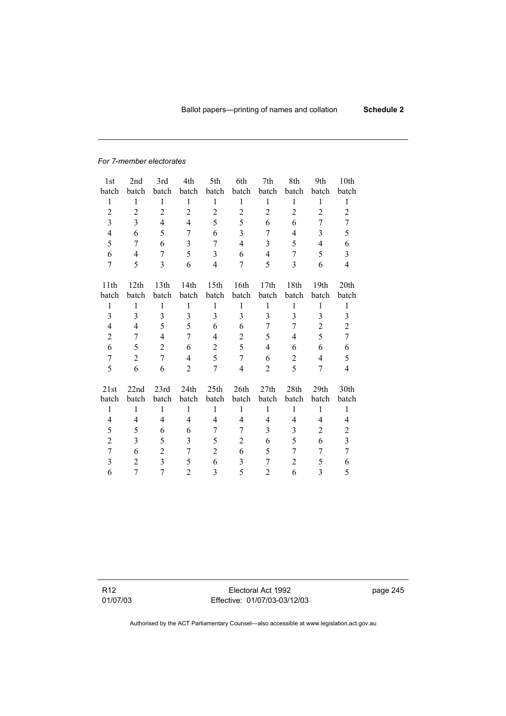#### *For 7-member electorates*

| 1st              | 2nd              | 3rd            | 4th            | 5th            | 6th                     | 7th            | 8th            | 9th            | 10th           |
|------------------|------------------|----------------|----------------|----------------|-------------------------|----------------|----------------|----------------|----------------|
| batch            | batch            | batch          | batch          | batch          | batch                   | batch          | batch          | batch          | batch          |
| $\mathbf{1}$     | $\mathbf{1}$     | 1              | $\mathbf{1}$   | $\mathbf{1}$   | 1                       | $\mathbf{1}$   | 1              | $\mathbf{1}$   | 1              |
| $\overline{c}$   | $\sqrt{2}$       | $\overline{c}$ | $\overline{2}$ | $\overline{2}$ | $\overline{c}$          | $\overline{c}$ | $\overline{c}$ | $\overline{c}$ | $\overline{2}$ |
| 3                | 3                | $\overline{4}$ | $\overline{4}$ | 5              | 5                       | 6              | 6              | 7              | 7              |
| $\overline{4}$   | 6                | 5              | 7              | 6              | 3                       | 7              | 4              | 3              | 5              |
| 5                | 7                | 6              | $\overline{3}$ | $\overline{7}$ | $\overline{4}$          | $\overline{3}$ | 5              | $\overline{4}$ | 6              |
| 6                | 4                | 7              | 5              | 3              | 6                       | $\overline{4}$ | 7              | 5              | $\overline{3}$ |
| $\overline{7}$   | 5                | 3              | 6              | 4              | 7                       | 5              | 3              | 6              | 4              |
|                  |                  |                |                |                |                         |                |                |                |                |
| 11th             | 12th             | 13th           | 14th           | 15th           | 16th                    | 17th           | 18th           | 19th           | 20th           |
| batch            | batch            | batch          | batch          | batch          | batch                   | batch          | batch          | batch          | batch          |
| $\mathbf{1}$     | $\mathbf{1}$     | $\mathbf{1}$   | $\mathbf{1}$   | $\mathbf{1}$   | $\mathbf{1}$            | $\mathbf{1}$   | $\mathbf{1}$   | $\mathbf{1}$   | 1              |
| 3                | 3                | $\overline{3}$ | 3              | $\overline{3}$ | 3                       | $\overline{3}$ | 3              | 3              | 3              |
| 4                | 4                | 5              | 5              | 6              | 6                       | 7              | 7              | $\overline{2}$ | $\overline{c}$ |
| $\overline{c}$   | 7                | 4              | 7              | 4              | $\overline{c}$          | 5              | 4              | 5              | $\overline{7}$ |
| 6                | 5                | $\overline{2}$ | 6              | $\overline{2}$ | 5                       | 4              | 6              | 6              | 6              |
| $\boldsymbol{7}$ | $\boldsymbol{2}$ | $\overline{7}$ | $\overline{4}$ | 5              | $\overline{7}$          | 6              | $\overline{c}$ | $\overline{4}$ | 5              |
| 5                | 6                | 6              | $\overline{2}$ | 7              | $\overline{\mathbf{4}}$ | $\overline{2}$ | 5              | 7              | 4              |
| 21st             | 22nd             | 23rd           | 24th           | 25th           | 26th                    | 27th           | 28th           | 29th           | 30th           |
| batch            | batch            | batch          | batch          | batch          | batch                   | batch          | batch          | batch          | batch          |
| $\mathbf{1}$     | $\mathbf{1}$     | $\mathbf{1}$   | $\mathbf{1}$   | $\mathbf{1}$   | $\mathbf{1}$            | $\mathbf{1}$   | $\mathbf{1}$   | $\mathbf{1}$   | $\mathbf{1}$   |
| 4                | 4                | $\overline{4}$ | $\overline{4}$ | 4              | $\overline{4}$          | $\overline{4}$ | 4              | $\overline{4}$ | 4              |
| 5                | 5                | 6              | 6              | 7              | 7                       | 3              | 3              | $\overline{2}$ | $\overline{c}$ |
| $\overline{2}$   | 3                | 5              | 3              | 5              | $\mathfrak{2}$          | 6              | 5              | 6              | $\overline{3}$ |
| $\overline{7}$   | 6                | $\overline{2}$ | 7              | $\overline{2}$ | 6                       | 5              | 7              | 7              | $\overline{7}$ |
| 3                | $\overline{c}$   | $\overline{3}$ | 5              | 6              | 3                       | 7              | $\overline{2}$ | 5              | 6              |
| 6                | 7                | $\overline{7}$ | $\overline{2}$ | 3              | 5                       | $\overline{2}$ | 6              | 3              | 5              |
|                  |                  |                |                |                |                         |                |                |                |                |

R12 01/07/03

Electoral Act 1992 Effective: 01/07/03-03/12/03 page 245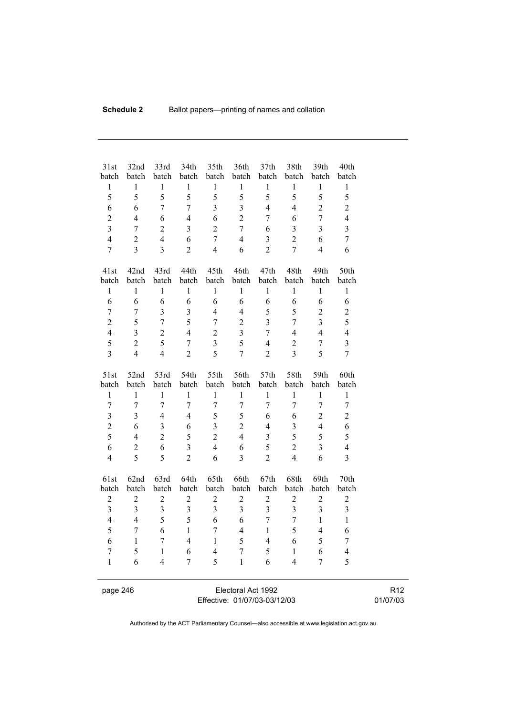| 31st<br>batch           | 32nd<br>batch           | 33rd<br>batch           | 34th<br>batch           | 35th<br>batch  | 36th<br>batch    | 37 <sub>th</sub><br>batch | 38th<br>batch    | 39th<br>batch           | 40th<br>batch           |  |
|-------------------------|-------------------------|-------------------------|-------------------------|----------------|------------------|---------------------------|------------------|-------------------------|-------------------------|--|
| $\,1$                   | $\mathbf{1}$            | $\,1$                   | $\mathbf{1}$            | $\mathbf{1}$   | $\mathbf{1}$     | $\mathbf{1}$              | $\mathbf{1}$     | $\mathbf{1}$            | $\,1$                   |  |
| 5                       | 5                       | 5                       | 5                       | 5              | 5                | 5                         | 5                | 5                       | 5                       |  |
| 6                       | 6                       | $\overline{7}$          | $\overline{7}$          | $\overline{3}$ | $\overline{3}$   | $\overline{4}$            | $\overline{4}$   | $\overline{2}$          | $\overline{2}$          |  |
| $\overline{2}$          | $\overline{4}$          | 6                       | $\overline{4}$          | 6              | $\overline{2}$   | $\overline{7}$            | 6                | $\overline{7}$          | $\overline{4}$          |  |
| $\overline{3}$          | $\boldsymbol{7}$        | $\overline{2}$          | 3                       | $\overline{2}$ | $\overline{7}$   | 6                         | 3                | $\overline{3}$          | $\overline{3}$          |  |
| $\overline{4}$          | $\overline{c}$          | $\overline{4}$          | 6                       | $\overline{7}$ | $\overline{4}$   | $\overline{3}$            | $\overline{2}$   | 6                       | $\overline{7}$          |  |
| $\overline{7}$          | $\overline{3}$          | $\overline{3}$          | $\overline{2}$          | $\overline{4}$ | 6                | $\overline{2}$            | $\overline{7}$   | $\overline{4}$          | 6                       |  |
|                         |                         |                         |                         |                |                  |                           |                  |                         |                         |  |
| 41st                    | 42nd                    | 43rd                    | 44th                    | 45th           | 46th             | 47th                      | 48th             | 49th                    | 50th                    |  |
| batch                   | batch                   | batch                   | batch                   | batch          | batch            | batch                     | batch            | batch                   | batch                   |  |
| $\,1$                   | 1                       | $\mathbf{1}$            | $\mathbf{1}$            | $\mathbf{1}$   | $\mathbf{1}$     | $\mathbf{1}$              | $\mathbf{1}$     | $\mathbf{1}$            | 1                       |  |
| 6                       | 6                       | 6                       | 6                       | 6              | 6                | 6                         | 6                | 6                       | 6                       |  |
| $\overline{7}$          | $\overline{7}$          | $\overline{\mathbf{3}}$ | $\overline{\mathbf{3}}$ | $\overline{4}$ | $\overline{4}$   | 5                         | 5                | $\overline{2}$          | $\overline{c}$          |  |
| $\overline{c}$          | 5                       | $\overline{7}$          | 5                       | $\overline{7}$ | $\overline{2}$   | $\overline{\mathbf{3}}$   | $\overline{7}$   | $\overline{\mathbf{3}}$ | 5                       |  |
| $\overline{\mathbf{4}}$ | $\overline{\mathbf{3}}$ | $\overline{2}$          | $\overline{4}$          | $\overline{2}$ | $\overline{3}$   | $\boldsymbol{7}$          | $\overline{4}$   | $\overline{4}$          | $\overline{4}$          |  |
| 5                       | $\overline{c}$          | 5                       | $\overline{7}$          | $\overline{3}$ | 5                | $\overline{4}$            | $\overline{2}$   | $\boldsymbol{7}$        | $\overline{3}$          |  |
| $\overline{3}$          | $\overline{4}$          | $\overline{4}$          | $\overline{2}$          | 5              | $\overline{7}$   | $\overline{2}$            | $\overline{3}$   | 5                       | $\overline{7}$          |  |
|                         |                         |                         |                         |                |                  |                           |                  |                         |                         |  |
| 51st                    | 52nd                    | 53rd                    | 54th                    | 55th           | 56th             | 57th                      | 58th             | 59th                    | 60th                    |  |
| batch                   | batch                   | batch                   | batch                   | batch          | batch            | batch                     | batch            | batch                   | batch                   |  |
| $\mathbf{1}$            | $\mathbf{1}$            | $\mathbf{1}$            | $\mathbf{1}$            | $\mathbf{1}$   | $\mathbf{1}$     | $\mathbf{1}$              | $\mathbf{1}$     | $\mathbf{1}$            | $\mathbf{1}$            |  |
| $\overline{7}$          | $\overline{7}$          | $\overline{7}$          | $\overline{7}$          | $\overline{7}$ | $\overline{7}$   | $\overline{7}$            | $\overline{7}$   | $\overline{7}$          | $\overline{7}$          |  |
| $\overline{\mathbf{3}}$ | $\overline{\mathbf{3}}$ | $\overline{4}$          | $\overline{4}$          | 5              | 5                | 6                         | 6                | $\overline{c}$          | $\overline{2}$          |  |
| $\overline{c}$          | 6                       | $\overline{3}$          | 6                       | $\overline{3}$ | $\overline{2}$   | $\overline{4}$            | 3                | $\overline{4}$          | 6                       |  |
| 5                       | $\overline{4}$          | $\overline{2}$          | 5                       | $\overline{2}$ | $\overline{4}$   | $\overline{\mathbf{3}}$   | 5                | 5                       | 5                       |  |
| 6                       | $\overline{c}$          | 6                       | $\overline{3}$          | $\overline{4}$ | 6                | 5                         | $\overline{2}$   | $\overline{3}$          | $\overline{\mathbf{4}}$ |  |
| $\overline{4}$          | 5                       | 5                       | $\overline{2}$          | 6              | $\overline{3}$   | $\overline{2}$            | $\overline{4}$   | 6                       | $\overline{3}$          |  |
| 61st                    | 62nd                    | 63rd                    | 64th                    | 65th           | 66th             | 67th                      | 68th             | 69th                    | 70th                    |  |
| batch                   | batch                   | batch                   | batch                   | batch          | batch            | batch                     | batch            | batch                   | batch                   |  |
| $\sqrt{2}$              | $\boldsymbol{2}$        | $\overline{c}$          | $\overline{c}$          | $\mathbf{2}$   | $\boldsymbol{2}$ | $\boldsymbol{2}$          | $\boldsymbol{2}$ | $\overline{c}$          | $\overline{c}$          |  |
| $\overline{\mathbf{3}}$ | $\overline{3}$          | $\overline{3}$          | $\overline{3}$          | $\overline{3}$ | $\overline{3}$   | $\overline{3}$            | $\overline{3}$   | $\overline{3}$          | $\overline{3}$          |  |
| $\overline{4}$          | $\overline{4}$          | 5                       | 5                       | 6              | 6                | $\overline{7}$            | $\overline{7}$   | $\mathbf{1}$            | $\mathbf{1}$            |  |
| 5                       | $\overline{7}$          | 6                       | $\mathbf{1}$            | $\overline{7}$ | $\overline{4}$   | $\mathbf{1}$              | 5                | $\overline{\mathbf{4}}$ | 6                       |  |
| 6                       | $\mathbf{1}$            | $\overline{7}$          | $\overline{4}$          | $\mathbf{1}$   | 5                | $\overline{4}$            | 6                | 5                       | $\tau$                  |  |
| $\boldsymbol{7}$        | 5                       | $\mathbf{1}$            | 6                       | $\overline{4}$ | $\overline{7}$   | 5                         | $\mathbf{1}$     | 6                       | $\overline{4}$          |  |
| $\mathbf{1}$            | 6                       | $\overline{4}$          | $\overline{7}$          | 5              | $\mathbf{1}$     | 6                         | $\overline{4}$   | $\overline{7}$          | 5                       |  |
|                         |                         |                         |                         |                |                  |                           |                  |                         |                         |  |
|                         |                         |                         |                         |                |                  |                           |                  |                         |                         |  |

l.

page 246 Electoral Act 1992 Effective: 01/07/03-03/12/03

R12 01/07/03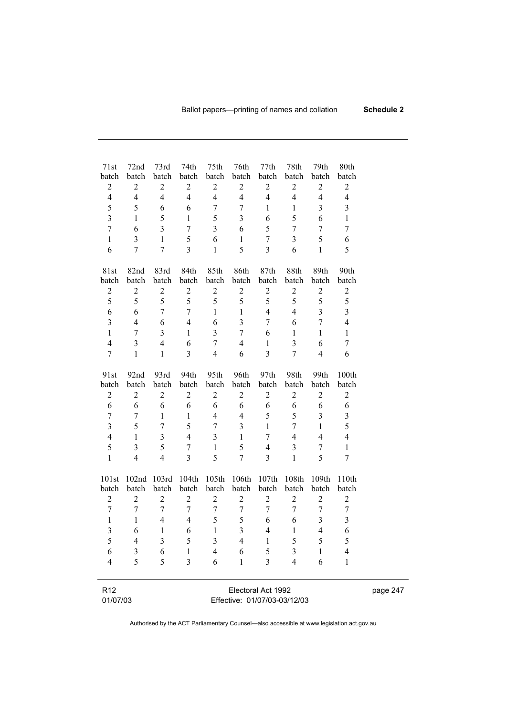| 71st                                                                                        | 72nd                                                                                                  | 73rd                                                                                       | 74th                                                                | 75th                                                                          | 76th                                                                                                        | 77th                                                                             | 78th                                                                    | 79th                                                                                 | 80th                                                                         |  |  |  |  |
|---------------------------------------------------------------------------------------------|-------------------------------------------------------------------------------------------------------|--------------------------------------------------------------------------------------------|---------------------------------------------------------------------|-------------------------------------------------------------------------------|-------------------------------------------------------------------------------------------------------------|----------------------------------------------------------------------------------|-------------------------------------------------------------------------|--------------------------------------------------------------------------------------|------------------------------------------------------------------------------|--|--|--|--|
| batch                                                                                       | batch                                                                                                 | batch                                                                                      | batch                                                               | batch                                                                         | batch                                                                                                       | batch                                                                            | batch                                                                   | batch                                                                                | batch                                                                        |  |  |  |  |
| $\sqrt{2}$                                                                                  | $\mathbf{2}$                                                                                          | $\overline{c}$                                                                             | $\sqrt{2}$                                                          | $\mathbf{2}$                                                                  | $\boldsymbol{2}$                                                                                            | $\sqrt{2}$                                                                       | $\mathbf{2}$                                                            | $\boldsymbol{2}$                                                                     | $\sqrt{2}$                                                                   |  |  |  |  |
| $\overline{\mathbf{4}}$                                                                     | $\overline{4}$                                                                                        | $\overline{4}$                                                                             | $\overline{4}$                                                      | $\overline{4}$                                                                | $\overline{4}$                                                                                              | $\overline{4}$                                                                   | $\overline{4}$                                                          | $\overline{4}$                                                                       | $\overline{4}$                                                               |  |  |  |  |
| 5                                                                                           | 5                                                                                                     | 6                                                                                          | 6                                                                   | 7                                                                             | 7                                                                                                           | $\mathbf{1}$                                                                     | $\,1$                                                                   | 3                                                                                    | 3                                                                            |  |  |  |  |
| $\overline{3}$                                                                              | $\mathbf{1}$                                                                                          | 5                                                                                          | $\mathbf{1}$                                                        | 5                                                                             | $\overline{\mathbf{3}}$                                                                                     | 6                                                                                | 5                                                                       | 6                                                                                    | $\mathbf{1}$                                                                 |  |  |  |  |
| $\boldsymbol{7}$                                                                            | 6                                                                                                     | $\mathfrak{Z}$                                                                             | $\overline{7}$                                                      | $\overline{\mathbf{3}}$                                                       | 6                                                                                                           | 5                                                                                | $\boldsymbol{7}$                                                        | 7                                                                                    | 7                                                                            |  |  |  |  |
| $\mathbf{1}$                                                                                | $\mathfrak{Z}$                                                                                        | $\mathbf{1}$                                                                               | 5                                                                   | 6                                                                             | $\mathbf{1}$                                                                                                | $\boldsymbol{7}$                                                                 | 3                                                                       | 5                                                                                    | 6                                                                            |  |  |  |  |
| 6                                                                                           | $\overline{7}$                                                                                        | $\overline{7}$                                                                             | 3                                                                   | $\mathbf{1}$                                                                  | 5                                                                                                           | $\overline{3}$                                                                   | 6                                                                       | $\mathbf{1}$                                                                         | 5                                                                            |  |  |  |  |
| 81st                                                                                        | 82nd                                                                                                  | 83rd                                                                                       | 84th                                                                | 85th                                                                          | 86th                                                                                                        | 87th                                                                             | 88th                                                                    | 89th                                                                                 | 90th                                                                         |  |  |  |  |
| batch                                                                                       | batch                                                                                                 | batch                                                                                      | batch                                                               | batch                                                                         | batch                                                                                                       | batch                                                                            | batch                                                                   | batch                                                                                | batch                                                                        |  |  |  |  |
| $\mathbf{2}$                                                                                | $\boldsymbol{2}$                                                                                      | $\sqrt{2}$                                                                                 | $\overline{c}$                                                      | $\boldsymbol{2}$                                                              | $\sqrt{2}$                                                                                                  | $\mathbf{2}$                                                                     | $\overline{c}$                                                          | $\sqrt{2}$                                                                           | $\mathbf{2}$                                                                 |  |  |  |  |
| 5                                                                                           | 5                                                                                                     | 5                                                                                          | 5                                                                   | 5                                                                             | 5                                                                                                           | 5                                                                                | 5                                                                       | 5                                                                                    | 5                                                                            |  |  |  |  |
| 6                                                                                           | 6                                                                                                     | $\boldsymbol{7}$                                                                           | 7                                                                   | $\mathbf{1}$                                                                  | $\mathbf{1}$                                                                                                | $\overline{4}$                                                                   | $\overline{4}$                                                          | $\overline{\mathbf{3}}$                                                              | $\overline{3}$                                                               |  |  |  |  |
| $\mathfrak{Z}$                                                                              | $\overline{\mathcal{L}}$                                                                              | 6                                                                                          | $\overline{4}$                                                      | 6                                                                             | $\overline{\mathbf{3}}$                                                                                     | $\boldsymbol{7}$                                                                 | 6                                                                       | $\boldsymbol{7}$                                                                     | $\overline{\mathcal{L}}$                                                     |  |  |  |  |
| $\mathbf{1}$                                                                                | $\boldsymbol{7}$                                                                                      | $\mathfrak{Z}$                                                                             | $\mathbf{1}$                                                        | 3                                                                             | $\boldsymbol{7}$                                                                                            | 6                                                                                | $\,1$                                                                   | $\mathbf{1}$                                                                         | $\mathbf{1}$                                                                 |  |  |  |  |
| $\overline{4}$                                                                              | $\mathfrak{Z}$                                                                                        | $\overline{4}$                                                                             | 6                                                                   | $\tau$                                                                        | $\overline{4}$                                                                                              | $\mathbf{1}$                                                                     | 3                                                                       | 6                                                                                    | 7                                                                            |  |  |  |  |
| $\boldsymbol{7}$                                                                            | $\mathbf{1}$                                                                                          | $\mathbf{1}$                                                                               | 3                                                                   | $\overline{4}$                                                                | 6                                                                                                           | $\overline{3}$                                                                   | $\tau$                                                                  | $\overline{4}$                                                                       | 6                                                                            |  |  |  |  |
| 91st                                                                                        | 92nd                                                                                                  | 93rd                                                                                       | 94th                                                                | 95th                                                                          | 96th                                                                                                        | 97th                                                                             | 98th                                                                    | 99th                                                                                 | 100th                                                                        |  |  |  |  |
| batch                                                                                       | batch                                                                                                 | batch                                                                                      | batch                                                               | batch                                                                         | batch                                                                                                       | batch                                                                            | batch                                                                   | batch                                                                                | batch                                                                        |  |  |  |  |
| $\overline{c}$                                                                              | $\boldsymbol{2}$                                                                                      | $\mathbf{2}$                                                                               | $\mathbf{2}$                                                        | $\mathbf{2}$                                                                  | $\sqrt{2}$                                                                                                  | $\sqrt{2}$                                                                       | $\mathbf{2}$                                                            | $\sqrt{2}$                                                                           | $\sqrt{2}$                                                                   |  |  |  |  |
| 6                                                                                           | 6                                                                                                     | 6                                                                                          | 6                                                                   | 6                                                                             | $\sqrt{6}$                                                                                                  | 6                                                                                | 6                                                                       | 6                                                                                    | 6                                                                            |  |  |  |  |
| $\boldsymbol{7}$                                                                            | 7                                                                                                     | $\mathbf{1}$                                                                               | $\mathbf{1}$                                                        | $\overline{\mathcal{L}}$                                                      | $\overline{4}$                                                                                              | 5                                                                                | 5                                                                       | $\mathfrak{Z}$                                                                       | $\overline{\mathbf{3}}$                                                      |  |  |  |  |
| $\overline{3}$                                                                              | 5                                                                                                     | $\boldsymbol{7}$                                                                           | 5                                                                   | 7                                                                             | $\overline{\mathbf{3}}$                                                                                     | $\mathbf{1}$                                                                     | 7                                                                       | $\mathbf{1}$                                                                         | 5                                                                            |  |  |  |  |
| $\overline{4}$                                                                              | $\mathbf{1}$                                                                                          | $\overline{3}$                                                                             | $\overline{4}$                                                      | 3                                                                             | $\mathbf{1}$                                                                                                | $\tau$                                                                           | $\overline{4}$                                                          | $\overline{4}$                                                                       | $\overline{4}$                                                               |  |  |  |  |
| 5                                                                                           | $\overline{\mathbf{3}}$                                                                               | 5                                                                                          | 7                                                                   | $\mathbf{1}$                                                                  | 5                                                                                                           | $\overline{4}$                                                                   | $\mathfrak{Z}$                                                          | 7                                                                                    | $\mathbf{1}$                                                                 |  |  |  |  |
| $\mathbf{1}$                                                                                | $\overline{4}$                                                                                        | $\overline{4}$                                                                             | $\overline{3}$                                                      | 5                                                                             | $\overline{7}$                                                                                              | $\overline{3}$                                                                   | $\mathbf{1}$                                                            | 5                                                                                    | 7                                                                            |  |  |  |  |
| 101st<br>batch<br>$\overline{c}$<br>$\tau$<br>$\mathbf{1}$<br>$\overline{3}$<br>5<br>6<br>4 | 102nd<br>batch<br>$\overline{2}$<br>$\boldsymbol{7}$<br>$\mathbf{1}$<br>6<br>4<br>$\mathfrak{Z}$<br>5 | 103rd<br>batch<br>$\overline{2}$<br>$\boldsymbol{7}$<br>4<br>1<br>$\mathfrak{Z}$<br>6<br>5 | 104th<br>batch<br>$\overline{c}$<br>$\tau$<br>4<br>6<br>5<br>1<br>3 | batch<br>$\overline{2}$<br>$\overline{7}$<br>5<br>$\mathbf{1}$<br>3<br>4<br>6 | 105th 106th<br>batch<br>$\overline{2}$<br>$\boldsymbol{7}$<br>5<br>$\overline{3}$<br>4<br>6<br>$\mathbf{1}$ | 107th<br>batch<br>$\overline{c}$<br>$\tau$<br>6<br>$\overline{4}$<br>1<br>5<br>3 | 108th<br>batch<br>$\overline{2}$<br>$\tau$<br>6<br>$\,1$<br>5<br>3<br>4 | 109th<br>batch<br>$\sqrt{2}$<br>7<br>$\mathfrak{Z}$<br>$\overline{4}$<br>5<br>1<br>6 | 110th<br>batch<br>$\sqrt{2}$<br>$\tau$<br>$\mathfrak{Z}$<br>6<br>5<br>4<br>1 |  |  |  |  |
| R <sub>12</sub><br>01/07/03                                                                 |                                                                                                       | Electoral Act 1992<br>Effective: 01/07/03-03/12/03                                         |                                                                     |                                                                               |                                                                                                             |                                                                                  |                                                                         |                                                                                      |                                                                              |  |  |  |  |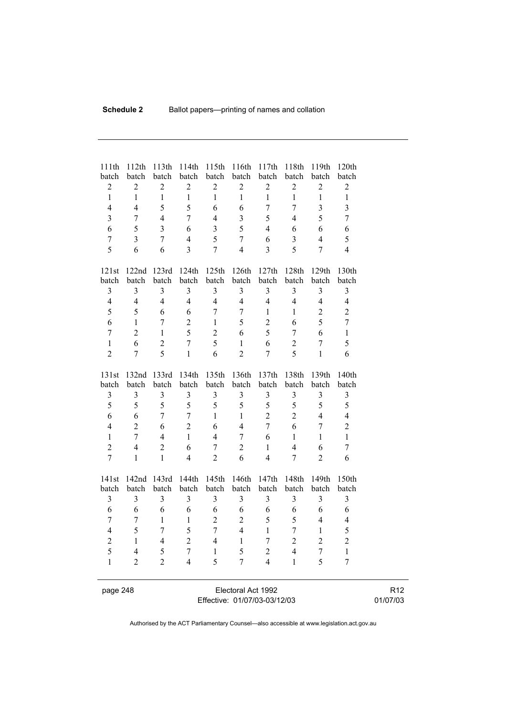| 111th<br>batch          | 112th<br>batch          | 113th<br>batch          | 114th<br>batch          | 115th<br>batch | 116th<br>batch          | 117th<br>batch | 118th<br>batch | 119th<br>batch           | 120th<br>batch          |  |
|-------------------------|-------------------------|-------------------------|-------------------------|----------------|-------------------------|----------------|----------------|--------------------------|-------------------------|--|
| $\overline{2}$          | $\overline{2}$          | $\overline{2}$          | $\overline{2}$          | $\overline{2}$ | $\overline{2}$          | $\overline{2}$ | $\overline{c}$ | $\overline{2}$           | $\overline{2}$          |  |
| $\mathbf{1}$            | $\mathbf{1}$            | $\mathbf{1}$            | $\mathbf{1}$            | $\mathbf{1}$   | $\mathbf{1}$            | $\mathbf{1}$   | $\mathbf{1}$   | $\mathbf{1}$             | $\mathbf{1}$            |  |
| $\overline{4}$          | $\overline{4}$          | 5                       | 5                       | 6              | 6                       | $\overline{7}$ | $\overline{7}$ | $\overline{\mathbf{3}}$  | $\overline{\mathbf{3}}$ |  |
| $\overline{\mathbf{3}}$ | $\boldsymbol{7}$        | $\overline{4}$          | 7                       | $\overline{4}$ | $\overline{\mathbf{3}}$ | 5              | $\overline{4}$ | 5                        | $\overline{7}$          |  |
| 6                       | 5                       | $\overline{3}$          | 6                       | $\overline{3}$ | 5                       | $\overline{4}$ | 6              | 6                        | 6                       |  |
| $\overline{7}$          | $\overline{3}$          | $\boldsymbol{7}$        | $\overline{4}$          | 5              | $\boldsymbol{7}$        | 6              | $\overline{3}$ | $\overline{\mathcal{L}}$ | 5                       |  |
| 5                       | 6                       | 6                       | $\overline{3}$          | $\overline{7}$ | $\overline{4}$          | $\overline{3}$ | 5              | $\overline{7}$           | $\overline{4}$          |  |
| 121st                   | 122nd                   | 123rd                   | 124th                   | 125th          | 126th                   | 127th          | 128th          | 129th                    | 130th                   |  |
| batch                   | batch                   | batch                   | batch                   | batch          | batch                   | batch          | batch          | batch                    | batch                   |  |
| 3                       | $\mathfrak{Z}$          | $\overline{\mathbf{3}}$ | $\overline{3}$          | $\overline{3}$ | 3                       | 3              | 3              | $\overline{\mathbf{3}}$  | $\overline{3}$          |  |
| $\overline{4}$          | $\overline{4}$          | $\overline{4}$          | $\overline{4}$          | $\overline{4}$ | $\overline{4}$          | $\overline{4}$ | $\overline{4}$ | $\overline{4}$           | $\overline{4}$          |  |
| 5                       | 5                       | 6                       | 6                       | $\overline{7}$ | $\overline{7}$          | $\mathbf{1}$   | $\mathbf{1}$   | $\overline{2}$           | $\overline{2}$          |  |
| 6                       | $\mathbf{1}$            | $\overline{7}$          | $\overline{2}$          | $\mathbf{1}$   | 5                       | $\overline{2}$ | 6              | 5                        | $\overline{7}$          |  |
| $\overline{7}$          | $\overline{2}$          | $\mathbf{1}$            | 5                       | $\overline{2}$ | 6                       | 5              | $\overline{7}$ | 6                        | $\mathbf{1}$            |  |
| $\mathbf{1}$            | 6                       | $\overline{c}$          | $\overline{7}$          | 5              | $\mathbf{1}$            | 6              | $\overline{2}$ | $\overline{7}$           | 5                       |  |
| $\overline{2}$          | $\boldsymbol{7}$        | 5                       | $\mathbf{1}$            | 6              | $\overline{2}$          | $\overline{7}$ | 5              | $\mathbf{1}$             | 6                       |  |
| 131st                   | 132nd                   | 133rd                   | 134th                   | 135th          | 136th                   | 137th          | 138th          | 139th                    | 140th                   |  |
| batch                   | batch                   | batch                   | batch                   | batch          | batch                   | batch          | batch          | batch                    | batch                   |  |
| $\mathfrak{Z}$          | 3                       | 3                       | $\mathfrak{Z}$          | 3              | 3                       | $\mathfrak{Z}$ | 3              | 3                        | 3                       |  |
| 5                       | 5                       | 5                       | 5                       | 5              | 5                       | 5              | 5              | 5                        | 5                       |  |
| 6                       | 6                       | $\overline{7}$          | $\overline{7}$          | $\mathbf{1}$   | $\mathbf{1}$            | $\overline{2}$ | $\overline{2}$ | $\overline{4}$           | $\overline{4}$          |  |
| $\overline{4}$          | $\overline{2}$          | 6                       | $\overline{2}$          | 6              | $\overline{4}$          | $\overline{7}$ | 6              | $\overline{7}$           | $\overline{c}$          |  |
| $\mathbf{1}$            | $\overline{7}$          | $\overline{4}$          | $\mathbf{1}$            | $\overline{4}$ | $\overline{7}$          | 6              | $\mathbf{1}$   | $\mathbf{1}$             | $\mathbf{1}$            |  |
| $\overline{2}$          | $\overline{4}$          | $\overline{2}$          | 6                       | $\overline{7}$ | $\overline{2}$          | $\mathbf{1}$   | $\overline{4}$ | 6                        | $\boldsymbol{7}$        |  |
| $\overline{7}$          | $\mathbf{1}$            | $\mathbf{1}$            | $\overline{4}$          | $\overline{2}$ | 6                       | $\overline{4}$ | $\overline{7}$ | $\overline{2}$           | 6                       |  |
| 141st                   | 142nd                   | 143rd                   | 144th                   | 145th          | 146th                   | 147th          | 148th          | 149th                    | 150th                   |  |
| batch                   | batch                   | batch                   | batch                   | batch          | batch                   | batch          | batch          | batch                    | batch                   |  |
| $\mathfrak{Z}$          | $\overline{\mathbf{3}}$ | $\overline{3}$          | $\overline{\mathbf{3}}$ | $\overline{3}$ | 3                       | $\mathfrak{Z}$ | $\mathfrak{Z}$ | 3                        | 3                       |  |
| 6                       | 6                       | 6                       | 6                       | 6              | 6                       | 6              | 6              | 6                        | 6                       |  |
| $\overline{7}$          | $\overline{7}$          | $\mathbf{1}$            | $\mathbf{1}$            | $\overline{2}$ | $\overline{2}$          | 5              | 5              | $\overline{4}$           | $\overline{4}$          |  |
| $\overline{4}$          | 5                       | $\overline{7}$          | 5                       | $\overline{7}$ | $\overline{4}$          | $\mathbf{1}$   | $\overline{7}$ | $\mathbf{1}$             | 5                       |  |
| $\overline{2}$          | $\mathbf{1}$            | $\overline{4}$          | $\overline{2}$          | $\overline{4}$ | $\mathbf{1}$            | $\overline{7}$ | $\overline{2}$ | $\overline{2}$           | $\overline{2}$          |  |
| 5                       | $\overline{4}$          | 5                       | $\overline{7}$          | $\mathbf{1}$   | 5                       | $\overline{c}$ | $\overline{4}$ | $\overline{7}$           | $\mathbf{1}$            |  |
| $\mathbf{1}$            | $\overline{2}$          | $\overline{2}$          | $\overline{4}$          | 5              | $\overline{7}$          | $\overline{4}$ | $\mathbf{1}$   | 5                        | $\overline{7}$          |  |
|                         |                         |                         |                         |                |                         |                |                |                          |                         |  |

page 248 Electoral Act 1992 Effective: 01/07/03-03/12/03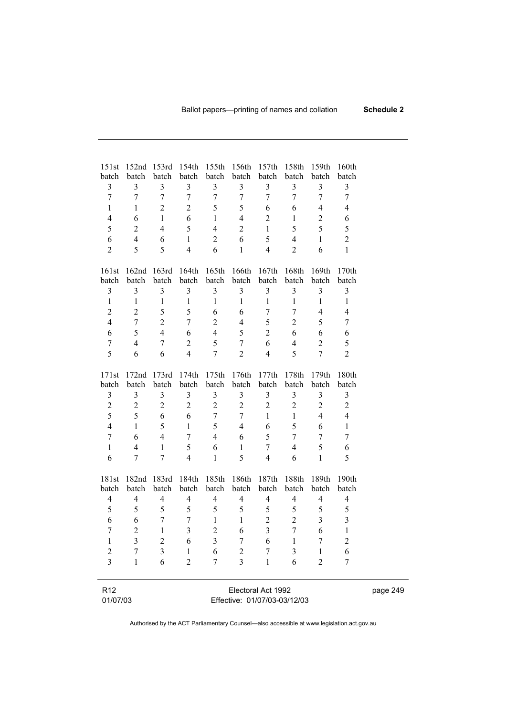| 151st            | 152nd 153rd       |                         |                         | 154th 155th 156th 157th |                         |                              | 158th            | 159th                   | 160th                    |          |
|------------------|-------------------|-------------------------|-------------------------|-------------------------|-------------------------|------------------------------|------------------|-------------------------|--------------------------|----------|
| batch            | batch             | batch                   | batch                   | batch                   | batch                   | batch                        | batch            | batch                   | batch                    |          |
| $\mathfrak{Z}$   | $\mathfrak{Z}$    | 3                       | $\mathfrak{Z}$          | $\mathfrak{Z}$          | $\mathfrak{Z}$          | $\mathfrak{Z}$               | $\mathfrak{Z}$   | 3                       | $\mathfrak{Z}$           |          |
| $\boldsymbol{7}$ | $\boldsymbol{7}$  | $\boldsymbol{7}$        | $\tau$                  | $\boldsymbol{7}$        | $\boldsymbol{7}$        | $\boldsymbol{7}$             | $\boldsymbol{7}$ | $\boldsymbol{7}$        | 7                        |          |
| $\mathbf{1}$     | $\mathbf{1}$      | $\overline{c}$          | $\overline{2}$          | 5                       | 5                       | 6                            | 6                | $\overline{4}$          | $\overline{4}$           |          |
| $\overline{4}$   | 6                 | $\mathbf{1}$            | 6                       | $\mathbf{1}$            | $\overline{4}$          | $\sqrt{2}$                   | $\mathbf{1}$     | $\overline{2}$          | 6                        |          |
| 5                | $\sqrt{2}$        | $\overline{4}$          | 5                       | $\overline{4}$          | $\overline{2}$          | $\mathbf{1}$                 | 5                | 5                       | 5                        |          |
| 6                | $\overline{4}$    | 6                       | $\mathbf{1}$            | $\overline{c}$          | 6                       | 5                            | $\overline{4}$   | $\mathbf{1}$            | $\overline{c}$           |          |
| $\overline{2}$   | 5                 | 5                       | $\overline{4}$          | 6                       | $\mathbf{1}$            | $\overline{4}$               | $\overline{2}$   | 6                       | $\mathbf{1}$             |          |
|                  |                   |                         |                         |                         |                         |                              |                  |                         |                          |          |
| 161st            | 162 <sub>nd</sub> | 163rd                   | 164th                   | 165th                   | 166th                   | 167th                        | 168th            | 169th                   | 170th                    |          |
| batch            | batch             | batch                   | batch                   | batch                   | batch                   | batch                        | batch            | batch                   | batch                    |          |
| $\mathfrak{Z}$   | $\mathfrak{Z}$    | $\mathfrak{Z}$          | $\mathfrak{Z}$          | $\mathfrak{Z}$          | $\mathfrak{Z}$          | $\mathfrak{Z}$               | $\mathfrak{Z}$   | $\mathfrak{Z}$          | $\mathfrak{Z}$           |          |
| $\mathbf{1}$     | $\,1\,$           | $\,1$                   | $\mathbf{1}$            | $\mathbf{1}$            | $\mathbf{1}$            | $\mathbf{1}$                 | $\,1$            | $\mathbf{1}$            | $\mathbf{1}$             |          |
| $\overline{2}$   | $\overline{2}$    | 5                       | 5                       | 6                       | 6                       | $\tau$                       | $\boldsymbol{7}$ | $\overline{4}$          | $\overline{\mathcal{A}}$ |          |
| $\overline{4}$   | $\boldsymbol{7}$  | $\overline{2}$          | $\tau$                  | $\overline{c}$          | $\overline{4}$          | 5                            | $\sqrt{2}$       | 5                       | 7                        |          |
| 6                | 5                 | $\overline{4}$          | 6                       | $\overline{4}$          | 5                       | $\overline{2}$               | 6                | 6                       | 6                        |          |
| $\boldsymbol{7}$ | $\overline{4}$    | 7                       | $\overline{2}$          | 5                       | $\boldsymbol{7}$        | 6                            | $\overline{4}$   | $\boldsymbol{2}$        | 5                        |          |
| 5                | 6                 | 6                       | $\overline{4}$          | $\overline{7}$          | $\overline{2}$          | $\overline{4}$               | 5                | $\overline{7}$          | $\overline{2}$           |          |
| 171st            | 172nd             | 173rd                   | 174th                   | 175th                   | 176th                   | 177th                        | 178th            | 179th                   | 180th                    |          |
| batch            | batch             | batch                   | batch                   | batch                   | batch                   | batch                        | batch            | batch                   | batch                    |          |
| 3                | $\mathfrak{Z}$    | $\mathfrak{Z}$          | 3                       | 3                       | $\mathfrak{Z}$          | $\mathfrak{Z}$               | $\mathfrak{Z}$   | $\mathfrak{Z}$          | 3                        |          |
| $\overline{c}$   | $\sqrt{2}$        | $\sqrt{2}$              | $\overline{2}$          | $\sqrt{2}$              | $\sqrt{2}$              | $\sqrt{2}$                   | $\sqrt{2}$       | $\boldsymbol{2}$        | $\overline{c}$           |          |
| 5                | 5                 | $\sqrt{6}$              | 6                       | $\boldsymbol{7}$        | $\tau$                  | $\mathbf{1}$                 | $\mathbf{1}$     | $\overline{4}$          | $\overline{4}$           |          |
| $\overline{4}$   | $\mathbf{1}$      | 5                       | $\mathbf{1}$            | 5                       | $\overline{4}$          | 6                            | 5                | 6                       | $\mathbf{1}$             |          |
| $\boldsymbol{7}$ | 6                 | $\overline{4}$          | $\tau$                  | $\overline{4}$          | 6                       | 5                            | $\tau$           | 7                       | 7                        |          |
| $\mathbf{1}$     | $\overline{4}$    | $\mathbf{1}$            | 5                       | 6                       | $\mathbf{1}$            | $\boldsymbol{7}$             | $\overline{4}$   | 5                       | 6                        |          |
| 6                | 7                 | $\tau$                  | $\overline{4}$          | $\mathbf{1}$            | 5                       | $\overline{4}$               | 6                | $\mathbf{1}$            | 5                        |          |
|                  |                   |                         |                         |                         |                         |                              |                  |                         |                          |          |
| 181st            |                   | 182nd 183rd             | 184th                   |                         | 185th 186th 187th       |                              | 188th            | 189th                   | 190th                    |          |
| batch            | batch             | batch                   | batch                   | batch                   | batch                   | batch                        | batch            | batch                   | batch                    |          |
| $\overline{4}$   | $\overline{4}$    | $\overline{\mathbf{4}}$ | $\overline{\mathbf{4}}$ | $\overline{4}$          | $\overline{\mathbf{4}}$ | $\overline{4}$               | $\overline{4}$   | $\overline{\mathbf{4}}$ | $\overline{4}$           |          |
| 5                | 5                 | 5                       | 5                       | 5                       | 5                       | 5                            | $\mathfrak s$    | 5                       | 5                        |          |
| 6                | $\boldsymbol{6}$  | $\boldsymbol{7}$        | $\boldsymbol{7}$        | $\mathbf{1}$            | $\mathbf{1}$            | $\sqrt{2}$                   | $\sqrt{2}$       | $\mathfrak{Z}$          | $\overline{\mathbf{3}}$  |          |
| $\boldsymbol{7}$ | $\overline{2}$    | $\mathbf{1}$            | $\mathfrak{Z}$          | $\overline{2}$          | 6                       | $\overline{3}$               | $\boldsymbol{7}$ | 6                       | $\mathbf{1}$             |          |
| $\,1$            | $\mathfrak{Z}$    | $\overline{c}$          | $\sqrt{6}$              | 3                       | $7\overline{ }$         | $\sqrt{6}$                   | $\overline{1}$   | 1                       | $\overline{2}$           |          |
| $\overline{c}$   | 7                 | 3                       | 1                       | 6                       | $\overline{c}$          | 7                            | 3                | 1                       | 6                        |          |
| $\overline{3}$   | $\mathbf{1}$      | 6                       | $\overline{2}$          | 7                       | $\overline{3}$          | $\mathbf{1}$                 | 6                | $\overline{2}$          | 7                        |          |
|                  |                   |                         |                         |                         |                         |                              |                  |                         |                          |          |
| R <sub>12</sub>  |                   |                         |                         |                         |                         | Electoral Act 1992           |                  |                         |                          |          |
| 01/07/03         |                   |                         |                         |                         |                         | Effective: 01/07/03-03/12/03 |                  |                         |                          | page 249 |
|                  |                   |                         |                         |                         |                         |                              |                  |                         |                          |          |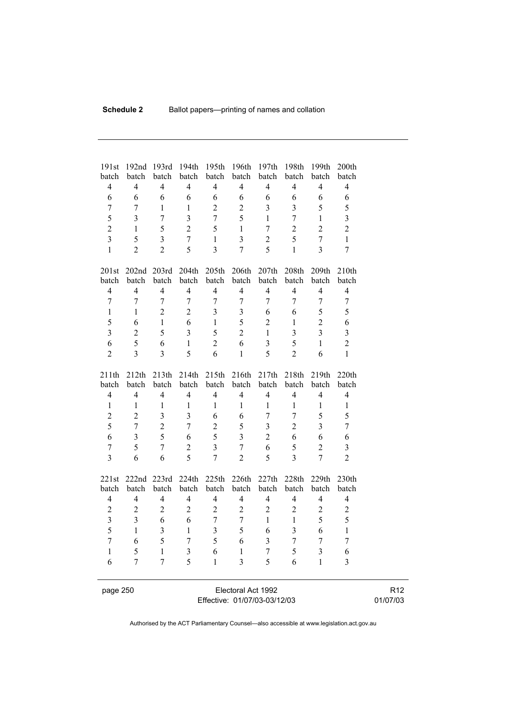| 191st<br>batch          | 192nd<br>batch          | 193rd<br>batch          | 194th<br>batch          | 195th<br>batch           | 196th<br>batch          | 197th<br>batch   | 198th<br>batch | 199th<br>batch          | 200th<br>batch          |  |  |
|-------------------------|-------------------------|-------------------------|-------------------------|--------------------------|-------------------------|------------------|----------------|-------------------------|-------------------------|--|--|
| $\overline{4}$          | $\overline{4}$          | $\overline{4}$          | $\overline{4}$          | $\overline{4}$           | $\overline{4}$          | $\overline{4}$   | $\overline{4}$ | $\overline{4}$          | $\overline{4}$          |  |  |
| 6                       | 6                       | 6                       | 6                       | 6                        | 6                       | 6                | 6              | 6                       | 6                       |  |  |
| $\overline{7}$          | $\overline{7}$          | 1                       | 1                       | $\overline{2}$           | $\overline{2}$          | 3                | $\overline{3}$ | 5                       | 5                       |  |  |
| 5                       | $\overline{3}$          | $\overline{7}$          | $\overline{\mathbf{3}}$ | $\overline{7}$           | 5                       | $\mathbf{1}$     | $\overline{7}$ | $\mathbf{1}$            | $\overline{\mathbf{3}}$ |  |  |
| $\overline{2}$          | $\mathbf{1}$            | 5                       | $\overline{2}$          | 5                        | $\mathbf{1}$            | $\overline{7}$   | $\overline{2}$ | $\overline{2}$          | $\overline{2}$          |  |  |
| $\overline{\mathbf{3}}$ | 5                       | $\overline{\mathbf{3}}$ | $\overline{7}$          | $\mathbf{1}$             | $\overline{\mathbf{3}}$ | $\overline{c}$   | 5              | $\overline{7}$          | $\mathbf{1}$            |  |  |
| $\mathbf{1}$            | $\overline{2}$          | $\overline{2}$          | 5                       | $\overline{3}$           | 7                       | 5                | $\mathbf{1}$   | $\overline{3}$          | $\overline{7}$          |  |  |
|                         |                         |                         |                         |                          |                         |                  |                |                         |                         |  |  |
| 201st                   |                         | 202nd 203rd             | 204th                   | 205 <sup>th</sup>        | 206th                   | 207th            | 208th          | 209th                   | 210th                   |  |  |
| batch                   | batch                   | batch                   | batch                   | batch                    | batch                   | batch            | batch          | batch                   | batch                   |  |  |
| $\overline{4}$          | $\overline{4}$          | $\overline{4}$          | $\overline{4}$          | $\overline{4}$           | $\overline{4}$          | $\overline{4}$   | $\overline{4}$ | $\overline{4}$          | $\overline{4}$          |  |  |
| $\overline{7}$          | $\overline{7}$          | $\boldsymbol{7}$        | $\overline{7}$          | $\boldsymbol{7}$         | $\boldsymbol{7}$        | $\boldsymbol{7}$ | $\overline{7}$ | $\boldsymbol{7}$        | $\boldsymbol{7}$        |  |  |
| $\mathbf{1}$            | 1                       | $\overline{2}$          | $\overline{2}$          | $\overline{\mathbf{3}}$  | $\mathfrak{Z}$          | 6                | 6              | 5                       | 5                       |  |  |
| 5                       | 6                       | $\mathbf{1}$            | 6                       | $\mathbf{1}$             | 5                       | $\overline{2}$   | $\mathbf{1}$   | $\overline{2}$          | 6                       |  |  |
| $\overline{3}$          | $\overline{2}$          | 5                       | $\overline{\mathbf{3}}$ | 5                        | $\overline{2}$          | $\mathbf{1}$     | 3              | $\overline{3}$          | $\overline{3}$          |  |  |
| 6                       | 5                       | 6                       | $\mathbf{1}$            | $\overline{2}$           | 6                       | $\overline{3}$   | 5              | $\mathbf{1}$            | $\overline{2}$          |  |  |
| $\overline{2}$          | $\overline{3}$          | $\overline{3}$          | 5                       | 6                        | $\mathbf{1}$            | 5                | $\overline{2}$ | 6                       | $\mathbf{1}$            |  |  |
|                         |                         |                         |                         |                          |                         |                  |                |                         |                         |  |  |
| 211th                   | 212th                   | 213th                   | 214th                   | 215th                    | 216th                   | 217th            | 218th          | 219th                   | 220th                   |  |  |
| batch                   | batch                   | batch                   | batch                   | batch                    | batch                   | batch            | batch          | batch                   | batch                   |  |  |
| $\overline{4}$          | $\overline{4}$          | $\overline{4}$          | $\overline{4}$          | $\overline{\mathcal{L}}$ | $\overline{4}$          | $\overline{4}$   | $\overline{4}$ | $\overline{4}$          | $\overline{4}$          |  |  |
| $\mathbf{1}$            | $\mathbf{1}$            | 1                       | $\mathbf{1}$            | $\mathbf{1}$             | $\mathbf{1}$            | 1                | 1              | $\mathbf{1}$            | 1                       |  |  |
| $\overline{2}$          | $\overline{2}$          | $\overline{\mathbf{3}}$ | $\overline{3}$          | 6                        | 6                       | $\boldsymbol{7}$ | 7              | 5                       | 5                       |  |  |
| 5                       | $\overline{7}$          | $\overline{2}$          | $\overline{7}$          | $\overline{c}$           | 5                       | $\overline{3}$   | $\overline{2}$ | $\overline{\mathbf{3}}$ | $\boldsymbol{7}$        |  |  |
| 6                       | $\overline{\mathbf{3}}$ | 5                       | 6                       | 5                        | 3                       | $\overline{2}$   | 6              | 6                       | 6                       |  |  |
| $\overline{7}$          | 5                       | $\overline{7}$          | $\overline{2}$          | $\overline{3}$           | $\overline{7}$          | 6                | 5              | $\overline{2}$          | $\overline{3}$          |  |  |
| $\overline{3}$          | 6                       | 6                       | 5                       | $\overline{7}$           | $\overline{2}$          | 5                | $\overline{3}$ | $\overline{7}$          | $\overline{2}$          |  |  |
|                         |                         |                         |                         |                          |                         |                  |                |                         |                         |  |  |
| 221st                   |                         | 222nd 223rd             | 224th                   | 225th                    | 226th                   | 227th            | 228th          | 229th                   | 230th                   |  |  |
| batch                   | batch                   | batch                   | batch                   | batch                    | batch                   | batch            | batch          | batch                   | batch                   |  |  |
| $\overline{4}$          | $\overline{4}$          | $\overline{4}$          | $\overline{4}$          | $\overline{\mathcal{L}}$ | $\overline{\mathbf{4}}$ | $\overline{4}$   | $\overline{4}$ | $\overline{4}$          | $\overline{4}$          |  |  |
| $\overline{c}$          | $\overline{c}$          | $\boldsymbol{2}$        | $\sqrt{2}$              | $\mathbf{2}$             | $\overline{2}$          | $\overline{2}$   | $\overline{2}$ | $\sqrt{2}$              | $\sqrt{2}$              |  |  |
| $\overline{\mathbf{3}}$ | $\overline{3}$          | 6                       | 6                       | $\overline{7}$           | $\boldsymbol{7}$        | $\mathbf{1}$     | $\mathbf{1}$   | 5                       | 5                       |  |  |
| 5                       | $\mathbf{1}$            | $\overline{3}$          | $\mathbf{1}$            | $\overline{\mathbf{3}}$  | 5                       | 6                | $\overline{3}$ | 6                       | $\mathbf{1}$            |  |  |
| $\overline{7}$          | 6                       | 5                       | $\overline{7}$          | 5                        | 6                       | 3                | $\overline{7}$ | $\overline{7}$          | $\overline{7}$          |  |  |
| $\mathbf{1}$            | 5                       | $\mathbf{1}$            | $\mathfrak{Z}$          | 6                        | $\mathbf{1}$            | $\overline{7}$   | 5              | $\overline{\mathbf{3}}$ | 6                       |  |  |
| 6                       | $\overline{7}$          | 7                       | 5                       | $\mathbf{1}$             | 3                       | 5                | 6              | $\mathbf{1}$            | 3                       |  |  |
|                         |                         |                         |                         |                          |                         |                  |                |                         |                         |  |  |
| page 250                |                         | Electoral Act 1992      |                         |                          |                         |                  |                |                         |                         |  |  |

Effective: 01/07/03-03/12/03

R12 01/07/03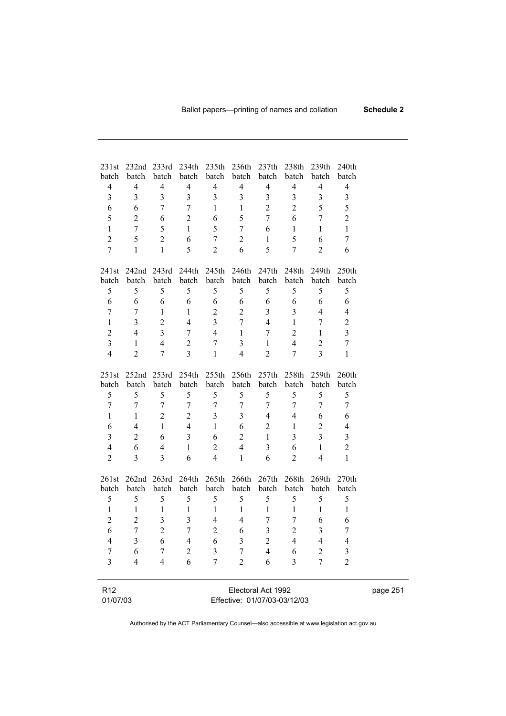| 231st                       | 232nd 233rd    |                         | 234th          |                         | 235th 236th             |                                                    | 237th 238th    | 239th                   | 240 <sub>th</sub>       |  |
|-----------------------------|----------------|-------------------------|----------------|-------------------------|-------------------------|----------------------------------------------------|----------------|-------------------------|-------------------------|--|
| batch                       | batch          | batch                   | batch          | batch                   | batch                   | batch                                              | batch          | batch                   | batch                   |  |
| $\overline{4}$              | $\overline{4}$ | $\overline{4}$          | $\overline{4}$ | $\overline{4}$          | $\overline{4}$          | $\overline{4}$                                     | $\overline{4}$ | $\overline{4}$          | $\overline{4}$          |  |
| $\overline{\mathbf{3}}$     | $\overline{3}$ | $\overline{\mathbf{3}}$ | $\overline{3}$ | $\overline{\mathbf{3}}$ | $\overline{\mathbf{3}}$ | $\overline{3}$                                     | $\overline{3}$ | $\overline{\mathbf{3}}$ | $\overline{\mathbf{3}}$ |  |
| 6                           | 6              | $\overline{7}$          | $\tau$         | $\mathbf{1}$            | $\mathbf{1}$            | $\overline{2}$                                     | $\overline{2}$ | 5                       | 5                       |  |
| 5                           | $\overline{2}$ | 6                       | $\overline{2}$ | 6                       | 5                       | $\tau$                                             | 6              | 7                       | $\overline{2}$          |  |
| $\mathbf{1}$                | 7              | 5                       | $\mathbf{1}$   | 5                       | $\overline{7}$          | 6                                                  | $\mathbf{1}$   | $\mathbf{1}$            | $\mathbf{1}$            |  |
| $\overline{2}$              | 5              | $\overline{2}$          | 6              | 7                       | $\overline{2}$          | $\mathbf{1}$                                       | 5              | 6                       | $\overline{7}$          |  |
| $\overline{7}$              | $\mathbf{1}$   | $\mathbf{1}$            | 5              | $\overline{c}$          | 6                       | 5                                                  | $\overline{7}$ | $\overline{2}$          | 6                       |  |
| 241st                       | 242nd          | 243rd                   | 244th          | 245th                   | 246th                   | 247th                                              | 248th          | 249th                   | 250th                   |  |
| batch                       | batch          | batch                   | batch          | batch                   | batch                   | batch                                              | batch          | batch                   | batch                   |  |
| 5                           | 5              | 5                       | 5              | 5                       | 5                       | 5                                                  | 5              | 5                       | 5                       |  |
| 6                           | 6              | 6                       | 6              | 6                       | 6                       | 6                                                  | 6              | 6                       | 6                       |  |
| $\overline{7}$              | 7              | $\mathbf{1}$            | $\mathbf{1}$   | $\overline{2}$          | $\overline{2}$          | $\overline{3}$                                     | 3              | $\overline{4}$          | $\overline{4}$          |  |
| $\mathbf{1}$                | 3              | $\overline{2}$          | $\overline{4}$ | 3                       | 7                       | $\overline{4}$                                     | $\mathbf{1}$   | 7                       | $\overline{c}$          |  |
| $\overline{c}$              | $\overline{4}$ | $\overline{3}$          | $\tau$         | $\overline{4}$          | $\mathbf{1}$            | $\tau$                                             | $\overline{2}$ | $\mathbf{1}$            | $\overline{\mathbf{3}}$ |  |
| 3                           | $\mathbf{1}$   | $\overline{4}$          | $\overline{2}$ | 7                       | $\overline{3}$          | $\mathbf{1}$                                       | $\overline{4}$ | $\overline{2}$          | $\overline{7}$          |  |
| $\overline{4}$              | $\overline{2}$ | $\tau$                  | $\overline{3}$ | $\mathbf{1}$            | $\overline{4}$          | $\overline{2}$                                     | 7              | 3                       | $\mathbf{1}$            |  |
| 251st                       | 252nd          | 253rd                   | 254th          | 255th                   | 256th                   | 257th                                              | 258th          | 259th                   | 260th                   |  |
| batch                       | batch          | batch                   | batch          | batch                   | batch                   | batch                                              | batch          | batch                   | batch                   |  |
| 5                           | 5              | 5                       | 5              | 5                       | 5                       | 5                                                  | 5              | 5                       | 5                       |  |
| $\overline{7}$              | $\overline{7}$ | $\overline{7}$          | $\overline{7}$ | $\overline{7}$          | $\overline{7}$          | $\overline{7}$                                     | $\overline{7}$ | $\boldsymbol{7}$        | $\overline{7}$          |  |
| $\mathbf{1}$                | $\mathbf{1}$   | $\overline{2}$          | $\overline{2}$ | $\overline{\mathbf{3}}$ | 3                       | $\overline{4}$                                     | $\overline{4}$ | 6                       | 6                       |  |
| 6                           | $\overline{4}$ | $\mathbf{1}$            | $\overline{4}$ | $\mathbf{1}$            | 6                       | $\overline{2}$                                     | $\mathbf{1}$   | $\overline{2}$          | $\overline{4}$          |  |
| 3                           | $\overline{2}$ | 6                       | $\overline{3}$ | 6                       | $\overline{2}$          | $\mathbf{1}$                                       | 3              | $\overline{3}$          | 3                       |  |
| $\overline{4}$              | 6              | $\overline{4}$          | $\mathbf{1}$   | $\sqrt{2}$              | $\overline{4}$          | $\overline{3}$                                     | 6              | $\mathbf{1}$            | $\overline{c}$          |  |
| $\overline{2}$              | 3              | 3                       | 6              | $\overline{4}$          | $\mathbf{1}$            | 6                                                  | $\overline{2}$ | $\overline{4}$          | $\mathbf{1}$            |  |
| 261st                       | 262nd          | 263rd                   | 264th          | 265th                   | 266th                   | 267th                                              | 268th          | 269th                   | 270th                   |  |
| batch                       | batch          | batch                   | batch          | batch                   | batch                   | batch                                              | batch          | batch                   | batch                   |  |
| 5                           | 5              | 5                       | 5              | 5                       | 5                       | 5                                                  | 5              | 5                       | 5                       |  |
| $\mathbf{1}$                | $\mathbf{1}$   | $\mathbf{1}$            | $\mathbf{1}$   | $\mathbf{1}$            | $\mathbf{1}$            | $\mathbf{1}$                                       | $\mathbf{1}$   | $\mathbf{1}$            | $\mathbf{1}$            |  |
| $\overline{2}$              | $\overline{2}$ | 3                       | 3              | $\overline{4}$          | $\overline{4}$          | 7                                                  | 7              | 6                       | 6                       |  |
| 6                           | 7              | $\overline{2}$          | $\overline{7}$ | $\overline{2}$          | 6                       | 3                                                  | $\overline{2}$ | 3                       | $\overline{7}$          |  |
| 4                           | 3              | 6                       | 4              | 6                       | 3                       | $\overline{c}$                                     | 4              | 4                       | 4                       |  |
| 7                           | 6              | 7                       | $\overline{2}$ | 3                       | 7                       | 4                                                  | 6              | 2                       | 3                       |  |
| 3                           | $\overline{4}$ | 4                       | 6              | 7                       | $\overline{2}$          | 6                                                  | 3              | $\overline{7}$          | $\overline{2}$          |  |
|                             |                |                         |                |                         |                         |                                                    |                |                         |                         |  |
| R <sub>12</sub><br>01/07/03 |                |                         |                |                         |                         | Electoral Act 1992<br>Effective: 01/07/03-03/12/03 |                |                         |                         |  |
|                             |                |                         |                |                         |                         |                                                    |                |                         |                         |  |

Effective: 01/07/03-03/12/03

page 251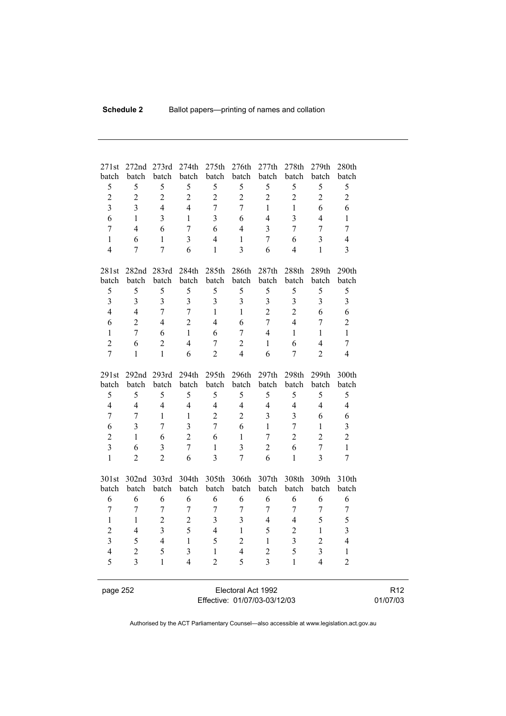| 271st                   | 272nd          | 273rd                   | 274th                   | 275th          | 276th                   | 277th                   | 278th             | 279th                   | 280th                   |
|-------------------------|----------------|-------------------------|-------------------------|----------------|-------------------------|-------------------------|-------------------|-------------------------|-------------------------|
| batch<br>5              | batch<br>5     | batch<br>5              | batch<br>5              | batch<br>5     | batch<br>5              | batch<br>5              | batch<br>5        | batch<br>5              | batch<br>5              |
| $\overline{2}$          | $\overline{2}$ | $\overline{2}$          | $\overline{2}$          | $\overline{2}$ | $\overline{2}$          | $\overline{2}$          | $\overline{2}$    | $\overline{2}$          | $\overline{2}$          |
| $\overline{\mathbf{3}}$ | $\overline{3}$ | $\overline{4}$          | $\overline{4}$          | $\overline{7}$ | $\overline{7}$          | $\mathbf{1}$            | $\mathbf{1}$      | 6                       | 6                       |
| 6                       | 1              | $\overline{3}$          | $\mathbf{1}$            | 3              | 6                       | $\overline{4}$          | $\overline{3}$    | 4                       | $\mathbf{1}$            |
| $\overline{7}$          | $\overline{4}$ | 6                       | $\overline{7}$          | 6              | $\overline{4}$          | 3                       | $\overline{7}$    | $\overline{7}$          | $\overline{7}$          |
| $\mathbf{1}$            | 6              | $\mathbf{1}$            | $\overline{3}$          | $\overline{4}$ | $\mathbf{1}$            | $\overline{7}$          | 6                 | 3                       | $\overline{4}$          |
| $\overline{4}$          | 7              | $\overline{7}$          | 6                       | $\mathbf{1}$   | $\overline{3}$          | 6                       | $\overline{4}$    | $\mathbf{1}$            | $\overline{3}$          |
|                         |                |                         |                         |                |                         |                         |                   |                         |                         |
| 281st                   | 282nd 283rd    |                         | 284th                   | 285th          | 286th                   | 287th                   | 288th             | 289th                   | 290th                   |
| batch                   | batch          | batch                   | batch                   | batch          | batch                   | batch                   | batch             | batch                   | batch                   |
| 5                       | 5              | 5                       | 5                       | 5              | 5                       | 5                       | 5                 | 5                       | 5                       |
| $\overline{3}$          | $\overline{3}$ | $\overline{3}$          | $\overline{3}$          | $\overline{3}$ | $\overline{3}$          | $\overline{\mathbf{3}}$ | 3                 | $\overline{3}$          | $\overline{3}$          |
| $\overline{4}$          | $\overline{4}$ | $\overline{7}$          | $\overline{7}$          | $\mathbf{1}$   | $\mathbf{1}$            | $\overline{2}$          | $\overline{2}$    | 6                       | 6                       |
| 6                       | $\overline{2}$ | $\overline{4}$          | $\overline{2}$          | $\overline{4}$ | 6                       | $\overline{7}$          | $\overline{4}$    | $\overline{7}$          | $\overline{2}$          |
| $\mathbf{1}$            | $\overline{7}$ | 6                       | $\mathbf{1}$            | 6              | $\overline{7}$          | $\overline{4}$          | $\mathbf{1}$      | $\mathbf{1}$            | $\mathbf{1}$            |
| $\overline{2}$          | 6              | $\overline{2}$          | $\overline{4}$          | $\overline{7}$ | $\overline{2}$          | $\mathbf{1}$            | 6                 | 4                       | $\overline{7}$          |
| $\overline{7}$          | $\mathbf{1}$   | $\mathbf{1}$            | 6                       | $\overline{2}$ | $\overline{4}$          | 6                       | $\overline{7}$    | $\overline{2}$          | $\overline{4}$          |
|                         |                |                         |                         |                |                         |                         |                   |                         |                         |
| 291st                   | 292nd 293rd    |                         | 294th                   | 295th          | 296th                   | 297th                   | 298 <sub>th</sub> | 299th                   | 300th                   |
| batch                   | batch          | batch                   | batch                   | batch          | batch                   | batch                   | batch             | batch                   | batch                   |
| 5                       | 5              | 5                       | 5                       | 5              | 5                       | 5                       | 5                 | 5                       | 5                       |
| $\overline{4}$          | $\overline{4}$ | $\overline{4}$          | $\overline{4}$          | $\overline{4}$ | $\overline{\mathbf{4}}$ | $\overline{4}$          | $\overline{4}$    | $\overline{4}$          | $\overline{4}$          |
| $\tau$                  | $\overline{7}$ | $\mathbf{1}$            | $\mathbf{1}$            | $\overline{2}$ | $\overline{2}$          | 3                       | $\overline{3}$    | 6                       | 6                       |
| 6                       | $\overline{3}$ | $\overline{7}$          | $\overline{\mathbf{3}}$ | $\overline{7}$ | 6                       | $\mathbf{1}$            | $\overline{7}$    | $\mathbf{1}$            | $\overline{\mathbf{3}}$ |
| $\overline{2}$          | $\mathbf{1}$   | 6                       | $\overline{2}$          | 6              | $\mathbf{1}$            | $\overline{7}$          | $\overline{2}$    | $\overline{2}$          | $\overline{2}$          |
| $\overline{3}$          | 6              | $\overline{\mathbf{3}}$ | $\overline{7}$          | $\mathbf{1}$   | $\overline{3}$          | $\overline{2}$          | 6                 | $\overline{7}$          | $\mathbf{1}$            |
| $\mathbf{1}$            | $\overline{2}$ | $\overline{2}$          | 6                       | $\overline{3}$ | $\overline{7}$          | 6                       | $\mathbf{1}$      | $\overline{3}$          | $\overline{7}$          |
| 301st                   | 302nd          | 303rd                   | 304th                   | 305th          | 306th                   | 307th                   | 308th             | 309th                   | 310th                   |
| batch                   | batch          | batch                   | batch                   | batch          | batch                   | batch                   | batch             | batch                   | batch                   |
| 6                       | 6              | 6                       | 6                       | 6              | 6                       | 6                       | 6                 | 6                       | 6                       |
| $\overline{7}$          | $\overline{7}$ | $\overline{7}$          | $\overline{7}$          | $\overline{7}$ | $\overline{7}$          | $\overline{7}$          | $\overline{7}$    | $\overline{7}$          | $\overline{7}$          |
| $\mathbf{1}$            | $\mathbf{1}$   | $\overline{2}$          | $\overline{2}$          | $\overline{3}$ | 3                       | $\overline{4}$          | $\overline{4}$    | 5                       | 5                       |
| $\overline{2}$          | $\overline{4}$ | $\overline{\mathbf{3}}$ | 5                       | $\overline{4}$ | $\mathbf{1}$            | 5                       | $\overline{2}$    | $\mathbf{1}$            | $\overline{\mathbf{3}}$ |
| $\overline{\mathbf{3}}$ | 5              | $\overline{4}$          | $\mathbf{1}$            | 5              | $\overline{2}$          | $\mathbf{1}$            | $\overline{3}$    | $\overline{2}$          | $\overline{4}$          |
| $\overline{4}$          | $\overline{2}$ | 5                       | $\overline{3}$          | $\mathbf{1}$   | $\overline{4}$          | $\overline{2}$          | 5                 | $\overline{\mathbf{3}}$ | $\mathbf{1}$            |
| 5                       | $\overline{3}$ | $\mathbf{1}$            | $\overline{4}$          | $\overline{2}$ | 5                       | $\overline{3}$          | $\mathbf{1}$      | $\overline{4}$          | $\overline{2}$          |
|                         |                |                         |                         |                |                         |                         |                   |                         |                         |

page 252 Electoral Act 1992 Effective: 01/07/03-03/12/03

R12 01/07/03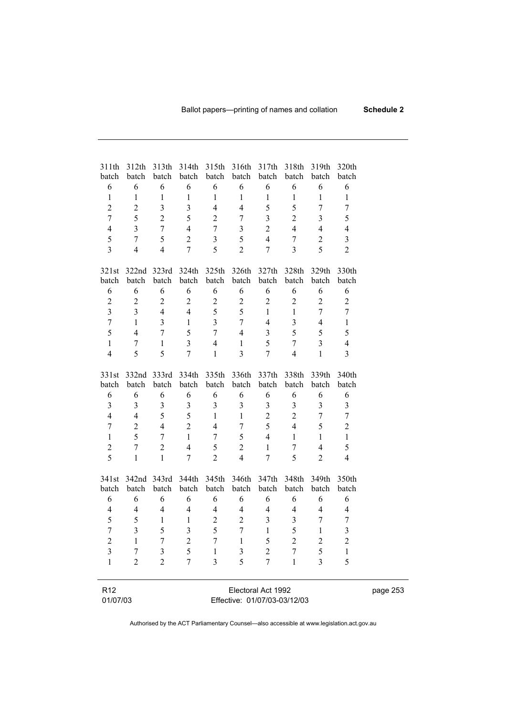| 311th                   |                                  |                         |                         |                     |                              | 312th 313th 314th 315th 316th 317th 318th |                  | 319th                            | 320th                   |          |
|-------------------------|----------------------------------|-------------------------|-------------------------|---------------------|------------------------------|-------------------------------------------|------------------|----------------------------------|-------------------------|----------|
| batch                   | batch                            | batch                   | batch                   | batch               | batch                        | batch                                     | batch            | batch                            | batch                   |          |
| 6                       | 6                                | 6                       | 6                       | $\sqrt{6}$          | 6                            | 6                                         | 6                | $\epsilon$                       | 6                       |          |
| $\mathbf{1}$            | $\,1$                            | $\mathbf{1}$            | $\,1$                   | $\mathbf{1}$        | $\mathbf{1}$                 | $\mathbf{1}$                              | $\mathbf{1}$     | $\mathbf{1}$                     | $\mathbf{1}$            |          |
| $\sqrt{2}$              | $\overline{c}$                   | $\overline{\mathbf{3}}$ | $\mathfrak{Z}$          | $\overline{4}$      | $\overline{4}$               | 5                                         | 5                | $\boldsymbol{7}$                 | $\boldsymbol{7}$        |          |
| $\boldsymbol{7}$        | 5                                | $\sqrt{2}$              | 5                       | $\overline{2}$      | $\tau$                       | $\overline{\mathbf{3}}$                   | $\overline{2}$   | 3                                | 5                       |          |
| $\overline{4}$          | 3                                | $\boldsymbol{7}$        | $\overline{4}$          | $\tau$              | 3                            | $\overline{2}$                            | $\overline{4}$   | $\overline{4}$                   | $\overline{4}$          |          |
| 5                       | $\overline{7}$                   | 5                       | $\overline{2}$          | 3                   | 5                            | $\overline{4}$                            | $\boldsymbol{7}$ | $\overline{c}$                   | $\mathfrak{Z}$          |          |
| $\overline{3}$          | $\overline{4}$                   | $\overline{4}$          | $\overline{7}$          | 5                   | $\overline{2}$               | $\overline{7}$                            | $\overline{3}$   | 5                                | $\overline{2}$          |          |
| 321st                   | 322nd 323rd                      |                         | 324th                   |                     |                              | 325th 326th 327th                         | 328th            | 329th                            | 330th                   |          |
| batch                   | batch                            | batch                   | batch                   | batch               | batch                        | batch                                     | batch            | batch                            | batch                   |          |
| 6                       | 6                                | 6                       | 6                       | 6                   | 6                            | 6                                         | 6                | 6                                | 6                       |          |
| $\mathbf{2}$            | $\sqrt{2}$                       | $\overline{2}$          | $\mathbf{2}$            | $\overline{c}$      | $\overline{c}$               | $\mathbf{2}$                              | $\mathbf{2}$     | $\overline{2}$                   | $\overline{c}$          |          |
| $\overline{\mathbf{3}}$ | 3                                | $\overline{4}$          | $\overline{4}$          | 5                   | 5                            | $\mathbf{1}$                              | $\mathbf{1}$     | 7                                | $\tau$                  |          |
| $\boldsymbol{7}$        | $\mathbf{1}$                     | $\overline{3}$          | $\mathbf{1}$            | 3                   | $\overline{7}$               | $\overline{4}$                            | 3                | $\overline{4}$                   | $\mathbf{1}$            |          |
| 5                       | $\overline{4}$                   | $\tau$                  | 5                       | $\tau$              | $\overline{4}$               | $\mathfrak{Z}$                            | 5                | 5                                | 5                       |          |
| $\mathbf{1}$            | $\boldsymbol{7}$                 | $\mathbf{1}$            | 3                       | $\overline{4}$      | $\mathbf{1}$                 | 5                                         | $\boldsymbol{7}$ | $\overline{\mathbf{3}}$          | $\overline{4}$          |          |
| $\overline{4}$          | 5                                | 5                       | $\overline{7}$          | $\mathbf{1}$        | $\overline{3}$               | $\overline{7}$                            | $\overline{4}$   | $\mathbf{1}$                     | 3                       |          |
|                         | 332nd 333rd                      |                         | 334th                   |                     | 335th 336th 337th            |                                           | 338th            | 339th                            | 340th                   |          |
| 331st<br>batch          | batch                            | batch                   |                         |                     |                              | batch batch batch batch                   | batch            | batch                            | batch                   |          |
| 6                       | 6                                | 6                       | 6                       | 6                   | 6                            | 6                                         | 6                | 6                                | 6                       |          |
| $\mathfrak{Z}$          | $\mathfrak{Z}$                   | $\mathfrak{Z}$          | $\mathfrak{Z}$          | $\mathfrak{Z}$      | $\overline{\mathbf{3}}$      | $\mathfrak{Z}$                            | $\mathfrak{Z}$   | $\overline{\mathbf{3}}$          | 3                       |          |
| $\overline{4}$          | $\overline{4}$                   | 5                       | 5                       | $\mathbf{1}$        | $\mathbf{1}$                 | $\overline{2}$                            | $\overline{2}$   | $\boldsymbol{7}$                 | $\boldsymbol{7}$        |          |
| $\boldsymbol{7}$        | $\sqrt{2}$                       | $\overline{4}$          | $\overline{2}$          | $\overline{4}$      | $\tau$                       | 5                                         | $\overline{4}$   | 5                                | $\overline{2}$          |          |
| $\mathbf{1}$            | 5                                | $\tau$                  | $\mathbf{1}$            |                     | 5                            | $\overline{4}$                            | $\mathbf{1}$     | $\mathbf{1}$                     | $\mathbf{1}$            |          |
| $\sqrt{2}$              |                                  | $\overline{2}$          |                         | $\tau$              | $\overline{2}$               | $\mathbf{1}$                              |                  |                                  | 5                       |          |
| 5                       | $\boldsymbol{7}$<br>$\mathbf{1}$ | $\mathbf{1}$            | $\overline{4}$          | 5<br>$\overline{2}$ | $\overline{4}$               | $\overline{7}$                            | 7<br>5           | $\overline{4}$<br>$\overline{2}$ | $\overline{4}$          |          |
|                         |                                  |                         | $\overline{7}$          |                     |                              |                                           |                  |                                  |                         |          |
|                         | 341st 342nd 343rd                |                         | 344th                   |                     |                              | 345th 346th 347th 348th                   |                  | 349th                            | 350th                   |          |
| batch                   | batch                            | batch                   | batch                   | batch               | batch                        | batch                                     | batch            | batch                            | batch                   |          |
| 6                       | 6                                | 6                       | 6                       | 6                   | 6                            | 6                                         | 6                | 6                                | 6                       |          |
| $\overline{4}$          | $\overline{4}$                   | $\overline{4}$          | $\overline{\mathbf{4}}$ | $\overline{4}$      | $\overline{4}$               | $\overline{4}$                            | $\overline{4}$   | $\overline{4}$                   | $\overline{4}$          |          |
| 5                       | 5                                | $\mathbf{1}$            | $\mathbf{1}$            | $\overline{2}$      | $\overline{c}$               | $\overline{3}$                            | $\mathfrak{Z}$   | 7                                | 7                       |          |
| $\overline{7}$          | $\overline{3}$                   | 5                       | $\overline{3}$          | 5                   | $\overline{7}$               | $\mathbf{1}$                              | 5                | $\mathbf{1}$                     | 3                       |          |
| $\overline{\mathbf{c}}$ | 1                                | 7                       | $\overline{\mathbf{c}}$ |                     | 1                            | 5                                         | 2                | $\overline{\mathbf{c}}$          | $\overline{\mathbf{c}}$ |          |
| 3                       | 7                                | 3                       | 5                       | L                   | 3                            | $\overline{c}$                            | 7                | 5                                | 1                       |          |
| 1                       | $\overline{2}$                   | $\overline{2}$          | $\overline{7}$          | 3                   | 5                            | $\overline{7}$                            | $\mathbf{1}$     | 3                                | 5                       |          |
|                         |                                  |                         |                         |                     |                              |                                           |                  |                                  |                         |          |
| R <sub>12</sub>         |                                  |                         |                         |                     |                              | Electoral Act 1992                        |                  |                                  |                         | page 253 |
| 01/07/03                |                                  |                         |                         |                     | Effective: 01/07/03-03/12/03 |                                           |                  |                                  |                         |          |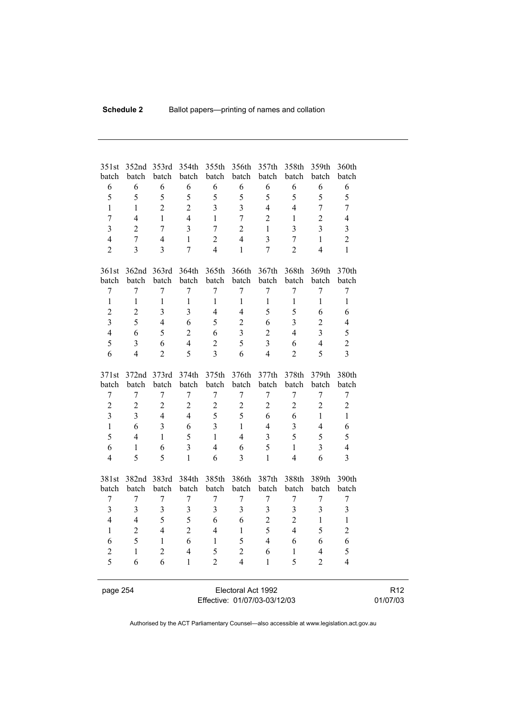| 351st                   | 352nd                   | 353rd                   | 354th            | 355th          | 356th                   | 357th                   | 358th            | 359th            | 360th                   |
|-------------------------|-------------------------|-------------------------|------------------|----------------|-------------------------|-------------------------|------------------|------------------|-------------------------|
| batch                   | batch                   | batch                   | batch            | batch          | batch                   | batch                   | batch            | batch            | batch                   |
| 6<br>5                  | 6<br>5                  | 6<br>5                  | 6<br>5           | 6<br>5         | 6<br>5                  | 6                       | 6<br>5           | 6<br>5           | 6                       |
|                         |                         |                         |                  |                |                         | 5                       |                  |                  | 5                       |
| $\mathbf{1}$            | 1                       | $\overline{2}$          | $\overline{2}$   | $\overline{3}$ | $\overline{3}$          | $\overline{4}$          | $\overline{4}$   | $\overline{7}$   | $\overline{7}$          |
| $\overline{7}$          | $\overline{4}$          | $\mathbf{1}$            | $\overline{4}$   | $\mathbf{1}$   | $\overline{7}$          | $\overline{2}$          | $\mathbf{1}$     | $\overline{2}$   | $\overline{4}$          |
| $\overline{\mathbf{3}}$ | $\overline{2}$          | $\overline{7}$          | 3                | $\overline{7}$ | $\overline{2}$          | 1                       | $\overline{3}$   | $\overline{3}$   | $\overline{\mathbf{3}}$ |
| $\overline{4}$          | $\overline{7}$          | $\overline{4}$          | $\mathbf{1}$     | $\overline{2}$ | $\overline{4}$          | $\overline{\mathbf{3}}$ | $\overline{7}$   | $\mathbf{1}$     | $\overline{2}$          |
| $\overline{2}$          | $\overline{\mathbf{3}}$ | $\overline{3}$          | $\overline{7}$   | $\overline{4}$ | $\mathbf{1}$            | $\overline{7}$          | $\overline{2}$   | $\overline{4}$   | $\mathbf{1}$            |
| 361st                   | 362nd                   | 363rd                   | 364th            | 365th          | 366th                   | 367th                   | 368th            | 369th            | 370th                   |
| batch                   | batch                   | batch                   | batch            | batch          | batch                   | batch                   | batch            | batch            | batch                   |
| $\boldsymbol{7}$        | 7                       | $\boldsymbol{7}$        | 7                | $\sqrt{ }$     | 7                       | $\boldsymbol{7}$        | $\sqrt{ }$       | $\boldsymbol{7}$ | $\boldsymbol{7}$        |
| $\mathbf{1}$            | $\mathbf{1}$            | $\mathbf{1}$            | $\mathbf{1}$     | $\mathbf{1}$   | $\mathbf{1}$            | $\mathbf{1}$            | $\mathbf{1}$     | $\mathbf{1}$     | $\mathbf{1}$            |
| $\overline{2}$          | $\overline{2}$          | $\overline{\mathbf{3}}$ | 3                | $\overline{4}$ | $\overline{4}$          | 5                       | 5                | 6                | 6                       |
| $\overline{3}$          | 5                       | $\overline{4}$          | 6                | 5              | $\overline{2}$          | 6                       | $\overline{3}$   | $\overline{2}$   | $\overline{4}$          |
| $\overline{4}$          | 6                       | 5                       | $\overline{2}$   | 6              | $\overline{\mathbf{3}}$ | $\overline{2}$          | 4                | $\overline{3}$   | 5                       |
| 5                       | 3                       | 6                       | $\overline{4}$   | $\overline{c}$ | 5                       | $\overline{3}$          | 6                | $\overline{4}$   | $\overline{2}$          |
| 6                       | $\overline{4}$          | $\overline{2}$          | 5                | $\overline{3}$ | 6                       | $\overline{4}$          | $\overline{2}$   | 5                | $\overline{3}$          |
| 371st                   | 372nd                   | 373rd                   | 374th            | 375th          | 376th                   | 377th                   | 378th            | 379th            | 380th                   |
| batch                   | batch                   | batch                   | batch            | batch          | batch                   | batch                   | batch            | batch            | batch                   |
| $\boldsymbol{7}$        | 7                       | $\boldsymbol{7}$        | $\boldsymbol{7}$ | $\sqrt{ }$     | $\overline{7}$          | $\overline{7}$          | $\sqrt{ }$       | 7                | $\boldsymbol{7}$        |
| $\overline{c}$          | $\overline{2}$          | $\overline{2}$          | $\overline{2}$   | $\overline{c}$ | $\overline{2}$          | $\overline{2}$          | $\overline{c}$   | $\overline{2}$   | $\boldsymbol{2}$        |
| $\overline{\mathbf{3}}$ | $\overline{3}$          | $\overline{4}$          | $\overline{4}$   | 5              | 5                       | 6                       | 6                | $\mathbf{1}$     | $\mathbf{1}$            |
| $\mathbf{1}$            | 6                       | $\overline{3}$          | 6                | $\overline{3}$ | $\mathbf{1}$            | $\overline{4}$          | $\overline{3}$   | $\overline{4}$   | 6                       |
| 5                       | 4                       | $\mathbf{1}$            | 5                | $\mathbf{1}$   | $\overline{4}$          | $\overline{3}$          | 5                | 5                | 5                       |
| 6                       | $\mathbf{1}$            | 6                       | $\overline{3}$   | $\overline{4}$ | 6                       | 5                       | $\mathbf{1}$     | 3                | $\overline{4}$          |
| $\overline{4}$          | 5                       | 5                       | $\mathbf{1}$     | 6              | $\overline{3}$          | $\mathbf{1}$            | $\overline{4}$   | 6                | $\overline{3}$          |
| 381st                   | 382nd 383rd             |                         | 384th            | 385th          | 386th                   | 387th                   | 388th            | 389th            | 390th                   |
| batch                   | batch                   | batch                   | batch            | batch          | batch                   | batch                   | batch            | batch            | batch                   |
| $\tau$                  | $\overline{7}$          | $\boldsymbol{7}$        | $\overline{7}$   | $\overline{7}$ | $\overline{7}$          | $\overline{7}$          | $\boldsymbol{7}$ | $\overline{7}$   | $\tau$                  |
| $\overline{3}$          | $\overline{3}$          | $\overline{3}$          | $\overline{3}$   | $\overline{3}$ | $\overline{3}$          | $\overline{\mathbf{3}}$ | $\overline{3}$   | $\overline{3}$   | 3                       |
| $\overline{4}$          | 4                       | 5                       | 5                | 6              | 6                       | $\overline{c}$          | $\overline{2}$   | $\mathbf{1}$     | 1                       |
| $\mathbf{1}$            | $\overline{2}$          | $\overline{4}$          | $\overline{2}$   | $\overline{4}$ | $\mathbf{1}$            | 5                       | $\overline{4}$   | 5                | $\overline{2}$          |
| 6                       | 5                       | $\mathbf{1}$            | 6                | $\mathbf{1}$   | 5                       | $\overline{4}$          | 6                | 6                | 6                       |
| $\overline{c}$          | $\mathbf{1}$            | $\overline{2}$          | $\overline{4}$   | 5              | $\overline{2}$          | 6                       | $\,1$            | $\overline{4}$   | 5                       |
| 5                       | 6                       | 6                       | $\mathbf{1}$     | $\overline{2}$ | $\overline{4}$          | $\mathbf{1}$            | 5                | $\overline{2}$   | $\overline{4}$          |
|                         |                         |                         |                  |                |                         |                         |                  |                  |                         |

page 254 Electoral Act 1992 Effective: 01/07/03-03/12/03

R12 01/07/03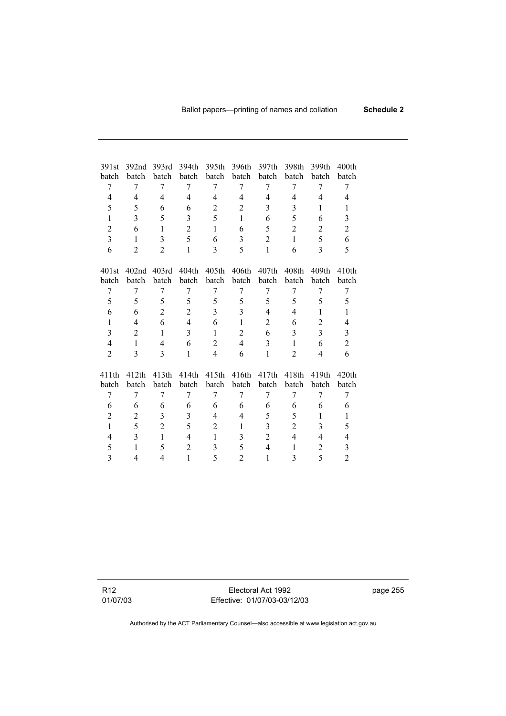| 391st          | 392 <sub>nd</sub> | 393rd          | 394th          | 395th          | 396th          | 397th          | 398th          | 399th          | 400 <sub>th</sub> |
|----------------|-------------------|----------------|----------------|----------------|----------------|----------------|----------------|----------------|-------------------|
| batch          | batch             | batch          | batch          | batch          | batch          | batch          | batch          | batch          | batch             |
| 7              | 7                 | 7              | 7              | 7              | 7              | 7              | 7              | 7              | 7                 |
| $\overline{4}$ | 4                 | $\overline{4}$ | $\overline{4}$ | 4              | 4              | 4              | 4              | 4              | 4                 |
| 5              | 5                 | 6              | 6              | $\overline{c}$ | 2              | 3              | 3              | 1              | 1                 |
| $\mathbf{1}$   | 3                 | 5              | 3              | 5              | $\mathbf{1}$   | 6              | 5              | 6              | 3                 |
| $\overline{2}$ | 6                 | $\mathbf{1}$   | $\overline{2}$ | $\mathbf{1}$   | 6              | 5              | $\overline{2}$ | $\overline{2}$ | $\overline{c}$    |
| $\overline{3}$ | $\mathbf{1}$      | 3              | 5              | 6              | 3              | $\overline{2}$ | $\mathbf{1}$   | 5              | 6                 |
| 6              | $\overline{2}$    | $\overline{2}$ | $\mathbf{1}$   | 3              | 5              | $\mathbf{1}$   | 6              | $\overline{3}$ | 5                 |
|                |                   |                |                |                |                |                |                |                |                   |
| 401st          | 402 <sub>nd</sub> | 403rd          | 404th          | 405th          | 406th          | 407th          | 408th          | 409th          | 410 <sub>th</sub> |
| batch          | batch             | batch          | batch          | batch          | batch          | batch          | batch          | batch          | batch             |
| 7              | 7                 | 7              | 7              | 7              | 7              | 7              | 7              | 7              | 7                 |
| 5              | 5                 | 5              | 5              | 5              | 5              | 5              | 5              | 5              | 5                 |
| 6              | 6                 | $\overline{2}$ | $\overline{2}$ | $\mathfrak{Z}$ | 3              | $\overline{4}$ | 4              | $\mathbf{1}$   | 1                 |
| $\mathbf{1}$   | 4                 | 6              | $\overline{4}$ | 6              | $\mathbf{1}$   | $\overline{2}$ | 6              | $\overline{2}$ | 4                 |
| 3              | $\overline{c}$    | $\mathbf{1}$   | 3              | $\mathbf{1}$   | $\overline{2}$ | 6              | 3              | 3              | 3                 |
| $\overline{4}$ | $\mathbf{1}$      | 4              | 6              | $\overline{2}$ | $\overline{4}$ | 3              | $\mathbf{1}$   | 6              | $\overline{c}$    |
| $\overline{2}$ | 3                 | 3              | 1              | $\overline{4}$ | 6              | $\mathbf{1}$   | $\overline{2}$ | $\overline{4}$ | 6                 |
| 411th          | 412th             | 413th          | 414th          | 415th          | 416th          | 417th          | 418th          | 419th          | 420th             |
| batch          | batch             | batch          | batch          | batch          | batch          | batch          | batch          | batch          | batch             |
| 7              | 7                 | 7              | 7              | 7              | 7              | 7              | 7              | 7              | 7                 |
|                |                   |                |                |                |                |                |                |                |                   |
| 6              | 6                 | 6              | 6              | 6              | 6              | 6              | 6              | 6              | 6                 |
| $\overline{2}$ | 2                 | 3              | 3              | 4              | $\overline{4}$ | 5              | 5              | 1              | 1                 |
| $\mathbf{1}$   | 5                 | $\overline{2}$ | 5              | $\overline{c}$ | 1              | 3              | $\overline{2}$ | 3              | 5                 |
| $\overline{4}$ | 3                 | $\mathbf{1}$   | $\overline{4}$ | $\mathbf{1}$   | 3              | $\overline{2}$ | $\overline{4}$ | 4              | 4                 |
| 5              | $\mathbf{1}$      | 5              | $\overline{2}$ | 3              | 5              | $\overline{4}$ | $\mathbf{1}$   | $\overline{2}$ | 3                 |
| $\overline{3}$ | $\overline{4}$    | $\overline{4}$ | 1              | 5              | $\overline{2}$ | $\mathbf{1}$   | 3              | 5              | $\overline{2}$    |

R12 01/07/03

Electoral Act 1992 Effective: 01/07/03-03/12/03 page 255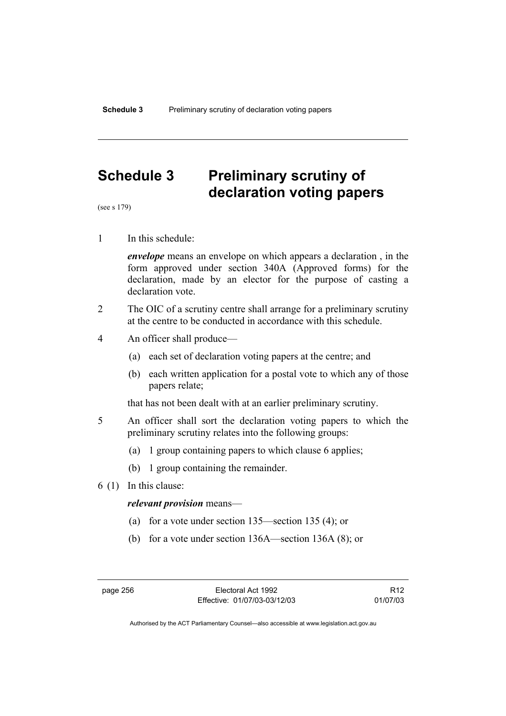# **Schedule 3 Preliminary scrutiny of declaration voting papers**

(see s 179)

1 In this schedule:

*envelope* means an envelope on which appears a declaration , in the form approved under section 340A (Approved forms) for the declaration, made by an elector for the purpose of casting a declaration vote.

- 2 The OIC of a scrutiny centre shall arrange for a preliminary scrutiny at the centre to be conducted in accordance with this schedule.
- 4 An officer shall produce—
	- (a) each set of declaration voting papers at the centre; and
	- (b) each written application for a postal vote to which any of those papers relate;

that has not been dealt with at an earlier preliminary scrutiny.

- 5 An officer shall sort the declaration voting papers to which the preliminary scrutiny relates into the following groups:
	- (a) 1 group containing papers to which clause 6 applies;
	- (b) 1 group containing the remainder.
- 6 (1) In this clause:

#### *relevant provision* means—

- (a) for a vote under section 135—section 135 (4); or
- (b) for a vote under section 136A—section 136A (8); or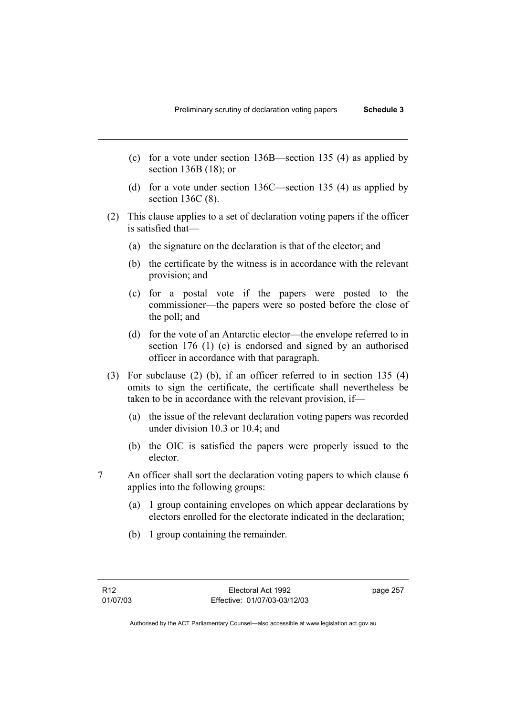- (c) for a vote under section 136B—section 135 (4) as applied by section 136B (18); or
- (d) for a vote under section 136C—section 135 (4) as applied by section 136C (8).
- (2) This clause applies to a set of declaration voting papers if the officer is satisfied that—
	- (a) the signature on the declaration is that of the elector; and
	- (b) the certificate by the witness is in accordance with the relevant provision; and
	- (c) for a postal vote if the papers were posted to the commissioner—the papers were so posted before the close of the poll; and
	- (d) for the vote of an Antarctic elector—the envelope referred to in section 176 (1) (c) is endorsed and signed by an authorised officer in accordance with that paragraph.
- (3) For subclause (2) (b), if an officer referred to in section 135 (4) omits to sign the certificate, the certificate shall nevertheless be taken to be in accordance with the relevant provision, if—
	- (a) the issue of the relevant declaration voting papers was recorded under division 10.3 or 10.4; and
	- (b) the OIC is satisfied the papers were properly issued to the elector.
- 7 An officer shall sort the declaration voting papers to which clause 6 applies into the following groups:
	- (a) 1 group containing envelopes on which appear declarations by electors enrolled for the electorate indicated in the declaration;
	- (b) 1 group containing the remainder.

page 257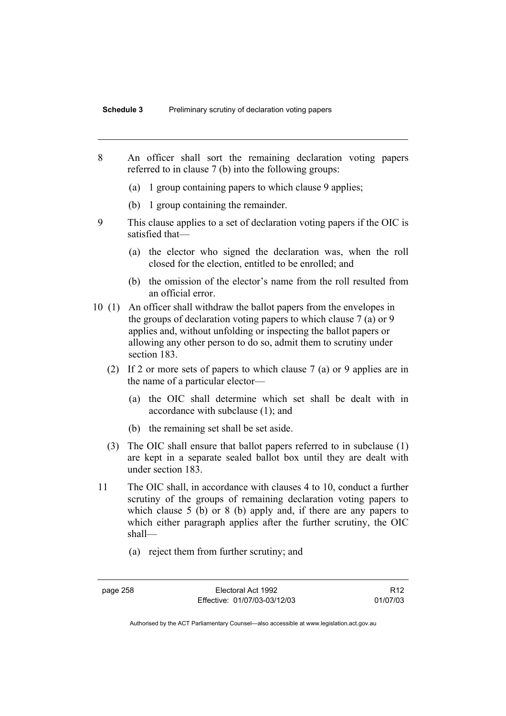- 8 An officer shall sort the remaining declaration voting papers referred to in clause 7 (b) into the following groups:
	- (a) 1 group containing papers to which clause 9 applies;
	- (b) 1 group containing the remainder.
- 9 This clause applies to a set of declaration voting papers if the OIC is satisfied that—
	- (a) the elector who signed the declaration was, when the roll closed for the election, entitled to be enrolled; and
	- (b) the omission of the elector's name from the roll resulted from an official error.
- 10 (1) An officer shall withdraw the ballot papers from the envelopes in the groups of declaration voting papers to which clause 7 (a) or 9 applies and, without unfolding or inspecting the ballot papers or allowing any other person to do so, admit them to scrutiny under section 183.
	- (2) If 2 or more sets of papers to which clause 7 (a) or 9 applies are in the name of a particular elector—
		- (a) the OIC shall determine which set shall be dealt with in accordance with subclause (1); and
		- (b) the remaining set shall be set aside.
	- (3) The OIC shall ensure that ballot papers referred to in subclause (1) are kept in a separate sealed ballot box until they are dealt with under section 183.
- 11 The OIC shall, in accordance with clauses 4 to 10, conduct a further scrutiny of the groups of remaining declaration voting papers to which clause 5 (b) or 8 (b) apply and, if there are any papers to which either paragraph applies after the further scrutiny, the OIC shall—
	- (a) reject them from further scrutiny; and

page 258 Electoral Act 1992 Effective: 01/07/03-03/12/03

R12 01/07/03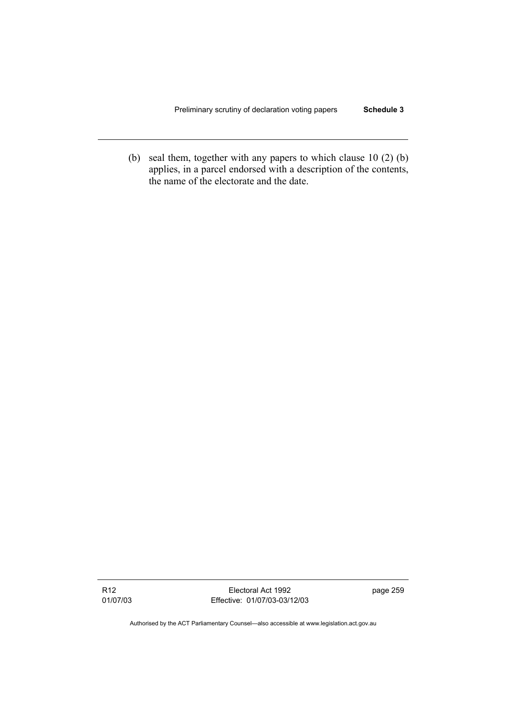(b) seal them, together with any papers to which clause 10 (2) (b) applies, in a parcel endorsed with a description of the contents, the name of the electorate and the date.

R12 01/07/03

Electoral Act 1992 Effective: 01/07/03-03/12/03 page 259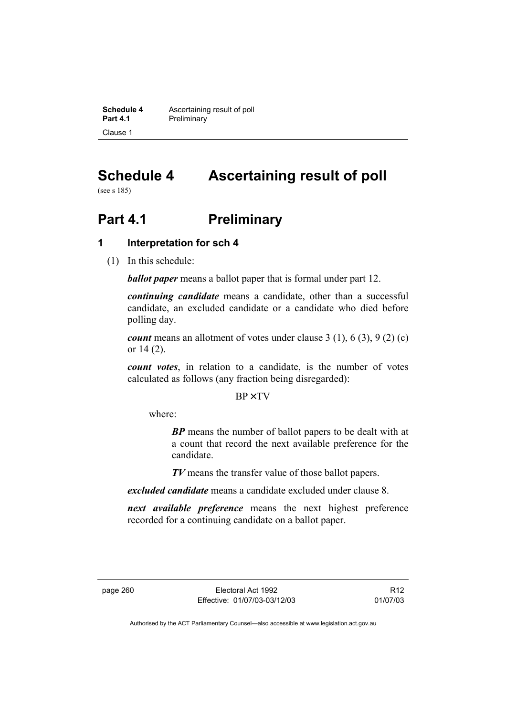**Schedule 4 Ascertaining result of poll**<br>**Part 4.1 Preliminary Preliminary** Clause 1

# **Schedule 4 Ascertaining result of poll**

(see s 185)

# **Part 4.1** Preliminary

# **1 Interpretation for sch 4**

(1) In this schedule:

*ballot paper* means a ballot paper that is formal under part 12.

*continuing candidate* means a candidate, other than a successful candidate, an excluded candidate or a candidate who died before polling day.

*count* means an allotment of votes under clause 3 (1), 6 (3), 9 (2) (c) or 14 (2).

*count votes*, in relation to a candidate, is the number of votes calculated as follows (any fraction being disregarded):

BP× TV

where:

*BP* means the number of ballot papers to be dealt with at a count that record the next available preference for the candidate.

*TV* means the transfer value of those ballot papers.

*excluded candidate* means a candidate excluded under clause 8.

*next available preference* means the next highest preference recorded for a continuing candidate on a ballot paper.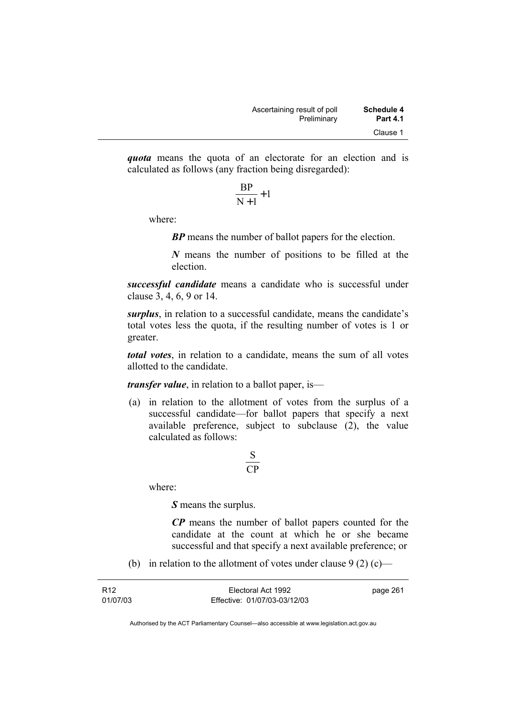*quota* means the quota of an electorate for an election and is calculated as follows (any fraction being disregarded):

$$
\frac{\text{BP}}{\text{N}+1}+1
$$

where:

*BP* means the number of ballot papers for the election.

*N* means the number of positions to be filled at the election.

*successful candidate* means a candidate who is successful under clause 3, 4, 6, 9 or 14.

*surplus*, in relation to a successful candidate, means the candidate's total votes less the quota, if the resulting number of votes is 1 or greater.

*total votes*, in relation to a candidate, means the sum of all votes allotted to the candidate.

*transfer value*, in relation to a ballot paper, is—

 (a) in relation to the allotment of votes from the surplus of a successful candidate—for ballot papers that specify a next available preference, subject to subclause (2), the value calculated as follows:

$$
\frac{\text{S}}{\text{CP}}
$$

where:

*S* means the surplus.

*CP* means the number of ballot papers counted for the candidate at the count at which he or she became successful and that specify a next available preference; or

(b) in relation to the allotment of votes under clause  $9(2)(c)$ —

| R <sub>12</sub> | Electoral Act 1992           | page 261 |
|-----------------|------------------------------|----------|
| 01/07/03        | Effective: 01/07/03-03/12/03 |          |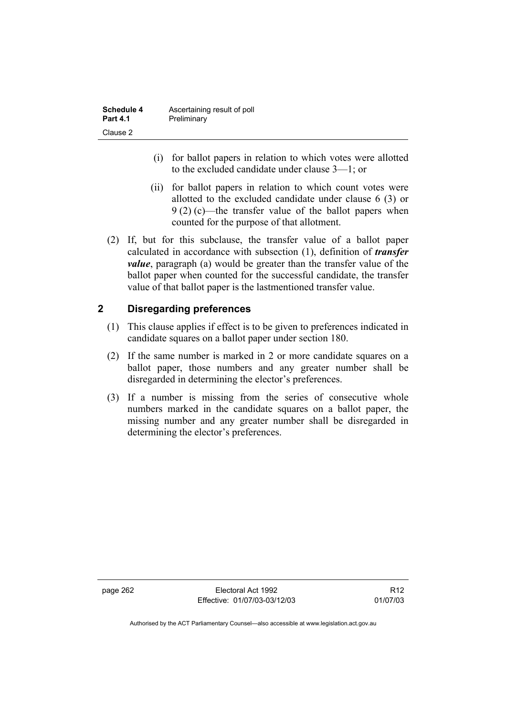| Schedule 4      | Ascertaining result of poll |
|-----------------|-----------------------------|
| <b>Part 4.1</b> | Preliminary                 |
| Clause 2        |                             |

- (i) for ballot papers in relation to which votes were allotted to the excluded candidate under clause 3—1; or
- (ii) for ballot papers in relation to which count votes were allotted to the excluded candidate under clause 6 (3) or 9 (2) (c)—the transfer value of the ballot papers when counted for the purpose of that allotment.
- (2) If, but for this subclause, the transfer value of a ballot paper calculated in accordance with subsection (1), definition of *transfer value*, paragraph (a) would be greater than the transfer value of the ballot paper when counted for the successful candidate, the transfer value of that ballot paper is the lastmentioned transfer value.

# **2 Disregarding preferences**

- (1) This clause applies if effect is to be given to preferences indicated in candidate squares on a ballot paper under section 180.
- (2) If the same number is marked in 2 or more candidate squares on a ballot paper, those numbers and any greater number shall be disregarded in determining the elector's preferences.
- (3) If a number is missing from the series of consecutive whole numbers marked in the candidate squares on a ballot paper, the missing number and any greater number shall be disregarded in determining the elector's preferences.

page 262 Electoral Act 1992 Effective: 01/07/03-03/12/03

R12 01/07/03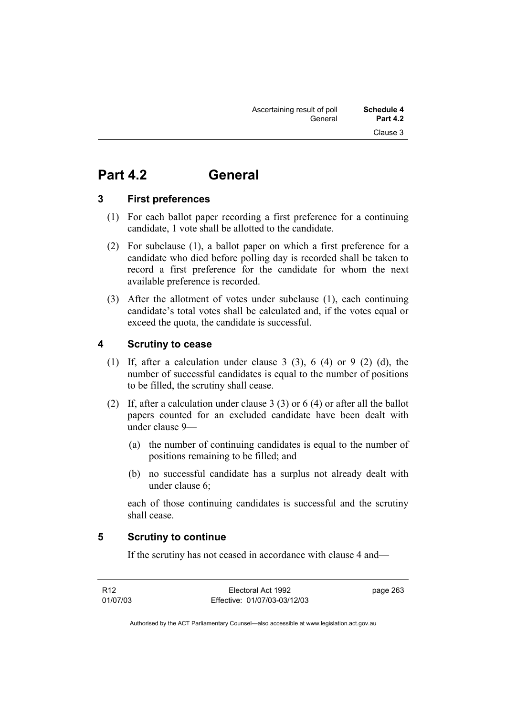# **Part 4.2 General**

# **3 First preferences**

- (1) For each ballot paper recording a first preference for a continuing candidate, 1 vote shall be allotted to the candidate.
- (2) For subclause (1), a ballot paper on which a first preference for a candidate who died before polling day is recorded shall be taken to record a first preference for the candidate for whom the next available preference is recorded.
- (3) After the allotment of votes under subclause (1), each continuing candidate's total votes shall be calculated and, if the votes equal or exceed the quota, the candidate is successful.

# **4 Scrutiny to cease**

- (1) If, after a calculation under clause 3 (3), 6 (4) or 9 (2) (d), the number of successful candidates is equal to the number of positions to be filled, the scrutiny shall cease.
- (2) If, after a calculation under clause 3 (3) or 6 (4) or after all the ballot papers counted for an excluded candidate have been dealt with under clause 9—
	- (a) the number of continuing candidates is equal to the number of positions remaining to be filled; and
	- (b) no successful candidate has a surplus not already dealt with under clause 6;

each of those continuing candidates is successful and the scrutiny shall cease.

# **5 Scrutiny to continue**

If the scrutiny has not ceased in accordance with clause 4 and—

R12 01/07/03

Electoral Act 1992 Effective: 01/07/03-03/12/03 page 263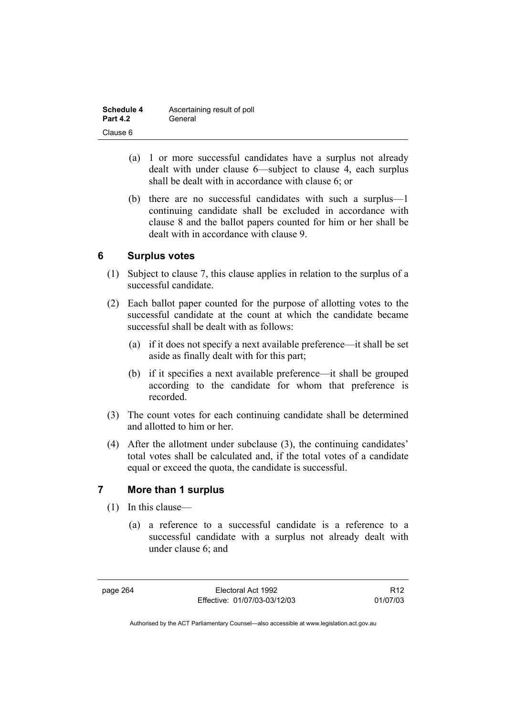| Schedule 4      | Ascertaining result of poll |
|-----------------|-----------------------------|
| <b>Part 4.2</b> | General                     |
| Clause 6        |                             |

- (a) 1 or more successful candidates have a surplus not already dealt with under clause 6—subject to clause 4, each surplus shall be dealt with in accordance with clause 6; or
- (b) there are no successful candidates with such a surplus—1 continuing candidate shall be excluded in accordance with clause 8 and the ballot papers counted for him or her shall be dealt with in accordance with clause 9.

# **6 Surplus votes**

- (1) Subject to clause 7, this clause applies in relation to the surplus of a successful candidate.
- (2) Each ballot paper counted for the purpose of allotting votes to the successful candidate at the count at which the candidate became successful shall be dealt with as follows:
	- (a) if it does not specify a next available preference—it shall be set aside as finally dealt with for this part;
	- (b) if it specifies a next available preference—it shall be grouped according to the candidate for whom that preference is recorded.
- (3) The count votes for each continuing candidate shall be determined and allotted to him or her.
- (4) After the allotment under subclause (3), the continuing candidates' total votes shall be calculated and, if the total votes of a candidate equal or exceed the quota, the candidate is successful.

# **7 More than 1 surplus**

- (1) In this clause—
	- (a) a reference to a successful candidate is a reference to a successful candidate with a surplus not already dealt with under clause 6; and

page 264 Electoral Act 1992 Effective: 01/07/03-03/12/03

R12 01/07/03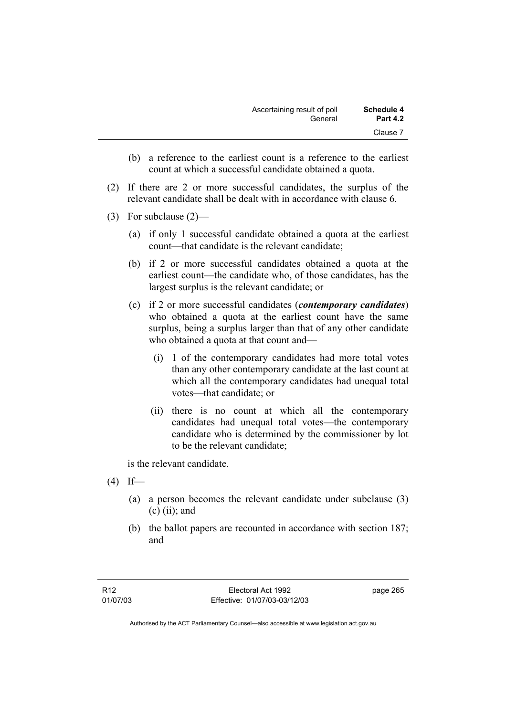| <b>Schedule 4</b> | Ascertaining result of poll |
|-------------------|-----------------------------|
| <b>Part 4.2</b>   | General                     |
| Clause 7          |                             |

- (b) a reference to the earliest count is a reference to the earliest count at which a successful candidate obtained a quota.
- (2) If there are 2 or more successful candidates, the surplus of the relevant candidate shall be dealt with in accordance with clause 6.
- (3) For subclause (2)—
	- (a) if only 1 successful candidate obtained a quota at the earliest count—that candidate is the relevant candidate;
	- (b) if 2 or more successful candidates obtained a quota at the earliest count—the candidate who, of those candidates, has the largest surplus is the relevant candidate; or
	- (c) if 2 or more successful candidates (*contemporary candidates*) who obtained a quota at the earliest count have the same surplus, being a surplus larger than that of any other candidate who obtained a quota at that count and—
		- (i) 1 of the contemporary candidates had more total votes than any other contemporary candidate at the last count at which all the contemporary candidates had unequal total votes—that candidate; or
		- (ii) there is no count at which all the contemporary candidates had unequal total votes—the contemporary candidate who is determined by the commissioner by lot to be the relevant candidate;

is the relevant candidate.

- $(4)$  If—
	- (a) a person becomes the relevant candidate under subclause (3)  $(c)$  (ii); and
	- (b) the ballot papers are recounted in accordance with section 187; and

page 265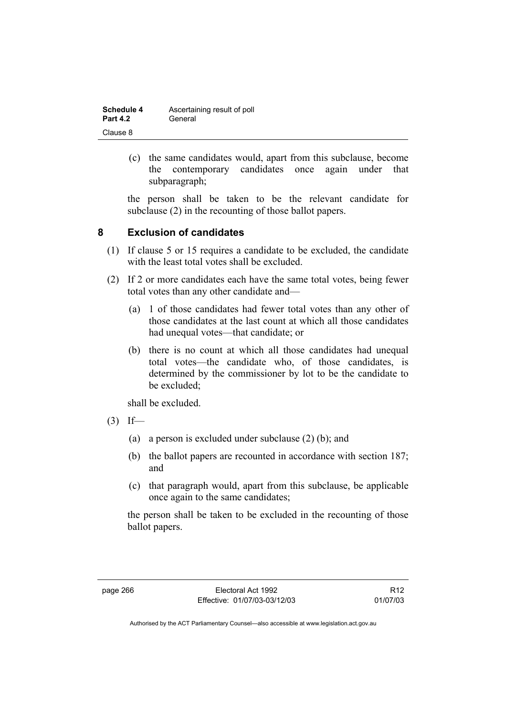| <b>Schedule 4</b> | Ascertaining result of poll |
|-------------------|-----------------------------|
| <b>Part 4.2</b>   | General                     |
| Clause 8          |                             |

 (c) the same candidates would, apart from this subclause, become the contemporary candidates once again under that subparagraph;

the person shall be taken to be the relevant candidate for subclause (2) in the recounting of those ballot papers.

# **8 Exclusion of candidates**

- (1) If clause 5 or 15 requires a candidate to be excluded, the candidate with the least total votes shall be excluded.
- (2) If 2 or more candidates each have the same total votes, being fewer total votes than any other candidate and—
	- (a) 1 of those candidates had fewer total votes than any other of those candidates at the last count at which all those candidates had unequal votes—that candidate; or
	- (b) there is no count at which all those candidates had unequal total votes—the candidate who, of those candidates, is determined by the commissioner by lot to be the candidate to be excluded;

shall be excluded.

- $(3)$  If—
	- (a) a person is excluded under subclause (2) (b); and
	- (b) the ballot papers are recounted in accordance with section 187; and
	- (c) that paragraph would, apart from this subclause, be applicable once again to the same candidates;

the person shall be taken to be excluded in the recounting of those ballot papers.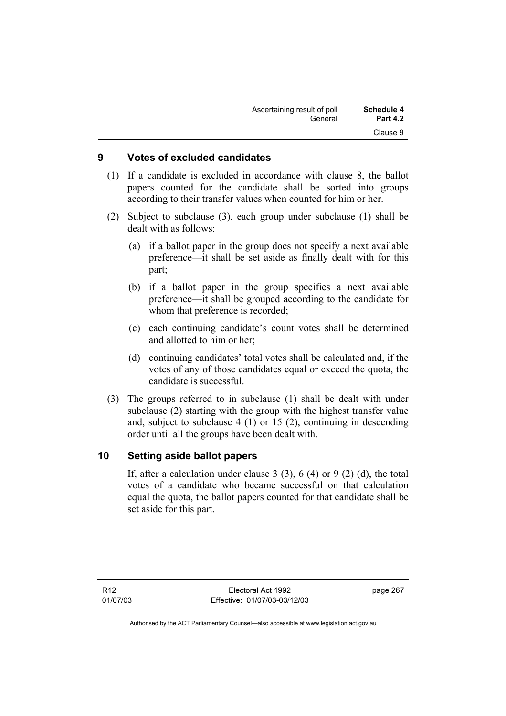| Schedule 4      | Ascertaining result of poll |
|-----------------|-----------------------------|
| <b>Part 4.2</b> | General                     |
| Clause 9        |                             |

# **9 Votes of excluded candidates**

- (1) If a candidate is excluded in accordance with clause 8, the ballot papers counted for the candidate shall be sorted into groups according to their transfer values when counted for him or her.
- (2) Subject to subclause (3), each group under subclause (1) shall be dealt with as follows:
	- (a) if a ballot paper in the group does not specify a next available preference—it shall be set aside as finally dealt with for this part;
	- (b) if a ballot paper in the group specifies a next available preference—it shall be grouped according to the candidate for whom that preference is recorded;
	- (c) each continuing candidate's count votes shall be determined and allotted to him or her;
	- (d) continuing candidates' total votes shall be calculated and, if the votes of any of those candidates equal or exceed the quota, the candidate is successful.
- (3) The groups referred to in subclause (1) shall be dealt with under subclause (2) starting with the group with the highest transfer value and, subject to subclause 4 (1) or 15 (2), continuing in descending order until all the groups have been dealt with.

# **10 Setting aside ballot papers**

If, after a calculation under clause 3  $(3)$ , 6  $(4)$  or 9  $(2)$   $(d)$ , the total votes of a candidate who became successful on that calculation equal the quota, the ballot papers counted for that candidate shall be set aside for this part.

page 267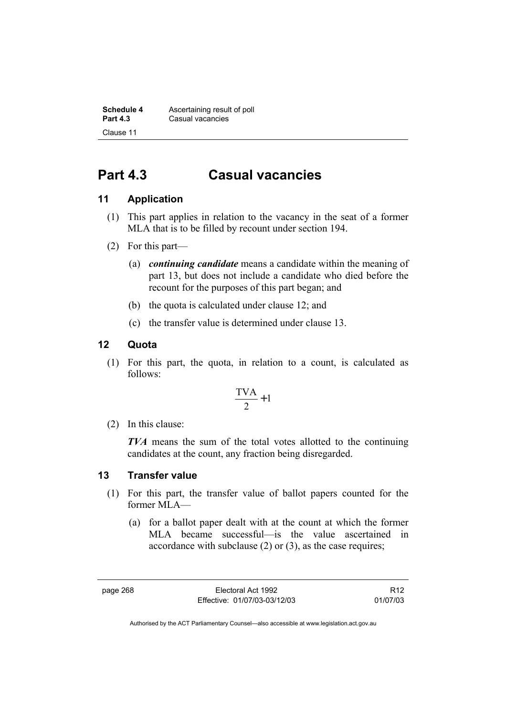**Schedule 4 Ascertaining result of poll**<br>**Part 4.3 Casual vacancies Casual vacancies** Clause 11

# **Part 4.3 Casual vacancies**

# **11 Application**

- (1) This part applies in relation to the vacancy in the seat of a former MLA that is to be filled by recount under section 194.
- (2) For this part—
	- (a) *continuing candidate* means a candidate within the meaning of part 13, but does not include a candidate who died before the recount for the purposes of this part began; and
	- (b) the quota is calculated under clause 12; and
	- (c) the transfer value is determined under clause 13.

# **12 Quota**

 (1) For this part, the quota, in relation to a count, is calculated as follows:

$$
\frac{\text{TVA}}{2} + 1
$$

(2) In this clause:

*TVA* means the sum of the total votes allotted to the continuing candidates at the count, any fraction being disregarded.

# **13 Transfer value**

- (1) For this part, the transfer value of ballot papers counted for the former MLA—
	- (a) for a ballot paper dealt with at the count at which the former MLA became successful—is the value ascertained in accordance with subclause (2) or (3), as the case requires;

page 268 Electoral Act 1992 Effective: 01/07/03-03/12/03

R12 01/07/03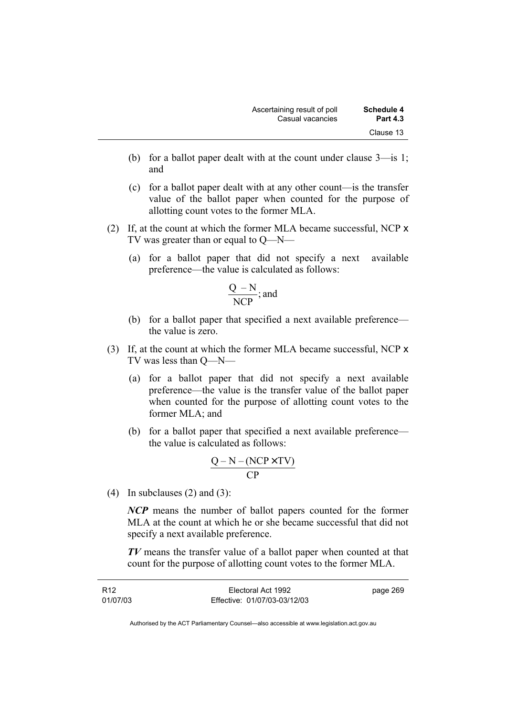- (b) for a ballot paper dealt with at the count under clause 3—is 1; and
- (c) for a ballot paper dealt with at any other count—is the transfer value of the ballot paper when counted for the purpose of allotting count votes to the former MLA.
- (2) If, at the count at which the former MLA became successful, NCP x TV was greater than or equal to Q—N—
	- (a) for a ballot paper that did not specify a next available preference—the value is calculated as follows:

$$
\frac{Q-N}{NCP}; \text{and}
$$

- (b) for a ballot paper that specified a next available preference the value is zero.
- (3) If, at the count at which the former MLA became successful, NCP x TV was less than Q—N—
	- (a) for a ballot paper that did not specify a next available preference—the value is the transfer value of the ballot paper when counted for the purpose of allotting count votes to the former MLA; and
	- (b) for a ballot paper that specified a next available preference the value is calculated as follows:

$$
\frac{Q-N-(NCP \times TV)}{CP}
$$

(4) In subclauses  $(2)$  and  $(3)$ :

*NCP* means the number of ballot papers counted for the former MLA at the count at which he or she became successful that did not specify a next available preference.

*TV* means the transfer value of a ballot paper when counted at that count for the purpose of allotting count votes to the former MLA.

| R12      | Electoral Act 1992           | page 269 |
|----------|------------------------------|----------|
| 01/07/03 | Effective: 01/07/03-03/12/03 |          |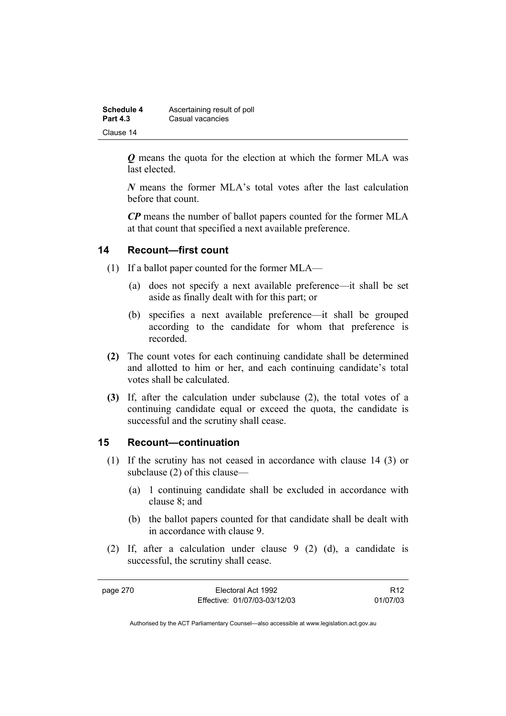| Schedule 4      | Ascertaining result of poll |
|-----------------|-----------------------------|
| <b>Part 4.3</b> | Casual vacancies            |
| Clause 14       |                             |

*Q* means the quota for the election at which the former MLA was last elected.

*N* means the former MLA's total votes after the last calculation before that count.

*CP* means the number of ballot papers counted for the former MLA at that count that specified a next available preference.

### **14 Recount—first count**

- (1) If a ballot paper counted for the former MLA—
	- (a) does not specify a next available preference—it shall be set aside as finally dealt with for this part; or
	- (b) specifies a next available preference—it shall be grouped according to the candidate for whom that preference is recorded.
- **(2)** The count votes for each continuing candidate shall be determined and allotted to him or her, and each continuing candidate's total votes shall be calculated.
- **(3)** If, after the calculation under subclause (2), the total votes of a continuing candidate equal or exceed the quota, the candidate is successful and the scrutiny shall cease.

### **15 Recount—continuation**

- (1) If the scrutiny has not ceased in accordance with clause 14 (3) or subclause (2) of this clause—
	- (a) 1 continuing candidate shall be excluded in accordance with clause 8; and
	- (b) the ballot papers counted for that candidate shall be dealt with in accordance with clause 9.
- (2) If, after a calculation under clause 9 (2) (d), a candidate is successful, the scrutiny shall cease.

page 270 Electoral Act 1992 Effective: 01/07/03-03/12/03

R12 01/07/03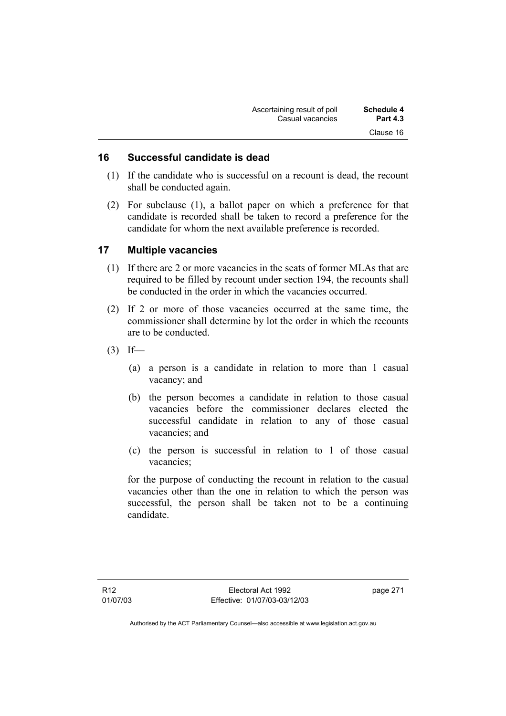| Ascertaining result of poll | Schedule 4      |
|-----------------------------|-----------------|
| Casual vacancies            | <b>Part 4.3</b> |
|                             | Clause 16       |

### **16 Successful candidate is dead**

- (1) If the candidate who is successful on a recount is dead, the recount shall be conducted again.
- (2) For subclause (1), a ballot paper on which a preference for that candidate is recorded shall be taken to record a preference for the candidate for whom the next available preference is recorded.

### **17 Multiple vacancies**

- (1) If there are 2 or more vacancies in the seats of former MLAs that are required to be filled by recount under section 194, the recounts shall be conducted in the order in which the vacancies occurred.
- (2) If 2 or more of those vacancies occurred at the same time, the commissioner shall determine by lot the order in which the recounts are to be conducted.
- $(3)$  If—
	- (a) a person is a candidate in relation to more than 1 casual vacancy; and
	- (b) the person becomes a candidate in relation to those casual vacancies before the commissioner declares elected the successful candidate in relation to any of those casual vacancies; and
	- (c) the person is successful in relation to 1 of those casual vacancies;

for the purpose of conducting the recount in relation to the casual vacancies other than the one in relation to which the person was successful, the person shall be taken not to be a continuing candidate.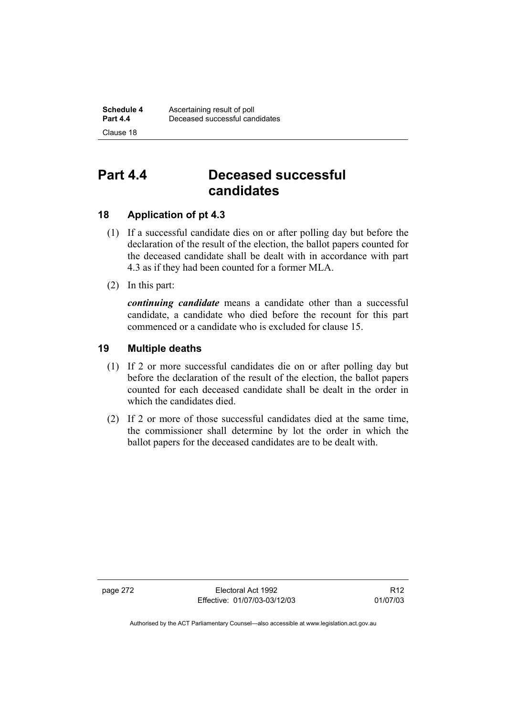## **Part 4.4 Deceased successful candidates**

## **18 Application of pt 4.3**

- (1) If a successful candidate dies on or after polling day but before the declaration of the result of the election, the ballot papers counted for the deceased candidate shall be dealt with in accordance with part 4.3 as if they had been counted for a former MLA.
- (2) In this part:

*continuing candidate* means a candidate other than a successful candidate, a candidate who died before the recount for this part commenced or a candidate who is excluded for clause 15.

## **19 Multiple deaths**

- (1) If 2 or more successful candidates die on or after polling day but before the declaration of the result of the election, the ballot papers counted for each deceased candidate shall be dealt in the order in which the candidates died.
- (2) If 2 or more of those successful candidates died at the same time, the commissioner shall determine by lot the order in which the ballot papers for the deceased candidates are to be dealt with.

page 272 Electoral Act 1992 Effective: 01/07/03-03/12/03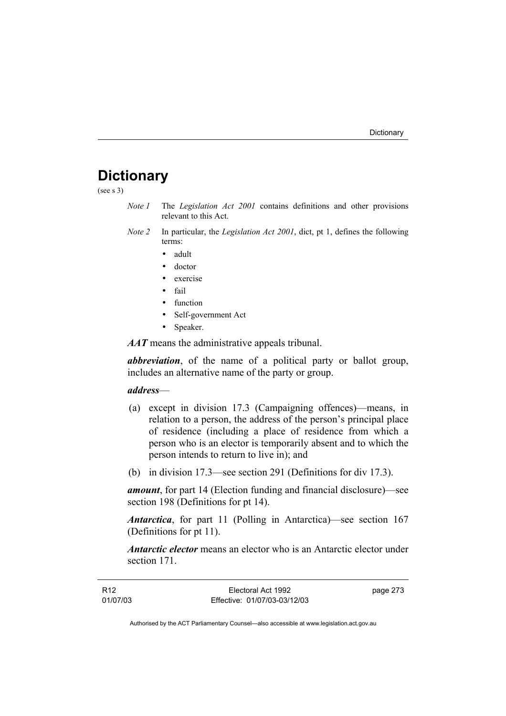## **Dictionary**

(see s 3)

- *Note 1* The *Legislation Act 2001* contains definitions and other provisions relevant to this Act.
- *Note 2* In particular, the *Legislation Act 2001*, dict, pt 1, defines the following terms:
	- adult
	- doctor
	- exercise
	- fail
	- function
	- Self-government Act
	- Speaker.

*AAT* means the administrative appeals tribunal.

*abbreviation*, of the name of a political party or ballot group, includes an alternative name of the party or group.

### *address*—

- (a) except in division 17.3 (Campaigning offences)—means, in relation to a person, the address of the person's principal place of residence (including a place of residence from which a person who is an elector is temporarily absent and to which the person intends to return to live in); and
- (b) in division 17.3—see section 291 (Definitions for div 17.3).

*amount*, for part 14 (Election funding and financial disclosure)—see section 198 (Definitions for pt 14).

*Antarctica*, for part 11 (Polling in Antarctica)—see section 167 (Definitions for pt 11).

*Antarctic elector* means an elector who is an Antarctic elector under section 171.

| R12      | Electoral Act 1992           | page 273 |
|----------|------------------------------|----------|
| 01/07/03 | Effective: 01/07/03-03/12/03 |          |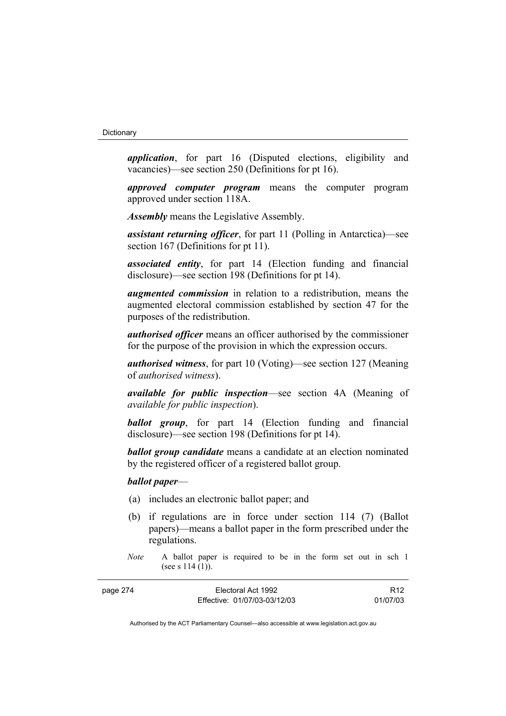*application*, for part 16 (Disputed elections, eligibility and vacancies)—see section 250 (Definitions for pt 16).

*approved computer program* means the computer program approved under section 118A.

*Assembly* means the Legislative Assembly.

*assistant returning officer*, for part 11 (Polling in Antarctica)—see section 167 (Definitions for pt 11).

*associated entity*, for part 14 (Election funding and financial disclosure)—see section 198 (Definitions for pt 14).

*augmented commission* in relation to a redistribution, means the augmented electoral commission established by section 47 for the purposes of the redistribution.

*authorised officer* means an officer authorised by the commissioner for the purpose of the provision in which the expression occurs.

*authorised witness*, for part 10 (Voting)—see section 127 (Meaning of *authorised witness*).

*available for public inspection*—see section 4A (Meaning of *available for public inspection*).

*ballot group*, for part 14 (Election funding and financial disclosure)—see section 198 (Definitions for pt 14).

*ballot group candidate* means a candidate at an election nominated by the registered officer of a registered ballot group.

### *ballot paper*—

- (a) includes an electronic ballot paper; and
- (b) if regulations are in force under section 114 (7) (Ballot papers)—means a ballot paper in the form prescribed under the regulations.
- *Note* A ballot paper is required to be in the form set out in sch 1 (see s 114 (1)).

| page 274 | Electoral Act 1992           | R <sub>12</sub> |
|----------|------------------------------|-----------------|
|          | Effective: 01/07/03-03/12/03 | 01/07/03        |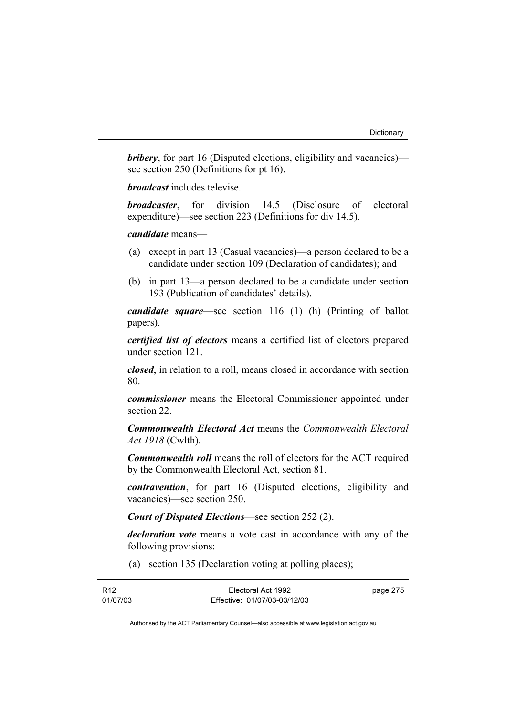*bribery*, for part 16 (Disputed elections, eligibility and vacancies) see section 250 (Definitions for pt 16).

*broadcast* includes televise.

*broadcaster*, for division 14.5 (Disclosure of electoral expenditure)—see section 223 (Definitions for div 14.5).

### *candidate* means—

- (a) except in part 13 (Casual vacancies)—a person declared to be a candidate under section 109 (Declaration of candidates); and
- (b) in part 13—a person declared to be a candidate under section 193 (Publication of candidates' details).

*candidate square*—see section 116 (1) (h) (Printing of ballot papers).

*certified list of electors* means a certified list of electors prepared under section 121.

*closed*, in relation to a roll, means closed in accordance with section 80.

*commissioner* means the Electoral Commissioner appointed under section 22.

*Commonwealth Electoral Act* means the *Commonwealth Electoral Act 1918* (Cwlth).

*Commonwealth roll* means the roll of electors for the ACT required by the Commonwealth Electoral Act, section 81.

*contravention*, for part 16 (Disputed elections, eligibility and vacancies)—see section 250.

*Court of Disputed Elections*—see section 252 (2).

*declaration vote* means a vote cast in accordance with any of the following provisions:

(a) section 135 (Declaration voting at polling places);

| R <sub>12</sub> | Electoral Act 1992           | page 275 |
|-----------------|------------------------------|----------|
| 01/07/03        | Effective: 01/07/03-03/12/03 |          |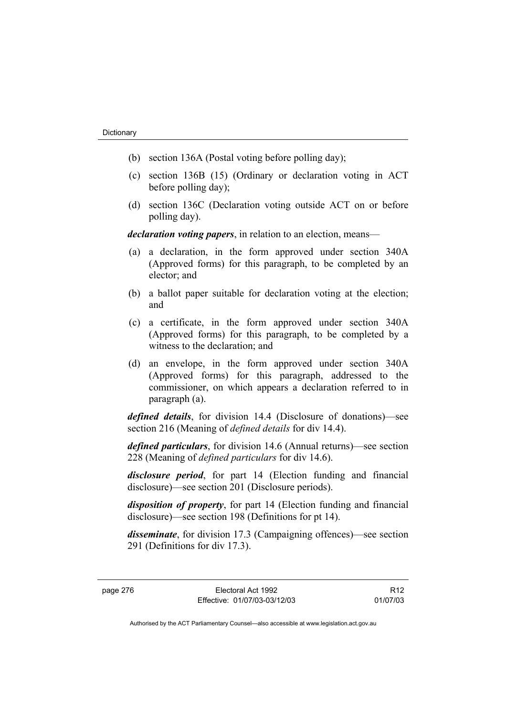- (b) section 136A (Postal voting before polling day);
- (c) section 136B (15) (Ordinary or declaration voting in ACT before polling day);
- (d) section 136C (Declaration voting outside ACT on or before polling day).

*declaration voting papers*, in relation to an election, means—

- (a) a declaration, in the form approved under section 340A (Approved forms) for this paragraph, to be completed by an elector; and
- (b) a ballot paper suitable for declaration voting at the election; and
- (c) a certificate, in the form approved under section 340A (Approved forms) for this paragraph, to be completed by a witness to the declaration; and
- (d) an envelope, in the form approved under section 340A (Approved forms) for this paragraph, addressed to the commissioner, on which appears a declaration referred to in paragraph (a).

*defined details*, for division 14.4 (Disclosure of donations)—see section 216 (Meaning of *defined details* for div 14.4).

*defined particulars*, for division 14.6 (Annual returns)—see section 228 (Meaning of *defined particulars* for div 14.6).

*disclosure period*, for part 14 (Election funding and financial disclosure)—see section 201 (Disclosure periods).

*disposition of property*, for part 14 (Election funding and financial disclosure)—see section 198 (Definitions for pt 14).

*disseminate*, for division 17.3 (Campaigning offences)—see section 291 (Definitions for div 17.3).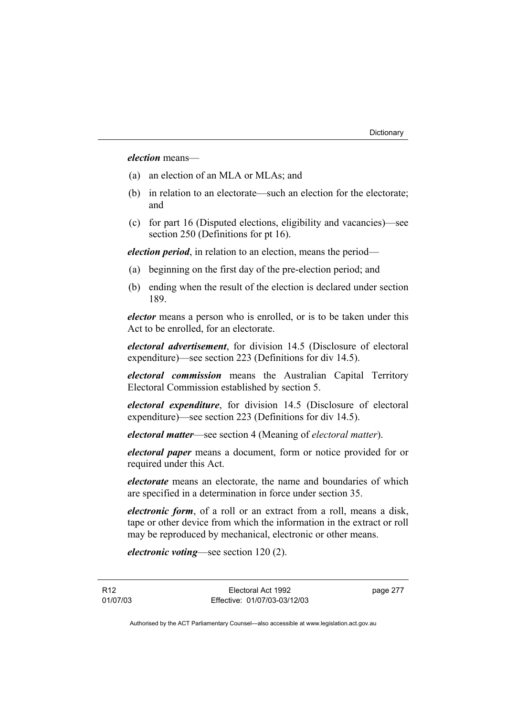### *election* means—

- (a) an election of an MLA or MLAs; and
- (b) in relation to an electorate—such an election for the electorate; and
- (c) for part 16 (Disputed elections, eligibility and vacancies)—see section 250 (Definitions for pt 16).

*election period*, in relation to an election, means the period—

- (a) beginning on the first day of the pre-election period; and
- (b) ending when the result of the election is declared under section 189.

*elector* means a person who is enrolled, or is to be taken under this Act to be enrolled, for an electorate.

*electoral advertisement*, for division 14.5 (Disclosure of electoral expenditure)—see section 223 (Definitions for div 14.5).

*electoral commission* means the Australian Capital Territory Electoral Commission established by section 5.

*electoral expenditure*, for division 14.5 (Disclosure of electoral expenditure)—see section 223 (Definitions for div 14.5).

*electoral matter*—see section 4 (Meaning of *electoral matter*).

*electoral paper* means a document, form or notice provided for or required under this Act.

*electorate* means an electorate, the name and boundaries of which are specified in a determination in force under section 35.

*electronic form*, of a roll or an extract from a roll, means a disk, tape or other device from which the information in the extract or roll may be reproduced by mechanical, electronic or other means.

*electronic voting*—see section 120 (2).

R12 01/07/03 page 277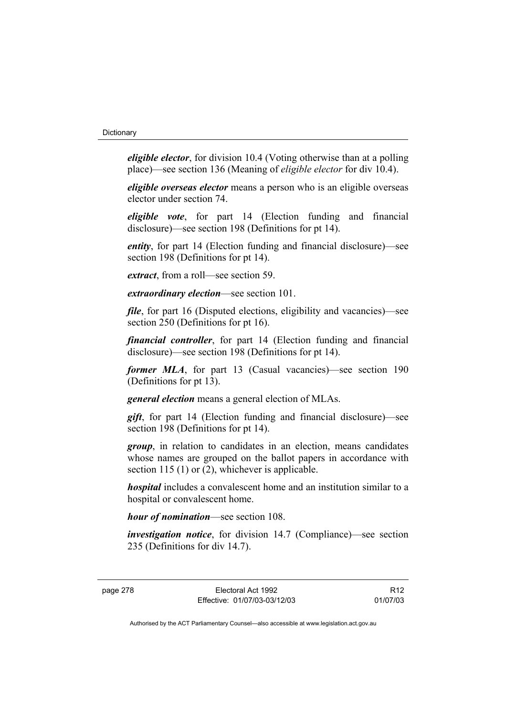*eligible elector*, for division 10.4 (Voting otherwise than at a polling place)—see section 136 (Meaning of *eligible elector* for div 10.4).

*eligible overseas elector* means a person who is an eligible overseas elector under section 74.

*eligible vote*, for part 14 (Election funding and financial disclosure)—see section 198 (Definitions for pt 14).

*entity*, for part 14 (Election funding and financial disclosure)—see section 198 (Definitions for pt 14).

*extract*, from a roll—see section 59.

*extraordinary election*—see section 101.

*file*, for part 16 (Disputed elections, eligibility and vacancies)—see section 250 (Definitions for pt 16).

*financial controller*, for part 14 (Election funding and financial disclosure)—see section 198 (Definitions for pt 14).

*former MLA*, for part 13 (Casual vacancies)—see section 190 (Definitions for pt 13).

*general election* means a general election of MLAs.

*gift*, for part 14 (Election funding and financial disclosure)—see section 198 (Definitions for pt 14).

*group*, in relation to candidates in an election, means candidates whose names are grouped on the ballot papers in accordance with section 115 (1) or (2), whichever is applicable.

*hospital* includes a convalescent home and an institution similar to a hospital or convalescent home.

*hour of nomination*—see section 108.

*investigation notice*, for division 14.7 (Compliance)—see section 235 (Definitions for div 14.7).

R12 01/07/03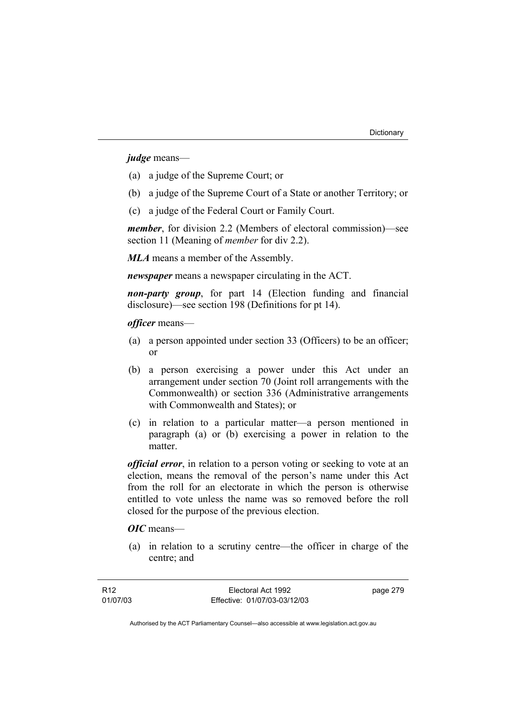*judge* means—

- (a) a judge of the Supreme Court; or
- (b) a judge of the Supreme Court of a State or another Territory; or
- (c) a judge of the Federal Court or Family Court.

*member*, for division 2.2 (Members of electoral commission)—see section 11 (Meaning of *member* for div 2.2).

*MLA* means a member of the Assembly.

*newspaper* means a newspaper circulating in the ACT.

*non-party group*, for part 14 (Election funding and financial disclosure)—see section 198 (Definitions for pt 14).

*officer* means—

- (a) a person appointed under section 33 (Officers) to be an officer; or
- (b) a person exercising a power under this Act under an arrangement under section 70 (Joint roll arrangements with the Commonwealth) or section 336 (Administrative arrangements with Commonwealth and States); or
- (c) in relation to a particular matter—a person mentioned in paragraph (a) or (b) exercising a power in relation to the matter.

*official error*, in relation to a person voting or seeking to vote at an election, means the removal of the person's name under this Act from the roll for an electorate in which the person is otherwise entitled to vote unless the name was so removed before the roll closed for the purpose of the previous election.

*OIC* means—

 (a) in relation to a scrutiny centre—the officer in charge of the centre; and

page 279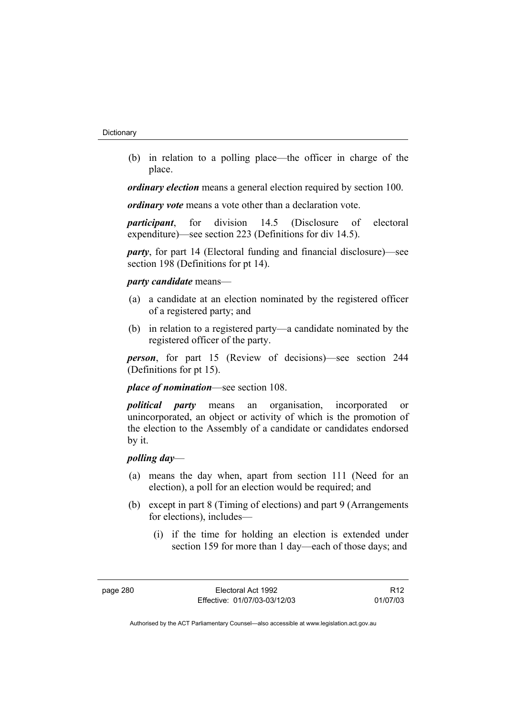(b) in relation to a polling place—the officer in charge of the place.

*ordinary election* means a general election required by section 100.

*ordinary vote* means a vote other than a declaration vote.

*participant*, for division 14.5 (Disclosure of electoral expenditure)—see section 223 (Definitions for div 14.5).

*party*, for part 14 (Electoral funding and financial disclosure)—see section 198 (Definitions for pt 14).

### *party candidate* means—

- (a) a candidate at an election nominated by the registered officer of a registered party; and
- (b) in relation to a registered party—a candidate nominated by the registered officer of the party.

*person*, for part 15 (Review of decisions)—see section 244 (Definitions for pt 15).

*place of nomination*—see section 108.

*political party* means an organisation, incorporated or unincorporated, an object or activity of which is the promotion of the election to the Assembly of a candidate or candidates endorsed by it.

### *polling day*—

- (a) means the day when, apart from section 111 (Need for an election), a poll for an election would be required; and
- (b) except in part 8 (Timing of elections) and part 9 (Arrangements for elections), includes—
	- (i) if the time for holding an election is extended under section 159 for more than 1 day—each of those days; and

R12 01/07/03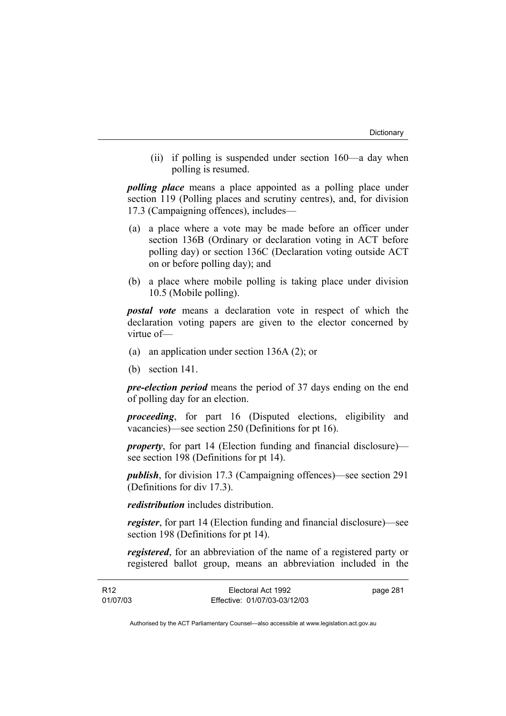(ii) if polling is suspended under section 160—a day when polling is resumed.

*polling place* means a place appointed as a polling place under section 119 (Polling places and scrutiny centres), and, for division 17.3 (Campaigning offences), includes—

- (a) a place where a vote may be made before an officer under section 136B (Ordinary or declaration voting in ACT before polling day) or section 136C (Declaration voting outside ACT on or before polling day); and
- (b) a place where mobile polling is taking place under division 10.5 (Mobile polling).

*postal vote* means a declaration vote in respect of which the declaration voting papers are given to the elector concerned by virtue of—

- (a) an application under section 136A (2); or
- (b) section 141.

*pre-election period* means the period of 37 days ending on the end of polling day for an election.

*proceeding*, for part 16 (Disputed elections, eligibility and vacancies)—see section 250 (Definitions for pt 16).

*property*, for part 14 (Election funding and financial disclosure) see section 198 (Definitions for pt 14).

*publish*, for division 17.3 (Campaigning offences)—see section 291 (Definitions for div 17.3).

*redistribution* includes distribution.

*register*, for part 14 (Election funding and financial disclosure)—see section 198 (Definitions for pt 14).

*registered*, for an abbreviation of the name of a registered party or registered ballot group, means an abbreviation included in the

| R12      | Electoral Act 1992           | page 281 |
|----------|------------------------------|----------|
| 01/07/03 | Effective: 01/07/03-03/12/03 |          |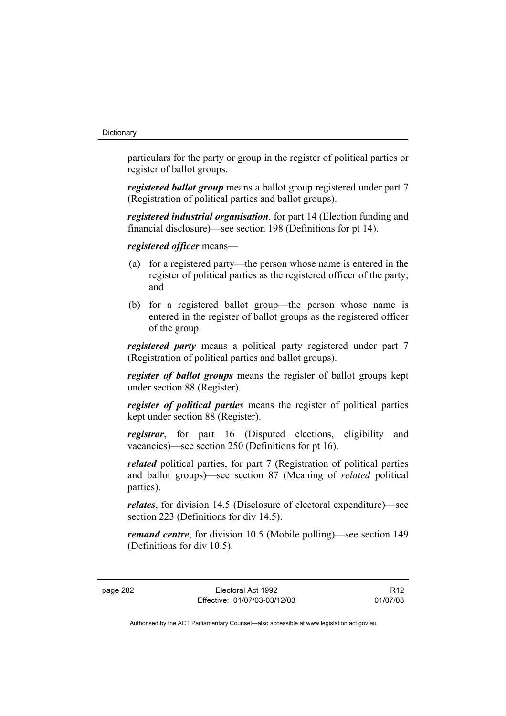particulars for the party or group in the register of political parties or register of ballot groups.

*registered ballot group* means a ballot group registered under part 7 (Registration of political parties and ballot groups).

*registered industrial organisation*, for part 14 (Election funding and financial disclosure)—see section 198 (Definitions for pt 14).

*registered officer* means—

- (a) for a registered party—the person whose name is entered in the register of political parties as the registered officer of the party; and
- (b) for a registered ballot group—the person whose name is entered in the register of ballot groups as the registered officer of the group.

*registered party* means a political party registered under part 7 (Registration of political parties and ballot groups).

*register of ballot groups* means the register of ballot groups kept under section 88 (Register).

*register of political parties* means the register of political parties kept under section 88 (Register).

*registrar*, for part 16 (Disputed elections, eligibility and vacancies)—see section 250 (Definitions for pt 16).

*related* political parties, for part 7 (Registration of political parties and ballot groups)—see section 87 (Meaning of *related* political parties).

*relates*, for division 14.5 (Disclosure of electoral expenditure)—see section 223 (Definitions for div 14.5).

*remand centre*, for division 10.5 (Mobile polling)—see section 149 (Definitions for div 10.5).

page 282 Electoral Act 1992 Effective: 01/07/03-03/12/03

R12 01/07/03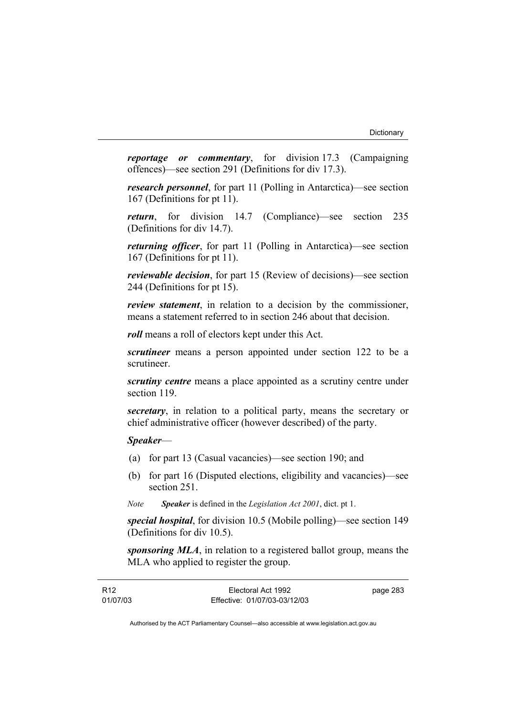*reportage or commentary*, for division 17.3 (Campaigning offences)—see section 291 (Definitions for div 17.3).

*research personnel*, for part 11 (Polling in Antarctica)—see section 167 (Definitions for pt 11).

*return*, for division 14.7 (Compliance)—see section 235 (Definitions for div 14.7).

*returning officer*, for part 11 (Polling in Antarctica)—see section 167 (Definitions for pt 11).

*reviewable decision*, for part 15 (Review of decisions)—see section 244 (Definitions for pt 15).

*review statement*, in relation to a decision by the commissioner, means a statement referred to in section 246 about that decision.

*roll* means a roll of electors kept under this Act.

*scrutineer* means a person appointed under section 122 to be a scrutineer.

*scrutiny centre* means a place appointed as a scrutiny centre under section 119.

*secretary*, in relation to a political party, means the secretary or chief administrative officer (however described) of the party.

*Speaker*—

- (a) for part 13 (Casual vacancies)—see section 190; and
- (b) for part 16 (Disputed elections, eligibility and vacancies)—see section 251.
- *Note Speaker* is defined in the *Legislation Act 2001*, dict. pt 1.

*special hospital*, for division 10.5 (Mobile polling)—see section 149 (Definitions for div 10.5).

*sponsoring MLA*, in relation to a registered ballot group, means the MLA who applied to register the group.

| R <sub>12</sub> | Electoral Act 1992           | page 283 |
|-----------------|------------------------------|----------|
| 01/07/03        | Effective: 01/07/03-03/12/03 |          |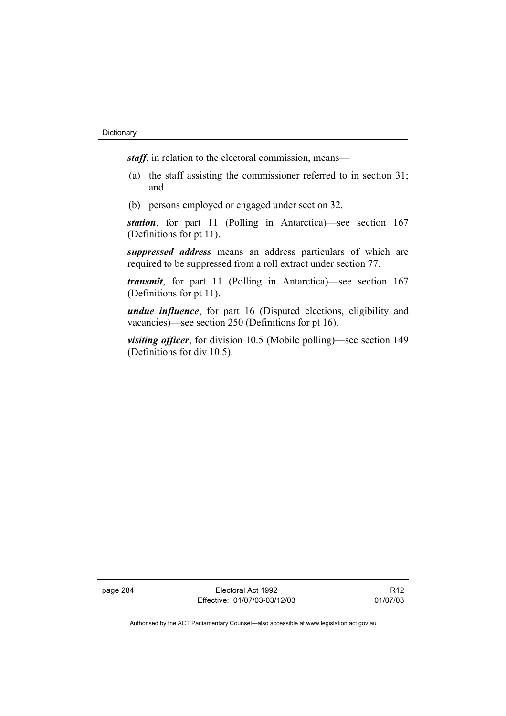*staff*, in relation to the electoral commission, means—

- (a) the staff assisting the commissioner referred to in section 31; and
- (b) persons employed or engaged under section 32.

*station*, for part 11 (Polling in Antarctica)—see section 167 (Definitions for pt 11).

*suppressed address* means an address particulars of which are required to be suppressed from a roll extract under section 77.

*transmit*, for part 11 (Polling in Antarctica)—see section 167 (Definitions for pt 11).

*undue influence*, for part 16 (Disputed elections, eligibility and vacancies)—see section 250 (Definitions for pt 16).

*visiting officer*, for division 10.5 (Mobile polling)—see section 149 (Definitions for div 10.5).

page 284 Electoral Act 1992 Effective: 01/07/03-03/12/03

R12 01/07/03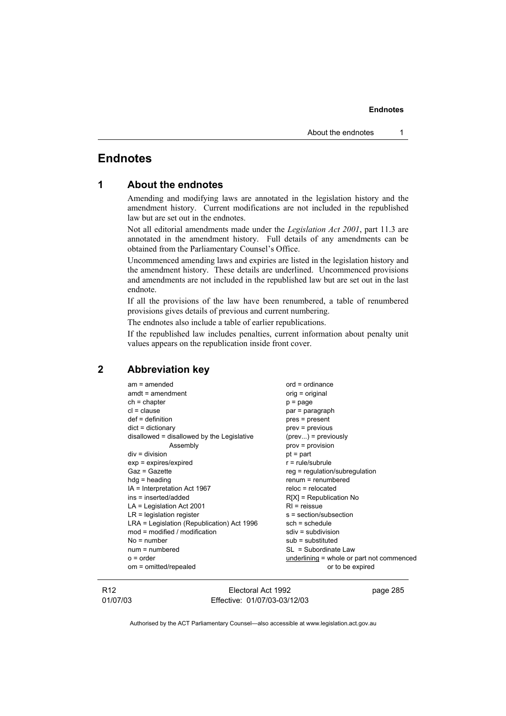## **Endnotes**

| 1 |  |  | <b>About the endnotes</b> |
|---|--|--|---------------------------|
|---|--|--|---------------------------|

Amending and modifying laws are annotated in the legislation history and the amendment history. Current modifications are not included in the republished law but are set out in the endnotes.

Not all editorial amendments made under the *Legislation Act 2001*, part 11.3 are annotated in the amendment history. Full details of any amendments can be obtained from the Parliamentary Counsel's Office.

Uncommenced amending laws and expiries are listed in the legislation history and the amendment history. These details are underlined. Uncommenced provisions and amendments are not included in the republished law but are set out in the last endnote.

If all the provisions of the law have been renumbered, a table of renumbered provisions gives details of previous and current numbering.

The endnotes also include a table of earlier republications.

If the republished law includes penalties, current information about penalty unit values appears on the republication inside front cover.

### **2 Abbreviation key**

| $am = amended$                             | $ord = ordinance$                         |
|--------------------------------------------|-------------------------------------------|
| $amdt = amendment$                         | $orig = original$                         |
| $ch = chapter$                             | $p = page$                                |
| $cl = clause$                              | par = paragraph                           |
| $def = definition$                         | pres = present                            |
| $dict = dictionary$                        | $prev = previous$                         |
| disallowed = disallowed by the Legislative | $(\text{prev})$ = previously              |
| Assembly                                   | $prov = provision$                        |
| $div = division$                           | $pt = part$                               |
| $exp = expires/expired$                    | $r = rule/subrule$                        |
| Gaz = Gazette                              | $reg = regulation/subregulation$          |
| $hdg =$ heading                            | $renum = renumbered$                      |
| IA = Interpretation Act 1967               | $reloc = relocated$                       |
| ins = inserted/added                       | $R[X]$ = Republication No                 |
| $LA =$ Legislation Act 2001                | $RI = reissue$                            |
| $LR =$ legislation register                | s = section/subsection                    |
| LRA = Legislation (Republication) Act 1996 | $sch = schedule$                          |
| $mod = modified / modified$                | $sdiv = subdivision$                      |
| $No = number$                              | $sub =$ substituted                       |
| $num = numbered$                           | SL = Subordinate Law                      |
| $o = order$                                | underlining = whole or part not commenced |
| om = omitted/repealed                      | or to be expired                          |
|                                            |                                           |

R12 01/07/03

Electoral Act 1992 Effective: 01/07/03-03/12/03 page 285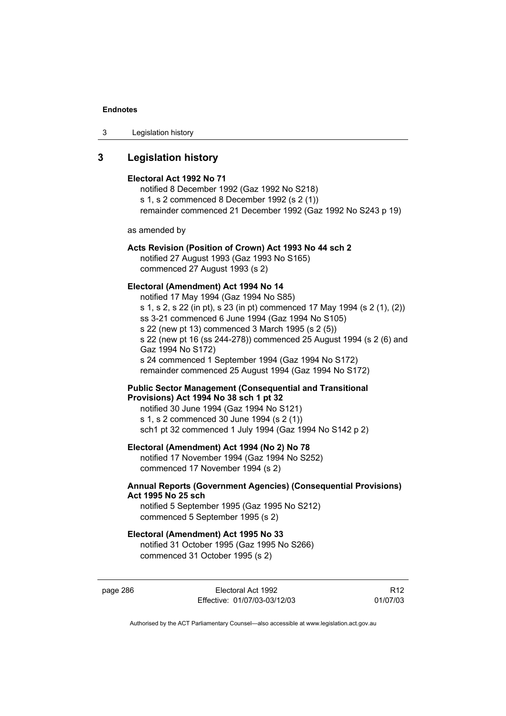3 Legislation history

### **3 Legislation history**

#### **Electoral Act 1992 No 71**

notified 8 December 1992 (Gaz 1992 No S218) s 1, s 2 commenced 8 December 1992 (s 2 (1)) remainder commenced 21 December 1992 (Gaz 1992 No S243 p 19)

as amended by

### **Acts Revision (Position of Crown) Act 1993 No 44 sch 2**

notified 27 August 1993 (Gaz 1993 No S165) commenced 27 August 1993 (s 2)

### **Electoral (Amendment) Act 1994 No 14**

notified 17 May 1994 (Gaz 1994 No S85) s 1, s 2, s 22 (in pt), s 23 (in pt) commenced 17 May 1994 (s 2 (1), (2)) ss 3-21 commenced 6 June 1994 (Gaz 1994 No S105) s 22 (new pt 13) commenced 3 March 1995 (s 2 (5)) s 22 (new pt 16 (ss 244-278)) commenced 25 August 1994 (s 2 (6) and Gaz 1994 No S172) s 24 commenced 1 September 1994 (Gaz 1994 No S172) remainder commenced 25 August 1994 (Gaz 1994 No S172)

### **Public Sector Management (Consequential and Transitional Provisions) Act 1994 No 38 sch 1 pt 32**

notified 30 June 1994 (Gaz 1994 No S121) s 1, s 2 commenced 30 June 1994 (s 2 (1)) sch1 pt 32 commenced 1 July 1994 (Gaz 1994 No S142 p 2)

### **Electoral (Amendment) Act 1994 (No 2) No 78**

notified 17 November 1994 (Gaz 1994 No S252) commenced 17 November 1994 (s 2)

### **Annual Reports (Government Agencies) (Consequential Provisions) Act 1995 No 25 sch**

notified 5 September 1995 (Gaz 1995 No S212) commenced 5 September 1995 (s 2)

#### **Electoral (Amendment) Act 1995 No 33**

notified 31 October 1995 (Gaz 1995 No S266) commenced 31 October 1995 (s 2)

page 286 Electoral Act 1992 Effective: 01/07/03-03/12/03

R12 01/07/03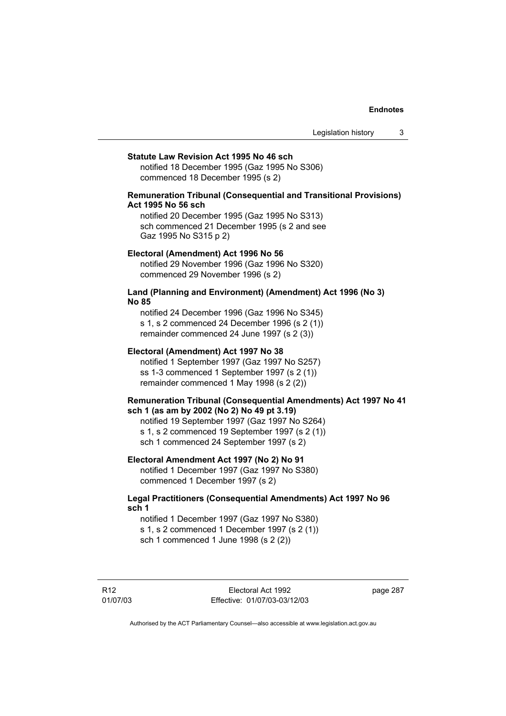Legislation history 3

#### **Statute Law Revision Act 1995 No 46 sch**

notified 18 December 1995 (Gaz 1995 No S306) commenced 18 December 1995 (s 2)

### **Remuneration Tribunal (Consequential and Transitional Provisions) Act 1995 No 56 sch**

notified 20 December 1995 (Gaz 1995 No S313) sch commenced 21 December 1995 (s 2 and see Gaz 1995 No S315 p 2)

### **Electoral (Amendment) Act 1996 No 56**

notified 29 November 1996 (Gaz 1996 No S320) commenced 29 November 1996 (s 2)

### **Land (Planning and Environment) (Amendment) Act 1996 (No 3) No 85**

notified 24 December 1996 (Gaz 1996 No S345) s 1, s 2 commenced 24 December 1996 (s 2 (1)) remainder commenced 24 June 1997 (s 2 (3))

### **Electoral (Amendment) Act 1997 No 38**

notified 1 September 1997 (Gaz 1997 No S257) ss 1-3 commenced 1 September 1997 (s 2 (1)) remainder commenced 1 May 1998 (s 2 (2))

### **Remuneration Tribunal (Consequential Amendments) Act 1997 No 41 sch 1 (as am by 2002 (No 2) No 49 pt 3.19)**

notified 19 September 1997 (Gaz 1997 No S264) s 1, s 2 commenced 19 September 1997 (s 2 (1)) sch 1 commenced 24 September 1997 (s 2)

### **Electoral Amendment Act 1997 (No 2) No 91**

notified 1 December 1997 (Gaz 1997 No S380) commenced 1 December 1997 (s 2)

### **Legal Practitioners (Consequential Amendments) Act 1997 No 96 sch 1**

notified 1 December 1997 (Gaz 1997 No S380) s 1, s 2 commenced 1 December 1997 (s 2 (1)) sch 1 commenced 1 June 1998 (s 2 (2))

R12 01/07/03 page 287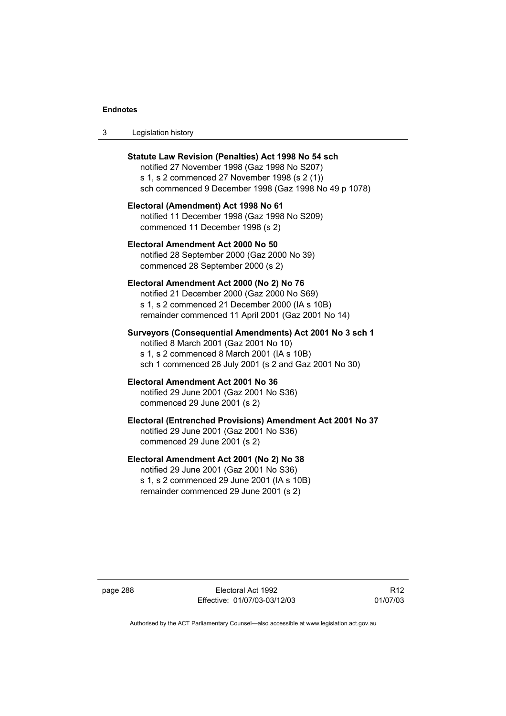| Legislation history<br>-3 |  |
|---------------------------|--|
|---------------------------|--|

| Statute Law Revision (Penalties) Act 1998 No 54 sch<br>notified 27 November 1998 (Gaz 1998 No S207)<br>s 1, s 2 commenced 27 November 1998 (s 2 (1))<br>sch commenced 9 December 1998 (Gaz 1998 No 49 p 1078) |
|---------------------------------------------------------------------------------------------------------------------------------------------------------------------------------------------------------------|
| Electoral (Amendment) Act 1998 No 61<br>notified 11 December 1998 (Gaz 1998 No S209)<br>commenced 11 December 1998 (s 2)                                                                                      |
| Electoral Amendment Act 2000 No 50<br>notified 28 September 2000 (Gaz 2000 No 39)<br>commenced 28 September 2000 (s 2)                                                                                        |
| Electoral Amendment Act 2000 (No 2) No 76<br>notified 21 December 2000 (Gaz 2000 No S69)<br>s 1, s 2 commenced 21 December 2000 (IA s 10B)<br>remainder commenced 11 April 2001 (Gaz 2001 No 14)              |
| Surveyors (Consequential Amendments) Act 2001 No 3 sch 1<br>notified 8 March 2001 (Gaz 2001 No 10)<br>s 1, s 2 commenced 8 March 2001 (IA s 10B)<br>sch 1 commenced 26 July 2001 (s 2 and Gaz 2001 No 30)     |
| Electoral Amendment Act 2001 No 36<br>notified 29 June 2001 (Gaz 2001 No S36)<br>commenced 29 June 2001 (s 2)                                                                                                 |
| Electoral (Entrenched Provisions) Amendment Act 2001 No 37<br>notified 29 June 2001 (Gaz 2001 No S36)<br>commenced 29 June 2001 (s 2)                                                                         |
| Electoral Amendment Act 2001 (No 2) No 38<br>notified 20 June 2001 (Gaz 2001 No S36)                                                                                                                          |

notified 29 June 2001 (Gaz 2001 No S36) s 1, s 2 commenced 29 June 2001 (IA s 10B) remainder commenced 29 June 2001 (s 2)

page 288 Electoral Act 1992 Effective: 01/07/03-03/12/03

R12 01/07/03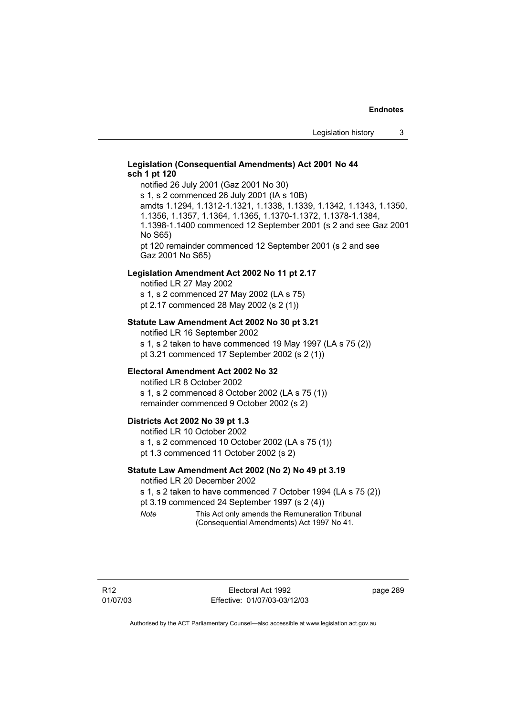### **Legislation (Consequential Amendments) Act 2001 No 44 sch 1 pt 120**

notified 26 July 2001 (Gaz 2001 No 30) s 1, s 2 commenced 26 July 2001 (IA s 10B) amdts 1.1294, 1.1312-1.1321, 1.1338, 1.1339, 1.1342, 1.1343, 1.1350, 1.1356, 1.1357, 1.1364, 1.1365, 1.1370-1.1372, 1.1378-1.1384, 1.1398-1.1400 commenced 12 September 2001 (s 2 and see Gaz 2001 No S65)

pt 120 remainder commenced 12 September 2001 (s 2 and see Gaz 2001 No S65)

### **Legislation Amendment Act 2002 No 11 pt 2.17**

notified LR 27 May 2002 s 1, s 2 commenced 27 May 2002 (LA s 75) pt 2.17 commenced 28 May 2002 (s 2 (1))

#### **Statute Law Amendment Act 2002 No 30 pt 3.21**

notified LR 16 September 2002 s 1, s 2 taken to have commenced 19 May 1997 (LA s 75 (2)) pt 3.21 commenced 17 September 2002 (s 2 (1))

### **Electoral Amendment Act 2002 No 32**

notified LR 8 October 2002 s 1, s 2 commenced 8 October 2002 (LA s 75 (1)) remainder commenced 9 October 2002 (s 2)

### **Districts Act 2002 No 39 pt 1.3**

notified LR 10 October 2002 s 1, s 2 commenced 10 October 2002 (LA s 75 (1)) pt 1.3 commenced 11 October 2002 (s 2)

### **Statute Law Amendment Act 2002 (No 2) No 49 pt 3.19**

notified LR 20 December 2002

s 1, s 2 taken to have commenced 7 October 1994 (LA s 75 (2)) pt 3.19 commenced 24 September 1997 (s 2 (4))

*Note* This Act only amends the Remuneration Tribunal (Consequential Amendments) Act 1997 No 41.

page 289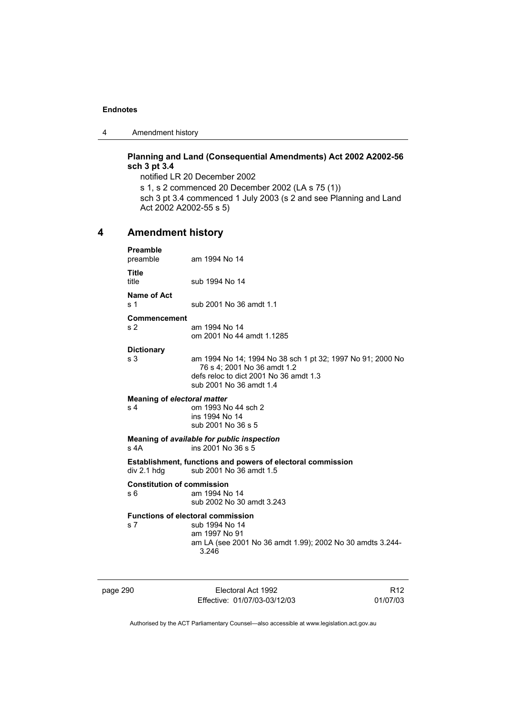4 Amendment history

### **Planning and Land (Consequential Amendments) Act 2002 A2002-56 sch 3 pt 3.4**

notified LR 20 December 2002 s 1, s 2 commenced 20 December 2002 (LA s 75 (1)) sch 3 pt 3.4 commenced 1 July 2003 (s 2 and see Planning and Land Act 2002 A2002-55 s 5)

### **4 Amendment history**

| <b>Preamble</b><br>preamble              | am 1994 No 14                                                                                                                                                  |
|------------------------------------------|----------------------------------------------------------------------------------------------------------------------------------------------------------------|
| <b>Title</b><br>title                    | sub 1994 No 14                                                                                                                                                 |
| Name of Act<br>s <sub>1</sub>            | sub 2001 No 36 amdt 1.1                                                                                                                                        |
| Commencement<br>s <sub>2</sub>           | am 1994 No 14<br>om 2001 No 44 amdt 1.1285                                                                                                                     |
| <b>Dictionary</b>                        |                                                                                                                                                                |
| s <sub>3</sub>                           | am 1994 No 14; 1994 No 38 sch 1 pt 32; 1997 No 91; 2000 No<br>76 s 4; 2001 No 36 amdt 1.2<br>defs reloc to dict 2001 No 36 amdt 1.3<br>sub 2001 No 36 amdt 1.4 |
| <b>Meaning of electoral matter</b>       |                                                                                                                                                                |
| s <sub>4</sub>                           | om 1993 No 44 sch 2<br>ins 1994 No 14<br>sub 2001 No 36 s 5                                                                                                    |
| $s$ 4A                                   | Meaning of available for public inspection<br>ins 2001 No 36 s 5                                                                                               |
| div 2.1 hdg                              | <b>Establishment, functions and powers of electoral commission</b><br>sub 2001 No 36 amdt 1.5                                                                  |
| <b>Constitution of commission</b><br>s 6 | am 1994 No 14<br>sub 2002 No 30 amdt 3.243                                                                                                                     |
| s 7                                      | <b>Functions of electoral commission</b><br>sub 1994 No 14<br>am 1997 No 91<br>am LA (see 2001 No 36 amdt 1.99); 2002 No 30 amdts 3.244-<br>3.246              |

page 290 Electoral Act 1992 Effective: 01/07/03-03/12/03

R12 01/07/03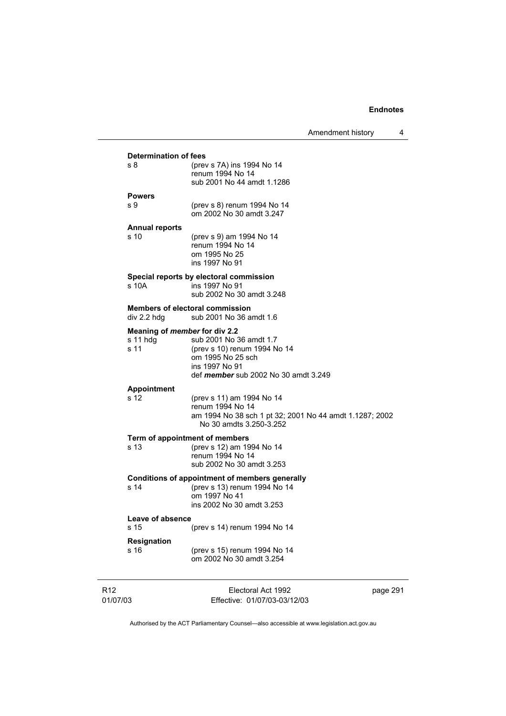|                                                            |                                                                                                                                               | Amendment history | 4 |
|------------------------------------------------------------|-----------------------------------------------------------------------------------------------------------------------------------------------|-------------------|---|
| <b>Determination of fees</b><br>s <sub>8</sub>             | (prev s 7A) ins 1994 No 14<br>renum 1994 No 14<br>sub 2001 No 44 amdt 1.1286                                                                  |                   |   |
| <b>Powers</b><br>s 9                                       | (prev s 8) renum 1994 No 14<br>om 2002 No 30 amdt 3.247                                                                                       |                   |   |
| <b>Annual reports</b><br>s 10                              | (prev s 9) am 1994 No 14<br>renum 1994 No 14<br>om 1995 No 25<br>ins 1997 No 91                                                               |                   |   |
| s 10A                                                      | Special reports by electoral commission<br>ins 1997 No 91<br>sub 2002 No 30 amdt 3.248                                                        |                   |   |
| div 2.2 hdg                                                | <b>Members of electoral commission</b><br>sub 2001 No 36 amdt 1.6                                                                             |                   |   |
| Meaning of <i>member</i> for div 2.2<br>$s$ 11 hdg<br>s 11 | sub 2001 No 36 amdt 1.7<br>(prev s 10) renum 1994 No 14<br>om 1995 No 25 sch<br>ins 1997 No 91<br>def <i>member</i> sub 2002 No 30 amdt 3.249 |                   |   |
| <b>Appointment</b><br>s 12                                 | (prev s 11) am 1994 No 14<br>renum 1994 No 14<br>am 1994 No 38 sch 1 pt 32; 2001 No 44 amdt 1.1287; 2002<br>No 30 amdts 3.250-3.252           |                   |   |
| Term of appointment of members<br>s 13                     | (prev s 12) am 1994 No 14<br>renum 1994 No 14<br>sub 2002 No 30 amdt 3.253                                                                    |                   |   |
| s 14                                                       | Conditions of appointment of members generally<br>(prev s 13) renum 1994 No 14<br>om 1997 No 41<br>ins 2002 No 30 amdt 3.253                  |                   |   |
| Leave of absence<br>s 15                                   | (prev s 14) renum 1994 No 14                                                                                                                  |                   |   |
| <b>Resignation</b><br>s 16                                 | (prev s 15) renum 1994 No 14<br>om 2002 No 30 amdt 3.254                                                                                      |                   |   |
|                                                            |                                                                                                                                               |                   |   |

R12 01/07/03

Electoral Act 1992 Effective: 01/07/03-03/12/03 page 291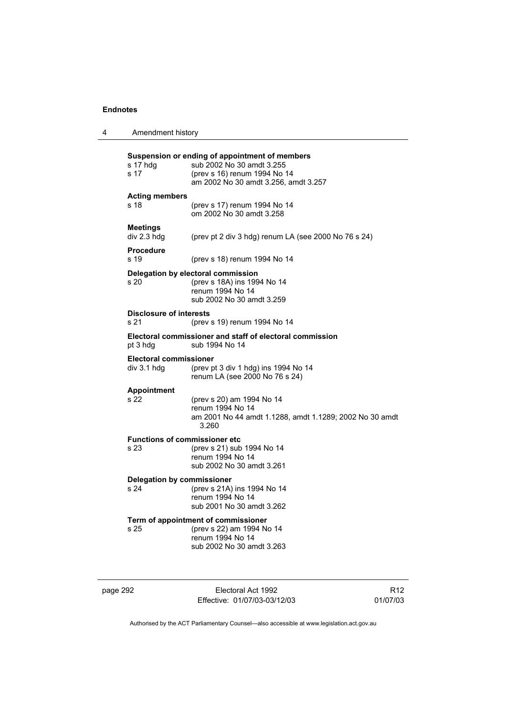| 4 | Amendment history                            |                                                                                                                                                     |
|---|----------------------------------------------|-----------------------------------------------------------------------------------------------------------------------------------------------------|
|   | s 17 hdg<br>s 17                             | Suspension or ending of appointment of members<br>sub 2002 No 30 amdt 3.255<br>(prev s 16) renum 1994 No 14<br>am 2002 No 30 amdt 3.256, amdt 3.257 |
|   | <b>Acting members</b><br>s 18                | (prev s 17) renum 1994 No 14<br>om 2002 No 30 amdt 3.258                                                                                            |
|   | <b>Meetings</b><br>div 2.3 hdg               | (prev pt 2 div 3 hdg) renum LA (see 2000 No 76 s 24)                                                                                                |
|   | <b>Procedure</b><br>s 19                     | (prev s 18) renum 1994 No 14                                                                                                                        |
|   | s 20                                         | Delegation by electoral commission<br>(prev s 18A) ins 1994 No 14<br>renum 1994 No 14<br>sub 2002 No 30 amdt 3.259                                  |
|   | <b>Disclosure of interests</b><br>s 21       | (prev s 19) renum 1994 No 14                                                                                                                        |
|   | pt 3 hdg                                     | Electoral commissioner and staff of electoral commission<br>sub 1994 No 14                                                                          |
|   | <b>Electoral commissioner</b><br>div 3.1 hdg | (prev pt 3 div 1 hdg) ins 1994 No 14<br>renum LA (see 2000 No 76 s 24)                                                                              |
|   | <b>Appointment</b><br>s 22                   | (prev s 20) am 1994 No 14<br>renum 1994 No 14<br>am 2001 No 44 amdt 1.1288, amdt 1.1289; 2002 No 30 amdt<br>3.260                                   |
|   | <b>Functions of commissioner etc</b><br>s 23 | (prev s 21) sub 1994 No 14<br>renum 1994 No 14<br>sub 2002 No 30 amdt 3.261                                                                         |
|   | Delegation by commissioner<br>s 24           | (prev s 21A) ins 1994 No 14<br>renum 1994 No 14<br>sub 2001 No 30 amdt 3.262                                                                        |
|   | s 25                                         | Term of appointment of commissioner<br>(prev s 22) am 1994 No 14<br>renum 1994 No 14<br>sub 2002 No 30 amdt 3.263                                   |

page 292 Electoral Act 1992 Effective: 01/07/03-03/12/03

R12 01/07/03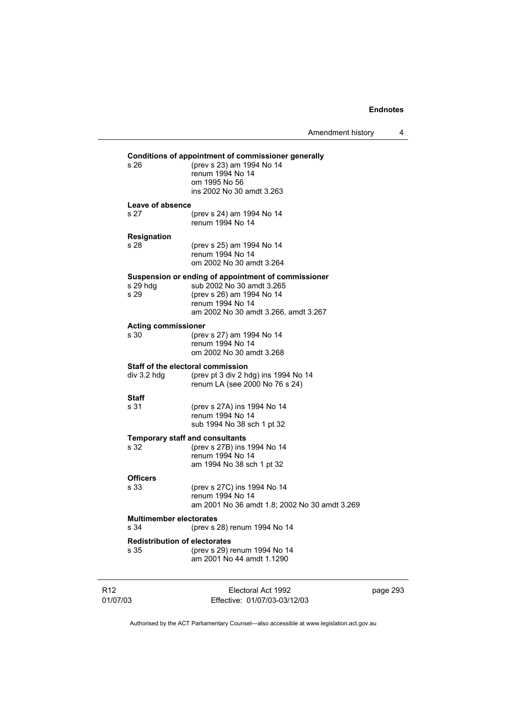J.

Amendment history 4

|                             |                                              | $\overline{ }$ , $\overline{ }$ , $\overline{ }$ , $\overline{ }$ , $\overline{ }$ , $\overline{ }$ , $\overline{ }$ , $\overline{ }$ , $\overline{ }$ , $\overline{ }$ , $\overline{ }$ , $\overline{ }$ , $\overline{ }$ , $\overline{ }$ , $\overline{ }$ , $\overline{ }$ , $\overline{ }$ , $\overline{ }$ , $\overline{ }$ , $\overline{ }$ , $\overline{ }$ , $\overline{ }$ , $\overline{ }$ , $\overline{ }$ , $\overline{$ |          |
|-----------------------------|----------------------------------------------|--------------------------------------------------------------------------------------------------------------------------------------------------------------------------------------------------------------------------------------------------------------------------------------------------------------------------------------------------------------------------------------------------------------------------------------|----------|
|                             |                                              | Conditions of appointment of commissioner generally                                                                                                                                                                                                                                                                                                                                                                                  |          |
|                             | s 26                                         | (prev s 23) am 1994 No 14<br>renum 1994 No 14<br>om 1995 No 56<br>ins 2002 No 30 amdt 3.263                                                                                                                                                                                                                                                                                                                                          |          |
|                             | Leave of absence<br>s 27                     | (prev s 24) am 1994 No 14<br>renum 1994 No 14                                                                                                                                                                                                                                                                                                                                                                                        |          |
|                             | <b>Resignation</b>                           |                                                                                                                                                                                                                                                                                                                                                                                                                                      |          |
|                             | s 28                                         | (prev s 25) am 1994 No 14<br>renum 1994 No 14<br>om 2002 No 30 amdt 3.264                                                                                                                                                                                                                                                                                                                                                            |          |
|                             | s 29 hdg<br>s 29                             | Suspension or ending of appointment of commissioner<br>sub 2002 No 30 amdt 3.265<br>(prev s 26) am 1994 No 14<br>renum 1994 No 14<br>am 2002 No 30 amdt 3.266, amdt 3.267                                                                                                                                                                                                                                                            |          |
|                             | <b>Acting commissioner</b><br>s 30           | (prev s 27) am 1994 No 14<br>renum 1994 No 14<br>om 2002 No 30 amdt 3.268                                                                                                                                                                                                                                                                                                                                                            |          |
|                             | $div$ 3.2 hdg                                | Staff of the electoral commission<br>(prev pt 3 div 2 hdg) ins 1994 No 14<br>renum LA (see 2000 No 76 s 24)                                                                                                                                                                                                                                                                                                                          |          |
|                             | Staff<br>s 31                                | (prev s 27A) ins 1994 No 14<br>renum 1994 No 14<br>sub 1994 No 38 sch 1 pt 32                                                                                                                                                                                                                                                                                                                                                        |          |
|                             | s 32                                         | <b>Temporary staff and consultants</b><br>(prev s 27B) ins 1994 No 14<br>renum 1994 No 14<br>am 1994 No 38 sch 1 pt 32                                                                                                                                                                                                                                                                                                               |          |
|                             | <b>Officers</b><br>s 33                      | (prev s 27C) ins 1994 No 14<br>renum 1994 No 14<br>am 2001 No 36 amdt 1.8; 2002 No 30 amdt 3.269                                                                                                                                                                                                                                                                                                                                     |          |
|                             | <b>Multimember electorates</b><br>s 34       | (prev s 28) renum 1994 No 14                                                                                                                                                                                                                                                                                                                                                                                                         |          |
|                             | <b>Redistribution of electorates</b><br>s 35 | (prev s 29) renum 1994 No 14<br>am 2001 No 44 amdt 1.1290                                                                                                                                                                                                                                                                                                                                                                            |          |
| R <sub>12</sub><br>01/07/03 |                                              | Electoral Act 1992<br>Effective: 01/07/03-03/12/03                                                                                                                                                                                                                                                                                                                                                                                   | page 293 |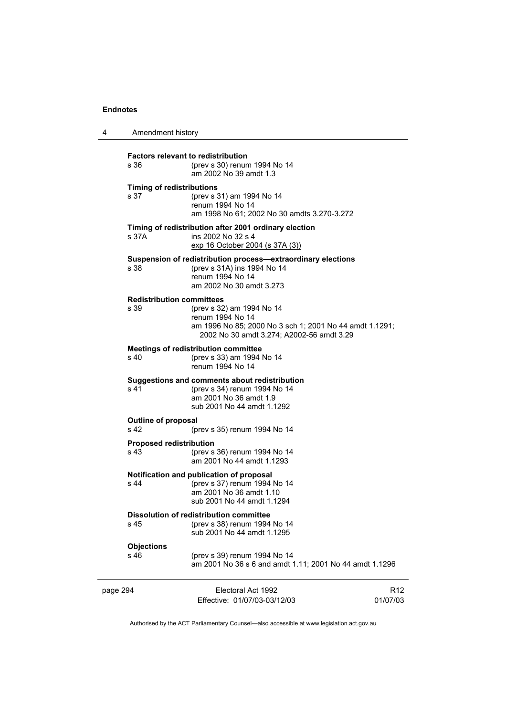| 4        | Amendment history                                 |                                                                                                                                                       |                             |
|----------|---------------------------------------------------|-------------------------------------------------------------------------------------------------------------------------------------------------------|-----------------------------|
|          | <b>Factors relevant to redistribution</b><br>s 36 | (prev s 30) renum 1994 No 14<br>am 2002 No 39 amdt 1.3                                                                                                |                             |
|          | <b>Timing of redistributions</b><br>s 37          | (prev s 31) am 1994 No 14<br>renum 1994 No 14<br>am 1998 No 61; 2002 No 30 amdts 3.270-3.272                                                          |                             |
|          | s 37A                                             | Timing of redistribution after 2001 ordinary election<br>ins 2002 No 32 s 4<br>exp 16 October 2004 (s 37A (3))                                        |                             |
|          | s 38                                              | Suspension of redistribution process-extraordinary elections<br>(prev s 31A) ins 1994 No 14<br>renum 1994 No 14<br>am 2002 No 30 amdt 3.273           |                             |
|          | <b>Redistribution committees</b><br>s 39          | (prev s 32) am 1994 No 14<br>renum 1994 No 14<br>am 1996 No 85; 2000 No 3 sch 1; 2001 No 44 amdt 1.1291;<br>2002 No 30 amdt 3.274; A2002-56 amdt 3.29 |                             |
|          | s 40                                              | <b>Meetings of redistribution committee</b><br>(prev s 33) am 1994 No 14<br>renum 1994 No 14                                                          |                             |
|          | s 41                                              | Suggestions and comments about redistribution<br>(prev s 34) renum 1994 No 14<br>am 2001 No 36 amdt 1.9<br>sub 2001 No 44 amdt 1.1292                 |                             |
|          | <b>Outline of proposal</b><br>s 42                | (prev s 35) renum 1994 No 14                                                                                                                          |                             |
|          | <b>Proposed redistribution</b><br>s 43            | (prev s 36) renum 1994 No 14<br>am 2001 No 44 amdt 1.1293                                                                                             |                             |
|          | s 44                                              | Notification and publication of proposal<br>(prev s 37) renum 1994 No 14<br>am 2001 No 36 amdt 1.10<br>sub 2001 No 44 amdt 1.1294                     |                             |
|          | s 45                                              | <b>Dissolution of redistribution committee</b><br>(prev s 38) renum 1994 No 14<br>sub 2001 No 44 amdt 1.1295                                          |                             |
|          | <b>Objections</b><br>s 46                         | (prev s 39) renum 1994 No 14<br>am 2001 No 36 s 6 and amdt 1.11; 2001 No 44 amdt 1.1296                                                               |                             |
| page 294 |                                                   | Electoral Act 1992<br>Effective: 01/07/03-03/12/03                                                                                                    | R <sub>12</sub><br>01/07/03 |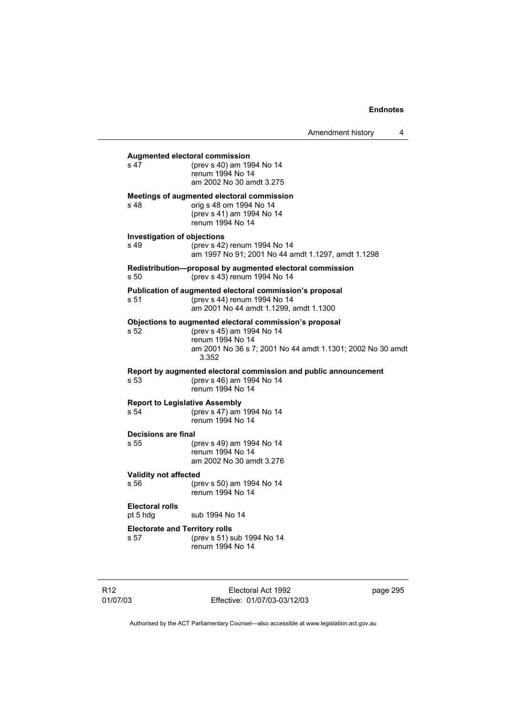|                                               |                                                                                                                                                                                 | Amendment history | 4 |
|-----------------------------------------------|---------------------------------------------------------------------------------------------------------------------------------------------------------------------------------|-------------------|---|
| s 47                                          | <b>Augmented electoral commission</b><br>(prev s 40) am 1994 No 14<br>renum 1994 No 14<br>am 2002 No 30 amdt 3.275                                                              |                   |   |
| s 48                                          | Meetings of augmented electoral commission<br>orig s 48 om 1994 No 14<br>(prev s 41) am 1994 No 14<br>renum 1994 No 14                                                          |                   |   |
| <b>Investigation of objections</b><br>s 49    | (prev s 42) renum 1994 No 14<br>am 1997 No 91; 2001 No 44 amdt 1.1297, amdt 1.1298                                                                                              |                   |   |
| s 50                                          | Redistribution—proposal by augmented electoral commission<br>(prev s 43) renum 1994 No 14                                                                                       |                   |   |
| s 51                                          | Publication of augmented electoral commission's proposal<br>(prev s 44) renum 1994 No 14<br>am 2001 No 44 amdt 1.1299, amdt 1.1300                                              |                   |   |
| s 52                                          | Objections to augmented electoral commission's proposal<br>(prev s 45) am 1994 No 14<br>renum 1994 No 14<br>am 2001 No 36 s 7; 2001 No 44 amdt 1.1301; 2002 No 30 amdt<br>3.352 |                   |   |
| s 53                                          | Report by augmented electoral commission and public announcement<br>(prev s 46) am 1994 No 14<br>renum 1994 No 14                                                               |                   |   |
| <b>Report to Legislative Assembly</b><br>s 54 | (prev s 47) am 1994 No 14<br>renum 1994 No 14                                                                                                                                   |                   |   |
| <b>Decisions are final</b><br>s 55            | (prev s 49) am 1994 No 14<br>renum 1994 No 14<br>am 2002 No 30 amdt 3.276                                                                                                       |                   |   |
| Validity not affected<br>s 56                 | (prev s 50) am 1994 No 14<br>renum 1994 No 14                                                                                                                                   |                   |   |
| Electoral rolls<br>pt 5 hdg                   | sub 1994 No 14                                                                                                                                                                  |                   |   |
| <b>Electorate and Territory rolls</b><br>s 57 | (prev s 51) sub 1994 No 14<br>renum 1994 No 14                                                                                                                                  |                   |   |

R12 01/07/03

Electoral Act 1992 Effective: 01/07/03-03/12/03 page 295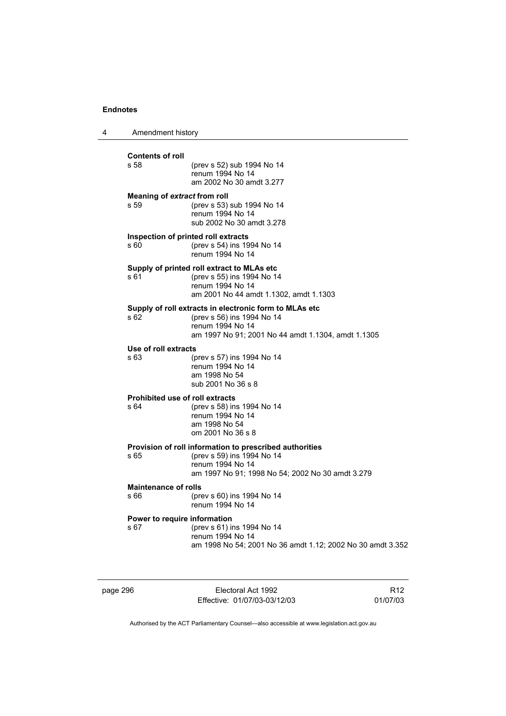| 4 | Amendment history                              |                                                                                                                                                                |
|---|------------------------------------------------|----------------------------------------------------------------------------------------------------------------------------------------------------------------|
|   | <b>Contents of roll</b><br>s 58                | (prev s 52) sub 1994 No 14<br>renum 1994 No 14<br>am 2002 No 30 amdt 3.277                                                                                     |
|   | Meaning of extract from roll<br>s 59           | (prev s 53) sub 1994 No 14<br>renum 1994 No 14<br>sub 2002 No 30 amdt 3.278                                                                                    |
|   | s 60                                           | Inspection of printed roll extracts<br>(prev s 54) ins 1994 No 14<br>renum 1994 No 14                                                                          |
|   | s 61                                           | Supply of printed roll extract to MLAs etc<br>(prev s 55) ins 1994 No 14<br>renum 1994 No 14<br>am 2001 No 44 amdt 1.1302, amdt 1.1303                         |
|   | s 62                                           | Supply of roll extracts in electronic form to MLAs etc<br>(prev s 56) ins 1994 No 14<br>renum 1994 No 14<br>am 1997 No 91; 2001 No 44 amdt 1.1304, amdt 1.1305 |
|   | Use of roll extracts<br>s 63                   | (prev s 57) ins 1994 No 14<br>renum 1994 No 14<br>am 1998 No 54<br>sub 2001 No 36 s 8                                                                          |
|   | <b>Prohibited use of roll extracts</b><br>s 64 | (prev s 58) ins 1994 No 14<br>renum 1994 No 14<br>am 1998 No 54<br>om 2001 No 36 s 8                                                                           |
|   | s 65                                           | Provision of roll information to prescribed authorities<br>(prev s 59) ins 1994 No 14<br>renum 1994 No 14<br>am 1997 No 91; 1998 No 54; 2002 No 30 amdt 3.279  |
|   | <b>Maintenance of rolls</b><br>s 66            | (prev s 60) ins 1994 No 14<br>renum 1994 No 14                                                                                                                 |
|   | Power to require information<br>s 67           | (prev s 61) ins 1994 No 14<br>renum 1994 No 14<br>am 1998 No 54; 2001 No 36 amdt 1.12; 2002 No 30 amdt 3.352                                                   |

page 296 Electoral Act 1992 Effective: 01/07/03-03/12/03

R12 01/07/03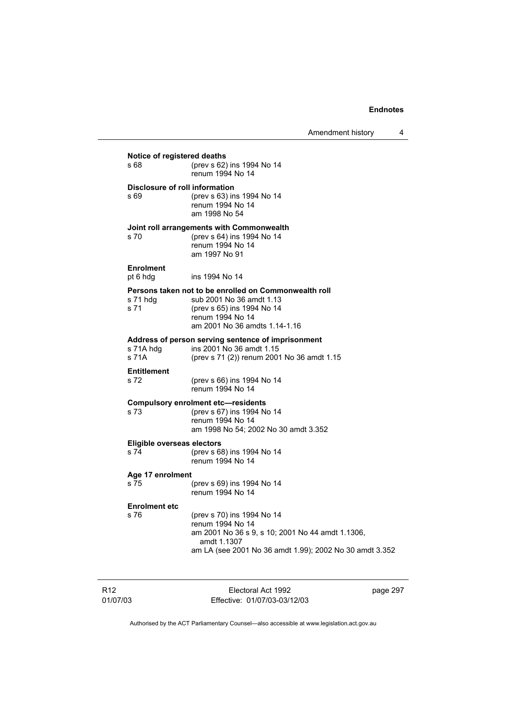Amendment history 4

s 68 (prev s 62) ins 1994 No 14 s 69 (prev s 63) ins 1994 No 14 **Joint roll arrangements with Commonwealth**  s 70 (prev s 64) ins 1994 No 14 **Persons taken not to be enrolled on Commonwealth roll** 

s 71 hdg sub 2001 No 36 amdt 1.13<br>s 71 (prev s 65) ins 1994 No 14 (prev s 65) ins 1994 No 14 renum 1994 No 14 am 2001 No 36 amdts 1.14-1.16

ins 1994 No 14

# **Address of person serving sentence of imprisonment**

renum 1994 No 14

 renum 1994 No 14 am 1998 No 54

 renum 1994 No 14 am 1997 No 91

s 71A hdg ins 2001 No 36 amdt 1.15<br>s 71A (prev s 71 (2)) renum 2001 (prev s 71 (2)) renum 2001 No 36 amdt 1.15 **Entitlement** 

| ------------ |                            |
|--------------|----------------------------|
| s 72.        | (prev s 66) ins 1994 No 14 |
|              | renum 1994 No 14           |
|              |                            |

#### **Compulsory enrolment etc—residents**

s 73 (prev s 67) ins 1994 No 14 renum 1994 No 14 am 1998 No 54; 2002 No 30 amdt 3.352

## **Eligible overseas electors**<br>  $574$  (prev s 6)

**Notice of registered deaths** 

**Disclosure of roll information** 

**Enrolment** 

(prev s 68) ins 1994 No 14 renum 1994 No 14

#### **Age 17 enrolment**

s 75 (prev s 69) ins 1994 No 14 renum 1994 No 14

#### **Enrolment etc**

s 76 (prev s 70) ins 1994 No 14 renum 1994 No 14 am 2001 No 36 s 9, s 10; 2001 No 44 amdt 1.1306, amdt 1.1307 am LA (see 2001 No 36 amdt 1.99); 2002 No 30 amdt 3.352

R12 01/07/03

Electoral Act 1992 Effective: 01/07/03-03/12/03 page 297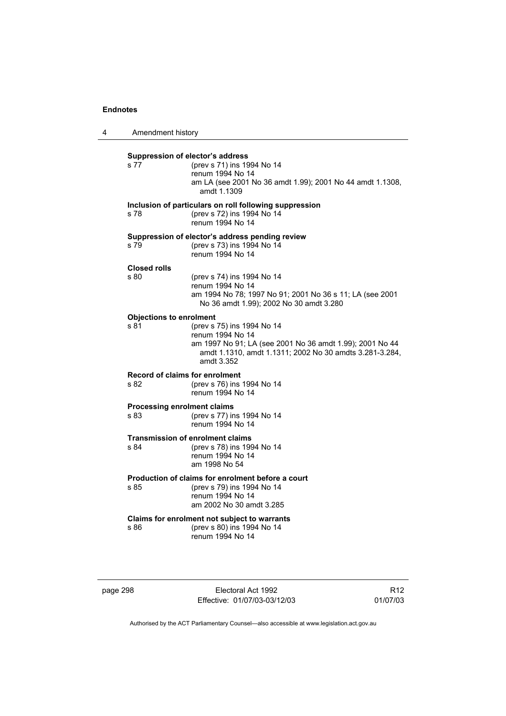| 4 | Amendment history                             |                                                                                                                                                                                     |
|---|-----------------------------------------------|-------------------------------------------------------------------------------------------------------------------------------------------------------------------------------------|
|   | Suppression of elector's address<br>s 77      | (prev s 71) ins 1994 No 14<br>renum 1994 No 14<br>am LA (see 2001 No 36 amdt 1.99); 2001 No 44 amdt 1.1308,<br>amdt 1.1309                                                          |
|   | s 78                                          | Inclusion of particulars on roll following suppression<br>(prev s 72) ins 1994 No 14<br>renum 1994 No 14                                                                            |
|   | s 79                                          | Suppression of elector's address pending review<br>(prev s 73) ins 1994 No 14<br>renum 1994 No 14                                                                                   |
|   | <b>Closed rolls</b><br>s 80                   | (prev s 74) ins 1994 No 14<br>renum 1994 No 14<br>am 1994 No 78; 1997 No 91; 2001 No 36 s 11; LA (see 2001<br>No 36 amdt 1.99); 2002 No 30 amdt 3.280                               |
|   | <b>Objections to enrolment</b><br>s 81        | (prev s 75) ins 1994 No 14<br>renum 1994 No 14<br>am 1997 No 91; LA (see 2001 No 36 amdt 1.99); 2001 No 44<br>amdt 1.1310, amdt 1.1311; 2002 No 30 amdts 3.281-3.284,<br>amdt 3.352 |
|   | <b>Record of claims for enrolment</b><br>s 82 | (prev s 76) ins 1994 No 14<br>renum 1994 No 14                                                                                                                                      |
|   | <b>Processing enrolment claims</b><br>s 83    | (prev s 77) ins 1994 No 14<br>renum 1994 No 14                                                                                                                                      |
|   | s 84                                          | <b>Transmission of enrolment claims</b><br>(prev s 78) ins 1994 No 14<br>renum 1994 No 14<br>am 1998 No 54                                                                          |
|   | s 85                                          | Production of claims for enrolment before a court<br>(prev s 79) ins 1994 No 14<br>renum 1994 No 14<br>am 2002 No 30 amdt 3.285                                                     |
|   | s 86                                          | Claims for enrolment not subject to warrants<br>(prev s 80) ins 1994 No 14<br>renum 1994 No 14                                                                                      |

page 298 Electoral Act 1992 Effective: 01/07/03-03/12/03

R12 01/07/03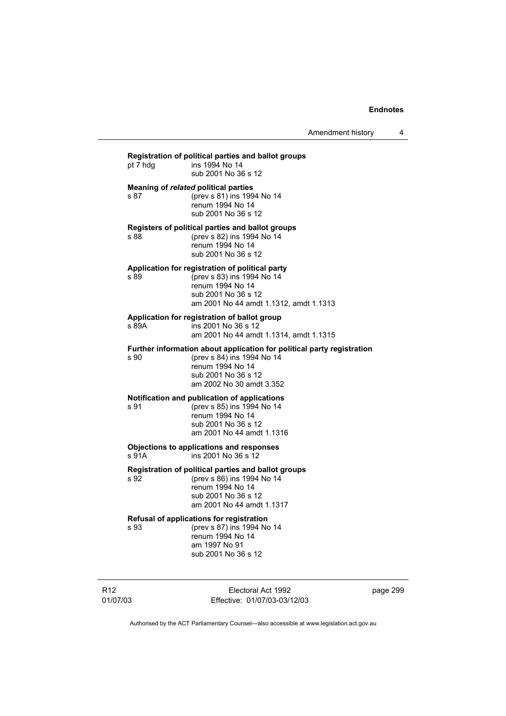Amendment history 4

**Registration of political parties and ballot groups**  pt 7 hdg ins 1994 No 14 sub 2001 No 36 s 12 **Meaning of** *related* **political parties**  s 87 (prev s 81) ins 1994 No 14 renum 1994 No 14 sub 2001 No 36 s 12 **Registers of political parties and ballot groups**  (prev s 82) ins 1994 No 14 renum 1994 No 14 sub 2001 No 36 s 12 **Application for registration of political party**  s 89 (prev s 83) ins 1994 No 14 renum 1994 No 14 sub 2001 No 36 s 12 am 2001 No 44 amdt 1.1312, amdt 1.1313 **Application for registration of ballot group**  s 89A ins 2001 No 36 s 12 am 2001 No 44 amdt 1.1314, amdt 1.1315 **Further information about application for political party registration**  s 90 (prev s 84) ins 1994 No 14 renum 1994 No 14 sub 2001 No 36 s 12 am 2002 No 30 amdt 3.352 **Notification and publication of applications**<br>s 91 (prev s 85) ins 1994 No 14 (prev s 85) ins 1994 No 14 renum 1994 No 14 sub 2001 No 36 s 12 am 2001 No 44 amdt 1.1316 **Objections to applications and responses**  s 91A ins 2001 No 36 s 12 **Registration of political parties and ballot groups**  s 92 (prev s 86) ins 1994 No 14 renum 1994 No 14 sub 2001 No 36 s 12 am 2001 No 44 amdt 1.1317 **Refusal of applications for registration**  s 93 (prev s 87) ins 1994 No 14 renum 1994 No 14 am 1997 No 91 sub 2001 No 36 s 12

R12 01/07/03

Electoral Act 1992 Effective: 01/07/03-03/12/03 page 299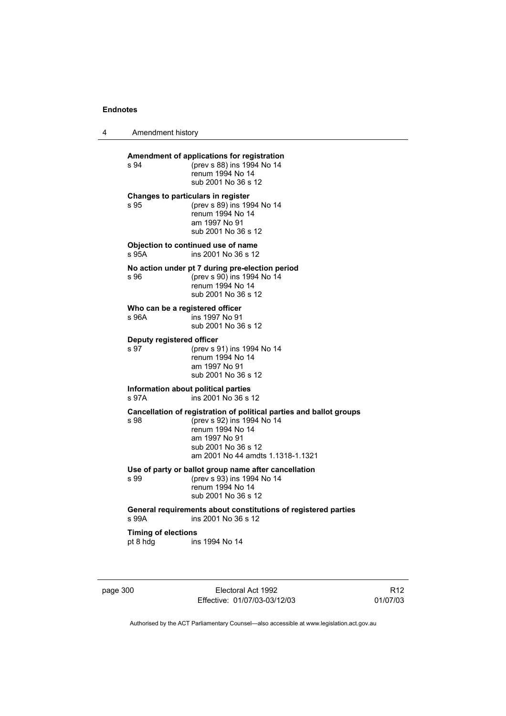| Amendment history                        |                                                                                                                                                                                                    |
|------------------------------------------|----------------------------------------------------------------------------------------------------------------------------------------------------------------------------------------------------|
| s 94                                     | Amendment of applications for registration<br>(prev s 88) ins 1994 No 14<br>renum 1994 No 14<br>sub 2001 No 36 s 12                                                                                |
| s 95                                     | Changes to particulars in register<br>(prev s 89) ins 1994 No 14<br>renum 1994 No 14<br>am 1997 No 91<br>sub 2001 No 36 s 12                                                                       |
| s 95A                                    | Objection to continued use of name<br>ins 2001 No 36 s 12                                                                                                                                          |
| s 96                                     | No action under pt 7 during pre-election period<br>(prev s 90) ins 1994 No 14<br>renum 1994 No 14<br>sub 2001 No 36 s 12                                                                           |
| Who can be a registered officer<br>s 96A | ins 1997 No 91<br>sub 2001 No 36 s 12                                                                                                                                                              |
| Deputy registered officer<br>s 97        | (prev s 91) ins 1994 No 14<br>renum 1994 No 14<br>am 1997 No 91<br>sub 2001 No 36 s 12                                                                                                             |
| s 97A                                    | Information about political parties<br>ins 2001 No 36 s 12                                                                                                                                         |
| s 98                                     | Cancellation of registration of political parties and ballot groups<br>(prev s 92) ins 1994 No 14<br>renum 1994 No 14<br>am 1997 No 91<br>sub 2001 No 36 s 12<br>am 2001 No 44 amdts 1.1318-1.1321 |
| s 99                                     | Use of party or ballot group name after cancellation<br>(prev s 93) ins 1994 No 14<br>renum 1994 No 14<br>sub 2001 No 36 s 12                                                                      |
| s 99A                                    | General requirements about constitutions of registered parties<br>ins 2001 No 36 s 12                                                                                                              |
| <b>Timing of elections</b><br>pt 8 hdg   | ins 1994 No 14                                                                                                                                                                                     |

page 300 Electoral Act 1992 Effective: 01/07/03-03/12/03

R12 01/07/03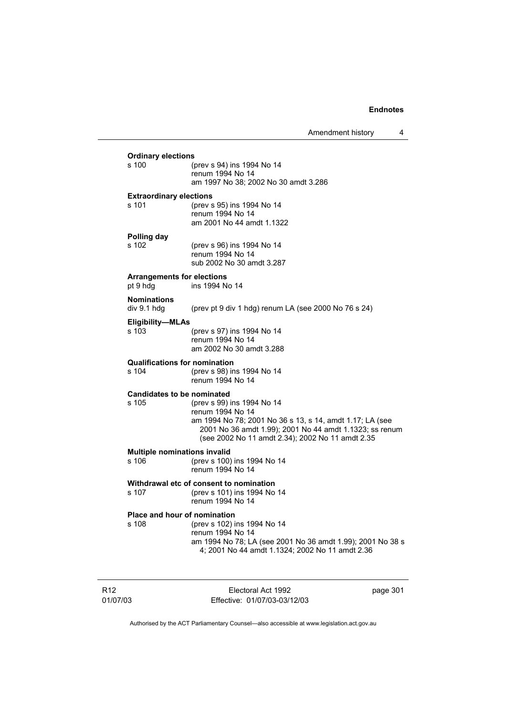Amendment history 4

| <b>Ordinary elections</b>                     |                                                                                                                                                                                                                           |
|-----------------------------------------------|---------------------------------------------------------------------------------------------------------------------------------------------------------------------------------------------------------------------------|
| s 100                                         | (prev s 94) ins 1994 No 14<br>renum 1994 No 14<br>am 1997 No 38; 2002 No 30 amdt 3.286                                                                                                                                    |
| <b>Extraordinary elections</b>                |                                                                                                                                                                                                                           |
| s 101                                         | (prev s 95) ins 1994 No 14<br>renum 1994 No 14<br>am 2001 No 44 amdt 1.1322                                                                                                                                               |
| Polling day<br>s 102                          | (prev s 96) ins 1994 No 14<br>renum 1994 No 14<br>sub 2002 No 30 amdt 3.287                                                                                                                                               |
| <b>Arrangements for elections</b><br>pt 9 hdg | ins 1994 No 14                                                                                                                                                                                                            |
| <b>Nominations</b><br>div 9.1 hdg             | (prev pt 9 div 1 hdg) renum LA (see 2000 No 76 s 24)                                                                                                                                                                      |
| Eligibility-MLAs<br>s 103                     | (prev s 97) ins 1994 No 14<br>renum 1994 No 14<br>am 2002 No 30 amdt 3.288                                                                                                                                                |
| <b>Qualifications for nomination</b><br>s 104 | (prev s 98) ins 1994 No 14<br>renum 1994 No 14                                                                                                                                                                            |
| <b>Candidates to be nominated</b><br>s 105    | (prev s 99) ins 1994 No 14<br>renum 1994 No 14<br>am 1994 No 78; 2001 No 36 s 13, s 14, amdt 1.17; LA (see<br>2001 No 36 amdt 1.99); 2001 No 44 amdt 1.1323; ss renum<br>(see 2002 No 11 amdt 2.34); 2002 No 11 amdt 2.35 |
| <b>Multiple nominations invalid</b><br>s 106  | (prev s 100) ins 1994 No 14<br>renum 1994 No 14                                                                                                                                                                           |
| s 107                                         | Withdrawal etc of consent to nomination<br>(prev s 101) ins 1994 No 14<br>renum 1994 No 14                                                                                                                                |
| <b>Place and hour of nomination</b><br>s 108  | (prev s 102) ins 1994 No 14<br>renum 1994 No 14<br>am 1994 No 78; LA (see 2001 No 36 amdt 1.99); 2001 No 38 s<br>4; 2001 No 44 amdt 1.1324; 2002 No 11 amdt 2.36                                                          |

R12 01/07/03

Electoral Act 1992 Effective: 01/07/03-03/12/03 page 301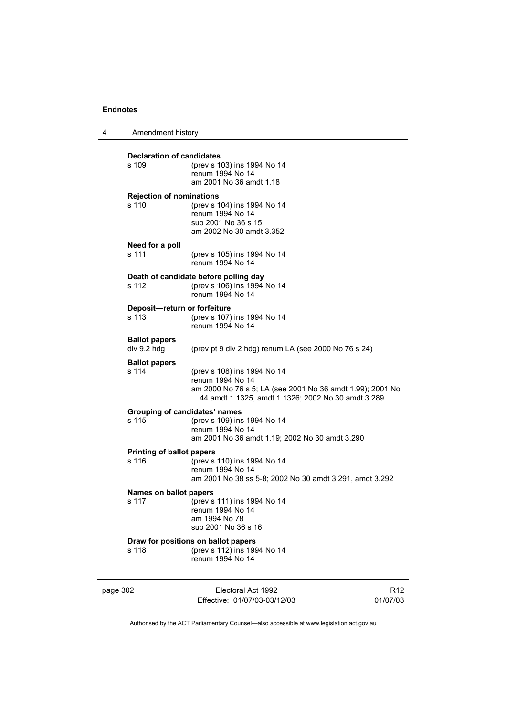4 Amendment history

| <b>Declaration of candidates</b>         |                                                                             |                             |
|------------------------------------------|-----------------------------------------------------------------------------|-----------------------------|
| s 109                                    | (prev s 103) ins 1994 No 14                                                 |                             |
|                                          | renum 1994 No 14<br>am 2001 No 36 amdt 1.18                                 |                             |
|                                          |                                                                             |                             |
| <b>Rejection of nominations</b><br>s 110 | (prev s 104) ins 1994 No 14                                                 |                             |
|                                          | renum 1994 No 14                                                            |                             |
|                                          | sub 2001 No 36 s 15                                                         |                             |
|                                          | am 2002 No 30 amdt 3.352                                                    |                             |
| Need for a poll                          |                                                                             |                             |
| s 111                                    | (prev s 105) ins 1994 No 14<br>renum 1994 No 14                             |                             |
|                                          |                                                                             |                             |
| s 112                                    | Death of candidate before polling day<br>(prev s 106) ins 1994 No 14        |                             |
|                                          | renum 1994 No 14                                                            |                             |
| Deposit-return or forfeiture             |                                                                             |                             |
| s 113                                    | (prev s 107) ins 1994 No 14                                                 |                             |
|                                          | renum 1994 No 14                                                            |                             |
| <b>Ballot papers</b>                     |                                                                             |                             |
| div 9.2 hdg                              | (prev pt 9 div 2 hdg) renum LA (see 2000 No 76 s 24)                        |                             |
| <b>Ballot papers</b><br>s 114            | (prev s 108) ins 1994 No 14                                                 |                             |
|                                          | renum 1994 No 14                                                            |                             |
|                                          | am 2000 No 76 s 5; LA (see 2001 No 36 amdt 1.99); 2001 No                   |                             |
|                                          | 44 amdt 1.1325, amdt 1.1326; 2002 No 30 amdt 3.289                          |                             |
| s 115                                    | Grouping of candidates' names                                               |                             |
|                                          | (prev s 109) ins 1994 No 14<br>renum 1994 No 14                             |                             |
|                                          | am 2001 No 36 amdt 1.19; 2002 No 30 amdt 3.290                              |                             |
| <b>Printing of ballot papers</b>         |                                                                             |                             |
| s 116                                    | (prev s 110) ins 1994 No 14                                                 |                             |
|                                          | renum 1994 No 14<br>am 2001 No 38 ss 5-8; 2002 No 30 amdt 3.291, amdt 3.292 |                             |
|                                          |                                                                             |                             |
| Names on ballot papers<br>s 117          | (prev s 111) ins 1994 No 14                                                 |                             |
|                                          | renum 1994 No 14                                                            |                             |
|                                          | am 1994 No 78<br>sub 2001 No 36 s 16                                        |                             |
|                                          |                                                                             |                             |
| s 118                                    | Draw for positions on ballot papers<br>(prev s 112) ins 1994 No 14          |                             |
|                                          | renum 1994 No 14                                                            |                             |
|                                          |                                                                             |                             |
| page 302                                 | Electoral Act 1992                                                          | R <sub>12</sub><br>01/07/03 |
|                                          | Effective: 01/07/03-03/12/03                                                |                             |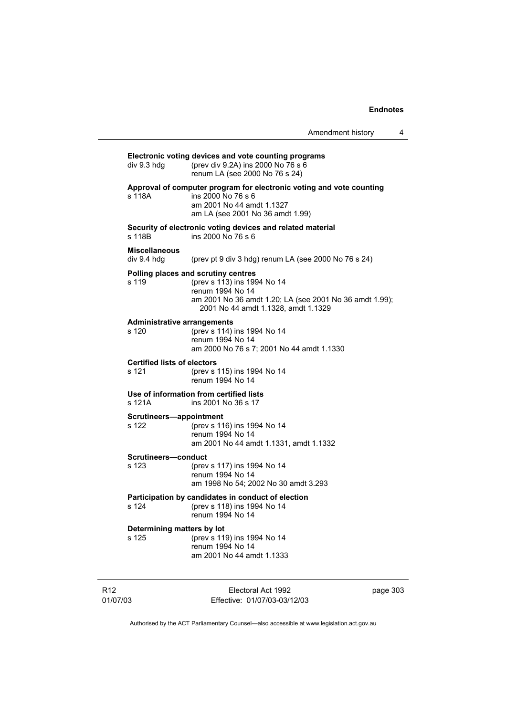Amendment history 4

### **Electronic voting devices and vote counting programs** div 9.3 hdg (prev div 9.2A) ins 2000 No 76 s 6 renum LA (see 2000 No 76 s 24) **Approval of computer program for electronic voting and vote counting** s 118A ins 2000 No 76 s 6 am 2001 No 44 amdt 1.1327 am LA (see 2001 No 36 amdt 1.99) **Security of electronic voting devices and related material**  ins 2000 No 76 s 6 **Miscellaneous**  div 9.4 hdg (prev pt 9 div 3 hdg) renum LA (see 2000 No 76 s 24) **Polling places and scrutiny centres**  s 119 (prev s 113) ins 1994 No 14 renum 1994 No 14 am 2001 No 36 amdt 1.20; LA (see 2001 No 36 amdt 1.99); 2001 No 44 amdt 1.1328, amdt 1.1329 **Administrative arrangements** s 120 (prev s 114) ins 1994 No 14 renum 1994 No 14 am 2000 No 76 s 7; 2001 No 44 amdt 1.1330 **Certified lists of electors** s 121 (prev s 115) ins 1994 No 14 renum 1994 No 14 **Use of information from certified lists** s 121A ins 2001 No 36 s 17 **Scrutineers—appointment** s 122 (prev s 116) ins 1994 No 14 renum 1994 No 14 am 2001 No 44 amdt 1.1331, amdt 1.1332 **Scrutineers—conduct** s 123 (prev s 117) ins 1994 No 14 renum 1994 No 14 am 1998 No 54; 2002 No 30 amdt 3.293 **Participation by candidates in conduct of election** s 124 (prev s 118) ins 1994 No 14 renum 1994 No 14 **Determining matters by lot** s 125 (prev s 119) ins 1994 No 14 renum 1994 No 14 am 2001 No 44 amdt 1.1333

R12 01/07/03

Electoral Act 1992 Effective: 01/07/03-03/12/03 page 303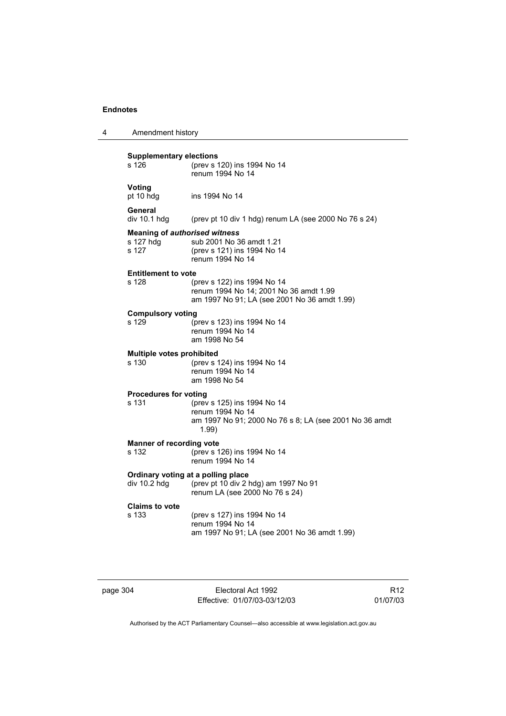| 4 | Amendment history                                          |                                                                                                                       |
|---|------------------------------------------------------------|-----------------------------------------------------------------------------------------------------------------------|
|   | <b>Supplementary elections</b><br>s 126                    | (prev s 120) ins 1994 No 14<br>renum 1994 No 14                                                                       |
|   | Voting<br>pt 10 hdg                                        | ins 1994 No 14                                                                                                        |
|   | General<br>div 10.1 hdg                                    | (prev pt 10 div 1 hdg) renum LA (see 2000 No 76 s 24)                                                                 |
|   | <b>Meaning of authorised witness</b><br>s 127 hdg<br>s 127 | sub 2001 No 36 amdt 1.21<br>(prev s 121) ins 1994 No 14<br>renum 1994 No 14                                           |
|   | <b>Entitlement to vote</b><br>s 128                        | (prev s 122) ins 1994 No 14<br>renum 1994 No 14; 2001 No 36 amdt 1.99<br>am 1997 No 91; LA (see 2001 No 36 amdt 1.99) |
|   | <b>Compulsory voting</b><br>s 129                          | (prev s 123) ins 1994 No 14<br>renum 1994 No 14<br>am 1998 No 54                                                      |
|   | <b>Multiple votes prohibited</b><br>s 130                  | (prev s 124) ins 1994 No 14<br>renum 1994 No 14<br>am 1998 No 54                                                      |
|   | <b>Procedures for voting</b><br>s 131                      | (prev s 125) ins 1994 No 14<br>renum 1994 No 14<br>am 1997 No 91; 2000 No 76 s 8; LA (see 2001 No 36 amdt<br>1.99)    |
|   | <b>Manner of recording vote</b><br>s 132                   | (prev s 126) ins 1994 No 14<br>renum 1994 No 14                                                                       |
|   | div 10.2 hdg                                               | Ordinary voting at a polling place<br>(prev pt 10 div 2 hdg) am 1997 No 91<br>renum LA (see 2000 No 76 s 24)          |
|   | <b>Claims to vote</b><br>s 133                             | (prev s 127) ins 1994 No 14<br>renum 1994 No 14<br>am 1997 No 91; LA (see 2001 No 36 amdt 1.99)                       |

page 304 Electoral Act 1992 Effective: 01/07/03-03/12/03

R12 01/07/03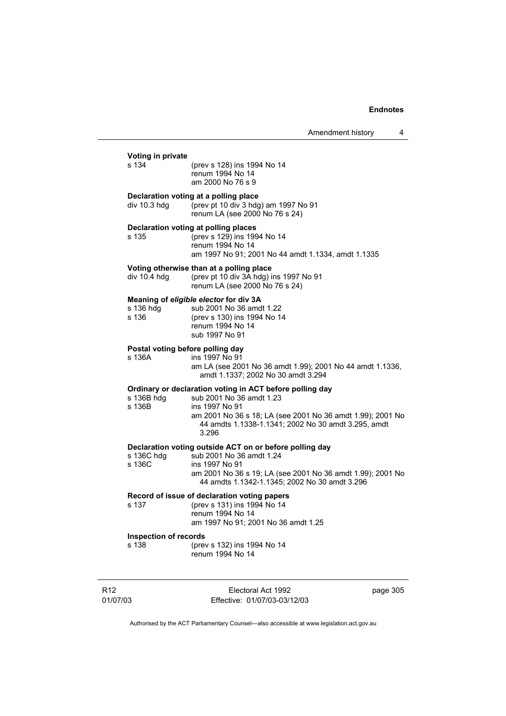| s 134                       | Voting in private<br>(prev s 128) ins 1994 No 14<br>renum 1994 No 14<br>am 2000 No 76 s 9                                                                                                                                            |
|-----------------------------|--------------------------------------------------------------------------------------------------------------------------------------------------------------------------------------------------------------------------------------|
| div 10.3 hdg                | Declaration voting at a polling place<br>(prev pt 10 div 3 hdg) am 1997 No 91<br>renum LA (see 2000 No 76 s 24)                                                                                                                      |
| s 135                       | Declaration voting at polling places<br>(prev s 129) ins 1994 No 14<br>renum 1994 No 14<br>am 1997 No 91; 2001 No 44 amdt 1.1334, amdt 1.1335                                                                                        |
| div 10.4 hdg                | Voting otherwise than at a polling place<br>(prev pt 10 div 3A hdg) ins 1997 No 91<br>renum LA (see 2000 No 76 s 24)                                                                                                                 |
| s 136 hdg<br>s 136          | Meaning of eligible elector for div 3A<br>sub 2001 No 36 amdt 1.22<br>(prev s 130) ins 1994 No 14<br>renum 1994 No 14<br>sub 1997 No 91                                                                                              |
| s 136A                      | Postal voting before polling day<br>ins 1997 No 91<br>am LA (see 2001 No 36 amdt 1.99); 2001 No 44 amdt 1.1336,<br>amdt 1.1337; 2002 No 30 amdt 3.294                                                                                |
| s 136B hdg<br>s 136B        | Ordinary or declaration voting in ACT before polling day<br>sub 2001 No 36 amdt 1.23<br>ins 1997 No 91<br>am 2001 No 36 s 18; LA (see 2001 No 36 amdt 1.99); 2001 No<br>44 amdts 1.1338-1.1341; 2002 No 30 amdt 3.295, amdt<br>3.296 |
| s 136C hdg<br>s 136C        | Declaration voting outside ACT on or before polling day<br>sub 2001 No 36 amdt 1.24<br>ins 1997 No 91<br>am 2001 No 36 s 19; LA (see 2001 No 36 amdt 1.99); 2001 No<br>44 amdts 1.1342-1.1345; 2002 No 30 amdt 3.296                 |
| s 137                       | Record of issue of declaration voting papers<br>(prev s 131) ins 1994 No 14<br>renum 1994 No 14<br>am 1997 No 91; 2001 No 36 amdt 1.25                                                                                               |
| s 138                       | <b>Inspection of records</b><br>(prev s 132) ins 1994 No 14<br>renum 1994 No 14                                                                                                                                                      |
| R <sub>12</sub><br>01/07/03 | Electoral Act 1992<br>page 305<br>Effective: 01/07/03-03/12/03                                                                                                                                                                       |

Authorised by the ACT Parliamentary Counsel—also accessible at www.legislation.act.gov.au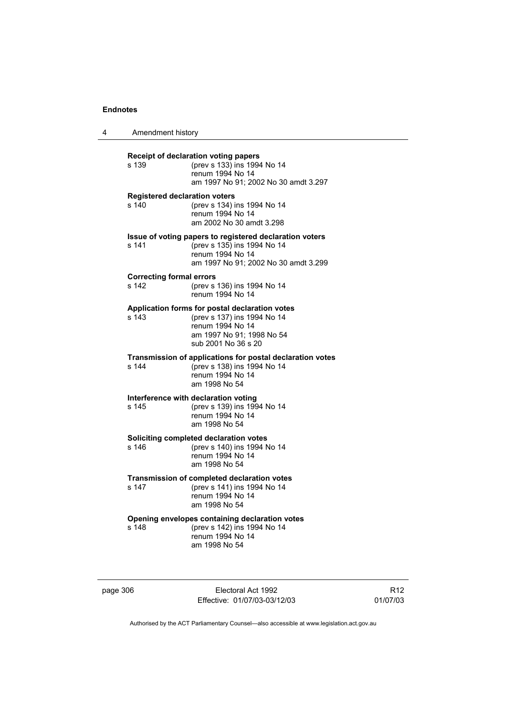4

| Amendment history                             |                                                                                                                                                       |  |
|-----------------------------------------------|-------------------------------------------------------------------------------------------------------------------------------------------------------|--|
| s 139                                         | Receipt of declaration voting papers<br>(prev s 133) ins 1994 No 14<br>renum 1994 No 14<br>am 1997 No 91; 2002 No 30 amdt 3.297                       |  |
| <b>Registered declaration voters</b><br>s 140 | (prev s 134) ins 1994 No 14<br>renum 1994 No 14<br>am 2002 No 30 amdt 3.298                                                                           |  |
| s 141                                         | Issue of voting papers to registered declaration voters<br>(prev s 135) ins 1994 No 14<br>renum 1994 No 14<br>am 1997 No 91; 2002 No 30 amdt 3.299    |  |
| <b>Correcting formal errors</b><br>s 142      | (prev s 136) ins 1994 No 14<br>renum 1994 No 14                                                                                                       |  |
| s 143                                         | Application forms for postal declaration votes<br>(prev s 137) ins 1994 No 14<br>renum 1994 No 14<br>am 1997 No 91; 1998 No 54<br>sub 2001 No 36 s 20 |  |
| s 144                                         | Transmission of applications for postal declaration votes<br>(prev s 138) ins 1994 No 14<br>renum 1994 No 14<br>am 1998 No 54                         |  |
| s 145                                         | Interference with declaration voting<br>(prev s 139) ins 1994 No 14<br>renum 1994 No 14<br>am 1998 No 54                                              |  |
| s 146                                         | Soliciting completed declaration votes<br>(prev s 140) ins 1994 No 14<br>renum 1994 No 14<br>am 1998 No 54                                            |  |
| s 147                                         | Transmission of completed declaration votes<br>(prev s 141) ins 1994 No 14<br>renum 1994 No 14<br>am 1998 No 54                                       |  |
| s 148                                         | Opening envelopes containing declaration votes<br>(prev s 142) ins 1994 No 14<br>renum 1994 No 14<br>am 1998 No 54                                    |  |

page 306 Electoral Act 1992 Effective: 01/07/03-03/12/03

R12 01/07/03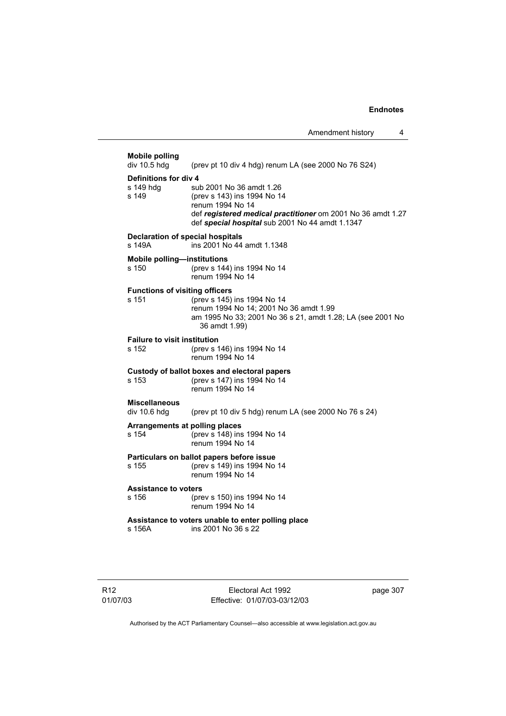**Mobile polling**  (prev pt 10 div 4 hdg) renum LA (see 2000 No 76 S24) **Definitions for div 4**<br>s 149 hdg sul sub 2001 No 36 amdt 1.26 s 149 (prev s 143) ins 1994 No 14 renum 1994 No 14 def *registered medical practitioner* om 2001 No 36 amdt 1.27 def *special hospital* sub 2001 No 44 amdt 1.1347 **Declaration of special hospitals**  s 149A ins 2001 No 44 amdt 1.1348 **Mobile polling—institutions**<br>s 150 (prev s 144) (prev s 144) ins 1994 No 14 renum 1994 No 14 **Functions of visiting officers** s 151 (prev s 145) ins 1994 No 14 renum 1994 No 14; 2001 No 36 amdt 1.99 am 1995 No 33; 2001 No 36 s 21, amdt 1.28; LA (see 2001 No 36 amdt 1.99) **Failure to visit institution**<br>s 152 (prev s 1 (prev s 146) ins 1994 No 14 renum 1994 No 14 **Custody of ballot boxes and electoral papers** s 153 (prev s 147) ins 1994 No 14 renum 1994 No 14 **Miscellaneous**  div 10.6 hdg (prev pt 10 div 5 hdg) renum LA (see 2000 No 76 s 24) **Arrangements at polling places** s 154 (prev s 148) ins 1994 No 14 renum 1994 No 14 **Particulars on ballot papers before issue** s 155 (prev s 149) ins 1994 No 14 renum 1994 No 14 **Assistance to voters**<br>s 156 (pre (prev s 150) ins 1994 No 14 renum 1994 No 14 **Assistance to voters unable to enter polling place** s 156A ins 2001 No 36 s 22

Electoral Act 1992 Effective: 01/07/03-03/12/03 page 307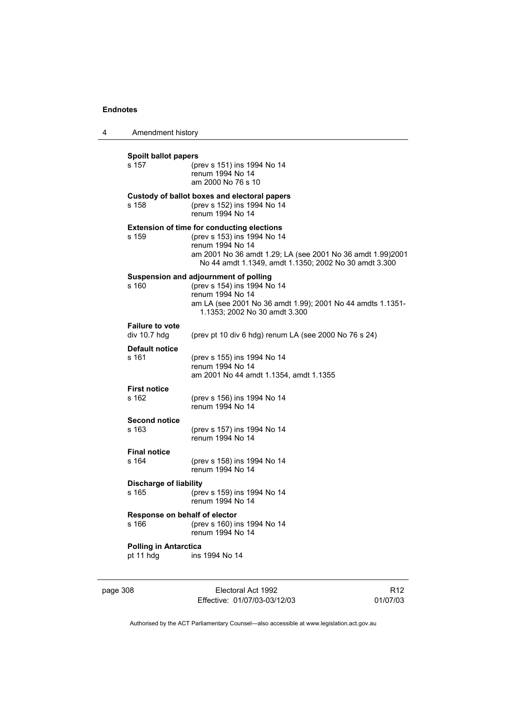| 4 | Amendment history                         |                                                                                                                                                                                                                             |
|---|-------------------------------------------|-----------------------------------------------------------------------------------------------------------------------------------------------------------------------------------------------------------------------------|
|   | <b>Spoilt ballot papers</b><br>s 157      | (prev s 151) ins 1994 No 14<br>renum 1994 No 14<br>am 2000 No 76 s 10                                                                                                                                                       |
|   | s 158                                     | Custody of ballot boxes and electoral papers<br>(prev s 152) ins 1994 No 14<br>renum 1994 No 14                                                                                                                             |
|   | s 159                                     | <b>Extension of time for conducting elections</b><br>(prev s 153) ins 1994 No 14<br>renum 1994 No 14<br>am 2001 No 36 amdt 1.29; LA (see 2001 No 36 amdt 1.99)2001<br>No 44 amdt 1.1349, amdt 1.1350; 2002 No 30 amdt 3.300 |
|   | s 160                                     | Suspension and adjournment of polling<br>(prev s 154) ins 1994 No 14<br>renum 1994 No 14<br>am LA (see 2001 No 36 amdt 1.99); 2001 No 44 amdts 1.1351-<br>1.1353; 2002 No 30 amdt 3.300                                     |
|   | <b>Failure to vote</b><br>div $10.7$ hdg  | (prev pt 10 div 6 hdg) renum LA (see 2000 No 76 s 24)                                                                                                                                                                       |
|   | <b>Default notice</b><br>s 161            | (prev s 155) ins 1994 No 14<br>renum 1994 No 14<br>am 2001 No 44 amdt 1.1354, amdt 1.1355                                                                                                                                   |
|   | <b>First notice</b><br>s 162              | (prev s 156) ins 1994 No 14<br>renum 1994 No 14                                                                                                                                                                             |
|   | <b>Second notice</b><br>s 163             | (prev s 157) ins 1994 No 14<br>renum 1994 No 14                                                                                                                                                                             |
|   | <b>Final notice</b><br>s 164              | (prev s 158) ins 1994 No 14<br>renum 1994 No 14                                                                                                                                                                             |
|   | <b>Discharge of liability</b><br>s 165    | (prev s 159) ins 1994 No 14<br>renum 1994 No 14                                                                                                                                                                             |
|   | Response on behalf of elector<br>s 166    | (prev s 160) ins 1994 No 14<br>renum 1994 No 14                                                                                                                                                                             |
|   | <b>Polling in Antarctica</b><br>pt 11 hdg | ins 1994 No 14                                                                                                                                                                                                              |

page 308 Electoral Act 1992 Effective: 01/07/03-03/12/03

R12 01/07/03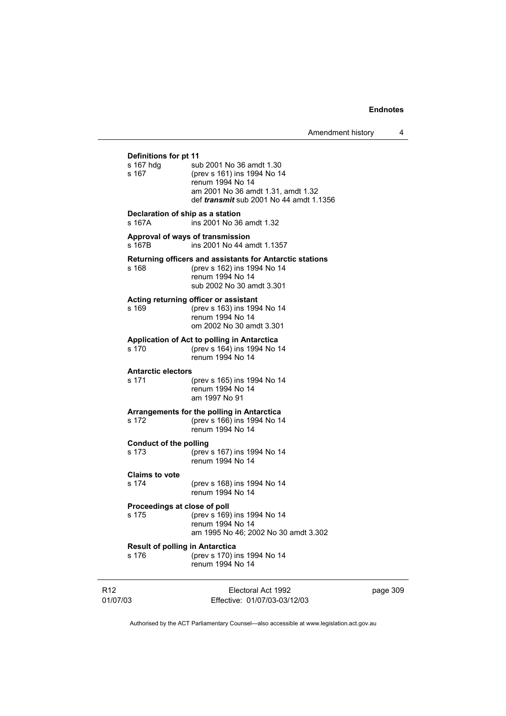Amendment history 4

# **Definitions for pt 11**<br>s 167 hdg sul sub 2001 No 36 amdt 1.30 s 167 (prev s 161) ins 1994 No 14 renum 1994 No 14 am 2001 No 36 amdt 1.31, amdt 1.32 def *transmit* sub 2001 No 44 amdt 1.1356 **Declaration of ship as a station** s 167A ins 2001 No 36 amdt 1.32 **Approval of ways of transmission**  s 167B ins 2001 No 44 amdt 1.1357 **Returning officers and assistants for Antarctic stations** (prev s 162) ins 1994 No 14 renum 1994 No 14 sub 2002 No 30 amdt 3.301 **Acting returning officer or assistant** s 169 (prev s 163) ins 1994 No 14 renum 1994 No 14 om 2002 No 30 amdt 3.301 **Application of Act to polling in Antarctica** (prev s 164) ins 1994 No 14 renum 1994 No 14 **Antarctic electors** s 171 (prev s 165) ins 1994 No 14 renum 1994 No 14 am 1997 No 91 **Arrangements for the polling in Antarctica** s 172 (prev s 166) ins 1994 No 14 renum 1994 No 14 **Conduct of the polling**<br>s 173 (prev (prev s 167) ins 1994 No 14 renum 1994 No 14 **Claims to vote** s 174 (prev s 168) ins 1994 No 14 renum 1994 No 14 **Proceedings at close of poll** s 175 (prev s 169) ins 1994 No 14 renum 1994 No 14 am 1995 No 46; 2002 No 30 amdt 3.302 **Result of polling in Antarctica** s 176 (prev s 170) ins 1994 No 14 renum 1994 No 14

R12 01/07/03 Electoral Act 1992 Effective: 01/07/03-03/12/03 page 309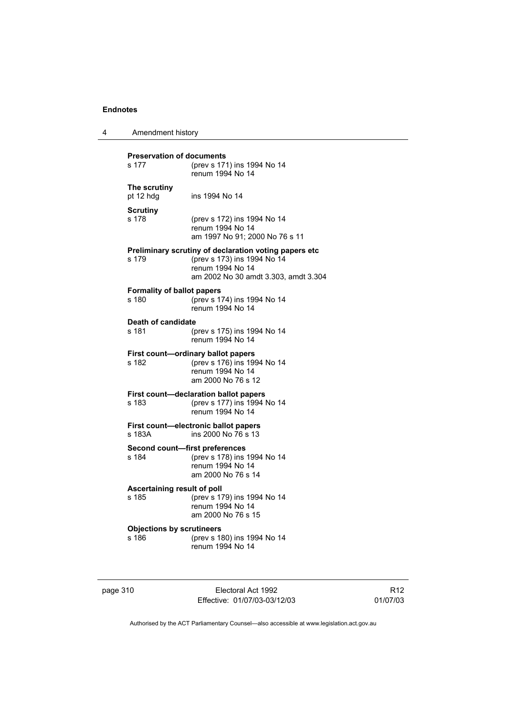| 4 | Amendment history |
|---|-------------------|
|---|-------------------|

| <b>Preservation of documents</b><br>s 177<br>(prev s 171) ins 1994 No 14<br>renum 1994 No 14      |                                                                                                                                                  |  |
|---------------------------------------------------------------------------------------------------|--------------------------------------------------------------------------------------------------------------------------------------------------|--|
| The scrutiny<br>pt 12 hdg                                                                         | ins 1994 No 14                                                                                                                                   |  |
| Scrutiny<br>s 178                                                                                 | (prev s 172) ins 1994 No 14<br>renum 1994 No 14<br>am 1997 No 91; 2000 No 76 s 11                                                                |  |
| s 179                                                                                             | Preliminary scrutiny of declaration voting papers etc<br>(prev s 173) ins 1994 No 14<br>renum 1994 No 14<br>am 2002 No 30 amdt 3.303, amdt 3.304 |  |
| <b>Formality of ballot papers</b><br>s 180                                                        | (prev s 174) ins 1994 No 14<br>renum 1994 No 14                                                                                                  |  |
| Death of candidate<br>s 181                                                                       | (prev s 175) ins 1994 No 14<br>renum 1994 No 14                                                                                                  |  |
| s 182                                                                                             | First count-ordinary ballot papers<br>(prev s 176) ins 1994 No 14<br>renum 1994 No 14<br>am 2000 No 76 s 12                                      |  |
| First count-declaration ballot papers<br>(prev s 177) ins 1994 No 14<br>s 183<br>renum 1994 No 14 |                                                                                                                                                  |  |
| s 183A                                                                                            | First count—electronic ballot papers<br>ins 2000 No 76 s 13                                                                                      |  |
| Second count-first preferences<br>s 184                                                           | (prev s 178) ins 1994 No 14<br>renum 1994 No 14<br>am 2000 No 76 s 14                                                                            |  |
| Ascertaining result of poll<br>s 185                                                              | (prev s 179) ins 1994 No 14<br>renum 1994 No 14<br>am 2000 No 76 s 15                                                                            |  |
| <b>Objections by scrutineers</b><br>s 186                                                         | (prev s 180) ins 1994 No 14<br>renum 1994 No 14                                                                                                  |  |

| page 310 |  |  |
|----------|--|--|

Electoral Act 1992 Effective: 01/07/03-03/12/03

R12 01/07/03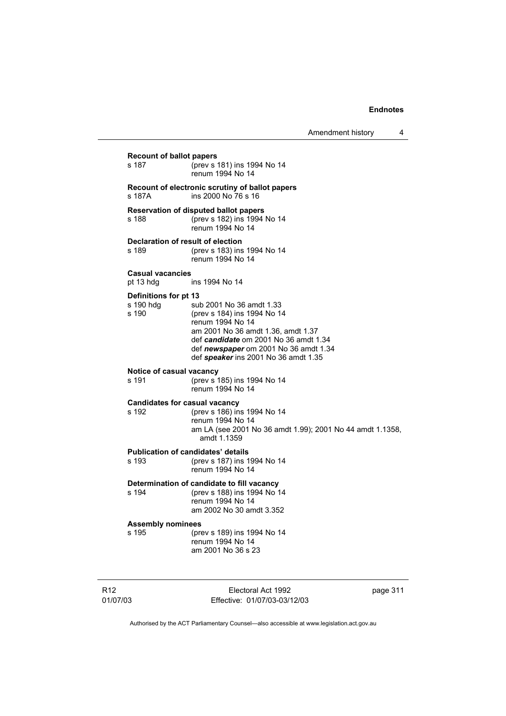Amendment history 4

**Recount of ballot papers**<br>s 187 (prev s) s 187 (prev s 181) ins 1994 No 14 renum 1994 No 14 **Recount of electronic scrutiny of ballot papers** s 187A ins 2000 No 76 s 16 **Reservation of disputed ballot papers** s 188 (prev s 182) ins 1994 No 14 renum 1994 No 14 **Declaration of result of election** s 189 (prev s 183) ins 1994 No 14 renum 1994 No 14 **Casual vacancies** pt 13 hdg ins 1994 No 14 **Definitions for pt 13** s 190 hdg sub 2001 No 36 amdt 1.33<br>s 190 (prev s 184) ins 1994 No 14 s 190 (prev s 184) ins 1994 No 14 renum 1994 No 14 am 2001 No 36 amdt 1.36, amdt 1.37 def *candidate* om 2001 No 36 amdt 1.34 def *newspaper* om 2001 No 36 amdt 1.34 def *speaker* ins 2001 No 36 amdt 1.35 **Notice of casual vacancy** s 191 (prev s 185) ins 1994 No 14 renum 1994 No 14 **Candidates for casual vacancy** s 192 (prev s 186) ins 1994 No 14 renum 1994 No 14 am LA (see 2001 No 36 amdt 1.99); 2001 No 44 amdt 1.1358, amdt 1.1359 **Publication of candidates' details**<br>s 193 (prev s 187) ins 1 (prev s 187) ins 1994 No 14 renum 1994 No 14 **Determination of candidate to fill vacancy**<br>s 194 No 1994 No 1 s 194 (prev s 188) ins 1994 No 14 renum 1994 No 14 am 2002 No 30 amdt 3.352 **Assembly nominees** s 195 (prev s 189) ins 1994 No 14 renum 1994 No 14 am 2001 No 36 s 23

R12 01/07/03

Electoral Act 1992 Effective: 01/07/03-03/12/03 page 311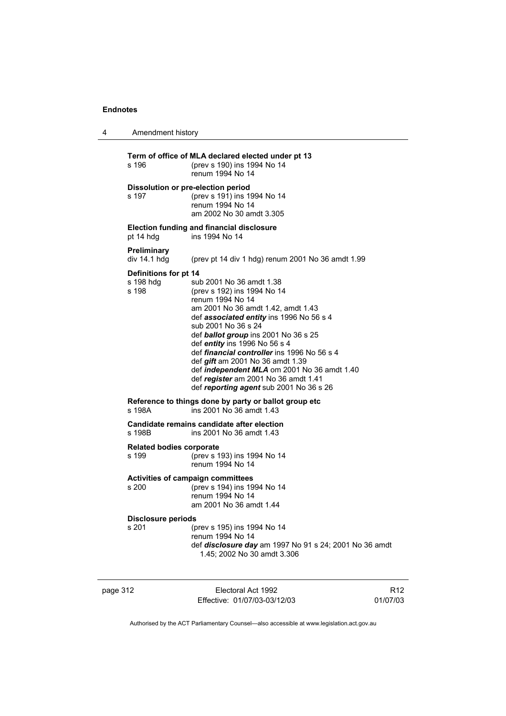| 4 | Amendment history                                                                |                                                                                                                                                                                                                                                                                                                                                                                                                                                                                                  |
|---|----------------------------------------------------------------------------------|--------------------------------------------------------------------------------------------------------------------------------------------------------------------------------------------------------------------------------------------------------------------------------------------------------------------------------------------------------------------------------------------------------------------------------------------------------------------------------------------------|
|   | s 196                                                                            | Term of office of MLA declared elected under pt 13<br>(prev s 190) ins 1994 No 14<br>renum 1994 No 14                                                                                                                                                                                                                                                                                                                                                                                            |
|   | s 197                                                                            | Dissolution or pre-election period<br>(prev s 191) ins 1994 No 14<br>renum 1994 No 14<br>am 2002 No 30 amdt 3.305                                                                                                                                                                                                                                                                                                                                                                                |
|   | pt 14 hdg                                                                        | <b>Election funding and financial disclosure</b><br>ins 1994 No 14                                                                                                                                                                                                                                                                                                                                                                                                                               |
|   | Preliminary<br>div 14.1 hdg                                                      | (prev pt 14 div 1 hdg) renum 2001 No 36 amdt 1.99                                                                                                                                                                                                                                                                                                                                                                                                                                                |
|   | Definitions for pt 14<br>s 198 hdg<br>s 198                                      | sub 2001 No 36 amdt 1.38<br>(prev s 192) ins 1994 No 14<br>renum 1994 No 14<br>am 2001 No 36 amdt 1.42, amdt 1.43<br>def associated entity ins 1996 No 56 s 4<br>sub 2001 No 36 s 24<br>def ballot group ins 2001 No 36 s 25<br>def entity ins 1996 No 56 s 4<br>def <i>financial controller</i> ins 1996 No 56 s 4<br>def <i>gift</i> am 2001 No 36 amdt 1.39<br>def independent MLA om 2001 No 36 amdt 1.40<br>def register am 2001 No 36 amdt 1.41<br>def reporting agent sub 2001 No 36 s 26 |
|   | s 198A                                                                           | Reference to things done by party or ballot group etc<br>ins 2001 No 36 amdt 1.43                                                                                                                                                                                                                                                                                                                                                                                                                |
|   | Candidate remains candidate after election<br>s 198B<br>ins 2001 No 36 amdt 1.43 |                                                                                                                                                                                                                                                                                                                                                                                                                                                                                                  |
|   | <b>Related bodies corporate</b><br>s 199                                         | (prev s 193) ins 1994 No 14<br>renum 1994 No 14                                                                                                                                                                                                                                                                                                                                                                                                                                                  |
|   | s 200                                                                            | <b>Activities of campaign committees</b><br>(prev s 194) ins 1994 No 14<br>renum 1994 No 14<br>am 2001 No 36 amdt 1.44                                                                                                                                                                                                                                                                                                                                                                           |
|   | <b>Disclosure periods</b><br>s 201                                               | (prev s 195) ins 1994 No 14<br>renum 1994 No 14<br>def <i>disclosure day</i> am 1997 No 91 s 24; 2001 No 36 amdt<br>1.45; 2002 No 30 amdt 3.306                                                                                                                                                                                                                                                                                                                                                  |

page 312 Electoral Act 1992 Effective: 01/07/03-03/12/03

R12 01/07/03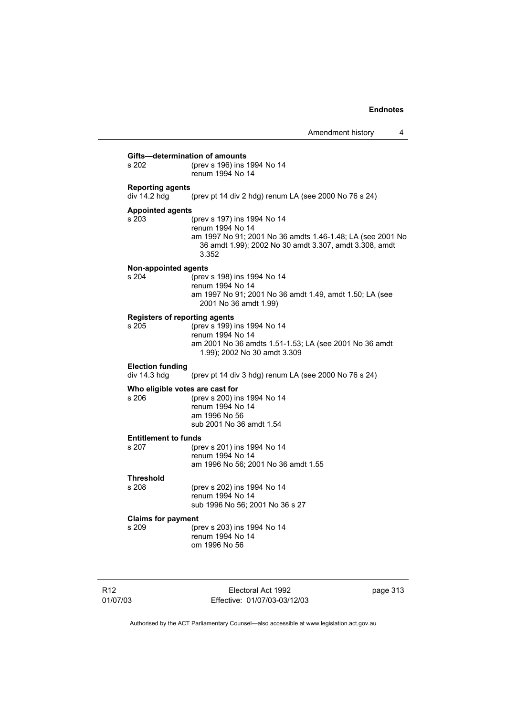| Gifts-determination of amounts<br>(prev s 196) ins 1994 No 14<br>s 202<br>renum 1994 No 14                                                                                                                           |  |
|----------------------------------------------------------------------------------------------------------------------------------------------------------------------------------------------------------------------|--|
| <b>Reporting agents</b><br>div 14.2 hdg<br>(prev pt 14 div 2 hdg) renum LA (see 2000 No 76 s 24)                                                                                                                     |  |
| <b>Appointed agents</b><br>s 203<br>(prev s 197) ins 1994 No 14<br>renum 1994 No 14<br>am 1997 No 91; 2001 No 36 amdts 1.46-1.48; LA (see 2001 No<br>36 amdt 1.99); 2002 No 30 amdt 3.307, amdt 3.308, amdt<br>3.352 |  |
| <b>Non-appointed agents</b><br>s 204<br>(prev s 198) ins 1994 No 14<br>renum 1994 No 14<br>am 1997 No 91; 2001 No 36 amdt 1.49, amdt 1.50; LA (see<br>2001 No 36 amdt 1.99)                                          |  |
| <b>Registers of reporting agents</b><br>s 205<br>(prev s 199) ins 1994 No 14<br>renum 1994 No 14<br>am 2001 No 36 amdts 1.51-1.53; LA (see 2001 No 36 amdt<br>1.99); 2002 No 30 amdt 3.309                           |  |
| <b>Election funding</b><br>div 14.3 hdg<br>(prev pt 14 div 3 hdg) renum LA (see 2000 No 76 s 24)                                                                                                                     |  |
| Who eligible votes are cast for<br>s 206<br>(prev s 200) ins 1994 No 14<br>renum 1994 No 14<br>am 1996 No 56<br>sub 2001 No 36 amdt 1.54                                                                             |  |
| <b>Entitlement to funds</b><br>s 207<br>(prev s 201) ins 1994 No 14<br>renum 1994 No 14<br>am 1996 No 56; 2001 No 36 amdt 1.55                                                                                       |  |
| <b>Threshold</b><br>s 208<br>(prev s 202) ins 1994 No 14<br>renum 1994 No 14<br>sub 1996 No 56; 2001 No 36 s 27                                                                                                      |  |
| <b>Claims for payment</b><br>s 209<br>(prev s 203) ins 1994 No 14<br>renum 1994 No 14<br>om 1996 No 56                                                                                                               |  |

Electoral Act 1992 Effective: 01/07/03-03/12/03 page 313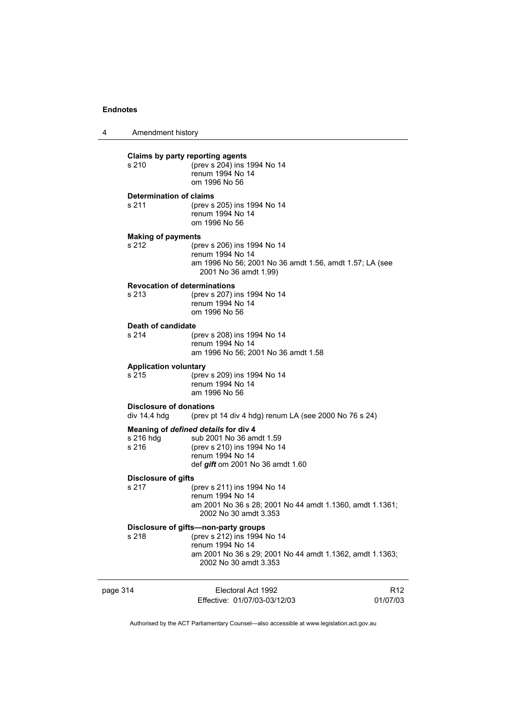| 4        | Amendment history                              |                                                                                                                                                                              |                 |
|----------|------------------------------------------------|------------------------------------------------------------------------------------------------------------------------------------------------------------------------------|-----------------|
|          | Claims by party reporting agents<br>s 210      | (prev s 204) ins 1994 No 14<br>renum 1994 No 14<br>om 1996 No 56                                                                                                             |                 |
|          | <b>Determination of claims</b><br>s 211        | (prev s 205) ins 1994 No 14<br>renum 1994 No 14<br>om 1996 No 56                                                                                                             |                 |
|          | <b>Making of payments</b><br>s 212             | (prev s 206) ins 1994 No 14<br>renum 1994 No 14<br>am 1996 No 56; 2001 No 36 amdt 1.56, amdt 1.57; LA (see<br>2001 No 36 amdt 1.99)                                          |                 |
|          | <b>Revocation of determinations</b><br>s 213   | (prev s 207) ins 1994 No 14<br>renum 1994 No 14<br>om 1996 No 56                                                                                                             |                 |
|          | Death of candidate<br>s 214                    | (prev s 208) ins 1994 No 14<br>renum 1994 No 14<br>am 1996 No 56; 2001 No 36 amdt 1.58                                                                                       |                 |
|          | <b>Application voluntary</b><br>s 215          | (prev s 209) ins 1994 No 14<br>renum 1994 No 14<br>am 1996 No 56                                                                                                             |                 |
|          | <b>Disclosure of donations</b><br>div 14.4 hdg | (prev pt 14 div 4 hdg) renum LA (see 2000 No 76 s 24)                                                                                                                        |                 |
|          | s 216 hdg<br>s 216                             | Meaning of defined details for div 4<br>sub 2001 No 36 amdt 1.59<br>(prev s 210) ins 1994 No 14<br>renum 1994 No 14<br>def <i>gift</i> om 2001 No 36 amdt 1.60               |                 |
|          | <b>Disclosure of gifts</b><br>s 217            | (prev s 211) ins 1994 No 14<br>renum 1994 No 14<br>am 2001 No 36 s 28; 2001 No 44 amdt 1.1360, amdt 1.1361;<br>2002 No 30 amdt 3.353                                         |                 |
|          | s 218                                          | Disclosure of gifts-non-party groups<br>(prev s 212) ins 1994 No 14<br>renum 1994 No 14<br>am 2001 No 36 s 29; 2001 No 44 amdt 1.1362, amdt 1.1363;<br>2002 No 30 amdt 3.353 |                 |
| page 314 |                                                | Electoral Act 1992<br>Effective: 01/07/03-03/12/03                                                                                                                           | R12<br>01/07/03 |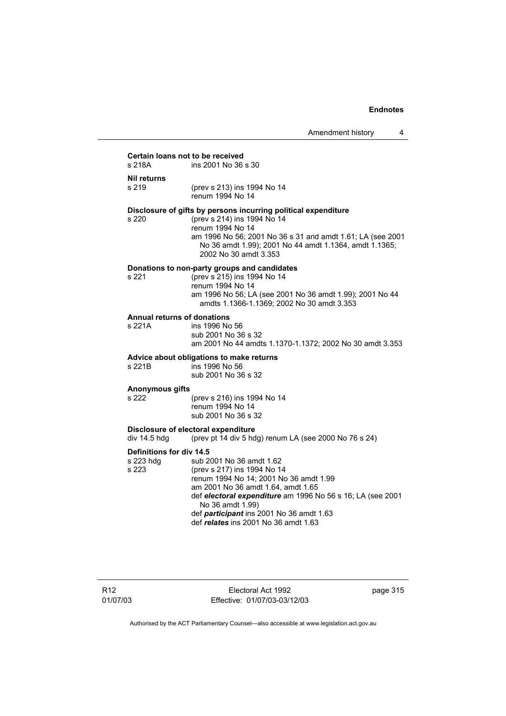# **Certain loans not to be received**<br>s 218A **ins 2001 No 36**

ins 2001 No 36 s 30

**Nil returns**

s 219 (prev s 213) ins 1994 No 14 renum 1994 No 14

#### **Disclosure of gifts by persons incurring political expenditure**

s 220 (prev s 214) ins 1994 No 14

 renum 1994 No 14 am 1996 No 56; 2001 No 36 s 31 and amdt 1.61; LA (see 2001 No 36 amdt 1.99); 2001 No 44 amdt 1.1364, amdt 1.1365; 2002 No 30 amdt 3.353

### **Donations to non-party groups and candidates**

s 221 (prev s 215) ins 1994 No 14 renum 1994 No 14 am 1996 No 56; LA (see 2001 No 36 amdt 1.99); 2001 No 44 amdts 1.1366-1.1369; 2002 No 30 amdt 3.353

#### **Annual returns of donations**

s 221A ins 1996 No 56 sub 2001 No 36 s 32 am 2001 No 44 amdts 1.1370-1.1372; 2002 No 30 amdt 3.353

# **Advice about obligations to make returns**

 $ins$  1996 No 56 sub 2001 No 36 s 32

# **Anonymous gifts**

(prev s 216) ins 1994 No 14 renum 1994 No 14 sub 2001 No 36 s 32

#### **Disclosure of electoral expenditure**

div 14.5 hdg (prev pt 14 div 5 hdg) renum LA (see 2000 No 76 s 24)

**Definitions for div 14.5**<br>s 223 hdg sub 2 sub 2001 No 36 amdt 1.62 s 223 (prev s 217) ins 1994 No 14 renum 1994 No 14; 2001 No 36 amdt 1.99 am 2001 No 36 amdt 1.64, amdt 1.65 def *electoral expenditure* am 1996 No 56 s 16; LA (see 2001 No 36 amdt 1.99) def *participant* ins 2001 No 36 amdt 1.63 def *relates* ins 2001 No 36 amdt 1.63

R12 01/07/03

Electoral Act 1992 Effective: 01/07/03-03/12/03 page 315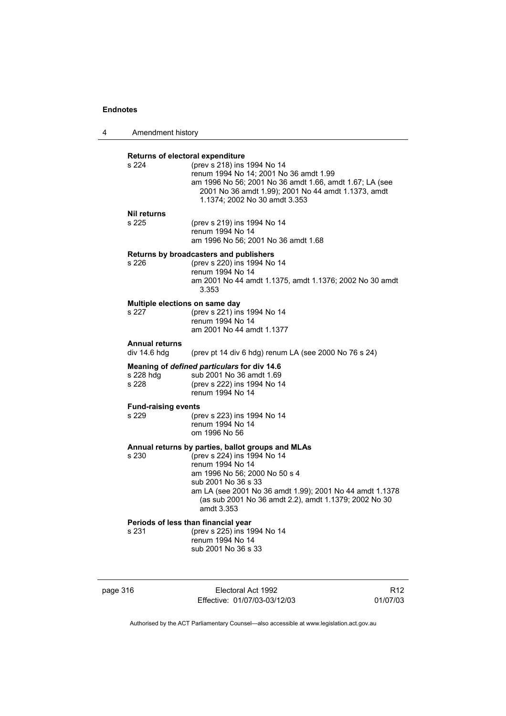| 4 | Amendment history                         |                                                                                                                                                                                                                                                                                                 |
|---|-------------------------------------------|-------------------------------------------------------------------------------------------------------------------------------------------------------------------------------------------------------------------------------------------------------------------------------------------------|
|   | Returns of electoral expenditure<br>s 224 | (prev s 218) ins 1994 No 14<br>renum 1994 No 14; 2001 No 36 amdt 1.99<br>am 1996 No 56; 2001 No 36 amdt 1.66, amdt 1.67; LA (see<br>2001 No 36 amdt 1.99); 2001 No 44 amdt 1.1373, amdt<br>1.1374; 2002 No 30 amdt 3.353                                                                        |
|   | <b>Nil returns</b><br>s 225               | (prev s 219) ins 1994 No 14<br>renum 1994 No 14<br>am 1996 No 56; 2001 No 36 amdt 1.68                                                                                                                                                                                                          |
|   | s 226                                     | Returns by broadcasters and publishers<br>(prev s 220) ins 1994 No 14<br>renum 1994 No 14<br>am 2001 No 44 amdt 1.1375, amdt 1.1376; 2002 No 30 amdt<br>3.353                                                                                                                                   |
|   | Multiple elections on same day<br>s 227   | (prev s 221) ins 1994 No 14<br>renum 1994 No 14<br>am 2001 No 44 amdt 1.1377                                                                                                                                                                                                                    |
|   | <b>Annual returns</b><br>div 14.6 hdg     | (prev pt 14 div 6 hdg) renum LA (see 2000 No 76 s 24)                                                                                                                                                                                                                                           |
|   | s 228 hdg<br>s 228                        | Meaning of defined particulars for div 14.6<br>sub 2001 No 36 amdt 1.69<br>(prev s 222) ins 1994 No 14<br>renum 1994 No 14                                                                                                                                                                      |
|   | <b>Fund-raising events</b><br>s 229       | (prev s 223) ins 1994 No 14<br>renum 1994 No 14<br>om 1996 No 56                                                                                                                                                                                                                                |
|   | s 230                                     | Annual returns by parties, ballot groups and MLAs<br>(prev s 224) ins 1994 No 14<br>renum 1994 No 14<br>am 1996 No 56; 2000 No 50 s 4<br>sub 2001 No 36 s 33<br>am LA (see 2001 No 36 amdt 1.99); 2001 No 44 amdt 1.1378<br>(as sub 2001 No 36 amdt 2.2), amdt 1.1379; 2002 No 30<br>amdt 3.353 |
|   | s 231                                     | Periods of less than financial year<br>(prev s 225) ins 1994 No 14<br>renum 1994 No 14<br>sub 2001 No 36 s 33                                                                                                                                                                                   |

page 316 Electoral Act 1992 Effective: 01/07/03-03/12/03

R12 01/07/03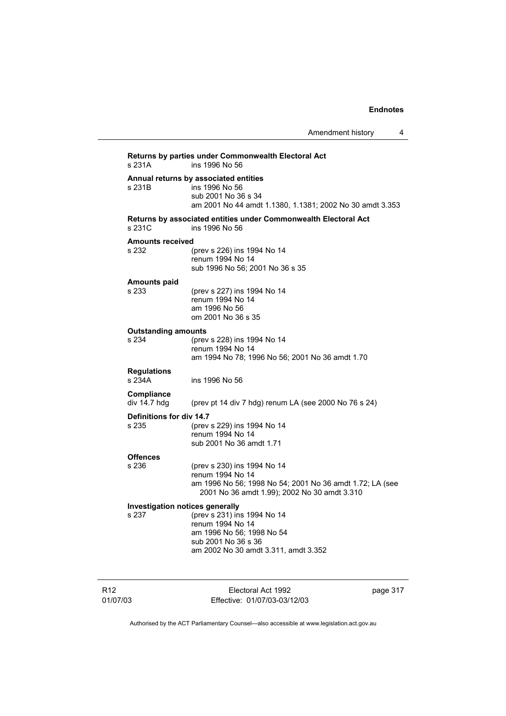| Returns by parties under Commonwealth Electoral Act<br>ins 1996 No 56<br>s 231A |                                                                                                                                                             |  |
|---------------------------------------------------------------------------------|-------------------------------------------------------------------------------------------------------------------------------------------------------------|--|
| s 231B                                                                          | Annual returns by associated entities<br>ins 1996 No 56<br>sub 2001 No 36 s 34<br>am 2001 No 44 amdt 1.1380, 1.1381; 2002 No 30 amdt 3.353                  |  |
| s 231C                                                                          | Returns by associated entities under Commonwealth Electoral Act<br>ins 1996 No 56                                                                           |  |
| <b>Amounts received</b><br>s 232                                                | (prev s 226) ins 1994 No 14<br>renum 1994 No 14<br>sub 1996 No 56; 2001 No 36 s 35                                                                          |  |
| <b>Amounts paid</b><br>s 233                                                    | (prev s 227) ins 1994 No 14<br>renum 1994 No 14<br>am 1996 No 56<br>om 2001 No 36 s 35                                                                      |  |
| <b>Outstanding amounts</b><br>s 234                                             | (prev s 228) ins 1994 No 14<br>renum 1994 No 14<br>am 1994 No 78; 1996 No 56; 2001 No 36 amdt 1.70                                                          |  |
| <b>Regulations</b><br>s 234A                                                    | ins 1996 No 56                                                                                                                                              |  |
| Compliance<br>div 14.7 hdg                                                      | (prev pt 14 div 7 hdg) renum LA (see 2000 No 76 s 24)                                                                                                       |  |
| Definitions for div 14.7<br>s 235                                               | (prev s 229) ins 1994 No 14<br>renum 1994 No 14<br>sub 2001 No 36 amdt 1.71                                                                                 |  |
| <b>Offences</b><br>s 236                                                        | (prev s 230) ins 1994 No 14<br>renum 1994 No 14<br>am 1996 No 56; 1998 No 54; 2001 No 36 amdt 1.72; LA (see<br>2001 No 36 amdt 1.99); 2002 No 30 amdt 3.310 |  |
| Investigation notices generally                                                 |                                                                                                                                                             |  |
| s 237                                                                           | (prev s 231) ins 1994 No 14<br>renum 1994 No 14                                                                                                             |  |
|                                                                                 | am 1996 No 56; 1998 No 54                                                                                                                                   |  |
|                                                                                 | sub 2001 No 36 s 36<br>am 2002 No 30 amdt 3.311, amdt 3.352                                                                                                 |  |
|                                                                                 |                                                                                                                                                             |  |

R12 01/07/03

Electoral Act 1992 Effective: 01/07/03-03/12/03 page 317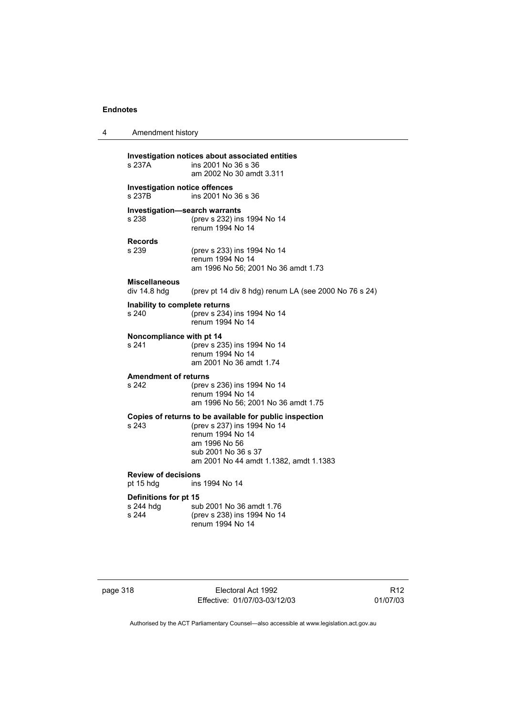| 4 | Amendment history                              |                                                                                                                                                                                              |
|---|------------------------------------------------|----------------------------------------------------------------------------------------------------------------------------------------------------------------------------------------------|
|   | s 237A                                         | Investigation notices about associated entities<br>ins 2001 No 36 s 36<br>am 2002 No 30 amdt 3.311                                                                                           |
|   | <b>Investigation notice offences</b><br>s 237B | ins 2001 No 36 s 36                                                                                                                                                                          |
|   | <b>Investigation-search warrants</b><br>s 238  | (prev s 232) ins 1994 No 14<br>renum 1994 No 14                                                                                                                                              |
|   | <b>Records</b><br>s 239                        | (prev s 233) ins 1994 No 14<br>renum 1994 No 14<br>am 1996 No 56; 2001 No 36 amdt 1.73                                                                                                       |
|   | <b>Miscellaneous</b><br>div 14.8 hdq           | (prev pt 14 div 8 hdg) renum LA (see 2000 No 76 s 24)                                                                                                                                        |
|   | Inability to complete returns<br>s 240         | (prev s 234) ins 1994 No 14<br>renum 1994 No 14                                                                                                                                              |
|   | Noncompliance with pt 14<br>s 241              | (prev s 235) ins 1994 No 14<br>renum 1994 No 14<br>am 2001 No 36 amdt 1.74                                                                                                                   |
|   | <b>Amendment of returns</b><br>s 242           | (prev s 236) ins 1994 No 14<br>renum 1994 No 14<br>am 1996 No 56; 2001 No 36 amdt 1.75                                                                                                       |
|   | s 243                                          | Copies of returns to be available for public inspection<br>(prev s 237) ins 1994 No 14<br>renum 1994 No 14<br>am 1996 No 56<br>sub 2001 No 36 s 37<br>am 2001 No 44 amdt 1.1382, amdt 1.1383 |
|   | <b>Review of decisions</b><br>pt 15 hdg        | ins 1994 No 14                                                                                                                                                                               |
|   | Definitions for pt 15<br>s 244 hdg<br>s 244    | sub 2001 No 36 amdt 1.76<br>(prev s 238) ins 1994 No 14<br>renum 1994 No 14                                                                                                                  |

page 318 Electoral Act 1992 Effective: 01/07/03-03/12/03

R12 01/07/03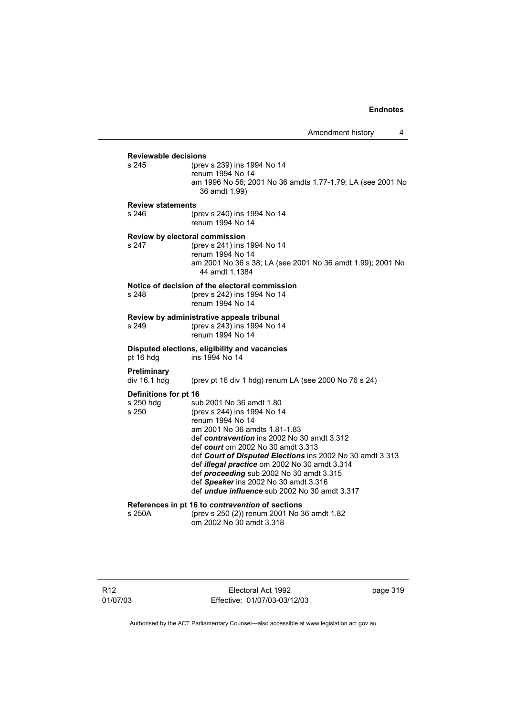**Reviewable decisions** (prev s 239) ins 1994 No 14 renum 1994 No 14 am 1996 No 56; 2001 No 36 amdts 1.77-1.79; LA (see 2001 No 36 amdt 1.99) **Review statements** s 246 (prev s 240) ins 1994 No 14 renum 1994 No 14 **Review by electoral commission** s 247 (prev s 241) ins 1994 No 14 renum 1994 No 14 am 2001 No 36 s 38; LA (see 2001 No 36 amdt 1.99); 2001 No 44 amdt 1.1384 **Notice of decision of the electoral commission**<br>s 248 (orev s 242) ins 1994 No 14 (prev s 242) ins 1994 No 14 renum 1994 No 14 **Review by administrative appeals tribunal** s 249 (prev s 243) ins 1994 No 14 renum 1994 No 14 **Disputed elections, eligibility and vacancies** pt 16 hdg ins 1994 No 14 **Preliminary**  (prev pt 16 div 1 hdg) renum LA (see 2000 No 76 s 24) **Definitions for pt 16** s 250 hdg sub 2001 No 36 amdt 1.80<br>s 250 (prev s 244) ins 1994 No 1 (prev s 244) ins 1994 No 14 renum 1994 No 14 am 2001 No 36 amdts 1.81-1.83 def *contravention* ins 2002 No 30 amdt 3.312 def *court* om 2002 No 30 amdt 3.313 def *Court of Disputed Elections* ins 2002 No 30 amdt 3.313 def *illegal practice* om 2002 No 30 amdt 3.314 def *proceeding* sub 2002 No 30 amdt 3.315 def *Speaker* ins 2002 No 30 amdt 3.316 def *undue influence* sub 2002 No 30 amdt 3.317 **References in pt 16 to** *contravention* **of sections** s 250A (prev s 250 (2)) renum 2001 No 36 amdt 1.82 om 2002 No 30 amdt 3.318

Electoral Act 1992 Effective: 01/07/03-03/12/03 page 319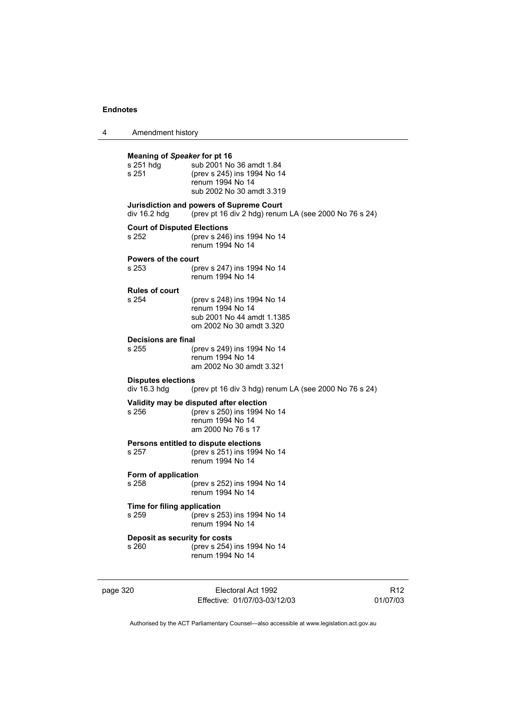| 4 | Amendment history |
|---|-------------------|
|---|-------------------|

| <b>Meaning of Speaker for pt 16</b><br>s 251 hdg<br>s 251 | sub 2001 No 36 amdt 1.84<br>(prev s 245) ins 1994 No 14<br>renum 1994 No 14<br>sub 2002 No 30 amdt 3.319         |  |  |  |
|-----------------------------------------------------------|------------------------------------------------------------------------------------------------------------------|--|--|--|
| div 16.2 hdg                                              | Jurisdiction and powers of Supreme Court<br>(prev pt 16 div 2 hdg) renum LA (see 2000 No 76 s 24)                |  |  |  |
| <b>Court of Disputed Elections</b><br>s 252               | (prev s 246) ins 1994 No 14<br>renum 1994 No 14                                                                  |  |  |  |
| <b>Powers of the court</b><br>s 253                       | (prev s 247) ins 1994 No 14<br>renum 1994 No 14                                                                  |  |  |  |
| <b>Rules of court</b><br>s 254                            | (prev s 248) ins 1994 No 14<br>renum 1994 No 14<br>sub 2001 No 44 amdt 1.1385<br>om 2002 No 30 amdt 3.320        |  |  |  |
| Decisions are final<br>s 255                              | (prev s 249) ins 1994 No 14<br>renum 1994 No 14<br>am 2002 No 30 amdt 3.321                                      |  |  |  |
| div 16.3 hdg                                              | <b>Disputes elections</b><br>(prev pt 16 div 3 hdg) renum LA (see 2000 No 76 s 24)                               |  |  |  |
| s 256                                                     | Validity may be disputed after election<br>(prev s 250) ins 1994 No 14<br>renum 1994 No 14<br>am 2000 No 76 s 17 |  |  |  |
| s 257                                                     | Persons entitled to dispute elections<br>(prev s 251) ins 1994 No 14<br>renum 1994 No 14                         |  |  |  |
| Form of application<br>s 258                              | (prev s 252) ins 1994 No 14<br>renum 1994 No 14                                                                  |  |  |  |
| Time for filing application<br>s 259                      | (prev s 253) ins 1994 No 14<br>renum 1994 No 14                                                                  |  |  |  |
| Deposit as security for costs<br>s 260                    | (prev s 254) ins 1994 No 14<br>renum 1994 No 14                                                                  |  |  |  |

| page 320 |  |  |
|----------|--|--|
|          |  |  |

Electoral Act 1992 Effective: 01/07/03-03/12/03

R12 01/07/03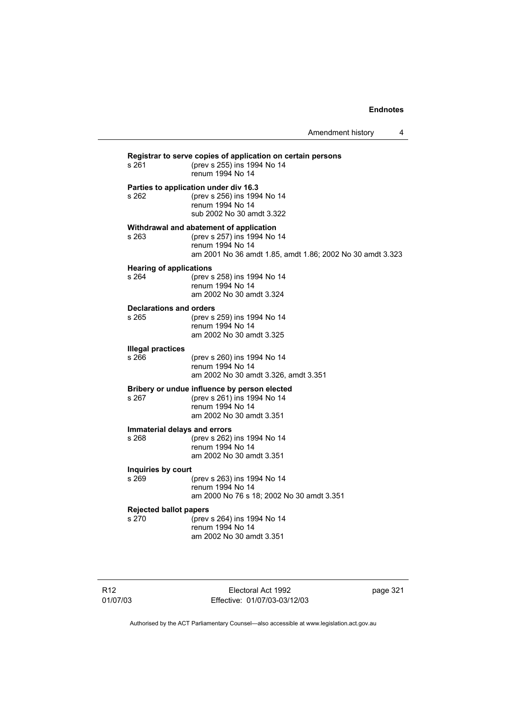Amendment history 4

| s 261                                   | Registrar to serve copies of application on certain persons<br>(prev s 255) ins 1994 No 14<br>renum 1994 No 14                                          |
|-----------------------------------------|---------------------------------------------------------------------------------------------------------------------------------------------------------|
| s 262                                   | Parties to application under div 16.3<br>(prev s 256) ins 1994 No 14<br>renum 1994 No 14<br>sub 2002 No 30 amdt 3.322                                   |
| s 263                                   | Withdrawal and abatement of application<br>(prev s 257) ins 1994 No 14<br>renum 1994 No 14<br>am 2001 No 36 amdt 1.85, amdt 1.86; 2002 No 30 amdt 3.323 |
| <b>Hearing of applications</b><br>s 264 | (prev s 258) ins 1994 No 14<br>renum 1994 No 14<br>am 2002 No 30 amdt 3.324                                                                             |
| <b>Declarations and orders</b><br>s 265 | (prev s 259) ins 1994 No 14<br>renum 1994 No 14<br>am 2002 No 30 amdt 3.325                                                                             |
| <b>Illegal practices</b><br>s 266       | (prev s 260) ins 1994 No 14<br>renum 1994 No 14<br>am 2002 No 30 amdt 3.326, amdt 3.351                                                                 |
| s 267                                   | Bribery or undue influence by person elected<br>(prev s 261) ins 1994 No 14<br>renum 1994 No 14<br>am 2002 No 30 amdt 3.351                             |
| Immaterial delays and errors<br>s 268   | (prev s 262) ins 1994 No 14<br>renum 1994 No 14<br>am 2002 No 30 amdt 3.351                                                                             |
| Inquiries by court<br>s 269             | (prev s 263) ins 1994 No 14<br>renum 1994 No 14<br>am 2000 No 76 s 18; 2002 No 30 amdt 3.351                                                            |
| <b>Rejected ballot papers</b><br>s 270  | (prev s 264) ins 1994 No 14<br>renum 1994 No 14<br>am 2002 No 30 amdt 3.351                                                                             |

R12 01/07/03

Electoral Act 1992 Effective: 01/07/03-03/12/03 page 321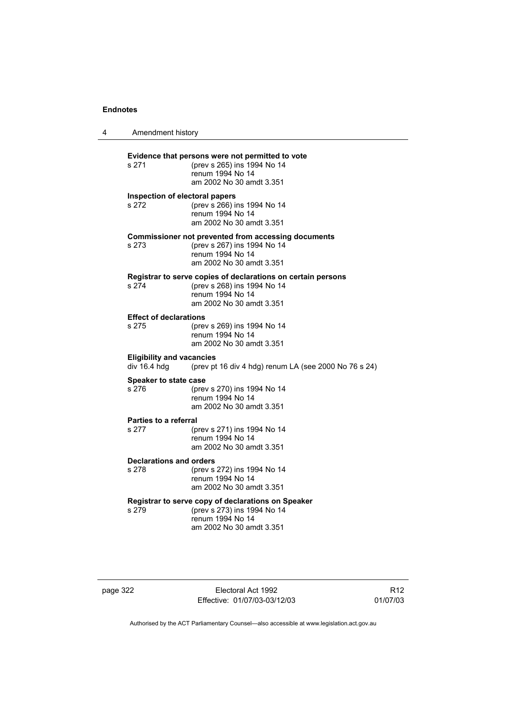| Amendment history                                |                                                                                                                                             |
|--------------------------------------------------|---------------------------------------------------------------------------------------------------------------------------------------------|
| s 271                                            | Evidence that persons were not permitted to vote<br>(prev s 265) ins 1994 No 14<br>renum 1994 No 14<br>am 2002 No 30 amdt 3.351             |
| Inspection of electoral papers<br>s 272          | (prev s 266) ins 1994 No 14<br>renum 1994 No 14<br>am 2002 No 30 amdt 3.351                                                                 |
| s 273                                            | <b>Commissioner not prevented from accessing documents</b><br>(prev s 267) ins 1994 No 14<br>renum 1994 No 14<br>am 2002 No 30 amdt 3.351   |
| s 274                                            | Registrar to serve copies of declarations on certain persons<br>(prev s 268) ins 1994 No 14<br>renum 1994 No 14<br>am 2002 No 30 amdt 3.351 |
| <b>Effect of declarations</b><br>s 275           | (prev s 269) ins 1994 No 14<br>renum 1994 No 14<br>am 2002 No 30 amdt 3.351                                                                 |
| <b>Eligibility and vacancies</b><br>div 16.4 hdg | (prev pt 16 div 4 hdg) renum LA (see 2000 No 76 s 24)                                                                                       |
| <b>Speaker to state case</b><br>s 276            | (prev s 270) ins 1994 No 14<br>renum 1994 No 14<br>am 2002 No 30 amdt 3.351                                                                 |
| <b>Parties to a referral</b><br>s 277            | (prev s 271) ins 1994 No 14<br>renum 1994 No 14<br>am 2002 No 30 amdt 3.351                                                                 |
| <b>Declarations and orders</b><br>s 278          | (prev s 272) ins 1994 No 14<br>renum 1994 No 14<br>am 2002 No 30 amdt 3.351                                                                 |
| s 279                                            | Registrar to serve copy of declarations on Speaker<br>(prev s 273) ins 1994 No 14<br>renum 1994 No 14<br>am 2002 No 30 amdt 3.351           |

page 322 Electoral Act 1992 Effective: 01/07/03-03/12/03

R12 01/07/03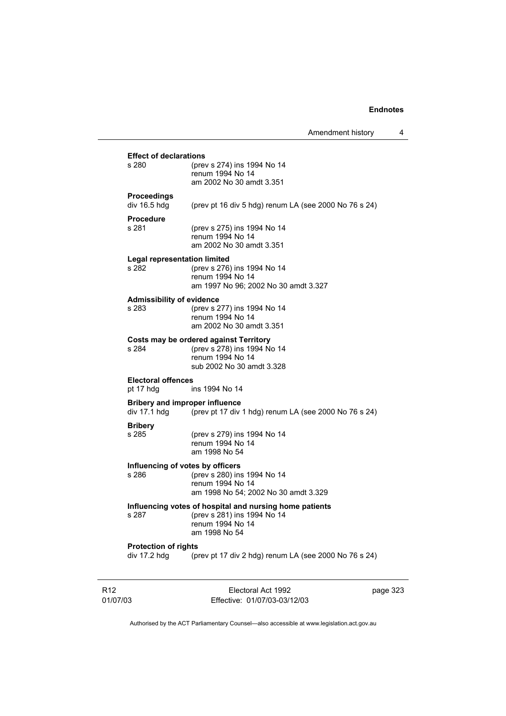|                                                                       |                             | Amendment history | 4 |
|-----------------------------------------------------------------------|-----------------------------|-------------------|---|
| <b>Effect of declarations</b>                                         |                             |                   |   |
| s 280                                                                 | (prev s 274) ins 1994 No 14 |                   |   |
|                                                                       | renum 1994 No 14            |                   |   |
|                                                                       | am 2002 No 30 amdt 3.351    |                   |   |
| <b>Proceedings</b>                                                    |                             |                   |   |
| div 16.5 hdg<br>(prev pt 16 div 5 hdg) renum LA (see 2000 No 76 s 24) |                             |                   |   |

### **Procedure**

s 281 (prev s 275) ins 1994 No 14 renum 1994 No 14 am 2002 No 30 amdt 3.351

# **Legal representation limited**

(prev s 276) ins 1994 No 14 renum 1994 No 14 am 1997 No 96; 2002 No 30 amdt 3.327

#### **Admissibility of evidence**

s 283 (prev s 277) ins 1994 No 14 renum 1994 No 14 am 2002 No 30 amdt 3.351

**Costs may be ordered against Territory**<br>s 284 (prev s 278) ins 1994 N s 284 (prev s 278) ins 1994 No 14 renum 1994 No 14 sub 2002 No 30 amdt 3.328

#### **Electoral offences**

pt 17 hdg ins 1994 No 14

#### **Bribery and improper influence**

div 17.1 hdg (prev pt 17 div 1 hdg) renum LA (see 2000 No 76 s 24)

# **Bribery**

(prev s 279) ins 1994 No 14 renum 1994 No 14 am 1998 No 54

## **Influencing of votes by officers**

s 286 (prev s 280) ins 1994 No 14 renum 1994 No 14 am 1998 No 54; 2002 No 30 amdt 3.329

### **Influencing votes of hospital and nursing home patients**

s 287 (prev s 281) ins 1994 No 14 renum 1994 No 14 am 1998 No 54

#### **Protection of rights**

div 17.2 hdg  $\sim$  (prev pt 17 div 2 hdg) renum LA (see 2000 No 76 s 24)

R12 01/07/03

Electoral Act 1992 Effective: 01/07/03-03/12/03 page 323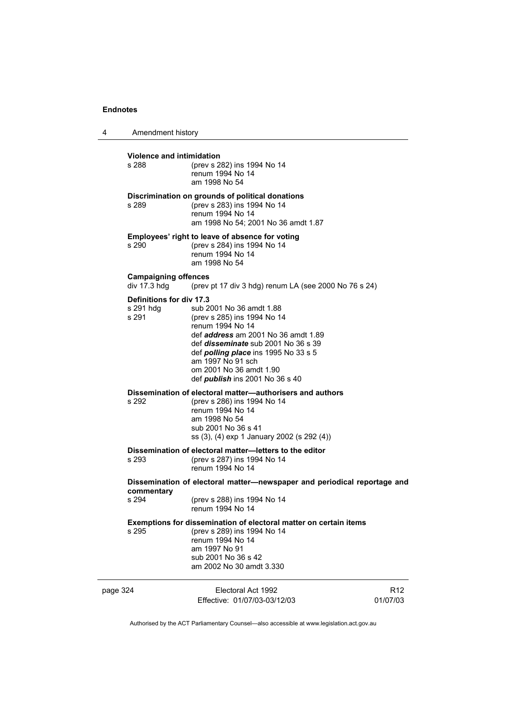4 Amendment history page 324 Electoral Act 1992 Effective: 01/07/03-03/12/03 R12 01/07/03 **Violence and intimidation**<br>s 288 (prev s 2) (prev s 282) ins 1994 No 14 renum 1994 No 14 am 1998 No 54 **Discrimination on grounds of political donations** s 289 (prev s 283) ins 1994 No 14 renum 1994 No 14 am 1998 No 54; 2001 No 36 amdt 1.87 **Employees' right to leave of absence for voting** s 290 (prev s 284) ins 1994 No 14 renum 1994 No 14 am 1998 No 54 **Campaigning offences**  div  $17.3$  hdg (prev pt 17 div 3 hdg) renum LA (see 2000 No 76 s 24) **Definitions for div 17.3** s 291 hdg sub 2001 No 36 amdt 1.88 s 291 (prev s 285) ins 1994 No 14 renum 1994 No 14 def *address* am 2001 No 36 amdt 1.89 def *disseminate* sub 2001 No 36 s 39 def *polling place* ins 1995 No 33 s 5 am 1997 No 91 sch om 2001 No 36 amdt 1.90 def *publish* ins 2001 No 36 s 40 **Dissemination of electoral matter—authorisers and authors** s 292 (prev s 286) ins 1994 No 14 renum 1994 No 14 am 1998 No 54 sub 2001 No 36 s 41 ss (3), (4) exp 1 January 2002 (s 292 (4)) **Dissemination of electoral matter—letters to the editor**<br>s 293 (prev s 287) ins 1994 No 14 (prev s 287) ins 1994 No 14 renum 1994 No 14 **Dissemination of electoral matter—newspaper and periodical reportage and commentary** s 294 (prev s 288) ins 1994 No 14 renum 1994 No 14 **Exemptions for dissemination of electoral matter on certain items** s 295 (prev s 289) ins 1994 No 14 renum 1994 No 14 am 1997 No 91 sub 2001 No 36 s 42 am 2002 No 30 amdt 3.330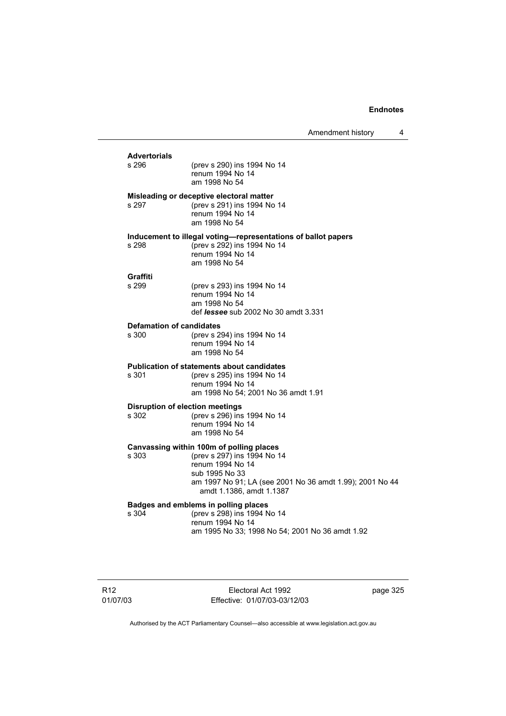Amendment history 4

| <b>Advertorials</b><br>s 296                    | (prev s 290) ins 1994 No 14<br>renum 1994 No 14<br>am 1998 No 54                                                                                                                                      |
|-------------------------------------------------|-------------------------------------------------------------------------------------------------------------------------------------------------------------------------------------------------------|
| s 297                                           | Misleading or deceptive electoral matter<br>(prev s 291) ins 1994 No 14<br>renum 1994 No 14<br>am 1998 No 54                                                                                          |
| s 298                                           | Inducement to illegal voting-representations of ballot papers<br>(prev s 292) ins 1994 No 14<br>renum 1994 No 14<br>am 1998 No 54                                                                     |
| Graffiti<br>s 299                               | (prev s 293) ins 1994 No 14<br>renum 1994 No 14<br>am 1998 No 54<br>def <i>lessee</i> sub 2002 No 30 amdt 3.331                                                                                       |
| <b>Defamation of candidates</b><br>s 300        | (prev s 294) ins 1994 No 14<br>renum 1994 No 14<br>am 1998 No 54                                                                                                                                      |
| s 301                                           | <b>Publication of statements about candidates</b><br>(prev s 295) ins 1994 No 14<br>renum 1994 No 14<br>am 1998 No 54; 2001 No 36 amdt 1.91                                                           |
| <b>Disruption of election meetings</b><br>s 302 | (prev s 296) ins 1994 No 14<br>renum 1994 No 14<br>am 1998 No 54                                                                                                                                      |
| s 303                                           | Canvassing within 100m of polling places<br>(prev s 297) ins 1994 No 14<br>renum 1994 No 14<br>sub 1995 No 33<br>am 1997 No 91; LA (see 2001 No 36 amdt 1.99); 2001 No 44<br>amdt 1.1386, amdt 1.1387 |
| s 304                                           | Badges and emblems in polling places<br>(prev s 298) ins 1994 No 14<br>renum 1994 No 14<br>am 1995 No 33; 1998 No 54; 2001 No 36 amdt 1.92                                                            |
|                                                 |                                                                                                                                                                                                       |

Electoral Act 1992 Effective: 01/07/03-03/12/03 page 325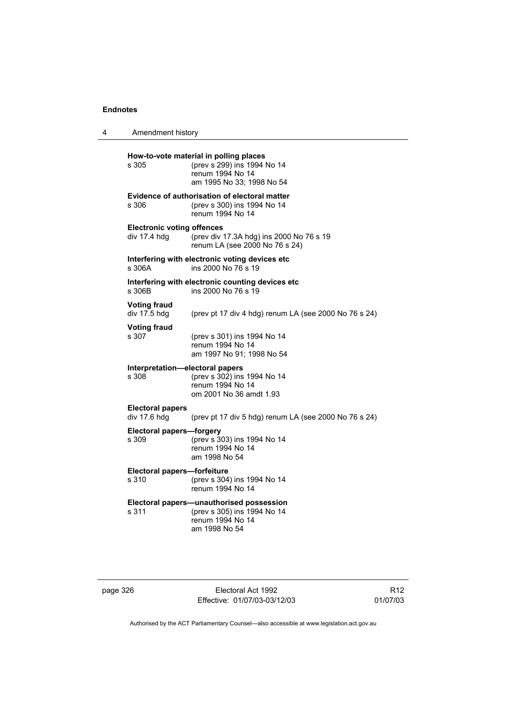| 4 | Amendment history                                 |                                                                                                                        |
|---|---------------------------------------------------|------------------------------------------------------------------------------------------------------------------------|
|   | s 305                                             | How-to-vote material in polling places<br>(prev s 299) ins 1994 No 14<br>renum 1994 No 14<br>am 1995 No 33; 1998 No 54 |
|   | s 306                                             | <b>Evidence of authorisation of electoral matter</b><br>(prev s 300) ins 1994 No 14<br>renum 1994 No 14                |
|   | <b>Electronic voting offences</b><br>div 17.4 hdg | (prev div 17.3A hdg) ins 2000 No 76 s 19<br>renum LA (see 2000 No 76 s 24)                                             |
|   | s 306A                                            | Interfering with electronic voting devices etc<br>ins 2000 No 76 s 19                                                  |
|   | s 306B                                            | Interfering with electronic counting devices etc<br>ins 2000 No 76 s 19                                                |
|   | <b>Voting fraud</b><br>div 17.5 hdg               | (prev pt 17 div 4 hdg) renum LA (see 2000 No 76 s 24)                                                                  |
|   | <b>Voting fraud</b><br>s 307                      | (prev s 301) ins 1994 No 14<br>renum 1994 No 14<br>am 1997 No 91; 1998 No 54                                           |
|   | Interpretation-electoral papers<br>s 308          | (prev s 302) ins 1994 No 14<br>renum 1994 No 14<br>om 2001 No 36 amdt 1.93                                             |
|   | <b>Electoral papers</b><br>div 17.6 hdg           | (prev pt 17 div 5 hdg) renum LA (see 2000 No 76 s 24)                                                                  |
|   | <b>Electoral papers-forgery</b><br>s 309          | (prev s 303) ins 1994 No 14<br>renum 1994 No 14<br>am 1998 No 54                                                       |
|   | Electoral papers-forfeiture<br>s 310              | (prev s 304) ins 1994 No 14<br>renum 1994 No 14                                                                        |
|   | s 311                                             | Electoral papers-unauthorised possession<br>(prev s 305) ins 1994 No 14<br>renum 1994 No 14<br>am 1998 No 54           |

| page 326 |  |
|----------|--|
|----------|--|

page 326 Electoral Act 1992 Effective: 01/07/03-03/12/03

R12 01/07/03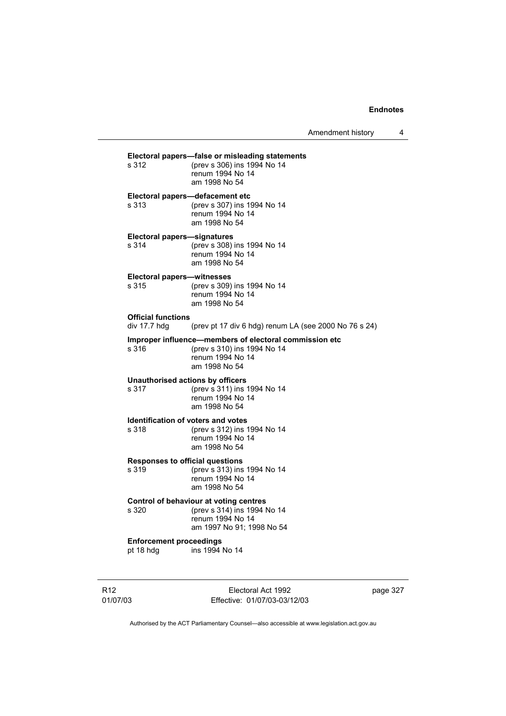Amendment history 4

| Electoral papers—false or misleading statements<br>s 312<br>(prev s 306) ins 1994 No 14 |                                                                                                                            |  |  |
|-----------------------------------------------------------------------------------------|----------------------------------------------------------------------------------------------------------------------------|--|--|
|                                                                                         | renum 1994 No 14<br>am 1998 No 54                                                                                          |  |  |
| s 313                                                                                   | Electoral papers-defacement etc<br>(prev s 307) ins 1994 No 14<br>renum 1994 No 14<br>am 1998 No 54                        |  |  |
| <b>Electoral papers-signatures</b><br>s 314                                             | (prev s 308) ins 1994 No 14<br>renum 1994 No 14<br>am 1998 No 54                                                           |  |  |
| Electoral papers-witnesses<br>s 315                                                     | (prev s 309) ins 1994 No 14<br>renum 1994 No 14<br>am 1998 No 54                                                           |  |  |
| <b>Official functions</b><br>div $17.7$ hdg                                             | (prev pt 17 div 6 hdg) renum LA (see 2000 No 76 s 24)                                                                      |  |  |
| s 316                                                                                   | Improper influence—members of electoral commission etc<br>(prev s 310) ins 1994 No 14<br>renum 1994 No 14<br>am 1998 No 54 |  |  |
| s 317                                                                                   | Unauthorised actions by officers<br>(prev s 311) ins 1994 No 14<br>renum 1994 No 14<br>am 1998 No 54                       |  |  |
| s 318                                                                                   | <b>Identification of voters and votes</b><br>(prev s 312) ins 1994 No 14<br>renum 1994 No 14<br>am 1998 No 54              |  |  |
| <b>Responses to official questions</b><br>s 319                                         | (prev s 313) ins 1994 No 14<br>renum 1994 No 14<br>am 1998 No 54                                                           |  |  |
| s 320                                                                                   | Control of behaviour at voting centres<br>(prev s 314) ins 1994 No 14<br>renum 1994 No 14<br>am 1997 No 91; 1998 No 54     |  |  |
| <b>Enforcement proceedings</b><br>pt 18 hdg                                             | ins 1994 No 14                                                                                                             |  |  |

R12 01/07/03

Electoral Act 1992 Effective: 01/07/03-03/12/03 page 327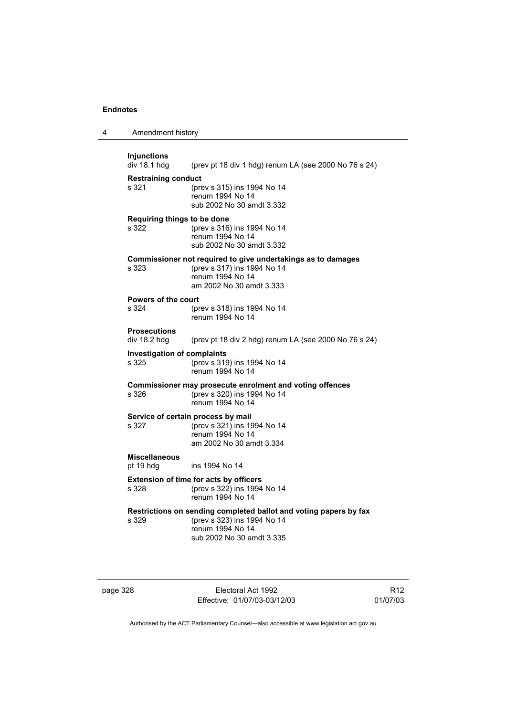| 4 | Amendment history                           |                                                                                                                                                   |
|---|---------------------------------------------|---------------------------------------------------------------------------------------------------------------------------------------------------|
|   | <b>Injunctions</b><br>div 18.1 hdg          | (prev pt 18 div 1 hdg) renum LA (see 2000 No 76 s 24)                                                                                             |
|   | <b>Restraining conduct</b><br>s 321         | (prev s 315) ins 1994 No 14<br>renum 1994 No 14<br>sub 2002 No 30 amdt 3.332                                                                      |
|   | Requiring things to be done<br>s 322        | (prev s 316) ins 1994 No 14<br>renum 1994 No 14<br>sub 2002 No 30 amdt 3.332                                                                      |
|   | s 323                                       | Commissioner not required to give undertakings as to damages<br>(prev s 317) ins 1994 No 14<br>renum 1994 No 14<br>am 2002 No 30 amdt 3.333       |
|   | <b>Powers of the court</b><br>s 324         | (prev s 318) ins 1994 No 14<br>renum 1994 No 14                                                                                                   |
|   | <b>Prosecutions</b><br>div 18.2 hdg         | (prev pt 18 div 2 hdg) renum LA (see 2000 No 76 s 24)                                                                                             |
|   | <b>Investigation of complaints</b><br>s 325 | (prev s 319) ins 1994 No 14<br>renum 1994 No 14                                                                                                   |
|   | s 326                                       | Commissioner may prosecute enrolment and voting offences<br>(prev s 320) ins 1994 No 14<br>renum 1994 No 14                                       |
|   | s 327                                       | Service of certain process by mail<br>(prev s 321) ins 1994 No 14<br>renum 1994 No 14<br>am 2002 No 30 amdt 3.334                                 |
|   | <b>Miscellaneous</b><br>pt 19 hdg           | ins 1994 No 14                                                                                                                                    |
|   | s 328                                       | Extension of time for acts by officers<br>(prev s 322) ins 1994 No 14<br>renum 1994 No 14                                                         |
|   | s 329                                       | Restrictions on sending completed ballot and voting papers by fax<br>(prev s 323) ins 1994 No 14<br>renum 1994 No 14<br>sub 2002 No 30 amdt 3.335 |

page 328 Electoral Act 1992 Effective: 01/07/03-03/12/03

R12 01/07/03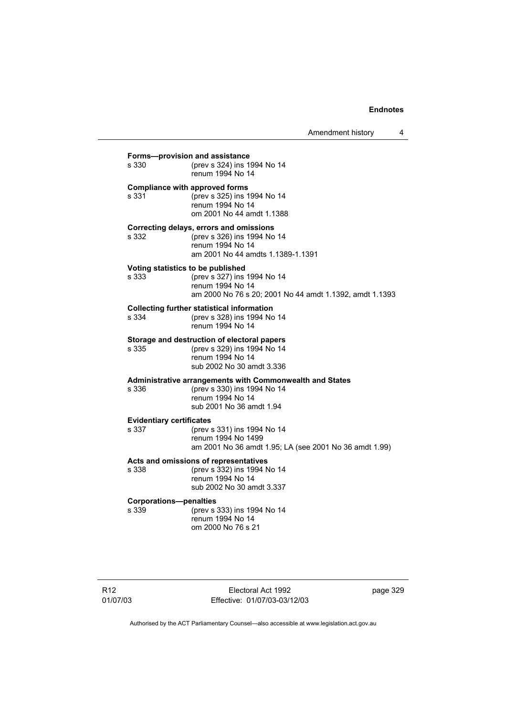Amendment history 4

**Compliance with approved forms**<br>s 331 (prev s 325) ins 1 s 331 (prev s 325) ins 1994 No 14 renum 1994 No 14 om 2001 No 44 amdt 1.1388 **Correcting delays, errors and omissions** (prev s 326) ins 1994 No 14 renum 1994 No 14 am 2001 No 44 amdts 1.1389-1.1391 **Voting statistics to be published**<br>s 333 (prev s 327) ins (prev s 327) ins 1994 No 14 renum 1994 No 14 am 2000 No 76 s 20; 2001 No 44 amdt 1.1392, amdt 1.1393 **Collecting further statistical information** s 334 (prev s 328) ins 1994 No 14 renum 1994 No 14 **Storage and destruction of electoral papers**<br>s 335 (prev s 329) ins 1994 No 14 (prev s 329) ins 1994 No 14 renum 1994 No 14 sub 2002 No 30 amdt 3.336 **Administrative arrangements with Commonwealth and States** s 336 (prev s 330) ins 1994 No 14 renum 1994 No 14 sub 2001 No 36 amdt 1.94 **Evidentiary certificates** s 337 (prev s 331) ins 1994 No 14 renum 1994 No 1499 am 2001 No 36 amdt 1.95; LA (see 2001 No 36 amdt 1.99) **Acts and omissions of representatives** s 338 (prev s 332) ins 1994 No 14 renum 1994 No 14 sub 2002 No 30 amdt 3.337 **Corporations—penalties** s 339 (prev s 333) ins 1994 No 14 renum 1994 No 14 om 2000 No 76 s 21

**Forms—provision and assistance**<br>s 330 (prev s 324) ins 19

(prev s 324) ins 1994 No 14

renum 1994 No 14

R12 01/07/03

Electoral Act 1992 Effective: 01/07/03-03/12/03 page 329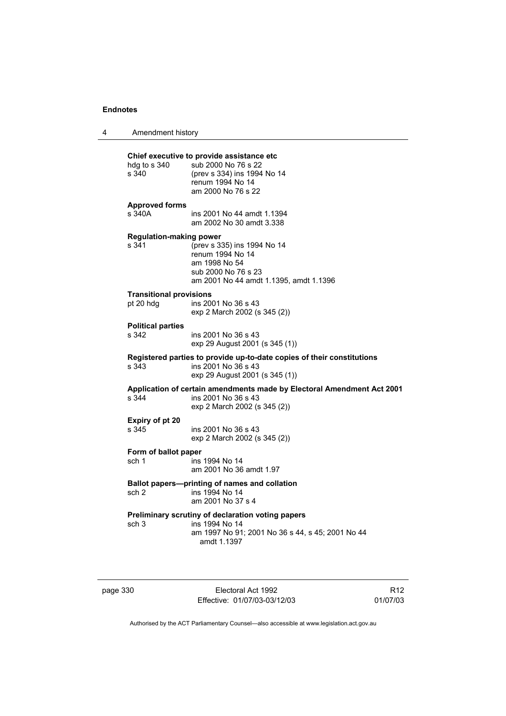|  | Amendment history |  |
|--|-------------------|--|
|--|-------------------|--|

| hdg to s 340<br>s 340                                                                           | Chief executive to provide assistance etc<br>sub 2000 No 76 s 22<br>(prev s 334) ins 1994 No 14<br>renum 1994 No 14<br>am 2000 No 76 s 22 |  |
|-------------------------------------------------------------------------------------------------|-------------------------------------------------------------------------------------------------------------------------------------------|--|
| <b>Approved forms</b><br>s 340A                                                                 | ins 2001 No 44 amdt 1.1394<br>am 2002 No 30 amdt 3.338                                                                                    |  |
| <b>Regulation-making power</b><br>s 341                                                         | (prev s 335) ins 1994 No 14<br>renum 1994 No 14<br>am 1998 No 54<br>sub 2000 No 76 s 23<br>am 2001 No 44 amdt 1.1395, amdt 1.1396         |  |
| <b>Transitional provisions</b><br>pt 20 hdg                                                     | ins 2001 No 36 s 43<br>exp 2 March 2002 (s 345 (2))                                                                                       |  |
| <b>Political parties</b><br>s 342                                                               | ins 2001 No 36 s 43<br>exp 29 August 2001 (s 345 (1))                                                                                     |  |
| s 343                                                                                           | Registered parties to provide up-to-date copies of their constitutions<br>ins 2001 No 36 s 43<br>exp 29 August 2001 (s 345 (1))           |  |
| s 344                                                                                           | Application of certain amendments made by Electoral Amendment Act 2001<br>ins 2001 No 36 s 43<br>exp 2 March 2002 (s 345 (2))             |  |
| Expiry of pt 20<br>s 345                                                                        | ins 2001 No 36 s 43<br>exp 2 March 2002 (s 345 (2))                                                                                       |  |
| Form of ballot paper<br>sch 1                                                                   | ins 1994 No 14<br>am 2001 No 36 amdt 1.97                                                                                                 |  |
| Ballot papers---printing of names and collation<br>sch 2<br>ins 1994 No 14<br>am 2001 No 37 s 4 |                                                                                                                                           |  |
| sch 3                                                                                           | Preliminary scrutiny of declaration voting papers<br>ins 1994 No 14<br>am 1997 No 91; 2001 No 36 s 44, s 45; 2001 No 44<br>amdt 1.1397    |  |

page 330 Electoral Act 1992 Effective: 01/07/03-03/12/03

R12 01/07/03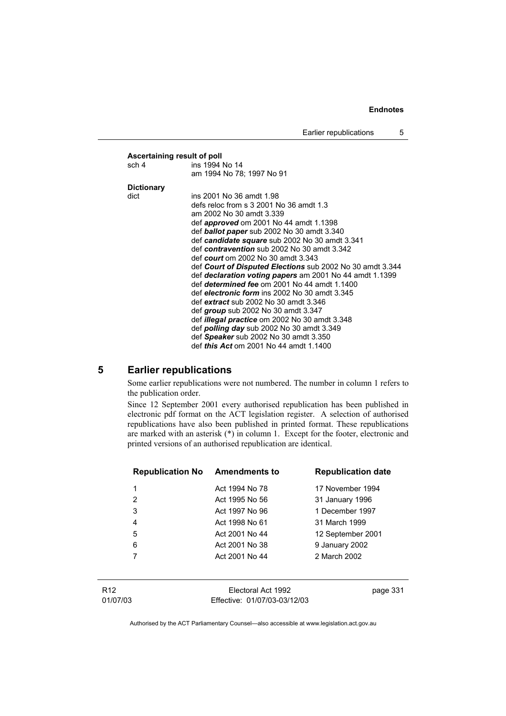|                                                           | Ascertaining result of poll                             |  |  |
|-----------------------------------------------------------|---------------------------------------------------------|--|--|
| sch 4                                                     | ins 1994 No 14                                          |  |  |
|                                                           | am 1994 No 78; 1997 No 91                               |  |  |
| <b>Dictionary</b>                                         |                                                         |  |  |
| dict                                                      | ins 2001 No 36 amdt 1.98                                |  |  |
|                                                           | defs reloc from s 3 2001 No 36 amdt 1.3                 |  |  |
|                                                           | am 2002 No 30 amdt 3.339                                |  |  |
|                                                           | def <i>approved</i> om 2001 No 44 amdt 1.1398           |  |  |
|                                                           | def <b>ballot paper</b> sub 2002 No 30 amdt 3.340       |  |  |
|                                                           | def candidate square sub 2002 No 30 amdt 3.341          |  |  |
|                                                           | def contravention sub 2002 No 30 amdt 3.342             |  |  |
|                                                           | def <i>court</i> om 2002 No 30 amdt 3.343               |  |  |
| def Court of Disputed Elections sub 2002 No 30 amdt 3.344 |                                                         |  |  |
|                                                           | def declaration voting papers am 2001 No 44 amdt 1.1399 |  |  |
|                                                           | def determined fee om 2001 No 44 amdt 1.1400            |  |  |
|                                                           | def electronic form ins 2002 No 30 amdt 3.345           |  |  |
|                                                           | def extract sub 2002 No 30 amdt 3.346                   |  |  |
|                                                           | def group sub 2002 No 30 amdt $3.347$                   |  |  |
|                                                           | def <i>illegal practice</i> om 2002 No 30 amdt 3.348    |  |  |
|                                                           | def <i>polling day</i> sub 2002 No 30 amdt 3.349        |  |  |
|                                                           | def Speaker sub 2002 No 30 amdt 3.350                   |  |  |
|                                                           | def <i>this Act</i> om 2001 No 44 amdt 1.1400           |  |  |

# **5 Earlier republications**

Some earlier republications were not numbered. The number in column 1 refers to the publication order.

Since 12 September 2001 every authorised republication has been published in electronic pdf format on the ACT legislation register. A selection of authorised republications have also been published in printed format. These republications are marked with an asterisk (\*) in column 1. Except for the footer, electronic and printed versions of an authorised republication are identical.

| <b>Republication No</b> | <b>Amendments to</b> | <b>Republication date</b> |
|-------------------------|----------------------|---------------------------|
| 1                       | Act 1994 No 78       | 17 November 1994          |
| $\overline{2}$          | Act 1995 No 56       | 31 January 1996           |
| 3                       | Act 1997 No 96       | 1 December 1997           |
| 4                       | Act 1998 No 61       | 31 March 1999             |
| 5                       | Act 2001 No 44       | 12 September 2001         |
| 6                       | Act 2001 No 38       | 9 January 2002            |
|                         | Act 2001 No 44       | 2 March 2002              |
|                         |                      |                           |
|                         |                      |                           |

R12 01/07/03

Electoral Act 1992 Effective: 01/07/03-03/12/03 page 331